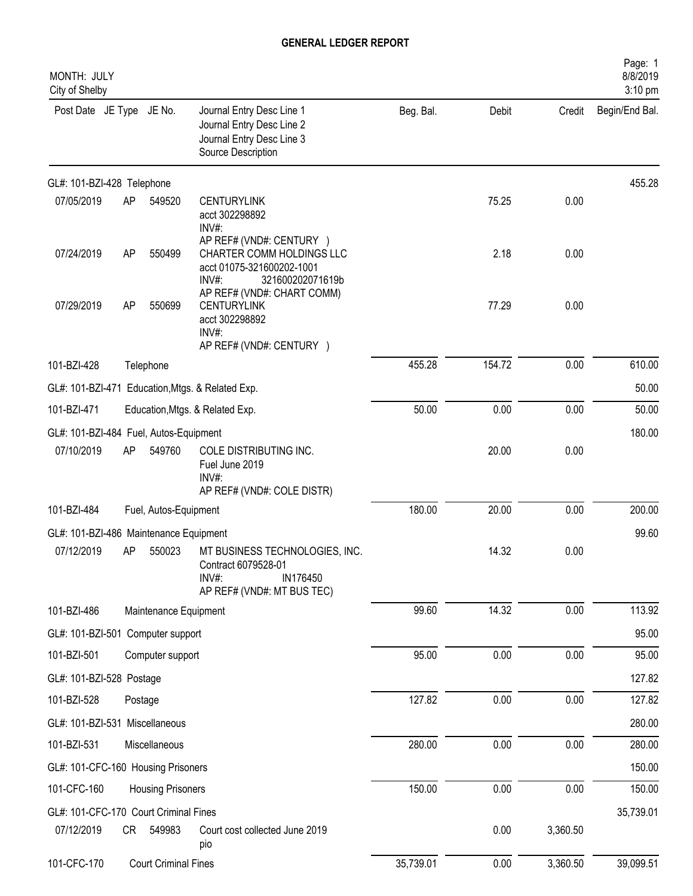| MONTH: JULY<br>City of Shelby          |         |                             |                                                                                                                    |           |        |          | Page: 1<br>8/8/2019<br>3:10 pm |
|----------------------------------------|---------|-----------------------------|--------------------------------------------------------------------------------------------------------------------|-----------|--------|----------|--------------------------------|
| Post Date JE Type JE No.               |         |                             | Journal Entry Desc Line 1<br>Journal Entry Desc Line 2<br>Journal Entry Desc Line 3<br>Source Description          | Beg. Bal. | Debit  | Credit   | Begin/End Bal.                 |
| GL#: 101-BZI-428 Telephone             |         |                             |                                                                                                                    |           |        |          | 455.28                         |
| 07/05/2019                             | AP      | 549520                      | <b>CENTURYLINK</b><br>acct 302298892<br>INV#                                                                       |           | 75.25  | 0.00     |                                |
| 07/24/2019                             | AP      | 550499                      | AP REF# (VND#: CENTURY )<br>CHARTER COMM HOLDINGS LLC<br>acct 01075-321600202-1001<br>$INV#$ :<br>321600202071619b |           | 2.18   | 0.00     |                                |
| 07/29/2019                             | AP      | 550699                      | AP REF# (VND#: CHART COMM)<br><b>CENTURYLINK</b><br>acct 302298892<br>$INV#$ :<br>AP REF# (VND#: CENTURY )         |           | 77.29  | 0.00     |                                |
| 101-BZI-428                            |         | Telephone                   |                                                                                                                    | 455.28    | 154.72 | 0.00     | 610.00                         |
|                                        |         |                             | GL#: 101-BZI-471 Education, Mtgs. & Related Exp.                                                                   |           |        |          | 50.00                          |
| 101-BZI-471                            |         |                             | Education, Mtgs. & Related Exp.                                                                                    | 50.00     | 0.00   | 0.00     | 50.00                          |
| GL#: 101-BZI-484 Fuel, Autos-Equipment |         |                             |                                                                                                                    |           |        |          | 180.00                         |
| 07/10/2019                             | AP      | 549760                      | COLE DISTRIBUTING INC.<br>Fuel June 2019<br>INV#:<br>AP REF# (VND#: COLE DISTR)                                    |           | 20.00  | 0.00     |                                |
| 101-BZI-484                            |         | Fuel, Autos-Equipment       |                                                                                                                    | 180.00    | 20.00  | 0.00     | 200.00                         |
| GL#: 101-BZI-486 Maintenance Equipment |         |                             |                                                                                                                    |           |        |          | 99.60                          |
| 07/12/2019                             | AP      | 550023                      | MT BUSINESS TECHNOLOGIES, INC.<br>Contract 6079528-01<br>INV#:<br>IN176450<br>AP REF# (VND#: MT BUS TEC)           |           | 14.32  | 0.00     |                                |
| 101-BZI-486                            |         | Maintenance Equipment       |                                                                                                                    | 99.60     | 14.32  | 0.00     | 113.92                         |
| GL#: 101-BZI-501 Computer support      |         |                             |                                                                                                                    |           |        |          | 95.00                          |
| 101-BZI-501                            |         | Computer support            |                                                                                                                    | 95.00     | 0.00   | 0.00     | 95.00                          |
| GL#: 101-BZI-528 Postage               |         |                             |                                                                                                                    |           |        |          | 127.82                         |
| 101-BZI-528                            | Postage |                             |                                                                                                                    | 127.82    | 0.00   | 0.00     | 127.82                         |
| GL#: 101-BZI-531 Miscellaneous         |         |                             |                                                                                                                    |           |        |          | 280.00                         |
| 101-BZI-531                            |         | Miscellaneous               |                                                                                                                    | 280.00    | 0.00   | 0.00     | 280.00                         |
| GL#: 101-CFC-160 Housing Prisoners     |         |                             |                                                                                                                    |           |        |          | 150.00                         |
| 101-CFC-160                            |         | <b>Housing Prisoners</b>    |                                                                                                                    | 150.00    | 0.00   | 0.00     | 150.00                         |
| GL#: 101-CFC-170 Court Criminal Fines  |         |                             |                                                                                                                    |           |        |          | 35,739.01                      |
| 07/12/2019                             | CR      | 549983                      | Court cost collected June 2019<br>pio                                                                              |           | 0.00   | 3,360.50 |                                |
| 101-CFC-170                            |         | <b>Court Criminal Fines</b> |                                                                                                                    | 35,739.01 | 0.00   | 3,360.50 | 39,099.51                      |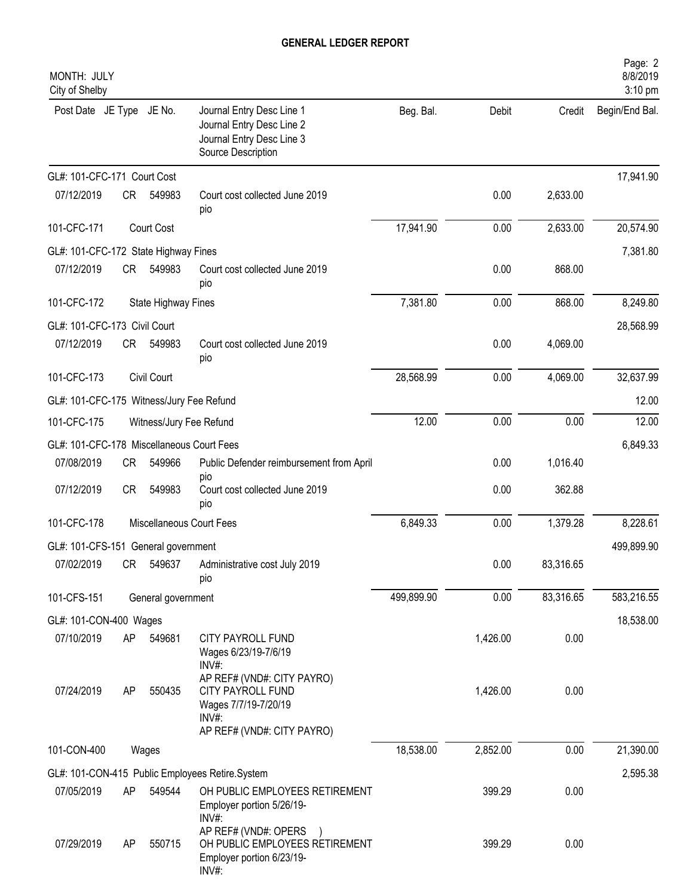| MONTH: JULY<br>City of Shelby             |      |                         |                                                                                                                          |            |          |           | Page: 2<br>8/8/2019<br>3:10 pm |
|-------------------------------------------|------|-------------------------|--------------------------------------------------------------------------------------------------------------------------|------------|----------|-----------|--------------------------------|
| Post Date JE Type JE No.                  |      |                         | Journal Entry Desc Line 1<br>Journal Entry Desc Line 2<br>Journal Entry Desc Line 3<br>Source Description                | Beg. Bal.  | Debit    | Credit    | Begin/End Bal.                 |
| GL#: 101-CFC-171 Court Cost               |      |                         |                                                                                                                          |            |          |           | 17,941.90                      |
| 07/12/2019                                | CR   | 549983                  | Court cost collected June 2019<br>pio                                                                                    |            | 0.00     | 2,633.00  |                                |
| 101-CFC-171                               |      | Court Cost              |                                                                                                                          | 17,941.90  | 0.00     | 2,633.00  | 20,574.90                      |
| GL#: 101-CFC-172 State Highway Fines      |      |                         |                                                                                                                          |            |          |           | 7,381.80                       |
| 07/12/2019                                | CR — | 549983                  | Court cost collected June 2019<br>pio                                                                                    |            | 0.00     | 868.00    |                                |
| 101-CFC-172                               |      | State Highway Fines     |                                                                                                                          | 7,381.80   | 0.00     | 868.00    | 8,249.80                       |
| GL#: 101-CFC-173 Civil Court              |      |                         |                                                                                                                          |            |          |           | 28,568.99                      |
| 07/12/2019                                | CR   | 549983                  | Court cost collected June 2019<br>pio                                                                                    |            | 0.00     | 4,069.00  |                                |
| 101-CFC-173                               |      | Civil Court             |                                                                                                                          | 28,568.99  | 0.00     | 4,069.00  | 32,637.99                      |
| GL#: 101-CFC-175 Witness/Jury Fee Refund  |      |                         |                                                                                                                          |            |          |           | 12.00                          |
| 101-CFC-175                               |      | Witness/Jury Fee Refund |                                                                                                                          | 12.00      | 0.00     | 0.00      | 12.00                          |
| GL#: 101-CFC-178 Miscellaneous Court Fees |      |                         |                                                                                                                          |            |          |           | 6,849.33                       |
| 07/08/2019                                | CR   | 549966                  | Public Defender reimbursement from April<br>pio                                                                          |            | 0.00     | 1,016.40  |                                |
| 07/12/2019                                | CR   | 549983                  | Court cost collected June 2019<br>pio                                                                                    |            | 0.00     | 362.88    |                                |
| 101-CFC-178                               |      |                         | Miscellaneous Court Fees                                                                                                 | 6,849.33   | 0.00     | 1,379.28  | 8,228.61                       |
| GL#: 101-CFS-151 General government       |      |                         |                                                                                                                          |            |          |           | 499,899.90                     |
| 07/02/2019                                | CR   |                         | 549637 Administrative cost July 2019<br>pio                                                                              |            | 0.00     | 83,316.65 |                                |
| 101-CFS-151                               |      | General government      |                                                                                                                          | 499,899.90 | 0.00     | 83,316.65 | 583,216.55                     |
| GL#: 101-CON-400 Wages                    |      |                         |                                                                                                                          |            |          |           | 18,538.00                      |
| 07/10/2019                                | AP   | 549681                  | <b>CITY PAYROLL FUND</b><br>Wages 6/23/19-7/6/19<br>INV#:                                                                |            | 1,426.00 | 0.00      |                                |
| 07/24/2019                                | AP   | 550435                  | AP REF# (VND#: CITY PAYRO)<br><b>CITY PAYROLL FUND</b><br>Wages 7/7/19-7/20/19<br>$INV#$ :<br>AP REF# (VND#: CITY PAYRO) |            | 1,426.00 | 0.00      |                                |
| 101-CON-400                               |      | Wages                   |                                                                                                                          | 18,538.00  | 2,852.00 | 0.00      | 21,390.00                      |
|                                           |      |                         | GL#: 101-CON-415 Public Employees Retire.System                                                                          |            |          |           | 2,595.38                       |
| 07/05/2019                                | AP   | 549544                  | OH PUBLIC EMPLOYEES RETIREMENT<br>Employer portion 5/26/19-<br>INV#:                                                     |            | 399.29   | 0.00      |                                |
| 07/29/2019                                | AP   | 550715                  | AP REF# (VND#: OPERS<br>OH PUBLIC EMPLOYEES RETIREMENT<br>Employer portion 6/23/19-<br>INV#:                             |            | 399.29   | 0.00      |                                |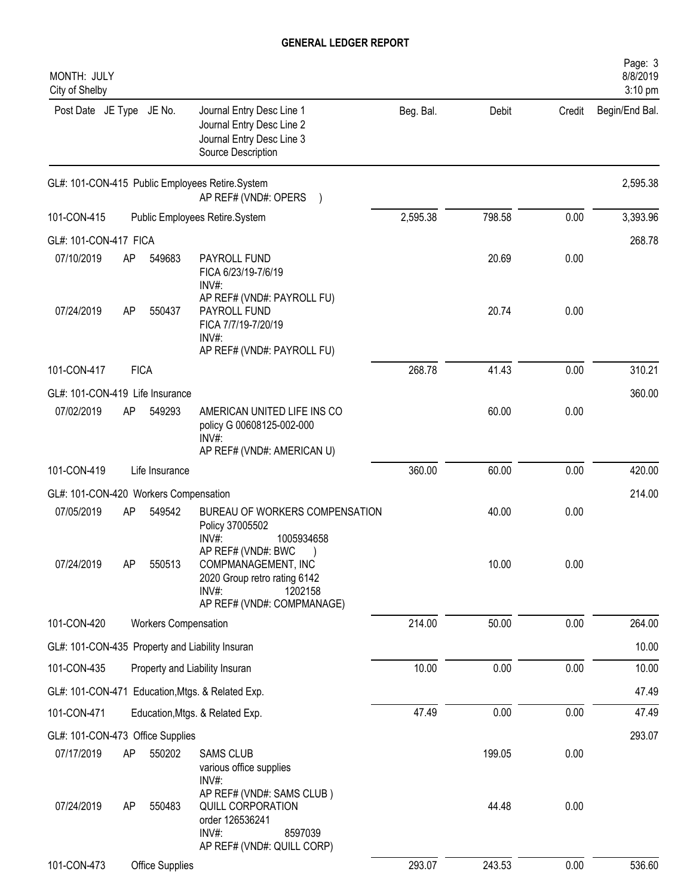| MONTH: JULY<br>City of Shelby         |    |                      |                                                                                                                             |           |        |        | Page: 3<br>8/8/2019<br>3:10 pm |
|---------------------------------------|----|----------------------|-----------------------------------------------------------------------------------------------------------------------------|-----------|--------|--------|--------------------------------|
| Post Date JE Type JE No.              |    |                      | Journal Entry Desc Line 1<br>Journal Entry Desc Line 2<br>Journal Entry Desc Line 3<br>Source Description                   | Beg. Bal. | Debit  | Credit | Begin/End Bal.                 |
|                                       |    |                      | GL#: 101-CON-415 Public Employees Retire.System<br>AP REF# (VND#: OPERS )                                                   |           |        |        | 2,595.38                       |
| 101-CON-415                           |    |                      | Public Employees Retire.System                                                                                              | 2,595.38  | 798.58 | 0.00   | 3,393.96                       |
| GL#: 101-CON-417 FICA                 |    |                      |                                                                                                                             |           |        |        | 268.78                         |
| 07/10/2019                            | AP | 549683               | PAYROLL FUND<br>FICA 6/23/19-7/6/19<br>INV#:                                                                                |           | 20.69  | 0.00   |                                |
| 07/24/2019                            | AP | 550437               | AP REF# (VND#: PAYROLL FU)<br>PAYROLL FUND<br>FICA 7/7/19-7/20/19<br>INV#:<br>AP REF# (VND#: PAYROLL FU)                    |           | 20.74  | 0.00   |                                |
| 101-CON-417                           |    | <b>FICA</b>          |                                                                                                                             | 268.78    | 41.43  | 0.00   | 310.21                         |
| GL#: 101-CON-419 Life Insurance       |    |                      |                                                                                                                             |           |        |        | 360.00                         |
| 07/02/2019                            | AP | 549293               | AMERICAN UNITED LIFE INS CO<br>policy G 00608125-002-000<br>INV#:<br>AP REF# (VND#: AMERICAN U)                             |           | 60.00  | 0.00   |                                |
| 101-CON-419                           |    | Life Insurance       |                                                                                                                             | 360.00    | 60.00  | 0.00   | 420.00                         |
| GL#: 101-CON-420 Workers Compensation |    |                      |                                                                                                                             |           |        |        | 214.00                         |
| 07/05/2019                            | AP | 549542               | BUREAU OF WORKERS COMPENSATION<br>Policy 37005502<br>$INV#$ :<br>1005934658                                                 |           | 40.00  | 0.00   |                                |
| 07/24/2019                            | AP | 550513               | AP REF# (VND#: BWC<br>COMPMANAGEMENT, INC<br>2020 Group retro rating 6142<br>INV#:<br>1202158<br>AP REF# (VND#: COMPMANAGE) |           | 10.00  | 0.00   |                                |
| 101-CON-420                           |    | Workers Compensation |                                                                                                                             | 214.00    | 50.00  | 0.00   | 264.00                         |
|                                       |    |                      | GL#: 101-CON-435 Property and Liability Insuran                                                                             |           |        |        | 10.00                          |
| 101-CON-435                           |    |                      | Property and Liability Insuran                                                                                              | 10.00     | 0.00   | 0.00   | 10.00                          |
|                                       |    |                      | GL#: 101-CON-471 Education, Mtgs. & Related Exp.                                                                            |           |        |        | 47.49                          |
| 101-CON-471                           |    |                      | Education, Mtgs. & Related Exp.                                                                                             | 47.49     | 0.00   | 0.00   | 47.49                          |
| GL#: 101-CON-473 Office Supplies      |    |                      |                                                                                                                             |           |        |        | 293.07                         |
| 07/17/2019                            | AP | 550202               | <b>SAMS CLUB</b><br>various office supplies<br>INV#:                                                                        |           | 199.05 | 0.00   |                                |
| 07/24/2019                            | AP | 550483               | AP REF# (VND#: SAMS CLUB)<br>QUILL CORPORATION<br>order 126536241<br>INV#:<br>8597039<br>AP REF# (VND#: QUILL CORP)         |           | 44.48  | 0.00   |                                |
| 101-CON-473                           |    | Office Supplies      |                                                                                                                             | 293.07    | 243.53 | 0.00   | 536.60                         |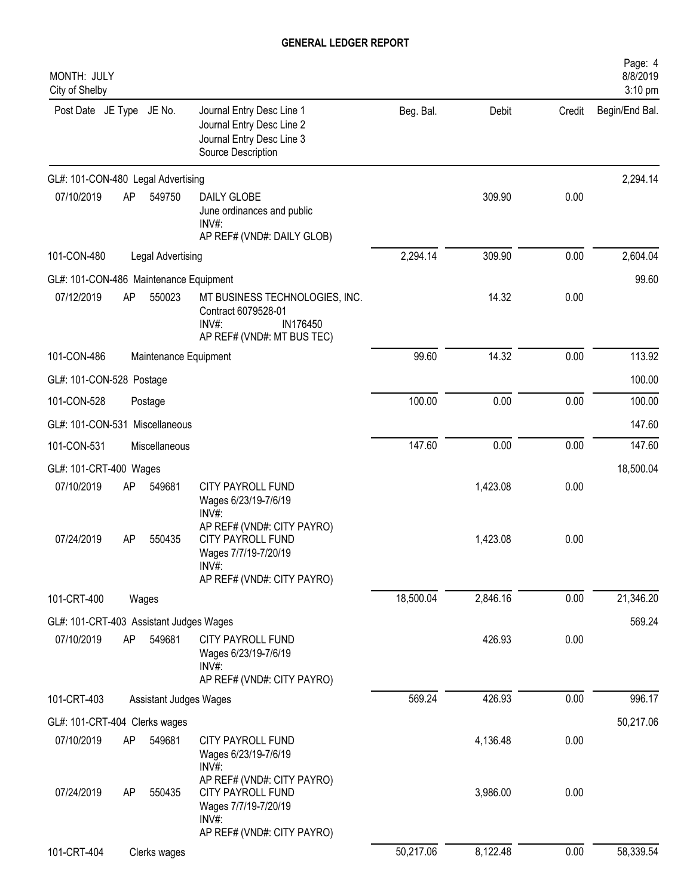| MONTH: JULY<br>City of Shelby           |    |                        |                                                                                                                          |           |          |        | Page: 4<br>8/8/2019<br>3:10 pm |
|-----------------------------------------|----|------------------------|--------------------------------------------------------------------------------------------------------------------------|-----------|----------|--------|--------------------------------|
| Post Date JE Type JE No.                |    |                        | Journal Entry Desc Line 1<br>Journal Entry Desc Line 2<br>Journal Entry Desc Line 3<br>Source Description                | Beg. Bal. | Debit    | Credit | Begin/End Bal.                 |
| GL#: 101-CON-480 Legal Advertising      |    |                        |                                                                                                                          |           |          |        | 2,294.14                       |
| 07/10/2019                              | AP | 549750                 | DAILY GLOBE<br>June ordinances and public<br>$INV#$ :<br>AP REF# (VND#: DAILY GLOB)                                      |           | 309.90   | 0.00   |                                |
| 101-CON-480                             |    | Legal Advertising      |                                                                                                                          | 2,294.14  | 309.90   | 0.00   | 2,604.04                       |
| GL#: 101-CON-486 Maintenance Equipment  |    |                        |                                                                                                                          |           |          |        | 99.60                          |
| 07/12/2019                              | AP | 550023                 | MT BUSINESS TECHNOLOGIES, INC.<br>Contract 6079528-01<br>INV#:<br>IN176450<br>AP REF# (VND#: MT BUS TEC)                 |           | 14.32    | 0.00   |                                |
| 101-CON-486                             |    | Maintenance Equipment  |                                                                                                                          | 99.60     | 14.32    | 0.00   | 113.92                         |
| GL#: 101-CON-528 Postage                |    |                        |                                                                                                                          |           |          |        | 100.00                         |
| 101-CON-528                             |    | Postage                |                                                                                                                          | 100.00    | 0.00     | 0.00   | 100.00                         |
| GL#: 101-CON-531 Miscellaneous          |    |                        |                                                                                                                          |           |          |        | 147.60                         |
| 101-CON-531                             |    | Miscellaneous          |                                                                                                                          | 147.60    | 0.00     | 0.00   | 147.60                         |
| GL#: 101-CRT-400 Wages                  |    |                        |                                                                                                                          |           |          |        | 18,500.04                      |
| 07/10/2019                              | AP | 549681                 | CITY PAYROLL FUND<br>Wages 6/23/19-7/6/19<br>$INV#$ :                                                                    |           | 1,423.08 | 0.00   |                                |
| 07/24/2019                              | AP | 550435                 | AP REF# (VND#: CITY PAYRO)<br><b>CITY PAYROLL FUND</b><br>Wages 7/7/19-7/20/19<br>$INV#$ :<br>AP REF# (VND#: CITY PAYRO) |           | 1,423.08 | 0.00   |                                |
| 101-CRT-400                             |    | Wages                  |                                                                                                                          | 18,500.04 | 2,846.16 | 0.00   | 21,346.20                      |
| GL#: 101-CRT-403 Assistant Judges Wages |    |                        |                                                                                                                          |           |          |        | 569.24                         |
| 07/10/2019                              | AP | 549681                 | <b>CITY PAYROLL FUND</b><br>Wages 6/23/19-7/6/19<br>$INV#$ :<br>AP REF# (VND#: CITY PAYRO)                               |           | 426.93   | 0.00   |                                |
| 101-CRT-403                             |    | Assistant Judges Wages |                                                                                                                          | 569.24    | 426.93   | 0.00   | 996.17                         |
| GL#: 101-CRT-404 Clerks wages           |    |                        |                                                                                                                          |           |          |        | 50,217.06                      |
| 07/10/2019                              | AP | 549681                 | CITY PAYROLL FUND<br>Wages 6/23/19-7/6/19<br>INV#:                                                                       |           | 4,136.48 | 0.00   |                                |
| 07/24/2019                              | AP | 550435                 | AP REF# (VND#: CITY PAYRO)<br>CITY PAYROLL FUND<br>Wages 7/7/19-7/20/19<br>INV#:<br>AP REF# (VND#: CITY PAYRO)           |           | 3,986.00 | 0.00   |                                |
| 101-CRT-404                             |    | Clerks wages           |                                                                                                                          | 50,217.06 | 8,122.48 | 0.00   | 58,339.54                      |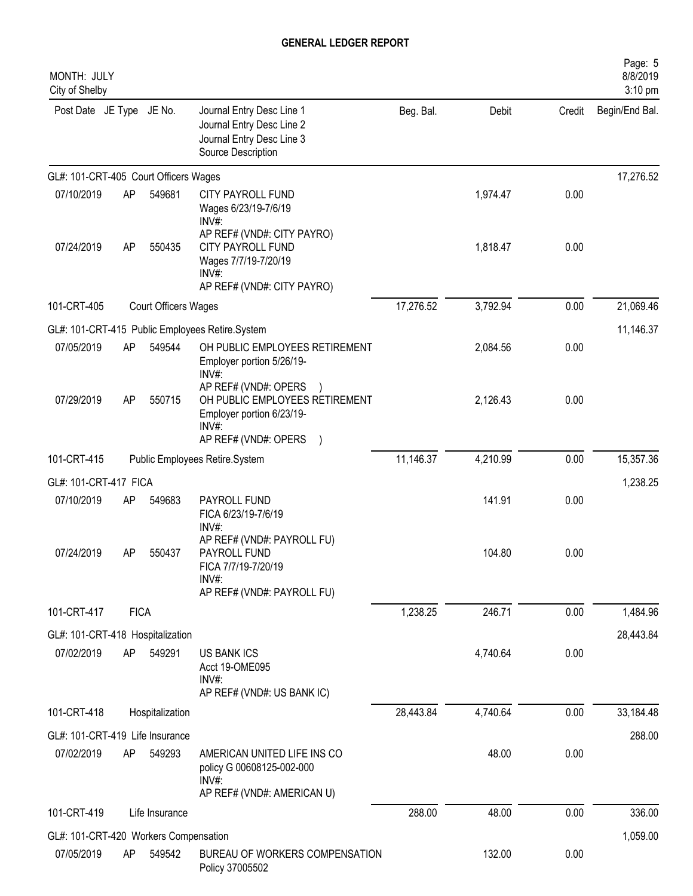| MONTH: JULY<br>City of Shelby         |             |                      |                                                                                                                      |           |          |        | Page: 5<br>8/8/2019<br>3:10 pm |
|---------------------------------------|-------------|----------------------|----------------------------------------------------------------------------------------------------------------------|-----------|----------|--------|--------------------------------|
| Post Date JE Type JE No.              |             |                      | Journal Entry Desc Line 1<br>Journal Entry Desc Line 2<br>Journal Entry Desc Line 3<br>Source Description            | Beg. Bal. | Debit    | Credit | Begin/End Bal.                 |
| GL#: 101-CRT-405 Court Officers Wages |             |                      |                                                                                                                      |           |          |        | 17,276.52                      |
| 07/10/2019                            | AP          | 549681               | CITY PAYROLL FUND<br>Wages 6/23/19-7/6/19<br>INV#:                                                                   |           | 1,974.47 | 0.00   |                                |
| 07/24/2019                            | AP          | 550435               | AP REF# (VND#: CITY PAYRO)<br><b>CITY PAYROLL FUND</b><br>Wages 7/7/19-7/20/19<br>INV#<br>AP REF# (VND#: CITY PAYRO) |           | 1,818.47 | 0.00   |                                |
| 101-CRT-405                           |             | Court Officers Wages |                                                                                                                      | 17,276.52 | 3,792.94 | 0.00   | 21,069.46                      |
|                                       |             |                      | GL#: 101-CRT-415 Public Employees Retire.System                                                                      |           |          |        | 11,146.37                      |
| 07/05/2019                            | AP          | 549544               | OH PUBLIC EMPLOYEES RETIREMENT<br>Employer portion 5/26/19-<br>$INV#$ :                                              |           | 2,084.56 | 0.00   |                                |
| 07/29/2019                            | AP          | 550715               | AP REF# (VND#: OPERS<br>OH PUBLIC EMPLOYEES RETIREMENT<br>Employer portion 6/23/19-<br>INV#                          |           | 2,126.43 | 0.00   |                                |
|                                       |             |                      | AP REF# (VND#: OPERS                                                                                                 |           |          |        |                                |
| 101-CRT-415                           |             |                      | Public Employees Retire.System                                                                                       | 11,146.37 | 4,210.99 | 0.00   | 15,357.36                      |
| GL#: 101-CRT-417 FICA                 |             |                      |                                                                                                                      |           |          |        | 1,238.25                       |
| 07/10/2019                            | AP          | 549683               | PAYROLL FUND<br>FICA 6/23/19-7/6/19<br>INV#:                                                                         |           | 141.91   | 0.00   |                                |
| 07/24/2019                            | AP          | 550437               | AP REF# (VND#: PAYROLL FU)<br>PAYROLL FUND<br>FICA 7/7/19-7/20/19<br>$INV#$ :<br>AP REF# (VND#: PAYROLL FU)          |           | 104.80   | 0.00   |                                |
| 101-CRT-417                           | <b>FICA</b> |                      |                                                                                                                      | 1,238.25  | 246.71   | 0.00   | 1,484.96                       |
| GL#: 101-CRT-418 Hospitalization      |             |                      |                                                                                                                      |           |          |        | 28,443.84                      |
| 07/02/2019                            | AP          | 549291               | <b>US BANK ICS</b><br>Acct 19-OME095<br>$INV#$ :<br>AP REF# (VND#: US BANK IC)                                       |           | 4,740.64 | 0.00   |                                |
| 101-CRT-418                           |             | Hospitalization      |                                                                                                                      | 28,443.84 | 4,740.64 | 0.00   | 33,184.48                      |
| GL#: 101-CRT-419 Life Insurance       |             |                      |                                                                                                                      |           |          |        | 288.00                         |
| 07/02/2019                            | AP          | 549293               | AMERICAN UNITED LIFE INS CO<br>policy G 00608125-002-000<br>$INV#$ :<br>AP REF# (VND#: AMERICAN U)                   |           | 48.00    | 0.00   |                                |
| 101-CRT-419                           |             | Life Insurance       |                                                                                                                      | 288.00    | 48.00    | 0.00   | 336.00                         |
| GL#: 101-CRT-420 Workers Compensation |             |                      |                                                                                                                      |           |          |        | 1,059.00                       |
| 07/05/2019                            | AP          | 549542               | BUREAU OF WORKERS COMPENSATION<br>Policy 37005502                                                                    |           | 132.00   | 0.00   |                                |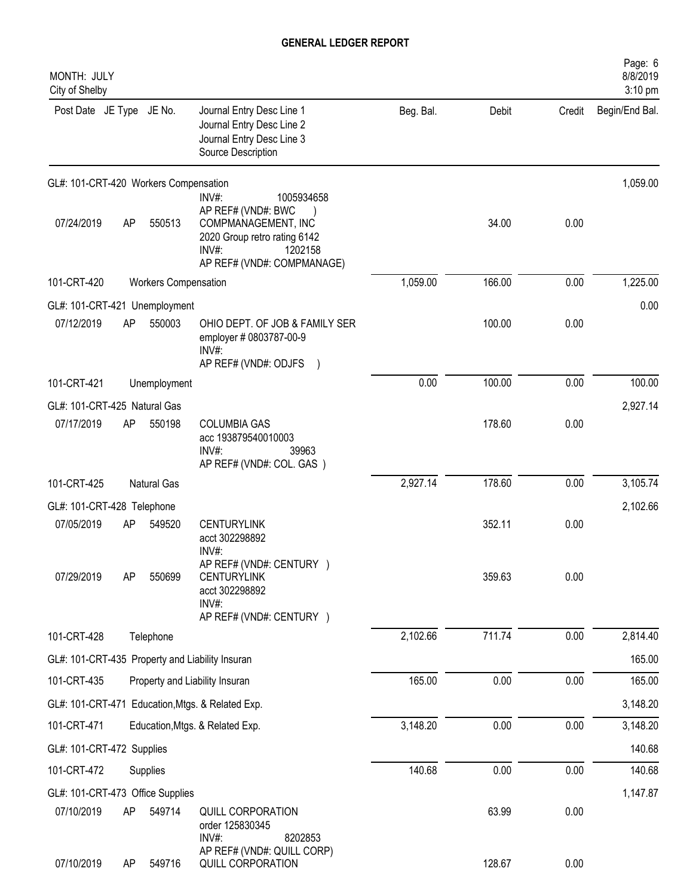| MONTH: JULY<br>City of Shelby         |           |                             |                                                                                                                                                    |           |        |        | Page: 6<br>8/8/2019<br>3:10 pm |
|---------------------------------------|-----------|-----------------------------|----------------------------------------------------------------------------------------------------------------------------------------------------|-----------|--------|--------|--------------------------------|
| Post Date JE Type JE No.              |           |                             | Journal Entry Desc Line 1<br>Journal Entry Desc Line 2<br>Journal Entry Desc Line 3<br>Source Description                                          | Beg. Bal. | Debit  | Credit | Begin/End Bal.                 |
| GL#: 101-CRT-420 Workers Compensation |           |                             |                                                                                                                                                    |           |        |        | 1,059.00                       |
| 07/24/2019                            | <b>AP</b> | 550513                      | INV#:<br>1005934658<br>AP REF# (VND#: BWC<br>COMPMANAGEMENT, INC<br>2020 Group retro rating 6142<br>INV#:<br>1202158<br>AP REF# (VND#: COMPMANAGE) |           | 34.00  | 0.00   |                                |
| 101-CRT-420                           |           | <b>Workers Compensation</b> |                                                                                                                                                    | 1,059.00  | 166.00 | 0.00   | 1,225.00                       |
| GL#: 101-CRT-421 Unemployment         |           |                             |                                                                                                                                                    |           |        |        | 0.00                           |
| 07/12/2019                            | AP        | 550003                      | OHIO DEPT. OF JOB & FAMILY SER<br>employer # 0803787-00-9<br>INV#:<br>AP REF# (VND#: ODJFS                                                         |           | 100.00 | 0.00   |                                |
| 101-CRT-421                           |           | Unemployment                |                                                                                                                                                    | 0.00      | 100.00 | 0.00   | 100.00                         |
| GL#: 101-CRT-425 Natural Gas          |           |                             |                                                                                                                                                    |           |        |        | 2,927.14                       |
| 07/17/2019                            | AP        | 550198                      | <b>COLUMBIA GAS</b><br>acc 193879540010003<br>$INV#$ :<br>39963<br>AP REF# (VND#: COL. GAS )                                                       |           | 178.60 | 0.00   |                                |
| 101-CRT-425                           |           | Natural Gas                 |                                                                                                                                                    | 2,927.14  | 178.60 | 0.00   | 3,105.74                       |
| GL#: 101-CRT-428 Telephone            |           |                             |                                                                                                                                                    |           |        |        | 2,102.66                       |
| 07/05/2019                            | AP        | 549520                      | <b>CENTURYLINK</b><br>acct 302298892<br>INV#:                                                                                                      |           | 352.11 | 0.00   |                                |
| 07/29/2019                            | <b>AP</b> | 550699                      | AP REF# (VND#: CENTURY )<br><b>CENTURYLINK</b><br>acct 302298892<br>INV#:<br>AP REF# (VND#: CENTURY )                                              |           | 359.63 | 0.00   |                                |
| 101-CRT-428                           |           | Telephone                   |                                                                                                                                                    | 2,102.66  | 711.74 | 0.00   | 2,814.40                       |
|                                       |           |                             | GL#: 101-CRT-435 Property and Liability Insuran                                                                                                    |           |        |        | 165.00                         |
| 101-CRT-435                           |           |                             | Property and Liability Insuran                                                                                                                     | 165.00    | 0.00   | 0.00   | 165.00                         |
|                                       |           |                             | GL#: 101-CRT-471 Education, Mtgs. & Related Exp.                                                                                                   |           |        |        | 3,148.20                       |
| 101-CRT-471                           |           |                             | Education, Mtgs. & Related Exp.                                                                                                                    | 3,148.20  | 0.00   | 0.00   | 3,148.20                       |
| GL#: 101-CRT-472 Supplies             |           |                             |                                                                                                                                                    |           |        |        | 140.68                         |
| 101-CRT-472                           |           | Supplies                    |                                                                                                                                                    | 140.68    | 0.00   | 0.00   | 140.68                         |
| GL#: 101-CRT-473 Office Supplies      |           |                             |                                                                                                                                                    |           |        |        | 1,147.87                       |
| 07/10/2019                            | AP        | 549714                      | QUILL CORPORATION<br>order 125830345<br>$INV#$ :<br>8202853                                                                                        |           | 63.99  | 0.00   |                                |
| 07/10/2019                            | <b>AP</b> | 549716                      | AP REF# (VND#: QUILL CORP)<br>QUILL CORPORATION                                                                                                    |           | 128.67 | 0.00   |                                |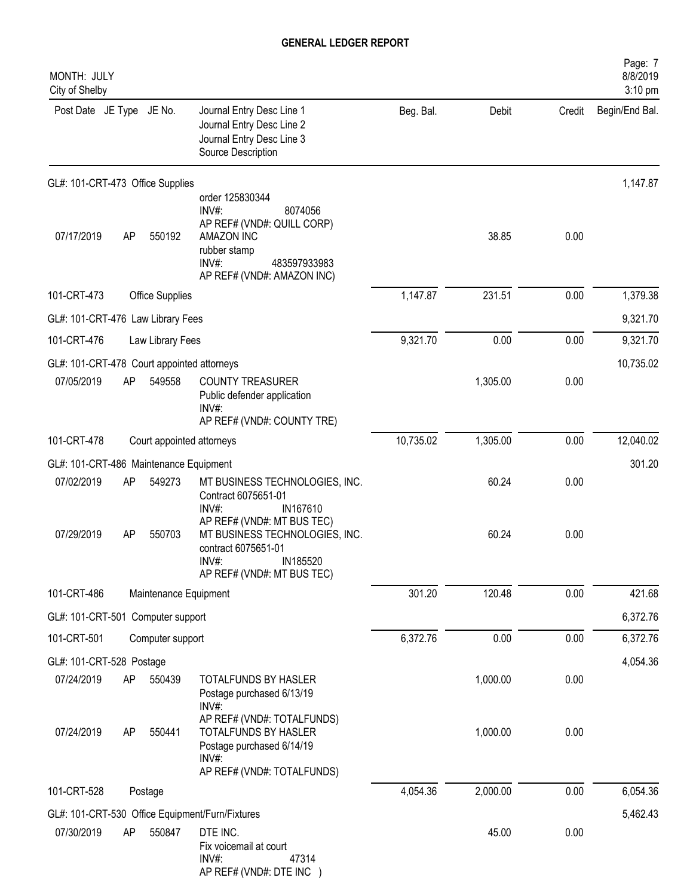| MONTH: JULY<br>City of Shelby              |    |                           |                                                                                                                                                           |           |          |        | Page: 7<br>8/8/2019<br>3:10 pm |
|--------------------------------------------|----|---------------------------|-----------------------------------------------------------------------------------------------------------------------------------------------------------|-----------|----------|--------|--------------------------------|
| Post Date JE Type JE No.                   |    |                           | Journal Entry Desc Line 1<br>Journal Entry Desc Line 2<br>Journal Entry Desc Line 3<br>Source Description                                                 | Beg. Bal. | Debit    | Credit | Begin/End Bal.                 |
| GL#: 101-CRT-473 Office Supplies           |    |                           |                                                                                                                                                           |           |          |        | 1,147.87                       |
| 07/17/2019                                 | AP | 550192                    | order 125830344<br>$INV#$ :<br>8074056<br>AP REF# (VND#: QUILL CORP)<br>AMAZON INC<br>rubber stamp<br>INV#:<br>483597933983<br>AP REF# (VND#: AMAZON INC) |           | 38.85    | 0.00   |                                |
| 101-CRT-473                                |    | Office Supplies           |                                                                                                                                                           | 1,147.87  | 231.51   | 0.00   | 1,379.38                       |
| GL#: 101-CRT-476 Law Library Fees          |    |                           |                                                                                                                                                           |           |          |        | 9,321.70                       |
| 101-CRT-476                                |    | Law Library Fees          |                                                                                                                                                           | 9,321.70  | 0.00     | 0.00   | 9,321.70                       |
| GL#: 101-CRT-478 Court appointed attorneys |    |                           |                                                                                                                                                           |           |          |        | 10,735.02                      |
| 07/05/2019                                 | AP | 549558                    | <b>COUNTY TREASURER</b><br>Public defender application<br>INV#:<br>AP REF# (VND#: COUNTY TRE)                                                             |           | 1,305.00 | 0.00   |                                |
| 101-CRT-478                                |    | Court appointed attorneys |                                                                                                                                                           | 10,735.02 | 1,305.00 | 0.00   | 12,040.02                      |
| GL#: 101-CRT-486 Maintenance Equipment     |    |                           |                                                                                                                                                           |           |          |        | 301.20                         |
| 07/02/2019                                 | AP | 549273                    | MT BUSINESS TECHNOLOGIES, INC.<br>Contract 6075651-01<br>$INV#$ :<br>IN167610<br>AP REF# (VND#: MT BUS TEC)                                               |           | 60.24    | 0.00   |                                |
| 07/29/2019                                 | AP | 550703                    | MT BUSINESS TECHNOLOGIES, INC.<br>contract 6075651-01<br>IN185520<br>$INV#$ :<br>AP REF# (VND#: MT BUS TEC)                                               |           | 60.24    | 0.00   |                                |
| 101-CRT-486                                |    | Maintenance Equipment     |                                                                                                                                                           | 301.20    | 120.48   | 0.00   | 421.68                         |
| GL#: 101-CRT-501 Computer support          |    |                           |                                                                                                                                                           |           |          |        | 6,372.76                       |
| 101-CRT-501                                |    | Computer support          |                                                                                                                                                           | 6,372.76  | 0.00     | 0.00   | 6,372.76                       |
| GL#: 101-CRT-528 Postage                   |    |                           |                                                                                                                                                           |           |          |        | 4,054.36                       |
| 07/24/2019                                 | AP | 550439                    | TOTALFUNDS BY HASLER<br>Postage purchased 6/13/19<br>INV#:                                                                                                |           | 1,000.00 | 0.00   |                                |
| 07/24/2019                                 | AP | 550441                    | AP REF# (VND#: TOTALFUNDS)<br>TOTALFUNDS BY HASLER<br>Postage purchased 6/14/19<br>INV#:<br>AP REF# (VND#: TOTALFUNDS)                                    |           | 1,000.00 | 0.00   |                                |
| 101-CRT-528                                |    | Postage                   |                                                                                                                                                           | 4,054.36  | 2,000.00 | 0.00   | 6,054.36                       |
|                                            |    |                           | GL#: 101-CRT-530 Office Equipment/Furn/Fixtures                                                                                                           |           |          |        | 5,462.43                       |
| 07/30/2019                                 | AP | 550847                    | DTE INC.<br>Fix voicemail at court<br>$INV#$ :<br>47314<br>AP REF# (VND#: DTE INC )                                                                       |           | 45.00    | 0.00   |                                |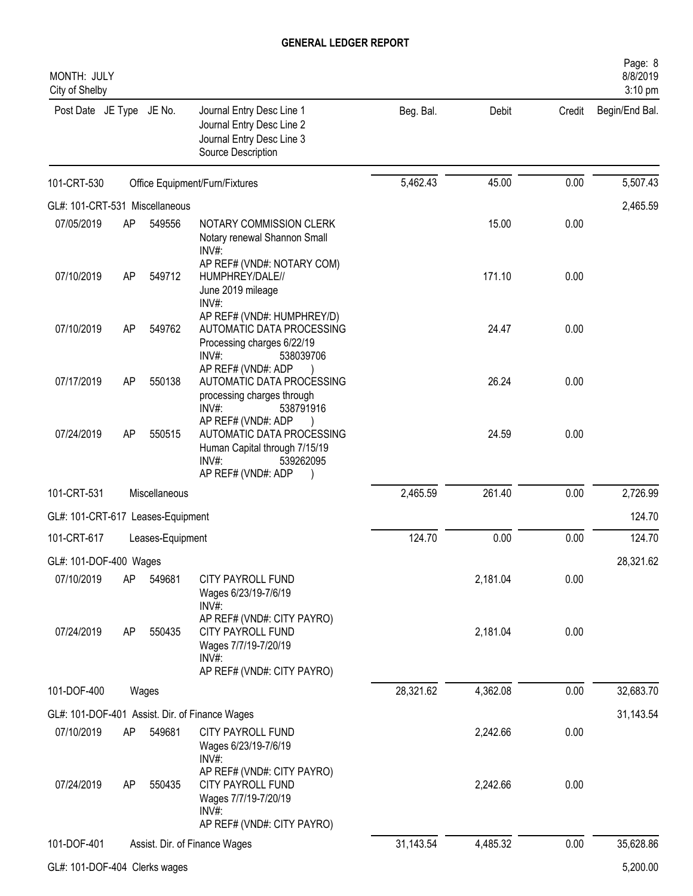| MONTH: JULY<br>City of Shelby     |    |                  |                                                                                                                              |           |          |          | Page: 8<br>8/8/2019<br>3:10 pm |
|-----------------------------------|----|------------------|------------------------------------------------------------------------------------------------------------------------------|-----------|----------|----------|--------------------------------|
| Post Date JE Type JE No.          |    |                  | Journal Entry Desc Line 1<br>Journal Entry Desc Line 2<br>Journal Entry Desc Line 3<br>Source Description                    | Beg. Bal. | Debit    | Credit   | Begin/End Bal.                 |
| 101-CRT-530                       |    |                  | Office Equipment/Furn/Fixtures                                                                                               | 5,462.43  | 45.00    | 0.00     | 5,507.43                       |
| GL#: 101-CRT-531 Miscellaneous    |    |                  |                                                                                                                              |           |          | 2,465.59 |                                |
| 07/05/2019                        | AP | 549556           | NOTARY COMMISSION CLERK<br>Notary renewal Shannon Small<br>INV#:                                                             |           | 15.00    | 0.00     |                                |
| 07/10/2019                        | AP | 549712           | AP REF# (VND#: NOTARY COM)<br>HUMPHREY/DALE//<br>June 2019 mileage<br>INV#:                                                  |           | 171.10   | 0.00     |                                |
| 07/10/2019                        | AP | 549762           | AP REF# (VND#: HUMPHREY/D)<br>AUTOMATIC DATA PROCESSING<br>Processing charges 6/22/19<br>INV#:<br>538039706                  |           | 24.47    | 0.00     |                                |
| 07/17/2019                        | AP | 550138           | AP REF# (VND#: ADP<br>AUTOMATIC DATA PROCESSING<br>processing charges through<br>INV#:<br>538791916                          |           | 26.24    | 0.00     |                                |
| 07/24/2019                        | AP | 550515           | AP REF# (VND#: ADP<br>AUTOMATIC DATA PROCESSING<br>Human Capital through 7/15/19<br>INV#:<br>539262095<br>AP REF# (VND#: ADP |           | 24.59    | 0.00     |                                |
| 101-CRT-531                       |    | Miscellaneous    |                                                                                                                              | 2,465.59  | 261.40   | 0.00     | 2,726.99                       |
| GL#: 101-CRT-617 Leases-Equipment |    |                  |                                                                                                                              |           |          |          | 124.70                         |
| 101-CRT-617                       |    | Leases-Equipment |                                                                                                                              | 124.70    | 0.00     | 0.00     | 124.70                         |
| GL#: 101-DOF-400 Wages            |    |                  |                                                                                                                              |           |          |          | 28,321.62                      |
| 07/10/2019                        | AP | 549681           | CITY PAYROLL FUND<br>Wages 6/23/19-7/6/19<br>INV#:                                                                           |           | 2,181.04 | 0.00     |                                |
| 07/24/2019                        | AP | 550435           | AP REF# (VND#: CITY PAYRO)<br><b>CITY PAYROLL FUND</b><br>Wages 7/7/19-7/20/19<br>$INV#$ :<br>AP REF# (VND#: CITY PAYRO)     |           | 2,181.04 | 0.00     |                                |
| 101-DOF-400                       |    | Wages            |                                                                                                                              | 28,321.62 | 4,362.08 | 0.00     | 32,683.70                      |
|                                   |    |                  | GL#: 101-DOF-401 Assist. Dir. of Finance Wages                                                                               |           |          |          | 31,143.54                      |
| 07/10/2019                        | AP | 549681           | CITY PAYROLL FUND<br>Wages 6/23/19-7/6/19<br>INV#:                                                                           |           | 2,242.66 | 0.00     |                                |
| 07/24/2019                        | AP | 550435           | AP REF# (VND#: CITY PAYRO)<br>CITY PAYROLL FUND<br>Wages 7/7/19-7/20/19<br>INV#:<br>AP REF# (VND#: CITY PAYRO)               |           | 2,242.66 | 0.00     |                                |
| 101-DOF-401                       |    |                  | Assist. Dir. of Finance Wages                                                                                                | 31,143.54 | 4,485.32 | 0.00     | 35,628.86                      |
| GL#: 101-DOF-404 Clerks wages     |    |                  |                                                                                                                              |           |          |          | 5,200.00                       |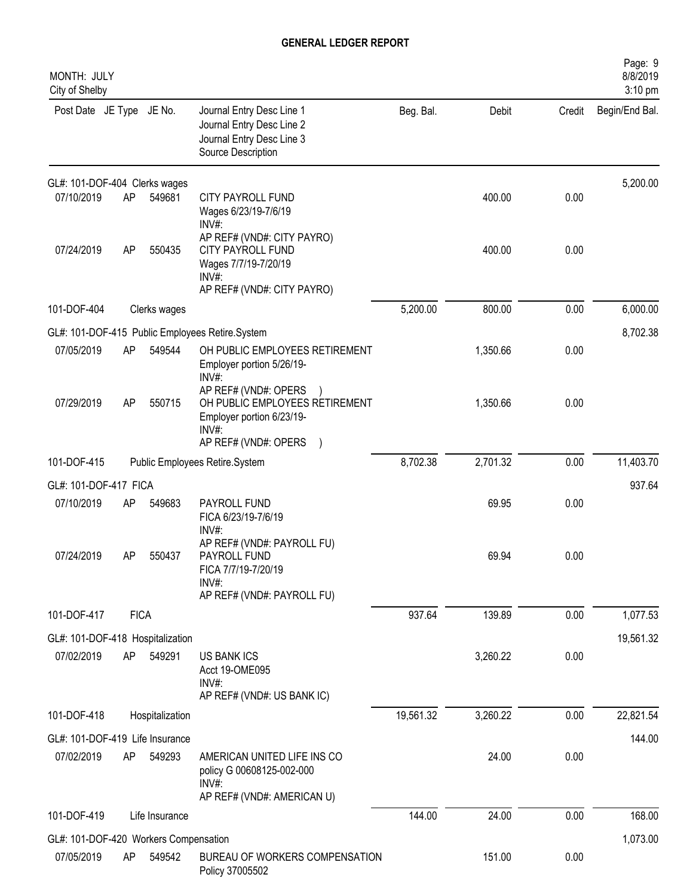| MONTH: JULY<br>City of Shelby         |             |                 |                                                                                                           |           |          |        | Page: 9<br>8/8/2019<br>3:10 pm |
|---------------------------------------|-------------|-----------------|-----------------------------------------------------------------------------------------------------------|-----------|----------|--------|--------------------------------|
| Post Date JE Type JE No.              |             |                 | Journal Entry Desc Line 1<br>Journal Entry Desc Line 2<br>Journal Entry Desc Line 3<br>Source Description | Beg. Bal. | Debit    | Credit | Begin/End Bal.                 |
| GL#: 101-DOF-404 Clerks wages         |             |                 |                                                                                                           |           |          |        | 5,200.00                       |
| 07/10/2019                            | AP          | 549681          | CITY PAYROLL FUND<br>Wages 6/23/19-7/6/19<br>$INV#$ :                                                     |           | 400.00   | 0.00   |                                |
| 07/24/2019                            | AP          | 550435          | AP REF# (VND#: CITY PAYRO)<br>CITY PAYROLL FUND<br>Wages 7/7/19-7/20/19<br>INV#:                          |           | 400.00   | 0.00   |                                |
| 101-DOF-404                           |             | Clerks wages    | AP REF# (VND#: CITY PAYRO)                                                                                | 5,200.00  | 800.00   | 0.00   | 6,000.00                       |
|                                       |             |                 | GL#: 101-DOF-415 Public Employees Retire.System                                                           |           |          |        | 8,702.38                       |
| 07/05/2019                            | AP          | 549544          | OH PUBLIC EMPLOYEES RETIREMENT<br>Employer portion 5/26/19-                                               |           | 1,350.66 | 0.00   |                                |
| 07/29/2019                            | AP          | 550715          | $INV#$ :<br>AP REF# (VND#: OPERS<br>OH PUBLIC EMPLOYEES RETIREMENT<br>Employer portion 6/23/19-<br>INV#   |           | 1,350.66 | 0.00   |                                |
|                                       |             |                 | AP REF# (VND#: OPERS                                                                                      |           |          |        |                                |
| 101-DOF-415                           |             |                 | Public Employees Retire.System                                                                            | 8,702.38  | 2,701.32 | 0.00   | 11,403.70                      |
| GL#: 101-DOF-417 FICA                 |             |                 |                                                                                                           |           |          |        | 937.64                         |
| 07/10/2019                            | AP          | 549683          | PAYROLL FUND<br>FICA 6/23/19-7/6/19<br>INV#:                                                              |           | 69.95    | 0.00   |                                |
| 07/24/2019                            | AP          | 550437          | AP REF# (VND#: PAYROLL FU)<br>PAYROLL FUND<br>FICA 7/7/19-7/20/19<br>INV#:<br>AP REF# (VND#: PAYROLL FU)  |           | 69.94    | 0.00   |                                |
| 101-DOF-417                           | <b>FICA</b> |                 |                                                                                                           | 937.64    | 139.89   | 0.00   | 1,077.53                       |
| GL#: 101-DOF-418 Hospitalization      |             |                 |                                                                                                           |           |          |        | 19,561.32                      |
| 07/02/2019                            | AP          | 549291          | <b>US BANK ICS</b><br>Acct 19-OME095<br>$INV#$ :<br>AP REF# (VND#: US BANK IC)                            |           | 3,260.22 | 0.00   |                                |
| 101-DOF-418                           |             | Hospitalization |                                                                                                           | 19,561.32 | 3,260.22 | 0.00   | 22,821.54                      |
| GL#: 101-DOF-419 Life Insurance       |             |                 |                                                                                                           |           |          |        | 144.00                         |
| 07/02/2019                            | AP          | 549293          | AMERICAN UNITED LIFE INS CO<br>policy G 00608125-002-000<br>INV#<br>AP REF# (VND#: AMERICAN U)            |           | 24.00    | 0.00   |                                |
| 101-DOF-419                           |             | Life Insurance  |                                                                                                           | 144.00    | 24.00    | 0.00   | 168.00                         |
| GL#: 101-DOF-420 Workers Compensation |             |                 |                                                                                                           |           |          |        | 1,073.00                       |
| 07/05/2019                            | AP          | 549542          | BUREAU OF WORKERS COMPENSATION<br>Policy 37005502                                                         |           | 151.00   | 0.00   |                                |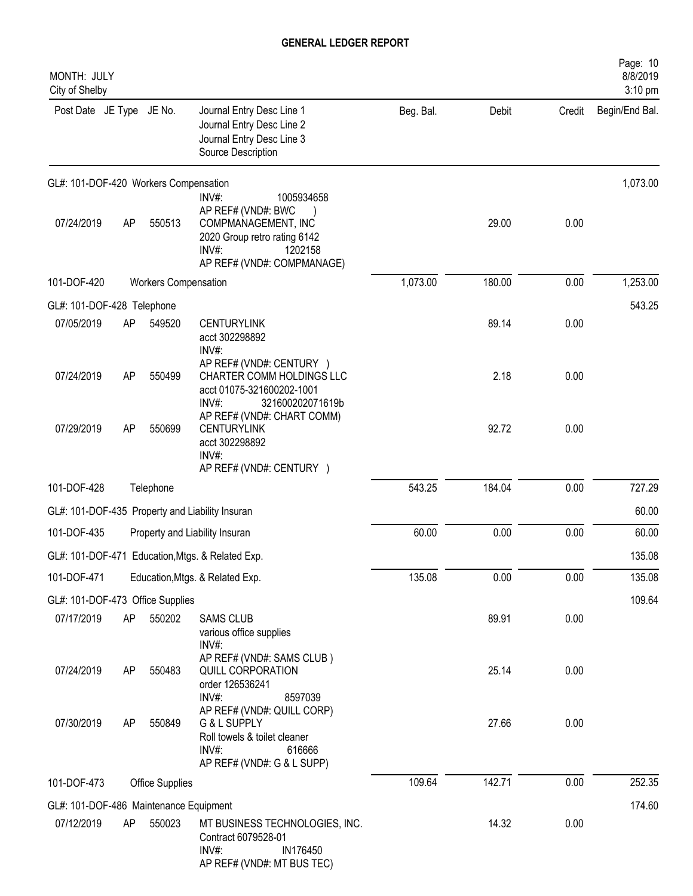| MONTH: JULY<br>City of Shelby          |    |                             |                                                                                                                                                    |           |        |        | Page: 10<br>8/8/2019<br>$3:10$ pm |
|----------------------------------------|----|-----------------------------|----------------------------------------------------------------------------------------------------------------------------------------------------|-----------|--------|--------|-----------------------------------|
| Post Date JE Type JE No.               |    |                             | Journal Entry Desc Line 1<br>Journal Entry Desc Line 2<br>Journal Entry Desc Line 3<br>Source Description                                          | Beg. Bal. | Debit  | Credit | Begin/End Bal.                    |
| GL#: 101-DOF-420 Workers Compensation  |    |                             |                                                                                                                                                    |           |        |        | 1,073.00                          |
| 07/24/2019                             | AP | 550513                      | INV#:<br>1005934658<br>AP REF# (VND#: BWC<br>COMPMANAGEMENT, INC<br>2020 Group retro rating 6142<br>INV#:<br>1202158<br>AP REF# (VND#: COMPMANAGE) |           | 29.00  | 0.00   |                                   |
| 101-DOF-420                            |    | <b>Workers Compensation</b> |                                                                                                                                                    | 1,073.00  | 180.00 | 0.00   | 1,253.00                          |
| GL#: 101-DOF-428 Telephone             |    |                             |                                                                                                                                                    |           |        |        | 543.25                            |
| 07/05/2019                             | AP | 549520                      | <b>CENTURYLINK</b><br>acct 302298892<br>INV#:                                                                                                      |           | 89.14  | 0.00   |                                   |
| 07/24/2019                             | AP | 550499                      | AP REF# (VND#: CENTURY )<br>CHARTER COMM HOLDINGS LLC<br>acct 01075-321600202-1001<br>$INV#$ :<br>321600202071619b                                 |           | 2.18   | 0.00   |                                   |
| 07/29/2019                             | AP | 550699                      | AP REF# (VND#: CHART COMM)<br><b>CENTURYLINK</b><br>acct 302298892<br>$INV#$ :<br>AP REF# (VND#: CENTURY )                                         |           | 92.72  | 0.00   |                                   |
| 101-DOF-428                            |    | Telephone                   |                                                                                                                                                    | 543.25    | 184.04 | 0.00   | 727.29                            |
|                                        |    |                             | GL#: 101-DOF-435 Property and Liability Insuran                                                                                                    |           |        |        | 60.00                             |
| 101-DOF-435                            |    |                             | Property and Liability Insuran                                                                                                                     | 60.00     | 0.00   | 0.00   | 60.00                             |
|                                        |    |                             | GL#: 101-DOF-471 Education, Mtgs. & Related Exp.                                                                                                   |           |        |        | 135.08                            |
| 101-DOF-471                            |    |                             | Education, Mtgs. & Related Exp.                                                                                                                    | 135.08    | 0.00   | 0.00   | 135.08                            |
| GL#: 101-DOF-473 Office Supplies       |    |                             |                                                                                                                                                    |           |        |        | 109.64                            |
| 07/17/2019                             | AP | 550202                      | <b>SAMS CLUB</b><br>various office supplies<br>INV#:                                                                                               |           | 89.91  | 0.00   |                                   |
| 07/24/2019                             | AP | 550483                      | AP REF# (VND#: SAMS CLUB)<br>QUILL CORPORATION<br>order 126536241<br>INV#:<br>8597039                                                              |           | 25.14  | 0.00   |                                   |
| 07/30/2019                             | AP | 550849                      | AP REF# (VND#: QUILL CORP)<br>G & L SUPPLY<br>Roll towels & toilet cleaner<br>INV#:<br>616666<br>AP REF# (VND#: G & L SUPP)                        |           | 27.66  | 0.00   |                                   |
| 101-DOF-473                            |    | <b>Office Supplies</b>      |                                                                                                                                                    | 109.64    | 142.71 | 0.00   | 252.35                            |
| GL#: 101-DOF-486 Maintenance Equipment |    |                             |                                                                                                                                                    |           |        |        | 174.60                            |
| 07/12/2019                             | AP | 550023                      | MT BUSINESS TECHNOLOGIES, INC.<br>Contract 6079528-01<br>$INV#$ :<br>IN176450<br>AP REF# (VND#: MT BUS TEC)                                        |           | 14.32  | 0.00   |                                   |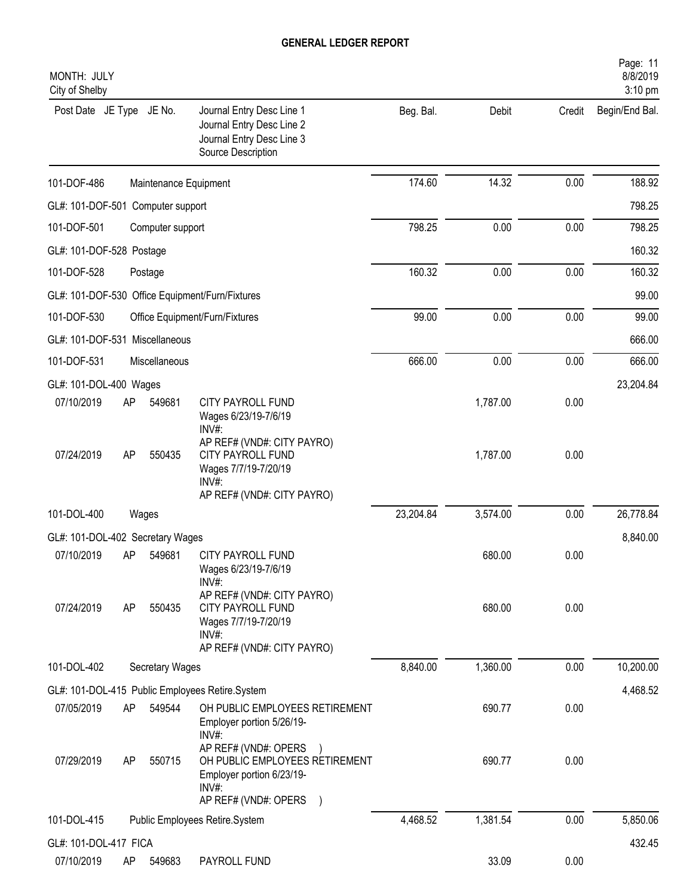| MONTH: JULY<br>City of Shelby       |    |                        |                                                                                                                   |           |          |        | Page: 11<br>8/8/2019<br>3:10 pm |
|-------------------------------------|----|------------------------|-------------------------------------------------------------------------------------------------------------------|-----------|----------|--------|---------------------------------|
| Post Date JE Type JE No.            |    |                        | Journal Entry Desc Line 1<br>Journal Entry Desc Line 2<br>Journal Entry Desc Line 3<br>Source Description         | Beg. Bal. | Debit    | Credit | Begin/End Bal.                  |
| 101-DOF-486                         |    | Maintenance Equipment  |                                                                                                                   | 174.60    | 14.32    | 0.00   | 188.92                          |
| GL#: 101-DOF-501 Computer support   |    |                        |                                                                                                                   |           |          |        | 798.25                          |
| 101-DOF-501                         |    | Computer support       |                                                                                                                   | 798.25    | 0.00     | 0.00   | 798.25                          |
| GL#: 101-DOF-528 Postage            |    |                        |                                                                                                                   |           |          |        | 160.32                          |
| 101-DOF-528                         |    | Postage                |                                                                                                                   | 160.32    | 0.00     | 0.00   | 160.32                          |
|                                     |    |                        | GL#: 101-DOF-530 Office Equipment/Furn/Fixtures                                                                   |           |          |        | 99.00                           |
| 101-DOF-530                         |    |                        | Office Equipment/Furn/Fixtures                                                                                    | 99.00     | 0.00     | 0.00   | 99.00                           |
| GL#: 101-DOF-531 Miscellaneous      |    |                        |                                                                                                                   |           |          |        | 666.00                          |
| 101-DOF-531                         |    | Miscellaneous          |                                                                                                                   | 666.00    | 0.00     | 0.00   | 666.00                          |
| GL#: 101-DOL-400 Wages              |    |                        |                                                                                                                   |           |          |        | 23,204.84                       |
| 07/10/2019                          | AP | 549681                 | <b>CITY PAYROLL FUND</b><br>Wages 6/23/19-7/6/19<br>INV#:                                                         |           | 1,787.00 | 0.00   |                                 |
| 07/24/2019                          | AP | 550435                 | AP REF# (VND#: CITY PAYRO)<br>CITY PAYROLL FUND<br>Wages 7/7/19-7/20/19<br>$INV#$ :<br>AP REF# (VND#: CITY PAYRO) |           | 1,787.00 | 0.00   |                                 |
| 101-DOL-400                         |    | Wages                  |                                                                                                                   | 23,204.84 | 3,574.00 | 0.00   | 26,778.84                       |
| GL#: 101-DOL-402 Secretary Wages    |    |                        |                                                                                                                   |           |          |        | 8,840.00                        |
| 07/10/2019                          | AP | 549681                 | <b>CITY PAYROLL FUND</b><br>Wages 6/23/19-7/6/19<br>INV#:                                                         |           | 680.00   | 0.00   |                                 |
| 07/24/2019                          | AP | 550435                 | AP REF# (VND#: CITY PAYRO)<br>CITY PAYROLL FUND<br>Wages 7/7/19-7/20/19<br>INV#:<br>AP REF# (VND#: CITY PAYRO)    |           | 680.00   | 0.00   |                                 |
| 101-DOL-402                         |    | <b>Secretary Wages</b> |                                                                                                                   | 8,840.00  | 1,360.00 | 0.00   | 10,200.00                       |
|                                     |    |                        | GL#: 101-DOL-415 Public Employees Retire.System                                                                   |           |          |        | 4,468.52                        |
| 07/05/2019                          | AP | 549544                 | OH PUBLIC EMPLOYEES RETIREMENT<br>Employer portion 5/26/19-<br>$INV#$ :                                           |           | 690.77   | 0.00   |                                 |
| 07/29/2019                          | AP | 550715                 | AP REF# (VND#: OPERS<br>OH PUBLIC EMPLOYEES RETIREMENT<br>Employer portion 6/23/19-<br>INV#:                      |           | 690.77   | 0.00   |                                 |
| 101-DOL-415                         |    |                        | AP REF# (VND#: OPERS )<br>Public Employees Retire.System                                                          | 4,468.52  | 1,381.54 | 0.00   | 5,850.06                        |
|                                     |    |                        |                                                                                                                   |           |          |        |                                 |
| GL#: 101-DOL-417 FICA<br>07/10/2019 | AP | 549683                 | PAYROLL FUND                                                                                                      |           | 33.09    | 0.00   | 432.45                          |
|                                     |    |                        |                                                                                                                   |           |          |        |                                 |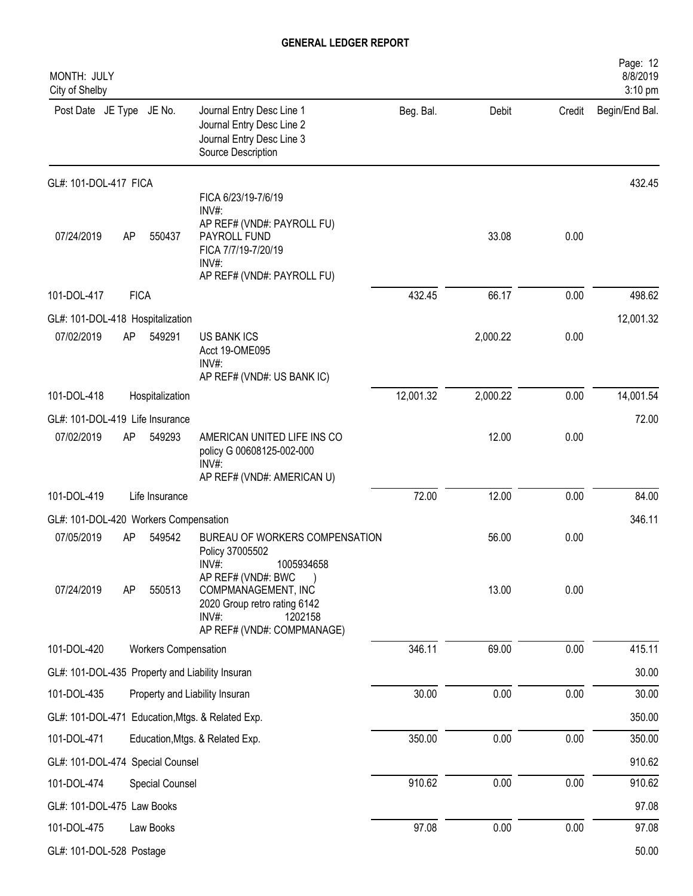| MONTH: JULY<br>City of Shelby         |             |                             |                                                                                                                                                |           |          |        | Page: 12<br>8/8/2019<br>3:10 pm |
|---------------------------------------|-------------|-----------------------------|------------------------------------------------------------------------------------------------------------------------------------------------|-----------|----------|--------|---------------------------------|
| Post Date JE Type JE No.              |             |                             | Journal Entry Desc Line 1<br>Journal Entry Desc Line 2<br>Journal Entry Desc Line 3<br>Source Description                                      | Beg. Bal. | Debit    | Credit | Begin/End Bal.                  |
| GL#: 101-DOL-417 FICA                 |             |                             |                                                                                                                                                |           |          |        | 432.45                          |
| 07/24/2019                            | AP          | 550437                      | FICA 6/23/19-7/6/19<br>$INV#$ :<br>AP REF# (VND#: PAYROLL FU)<br>PAYROLL FUND<br>FICA 7/7/19-7/20/19<br>$INV#$ :<br>AP REF# (VND#: PAYROLL FU) |           | 33.08    | 0.00   |                                 |
| 101-DOL-417                           | <b>FICA</b> |                             |                                                                                                                                                | 432.45    | 66.17    | 0.00   | 498.62                          |
| GL#: 101-DOL-418 Hospitalization      |             |                             |                                                                                                                                                |           |          |        | 12,001.32                       |
| 07/02/2019                            | AP          | 549291                      | <b>US BANK ICS</b><br>Acct 19-OME095<br>INV#:<br>AP REF# (VND#: US BANK IC)                                                                    |           | 2,000.22 | 0.00   |                                 |
| 101-DOL-418                           |             | Hospitalization             |                                                                                                                                                | 12,001.32 | 2,000.22 | 0.00   | 14,001.54                       |
| GL#: 101-DOL-419 Life Insurance       |             |                             |                                                                                                                                                |           |          |        | 72.00                           |
| 07/02/2019                            | AP          | 549293                      | AMERICAN UNITED LIFE INS CO<br>policy G 00608125-002-000<br>$INV#$ :<br>AP REF# (VND#: AMERICAN U)                                             |           | 12.00    | 0.00   |                                 |
| 101-DOL-419                           |             | Life Insurance              |                                                                                                                                                | 72.00     | 12.00    | 0.00   | 84.00                           |
| GL#: 101-DOL-420 Workers Compensation |             |                             |                                                                                                                                                |           |          |        | 346.11                          |
| 07/05/2019                            | AP          | 549542                      | BUREAU OF WORKERS COMPENSATION<br>Policy 37005502<br>1005934658<br>INV#:                                                                       |           | 56.00    | 0.00   |                                 |
| 07/24/2019                            | AP          | 550513                      | AP REF# (VND#: BWC<br>COMPMANAGEMENT, INC<br>2020 Group retro rating 6142<br>INV#:<br>1202158<br>AP REF# (VND#: COMPMANAGE)                    |           | 13.00    | 0.00   |                                 |
| 101-DOL-420                           |             | <b>Workers Compensation</b> |                                                                                                                                                | 346.11    | 69.00    | 0.00   | 415.11                          |
|                                       |             |                             | GL#: 101-DOL-435 Property and Liability Insuran                                                                                                |           |          |        | 30.00                           |
| 101-DOL-435                           |             |                             | Property and Liability Insuran                                                                                                                 | 30.00     | 0.00     | 0.00   | 30.00                           |
|                                       |             |                             | GL#: 101-DOL-471 Education, Mtgs. & Related Exp.                                                                                               |           |          |        | 350.00                          |
| 101-DOL-471                           |             |                             | Education, Mtgs. & Related Exp.                                                                                                                | 350.00    | 0.00     | 0.00   | 350.00                          |
| GL#: 101-DOL-474 Special Counsel      |             |                             |                                                                                                                                                |           |          |        | 910.62                          |
| 101-DOL-474                           |             | Special Counsel             |                                                                                                                                                | 910.62    | 0.00     | 0.00   | 910.62                          |
| GL#: 101-DOL-475 Law Books            |             |                             |                                                                                                                                                |           |          |        | 97.08                           |
| 101-DOL-475                           |             | Law Books                   |                                                                                                                                                | 97.08     | 0.00     | 0.00   | 97.08                           |
| GL#: 101-DOL-528 Postage              |             |                             |                                                                                                                                                |           |          |        | 50.00                           |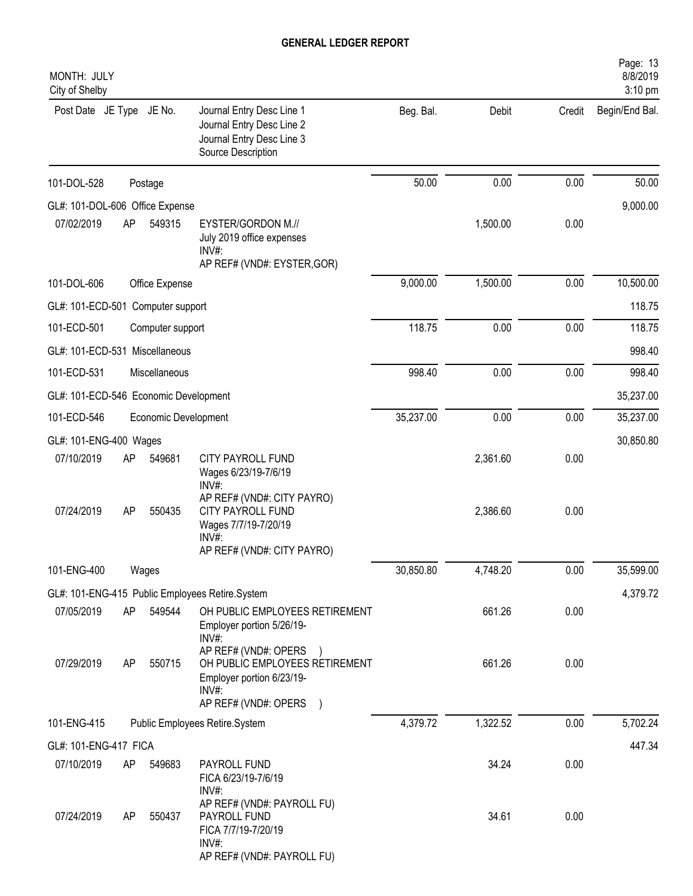| MONTH: JULY<br>City of Shelby         |    |                      |                                                                                                                           |           |          |        | Page: 13<br>8/8/2019<br>3:10 pm |
|---------------------------------------|----|----------------------|---------------------------------------------------------------------------------------------------------------------------|-----------|----------|--------|---------------------------------|
| Post Date JE Type JE No.              |    |                      | Journal Entry Desc Line 1<br>Journal Entry Desc Line 2<br>Journal Entry Desc Line 3<br>Source Description                 | Beg. Bal. | Debit    | Credit | Begin/End Bal.                  |
| 101-DOL-528                           |    | Postage              |                                                                                                                           | 50.00     | 0.00     | 0.00   | 50.00                           |
| GL#: 101-DOL-606 Office Expense       |    |                      |                                                                                                                           |           |          |        | 9,000.00                        |
| 07/02/2019                            | AP | 549315               | EYSTER/GORDON M.//<br>July 2019 office expenses<br>INV#:<br>AP REF# (VND#: EYSTER, GOR)                                   |           | 1,500.00 | 0.00   |                                 |
| 101-DOL-606                           |    | Office Expense       |                                                                                                                           | 9,000.00  | 1,500.00 | 0.00   | 10,500.00                       |
| GL#: 101-ECD-501 Computer support     |    |                      |                                                                                                                           |           |          |        | 118.75                          |
| 101-ECD-501                           |    | Computer support     |                                                                                                                           | 118.75    | 0.00     | 0.00   | 118.75                          |
| GL#: 101-ECD-531 Miscellaneous        |    |                      |                                                                                                                           |           |          |        | 998.40                          |
| 101-ECD-531                           |    | Miscellaneous        |                                                                                                                           | 998.40    | 0.00     | 0.00   | 998.40                          |
| GL#: 101-ECD-546 Economic Development |    |                      |                                                                                                                           |           |          |        | 35,237.00                       |
| 101-ECD-546                           |    | Economic Development |                                                                                                                           | 35,237.00 | 0.00     | 0.00   | 35,237.00                       |
| GL#: 101-ENG-400 Wages                |    |                      |                                                                                                                           |           |          |        | 30,850.80                       |
| 07/10/2019                            | AP | 549681               | CITY PAYROLL FUND<br>Wages 6/23/19-7/6/19<br>INV#:                                                                        |           | 2,361.60 | 0.00   |                                 |
| 07/24/2019                            | AP | 550435               | AP REF# (VND#: CITY PAYRO)<br>CITY PAYROLL FUND<br>Wages 7/7/19-7/20/19<br>$INV#$ :<br>AP REF# (VND#: CITY PAYRO)         |           | 2,386.60 | 0.00   |                                 |
| 101-ENG-400                           |    | Wages                |                                                                                                                           | 30,850.80 | 4,748.20 | 0.00   | 35,599.00                       |
|                                       |    |                      | GL#: 101-ENG-415 Public Employees Retire.System                                                                           |           |          |        | 4,379.72                        |
| 07/05/2019                            | AP | 549544               | OH PUBLIC EMPLOYEES RETIREMENT<br>Employer portion 5/26/19-<br>$INV#$ :                                                   |           | 661.26   | 0.00   |                                 |
| 07/29/2019                            | AP | 550715               | AP REF# (VND#: OPERS<br>OH PUBLIC EMPLOYEES RETIREMENT<br>Employer portion 6/23/19-<br>$INV#$ :<br>AP REF# (VND#: OPERS ) |           | 661.26   | 0.00   |                                 |
| 101-ENG-415                           |    |                      | Public Employees Retire.System                                                                                            | 4,379.72  | 1,322.52 | 0.00   | 5,702.24                        |
| GL#: 101-ENG-417 FICA                 |    |                      |                                                                                                                           |           |          |        | 447.34                          |
| 07/10/2019                            | AP | 549683               | PAYROLL FUND<br>FICA 6/23/19-7/6/19<br>$INV#$ :                                                                           |           | 34.24    | 0.00   |                                 |
| 07/24/2019                            | AP | 550437               | AP REF# (VND#: PAYROLL FU)<br>PAYROLL FUND<br>FICA 7/7/19-7/20/19<br>INV#:<br>AP REF# (VND#: PAYROLL FU)                  |           | 34.61    | 0.00   |                                 |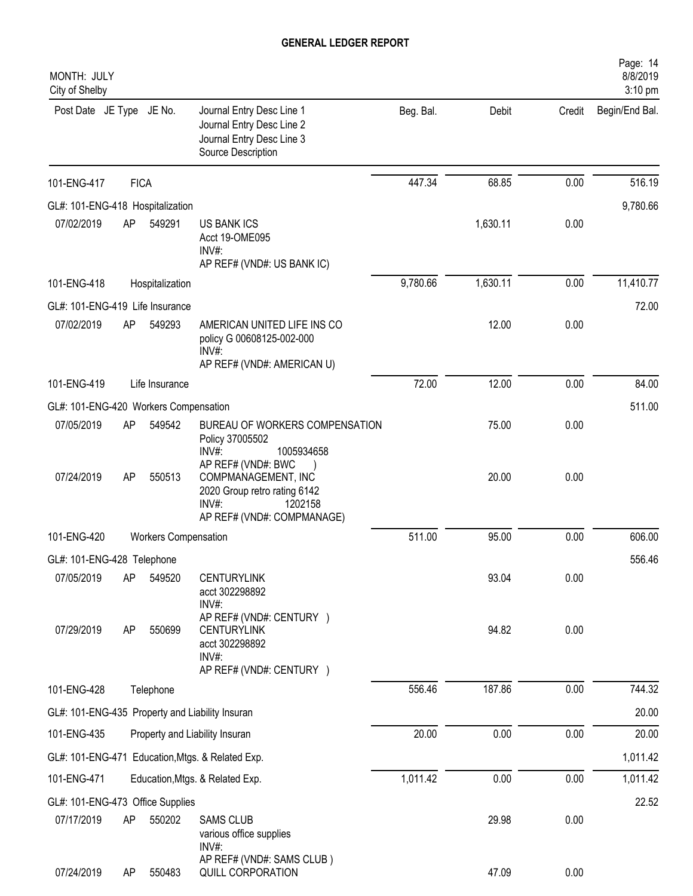| MONTH: JULY<br>City of Shelby                   |             |                             |                                                                                                                             |           |          |        | Page: 14<br>8/8/2019<br>3:10 pm |
|-------------------------------------------------|-------------|-----------------------------|-----------------------------------------------------------------------------------------------------------------------------|-----------|----------|--------|---------------------------------|
| Post Date JE Type JE No.                        |             |                             | Journal Entry Desc Line 1<br>Journal Entry Desc Line 2<br>Journal Entry Desc Line 3<br>Source Description                   | Beg. Bal. | Debit    | Credit | Begin/End Bal.                  |
| 101-ENG-417                                     | <b>FICA</b> |                             |                                                                                                                             | 447.34    | 68.85    | 0.00   | 516.19                          |
| GL#: 101-ENG-418 Hospitalization                |             |                             |                                                                                                                             |           |          |        | 9,780.66                        |
| 07/02/2019                                      | AP          | 549291                      | <b>US BANK ICS</b><br>Acct 19-OME095<br>INV#:<br>AP REF# (VND#: US BANK IC)                                                 |           | 1,630.11 | 0.00   |                                 |
| 101-ENG-418                                     |             | Hospitalization             |                                                                                                                             | 9,780.66  | 1,630.11 | 0.00   | 11,410.77                       |
| GL#: 101-ENG-419 Life Insurance                 |             |                             |                                                                                                                             |           |          |        | 72.00                           |
| 07/02/2019                                      | AP          | 549293                      | AMERICAN UNITED LIFE INS CO<br>policy G 00608125-002-000<br>INV#:<br>AP REF# (VND#: AMERICAN U)                             |           | 12.00    | 0.00   |                                 |
| 101-ENG-419                                     |             | Life Insurance              |                                                                                                                             | 72.00     | 12.00    | 0.00   | 84.00                           |
| GL#: 101-ENG-420 Workers Compensation           |             |                             |                                                                                                                             |           |          |        | 511.00                          |
| 07/05/2019                                      | AP          | 549542                      | BUREAU OF WORKERS COMPENSATION<br>Policy 37005502<br>INV#:<br>1005934658                                                    |           | 75.00    | 0.00   |                                 |
| 07/24/2019                                      | AP          | 550513                      | AP REF# (VND#: BWC<br>COMPMANAGEMENT, INC<br>2020 Group retro rating 6142<br>INV#:<br>1202158<br>AP REF# (VND#: COMPMANAGE) |           | 20.00    | 0.00   |                                 |
| 101-ENG-420                                     |             | <b>Workers Compensation</b> |                                                                                                                             | 511.00    | 95.00    | 0.00   | 606.00                          |
| GL#: 101-ENG-428 Telephone                      |             |                             |                                                                                                                             |           |          |        | 556.46                          |
| 07/05/2019                                      | AP          | 549520                      | <b>CENTURYLINK</b><br>acct 302298892<br>INV#:                                                                               |           | 93.04    | 0.00   |                                 |
| 07/29/2019                                      | AP          | 550699                      | AP REF# (VND#: CENTURY )<br><b>CENTURYLINK</b><br>acct 302298892<br>INV#:<br>AP REF# (VND#: CENTURY )                       |           | 94.82    | 0.00   |                                 |
| 101-ENG-428                                     |             | Telephone                   |                                                                                                                             | 556.46    | 187.86   | 0.00   | 744.32                          |
| GL#: 101-ENG-435 Property and Liability Insuran |             |                             |                                                                                                                             |           |          |        | 20.00                           |
| 101-ENG-435                                     |             |                             | Property and Liability Insuran                                                                                              | 20.00     | 0.00     | 0.00   | 20.00                           |
|                                                 |             |                             | GL#: 101-ENG-471 Education, Mtgs. & Related Exp.                                                                            |           |          |        | 1,011.42                        |
| 101-ENG-471                                     |             |                             | Education, Mtgs. & Related Exp.                                                                                             | 1,011.42  | 0.00     | 0.00   | 1,011.42                        |
| GL#: 101-ENG-473 Office Supplies                |             |                             |                                                                                                                             |           |          |        | 22.52                           |
| 07/17/2019                                      | AP          | 550202                      | <b>SAMS CLUB</b><br>various office supplies<br>INV#:                                                                        |           | 29.98    | 0.00   |                                 |
| 07/24/2019                                      | AP          | 550483                      | AP REF# (VND#: SAMS CLUB)<br>QUILL CORPORATION                                                                              |           | 47.09    | 0.00   |                                 |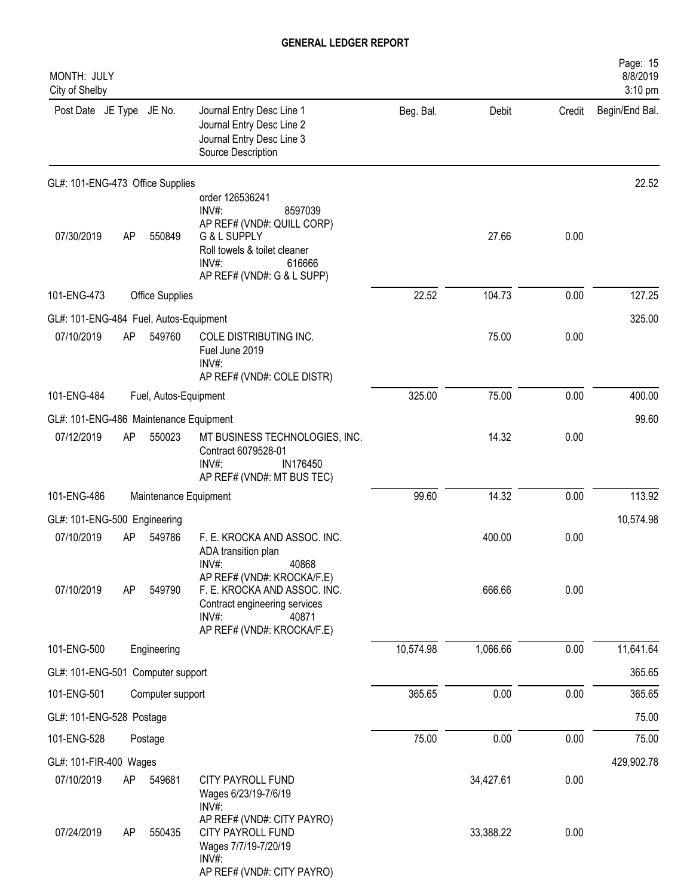| MONTH: JULY<br>City of Shelby          |    |                        |                                                                                                                                                                    |           |           |        | Page: 15<br>8/8/2019<br>3:10 pm |
|----------------------------------------|----|------------------------|--------------------------------------------------------------------------------------------------------------------------------------------------------------------|-----------|-----------|--------|---------------------------------|
| Post Date JE Type JE No.               |    |                        | Journal Entry Desc Line 1<br>Journal Entry Desc Line 2<br>Journal Entry Desc Line 3<br>Source Description                                                          | Beg. Bal. | Debit     | Credit | Begin/End Bal.                  |
| GL#: 101-ENG-473 Office Supplies       |    |                        |                                                                                                                                                                    |           |           |        | 22.52                           |
| 07/30/2019                             | AP | 550849                 | order 126536241<br>INV#:<br>8597039<br>AP REF# (VND#: QUILL CORP)<br>G & L SUPPLY<br>Roll towels & toilet cleaner<br>INV#:<br>616666<br>AP REF# (VND#: G & L SUPP) |           | 27.66     | 0.00   |                                 |
| 101-ENG-473                            |    | <b>Office Supplies</b> |                                                                                                                                                                    | 22.52     | 104.73    | 0.00   | 127.25                          |
| GL#: 101-ENG-484 Fuel, Autos-Equipment |    |                        |                                                                                                                                                                    |           |           |        | 325.00                          |
| 07/10/2019                             | AP | 549760                 | COLE DISTRIBUTING INC.<br>Fuel June 2019<br>INV#:<br>AP REF# (VND#: COLE DISTR)                                                                                    |           | 75.00     | 0.00   |                                 |
| 101-ENG-484                            |    | Fuel, Autos-Equipment  |                                                                                                                                                                    | 325.00    | 75.00     | 0.00   | 400.00                          |
| GL#: 101-ENG-486 Maintenance Equipment |    |                        |                                                                                                                                                                    |           |           |        | 99.60                           |
| 07/12/2019                             | AP | 550023                 | MT BUSINESS TECHNOLOGIES, INC.<br>Contract 6079528-01<br>INV#:<br>IN176450<br>AP REF# (VND#: MT BUS TEC)                                                           |           | 14.32     | 0.00   |                                 |
| 101-ENG-486                            |    | Maintenance Equipment  |                                                                                                                                                                    | 99.60     | 14.32     | 0.00   | 113.92                          |
| GL#: 101-ENG-500 Engineering           |    |                        |                                                                                                                                                                    |           |           |        | 10,574.98                       |
| 07/10/2019                             | AP | 549786                 | F. E. KROCKA AND ASSOC. INC.<br>ADA transition plan<br>40868<br>INV#                                                                                               |           | 400.00    | 0.00   |                                 |
| 07/10/2019                             | AP | 549790                 | AP REF# (VND#: KROCKA/F.E)<br>F. E. KROCKA AND ASSOC. INC.<br>Contract engineering services<br>INV#:<br>40871<br>AP REF# (VND#: KROCKA/F.E)                        |           | 666.66    | 0.00   |                                 |
| 101-ENG-500                            |    | Engineering            |                                                                                                                                                                    | 10,574.98 | 1,066.66  | 0.00   | 11,641.64                       |
| GL#: 101-ENG-501 Computer support      |    |                        |                                                                                                                                                                    |           |           |        | 365.65                          |
| 101-ENG-501                            |    | Computer support       |                                                                                                                                                                    | 365.65    | 0.00      | 0.00   | 365.65                          |
| GL#: 101-ENG-528 Postage               |    |                        |                                                                                                                                                                    |           |           |        | 75.00                           |
| 101-ENG-528                            |    | Postage                |                                                                                                                                                                    | 75.00     | 0.00      | 0.00   | 75.00                           |
| GL#: 101-FIR-400 Wages                 |    |                        |                                                                                                                                                                    |           |           |        | 429,902.78                      |
| 07/10/2019                             | AP | 549681                 | CITY PAYROLL FUND<br>Wages 6/23/19-7/6/19<br>INV#:                                                                                                                 |           | 34,427.61 | 0.00   |                                 |
| 07/24/2019                             | AP | 550435                 | AP REF# (VND#: CITY PAYRO)<br>CITY PAYROLL FUND<br>Wages 7/7/19-7/20/19<br>INV#:<br>AP REF# (VND#: CITY PAYRO)                                                     |           | 33,388.22 | 0.00   |                                 |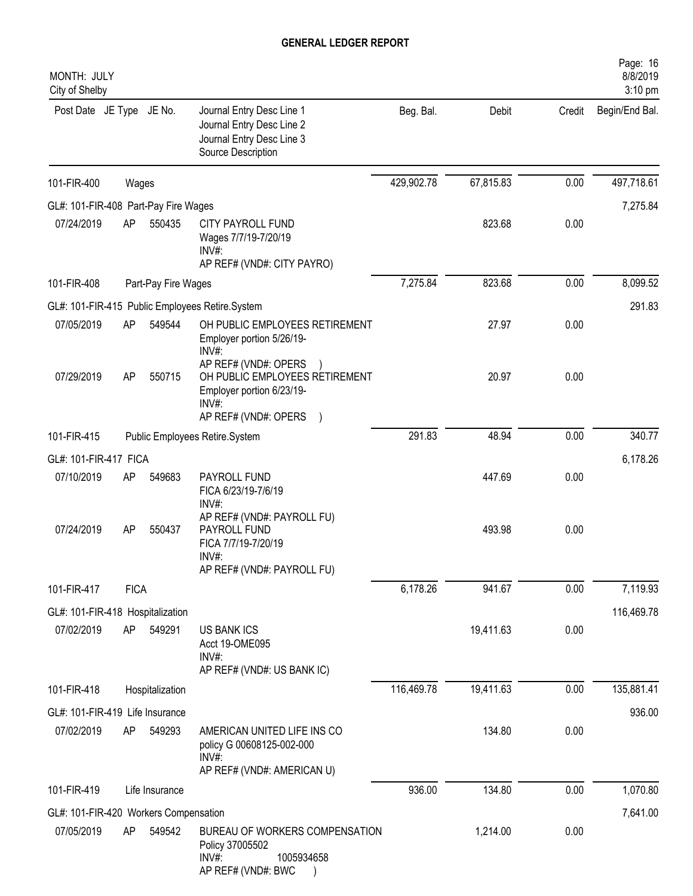| MONTH: JULY<br>City of Shelby         |             |                     |                                                                                                                      |            |           |        | Page: 16<br>8/8/2019<br>3:10 pm |
|---------------------------------------|-------------|---------------------|----------------------------------------------------------------------------------------------------------------------|------------|-----------|--------|---------------------------------|
| Post Date JE Type JE No.              |             |                     | Journal Entry Desc Line 1<br>Journal Entry Desc Line 2<br>Journal Entry Desc Line 3<br>Source Description            | Beg. Bal.  | Debit     | Credit | Begin/End Bal.                  |
| 101-FIR-400                           | Wages       |                     |                                                                                                                      | 429,902.78 | 67,815.83 | 0.00   | 497,718.61                      |
| GL#: 101-FIR-408 Part-Pay Fire Wages  |             |                     |                                                                                                                      |            |           |        | 7,275.84                        |
| 07/24/2019                            | AP          | 550435              | CITY PAYROLL FUND<br>Wages 7/7/19-7/20/19<br>INV#:<br>AP REF# (VND#: CITY PAYRO)                                     |            | 823.68    | 0.00   |                                 |
| 101-FIR-408                           |             | Part-Pay Fire Wages |                                                                                                                      | 7,275.84   | 823.68    | 0.00   | 8,099.52                        |
|                                       |             |                     | GL#: 101-FIR-415 Public Employees Retire.System                                                                      |            |           |        | 291.83                          |
| 07/05/2019                            | AP          | 549544              | OH PUBLIC EMPLOYEES RETIREMENT<br>Employer portion 5/26/19-<br>INV#:                                                 |            | 27.97     | 0.00   |                                 |
| 07/29/2019                            | AP          | 550715              | AP REF# (VND#: OPERS<br>OH PUBLIC EMPLOYEES RETIREMENT<br>Employer portion 6/23/19-<br>INV#:<br>AP REF# (VND#: OPERS |            | 20.97     | 0.00   |                                 |
| 101-FIR-415                           |             |                     | Public Employees Retire.System                                                                                       | 291.83     | 48.94     | 0.00   | 340.77                          |
| GL#: 101-FIR-417 FICA                 |             |                     |                                                                                                                      |            |           |        | 6,178.26                        |
| 07/10/2019                            | AP          | 549683              | PAYROLL FUND<br>FICA 6/23/19-7/6/19<br>INV#:                                                                         |            | 447.69    | 0.00   |                                 |
| 07/24/2019                            | AP          | 550437              | AP REF# (VND#: PAYROLL FU)<br>PAYROLL FUND<br>FICA 7/7/19-7/20/19<br>INV#:<br>AP REF# (VND#: PAYROLL FU)             |            | 493.98    | 0.00   |                                 |
| 101-FIR-417                           | <b>FICA</b> |                     |                                                                                                                      | 6,178.26   | 941.67    | 0.00   | 7,119.93                        |
| GL#: 101-FIR-418 Hospitalization      |             |                     |                                                                                                                      |            |           |        | 116,469.78                      |
| 07/02/2019                            | AP          | 549291              | <b>US BANK ICS</b><br>Acct 19-OME095<br>$INV#$ :<br>AP REF# (VND#: US BANK IC)                                       |            | 19,411.63 | 0.00   |                                 |
| 101-FIR-418                           |             | Hospitalization     |                                                                                                                      | 116,469.78 | 19,411.63 | 0.00   | 135,881.41                      |
| GL#: 101-FIR-419 Life Insurance       |             |                     |                                                                                                                      |            |           |        | 936.00                          |
| 07/02/2019                            | AP          | 549293              | AMERICAN UNITED LIFE INS CO<br>policy G 00608125-002-000<br>INV#:<br>AP REF# (VND#: AMERICAN U)                      |            | 134.80    | 0.00   |                                 |
| 101-FIR-419                           |             | Life Insurance      |                                                                                                                      | 936.00     | 134.80    | 0.00   | 1,070.80                        |
| GL#: 101-FIR-420 Workers Compensation |             |                     |                                                                                                                      |            |           |        | 7,641.00                        |
| 07/05/2019                            | AP          | 549542              | BUREAU OF WORKERS COMPENSATION<br>Policy 37005502<br>INV#:<br>1005934658<br>AP REF# (VND#: BWC                       |            | 1,214.00  | 0.00   |                                 |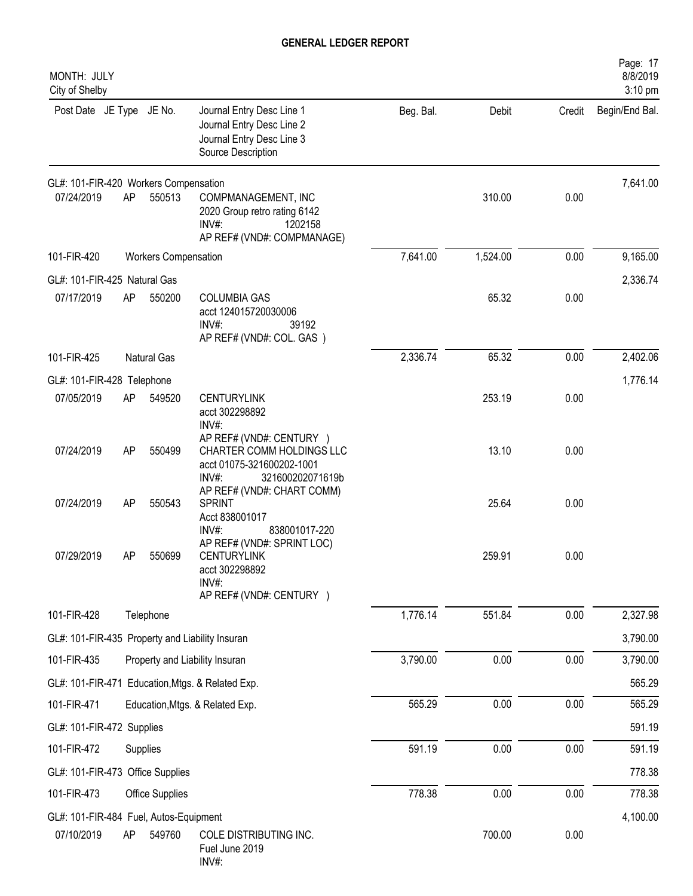| MONTH: JULY<br>City of Shelby                    |                             |                    |                                                                                                                 |           |          |        | Page: 17<br>8/8/2019<br>3:10 pm |
|--------------------------------------------------|-----------------------------|--------------------|-----------------------------------------------------------------------------------------------------------------|-----------|----------|--------|---------------------------------|
| Post Date JE Type JE No.                         |                             |                    | Journal Entry Desc Line 1<br>Journal Entry Desc Line 2<br>Journal Entry Desc Line 3<br>Source Description       | Beg. Bal. | Debit    | Credit | Begin/End Bal.                  |
| GL#: 101-FIR-420 Workers Compensation            |                             |                    |                                                                                                                 |           |          |        | 7,641.00                        |
| 07/24/2019                                       | AP                          | 550513             | COMPMANAGEMENT, INC<br>2020 Group retro rating 6142<br>$INV#$ :<br>1202158<br>AP REF# (VND#: COMPMANAGE)        |           | 310.00   | 0.00   |                                 |
| 101-FIR-420                                      | <b>Workers Compensation</b> |                    |                                                                                                                 |           | 1,524.00 | 0.00   | 9,165.00                        |
| GL#: 101-FIR-425 Natural Gas                     |                             |                    |                                                                                                                 |           |          |        | 2,336.74                        |
| 07/17/2019                                       | AP                          | 550200             | <b>COLUMBIA GAS</b><br>acct 124015720030006<br>INV#:<br>39192<br>AP REF# (VND#: COL. GAS)                       |           | 65.32    | 0.00   |                                 |
| 101-FIR-425                                      |                             | <b>Natural Gas</b> |                                                                                                                 | 2,336.74  | 65.32    | 0.00   | 2,402.06                        |
| GL#: 101-FIR-428 Telephone                       |                             |                    |                                                                                                                 |           |          |        | 1,776.14                        |
| 07/05/2019                                       | AP                          | 549520             | <b>CENTURYLINK</b><br>acct 302298892<br>INV#:                                                                   |           | 253.19   | 0.00   |                                 |
| 07/24/2019                                       | AP                          | 550499             | AP REF# (VND#: CENTURY )<br>CHARTER COMM HOLDINGS LLC<br>acct 01075-321600202-1001<br>INV#:<br>321600202071619b |           | 13.10    | 0.00   |                                 |
| 07/24/2019                                       | AP                          | 550543             | AP REF# (VND#: CHART COMM)<br><b>SPRINT</b><br>Acct 838001017<br>INV#:<br>838001017-220                         |           | 25.64    | 0.00   |                                 |
| 07/29/2019                                       | AP                          | 550699             | AP REF# (VND#: SPRINT LOC)<br><b>CENTURYLINK</b><br>acct 302298892<br>INV#:<br>AP REF# (VND#: CENTURY )         |           | 259.91   | 0.00   |                                 |
| 101-FIR-428                                      |                             | Telephone          |                                                                                                                 | 1,776.14  | 551.84   | 0.00   | 2,327.98                        |
| GL#: 101-FIR-435 Property and Liability Insuran  |                             |                    |                                                                                                                 |           |          |        | 3,790.00                        |
| 101-FIR-435                                      |                             |                    | Property and Liability Insuran                                                                                  | 3,790.00  | 0.00     | 0.00   | 3,790.00                        |
| GL#: 101-FIR-471 Education, Mtgs. & Related Exp. |                             |                    |                                                                                                                 |           |          |        | 565.29                          |
| 101-FIR-471                                      |                             |                    | Education, Mtgs. & Related Exp.                                                                                 | 565.29    | 0.00     | 0.00   | 565.29                          |
| GL#: 101-FIR-472 Supplies                        |                             |                    |                                                                                                                 |           |          |        | 591.19                          |
| 101-FIR-472                                      |                             | Supplies           |                                                                                                                 | 591.19    | 0.00     | 0.00   | 591.19                          |
| GL#: 101-FIR-473 Office Supplies                 |                             |                    |                                                                                                                 |           |          |        | 778.38                          |
| 101-FIR-473                                      |                             | Office Supplies    |                                                                                                                 | 778.38    | 0.00     | 0.00   | 778.38                          |
| GL#: 101-FIR-484 Fuel, Autos-Equipment           |                             |                    |                                                                                                                 |           |          |        | 4,100.00                        |
| 07/10/2019                                       | AP                          | 549760             | COLE DISTRIBUTING INC.<br>Fuel June 2019<br>INV#:                                                               |           | 700.00   | 0.00   |                                 |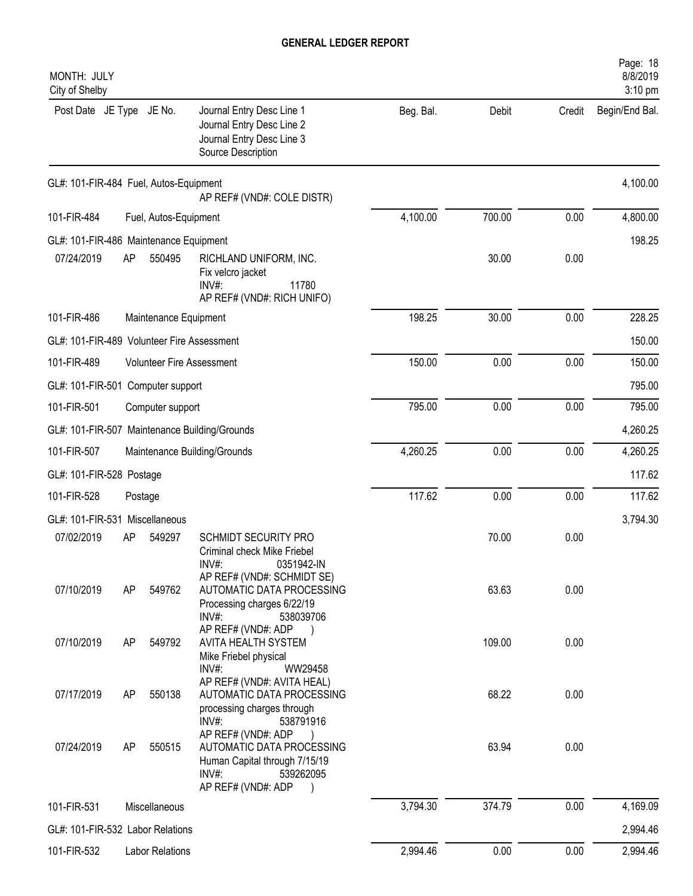| MONTH: JULY<br>City of Shelby              |         |                        |                                                                                                                                                       |           |        |        | Page: 18<br>8/8/2019<br>3:10 pm |
|--------------------------------------------|---------|------------------------|-------------------------------------------------------------------------------------------------------------------------------------------------------|-----------|--------|--------|---------------------------------|
| Post Date JE Type JE No.                   |         |                        | Journal Entry Desc Line 1<br>Journal Entry Desc Line 2<br>Journal Entry Desc Line 3<br>Source Description                                             | Beg. Bal. | Debit  | Credit | Begin/End Bal.                  |
| GL#: 101-FIR-484 Fuel, Autos-Equipment     |         |                        | AP REF# (VND#: COLE DISTR)                                                                                                                            |           |        |        | 4,100.00                        |
| 101-FIR-484                                |         | Fuel, Autos-Equipment  |                                                                                                                                                       | 4,100.00  | 700.00 | 0.00   | 4,800.00                        |
| GL#: 101-FIR-486 Maintenance Equipment     |         |                        |                                                                                                                                                       |           |        |        | 198.25                          |
| 07/24/2019                                 | AP      | 550495                 | RICHLAND UNIFORM, INC.<br>Fix velcro jacket<br>$INV#$ :<br>11780<br>AP REF# (VND#: RICH UNIFO)                                                        |           | 30.00  | 0.00   |                                 |
| 101-FIR-486                                |         | Maintenance Equipment  |                                                                                                                                                       | 198.25    | 30.00  | 0.00   | 228.25                          |
| GL#: 101-FIR-489 Volunteer Fire Assessment |         |                        |                                                                                                                                                       |           |        |        | 150.00                          |
| 101-FIR-489                                |         |                        | <b>Volunteer Fire Assessment</b>                                                                                                                      | 150.00    | 0.00   | 0.00   | 150.00                          |
| GL#: 101-FIR-501 Computer support          |         |                        |                                                                                                                                                       |           |        |        | 795.00                          |
| 101-FIR-501                                |         | Computer support       |                                                                                                                                                       | 795.00    | 0.00   | 0.00   | 795.00                          |
|                                            |         |                        | GL#: 101-FIR-507 Maintenance Building/Grounds                                                                                                         |           |        |        | 4,260.25                        |
| 101-FIR-507                                |         |                        | Maintenance Building/Grounds                                                                                                                          | 4,260.25  | 0.00   | 0.00   | 4,260.25                        |
| GL#: 101-FIR-528 Postage                   |         |                        |                                                                                                                                                       |           |        |        | 117.62                          |
| 101-FIR-528                                | Postage |                        |                                                                                                                                                       | 117.62    | 0.00   | 0.00   | 117.62                          |
| GL#: 101-FIR-531 Miscellaneous             |         |                        |                                                                                                                                                       |           |        |        | 3,794.30                        |
| 07/02/2019                                 | AP      | 549297                 | SCHMIDT SECURITY PRO<br>Criminal check Mike Friebel<br>INV#<br>0351942-IN                                                                             |           | 70.00  | 0.00   |                                 |
| 07/10/2019                                 | AP      | 549762                 | AP REF# (VND#: SCHMIDT SE)<br>AUTOMATIC DATA PROCESSING<br>Processing charges 6/22/19<br>$INV#$ :<br>538039706                                        |           | 63.63  | 0.00   |                                 |
| 07/10/2019                                 | AP      | 549792                 | AP REF# (VND#: ADP<br>AVITA HEALTH SYSTEM<br>Mike Friebel physical<br>INV#:<br>WW29458                                                                |           | 109.00 | 0.00   |                                 |
| 07/17/2019                                 | AP      | 550138                 | AP REF# (VND#: AVITA HEAL)<br>AUTOMATIC DATA PROCESSING<br>processing charges through                                                                 |           | 68.22  | 0.00   |                                 |
| 07/24/2019                                 | AP      | 550515                 | INV#:<br>538791916<br>AP REF# (VND#: ADP<br>AUTOMATIC DATA PROCESSING<br>Human Capital through 7/15/19<br>$INV#$ :<br>539262095<br>AP REF# (VND#: ADP |           | 63.94  | 0.00   |                                 |
| 101-FIR-531                                |         | Miscellaneous          |                                                                                                                                                       | 3,794.30  | 374.79 | 0.00   | 4,169.09                        |
| GL#: 101-FIR-532 Labor Relations           |         |                        |                                                                                                                                                       |           |        |        | 2,994.46                        |
| 101-FIR-532                                |         | <b>Labor Relations</b> |                                                                                                                                                       | 2,994.46  | 0.00   | 0.00   | 2,994.46                        |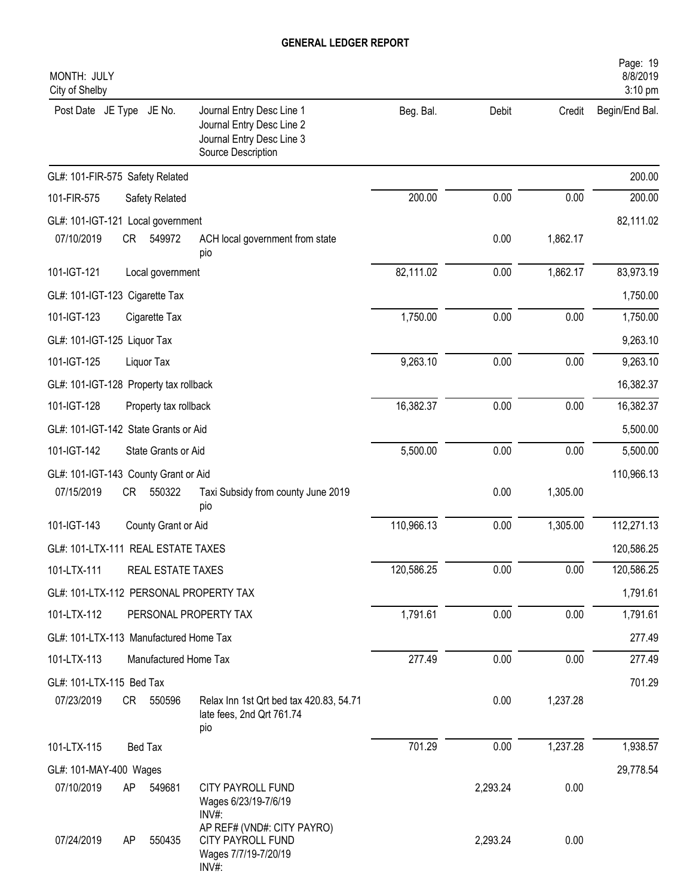| MONTH: JULY<br>City of Shelby                                                                                                            |            |          |          | Page: 19<br>8/8/2019<br>3:10 pm |
|------------------------------------------------------------------------------------------------------------------------------------------|------------|----------|----------|---------------------------------|
| Post Date JE Type<br>JE No.<br>Journal Entry Desc Line 1<br>Journal Entry Desc Line 2<br>Journal Entry Desc Line 3<br>Source Description | Beg. Bal.  | Debit    | Credit   | Begin/End Bal.                  |
| GL#: 101-FIR-575 Safety Related                                                                                                          |            |          |          | 200.00                          |
| 101-FIR-575<br>Safety Related                                                                                                            | 200.00     | 0.00     | 0.00     | 200.00                          |
| GL#: 101-IGT-121 Local government                                                                                                        |            |          |          | 82,111.02                       |
| 07/10/2019<br>CR<br>549972<br>ACH local government from state<br>pio                                                                     |            | 0.00     | 1,862.17 |                                 |
| 101-IGT-121<br>Local government                                                                                                          | 82,111.02  | 0.00     | 1,862.17 | 83,973.19                       |
| GL#: 101-IGT-123 Cigarette Tax                                                                                                           |            |          |          | 1,750.00                        |
| 101-IGT-123<br>Cigarette Tax                                                                                                             | 1,750.00   | 0.00     | 0.00     | 1,750.00                        |
| GL#: 101-IGT-125 Liquor Tax                                                                                                              |            |          |          | 9,263.10                        |
| 101-IGT-125<br>Liquor Tax                                                                                                                | 9,263.10   | 0.00     | 0.00     | 9,263.10                        |
| GL#: 101-IGT-128 Property tax rollback                                                                                                   |            |          |          | 16,382.37                       |
| 101-IGT-128<br>Property tax rollback                                                                                                     | 16,382.37  | 0.00     | 0.00     | 16,382.37                       |
| GL#: 101-IGT-142 State Grants or Aid                                                                                                     |            |          |          | 5,500.00                        |
| 101-IGT-142<br>State Grants or Aid                                                                                                       | 5,500.00   | 0.00     | 0.00     | 5,500.00                        |
| GL#: 101-IGT-143 County Grant or Aid                                                                                                     |            |          |          | 110,966.13                      |
| 07/15/2019<br><b>CR</b><br>550322<br>Taxi Subsidy from county June 2019<br>pio                                                           |            | 0.00     | 1,305.00 |                                 |
| 101-IGT-143<br>County Grant or Aid                                                                                                       | 110,966.13 | 0.00     | 1,305.00 | 112,271.13                      |
| GL#: 101-LTX-111 REAL ESTATE TAXES                                                                                                       |            |          |          | 120,586.25                      |
| 101-LTX-111<br>REAL ESTATE TAXES                                                                                                         | 120,586.25 | 0.00     | 0.00     | 120,586.25                      |
| GL#: 101-LTX-112 PERSONAL PROPERTY TAX                                                                                                   |            |          |          | 1,791.61                        |
| 101-LTX-112<br>PERSONAL PROPERTY TAX                                                                                                     | 1,791.61   | 0.00     | 0.00     | 1,791.61                        |
| GL#: 101-LTX-113 Manufactured Home Tax                                                                                                   |            |          |          | 277.49                          |
| 101-LTX-113<br>Manufactured Home Tax                                                                                                     | 277.49     | 0.00     | 0.00     | 277.49                          |
| GL#: 101-LTX-115 Bed Tax                                                                                                                 |            |          |          | 701.29                          |
| 07/23/2019<br>CR 550596<br>Relax Inn 1st Qrt bed tax 420.83, 54.71<br>late fees, 2nd Qrt 761.74<br>pio                                   |            | 0.00     | 1,237.28 |                                 |
| 101-LTX-115<br>Bed Tax                                                                                                                   | 701.29     | 0.00     | 1,237.28 | 1,938.57                        |
| GL#: 101-MAY-400 Wages                                                                                                                   |            |          |          | 29,778.54                       |
| 07/10/2019<br>549681<br>CITY PAYROLL FUND<br>AP<br>Wages 6/23/19-7/6/19<br>INV#:                                                         |            | 2,293.24 | 0.00     |                                 |
| AP REF# (VND#: CITY PAYRO)<br>CITY PAYROLL FUND<br>07/24/2019<br>550435<br>AP<br>Wages 7/7/19-7/20/19<br>INV#:                           |            | 2,293.24 | 0.00     |                                 |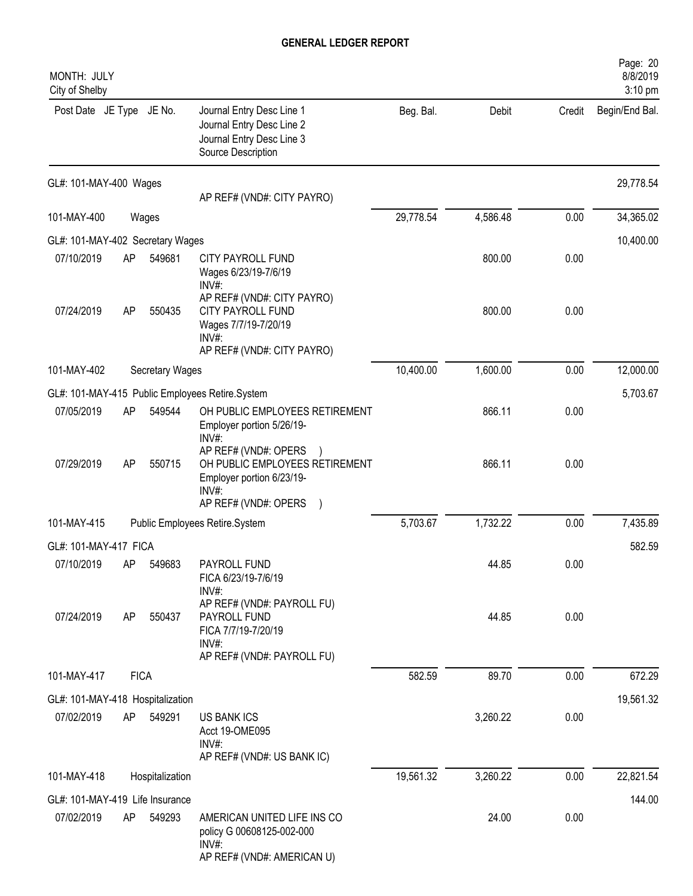| MONTH: JULY<br>City of Shelby    |             |                        |                                                                                                                         |           |          |        | Page: 20<br>8/8/2019<br>3:10 pm |
|----------------------------------|-------------|------------------------|-------------------------------------------------------------------------------------------------------------------------|-----------|----------|--------|---------------------------------|
| Post Date JE Type JE No.         |             |                        | Journal Entry Desc Line 1<br>Journal Entry Desc Line 2<br>Journal Entry Desc Line 3<br>Source Description               | Beg. Bal. | Debit    | Credit | Begin/End Bal.                  |
| GL#: 101-MAY-400 Wages           |             |                        | AP REF# (VND#: CITY PAYRO)                                                                                              |           |          |        | 29,778.54                       |
| 101-MAY-400                      |             | Wages                  |                                                                                                                         | 29,778.54 | 4,586.48 | 0.00   | 34,365.02                       |
| GL#: 101-MAY-402 Secretary Wages |             |                        |                                                                                                                         |           |          |        | 10,400.00                       |
| 07/10/2019                       | AP          | 549681                 | CITY PAYROLL FUND<br>Wages 6/23/19-7/6/19<br>INV#:                                                                      |           | 800.00   | 0.00   |                                 |
| 07/24/2019                       | AP          | 550435                 | AP REF# (VND#: CITY PAYRO)<br><b>CITY PAYROLL FUND</b><br>Wages 7/7/19-7/20/19<br>INV#<br>AP REF# (VND#: CITY PAYRO)    |           | 800.00   | 0.00   |                                 |
| 101-MAY-402                      |             | <b>Secretary Wages</b> |                                                                                                                         | 10,400.00 | 1,600.00 | 0.00   | 12,000.00                       |
|                                  |             |                        | GL#: 101-MAY-415 Public Employees Retire.System                                                                         |           |          |        | 5,703.67                        |
| 07/05/2019                       | AP          | 549544                 | OH PUBLIC EMPLOYEES RETIREMENT<br>Employer portion 5/26/19-<br>INV#:                                                    |           | 866.11   | 0.00   |                                 |
| 07/29/2019                       | AP          | 550715                 | AP REF# (VND#: OPERS<br>OH PUBLIC EMPLOYEES RETIREMENT<br>Employer portion 6/23/19-<br>$INV#$ :<br>AP REF# (VND#: OPERS |           | 866.11   | 0.00   |                                 |
| 101-MAY-415                      |             |                        | Public Employees Retire.System                                                                                          | 5,703.67  | 1,732.22 | 0.00   | 7,435.89                        |
| GL#: 101-MAY-417 FICA            |             |                        |                                                                                                                         |           |          |        | 582.59                          |
| 07/10/2019                       | AP.         | 549683                 | PAYROLL FUND                                                                                                            |           | 44.85    | 0.00   |                                 |
|                                  |             |                        | FICA 6/23/19-7/6/19<br>INV#:<br>AP REF# (VND#: PAYROLL FU)                                                              |           |          |        |                                 |
| 07/24/2019                       | AP          | 550437                 | PAYROLL FUND<br>FICA 7/7/19-7/20/19<br>INV#:<br>AP REF# (VND#: PAYROLL FU)                                              |           | 44.85    | 0.00   |                                 |
| 101-MAY-417                      | <b>FICA</b> |                        |                                                                                                                         | 582.59    | 89.70    | 0.00   | 672.29                          |
| GL#: 101-MAY-418 Hospitalization |             |                        |                                                                                                                         |           |          |        | 19,561.32                       |
| 07/02/2019                       | AP          | 549291                 | <b>US BANK ICS</b><br>Acct 19-OME095<br>INV#:<br>AP REF# (VND#: US BANK IC)                                             |           | 3,260.22 | 0.00   |                                 |
| 101-MAY-418                      |             | Hospitalization        |                                                                                                                         | 19,561.32 | 3,260.22 | 0.00   | 22,821.54                       |
| GL#: 101-MAY-419 Life Insurance  |             |                        |                                                                                                                         |           |          |        | 144.00                          |
| 07/02/2019                       | AP          | 549293                 | AMERICAN UNITED LIFE INS CO<br>policy G 00608125-002-000<br>INV#:<br>AP REF# (VND#: AMERICAN U)                         |           | 24.00    | 0.00   |                                 |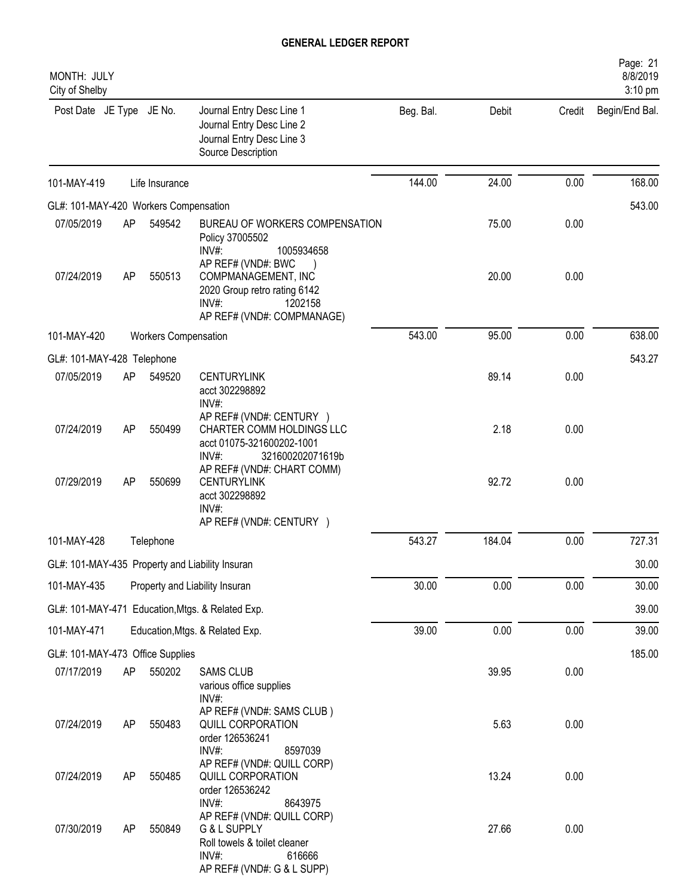| MONTH: JULY<br>City of Shelby                   |    |                             |                                                                                                                                |           |        |        | Page: 21<br>8/8/2019<br>3:10 pm |
|-------------------------------------------------|----|-----------------------------|--------------------------------------------------------------------------------------------------------------------------------|-----------|--------|--------|---------------------------------|
| Post Date JE Type JE No.                        |    |                             | Journal Entry Desc Line 1<br>Journal Entry Desc Line 2<br>Journal Entry Desc Line 3<br>Source Description                      | Beg. Bal. | Debit  | Credit | Begin/End Bal.                  |
| 101-MAY-419                                     |    | Life Insurance              |                                                                                                                                | 144.00    | 24.00  | 0.00   | 168.00                          |
| GL#: 101-MAY-420 Workers Compensation           |    |                             |                                                                                                                                |           |        |        | 543.00                          |
| 07/05/2019                                      | AP | 549542                      | BUREAU OF WORKERS COMPENSATION<br>Policy 37005502<br>INV#:<br>1005934658                                                       |           | 75.00  | 0.00   |                                 |
| 07/24/2019                                      | AP | 550513                      | AP REF# (VND#: BWC<br>COMPMANAGEMENT, INC<br>2020 Group retro rating 6142<br>INV#:<br>1202158<br>AP REF# (VND#: COMPMANAGE)    |           | 20.00  | 0.00   |                                 |
| 101-MAY-420                                     |    | <b>Workers Compensation</b> |                                                                                                                                | 543.00    | 95.00  | 0.00   | 638.00                          |
| GL#: 101-MAY-428 Telephone                      |    |                             |                                                                                                                                |           |        |        | 543.27                          |
| 07/05/2019                                      | AP | 549520                      | <b>CENTURYLINK</b><br>acct 302298892<br>INV#:                                                                                  |           | 89.14  | 0.00   |                                 |
| 07/24/2019                                      | AP | 550499                      | AP REF# (VND#: CENTURY )<br>CHARTER COMM HOLDINGS LLC<br>acct 01075-321600202-1001<br>321600202071619b<br>INV#                 |           | 2.18   | 0.00   |                                 |
| 07/29/2019                                      | AP | 550699                      | AP REF# (VND#: CHART COMM)<br><b>CENTURYLINK</b><br>acct 302298892<br>INV#:<br>AP REF# (VND#: CENTURY )                        |           | 92.72  | 0.00   |                                 |
| 101-MAY-428                                     |    | Telephone                   |                                                                                                                                | 543.27    | 184.04 | 0.00   | 727.31                          |
| GL#: 101-MAY-435 Property and Liability Insuran |    |                             |                                                                                                                                |           |        |        | 30.00                           |
| 101-MAY-435                                     |    |                             | Property and Liability Insuran                                                                                                 | 30.00     | 0.00   | 0.00   | 30.00                           |
|                                                 |    |                             | GL#: 101-MAY-471 Education, Mtgs. & Related Exp.                                                                               |           |        |        | 39.00                           |
| 101-MAY-471                                     |    |                             | Education, Mtgs. & Related Exp.                                                                                                | 39.00     | 0.00   | 0.00   | 39.00                           |
| GL#: 101-MAY-473 Office Supplies                |    |                             |                                                                                                                                |           |        |        | 185.00                          |
| 07/17/2019                                      | AP | 550202                      | <b>SAMS CLUB</b><br>various office supplies<br>INV#:                                                                           |           | 39.95  | 0.00   |                                 |
| 07/24/2019                                      | AP | 550483                      | AP REF# (VND#: SAMS CLUB)<br>QUILL CORPORATION<br>order 126536241<br>INV#:<br>8597039                                          |           | 5.63   | 0.00   |                                 |
| 07/24/2019                                      | AP | 550485                      | AP REF# (VND#: QUILL CORP)<br>QUILL CORPORATION<br>order 126536242<br>$INV#$ :<br>8643975                                      |           | 13.24  | 0.00   |                                 |
| 07/30/2019                                      | AP | 550849                      | AP REF# (VND#: QUILL CORP)<br>G & L SUPPLY<br>Roll towels & toilet cleaner<br>$INV#$ :<br>616666<br>AP REF# (VND#: G & L SUPP) |           | 27.66  | 0.00   |                                 |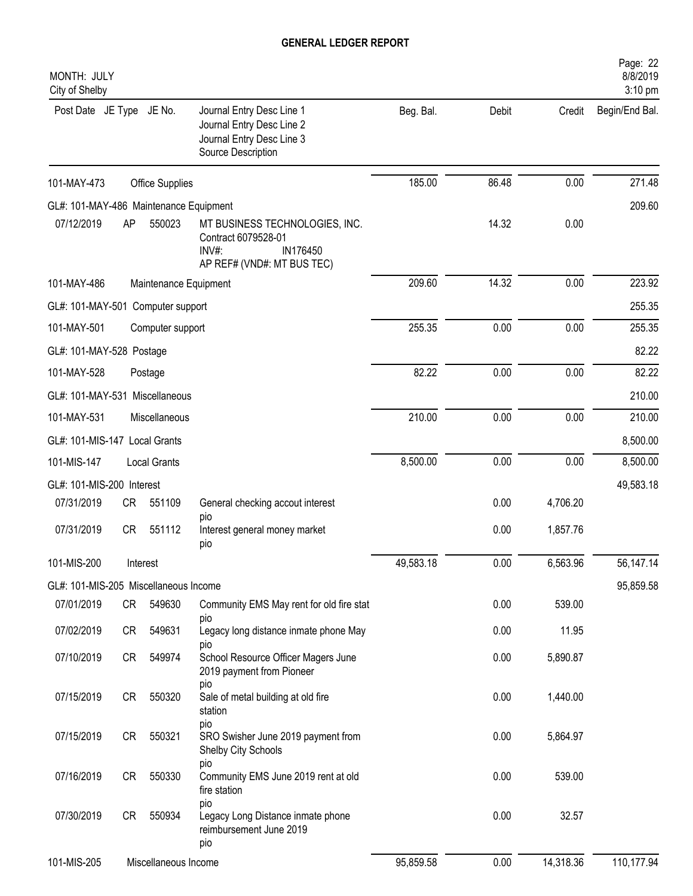| MONTH: JULY<br>City of Shelby          |    |                       |                                                                                                           |           |       |           | Page: 22<br>8/8/2019<br>3:10 pm |
|----------------------------------------|----|-----------------------|-----------------------------------------------------------------------------------------------------------|-----------|-------|-----------|---------------------------------|
| Post Date JE Type JE No.               |    |                       | Journal Entry Desc Line 1<br>Journal Entry Desc Line 2<br>Journal Entry Desc Line 3<br>Source Description | Beg. Bal. | Debit | Credit    | Begin/End Bal.                  |
| 101-MAY-473                            |    | Office Supplies       |                                                                                                           | 185.00    | 86.48 | 0.00      | 271.48                          |
| GL#: 101-MAY-486 Maintenance Equipment |    |                       |                                                                                                           |           |       |           | 209.60                          |
| 07/12/2019                             | AP | 550023                | MT BUSINESS TECHNOLOGIES, INC.<br>Contract 6079528-01<br>INV#:<br>IN176450<br>AP REF# (VND#: MT BUS TEC)  |           | 14.32 | 0.00      |                                 |
| 101-MAY-486                            |    | Maintenance Equipment |                                                                                                           | 209.60    | 14.32 | 0.00      | 223.92                          |
| GL#: 101-MAY-501 Computer support      |    |                       |                                                                                                           |           |       |           | 255.35                          |
| 101-MAY-501                            |    | Computer support      |                                                                                                           | 255.35    | 0.00  | 0.00      | 255.35                          |
| GL#: 101-MAY-528 Postage               |    |                       |                                                                                                           |           |       |           | 82.22                           |
| 101-MAY-528                            |    | Postage               |                                                                                                           | 82.22     | 0.00  | 0.00      | 82.22                           |
| GL#: 101-MAY-531 Miscellaneous         |    |                       |                                                                                                           |           |       |           | 210.00                          |
| 101-MAY-531                            |    | Miscellaneous         |                                                                                                           | 210.00    | 0.00  | 0.00      | 210.00                          |
| GL#: 101-MIS-147 Local Grants          |    |                       |                                                                                                           |           |       |           | 8,500.00                        |
| 101-MIS-147                            |    | <b>Local Grants</b>   |                                                                                                           | 8,500.00  | 0.00  | 0.00      | 8,500.00                        |
| GL#: 101-MIS-200 Interest              |    |                       |                                                                                                           |           |       |           | 49,583.18                       |
| 07/31/2019                             | CR | 551109                | General checking accout interest                                                                          |           | 0.00  | 4,706.20  |                                 |
| 07/31/2019                             | CR | 551112                | pio<br>Interest general money market<br>pio                                                               |           | 0.00  | 1,857.76  |                                 |
| 101-MIS-200                            |    | Interest              |                                                                                                           | 49,583.18 | 0.00  | 6,563.96  | 56,147.14                       |
| GL#: 101-MIS-205 Miscellaneous Income  |    |                       |                                                                                                           |           |       |           | 95,859.58                       |
| 07/01/2019                             | CR | 549630                | Community EMS May rent for old fire stat                                                                  |           | 0.00  | 539.00    |                                 |
| 07/02/2019                             | CR | 549631                | pio<br>Legacy long distance inmate phone May<br>pio                                                       |           | 0.00  | 11.95     |                                 |
| 07/10/2019                             | CR | 549974                | School Resource Officer Magers June<br>2019 payment from Pioneer<br>pio                                   |           | 0.00  | 5,890.87  |                                 |
| 07/15/2019                             | CR | 550320                | Sale of metal building at old fire<br>station                                                             |           | 0.00  | 1,440.00  |                                 |
| 07/15/2019                             | CR | 550321                | pio<br>SRO Swisher June 2019 payment from<br>Shelby City Schools                                          |           | 0.00  | 5,864.97  |                                 |
| 07/16/2019                             | CR | 550330                | pio<br>Community EMS June 2019 rent at old<br>fire station                                                |           | 0.00  | 539.00    |                                 |
| 07/30/2019                             | CR | 550934                | pio<br>Legacy Long Distance inmate phone<br>reimbursement June 2019<br>pio                                |           | 0.00  | 32.57     |                                 |
| 101-MIS-205                            |    | Miscellaneous Income  |                                                                                                           | 95,859.58 | 0.00  | 14,318.36 | 110,177.94                      |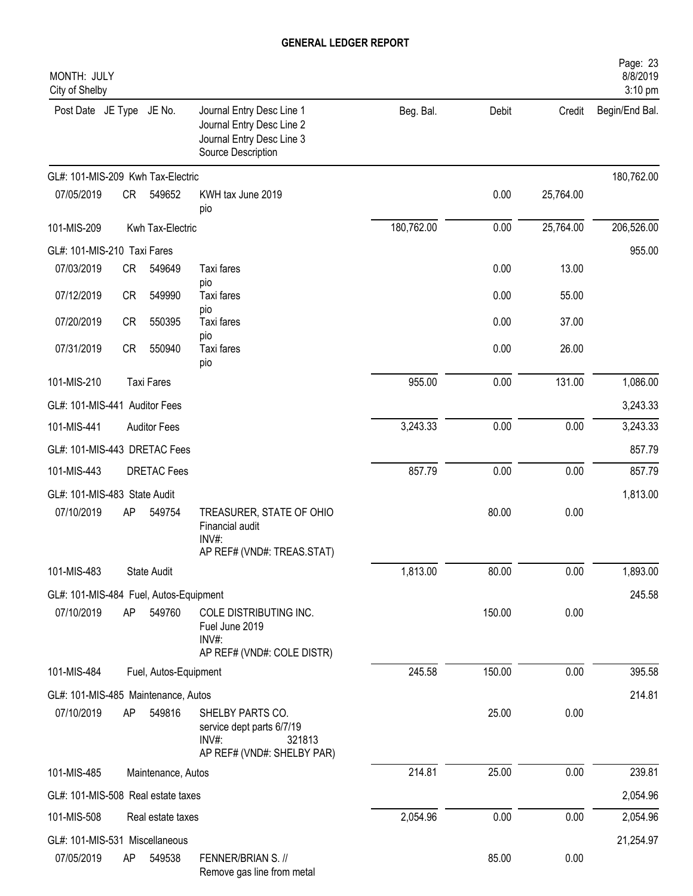| MONTH: JULY<br>City of Shelby          |           |                       |                                                                                                           |            |        |           | Page: 23<br>8/8/2019<br>3:10 pm |
|----------------------------------------|-----------|-----------------------|-----------------------------------------------------------------------------------------------------------|------------|--------|-----------|---------------------------------|
| Post Date JE Type JE No.               |           |                       | Journal Entry Desc Line 1<br>Journal Entry Desc Line 2<br>Journal Entry Desc Line 3<br>Source Description | Beg. Bal.  | Debit  | Credit    | Begin/End Bal.                  |
| GL#: 101-MIS-209 Kwh Tax-Electric      |           |                       |                                                                                                           |            |        |           | 180,762.00                      |
| 07/05/2019                             | CR        | 549652                | KWH tax June 2019<br>pio                                                                                  |            | 0.00   | 25,764.00 |                                 |
| 101-MIS-209                            |           | Kwh Tax-Electric      |                                                                                                           | 180,762.00 | 0.00   | 25,764.00 | 206,526.00                      |
| GL#: 101-MIS-210 Taxi Fares            |           |                       |                                                                                                           |            |        |           | 955.00                          |
| 07/03/2019                             | CR        | 549649                | Taxi fares                                                                                                |            | 0.00   | 13.00     |                                 |
| 07/12/2019                             | CR        | 549990                | pio<br>Taxi fares                                                                                         |            | 0.00   | 55.00     |                                 |
| 07/20/2019                             | <b>CR</b> | 550395                | pio<br>Taxi fares                                                                                         |            | 0.00   | 37.00     |                                 |
| 07/31/2019                             | <b>CR</b> | 550940                | pio<br>Taxi fares<br>pio                                                                                  |            | 0.00   | 26.00     |                                 |
| 101-MIS-210                            |           | <b>Taxi Fares</b>     |                                                                                                           | 955.00     | 0.00   | 131.00    | 1,086.00                        |
| GL#: 101-MIS-441 Auditor Fees          |           |                       |                                                                                                           |            |        |           | 3,243.33                        |
| 101-MIS-441                            |           | <b>Auditor Fees</b>   |                                                                                                           | 3,243.33   | 0.00   | 0.00      | 3,243.33                        |
| GL#: 101-MIS-443 DRETAC Fees           |           |                       |                                                                                                           |            |        |           | 857.79                          |
| 101-MIS-443                            |           | <b>DRETAC Fees</b>    |                                                                                                           | 857.79     | 0.00   | 0.00      | 857.79                          |
| GL#: 101-MIS-483 State Audit           |           |                       |                                                                                                           |            |        |           | 1,813.00                        |
| 07/10/2019                             | AP        | 549754                | TREASURER, STATE OF OHIO<br>Financial audit<br>INV#:<br>AP REF# (VND#: TREAS.STAT)                        |            | 80.00  | 0.00      |                                 |
| 101-MIS-483                            |           | State Audit           |                                                                                                           | 1,813.00   | 80.00  | 0.00      | 1,893.00                        |
| GL#: 101-MIS-484 Fuel, Autos-Equipment |           |                       |                                                                                                           |            |        |           | 245.58                          |
| 07/10/2019                             | AP        | 549760                | COLE DISTRIBUTING INC.<br>Fuel June 2019<br>INV#:<br>AP REF# (VND#: COLE DISTR)                           |            | 150.00 | 0.00      |                                 |
| 101-MIS-484                            |           | Fuel, Autos-Equipment |                                                                                                           | 245.58     | 150.00 | 0.00      | 395.58                          |
| GL#: 101-MIS-485 Maintenance, Autos    |           |                       |                                                                                                           |            |        |           | 214.81                          |
| 07/10/2019                             | AP        | 549816                | SHELBY PARTS CO.<br>service dept parts 6/7/19<br>$INV#$ :<br>321813<br>AP REF# (VND#: SHELBY PAR)         |            | 25.00  | 0.00      |                                 |
| 101-MIS-485                            |           | Maintenance, Autos    |                                                                                                           | 214.81     | 25.00  | 0.00      | 239.81                          |
| GL#: 101-MIS-508 Real estate taxes     |           |                       |                                                                                                           |            |        |           | 2,054.96                        |
| 101-MIS-508                            |           | Real estate taxes     |                                                                                                           | 2,054.96   | 0.00   | 0.00      | 2,054.96                        |
| GL#: 101-MIS-531 Miscellaneous         |           |                       |                                                                                                           |            |        |           | 21,254.97                       |
| 07/05/2019                             | AP        | 549538                | FENNER/BRIAN S. //<br>Remove gas line from metal                                                          |            | 85.00  | 0.00      |                                 |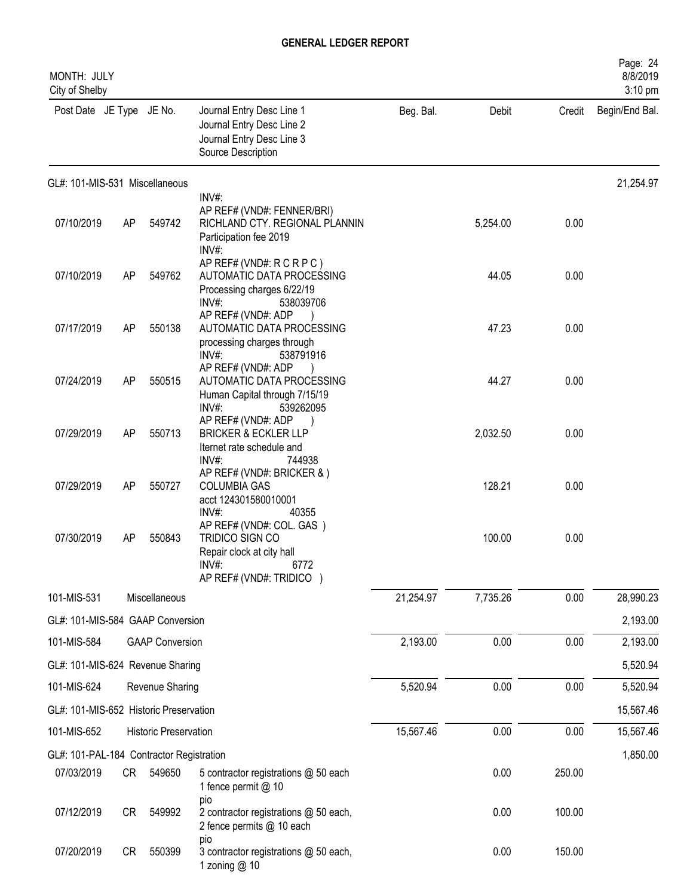| MONTH: JULY<br>City of Shelby            |           |                              |                                                                                                                       |           |          |        | Page: 24<br>8/8/2019<br>3:10 pm |
|------------------------------------------|-----------|------------------------------|-----------------------------------------------------------------------------------------------------------------------|-----------|----------|--------|---------------------------------|
| Post Date JE Type JE No.                 |           |                              | Journal Entry Desc Line 1<br>Journal Entry Desc Line 2<br>Journal Entry Desc Line 3<br>Source Description             | Beg. Bal. | Debit    | Credit | Begin/End Bal.                  |
| GL#: 101-MIS-531 Miscellaneous           |           |                              |                                                                                                                       |           |          |        | 21,254.97                       |
| 07/10/2019                               | <b>AP</b> | 549742                       | INV#:<br>AP REF# (VND#: FENNER/BRI)<br>RICHLAND CTY. REGIONAL PLANNIN<br>Participation fee 2019<br>INV#:              |           | 5,254.00 | 0.00   |                                 |
| 07/10/2019                               | <b>AP</b> | 549762                       | AP REF# (VND#: R C R P C )<br>AUTOMATIC DATA PROCESSING<br>Processing charges 6/22/19<br>INV#:<br>538039706           |           | 44.05    | 0.00   |                                 |
| 07/17/2019                               | <b>AP</b> | 550138                       | AP REF# (VND#: ADP<br>AUTOMATIC DATA PROCESSING<br>processing charges through<br>INV#:<br>538791916                   |           | 47.23    | 0.00   |                                 |
| 07/24/2019                               | <b>AP</b> | 550515                       | AP REF# (VND#: ADP<br>AUTOMATIC DATA PROCESSING<br>Human Capital through 7/15/19<br>$INV#$ :<br>539262095             |           | 44.27    | 0.00   |                                 |
| 07/29/2019                               | <b>AP</b> | 550713                       | AP REF# (VND#: ADP<br><b>BRICKER &amp; ECKLER LLP</b><br>Iternet rate schedule and<br>INV#:<br>744938                 |           | 2,032.50 | 0.00   |                                 |
| 07/29/2019                               | AP        | 550727                       | AP REF# (VND#: BRICKER & )<br><b>COLUMBIA GAS</b><br>acct 124301580010001<br>INV#:<br>40355                           |           | 128.21   | 0.00   |                                 |
| 07/30/2019                               | AP        | 550843                       | AP REF# (VND#: COL. GAS)<br>TRIDICO SIGN CO<br>Repair clock at city hall<br>INV#:<br>6772<br>AP REF# (VND#: TRIDICO ) |           | 100.00   | 0.00   |                                 |
| 101-MIS-531                              |           | Miscellaneous                |                                                                                                                       | 21,254.97 | 7,735.26 | 0.00   | 28,990.23                       |
| GL#: 101-MIS-584 GAAP Conversion         |           |                              |                                                                                                                       |           |          |        | 2,193.00                        |
| 101-MIS-584                              |           | <b>GAAP Conversion</b>       |                                                                                                                       | 2,193.00  | 0.00     | 0.00   | 2,193.00                        |
| GL#: 101-MIS-624 Revenue Sharing         |           |                              |                                                                                                                       |           |          |        | 5,520.94                        |
| 101-MIS-624                              |           | Revenue Sharing              |                                                                                                                       | 5,520.94  | 0.00     | 0.00   | 5,520.94                        |
| GL#: 101-MIS-652 Historic Preservation   |           |                              |                                                                                                                       |           |          |        | 15,567.46                       |
| 101-MIS-652                              |           | <b>Historic Preservation</b> |                                                                                                                       | 15,567.46 | 0.00     | 0.00   | 15,567.46                       |
| GL#: 101-PAL-184 Contractor Registration |           |                              |                                                                                                                       |           |          |        | 1,850.00                        |
| 07/03/2019                               | CR        | 549650                       | 5 contractor registrations @ 50 each<br>1 fence permit @ 10                                                           |           | 0.00     | 250.00 |                                 |
| 07/12/2019                               | CR        | 549992                       | pio<br>2 contractor registrations @ 50 each,<br>2 fence permits @ 10 each                                             |           | 0.00     | 100.00 |                                 |
| 07/20/2019                               | <b>CR</b> | 550399                       | pio<br>3 contractor registrations @ 50 each,<br>1 zoning @ 10                                                         |           | 0.00     | 150.00 |                                 |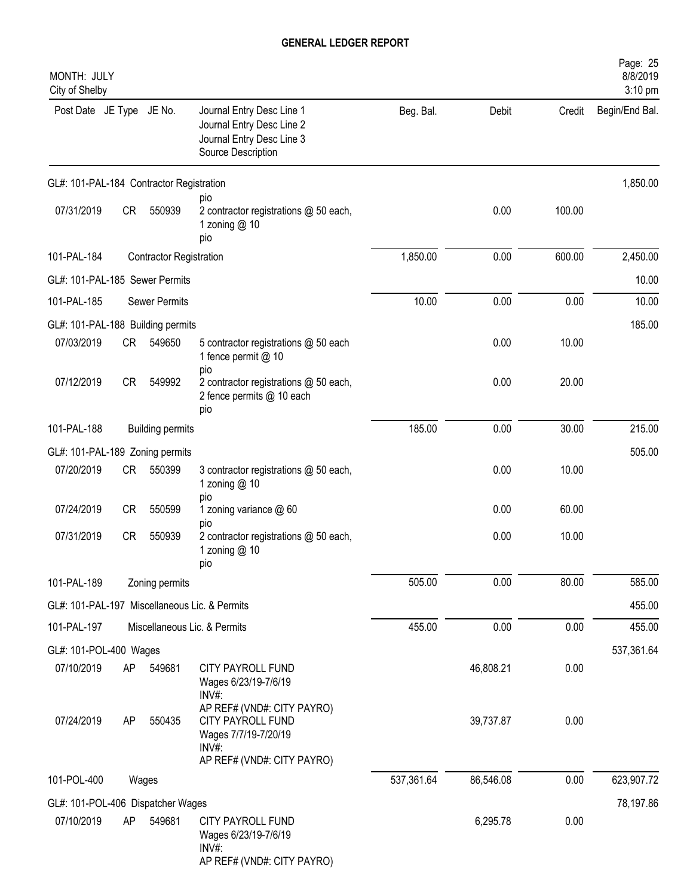| MONTH: JULY<br>City of Shelby                 |           |                                |                                                                                                                |            |           |        | Page: 25<br>8/8/2019<br>3:10 pm |
|-----------------------------------------------|-----------|--------------------------------|----------------------------------------------------------------------------------------------------------------|------------|-----------|--------|---------------------------------|
| Post Date JE Type JE No.                      |           |                                | Journal Entry Desc Line 1<br>Journal Entry Desc Line 2<br>Journal Entry Desc Line 3<br>Source Description      | Beg. Bal.  | Debit     | Credit | Begin/End Bal.                  |
| GL#: 101-PAL-184 Contractor Registration      |           |                                |                                                                                                                |            |           |        | 1,850.00                        |
| 07/31/2019                                    | <b>CR</b> | 550939                         | pio<br>2 contractor registrations @ 50 each,<br>1 zoning @ 10<br>pio                                           |            | 0.00      | 100.00 |                                 |
| 101-PAL-184                                   |           | <b>Contractor Registration</b> |                                                                                                                | 1,850.00   | 0.00      | 600.00 | 2,450.00                        |
| GL#: 101-PAL-185 Sewer Permits                |           |                                |                                                                                                                |            |           |        | 10.00                           |
| 101-PAL-185                                   |           | <b>Sewer Permits</b>           |                                                                                                                | 10.00      | 0.00      | 0.00   | 10.00                           |
| GL#: 101-PAL-188 Building permits             |           |                                |                                                                                                                |            |           |        | 185.00                          |
| 07/03/2019                                    | <b>CR</b> | 549650                         | 5 contractor registrations @ 50 each<br>1 fence permit @ 10<br>pio                                             |            | 0.00      | 10.00  |                                 |
| 07/12/2019                                    | <b>CR</b> | 549992                         | 2 contractor registrations @ 50 each,<br>2 fence permits @ 10 each<br>pio                                      |            | 0.00      | 20.00  |                                 |
| 101-PAL-188                                   |           | <b>Building permits</b>        |                                                                                                                | 185.00     | 0.00      | 30.00  | 215.00                          |
| GL#: 101-PAL-189 Zoning permits               |           |                                |                                                                                                                |            |           |        | 505.00                          |
| 07/20/2019                                    | <b>CR</b> | 550399                         | 3 contractor registrations @ 50 each,<br>1 zoning $@10$                                                        |            | 0.00      | 10.00  |                                 |
| 07/24/2019                                    | <b>CR</b> | 550599                         | pio<br>1 zoning variance @ 60<br>pio                                                                           |            | 0.00      | 60.00  |                                 |
| 07/31/2019                                    | <b>CR</b> | 550939                         | 2 contractor registrations @ 50 each,<br>1 zoning @ 10<br>pio                                                  |            | 0.00      | 10.00  |                                 |
| 101-PAL-189                                   |           | Zoning permits                 |                                                                                                                | 505.00     | 0.00      | 80.00  | 585.00                          |
| GL#: 101-PAL-197 Miscellaneous Lic. & Permits |           |                                |                                                                                                                |            |           |        | 455.00                          |
| 101-PAL-197                                   |           |                                | Miscellaneous Lic. & Permits                                                                                   | 455.00     | 0.00      | 0.00   | 455.00                          |
| GL#: 101-POL-400 Wages                        |           |                                |                                                                                                                |            |           |        | 537,361.64                      |
| 07/10/2019                                    | AP        | 549681                         | CITY PAYROLL FUND<br>Wages 6/23/19-7/6/19<br>$INV#$ :                                                          |            | 46,808.21 | 0.00   |                                 |
| 07/24/2019                                    | AP        | 550435                         | AP REF# (VND#: CITY PAYRO)<br>CITY PAYROLL FUND<br>Wages 7/7/19-7/20/19<br>INV#:<br>AP REF# (VND#: CITY PAYRO) |            | 39,737.87 | 0.00   |                                 |
| 101-POL-400                                   |           | Wages                          |                                                                                                                | 537,361.64 | 86,546.08 | 0.00   | 623,907.72                      |
| GL#: 101-POL-406 Dispatcher Wages             |           |                                |                                                                                                                |            |           |        | 78,197.86                       |
| 07/10/2019                                    | AP        | 549681                         | CITY PAYROLL FUND<br>Wages 6/23/19-7/6/19<br>INV#:<br>AP REF# (VND#: CITY PAYRO)                               |            | 6,295.78  | 0.00   |                                 |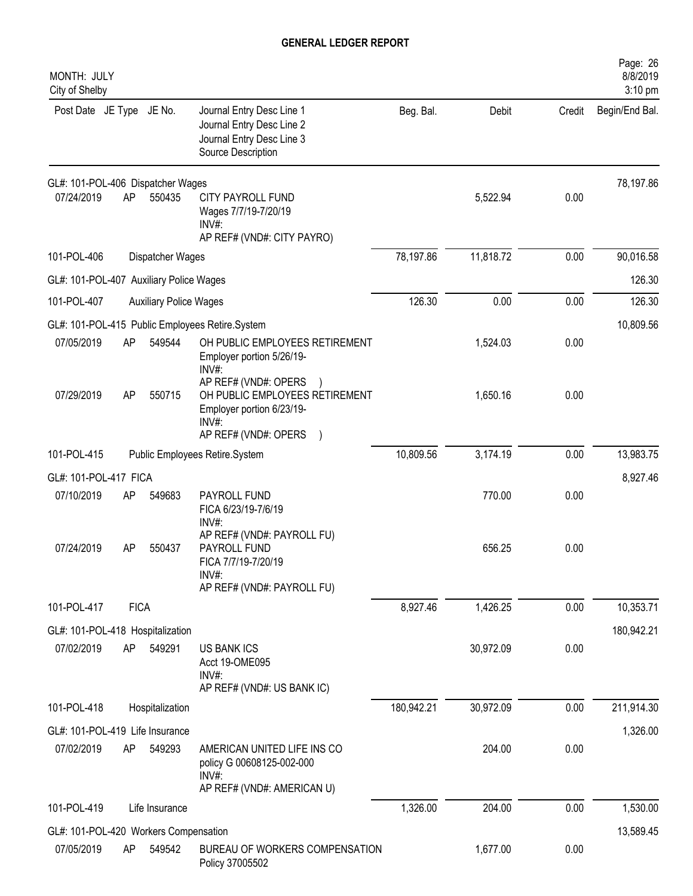| MONTH: JULY<br>City of Shelby                   |             |                               |                                                                                                                         |            |           |        | Page: 26<br>8/8/2019<br>3:10 pm |
|-------------------------------------------------|-------------|-------------------------------|-------------------------------------------------------------------------------------------------------------------------|------------|-----------|--------|---------------------------------|
| Post Date JE Type JE No.                        |             |                               | Journal Entry Desc Line 1<br>Journal Entry Desc Line 2<br>Journal Entry Desc Line 3<br>Source Description               | Beg. Bal.  | Debit     | Credit | Begin/End Bal.                  |
| GL#: 101-POL-406 Dispatcher Wages<br>07/24/2019 | AP          | 550435                        | <b>CITY PAYROLL FUND</b><br>Wages 7/7/19-7/20/19<br>$INV#$ :<br>AP REF# (VND#: CITY PAYRO)                              |            | 5,522.94  | 0.00   | 78,197.86                       |
| 101-POL-406                                     |             | Dispatcher Wages              |                                                                                                                         | 78,197.86  | 11,818.72 | 0.00   | 90,016.58                       |
| GL#: 101-POL-407 Auxiliary Police Wages         |             |                               |                                                                                                                         |            |           |        | 126.30                          |
| 101-POL-407                                     |             | <b>Auxiliary Police Wages</b> |                                                                                                                         | 126.30     | 0.00      | 0.00   | 126.30                          |
|                                                 |             |                               | GL#: 101-POL-415 Public Employees Retire.System                                                                         |            |           |        | 10,809.56                       |
| 07/05/2019                                      | AP          | 549544                        | OH PUBLIC EMPLOYEES RETIREMENT<br>Employer portion 5/26/19-<br>INV#:                                                    |            | 1,524.03  | 0.00   |                                 |
| 07/29/2019                                      | AP          | 550715                        | AP REF# (VND#: OPERS<br>OH PUBLIC EMPLOYEES RETIREMENT<br>Employer portion 6/23/19-<br>$INV#$ :<br>AP REF# (VND#: OPERS |            | 1,650.16  | 0.00   |                                 |
| 101-POL-415                                     |             |                               | Public Employees Retire.System                                                                                          | 10,809.56  | 3,174.19  | 0.00   | 13,983.75                       |
| GL#: 101-POL-417 FICA                           |             |                               |                                                                                                                         |            |           |        | 8,927.46                        |
| 07/10/2019                                      | AP          | 549683                        | PAYROLL FUND<br>FICA 6/23/19-7/6/19<br>INV#:                                                                            |            | 770.00    | 0.00   |                                 |
| 07/24/2019                                      | AP          | 550437                        | AP REF# (VND#: PAYROLL FU)<br>PAYROLL FUND<br>FICA 7/7/19-7/20/19<br>INV#:<br>AP REF# (VND#: PAYROLL FU)                |            | 656.25    | 0.00   |                                 |
| 101-POL-417                                     | <b>FICA</b> |                               |                                                                                                                         | 8,927.46   | 1,426.25  | 0.00   | 10,353.71                       |
| GL#: 101-POL-418 Hospitalization                |             |                               |                                                                                                                         |            |           |        | 180,942.21                      |
| 07/02/2019                                      | AP          | 549291                        | <b>US BANK ICS</b><br>Acct 19-OME095<br>INV#:<br>AP REF# (VND#: US BANK IC)                                             |            | 30,972.09 | 0.00   |                                 |
| 101-POL-418                                     |             | Hospitalization               |                                                                                                                         | 180,942.21 | 30,972.09 | 0.00   | 211,914.30                      |
| GL#: 101-POL-419 Life Insurance                 |             |                               |                                                                                                                         |            |           |        | 1,326.00                        |
| 07/02/2019                                      | AP          | 549293                        | AMERICAN UNITED LIFE INS CO<br>policy G 00608125-002-000<br>INV#:<br>AP REF# (VND#: AMERICAN U)                         |            | 204.00    | 0.00   |                                 |
| 101-POL-419                                     |             | Life Insurance                |                                                                                                                         | 1,326.00   | 204.00    | 0.00   | 1,530.00                        |
| GL#: 101-POL-420 Workers Compensation           |             |                               |                                                                                                                         |            |           |        | 13,589.45                       |
| 07/05/2019                                      | AP          | 549542                        | BUREAU OF WORKERS COMPENSATION<br>Policy 37005502                                                                       |            | 1,677.00  | 0.00   |                                 |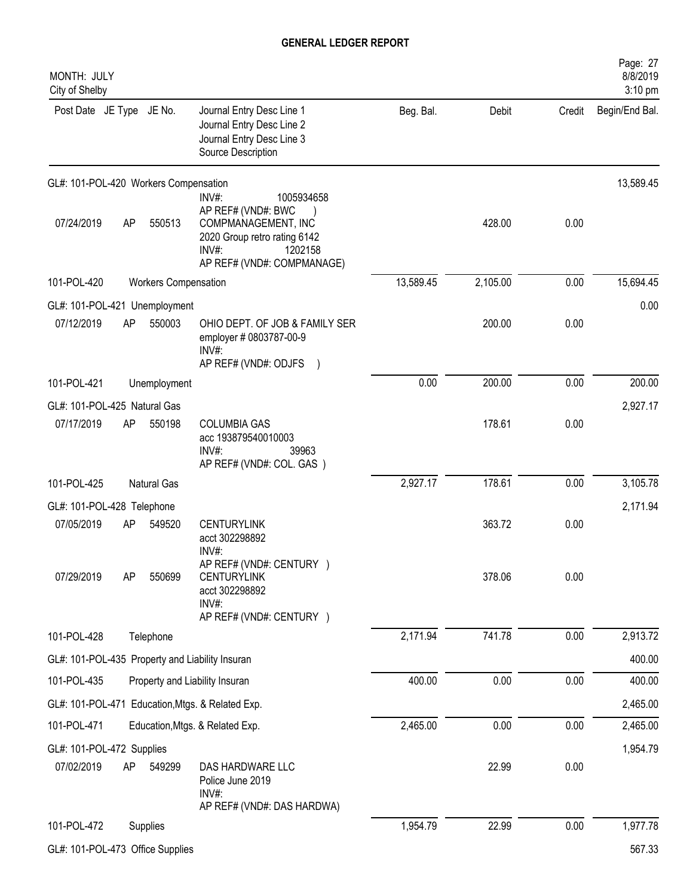| MONTH: JULY<br>City of Shelby         |    |                      |                                                                                                                                                    |           |          |        | Page: 27<br>8/8/2019<br>3:10 pm |
|---------------------------------------|----|----------------------|----------------------------------------------------------------------------------------------------------------------------------------------------|-----------|----------|--------|---------------------------------|
| Post Date JE Type JE No.              |    |                      | Journal Entry Desc Line 1<br>Journal Entry Desc Line 2<br>Journal Entry Desc Line 3<br>Source Description                                          | Beg. Bal. | Debit    | Credit | Begin/End Bal.                  |
| GL#: 101-POL-420 Workers Compensation |    |                      |                                                                                                                                                    |           |          |        | 13,589.45                       |
| 07/24/2019                            | AP | 550513               | INV#:<br>1005934658<br>AP REF# (VND#: BWC<br>COMPMANAGEMENT, INC<br>2020 Group retro rating 6142<br>INV#:<br>1202158<br>AP REF# (VND#: COMPMANAGE) |           | 428.00   | 0.00   |                                 |
| 101-POL-420                           |    | Workers Compensation |                                                                                                                                                    | 13,589.45 | 2,105.00 | 0.00   | 15,694.45                       |
| GL#: 101-POL-421 Unemployment         |    |                      |                                                                                                                                                    |           |          |        | 0.00                            |
| 07/12/2019                            | AP | 550003               | OHIO DEPT. OF JOB & FAMILY SER<br>employer # 0803787-00-9<br>$INV#$ :<br>AP REF# (VND#: ODJFS                                                      |           | 200.00   | 0.00   |                                 |
| 101-POL-421                           |    | Unemployment         |                                                                                                                                                    | 0.00      | 200.00   | 0.00   | 200.00                          |
| GL#: 101-POL-425 Natural Gas          |    |                      |                                                                                                                                                    |           |          |        | 2,927.17                        |
| 07/17/2019                            | AP | 550198               | <b>COLUMBIA GAS</b><br>acc 193879540010003<br>INV#:<br>39963<br>AP REF# (VND#: COL. GAS)                                                           |           | 178.61   | 0.00   |                                 |
| 101-POL-425                           |    | Natural Gas          |                                                                                                                                                    | 2,927.17  | 178.61   | 0.00   | 3,105.78                        |
| GL#: 101-POL-428 Telephone            |    |                      |                                                                                                                                                    |           |          |        | 2,171.94                        |
| 07/05/2019                            | AP | 549520               | <b>CENTURYLINK</b><br>acct 302298892<br>INV#:                                                                                                      |           | 363.72   | 0.00   |                                 |
| 07/29/2019                            | AP | 550699               | AP REF# (VND#: CENTURY )<br><b>CENTURYLINK</b><br>acct 302298892<br>INV#:<br>AP REF# (VND#: CENTURY )                                              |           | 378.06   | 0.00   |                                 |
| 101-POL-428                           |    | Telephone            |                                                                                                                                                    | 2,171.94  | 741.78   | 0.00   | 2,913.72                        |
|                                       |    |                      | GL#: 101-POL-435 Property and Liability Insuran                                                                                                    |           |          |        | 400.00                          |
| 101-POL-435                           |    |                      | Property and Liability Insuran                                                                                                                     | 400.00    | 0.00     | 0.00   | 400.00                          |
|                                       |    |                      | GL#: 101-POL-471 Education, Mtgs. & Related Exp.                                                                                                   |           |          |        | 2,465.00                        |
| 101-POL-471                           |    |                      | Education, Mtgs. & Related Exp.                                                                                                                    | 2,465.00  | 0.00     | 0.00   | 2,465.00                        |
| GL#: 101-POL-472 Supplies             |    |                      |                                                                                                                                                    |           |          |        | 1,954.79                        |
| 07/02/2019                            | AP | 549299               | DAS HARDWARE LLC<br>Police June 2019<br>INV#:<br>AP REF# (VND#: DAS HARDWA)                                                                        |           | 22.99    | 0.00   |                                 |
| 101-POL-472                           |    | Supplies             |                                                                                                                                                    | 1,954.79  | 22.99    | 0.00   | 1,977.78                        |
| GL#: 101-POL-473 Office Supplies      |    |                      |                                                                                                                                                    |           |          |        | 567.33                          |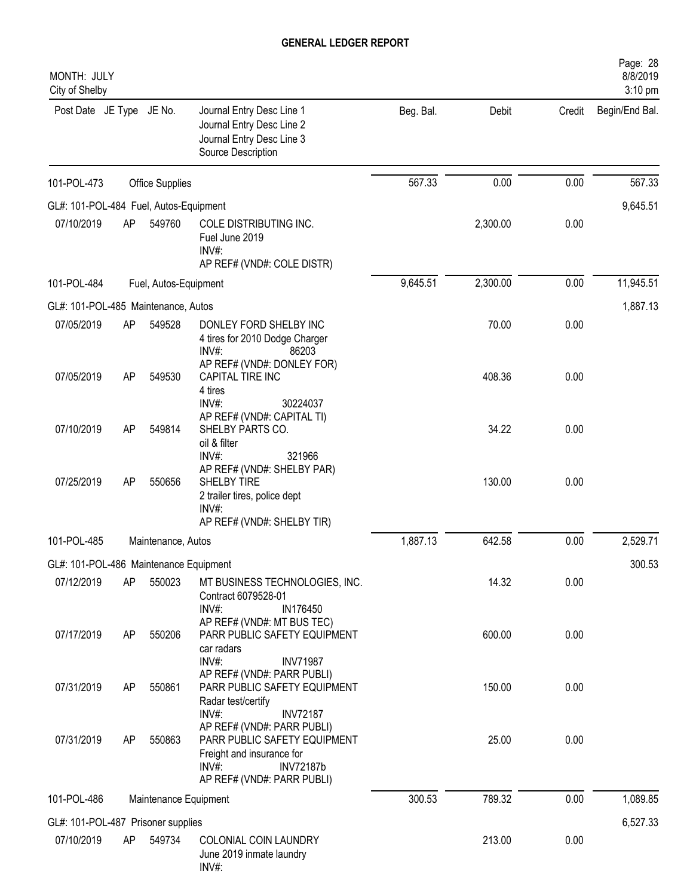| MONTH: JULY<br>City of Shelby          |    |                       |                                                                                                                                             |           |          |        | Page: 28<br>8/8/2019<br>$3:10$ pm |
|----------------------------------------|----|-----------------------|---------------------------------------------------------------------------------------------------------------------------------------------|-----------|----------|--------|-----------------------------------|
| Post Date JE Type JE No.               |    |                       | Journal Entry Desc Line 1<br>Journal Entry Desc Line 2<br>Journal Entry Desc Line 3<br>Source Description                                   | Beg. Bal. | Debit    | Credit | Begin/End Bal.                    |
| 101-POL-473                            |    | Office Supplies       |                                                                                                                                             | 567.33    | 0.00     | 0.00   | 567.33                            |
| GL#: 101-POL-484 Fuel, Autos-Equipment |    |                       |                                                                                                                                             |           |          |        | 9,645.51                          |
| 07/10/2019                             | AP | 549760                | COLE DISTRIBUTING INC.<br>Fuel June 2019<br>INV#:<br>AP REF# (VND#: COLE DISTR)                                                             |           | 2,300.00 | 0.00   |                                   |
| 101-POL-484                            |    | Fuel, Autos-Equipment |                                                                                                                                             | 9,645.51  | 2,300.00 | 0.00   | 11,945.51                         |
| GL#: 101-POL-485 Maintenance, Autos    |    |                       |                                                                                                                                             |           |          |        | 1,887.13                          |
| 07/05/2019                             | AP | 549528                | DONLEY FORD SHELBY INC<br>4 tires for 2010 Dodge Charger<br>INV#:<br>86203                                                                  |           | 70.00    | 0.00   |                                   |
| 07/05/2019                             | AP | 549530                | AP REF# (VND#: DONLEY FOR)<br>CAPITAL TIRE INC<br>4 tires<br>$INV#$ :<br>30224037                                                           |           | 408.36   | 0.00   |                                   |
| 07/10/2019                             | AP | 549814                | AP REF# (VND#: CAPITAL TI)<br>SHELBY PARTS CO.<br>oil & filter<br>INV#<br>321966                                                            |           | 34.22    | 0.00   |                                   |
| 07/25/2019                             | AP | 550656                | AP REF# (VND#: SHELBY PAR)<br>SHELBY TIRE<br>2 trailer tires, police dept<br>$INV#$ :<br>AP REF# (VND#: SHELBY TIR)                         |           | 130.00   | 0.00   |                                   |
| 101-POL-485                            |    | Maintenance, Autos    |                                                                                                                                             | 1,887.13  | 642.58   | 0.00   | 2,529.71                          |
| GL#: 101-POL-486 Maintenance Equipment |    |                       |                                                                                                                                             |           |          |        | 300.53                            |
| 07/12/2019                             | AP | 550023                | MT BUSINESS TECHNOLOGIES, INC.<br>Contract 6079528-01<br>$INV#$ :<br>IN176450                                                               |           | 14.32    | 0.00   |                                   |
| 07/17/2019                             | AP | 550206                | AP REF# (VND#: MT BUS TEC)<br>PARR PUBLIC SAFETY EQUIPMENT<br>car radars                                                                    |           | 600.00   | 0.00   |                                   |
| 07/31/2019                             | AP | 550861                | INV#:<br><b>INV71987</b><br>AP REF# (VND#: PARR PUBLI)<br>PARR PUBLIC SAFETY EQUIPMENT<br>Radar test/certify<br>$INV#$ :<br><b>INV72187</b> |           | 150.00   | 0.00   |                                   |
| 07/31/2019                             | AP | 550863                | AP REF# (VND#: PARR PUBLI)<br>PARR PUBLIC SAFETY EQUIPMENT<br>Freight and insurance for<br>$INV#$ :<br><b>INV72187b</b>                     |           | 25.00    | 0.00   |                                   |
|                                        |    |                       | AP REF# (VND#: PARR PUBLI)                                                                                                                  |           |          |        |                                   |
| 101-POL-486                            |    | Maintenance Equipment |                                                                                                                                             | 300.53    | 789.32   | 0.00   | 1,089.85                          |
| GL#: 101-POL-487 Prisoner supplies     |    |                       |                                                                                                                                             |           |          |        | 6,527.33                          |
| 07/10/2019                             | AP | 549734                | COLONIAL COIN LAUNDRY<br>June 2019 inmate laundry<br>$INV#$ :                                                                               |           | 213.00   | 0.00   |                                   |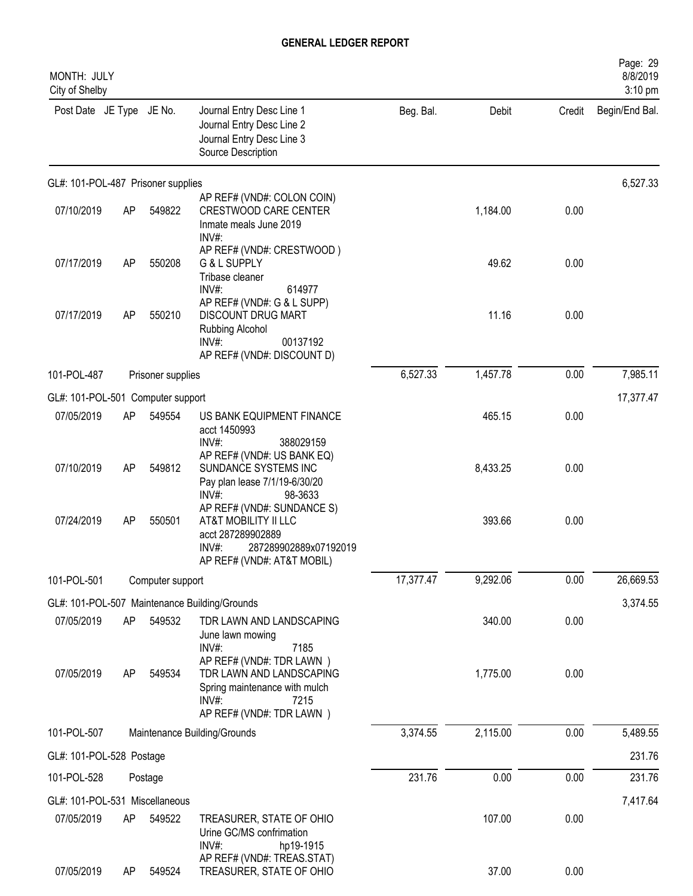| MONTH: JULY<br>City of Shelby      |    |                   |                                                                                                                                            |           |          |        | Page: 29<br>8/8/2019<br>3:10 pm |
|------------------------------------|----|-------------------|--------------------------------------------------------------------------------------------------------------------------------------------|-----------|----------|--------|---------------------------------|
| Post Date JE Type JE No.           |    |                   | Journal Entry Desc Line 1<br>Journal Entry Desc Line 2<br>Journal Entry Desc Line 3<br>Source Description                                  | Beg. Bal. | Debit    | Credit | Begin/End Bal.                  |
| GL#: 101-POL-487 Prisoner supplies |    |                   |                                                                                                                                            |           |          |        | 6,527.33                        |
| 07/10/2019                         | AP | 549822            | AP REF# (VND#: COLON COIN)<br><b>CRESTWOOD CARE CENTER</b><br>Inmate meals June 2019<br>$INV#$ :                                           |           | 1,184.00 | 0.00   |                                 |
| 07/17/2019                         | AP | 550208            | AP REF# (VND#: CRESTWOOD)<br>G & L SUPPLY<br>Tribase cleaner<br>$INV#$ :<br>614977                                                         |           | 49.62    | 0.00   |                                 |
| 07/17/2019                         | AP | 550210            | AP REF# (VND#: G & L SUPP)<br><b>DISCOUNT DRUG MART</b><br>Rubbing Alcohol<br>INV#:<br>00137192<br>AP REF# (VND#: DISCOUNT D)              |           | 11.16    | 0.00   |                                 |
| 101-POL-487                        |    | Prisoner supplies |                                                                                                                                            | 6,527.33  | 1,457.78 | 0.00   | 7,985.11                        |
| GL#: 101-POL-501 Computer support  |    |                   |                                                                                                                                            |           |          |        | 17,377.47                       |
| 07/05/2019                         | AP | 549554            | US BANK EQUIPMENT FINANCE<br>acct 1450993<br>$INV#$ :<br>388029159                                                                         |           | 465.15   | 0.00   |                                 |
| 07/10/2019                         | AP | 549812            | AP REF# (VND#: US BANK EQ)<br>SUNDANCE SYSTEMS INC<br>Pay plan lease 7/1/19-6/30/20<br>$INV#$ :<br>98-3633                                 |           | 8,433.25 | 0.00   |                                 |
| 07/24/2019                         | AP | 550501            | AP REF# (VND#: SUNDANCE S)<br>AT&T MOBILITY II LLC<br>acct 287289902889<br>$INV#$ :<br>287289902889x07192019<br>AP REF# (VND#: AT&T MOBIL) |           | 393.66   | 0.00   |                                 |
| 101-POL-501                        |    | Computer support  |                                                                                                                                            | 17,377.47 | 9,292.06 | 0.00   | 26,669.53                       |
|                                    |    |                   | GL#: 101-POL-507 Maintenance Building/Grounds                                                                                              |           |          |        | 3,374.55                        |
| 07/05/2019                         | AP | 549532            | TDR LAWN AND LANDSCAPING<br>June lawn mowing<br>$INV#$ :<br>7185                                                                           |           | 340.00   | 0.00   |                                 |
| 07/05/2019                         | AP | 549534            | AP REF# (VND#: TDR LAWN)<br>TDR LAWN AND LANDSCAPING<br>Spring maintenance with mulch<br>$INV#$ :<br>7215<br>AP REF# (VND#: TDR LAWN)      |           | 1,775.00 | 0.00   |                                 |
| 101-POL-507                        |    |                   | Maintenance Building/Grounds                                                                                                               | 3,374.55  | 2,115.00 | 0.00   | 5,489.55                        |
| GL#: 101-POL-528 Postage           |    |                   |                                                                                                                                            |           |          |        | 231.76                          |
| 101-POL-528                        |    | Postage           |                                                                                                                                            | 231.76    | 0.00     | 0.00   | 231.76                          |
| GL#: 101-POL-531 Miscellaneous     |    |                   |                                                                                                                                            |           |          |        | 7,417.64                        |
| 07/05/2019                         | AP | 549522            | TREASURER, STATE OF OHIO<br>Urine GC/MS confrimation<br>INV#:<br>hp19-1915                                                                 |           | 107.00   | 0.00   |                                 |
| 07/05/2019                         | AP | 549524            | AP REF# (VND#: TREAS.STAT)<br>TREASURER, STATE OF OHIO                                                                                     |           | 37.00    | 0.00   |                                 |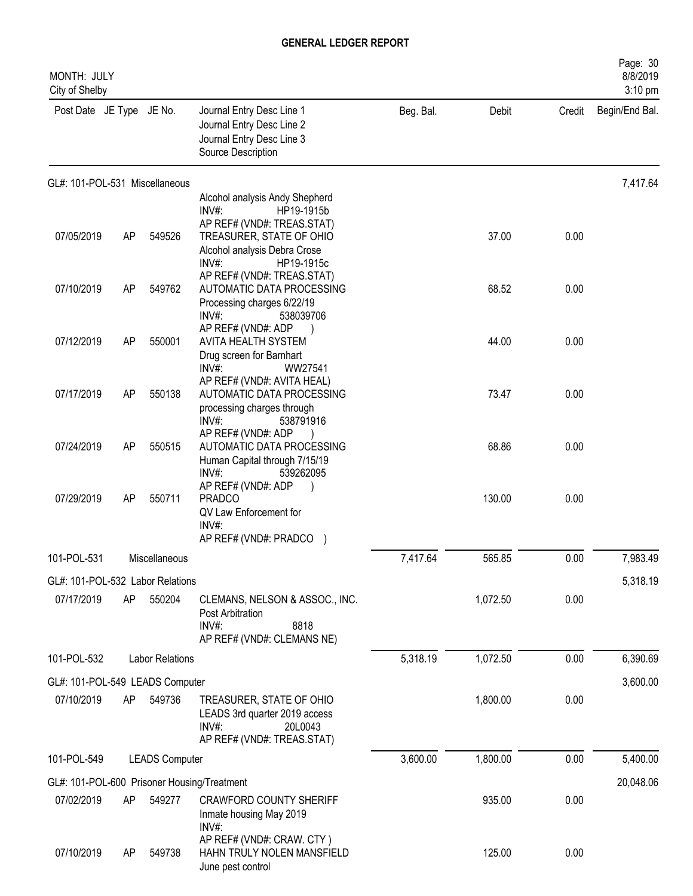| MONTH: JULY<br>City of Shelby               |    |                        |                                                                                                               |           |          |        | Page: 30<br>8/8/2019<br>3:10 pm |
|---------------------------------------------|----|------------------------|---------------------------------------------------------------------------------------------------------------|-----------|----------|--------|---------------------------------|
| Post Date JE Type JE No.                    |    |                        | Journal Entry Desc Line 1<br>Journal Entry Desc Line 2<br>Journal Entry Desc Line 3<br>Source Description     | Beg. Bal. | Debit    | Credit | Begin/End Bal.                  |
| GL#: 101-POL-531 Miscellaneous              |    |                        |                                                                                                               |           |          |        | 7,417.64                        |
|                                             |    |                        | Alcohol analysis Andy Shepherd<br>INV#<br>HP19-1915b                                                          |           |          |        |                                 |
| 07/05/2019                                  | AP | 549526                 | AP REF# (VND#: TREAS.STAT)<br>TREASURER, STATE OF OHIO<br>Alcohol analysis Debra Crose<br>INV#:<br>HP19-1915c |           | 37.00    | 0.00   |                                 |
| 07/10/2019                                  | AP | 549762                 | AP REF# (VND#: TREAS.STAT)<br>AUTOMATIC DATA PROCESSING<br>Processing charges 6/22/19<br>INV#:<br>538039706   |           | 68.52    | 0.00   |                                 |
| 07/12/2019                                  | AP | 550001                 | AP REF# (VND#: ADP<br>AVITA HEALTH SYSTEM<br>Drug screen for Barnhart<br>INV#:<br>WW27541                     |           | 44.00    | 0.00   |                                 |
| 07/17/2019                                  | AP | 550138                 | AP REF# (VND#: AVITA HEAL)<br>AUTOMATIC DATA PROCESSING<br>processing charges through<br>INV#:                |           | 73.47    | 0.00   |                                 |
| 07/24/2019                                  | AP | 550515                 | 538791916<br>AP REF# (VND#: ADP<br>AUTOMATIC DATA PROCESSING<br>Human Capital through 7/15/19<br>INV#:        |           | 68.86    | 0.00   |                                 |
| 07/29/2019                                  | AP | 550711                 | 539262095<br>AP REF# (VND#: ADP<br><b>PRADCO</b><br>QV Law Enforcement for<br>INV#:<br>AP REF# (VND#: PRADCO  |           | 130.00   | 0.00   |                                 |
| 101-POL-531                                 |    | Miscellaneous          |                                                                                                               | 7,417.64  | 565.85   | 0.00   | 7,983.49                        |
| GL#: 101-POL-532 Labor Relations            |    |                        |                                                                                                               |           |          |        | 5,318.19                        |
| 07/17/2019                                  | AP | 550204                 | CLEMANS, NELSON & ASSOC., INC.<br>Post Arbitration<br>$INV#$ :<br>8818<br>AP REF# (VND#: CLEMANS NE)          |           | 1,072.50 | 0.00   |                                 |
| 101-POL-532                                 |    | <b>Labor Relations</b> |                                                                                                               | 5,318.19  | 1,072.50 | 0.00   | 6,390.69                        |
| GL#: 101-POL-549 LEADS Computer             |    |                        |                                                                                                               |           |          |        | 3,600.00                        |
| 07/10/2019                                  | AP | 549736                 | TREASURER, STATE OF OHIO<br>LEADS 3rd quarter 2019 access<br>INV#:<br>20L0043<br>AP REF# (VND#: TREAS.STAT)   |           | 1,800.00 | 0.00   |                                 |
| 101-POL-549                                 |    | <b>LEADS Computer</b>  |                                                                                                               | 3,600.00  | 1,800.00 | 0.00   | 5,400.00                        |
| GL#: 101-POL-600 Prisoner Housing/Treatment |    |                        |                                                                                                               |           |          |        | 20,048.06                       |
| 07/02/2019                                  | AP | 549277                 | <b>CRAWFORD COUNTY SHERIFF</b><br>Inmate housing May 2019<br>INV#:                                            |           | 935.00   | 0.00   |                                 |
| 07/10/2019                                  | AP | 549738                 | AP REF# (VND#: CRAW. CTY)<br>HAHN TRULY NOLEN MANSFIELD<br>June pest control                                  |           | 125.00   | 0.00   |                                 |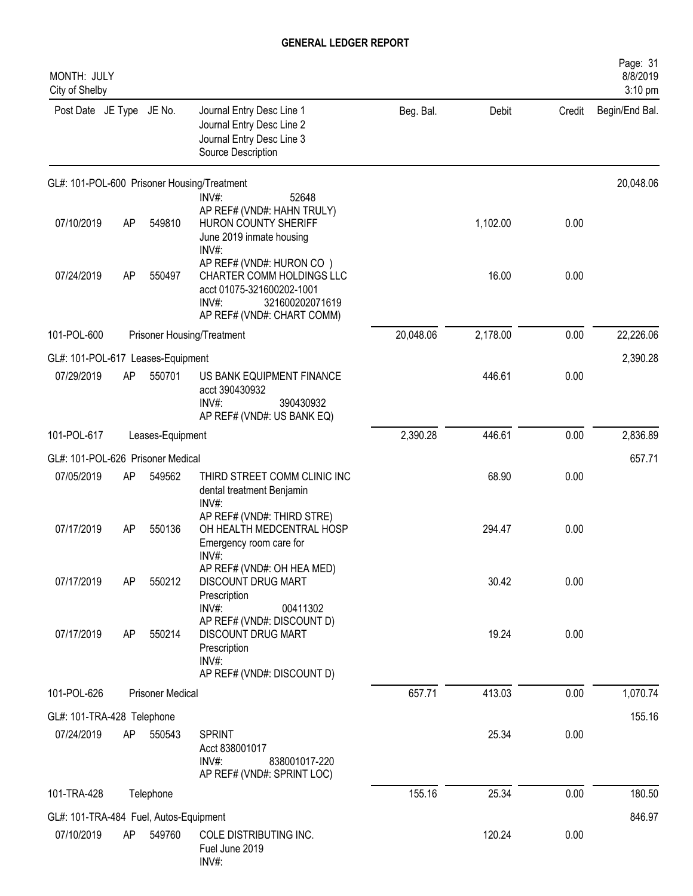| MONTH: JULY<br>City of Shelby          |    |                         |                                                                                                                                              |           |          |        | Page: 31<br>8/8/2019<br>3:10 pm |
|----------------------------------------|----|-------------------------|----------------------------------------------------------------------------------------------------------------------------------------------|-----------|----------|--------|---------------------------------|
| Post Date JE Type JE No.               |    |                         | Journal Entry Desc Line 1<br>Journal Entry Desc Line 2<br>Journal Entry Desc Line 3<br>Source Description                                    | Beg. Bal. | Debit    | Credit | Begin/End Bal.                  |
|                                        |    |                         | GL#: 101-POL-600 Prisoner Housing/Treatment                                                                                                  |           |          |        | 20,048.06                       |
| 07/10/2019                             | AP | 549810                  | INV#:<br>52648<br>AP REF# (VND#: HAHN TRULY)<br>HURON COUNTY SHERIFF<br>June 2019 inmate housing<br>INV#:                                    |           | 1,102.00 | 0.00   |                                 |
| 07/24/2019                             | AP | 550497                  | AP REF# (VND#: HURON CO)<br>CHARTER COMM HOLDINGS LLC<br>acct 01075-321600202-1001<br>INV#:<br>321600202071619<br>AP REF# (VND#: CHART COMM) |           | 16.00    | 0.00   |                                 |
| 101-POL-600                            |    |                         | Prisoner Housing/Treatment                                                                                                                   | 20,048.06 | 2,178.00 | 0.00   | 22,226.06                       |
| GL#: 101-POL-617 Leases-Equipment      |    |                         |                                                                                                                                              |           |          |        | 2,390.28                        |
| 07/29/2019                             | AP | 550701                  | US BANK EQUIPMENT FINANCE<br>acct 390430932<br>INV#:<br>390430932<br>AP REF# (VND#: US BANK EQ)                                              |           | 446.61   | 0.00   |                                 |
| 101-POL-617                            |    | Leases-Equipment        |                                                                                                                                              | 2,390.28  | 446.61   | 0.00   | 2,836.89                        |
| GL#: 101-POL-626 Prisoner Medical      |    |                         |                                                                                                                                              |           |          |        | 657.71                          |
| 07/05/2019                             | AP | 549562                  | THIRD STREET COMM CLINIC INC<br>dental treatment Benjamin<br>INV#:                                                                           |           | 68.90    | 0.00   |                                 |
| 07/17/2019                             | AP | 550136                  | AP REF# (VND#: THIRD STRE)<br>OH HEALTH MEDCENTRAL HOSP<br>Emergency room care for<br>INV#:                                                  |           | 294.47   | 0.00   |                                 |
| 07/17/2019                             | AP | 550212                  | AP REF# (VND#: OH HEA MED)<br>DISCOUNT DRUG MART<br>Prescription<br>INV#:<br>00411302                                                        |           | 30.42    | 0.00   |                                 |
| 07/17/2019                             | AP | 550214                  | AP REF# (VND#: DISCOUNT D)<br>DISCOUNT DRUG MART<br>Prescription<br>INV#:<br>AP REF# (VND#: DISCOUNT D)                                      |           | 19.24    | 0.00   |                                 |
| 101-POL-626                            |    | <b>Prisoner Medical</b> |                                                                                                                                              | 657.71    | 413.03   | 0.00   | 1,070.74                        |
| GL#: 101-TRA-428 Telephone             |    |                         |                                                                                                                                              |           |          |        | 155.16                          |
| 07/24/2019                             | AP | 550543                  | <b>SPRINT</b><br>Acct 838001017<br>$INV#$ :<br>838001017-220<br>AP REF# (VND#: SPRINT LOC)                                                   |           | 25.34    | 0.00   |                                 |
| 101-TRA-428                            |    | Telephone               |                                                                                                                                              | 155.16    | 25.34    | 0.00   | 180.50                          |
| GL#: 101-TRA-484 Fuel, Autos-Equipment |    |                         |                                                                                                                                              |           |          |        | 846.97                          |
| 07/10/2019                             | AP | 549760                  | COLE DISTRIBUTING INC.<br>Fuel June 2019<br>INV#:                                                                                            |           | 120.24   | 0.00   |                                 |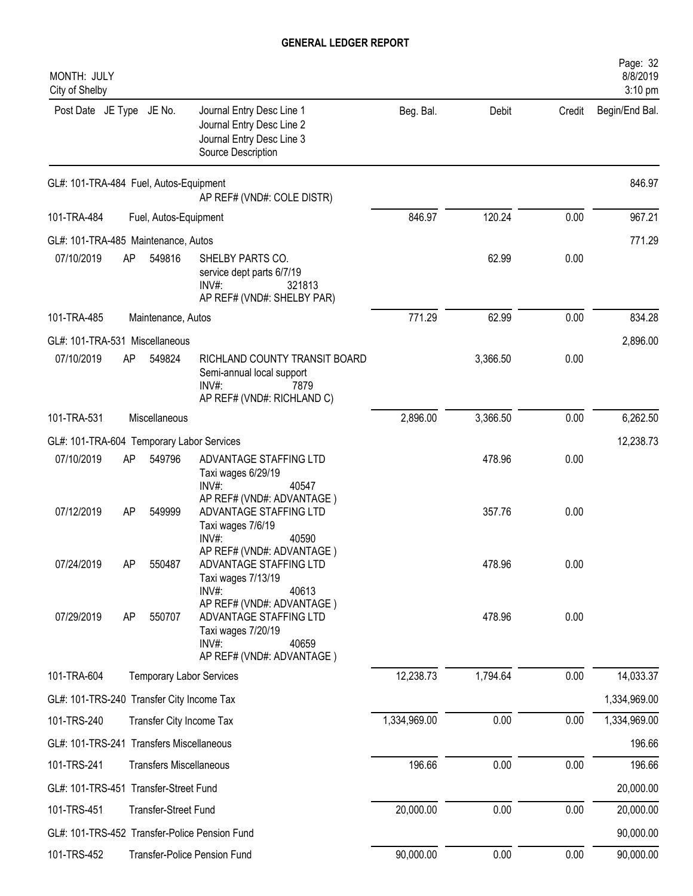| MONTH: JULY<br>City of Shelby             |     |                                 |                                                                                                                             |              |          |        | Page: 32<br>8/8/2019<br>3:10 pm |
|-------------------------------------------|-----|---------------------------------|-----------------------------------------------------------------------------------------------------------------------------|--------------|----------|--------|---------------------------------|
| Post Date JE Type JE No.                  |     |                                 | Journal Entry Desc Line 1<br>Journal Entry Desc Line 2<br>Journal Entry Desc Line 3<br>Source Description                   | Beg. Bal.    | Debit    | Credit | Begin/End Bal.                  |
| GL#: 101-TRA-484 Fuel, Autos-Equipment    |     |                                 | AP REF# (VND#: COLE DISTR)                                                                                                  |              |          |        | 846.97                          |
| 101-TRA-484                               |     | Fuel, Autos-Equipment           |                                                                                                                             | 846.97       | 120.24   | 0.00   | 967.21                          |
| GL#: 101-TRA-485 Maintenance, Autos       |     |                                 |                                                                                                                             |              |          |        | 771.29                          |
| 07/10/2019                                | AP  | 549816                          | SHELBY PARTS CO.<br>service dept parts 6/7/19<br>INV#:<br>321813<br>AP REF# (VND#: SHELBY PAR)                              |              | 62.99    | 0.00   |                                 |
| 101-TRA-485                               |     | Maintenance, Autos              |                                                                                                                             | 771.29       | 62.99    | 0.00   | 834.28                          |
| GL#: 101-TRA-531 Miscellaneous            |     |                                 |                                                                                                                             |              |          |        | 2,896.00                        |
| 07/10/2019                                | AP  | 549824                          | RICHLAND COUNTY TRANSIT BOARD<br>Semi-annual local support<br>$INV#$ :<br>7879<br>AP REF# (VND#: RICHLAND C)                |              | 3,366.50 | 0.00   |                                 |
| 101-TRA-531                               |     | Miscellaneous                   |                                                                                                                             | 2,896.00     | 3,366.50 | 0.00   | 6,262.50                        |
| GL#: 101-TRA-604 Temporary Labor Services |     |                                 |                                                                                                                             |              |          |        | 12,238.73                       |
| 07/10/2019                                | AP  | 549796                          | ADVANTAGE STAFFING LTD<br>Taxi wages 6/29/19<br>INV#:<br>40547                                                              |              | 478.96   | 0.00   |                                 |
| 07/12/2019                                | AP  | 549999                          | AP REF# (VND#: ADVANTAGE)<br>ADVANTAGE STAFFING LTD<br>Taxi wages 7/6/19<br>$INV#$ :<br>40590                               |              | 357.76   | 0.00   |                                 |
| 07/24/2019                                | AP. | 550487                          | AP REF# (VND#: ADVANTAGE)<br>ADVANTAGE STAFFING LTD<br>Taxi wages 7/13/19<br>INV#:<br>40613                                 |              | 478.96   | 0.00   |                                 |
| 07/29/2019                                | AP  | 550707                          | AP REF# (VND#: ADVANTAGE)<br>ADVANTAGE STAFFING LTD<br>Taxi wages 7/20/19<br>$INV#$ :<br>40659<br>AP REF# (VND#: ADVANTAGE) |              | 478.96   | 0.00   |                                 |
| 101-TRA-604                               |     | <b>Temporary Labor Services</b> |                                                                                                                             | 12,238.73    | 1,794.64 | 0.00   | 14,033.37                       |
| GL#: 101-TRS-240 Transfer City Income Tax |     |                                 |                                                                                                                             |              |          |        | 1,334,969.00                    |
| 101-TRS-240                               |     | Transfer City Income Tax        |                                                                                                                             | 1,334,969.00 | 0.00     | 0.00   | 1,334,969.00                    |
| GL#: 101-TRS-241 Transfers Miscellaneous  |     |                                 |                                                                                                                             |              |          |        | 196.66                          |
| 101-TRS-241                               |     | <b>Transfers Miscellaneous</b>  |                                                                                                                             | 196.66       | 0.00     | 0.00   | 196.66                          |
| GL#: 101-TRS-451 Transfer-Street Fund     |     |                                 |                                                                                                                             |              |          |        | 20,000.00                       |
| 101-TRS-451                               |     | Transfer-Street Fund            |                                                                                                                             | 20,000.00    | 0.00     | 0.00   | 20,000.00                       |
|                                           |     |                                 | GL#: 101-TRS-452 Transfer-Police Pension Fund                                                                               |              |          |        | 90,000.00                       |
| 101-TRS-452                               |     |                                 | Transfer-Police Pension Fund                                                                                                | 90,000.00    | 0.00     | 0.00   | 90,000.00                       |
|                                           |     |                                 |                                                                                                                             |              |          |        |                                 |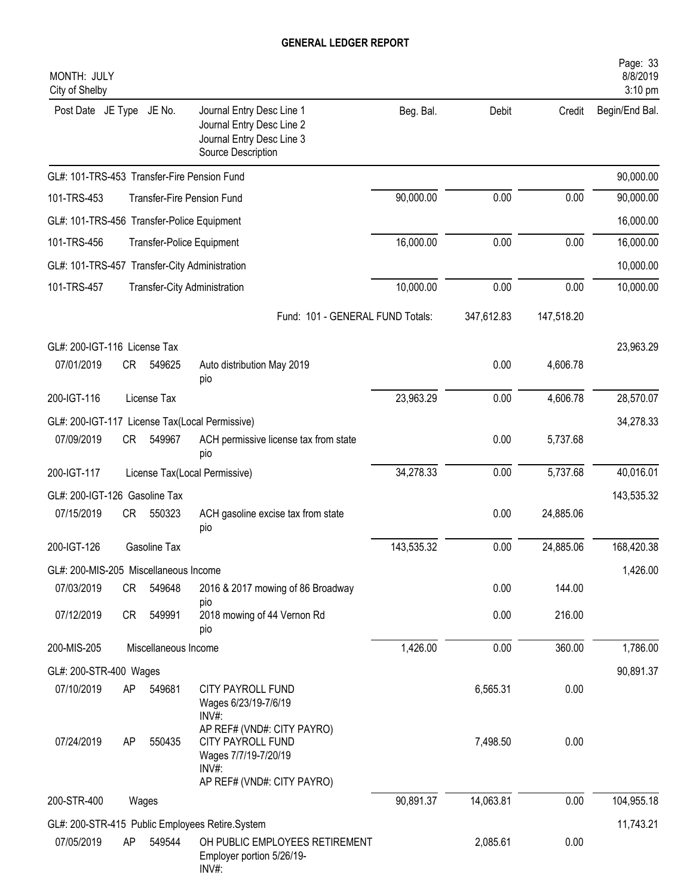| MONTH: JULY<br>City of Shelby                 |           |                      |                                                                                                               |            |            |            | Page: 33<br>8/8/2019<br>3:10 pm |
|-----------------------------------------------|-----------|----------------------|---------------------------------------------------------------------------------------------------------------|------------|------------|------------|---------------------------------|
| Post Date JE Type                             |           | JE No.               | Journal Entry Desc Line 1<br>Journal Entry Desc Line 2<br>Journal Entry Desc Line 3<br>Source Description     | Beg. Bal.  | Debit      | Credit     | Begin/End Bal.                  |
| GL#: 101-TRS-453 Transfer-Fire Pension Fund   |           |                      |                                                                                                               |            |            |            | 90,000.00                       |
| 101-TRS-453                                   |           |                      | <b>Transfer-Fire Pension Fund</b>                                                                             | 90,000.00  | 0.00       | 0.00       | 90,000.00                       |
| GL#: 101-TRS-456 Transfer-Police Equipment    |           |                      |                                                                                                               |            |            |            | 16,000.00                       |
| 101-TRS-456                                   |           |                      | Transfer-Police Equipment                                                                                     | 16,000.00  | 0.00       | 0.00       | 16,000.00                       |
| GL#: 101-TRS-457 Transfer-City Administration |           |                      |                                                                                                               |            |            |            | 10,000.00                       |
| 101-TRS-457                                   |           |                      | Transfer-City Administration                                                                                  | 10,000.00  | 0.00       | 0.00       | 10,000.00                       |
|                                               |           |                      | Fund: 101 - GENERAL FUND Totals:                                                                              |            | 347,612.83 | 147,518.20 |                                 |
| GL#: 200-IGT-116 License Tax                  |           |                      |                                                                                                               |            |            |            | 23,963.29                       |
| 07/01/2019                                    | <b>CR</b> | 549625               | Auto distribution May 2019<br>pio                                                                             |            | 0.00       | 4,606.78   |                                 |
| 200-IGT-116                                   |           | License Tax          |                                                                                                               | 23,963.29  | 0.00       | 4,606.78   | 28,570.07                       |
|                                               |           |                      | GL#: 200-IGT-117 License Tax(Local Permissive)                                                                |            |            |            | 34,278.33                       |
| 07/09/2019                                    | CR        | 549967               | ACH permissive license tax from state<br>pio                                                                  |            | 0.00       | 5,737.68   |                                 |
| 200-IGT-117                                   |           |                      | License Tax(Local Permissive)                                                                                 | 34,278.33  | 0.00       | 5,737.68   | 40,016.01                       |
| GL#: 200-IGT-126 Gasoline Tax                 |           |                      |                                                                                                               |            |            |            | 143,535.32                      |
| 07/15/2019                                    | <b>CR</b> | 550323               | ACH gasoline excise tax from state<br>pio                                                                     |            | 0.00       | 24,885.06  |                                 |
| 200-IGT-126                                   |           | Gasoline Tax         |                                                                                                               | 143,535.32 | 0.00       | 24,885.06  | 168,420.38                      |
| GL#: 200-MIS-205 Miscellaneous Income         |           |                      |                                                                                                               |            |            |            | 1,426.00                        |
| 07/03/2019                                    | CR        | 549648               | 2016 & 2017 mowing of 86 Broadway<br>pio                                                                      |            | 0.00       | 144.00     |                                 |
| 07/12/2019                                    | CR        | 549991               | 2018 mowing of 44 Vernon Rd<br>pio                                                                            |            | 0.00       | 216.00     |                                 |
| 200-MIS-205                                   |           | Miscellaneous Income |                                                                                                               | 1,426.00   | 0.00       | 360.00     | 1,786.00                        |
| GL#: 200-STR-400 Wages                        |           |                      |                                                                                                               |            |            |            | 90,891.37                       |
| 07/10/2019                                    | AP        | 549681               | CITY PAYROLL FUND<br>Wages 6/23/19-7/6/19<br>$INV#$ :                                                         |            | 6,565.31   | 0.00       |                                 |
| 07/24/2019                                    | AP        | 550435               | AP REF# (VND#: CITY PAYRO)<br>CITY PAYROLL FUND<br>Wages 7/7/19-7/20/19<br>INV#<br>AP REF# (VND#: CITY PAYRO) |            | 7,498.50   | 0.00       |                                 |
| 200-STR-400                                   |           | Wages                |                                                                                                               | 90,891.37  | 14,063.81  | 0.00       | 104,955.18                      |
|                                               |           |                      | GL#: 200-STR-415 Public Employees Retire.System                                                               |            |            |            | 11,743.21                       |
| 07/05/2019                                    | AP        | 549544               | OH PUBLIC EMPLOYEES RETIREMENT<br>Employer portion 5/26/19-<br>INV#:                                          |            | 2,085.61   | 0.00       |                                 |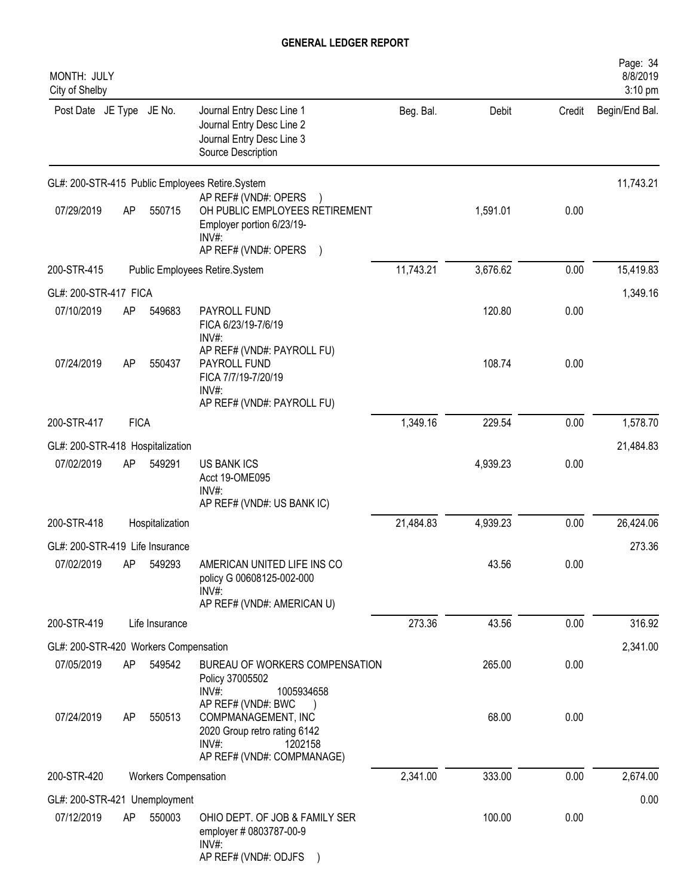| MONTH: JULY<br>City of Shelby         |             |                             |                                                                                                                                |           |          |        | Page: 34<br>8/8/2019<br>3:10 pm |
|---------------------------------------|-------------|-----------------------------|--------------------------------------------------------------------------------------------------------------------------------|-----------|----------|--------|---------------------------------|
| Post Date JE Type JE No.              |             |                             | Journal Entry Desc Line 1<br>Journal Entry Desc Line 2<br>Journal Entry Desc Line 3<br>Source Description                      | Beg. Bal. | Debit    | Credit | Begin/End Bal.                  |
|                                       |             |                             | GL#: 200-STR-415 Public Employees Retire.System<br>AP REF# (VND#: OPERS                                                        |           |          |        | 11,743.21                       |
| 07/29/2019                            | AP          | 550715                      | OH PUBLIC EMPLOYEES RETIREMENT<br>Employer portion 6/23/19-<br>$INV#$ :<br>AP REF# (VND#: OPERS )                              |           | 1,591.01 | 0.00   |                                 |
| 200-STR-415                           |             |                             | Public Employees Retire.System                                                                                                 | 11,743.21 | 3,676.62 | 0.00   | 15,419.83                       |
| GL#: 200-STR-417 FICA                 |             |                             |                                                                                                                                |           |          |        | 1,349.16                        |
| 07/10/2019                            | AP          | 549683                      | PAYROLL FUND<br>FICA 6/23/19-7/6/19<br>INV#:                                                                                   |           | 120.80   | 0.00   |                                 |
| 07/24/2019                            | <b>AP</b>   | 550437                      | AP REF# (VND#: PAYROLL FU)<br>PAYROLL FUND<br>FICA 7/7/19-7/20/19<br>$INV#$ :                                                  |           | 108.74   | 0.00   |                                 |
|                                       |             |                             | AP REF# (VND#: PAYROLL FU)                                                                                                     |           |          |        |                                 |
| 200-STR-417                           | <b>FICA</b> |                             |                                                                                                                                | 1,349.16  | 229.54   | 0.00   | 1,578.70                        |
| GL#: 200-STR-418 Hospitalization      |             |                             |                                                                                                                                |           |          |        | 21,484.83                       |
| 07/02/2019                            | AP          | 549291                      | <b>US BANK ICS</b><br>Acct 19-OME095<br>INV#:<br>AP REF# (VND#: US BANK IC)                                                    |           | 4,939.23 | 0.00   |                                 |
| 200-STR-418                           |             | Hospitalization             |                                                                                                                                | 21,484.83 | 4,939.23 | 0.00   | 26,424.06                       |
| GL#: 200-STR-419 Life Insurance       |             |                             |                                                                                                                                |           |          |        | 273.36                          |
| 07/02/2019                            | AP          | 549293                      | AMERICAN UNITED LIFE INS CO<br>policy G 00608125-002-000<br>INV#:<br>AP REF# (VND#: AMERICAN U)                                |           | 43.56    | 0.00   |                                 |
| 200-STR-419                           |             | Life Insurance              |                                                                                                                                | 273.36    | 43.56    | 0.00   | 316.92                          |
| GL#: 200-STR-420 Workers Compensation |             |                             |                                                                                                                                |           |          |        | 2,341.00                        |
| 07/05/2019                            | AP          | 549542                      | BUREAU OF WORKERS COMPENSATION<br>Policy 37005502<br>INV#:<br>1005934658                                                       |           | 265.00   | 0.00   |                                 |
| 07/24/2019                            | AP          | 550513                      | AP REF# (VND#: BWC<br>COMPMANAGEMENT, INC<br>2020 Group retro rating 6142<br>$INV#$ :<br>1202158<br>AP REF# (VND#: COMPMANAGE) |           | 68.00    | 0.00   |                                 |
| 200-STR-420                           |             | <b>Workers Compensation</b> |                                                                                                                                | 2,341.00  | 333.00   | 0.00   | 2,674.00                        |
| GL#: 200-STR-421 Unemployment         |             |                             |                                                                                                                                |           |          |        | 0.00                            |
| 07/12/2019                            | AP          | 550003                      | OHIO DEPT. OF JOB & FAMILY SER<br>employer # 0803787-00-9<br>$INV#$ :<br>AP REF# (VND#: ODJFS                                  |           | 100.00   | 0.00   |                                 |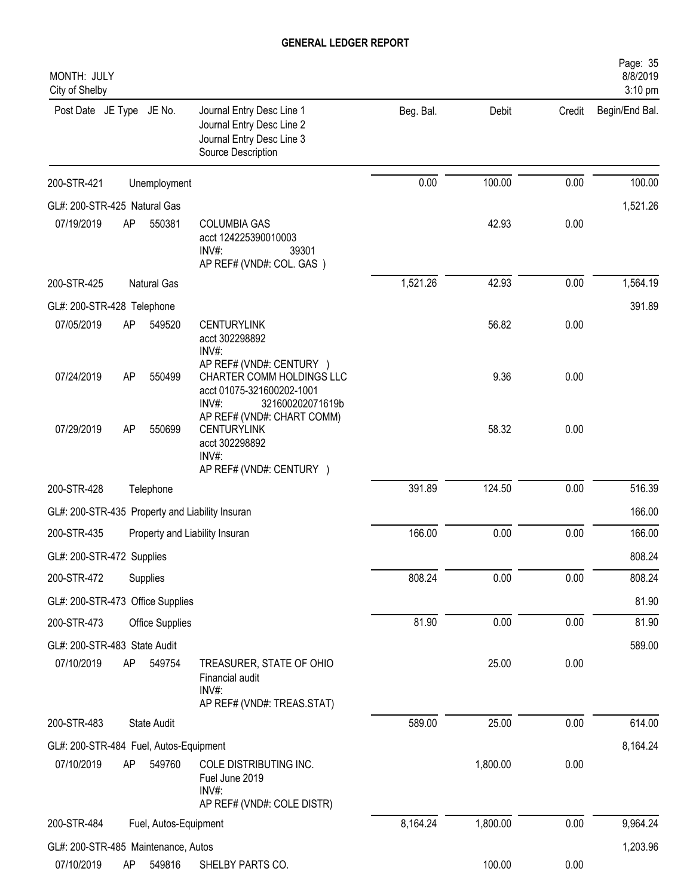| MONTH: JULY<br>City of Shelby                   |    |                       |                                                                                                                 |           |          |        | Page: 35<br>8/8/2019<br>3:10 pm |
|-------------------------------------------------|----|-----------------------|-----------------------------------------------------------------------------------------------------------------|-----------|----------|--------|---------------------------------|
| Post Date JE Type JE No.                        |    |                       | Journal Entry Desc Line 1<br>Journal Entry Desc Line 2<br>Journal Entry Desc Line 3<br>Source Description       | Beg. Bal. | Debit    | Credit | Begin/End Bal.                  |
| 200-STR-421                                     |    | Unemployment          |                                                                                                                 | 0.00      | 100.00   | 0.00   | 100.00                          |
| GL#: 200-STR-425 Natural Gas                    |    |                       |                                                                                                                 |           |          |        | 1,521.26                        |
| 07/19/2019                                      | AP | 550381                | <b>COLUMBIA GAS</b><br>acct 124225390010003<br>INV#:<br>39301<br>AP REF# (VND#: COL. GAS)                       |           | 42.93    | 0.00   |                                 |
| 200-STR-425                                     |    | Natural Gas           |                                                                                                                 | 1,521.26  | 42.93    | 0.00   | 1,564.19                        |
| GL#: 200-STR-428 Telephone                      |    |                       |                                                                                                                 |           |          |        | 391.89                          |
| 07/05/2019                                      | AP | 549520                | <b>CENTURYLINK</b><br>acct 302298892<br>INV#:                                                                   |           | 56.82    | 0.00   |                                 |
| 07/24/2019                                      | AP | 550499                | AP REF# (VND#: CENTURY )<br>CHARTER COMM HOLDINGS LLC<br>acct 01075-321600202-1001<br>INV#:<br>321600202071619b |           | 9.36     | 0.00   |                                 |
| 07/29/2019                                      | AP | 550699                | AP REF# (VND#: CHART COMM)<br><b>CENTURYLINK</b><br>acct 302298892<br>INV#:<br>AP REF# (VND#: CENTURY )         |           | 58.32    | 0.00   |                                 |
| 200-STR-428                                     |    | Telephone             |                                                                                                                 | 391.89    | 124.50   | 0.00   | 516.39                          |
| GL#: 200-STR-435 Property and Liability Insuran |    |                       |                                                                                                                 |           |          |        | 166.00                          |
| 200-STR-435                                     |    |                       | Property and Liability Insuran                                                                                  | 166.00    | 0.00     | 0.00   | 166.00                          |
| GL#: 200-STR-472 Supplies                       |    |                       |                                                                                                                 |           |          |        | 808.24                          |
| 200-STR-472                                     |    | Supplies              |                                                                                                                 | 808.24    | 0.00     | 0.00   | 808.24                          |
| GL#: 200-STR-473 Office Supplies                |    |                       |                                                                                                                 |           |          |        | 81.90                           |
| 200-STR-473                                     |    | Office Supplies       |                                                                                                                 | 81.90     | 0.00     | 0.00   | 81.90                           |
| GL#: 200-STR-483 State Audit                    |    |                       |                                                                                                                 |           |          |        | 589.00                          |
| 07/10/2019                                      | AP | 549754                | TREASURER, STATE OF OHIO<br>Financial audit<br>INV#:                                                            |           | 25.00    | 0.00   |                                 |
|                                                 |    |                       | AP REF# (VND#: TREAS.STAT)                                                                                      |           |          |        |                                 |
| 200-STR-483                                     |    | State Audit           |                                                                                                                 | 589.00    | 25.00    | 0.00   | 614.00                          |
| GL#: 200-STR-484 Fuel, Autos-Equipment          |    |                       |                                                                                                                 |           |          |        | 8,164.24                        |
| 07/10/2019                                      | AP | 549760                | COLE DISTRIBUTING INC.<br>Fuel June 2019<br>INV#:<br>AP REF# (VND#: COLE DISTR)                                 |           | 1,800.00 | 0.00   |                                 |
| 200-STR-484                                     |    | Fuel, Autos-Equipment |                                                                                                                 | 8,164.24  | 1,800.00 | 0.00   | 9,964.24                        |
| GL#: 200-STR-485 Maintenance, Autos             |    |                       |                                                                                                                 |           |          |        | 1,203.96                        |
| 07/10/2019                                      | AP | 549816                | SHELBY PARTS CO.                                                                                                |           | 100.00   | 0.00   |                                 |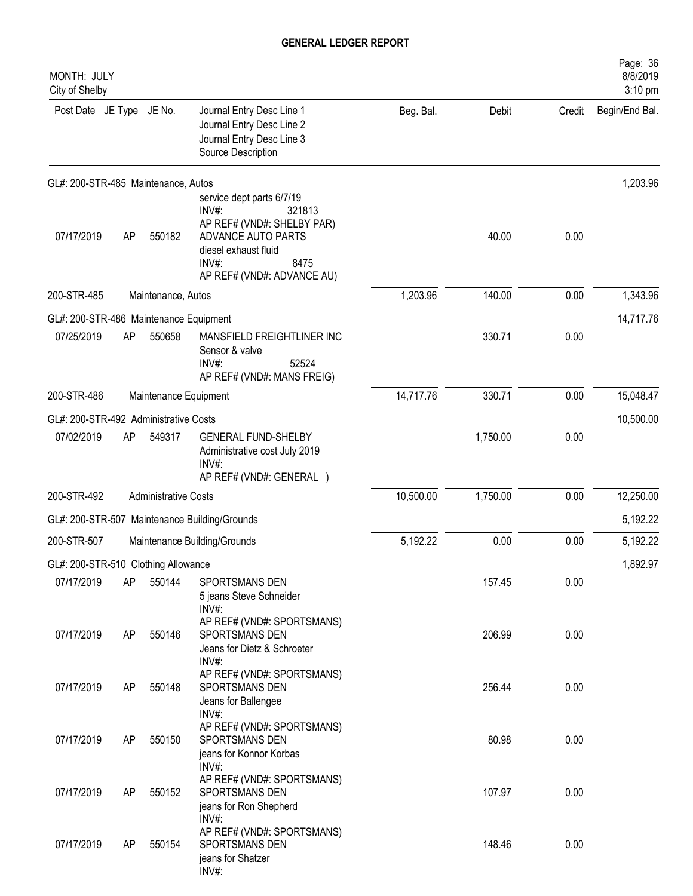| MONTH: JULY<br>City of Shelby          |    |                             |                                                                                                                                                                            |           |          |        | Page: 36<br>8/8/2019<br>3:10 pm |
|----------------------------------------|----|-----------------------------|----------------------------------------------------------------------------------------------------------------------------------------------------------------------------|-----------|----------|--------|---------------------------------|
| Post Date JE Type JE No.               |    |                             | Journal Entry Desc Line 1<br>Journal Entry Desc Line 2<br>Journal Entry Desc Line 3<br>Source Description                                                                  | Beg. Bal. | Debit    | Credit | Begin/End Bal.                  |
| GL#: 200-STR-485 Maintenance, Autos    |    |                             |                                                                                                                                                                            |           |          |        | 1,203.96                        |
| 07/17/2019                             | AP | 550182                      | service dept parts 6/7/19<br>$INV#$ :<br>321813<br>AP REF# (VND#: SHELBY PAR)<br>ADVANCE AUTO PARTS<br>diesel exhaust fluid<br>INV#:<br>8475<br>AP REF# (VND#: ADVANCE AU) |           | 40.00    | 0.00   |                                 |
| 200-STR-485                            |    | Maintenance, Autos          |                                                                                                                                                                            | 1,203.96  | 140.00   | 0.00   | 1,343.96                        |
| GL#: 200-STR-486 Maintenance Equipment |    |                             |                                                                                                                                                                            |           |          |        | 14,717.76                       |
| 07/25/2019                             | AP | 550658                      | MANSFIELD FREIGHTLINER INC<br>Sensor & valve<br>$INV#$ :<br>52524<br>AP REF# (VND#: MANS FREIG)                                                                            |           | 330.71   | 0.00   |                                 |
| 200-STR-486                            |    | Maintenance Equipment       |                                                                                                                                                                            | 14,717.76 | 330.71   | 0.00   | 15,048.47                       |
| GL#: 200-STR-492 Administrative Costs  |    |                             |                                                                                                                                                                            |           |          |        | 10,500.00                       |
| 07/02/2019                             | AP | 549317                      | <b>GENERAL FUND-SHELBY</b><br>Administrative cost July 2019<br>$INV#$ :<br>AP REF# (VND#: GENERAL )                                                                        |           | 1,750.00 | 0.00   |                                 |
| 200-STR-492                            |    | <b>Administrative Costs</b> |                                                                                                                                                                            | 10,500.00 | 1,750.00 | 0.00   | 12,250.00                       |
|                                        |    |                             | GL#: 200-STR-507 Maintenance Building/Grounds                                                                                                                              |           |          |        | 5,192.22                        |
| 200-STR-507                            |    |                             | Maintenance Building/Grounds                                                                                                                                               | 5,192.22  | 0.00     | 0.00   | 5,192.22                        |
| GL#: 200-STR-510 Clothing Allowance    |    |                             |                                                                                                                                                                            |           |          |        | 1,892.97                        |
| 07/17/2019                             | AP | 550144                      | SPORTSMANS DEN<br>5 jeans Steve Schneider<br>$INV#$ :                                                                                                                      |           | 157.45   | 0.00   |                                 |
| 07/17/2019                             | AP | 550146                      | AP REF# (VND#: SPORTSMANS)<br>SPORTSMANS DEN<br>Jeans for Dietz & Schroeter<br>INV#:                                                                                       |           | 206.99   | 0.00   |                                 |
| 07/17/2019                             | AP | 550148                      | AP REF# (VND#: SPORTSMANS)<br>SPORTSMANS DEN<br>Jeans for Ballengee                                                                                                        |           | 256.44   | 0.00   |                                 |
| 07/17/2019                             | AP | 550150                      | $INV#$ :<br>AP REF# (VND#: SPORTSMANS)<br>SPORTSMANS DEN<br>jeans for Konnor Korbas                                                                                        |           | 80.98    | 0.00   |                                 |
| 07/17/2019                             | AP | 550152                      | INV#:<br>AP REF# (VND#: SPORTSMANS)<br>SPORTSMANS DEN                                                                                                                      |           | 107.97   | 0.00   |                                 |
| 07/17/2019                             | AP | 550154                      | jeans for Ron Shepherd<br>$INV#$ :<br>AP REF# (VND#: SPORTSMANS)<br>SPORTSMANS DEN<br>jeans for Shatzer<br>INV#:                                                           |           | 148.46   | 0.00   |                                 |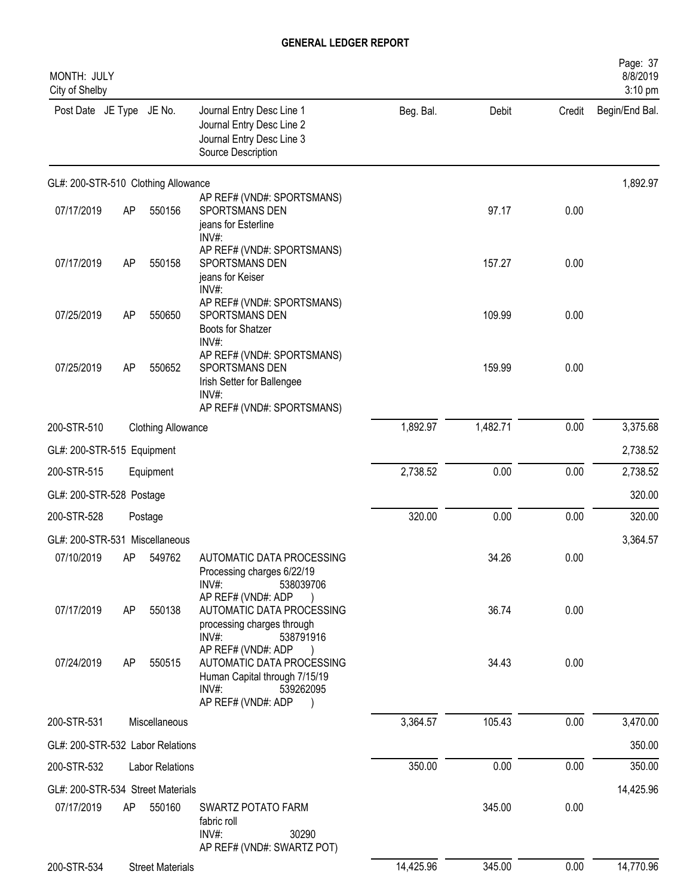| MONTH: JULY<br>City of Shelby       |    |                           |                                                                                                                                 |           |          |        | Page: 37<br>8/8/2019<br>3:10 pm |
|-------------------------------------|----|---------------------------|---------------------------------------------------------------------------------------------------------------------------------|-----------|----------|--------|---------------------------------|
| Post Date JE Type JE No.            |    |                           | Journal Entry Desc Line 1<br>Journal Entry Desc Line 2<br>Journal Entry Desc Line 3<br>Source Description                       | Beg. Bal. | Debit    | Credit | Begin/End Bal.                  |
| GL#: 200-STR-510 Clothing Allowance |    |                           |                                                                                                                                 |           |          |        | 1,892.97                        |
| 07/17/2019                          | AP | 550156                    | AP REF# (VND#: SPORTSMANS)<br>SPORTSMANS DEN<br>jeans for Esterline<br>INV#:                                                    |           | 97.17    | 0.00   |                                 |
| 07/17/2019                          | AP | 550158                    | AP REF# (VND#: SPORTSMANS)<br>SPORTSMANS DEN<br>jeans for Keiser<br>INV#:                                                       |           | 157.27   | 0.00   |                                 |
| 07/25/2019                          | AP | 550650                    | AP REF# (VND#: SPORTSMANS)<br>SPORTSMANS DEN<br>Boots for Shatzer<br>INV#:                                                      |           | 109.99   | 0.00   |                                 |
| 07/25/2019                          | AP | 550652                    | AP REF# (VND#: SPORTSMANS)<br>SPORTSMANS DEN<br>Irish Setter for Ballengee<br>INV#:<br>AP REF# (VND#: SPORTSMANS)               |           | 159.99   | 0.00   |                                 |
| 200-STR-510                         |    | <b>Clothing Allowance</b> |                                                                                                                                 | 1,892.97  | 1,482.71 | 0.00   | 3,375.68                        |
| GL#: 200-STR-515 Equipment          |    |                           |                                                                                                                                 |           |          |        | 2,738.52                        |
| 200-STR-515                         |    | Equipment                 |                                                                                                                                 | 2,738.52  | 0.00     | 0.00   | 2,738.52                        |
| GL#: 200-STR-528 Postage            |    |                           |                                                                                                                                 |           |          |        | 320.00                          |
| 200-STR-528                         |    | Postage                   |                                                                                                                                 | 320.00    | 0.00     | 0.00   | 320.00                          |
| GL#: 200-STR-531 Miscellaneous      |    |                           |                                                                                                                                 |           |          |        | 3,364.57                        |
| 07/10/2019                          | AΡ | 549762                    | AUTOMATIC DATA PROCESSING<br>Processing charges 6/22/19<br>$INV#$ :<br>538039706                                                |           | 34.26    | 0.00   |                                 |
| 07/17/2019                          | AP | 550138                    | AP REF# (VND#: ADP<br>AUTOMATIC DATA PROCESSING<br>processing charges through<br>INV#:<br>538791916                             |           | 36.74    | 0.00   |                                 |
| 07/24/2019                          | AP | 550515                    | AP REF# (VND#: ADP<br>AUTOMATIC DATA PROCESSING<br>Human Capital through 7/15/19<br>$INV#$ :<br>539262095<br>AP REF# (VND#: ADP |           | 34.43    | 0.00   |                                 |
| 200-STR-531                         |    | Miscellaneous             |                                                                                                                                 | 3,364.57  | 105.43   | 0.00   | 3,470.00                        |
| GL#: 200-STR-532 Labor Relations    |    |                           |                                                                                                                                 |           |          |        | 350.00                          |
| 200-STR-532                         |    | <b>Labor Relations</b>    |                                                                                                                                 | 350.00    | 0.00     | 0.00   | 350.00                          |
| GL#: 200-STR-534 Street Materials   |    |                           |                                                                                                                                 |           |          |        | 14,425.96                       |
| 07/17/2019                          | AP | 550160                    | SWARTZ POTATO FARM<br>fabric roll<br>INV#:<br>30290<br>AP REF# (VND#: SWARTZ POT)                                               |           | 345.00   | 0.00   |                                 |
| 200-STR-534                         |    | <b>Street Materials</b>   |                                                                                                                                 | 14,425.96 | 345.00   | 0.00   | 14,770.96                       |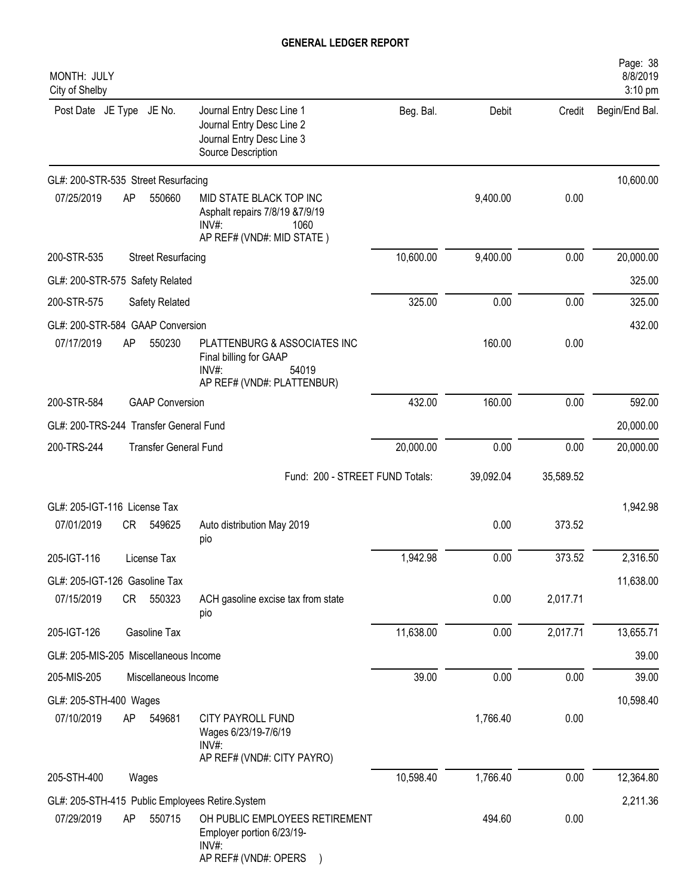| MONTH: JULY<br>City of Shelby              |    |                              |                                                                                                             |           |           |           | Page: 38<br>8/8/2019<br>3:10 pm |
|--------------------------------------------|----|------------------------------|-------------------------------------------------------------------------------------------------------------|-----------|-----------|-----------|---------------------------------|
| Post Date JE Type JE No.                   |    |                              | Journal Entry Desc Line 1<br>Journal Entry Desc Line 2<br>Journal Entry Desc Line 3<br>Source Description   | Beg. Bal. | Debit     | Credit    | Begin/End Bal.                  |
| GL#: 200-STR-535 Street Resurfacing        |    |                              |                                                                                                             |           |           |           | 10,600.00                       |
| 07/25/2019                                 | AP | 550660                       | MID STATE BLACK TOP INC<br>Asphalt repairs 7/8/19 & 7/9/19<br>$INV#$ :<br>1060<br>AP REF# (VND#: MID STATE) |           | 9,400.00  | 0.00      |                                 |
| 200-STR-535                                |    | <b>Street Resurfacing</b>    |                                                                                                             | 10,600.00 | 9,400.00  | 0.00      | 20,000.00                       |
| GL#: 200-STR-575 Safety Related            |    |                              |                                                                                                             |           |           |           | 325.00                          |
| 200-STR-575                                |    | Safety Related               |                                                                                                             | 325.00    | 0.00      | 0.00      | 325.00                          |
| GL#: 200-STR-584 GAAP Conversion           |    |                              |                                                                                                             |           |           |           | 432.00                          |
| 07/17/2019                                 | AP | 550230                       | PLATTENBURG & ASSOCIATES INC<br>Final billing for GAAP<br>$INV#$ :<br>54019<br>AP REF# (VND#: PLATTENBUR)   |           | 160.00    | 0.00      |                                 |
| 200-STR-584                                |    | <b>GAAP Conversion</b>       |                                                                                                             | 432.00    | 160.00    | 0.00      | 592.00                          |
| GL#: 200-TRS-244 Transfer General Fund     |    |                              |                                                                                                             |           |           |           | 20,000.00                       |
| 200-TRS-244                                |    | <b>Transfer General Fund</b> |                                                                                                             | 20,000.00 | 0.00      | 0.00      | 20,000.00                       |
|                                            |    |                              | Fund: 200 - STREET FUND Totals:                                                                             |           | 39,092.04 | 35,589.52 |                                 |
| GL#: 205-IGT-116 License Tax<br>07/01/2019 | CR | 549625                       | Auto distribution May 2019                                                                                  |           | 0.00      | 373.52    | 1,942.98                        |
|                                            |    |                              | pio                                                                                                         |           |           |           |                                 |
| 205-IGT-116                                |    | License Tax                  |                                                                                                             | 1,942.98  | 0.00      | 373.52    | 2,316.50                        |
| GL#: 205-IGT-126 Gasoline Tax              |    |                              |                                                                                                             |           |           |           | 11,638.00                       |
| 07/15/2019                                 |    | CR 550323                    | ACH gasoline excise tax from state<br>pio                                                                   |           | 0.00      | 2,017.71  |                                 |
| 205-IGT-126                                |    | Gasoline Tax                 |                                                                                                             | 11,638.00 | 0.00      | 2,017.71  | 13,655.71                       |
| GL#: 205-MIS-205 Miscellaneous Income      |    |                              |                                                                                                             |           |           |           | 39.00                           |
| 205-MIS-205                                |    | Miscellaneous Income         |                                                                                                             | 39.00     | 0.00      | 0.00      | 39.00                           |
| GL#: 205-STH-400 Wages                     |    |                              |                                                                                                             |           |           |           | 10,598.40                       |
| 07/10/2019                                 | AP | 549681                       | CITY PAYROLL FUND<br>Wages 6/23/19-7/6/19<br>INV#:<br>AP REF# (VND#: CITY PAYRO)                            |           | 1,766.40  | 0.00      |                                 |
| 205-STH-400                                |    | Wages                        |                                                                                                             | 10,598.40 | 1,766.40  | 0.00      | 12,364.80                       |
|                                            |    |                              | GL#: 205-STH-415 Public Employees Retire.System                                                             |           |           |           | 2,211.36                        |
| 07/29/2019                                 | AP | 550715                       | OH PUBLIC EMPLOYEES RETIREMENT<br>Employer portion 6/23/19-<br>INV#:<br>AP REF# (VND#: OPERS                |           | 494.60    | 0.00      |                                 |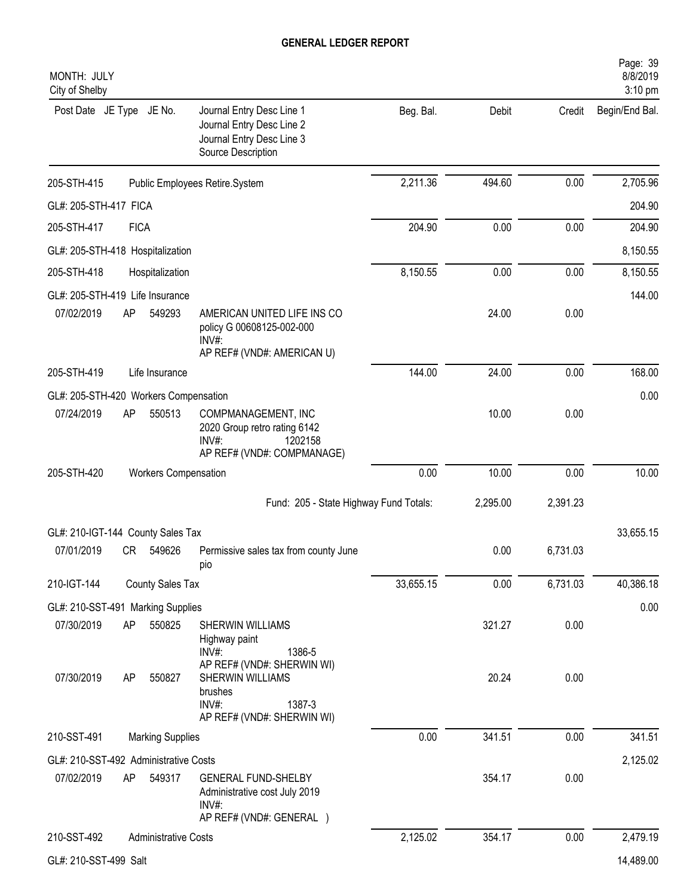| MONTH: JULY<br>City of Shelby         |             |                             |                                                                                                                                      |           |                 |              | Page: 39<br>8/8/2019<br>3:10 pm |
|---------------------------------------|-------------|-----------------------------|--------------------------------------------------------------------------------------------------------------------------------------|-----------|-----------------|--------------|---------------------------------|
| Post Date JE Type JE No.              |             |                             | Journal Entry Desc Line 1<br>Journal Entry Desc Line 2<br>Journal Entry Desc Line 3<br>Source Description                            | Beg. Bal. | Debit           | Credit       | Begin/End Bal.                  |
| 205-STH-415                           |             |                             | Public Employees Retire.System                                                                                                       | 2,211.36  | 494.60          | 0.00         | 2,705.96                        |
| GL#: 205-STH-417 FICA                 |             |                             |                                                                                                                                      |           |                 |              | 204.90                          |
| 205-STH-417                           | <b>FICA</b> |                             |                                                                                                                                      | 204.90    | 0.00            | 0.00         | 204.90                          |
| GL#: 205-STH-418 Hospitalization      |             |                             |                                                                                                                                      |           |                 |              | 8,150.55                        |
| 205-STH-418                           |             | Hospitalization             |                                                                                                                                      | 8,150.55  | 0.00            | 0.00         | 8,150.55                        |
| GL#: 205-STH-419 Life Insurance       |             |                             |                                                                                                                                      |           |                 |              | 144.00                          |
| 07/02/2019                            | AP          | 549293                      | AMERICAN UNITED LIFE INS CO<br>policy G 00608125-002-000<br>$INV#$ :                                                                 |           | 24.00           | 0.00         |                                 |
| 205-STH-419                           |             | Life Insurance              | AP REF# (VND#: AMERICAN U)                                                                                                           | 144.00    | 24.00           | 0.00         | 168.00                          |
| GL#: 205-STH-420 Workers Compensation |             |                             |                                                                                                                                      |           |                 |              | 0.00                            |
| 07/24/2019                            | AP          | 550513                      | COMPMANAGEMENT, INC<br>2020 Group retro rating 6142<br>INV#:<br>1202158<br>AP REF# (VND#: COMPMANAGE)                                |           | 10.00           | 0.00         |                                 |
| 205-STH-420                           |             | <b>Workers Compensation</b> |                                                                                                                                      | 0.00      | 10.00           | 0.00         | 10.00                           |
|                                       |             |                             | Fund: 205 - State Highway Fund Totals:                                                                                               |           | 2,295.00        | 2,391.23     |                                 |
| GL#: 210-IGT-144 County Sales Tax     |             |                             |                                                                                                                                      |           |                 |              | 33,655.15                       |
| 07/01/2019                            | CR          | 549626                      | Permissive sales tax from county June<br>pio                                                                                         |           | 0.00            | 6,731.03     |                                 |
| 210-IGT-144                           |             | County Sales Tax            |                                                                                                                                      | 33,655.15 | 0.00            | 6,731.03     | 40,386.18                       |
| GL#: 210-SST-491 Marking Supplies     |             |                             |                                                                                                                                      |           |                 |              | 0.00                            |
| 07/30/2019<br>07/30/2019              | AP<br>AP    | 550825<br>550827            | SHERWIN WILLIAMS<br>Highway paint<br>INV#:<br>1386-5<br>AP REF# (VND#: SHERWIN WI)<br>SHERWIN WILLIAMS<br>brushes<br>INV#:<br>1387-3 |           | 321.27<br>20.24 | 0.00<br>0.00 |                                 |
| 210-SST-491                           |             | <b>Marking Supplies</b>     | AP REF# (VND#: SHERWIN WI)                                                                                                           | 0.00      | 341.51          | 0.00         | 341.51                          |
| GL#: 210-SST-492 Administrative Costs |             |                             |                                                                                                                                      |           |                 |              | 2,125.02                        |
| 07/02/2019                            | AP          | 549317                      | <b>GENERAL FUND-SHELBY</b><br>Administrative cost July 2019<br>INV#:<br>AP REF# (VND#: GENERAL )                                     |           | 354.17          | 0.00         |                                 |
| 210-SST-492                           |             | <b>Administrative Costs</b> |                                                                                                                                      | 2,125.02  | 354.17          | 0.00         | 2,479.19                        |
| GL#: 210-SST-499 Salt                 |             |                             |                                                                                                                                      |           |                 |              | 14,489.00                       |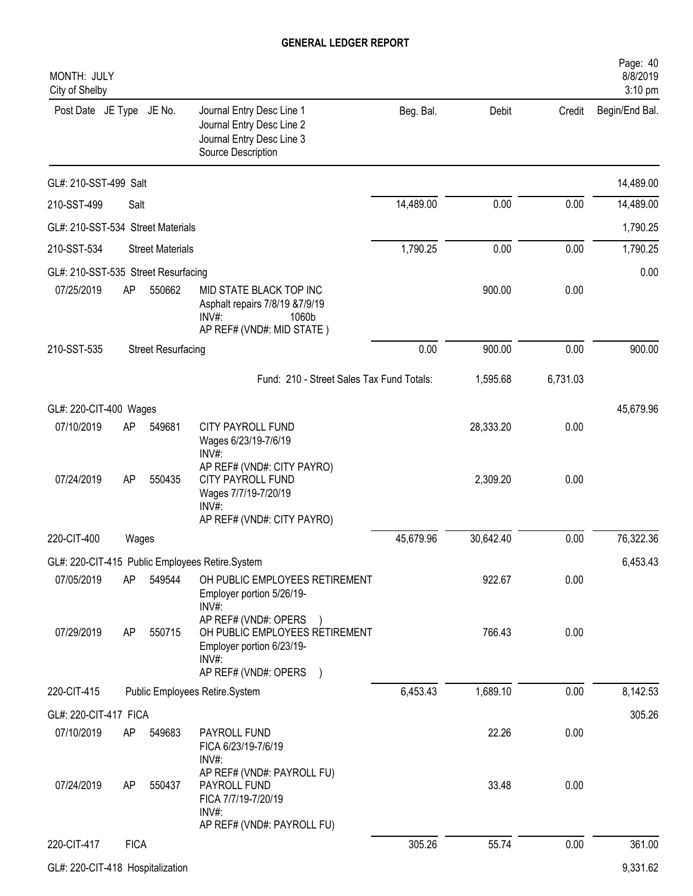| MONTH: JULY<br>City of Shelby       |             |                           |                                                                                                                        |           |           |          | Page: 40<br>8/8/2019<br>3:10 pm |
|-------------------------------------|-------------|---------------------------|------------------------------------------------------------------------------------------------------------------------|-----------|-----------|----------|---------------------------------|
| Post Date JE Type JE No.            |             |                           | Journal Entry Desc Line 1<br>Journal Entry Desc Line 2<br>Journal Entry Desc Line 3<br>Source Description              | Beg. Bal. | Debit     | Credit   | Begin/End Bal.                  |
| GL#: 210-SST-499 Salt               |             |                           |                                                                                                                        |           |           |          | 14,489.00                       |
| 210-SST-499                         | Salt        |                           |                                                                                                                        | 14,489.00 | 0.00      | 0.00     | 14,489.00                       |
| GL#: 210-SST-534 Street Materials   |             |                           |                                                                                                                        |           |           |          | 1,790.25                        |
| 210-SST-534                         |             | <b>Street Materials</b>   |                                                                                                                        | 1,790.25  | 0.00      | 0.00     | 1,790.25                        |
| GL#: 210-SST-535 Street Resurfacing |             |                           |                                                                                                                        |           |           |          | 0.00                            |
| 07/25/2019                          | AP          | 550662                    | MID STATE BLACK TOP INC<br>Asphalt repairs 7/8/19 & 7/9/19<br>1060b<br>INV#:<br>AP REF# (VND#: MID STATE)              |           | 900.00    | 0.00     |                                 |
| 210-SST-535                         |             | <b>Street Resurfacing</b> |                                                                                                                        | 0.00      | 900.00    | 0.00     | 900.00                          |
|                                     |             |                           | Fund: 210 - Street Sales Tax Fund Totals:                                                                              |           | 1,595.68  | 6,731.03 |                                 |
| GL#: 220-CIT-400 Wages              |             |                           |                                                                                                                        |           |           |          | 45,679.96                       |
| 07/10/2019                          | AP          | 549681                    | CITY PAYROLL FUND<br>Wages 6/23/19-7/6/19<br>$INV#$ :                                                                  |           | 28,333.20 | 0.00     |                                 |
| 07/24/2019                          | AP          | 550435                    | AP REF# (VND#: CITY PAYRO)<br>CITY PAYROLL FUND<br>Wages 7/7/19-7/20/19<br>INV#:<br>AP REF# (VND#: CITY PAYRO)         |           | 2,309.20  | 0.00     |                                 |
| 220-CIT-400                         | Wages       |                           |                                                                                                                        | 45,679.96 | 30,642.40 | 0.00     | 76,322.36                       |
|                                     |             |                           | GL#: 220-CIT-415 Public Employees Retire.System                                                                        |           |           |          | 6,453.43                        |
| 07/05/2019                          | AP.         | 549544                    | OH PUBLIC EMPLOYEES RETIREMENT<br>Employer portion 5/26/19-<br>INV#:                                                   |           | 922.67    | 0.00     |                                 |
| 07/29/2019                          | AP          | 550715                    | AP REF# (VND#: OPERS<br>OH PUBLIC EMPLOYEES RETIREMENT<br>Employer portion 6/23/19-<br>INV#:<br>AP REF# (VND#: OPERS ) |           | 766.43    | 0.00     |                                 |
| 220-CIT-415                         |             |                           | Public Employees Retire.System                                                                                         | 6,453.43  | 1,689.10  | 0.00     | 8,142.53                        |
| GL#: 220-CIT-417 FICA               |             |                           |                                                                                                                        |           |           |          | 305.26                          |
| 07/10/2019                          | AP          | 549683                    | PAYROLL FUND<br>FICA 6/23/19-7/6/19<br>INV#:                                                                           |           | 22.26     | 0.00     |                                 |
| 07/24/2019                          | AP          | 550437                    | AP REF# (VND#: PAYROLL FU)<br>PAYROLL FUND<br>FICA 7/7/19-7/20/19<br>$INV#$ :<br>AP REF# (VND#: PAYROLL FU)            |           | 33.48     | 0.00     |                                 |
| 220-CIT-417                         | <b>FICA</b> |                           |                                                                                                                        | 305.26    | 55.74     | 0.00     | 361.00                          |
| GL#: 220-CIT-418 Hospitalization    |             |                           |                                                                                                                        |           |           |          | 9,331.62                        |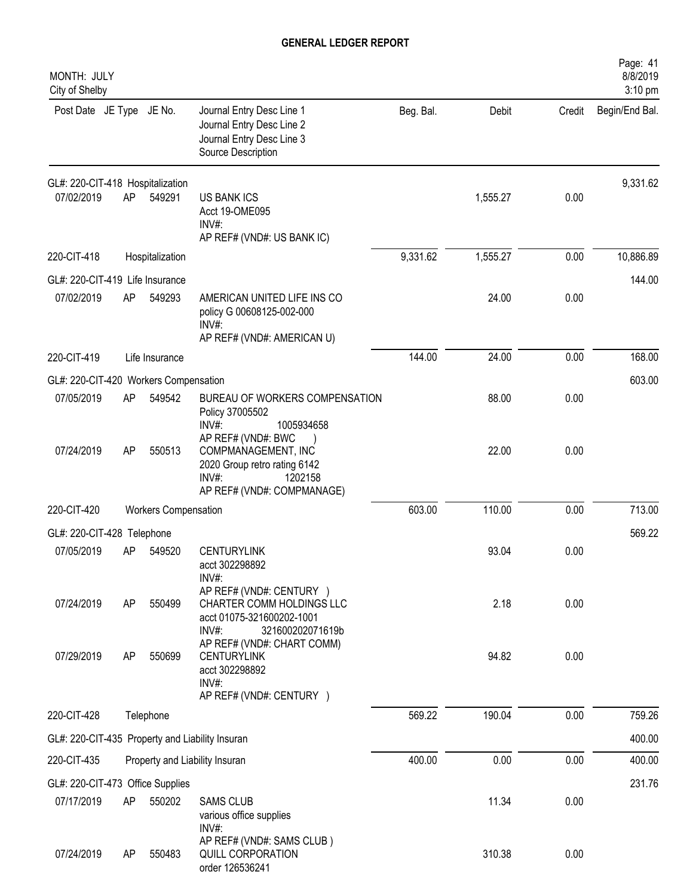| MONTH: JULY<br>City of Shelby                   |    |                             |                                                                                                                                               |           |          |        | Page: 41<br>8/8/2019<br>3:10 pm |
|-------------------------------------------------|----|-----------------------------|-----------------------------------------------------------------------------------------------------------------------------------------------|-----------|----------|--------|---------------------------------|
| Post Date JE Type JE No.                        |    |                             | Journal Entry Desc Line 1<br>Journal Entry Desc Line 2<br>Journal Entry Desc Line 3<br>Source Description                                     | Beg. Bal. | Debit    | Credit | Begin/End Bal.                  |
| GL#: 220-CIT-418 Hospitalization                |    |                             |                                                                                                                                               |           |          |        | 9,331.62                        |
| 07/02/2019                                      | AP | 549291                      | <b>US BANK ICS</b><br>Acct 19-OME095<br>$INV#$ :<br>AP REF# (VND#: US BANK IC)                                                                |           | 1,555.27 | 0.00   |                                 |
| 220-CIT-418                                     |    | Hospitalization             |                                                                                                                                               | 9,331.62  | 1,555.27 | 0.00   | 10,886.89                       |
| GL#: 220-CIT-419 Life Insurance                 |    |                             |                                                                                                                                               |           |          |        | 144.00                          |
| 07/02/2019                                      | AP | 549293                      | AMERICAN UNITED LIFE INS CO<br>policy G 00608125-002-000<br>INV#:                                                                             |           | 24.00    | 0.00   |                                 |
| 220-CIT-419                                     |    | Life Insurance              | AP REF# (VND#: AMERICAN U)                                                                                                                    | 144.00    | 24.00    | 0.00   | 168.00                          |
| GL#: 220-CIT-420 Workers Compensation           |    |                             |                                                                                                                                               |           |          |        | 603.00                          |
| 07/05/2019                                      | AP | 549542                      | BUREAU OF WORKERS COMPENSATION<br>Policy 37005502<br>INV#:<br>1005934658                                                                      |           | 88.00    | 0.00   |                                 |
| 07/24/2019                                      | AP | 550513                      | AP REF# (VND#: BWC<br>COMPMANAGEMENT, INC<br>2020 Group retro rating 6142<br>1202158<br>$INV#$ :<br>AP REF# (VND#: COMPMANAGE)                |           | 22.00    | 0.00   |                                 |
| 220-CIT-420                                     |    | <b>Workers Compensation</b> |                                                                                                                                               | 603.00    | 110.00   | 0.00   | 713.00                          |
| GL#: 220-CIT-428 Telephone                      |    |                             |                                                                                                                                               |           |          |        | 569.22                          |
| 07/05/2019                                      | AP | 549520                      | <b>CENTURYLINK</b><br>acct 302298892<br>INV#                                                                                                  |           | 93.04    | 0.00   |                                 |
| 07/24/2019                                      | AP | 550499                      | AP REF# (VND#: CENTURY )<br>CHARTER COMM HOLDINGS LLC<br>acct 01075-321600202-1001<br>INV#:<br>321600202071619b<br>AP REF# (VND#: CHART COMM) |           | 2.18     | 0.00   |                                 |
| 07/29/2019                                      | AP | 550699                      | <b>CENTURYLINK</b><br>acct 302298892<br>$INV#$ :<br>AP REF# (VND#: CENTURY )                                                                  |           | 94.82    | 0.00   |                                 |
| 220-CIT-428                                     |    | Telephone                   |                                                                                                                                               | 569.22    | 190.04   | 0.00   | 759.26                          |
| GL#: 220-CIT-435 Property and Liability Insuran |    |                             |                                                                                                                                               |           |          |        | 400.00                          |
| 220-CIT-435                                     |    |                             | Property and Liability Insuran                                                                                                                | 400.00    | 0.00     | 0.00   | 400.00                          |
| GL#: 220-CIT-473 Office Supplies                |    |                             |                                                                                                                                               |           |          |        | 231.76                          |
| 07/17/2019                                      | AP | 550202                      | <b>SAMS CLUB</b><br>various office supplies<br>$INV#$ :                                                                                       |           | 11.34    | 0.00   |                                 |
| 07/24/2019                                      | AP | 550483                      | AP REF# (VND#: SAMS CLUB)<br>QUILL CORPORATION<br>order 126536241                                                                             |           | 310.38   | 0.00   |                                 |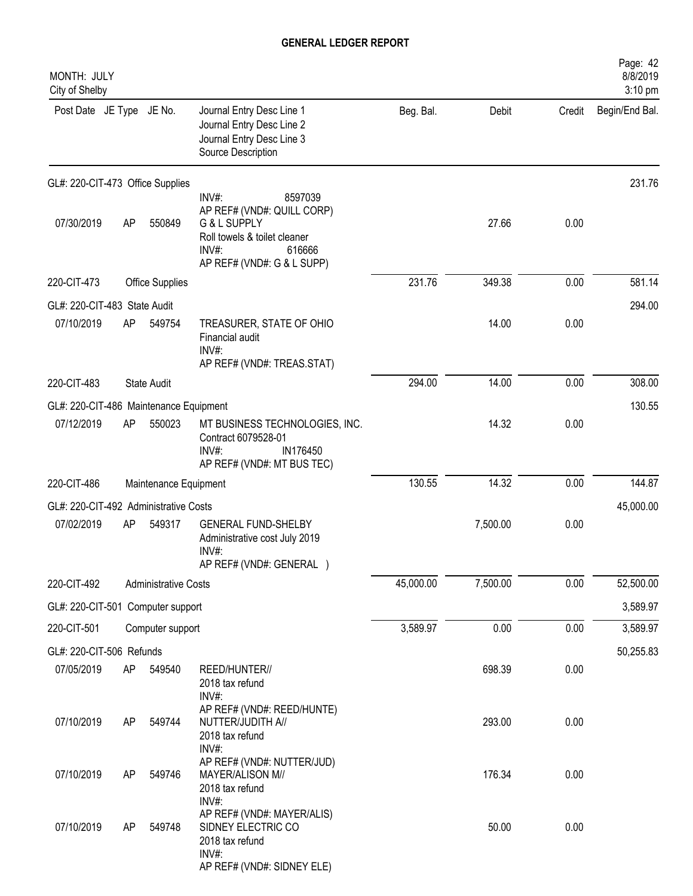| MONTH: JULY<br>City of Shelby          |    |                             |                                                                                                                                                    |           |          |        | Page: 42<br>8/8/2019<br>3:10 pm |
|----------------------------------------|----|-----------------------------|----------------------------------------------------------------------------------------------------------------------------------------------------|-----------|----------|--------|---------------------------------|
| Post Date JE Type JE No.               |    |                             | Journal Entry Desc Line 1<br>Journal Entry Desc Line 2<br>Journal Entry Desc Line 3<br>Source Description                                          | Beg. Bal. | Debit    | Credit | Begin/End Bal.                  |
| GL#: 220-CIT-473 Office Supplies       |    |                             |                                                                                                                                                    |           |          |        | 231.76                          |
| 07/30/2019                             | AP | 550849                      | 8597039<br>$INV#$ :<br>AP REF# (VND#: QUILL CORP)<br>G & L SUPPLY<br>Roll towels & toilet cleaner<br>INV#:<br>616666<br>AP REF# (VND#: G & L SUPP) |           | 27.66    | 0.00   |                                 |
| 220-CIT-473                            |    | Office Supplies             |                                                                                                                                                    | 231.76    | 349.38   | 0.00   | 581.14                          |
| GL#: 220-CIT-483 State Audit           |    |                             |                                                                                                                                                    |           |          |        | 294.00                          |
| 07/10/2019                             | AP | 549754                      | TREASURER, STATE OF OHIO<br>Financial audit<br>INV#:<br>AP REF# (VND#: TREAS.STAT)                                                                 |           | 14.00    | 0.00   |                                 |
| 220-CIT-483                            |    | <b>State Audit</b>          |                                                                                                                                                    | 294.00    | 14.00    | 0.00   | 308.00                          |
| GL#: 220-CIT-486 Maintenance Equipment |    |                             |                                                                                                                                                    |           |          |        | 130.55                          |
| 07/12/2019                             | AP | 550023                      | MT BUSINESS TECHNOLOGIES, INC.<br>Contract 6079528-01<br>$INV#$ :<br>IN176450<br>AP REF# (VND#: MT BUS TEC)                                        |           | 14.32    | 0.00   |                                 |
| 220-CIT-486                            |    | Maintenance Equipment       |                                                                                                                                                    | 130.55    | 14.32    | 0.00   | 144.87                          |
| GL#: 220-CIT-492 Administrative Costs  |    |                             |                                                                                                                                                    |           |          |        | 45,000.00                       |
| 07/02/2019                             | AP | 549317                      | <b>GENERAL FUND-SHELBY</b><br>Administrative cost July 2019<br>$INV#$ :<br>AP REF# (VND#: GENERAL )                                                |           | 7,500.00 | 0.00   |                                 |
| 220-CIT-492                            |    | <b>Administrative Costs</b> |                                                                                                                                                    | 45,000.00 | 7,500.00 | 0.00   | 52,500.00                       |
| GL#: 220-CIT-501 Computer support      |    |                             |                                                                                                                                                    |           |          |        | 3,589.97                        |
| 220-CIT-501                            |    | Computer support            |                                                                                                                                                    | 3,589.97  | 0.00     | 0.00   | 3,589.97                        |
| GL#: 220-CIT-506 Refunds               |    |                             |                                                                                                                                                    |           |          |        | 50,255.83                       |
| 07/05/2019                             | AP | 549540                      | REED/HUNTER//<br>2018 tax refund<br>INV#:                                                                                                          |           | 698.39   | 0.00   |                                 |
| 07/10/2019                             | AP | 549744                      | AP REF# (VND#: REED/HUNTE)<br>NUTTER/JUDITH A//<br>2018 tax refund<br>INV#:                                                                        |           | 293.00   | 0.00   |                                 |
| 07/10/2019                             | AP | 549746                      | AP REF# (VND#: NUTTER/JUD)<br>MAYER/ALISON M//<br>2018 tax refund<br>INV#:                                                                         |           | 176.34   | 0.00   |                                 |
| 07/10/2019                             | AP | 549748                      | AP REF# (VND#: MAYER/ALIS)<br>SIDNEY ELECTRIC CO<br>2018 tax refund<br>INV#:<br>AP REF# (VND#: SIDNEY ELE)                                         |           | 50.00    | 0.00   |                                 |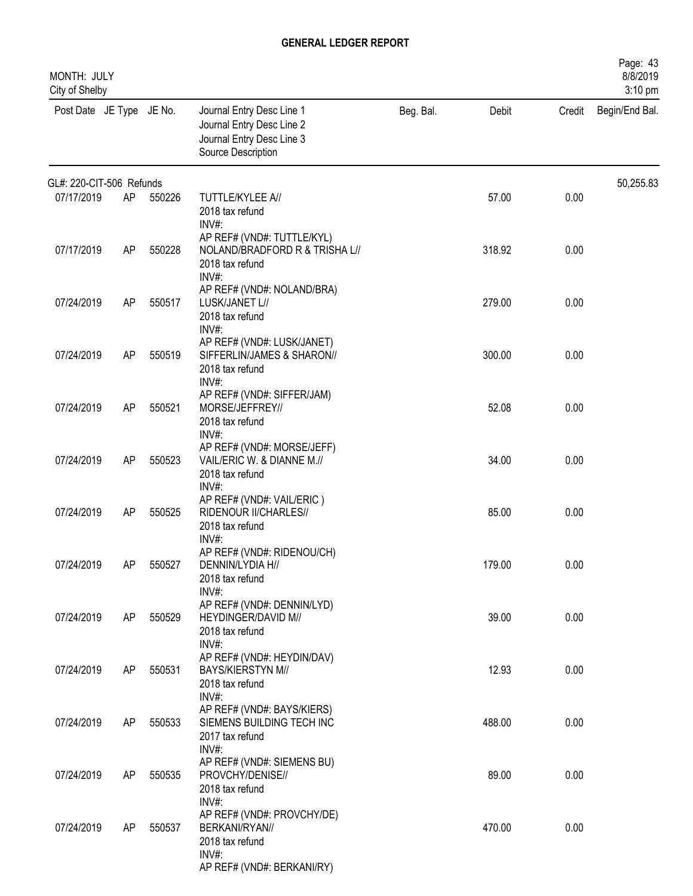| MONTH: JULY<br>City of Shelby |    |        |                                                                                                                 |           |        |        | Page: 43<br>8/8/2019<br>3:10 pm |
|-------------------------------|----|--------|-----------------------------------------------------------------------------------------------------------------|-----------|--------|--------|---------------------------------|
| Post Date JE Type JE No.      |    |        | Journal Entry Desc Line 1<br>Journal Entry Desc Line 2<br>Journal Entry Desc Line 3<br>Source Description       | Beg. Bal. | Debit  | Credit | Begin/End Bal.                  |
| GL#: 220-CIT-506 Refunds      |    |        |                                                                                                                 |           |        |        | 50,255.83                       |
| 07/17/2019                    | AP | 550226 | TUTTLE/KYLEE A//<br>2018 tax refund<br>INV#:                                                                    |           | 57.00  | 0.00   |                                 |
| 07/17/2019                    | AP | 550228 | AP REF# (VND#: TUTTLE/KYL)<br>NOLAND/BRADFORD R & TRISHA L//<br>2018 tax refund<br>INV#:                        |           | 318.92 | 0.00   |                                 |
| 07/24/2019                    | AP | 550517 | AP REF# (VND#: NOLAND/BRA)<br>LUSK/JANET L//<br>2018 tax refund<br>$INV#$ :                                     |           | 279.00 | 0.00   |                                 |
| 07/24/2019                    | AP | 550519 | AP REF# (VND#: LUSK/JANET)<br>SIFFERLIN/JAMES & SHARON//<br>2018 tax refund<br>$INV#$ :                         |           | 300.00 | 0.00   |                                 |
| 07/24/2019                    | AP | 550521 | AP REF# (VND#: SIFFER/JAM)<br>MORSE/JEFFREY//<br>2018 tax refund                                                |           | 52.08  | 0.00   |                                 |
| 07/24/2019                    | AP | 550523 | INV#:<br>AP REF# (VND#: MORSE/JEFF)<br>VAIL/ERIC W. & DIANNE M.//<br>2018 tax refund                            |           | 34.00  | 0.00   |                                 |
| 07/24/2019                    | AP | 550525 | INV#:<br>AP REF# (VND#: VAIL/ERIC)<br>RIDENOUR II/CHARLES//<br>2018 tax refund                                  |           | 85.00  | 0.00   |                                 |
| 07/24/2019                    | AP | 550527 | $INV#$ :<br>AP REF# (VND#: RIDENOU/CH)<br>DENNIN/LYDIA H//<br>2018 tax refund                                   |           | 179.00 | 0.00   |                                 |
| 07/24/2019                    | AP | 550529 | INV#:<br>AP REF# (VND#: DENNIN/LYD)<br>HEYDINGER/DAVID M//<br>2018 tax refund                                   |           | 39.00  | 0.00   |                                 |
| 07/24/2019                    | AP | 550531 | INV#:<br>AP REF# (VND#: HEYDIN/DAV)<br><b>BAYS/KIERSTYN M//</b><br>2018 tax refund                              |           | 12.93  | 0.00   |                                 |
| 07/24/2019                    | AP | 550533 | INV#:<br>AP REF# (VND#: BAYS/KIERS)<br>SIEMENS BUILDING TECH INC<br>2017 tax refund                             |           | 488.00 | 0.00   |                                 |
| 07/24/2019                    | AP | 550535 | $INV#$ :<br>AP REF# (VND#: SIEMENS BU)<br>PROVCHY/DENISE//<br>2018 tax refund                                   |           | 89.00  | 0.00   |                                 |
| 07/24/2019                    | AP | 550537 | INV#:<br>AP REF# (VND#: PROVCHY/DE)<br>BERKANI/RYAN//<br>2018 tax refund<br>INV#:<br>AP REF# (VND#: BERKANI/RY) |           | 470.00 | 0.00   |                                 |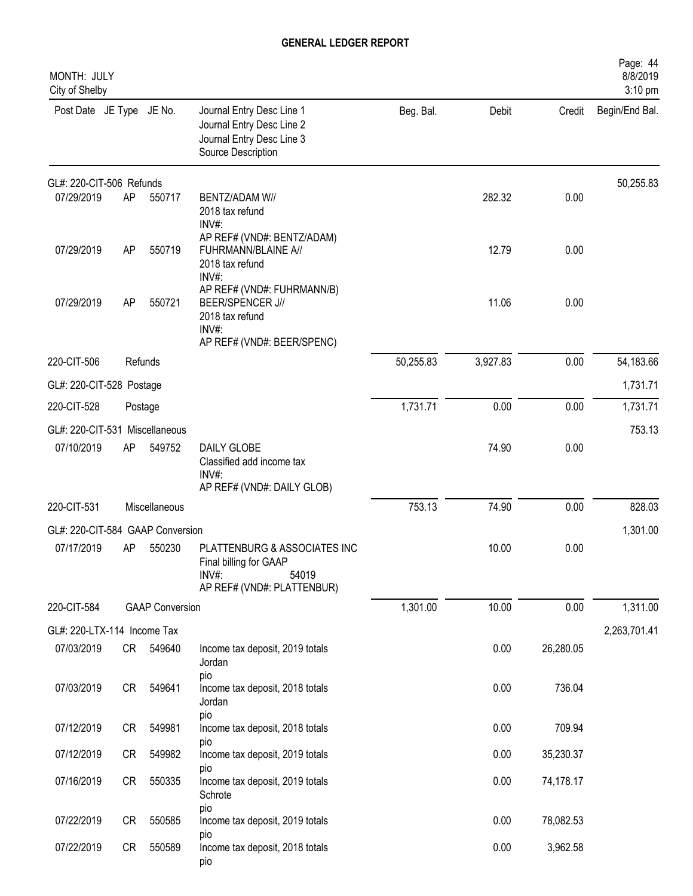| MONTH: JULY<br>City of Shelby    |    |                        |                                                                                                                    |           |          |           | Page: 44<br>8/8/2019<br>3:10 pm |
|----------------------------------|----|------------------------|--------------------------------------------------------------------------------------------------------------------|-----------|----------|-----------|---------------------------------|
| Post Date JE Type JE No.         |    |                        | Journal Entry Desc Line 1<br>Journal Entry Desc Line 2<br>Journal Entry Desc Line 3<br>Source Description          | Beg. Bal. | Debit    | Credit    | Begin/End Bal.                  |
| GL#: 220-CIT-506 Refunds         |    |                        |                                                                                                                    |           |          |           | 50,255.83                       |
| 07/29/2019                       | AP | 550717                 | <b>BENTZ/ADAM W//</b><br>2018 tax refund<br>$INV#$ :                                                               |           | 282.32   | 0.00      |                                 |
| 07/29/2019                       | AP | 550719                 | AP REF# (VND#: BENTZ/ADAM)<br>FUHRMANN/BLAINE A//<br>2018 tax refund<br>INV#:                                      |           | 12.79    | 0.00      |                                 |
| 07/29/2019                       | AP | 550721                 | AP REF# (VND#: FUHRMANN/B)<br><b>BEER/SPENCER J//</b><br>2018 tax refund<br>$INV#$ :<br>AP REF# (VND#: BEER/SPENC) |           | 11.06    | 0.00      |                                 |
| 220-CIT-506                      |    | Refunds                |                                                                                                                    | 50,255.83 | 3,927.83 | 0.00      | 54,183.66                       |
| GL#: 220-CIT-528 Postage         |    |                        |                                                                                                                    |           |          |           | 1,731.71                        |
| 220-CIT-528                      |    | Postage                |                                                                                                                    | 1,731.71  | 0.00     | 0.00      | 1,731.71                        |
| GL#: 220-CIT-531 Miscellaneous   |    |                        |                                                                                                                    |           |          |           | 753.13                          |
| 07/10/2019                       | AP | 549752                 | DAILY GLOBE<br>Classified add income tax<br>INV#:<br>AP REF# (VND#: DAILY GLOB)                                    |           | 74.90    | 0.00      |                                 |
| 220-CIT-531                      |    | Miscellaneous          |                                                                                                                    | 753.13    | 74.90    | 0.00      | 828.03                          |
| GL#: 220-CIT-584 GAAP Conversion |    |                        |                                                                                                                    |           |          |           | 1,301.00                        |
| 07/17/2019                       | AP | 550230                 | PLATTENBURG & ASSOCIATES INC<br>Final billing for GAAP<br>54019<br>$INV#$ :<br>AP REF# (VND#: PLATTENBUR)          |           | 10.00    | 0.00      |                                 |
| 220-CIT-584                      |    | <b>GAAP Conversion</b> |                                                                                                                    | 1,301.00  | 10.00    | 0.00      | 1,311.00                        |
| GL#: 220-LTX-114 Income Tax      |    |                        |                                                                                                                    |           |          |           | 2,263,701.41                    |
| 07/03/2019                       | CR | 549640                 | Income tax deposit, 2019 totals<br>Jordan<br>pio                                                                   |           | 0.00     | 26,280.05 |                                 |
| 07/03/2019                       | CR | 549641                 | Income tax deposit, 2018 totals<br>Jordan<br>pio                                                                   |           | 0.00     | 736.04    |                                 |
| 07/12/2019                       | CR | 549981                 | Income tax deposit, 2018 totals                                                                                    |           | 0.00     | 709.94    |                                 |
| 07/12/2019                       | CR | 549982                 | pio<br>Income tax deposit, 2019 totals                                                                             |           | 0.00     | 35,230.37 |                                 |
| 07/16/2019                       | CR | 550335                 | pio<br>Income tax deposit, 2019 totals<br>Schrote                                                                  |           | 0.00     | 74,178.17 |                                 |
| 07/22/2019                       | CR | 550585                 | pio<br>Income tax deposit, 2019 totals                                                                             |           | 0.00     | 78,082.53 |                                 |
| 07/22/2019                       | CR | 550589                 | pio<br>Income tax deposit, 2018 totals<br>pio                                                                      |           | 0.00     | 3,962.58  |                                 |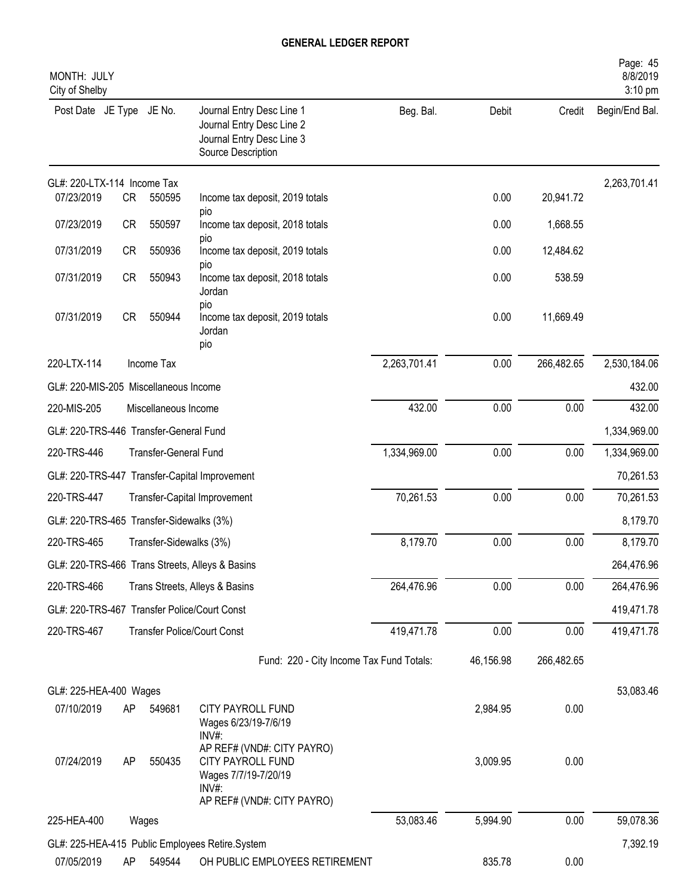| MONTH: JULY<br>City of Shelby            |           |                              |                                                                                                                |              |           |            | Page: 45<br>8/8/2019<br>3:10 pm |
|------------------------------------------|-----------|------------------------------|----------------------------------------------------------------------------------------------------------------|--------------|-----------|------------|---------------------------------|
| Post Date JE Type JE No.                 |           |                              | Journal Entry Desc Line 1<br>Journal Entry Desc Line 2<br>Journal Entry Desc Line 3<br>Source Description      | Beg. Bal.    | Debit     | Credit     | Begin/End Bal.                  |
| GL#: 220-LTX-114 Income Tax              |           |                              |                                                                                                                |              |           |            | 2,263,701.41                    |
| 07/23/2019                               | <b>CR</b> | 550595                       | Income tax deposit, 2019 totals                                                                                |              | 0.00      | 20,941.72  |                                 |
| 07/23/2019                               | <b>CR</b> | 550597                       | pio<br>Income tax deposit, 2018 totals                                                                         |              | 0.00      | 1,668.55   |                                 |
| 07/31/2019                               | <b>CR</b> | 550936                       | pio<br>Income tax deposit, 2019 totals                                                                         |              | 0.00      | 12,484.62  |                                 |
| 07/31/2019                               | <b>CR</b> | 550943                       | pio<br>Income tax deposit, 2018 totals<br>Jordan                                                               |              | 0.00      | 538.59     |                                 |
| 07/31/2019                               | <b>CR</b> | 550944                       | pio<br>Income tax deposit, 2019 totals<br>Jordan<br>pio                                                        |              | 0.00      | 11,669.49  |                                 |
| 220-LTX-114                              |           | Income Tax                   |                                                                                                                | 2,263,701.41 | 0.00      | 266,482.65 | 2,530,184.06                    |
| GL#: 220-MIS-205 Miscellaneous Income    |           |                              |                                                                                                                |              |           |            | 432.00                          |
| 220-MIS-205                              |           | Miscellaneous Income         |                                                                                                                | 432.00       | 0.00      | 0.00       | 432.00                          |
| GL#: 220-TRS-446 Transfer-General Fund   |           |                              |                                                                                                                |              |           |            | 1,334,969.00                    |
| 220-TRS-446                              |           | <b>Transfer-General Fund</b> |                                                                                                                | 1,334,969.00 | 0.00      | 0.00       | 1,334,969.00                    |
| GL#: 220-TRS-447                         |           |                              | Transfer-Capital Improvement                                                                                   |              |           |            | 70,261.53                       |
| 220-TRS-447                              |           |                              | Transfer-Capital Improvement                                                                                   | 70,261.53    | 0.00      | 0.00       | 70,261.53                       |
| GL#: 220-TRS-465 Transfer-Sidewalks (3%) |           |                              |                                                                                                                |              |           |            | 8,179.70                        |
| 220-TRS-465                              |           | Transfer-Sidewalks (3%)      |                                                                                                                | 8,179.70     | 0.00      | 0.00       | 8,179.70                        |
|                                          |           |                              | GL#: 220-TRS-466 Trans Streets, Alleys & Basins                                                                |              |           |            | 264,476.96                      |
| 220-TRS-466                              |           |                              | Trans Streets, Alleys & Basins                                                                                 | 264,476.96   | 0.00      | 0.00       | 264,476.96                      |
|                                          |           |                              | GL#: 220-TRS-467 Transfer Police/Court Const                                                                   |              |           |            | 419,471.78                      |
| 220-TRS-467                              |           |                              | <b>Transfer Police/Court Const</b>                                                                             | 419,471.78   | 0.00      | 0.00       | 419,471.78                      |
|                                          |           |                              | Fund: 220 - City Income Tax Fund Totals:                                                                       |              | 46,156.98 | 266,482.65 |                                 |
| GL#: 225-HEA-400 Wages                   |           |                              |                                                                                                                |              |           |            | 53,083.46                       |
| 07/10/2019                               | AP        | 549681                       | CITY PAYROLL FUND<br>Wages 6/23/19-7/6/19<br>INV#:                                                             |              | 2,984.95  | 0.00       |                                 |
| 07/24/2019                               | AP        | 550435                       | AP REF# (VND#: CITY PAYRO)<br>CITY PAYROLL FUND<br>Wages 7/7/19-7/20/19<br>INV#:<br>AP REF# (VND#: CITY PAYRO) |              | 3,009.95  | 0.00       |                                 |
| 225-HEA-400                              |           | Wages                        |                                                                                                                | 53,083.46    | 5,994.90  | 0.00       | 59,078.36                       |
|                                          |           |                              | GL#: 225-HEA-415 Public Employees Retire.System                                                                |              |           |            | 7,392.19                        |
| 07/05/2019                               | AP        | 549544                       | OH PUBLIC EMPLOYEES RETIREMENT                                                                                 |              | 835.78    | 0.00       |                                 |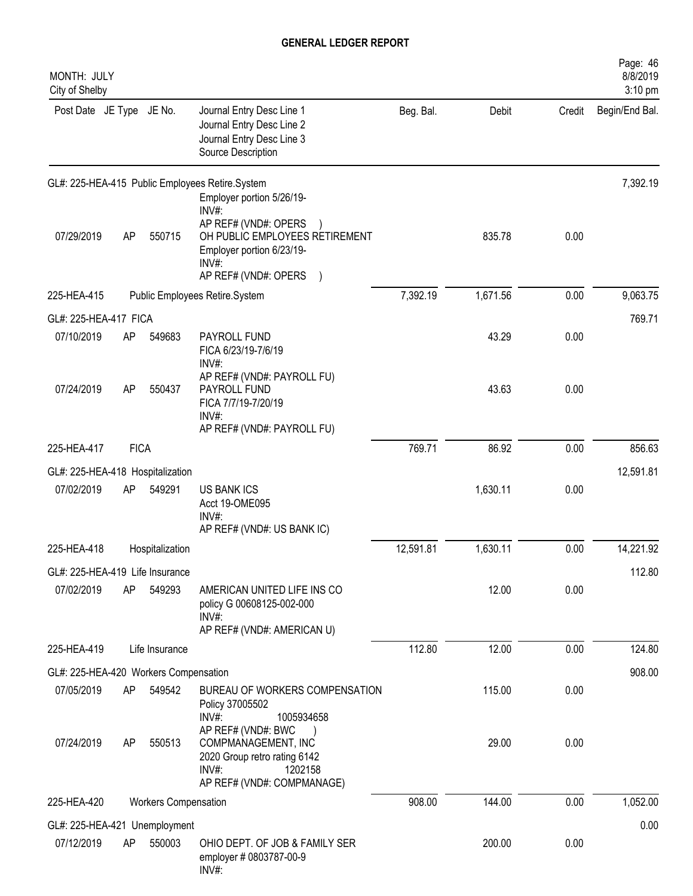| MONTH: JULY<br>City of Shelby         |             |                      |                                                                                                                                                                 |           |          |        | Page: 46<br>8/8/2019<br>3:10 pm |
|---------------------------------------|-------------|----------------------|-----------------------------------------------------------------------------------------------------------------------------------------------------------------|-----------|----------|--------|---------------------------------|
| Post Date JE Type JE No.              |             |                      | Journal Entry Desc Line 1<br>Journal Entry Desc Line 2<br>Journal Entry Desc Line 3<br>Source Description                                                       | Beg. Bal. | Debit    | Credit | Begin/End Bal.                  |
|                                       |             |                      | GL#: 225-HEA-415 Public Employees Retire.System                                                                                                                 |           |          |        | 7,392.19                        |
| 07/29/2019                            | AP          | 550715               | Employer portion 5/26/19-<br>INV#:<br>AP REF# (VND#: OPERS<br>OH PUBLIC EMPLOYEES RETIREMENT<br>Employer portion 6/23/19-<br>$INV#$ :<br>AP REF# (VND#: OPERS ) |           | 835.78   | 0.00   |                                 |
| 225-HEA-415                           |             |                      | Public Employees Retire.System                                                                                                                                  | 7,392.19  | 1,671.56 | 0.00   | 9,063.75                        |
| GL#: 225-HEA-417 FICA                 |             |                      |                                                                                                                                                                 |           |          |        | 769.71                          |
| 07/10/2019                            | AP          | 549683               | PAYROLL FUND<br>FICA 6/23/19-7/6/19<br>$INV#$ :                                                                                                                 |           | 43.29    | 0.00   |                                 |
| 07/24/2019                            | AP          | 550437               | AP REF# (VND#: PAYROLL FU)<br>PAYROLL FUND<br>FICA 7/7/19-7/20/19<br>INV#:<br>AP REF# (VND#: PAYROLL FU)                                                        |           | 43.63    | 0.00   |                                 |
| 225-HEA-417                           | <b>FICA</b> |                      |                                                                                                                                                                 | 769.71    | 86.92    | 0.00   | 856.63                          |
| GL#: 225-HEA-418 Hospitalization      |             |                      |                                                                                                                                                                 |           |          |        | 12,591.81                       |
| 07/02/2019                            | AP          | 549291               | <b>US BANK ICS</b><br>Acct 19-OME095<br>INV#:<br>AP REF# (VND#: US BANK IC)                                                                                     |           | 1,630.11 | 0.00   |                                 |
| 225-HEA-418                           |             | Hospitalization      |                                                                                                                                                                 | 12,591.81 | 1,630.11 | 0.00   | 14,221.92                       |
| GL#: 225-HEA-419 Life Insurance       |             |                      |                                                                                                                                                                 |           |          |        | 112.80                          |
| 07/02/2019                            | AP          | 549293               | AMERICAN UNITED LIFE INS CO<br>policy G 00608125-002-000<br>$INV#$ :<br>AP REF# (VND#: AMERICAN U)                                                              |           | 12.00    | 0.00   |                                 |
| 225-HEA-419                           |             | Life Insurance       |                                                                                                                                                                 | 112.80    | 12.00    | 0.00   | 124.80                          |
| GL#: 225-HEA-420 Workers Compensation |             |                      |                                                                                                                                                                 |           |          |        | 908.00                          |
| 07/05/2019                            | AP          | 549542               | BUREAU OF WORKERS COMPENSATION<br>Policy 37005502<br>INV#:<br>1005934658                                                                                        |           | 115.00   | 0.00   |                                 |
| 07/24/2019                            | AP          | 550513               | AP REF# (VND#: BWC<br>COMPMANAGEMENT, INC<br>2020 Group retro rating 6142<br>$INV#$ :<br>1202158<br>AP REF# (VND#: COMPMANAGE)                                  |           | 29.00    | 0.00   |                                 |
| 225-HEA-420                           |             | Workers Compensation |                                                                                                                                                                 | 908.00    | 144.00   | 0.00   | 1,052.00                        |
| GL#: 225-HEA-421 Unemployment         |             |                      |                                                                                                                                                                 |           |          |        | 0.00                            |
| 07/12/2019                            | AP          | 550003               | OHIO DEPT. OF JOB & FAMILY SER<br>employer # 0803787-00-9<br>INV#:                                                                                              |           | 200.00   | 0.00   |                                 |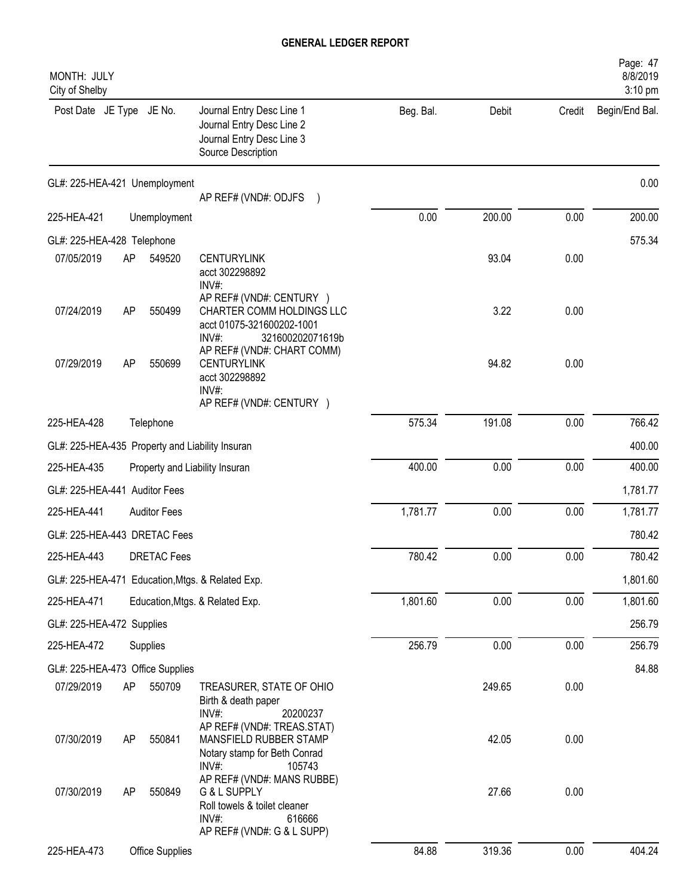| MONTH: JULY<br>City of Shelby                   |    |                     |                                                                                                                                                  |           |        |        | Page: 47<br>8/8/2019<br>3:10 pm |
|-------------------------------------------------|----|---------------------|--------------------------------------------------------------------------------------------------------------------------------------------------|-----------|--------|--------|---------------------------------|
| Post Date JE Type JE No.                        |    |                     | Journal Entry Desc Line 1<br>Journal Entry Desc Line 2<br>Journal Entry Desc Line 3<br>Source Description                                        | Beg. Bal. | Debit  | Credit | Begin/End Bal.                  |
| GL#: 225-HEA-421 Unemployment                   |    |                     |                                                                                                                                                  |           |        |        | 0.00                            |
|                                                 |    |                     | AP REF# (VND#: ODJFS )                                                                                                                           | 0.00      | 200.00 | 0.00   | 200.00                          |
| 225-HEA-421                                     |    | Unemployment        |                                                                                                                                                  |           |        |        |                                 |
| GL#: 225-HEA-428 Telephone<br>07/05/2019        | AP | 549520              | <b>CENTURYLINK</b><br>acct 302298892<br>INV#:                                                                                                    |           | 93.04  | 0.00   | 575.34                          |
| 07/24/2019                                      | AP | 550499              | AP REF# (VND#: CENTURY )<br>CHARTER COMM HOLDINGS LLC<br>acct 01075-321600202-1001<br>$INV#$ :<br>321600202071619b<br>AP REF# (VND#: CHART COMM) |           | 3.22   | 0.00   |                                 |
| 07/29/2019                                      | AP | 550699              | <b>CENTURYLINK</b><br>acct 302298892<br>INV#:<br>AP REF# (VND#: CENTURY )                                                                        |           | 94.82  | 0.00   |                                 |
| 225-HEA-428                                     |    | Telephone           |                                                                                                                                                  | 575.34    | 191.08 | 0.00   | 766.42                          |
| GL#: 225-HEA-435 Property and Liability Insuran |    |                     |                                                                                                                                                  |           |        |        | 400.00                          |
| 225-HEA-435                                     |    |                     | Property and Liability Insuran                                                                                                                   | 400.00    | 0.00   | 0.00   | 400.00                          |
| GL#: 225-HEA-441 Auditor Fees                   |    |                     |                                                                                                                                                  |           |        |        | 1,781.77                        |
| 225-HEA-441                                     |    | <b>Auditor Fees</b> |                                                                                                                                                  | 1,781.77  | 0.00   | 0.00   | 1,781.77                        |
| GL#: 225-HEA-443 DRETAC Fees                    |    |                     |                                                                                                                                                  |           |        |        | 780.42                          |
| 225-HEA-443                                     |    | <b>DRETAC Fees</b>  |                                                                                                                                                  | 780.42    | 0.00   | 0.00   | 780.42                          |
|                                                 |    |                     | GL#: 225-HEA-471 Education, Mtgs. & Related Exp.                                                                                                 |           |        |        | 1,801.60                        |
| 225-HEA-471                                     |    |                     | Education, Mtgs. & Related Exp.                                                                                                                  | 1,801.60  | 0.00   | 0.00   | 1,801.60                        |
| GL#: 225-HEA-472 Supplies                       |    |                     |                                                                                                                                                  |           |        |        | 256.79                          |
| 225-HEA-472                                     |    | Supplies            |                                                                                                                                                  | 256.79    | 0.00   | 0.00   | 256.79                          |
| GL#: 225-HEA-473 Office Supplies                |    |                     |                                                                                                                                                  |           |        |        | 84.88                           |
| 07/29/2019                                      | AP | 550709              | TREASURER, STATE OF OHIO<br>Birth & death paper<br>INV#:<br>20200237                                                                             |           | 249.65 | 0.00   |                                 |
| 07/30/2019                                      | AP | 550841              | AP REF# (VND#: TREAS.STAT)<br>MANSFIELD RUBBER STAMP<br>Notary stamp for Beth Conrad<br>INV#:<br>105743                                          |           | 42.05  | 0.00   |                                 |
| 07/30/2019                                      | AP | 550849              | AP REF# (VND#: MANS RUBBE)<br>G & L SUPPLY<br>Roll towels & toilet cleaner<br>INV#:<br>616666<br>AP REF# (VND#: G & L SUPP)                      |           | 27.66  | 0.00   |                                 |
| 225-HEA-473                                     |    | Office Supplies     |                                                                                                                                                  | 84.88     | 319.36 | 0.00   | 404.24                          |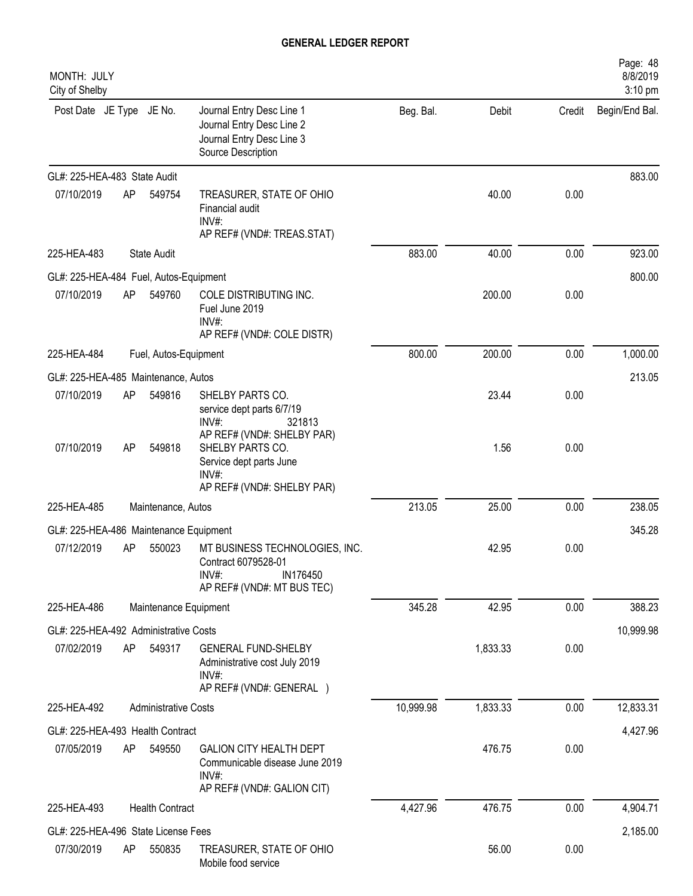| MONTH: JULY<br>City of Shelby          |    |                             |                                                                                                                     |           |          |        | Page: 48<br>8/8/2019<br>3:10 pm |
|----------------------------------------|----|-----------------------------|---------------------------------------------------------------------------------------------------------------------|-----------|----------|--------|---------------------------------|
| Post Date JE Type JE No.               |    |                             | Journal Entry Desc Line 1<br>Journal Entry Desc Line 2<br>Journal Entry Desc Line 3<br>Source Description           | Beg. Bal. | Debit    | Credit | Begin/End Bal.                  |
| GL#: 225-HEA-483 State Audit           |    |                             |                                                                                                                     |           |          |        | 883.00                          |
| 07/10/2019                             | AP | 549754                      | TREASURER, STATE OF OHIO<br>Financial audit<br>INV#:<br>AP REF# (VND#: TREAS.STAT)                                  |           | 40.00    | 0.00   |                                 |
| 225-HEA-483                            |    | State Audit                 |                                                                                                                     | 883.00    | 40.00    | 0.00   | 923.00                          |
| GL#: 225-HEA-484 Fuel, Autos-Equipment |    |                             |                                                                                                                     |           |          |        | 800.00                          |
| 07/10/2019                             | AP | 549760                      | COLE DISTRIBUTING INC.<br>Fuel June 2019<br>$INV#$ :<br>AP REF# (VND#: COLE DISTR)                                  |           | 200.00   | 0.00   |                                 |
| 225-HEA-484                            |    | Fuel, Autos-Equipment       |                                                                                                                     | 800.00    | 200.00   | 0.00   | 1,000.00                        |
| GL#: 225-HEA-485 Maintenance, Autos    |    |                             |                                                                                                                     |           |          |        | 213.05                          |
| 07/10/2019                             | AP | 549816                      | SHELBY PARTS CO.<br>service dept parts 6/7/19<br>$INV#$ :<br>321813                                                 |           | 23.44    | 0.00   |                                 |
| 07/10/2019                             | AP | 549818                      | AP REF# (VND#: SHELBY PAR)<br>SHELBY PARTS CO.<br>Service dept parts June<br>$INV#$ :<br>AP REF# (VND#: SHELBY PAR) |           | 1.56     | 0.00   |                                 |
| 225-HEA-485                            |    | Maintenance, Autos          |                                                                                                                     | 213.05    | 25.00    | 0.00   | 238.05                          |
| GL#: 225-HEA-486 Maintenance Equipment |    |                             |                                                                                                                     |           |          |        | 345.28                          |
| 07/12/2019                             | AP | 550023                      | MT BUSINESS TECHNOLOGIES, INC.<br>Contract 6079528-01<br>IN176450<br>INV#:<br>AP REF# (VND#: MT BUS TEC)            |           | 42.95    | 0.00   |                                 |
| 225-HEA-486                            |    | Maintenance Equipment       |                                                                                                                     | 345.28    | 42.95    | 0.00   | 388.23                          |
| GL#: 225-HEA-492 Administrative Costs  |    |                             |                                                                                                                     |           |          |        | 10,999.98                       |
| 07/02/2019                             | AP | 549317                      | <b>GENERAL FUND-SHELBY</b><br>Administrative cost July 2019<br>INV#:<br>AP REF# (VND#: GENERAL )                    |           | 1,833.33 | 0.00   |                                 |
| 225-HEA-492                            |    | <b>Administrative Costs</b> |                                                                                                                     | 10,999.98 | 1,833.33 | 0.00   | 12,833.31                       |
| GL#: 225-HEA-493 Health Contract       |    |                             |                                                                                                                     |           |          |        | 4,427.96                        |
| 07/05/2019                             | AP | 549550                      | <b>GALION CITY HEALTH DEPT</b><br>Communicable disease June 2019<br>INV#:<br>AP REF# (VND#: GALION CIT)             |           | 476.75   | 0.00   |                                 |
| 225-HEA-493                            |    | <b>Health Contract</b>      |                                                                                                                     | 4,427.96  | 476.75   | 0.00   | 4,904.71                        |
| GL#: 225-HEA-496 State License Fees    |    |                             |                                                                                                                     |           |          |        | 2,185.00                        |
| 07/30/2019                             | AP | 550835                      | TREASURER, STATE OF OHIO<br>Mobile food service                                                                     |           | 56.00    | 0.00   |                                 |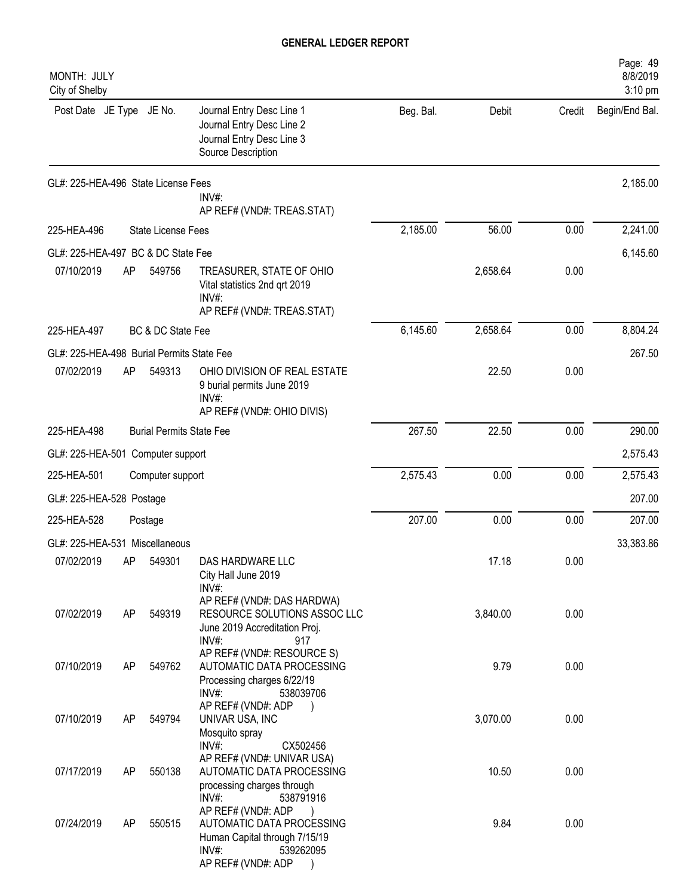| MONTH: JULY<br>City of Shelby             |    |                                 |                                                                                                                                                                                     |           |          |        | Page: 49<br>8/8/2019<br>3:10 pm |
|-------------------------------------------|----|---------------------------------|-------------------------------------------------------------------------------------------------------------------------------------------------------------------------------------|-----------|----------|--------|---------------------------------|
| Post Date JE Type JE No.                  |    |                                 | Journal Entry Desc Line 1<br>Journal Entry Desc Line 2<br>Journal Entry Desc Line 3<br>Source Description                                                                           | Beg. Bal. | Debit    | Credit | Begin/End Bal.                  |
| GL#: 225-HEA-496 State License Fees       |    |                                 | INV#:<br>AP REF# (VND#: TREAS.STAT)                                                                                                                                                 |           |          |        | 2,185.00                        |
| 225-HEA-496                               |    | <b>State License Fees</b>       |                                                                                                                                                                                     | 2,185.00  | 56.00    | 0.00   | 2,241.00                        |
| GL#: 225-HEA-497 BC & DC State Fee        |    |                                 |                                                                                                                                                                                     |           |          |        | 6,145.60                        |
| 07/10/2019                                | AP | 549756                          | TREASURER, STATE OF OHIO<br>Vital statistics 2nd qrt 2019<br>INV#:<br>AP REF# (VND#: TREAS.STAT)                                                                                    |           | 2,658.64 | 0.00   |                                 |
| 225-HEA-497                               |    | BC & DC State Fee               |                                                                                                                                                                                     | 6,145.60  | 2,658.64 | 0.00   | 8,804.24                        |
| GL#: 225-HEA-498 Burial Permits State Fee |    |                                 |                                                                                                                                                                                     |           |          |        | 267.50                          |
| 07/02/2019                                | AP | 549313                          | OHIO DIVISION OF REAL ESTATE<br>9 burial permits June 2019<br>INV#:<br>AP REF# (VND#: OHIO DIVIS)                                                                                   |           | 22.50    | 0.00   |                                 |
| 225-HEA-498                               |    | <b>Burial Permits State Fee</b> |                                                                                                                                                                                     | 267.50    | 22.50    | 0.00   | 290.00                          |
| GL#: 225-HEA-501 Computer support         |    |                                 |                                                                                                                                                                                     |           |          |        | 2,575.43                        |
| 225-HEA-501                               |    | Computer support                |                                                                                                                                                                                     | 2,575.43  | 0.00     | 0.00   | 2,575.43                        |
| GL#: 225-HEA-528 Postage                  |    |                                 |                                                                                                                                                                                     |           |          |        | 207.00                          |
| 225-HEA-528                               |    | Postage                         |                                                                                                                                                                                     | 207.00    | 0.00     | 0.00   | 207.00                          |
| GL#: 225-HEA-531 Miscellaneous            |    |                                 |                                                                                                                                                                                     |           |          |        | 33,383.86                       |
| 07/02/2019                                |    | AP 549301                       | DAS HARDWARE LLC<br>City Hall June 2019<br>INV#:                                                                                                                                    |           | 17.18    | 0.00   |                                 |
| 07/02/2019                                | AP | 549319                          | AP REF# (VND#: DAS HARDWA)<br>RESOURCE SOLUTIONS ASSOC LLC<br>June 2019 Accreditation Proj.<br>$INV#$ :<br>917                                                                      |           | 3,840.00 | 0.00   |                                 |
| 07/10/2019                                | AP | 549762                          | AP REF# (VND#: RESOURCE S)<br>AUTOMATIC DATA PROCESSING<br>Processing charges 6/22/19                                                                                               |           | 9.79     | 0.00   |                                 |
| 07/10/2019                                | AP | 549794                          | INV#:<br>538039706<br>AP REF# (VND#: ADP<br>UNIVAR USA, INC<br>Mosquito spray                                                                                                       |           | 3,070.00 | 0.00   |                                 |
| 07/17/2019                                | AP | 550138                          | INV#:<br>CX502456<br>AP REF# (VND#: UNIVAR USA)<br>AUTOMATIC DATA PROCESSING                                                                                                        |           | 10.50    | 0.00   |                                 |
| 07/24/2019                                | AP | 550515                          | processing charges through<br>INV#:<br>538791916<br>AP REF# (VND#: ADP<br>AUTOMATIC DATA PROCESSING<br>Human Capital through 7/15/19<br>$INV#$ :<br>539262095<br>AP REF# (VND#: ADP |           | 9.84     | 0.00   |                                 |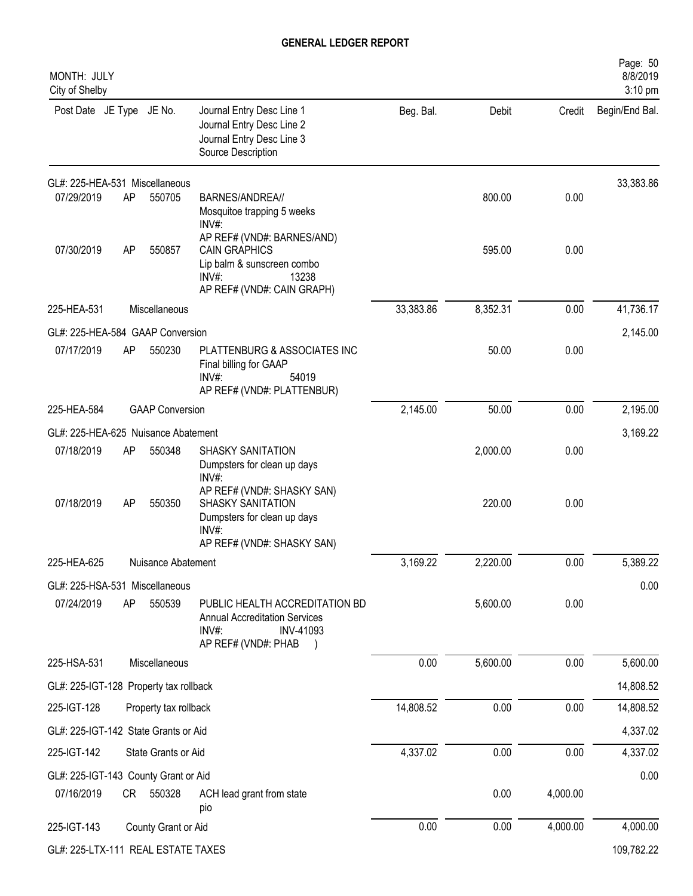| MONTH: JULY<br>City of Shelby          |      |                        |                                                                                                                                     |           |          |          | Page: 50<br>8/8/2019<br>3:10 pm |
|----------------------------------------|------|------------------------|-------------------------------------------------------------------------------------------------------------------------------------|-----------|----------|----------|---------------------------------|
| Post Date JE Type JE No.               |      |                        | Journal Entry Desc Line 1<br>Journal Entry Desc Line 2<br>Journal Entry Desc Line 3<br>Source Description                           | Beg. Bal. | Debit    | Credit   | Begin/End Bal.                  |
| GL#: 225-HEA-531 Miscellaneous         |      |                        |                                                                                                                                     |           |          |          | 33,383.86                       |
| 07/29/2019                             | AP   | 550705                 | BARNES/ANDREA//<br>Mosquitoe trapping 5 weeks<br>$INV#$ :                                                                           |           | 800.00   | 0.00     |                                 |
| 07/30/2019                             | AP   | 550857                 | AP REF# (VND#: BARNES/AND)<br><b>CAIN GRAPHICS</b><br>Lip balm & sunscreen combo<br>13238<br>$INV#$ :<br>AP REF# (VND#: CAIN GRAPH) |           | 595.00   | 0.00     |                                 |
| 225-HEA-531                            |      | Miscellaneous          |                                                                                                                                     | 33,383.86 | 8,352.31 | 0.00     | 41,736.17                       |
| GL#: 225-HEA-584 GAAP Conversion       |      |                        |                                                                                                                                     |           |          |          | 2,145.00                        |
| 07/17/2019                             | AP   | 550230                 | PLATTENBURG & ASSOCIATES INC<br>Final billing for GAAP<br>$INV#$ :<br>54019<br>AP REF# (VND#: PLATTENBUR)                           |           | 50.00    | 0.00     |                                 |
| 225-HEA-584                            |      | <b>GAAP Conversion</b> |                                                                                                                                     | 2,145.00  | 50.00    | 0.00     | 2,195.00                        |
| GL#: 225-HEA-625 Nuisance Abatement    |      |                        |                                                                                                                                     |           |          |          | 3,169.22                        |
| 07/18/2019                             | AP   | 550348                 | SHASKY SANITATION<br>Dumpsters for clean up days<br>$INV#$ :                                                                        |           | 2,000.00 | 0.00     |                                 |
| 07/18/2019                             | AP   | 550350                 | AP REF# (VND#: SHASKY SAN)<br>SHASKY SANITATION<br>Dumpsters for clean up days<br>INV#:<br>AP REF# (VND#: SHASKY SAN)               |           | 220.00   | 0.00     |                                 |
| 225-HEA-625                            |      | Nuisance Abatement     |                                                                                                                                     | 3,169.22  | 2,220.00 | 0.00     | 5,389.22                        |
| GL#: 225-HSA-531 Miscellaneous         |      |                        |                                                                                                                                     |           |          |          | 0.00                            |
| 07/24/2019                             | AP   | 550539                 | PUBLIC HEALTH ACCREDITATION BD<br><b>Annual Accreditation Services</b><br>INV#:<br>INV-41093<br>AP REF# (VND#: PHAB                 |           | 5,600.00 | 0.00     |                                 |
| 225-HSA-531                            |      | Miscellaneous          |                                                                                                                                     | 0.00      | 5,600.00 | 0.00     | 5,600.00                        |
| GL#: 225-IGT-128 Property tax rollback |      |                        |                                                                                                                                     |           |          |          | 14,808.52                       |
| 225-IGT-128                            |      | Property tax rollback  |                                                                                                                                     | 14,808.52 | 0.00     | 0.00     | 14,808.52                       |
| GL#: 225-IGT-142 State Grants or Aid   |      |                        |                                                                                                                                     |           |          |          | 4,337.02                        |
| 225-IGT-142                            |      | State Grants or Aid    |                                                                                                                                     | 4,337.02  | 0.00     | 0.00     | 4,337.02                        |
| GL#: 225-IGT-143 County Grant or Aid   |      |                        |                                                                                                                                     |           |          |          | 0.00                            |
| 07/16/2019                             | CR — | 550328                 | ACH lead grant from state<br>pio                                                                                                    |           | 0.00     | 4,000.00 |                                 |
| 225-IGT-143                            |      | County Grant or Aid    |                                                                                                                                     | 0.00      | 0.00     | 4,000.00 | 4,000.00                        |
| GL#: 225-LTX-111 REAL ESTATE TAXES     |      |                        |                                                                                                                                     |           |          |          | 109,782.22                      |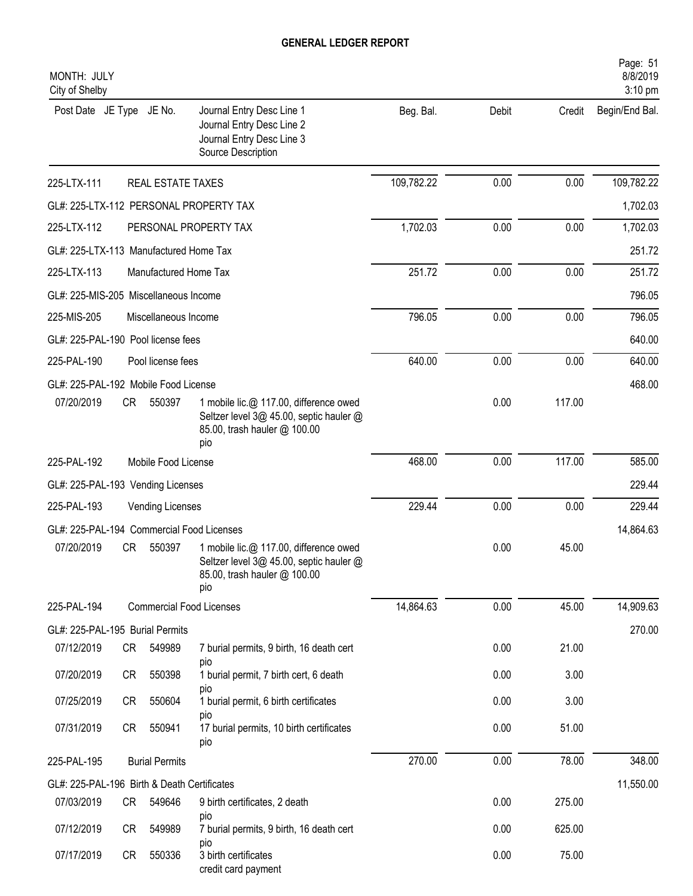| MONTH: JULY<br>City of Shelby               |      |                       |                                                                                                                          |            |       |        | Page: 51<br>8/8/2019<br>3:10 pm |
|---------------------------------------------|------|-----------------------|--------------------------------------------------------------------------------------------------------------------------|------------|-------|--------|---------------------------------|
| Post Date JE Type JE No.                    |      |                       | Journal Entry Desc Line 1<br>Journal Entry Desc Line 2<br>Journal Entry Desc Line 3<br>Source Description                | Beg. Bal.  | Debit | Credit | Begin/End Bal.                  |
| 225-LTX-111                                 |      | REAL ESTATE TAXES     |                                                                                                                          | 109,782.22 | 0.00  | 0.00   | 109,782.22                      |
|                                             |      |                       | GL#: 225-LTX-112 PERSONAL PROPERTY TAX                                                                                   |            |       |        | 1,702.03                        |
| 225-LTX-112                                 |      |                       | PERSONAL PROPERTY TAX                                                                                                    | 1,702.03   | 0.00  | 0.00   | 1,702.03                        |
| GL#: 225-LTX-113 Manufactured Home Tax      |      |                       |                                                                                                                          |            |       |        | 251.72                          |
| 225-LTX-113                                 |      | Manufactured Home Tax |                                                                                                                          | 251.72     | 0.00  | 0.00   | 251.72                          |
| GL#: 225-MIS-205 Miscellaneous Income       |      |                       |                                                                                                                          |            |       |        | 796.05                          |
| 225-MIS-205                                 |      | Miscellaneous Income  |                                                                                                                          | 796.05     | 0.00  | 0.00   | 796.05                          |
| GL#: 225-PAL-190 Pool license fees          |      |                       |                                                                                                                          |            |       |        | 640.00                          |
| 225-PAL-190                                 |      | Pool license fees     |                                                                                                                          | 640.00     | 0.00  | 0.00   | 640.00                          |
| GL#: 225-PAL-192 Mobile Food License        |      |                       |                                                                                                                          |            |       |        | 468.00                          |
| 07/20/2019                                  | CR . | 550397                | 1 mobile lic.@ 117.00, difference owed<br>Seltzer level 3@ 45.00, septic hauler @<br>85.00, trash hauler @ 100.00<br>pio |            | 0.00  | 117.00 |                                 |
| 225-PAL-192                                 |      | Mobile Food License   |                                                                                                                          | 468.00     | 0.00  | 117.00 | 585.00                          |
| GL#: 225-PAL-193 Vending Licenses           |      |                       |                                                                                                                          |            |       |        | 229.44                          |
| 225-PAL-193                                 |      | Vending Licenses      |                                                                                                                          | 229.44     | 0.00  | 0.00   | 229.44                          |
| GL#: 225-PAL-194 Commercial Food Licenses   |      |                       |                                                                                                                          |            |       |        | 14,864.63                       |
| 07/20/2019                                  | CR   | 550397                | 1 mobile lic.@ 117.00, difference owed<br>Seltzer level 3@ 45.00, septic hauler @<br>85.00, trash hauler @ 100.00<br>pio |            | 0.00  | 45.00  |                                 |
| 225-PAL-194                                 |      |                       | <b>Commercial Food Licenses</b>                                                                                          | 14,864.63  | 0.00  | 45.00  | 14,909.63                       |
| GL#: 225-PAL-195 Burial Permits             |      |                       |                                                                                                                          |            |       |        | 270.00                          |
| 07/12/2019                                  | CR   | 549989                | 7 burial permits, 9 birth, 16 death cert<br>pio                                                                          |            | 0.00  | 21.00  |                                 |
| 07/20/2019                                  | CR   | 550398                | 1 burial permit, 7 birth cert, 6 death                                                                                   |            | 0.00  | 3.00   |                                 |
| 07/25/2019                                  | CR   | 550604                | pio<br>1 burial permit, 6 birth certificates                                                                             |            | 0.00  | 3.00   |                                 |
| 07/31/2019                                  | CR   | 550941                | pio<br>17 burial permits, 10 birth certificates<br>pio                                                                   |            | 0.00  | 51.00  |                                 |
| 225-PAL-195                                 |      | <b>Burial Permits</b> |                                                                                                                          | 270.00     | 0.00  | 78.00  | 348.00                          |
| GL#: 225-PAL-196 Birth & Death Certificates |      |                       |                                                                                                                          |            |       |        | 11,550.00                       |
| 07/03/2019                                  | CR   | 549646                | 9 birth certificates, 2 death                                                                                            |            | 0.00  | 275.00 |                                 |
| 07/12/2019                                  | CR   | 549989                | pio<br>7 burial permits, 9 birth, 16 death cert                                                                          |            | 0.00  | 625.00 |                                 |
| 07/17/2019                                  | CR   | 550336                | pio<br>3 birth certificates<br>credit card payment                                                                       |            | 0.00  | 75.00  |                                 |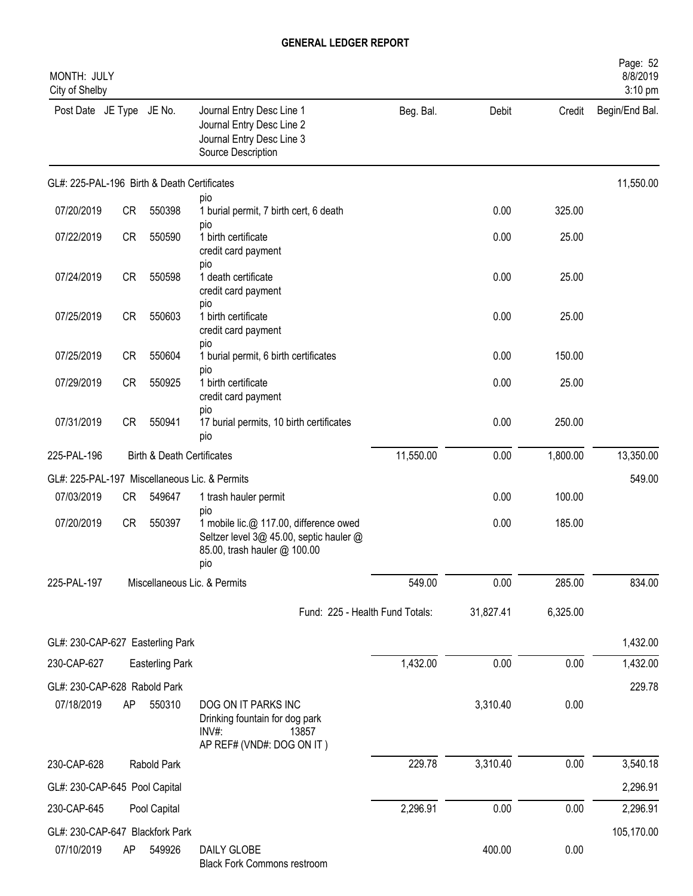| MONTH: JULY<br>City of Shelby               |           |                                       |                                                                                                                                 |           |           |          | Page: 52<br>8/8/2019<br>3:10 pm |
|---------------------------------------------|-----------|---------------------------------------|---------------------------------------------------------------------------------------------------------------------------------|-----------|-----------|----------|---------------------------------|
| Post Date JE Type JE No.                    |           |                                       | Journal Entry Desc Line 1<br>Journal Entry Desc Line 2<br>Journal Entry Desc Line 3<br>Source Description                       | Beg. Bal. | Debit     | Credit   | Begin/End Bal.                  |
| GL#: 225-PAL-196 Birth & Death Certificates |           |                                       |                                                                                                                                 |           |           |          | 11,550.00                       |
| 07/20/2019                                  | CR        | 550398                                | pio<br>1 burial permit, 7 birth cert, 6 death                                                                                   |           | 0.00      | 325.00   |                                 |
| 07/22/2019                                  | <b>CR</b> | 550590                                | pio<br>1 birth certificate<br>credit card payment                                                                               |           | 0.00      | 25.00    |                                 |
| 07/24/2019                                  | <b>CR</b> | 550598                                | pio<br>1 death certificate<br>credit card payment<br>pio                                                                        |           | 0.00      | 25.00    |                                 |
| 07/25/2019                                  | <b>CR</b> | 550603                                | 1 birth certificate<br>credit card payment<br>pio                                                                               |           | 0.00      | 25.00    |                                 |
| 07/25/2019                                  | <b>CR</b> | 550604                                | 1 burial permit, 6 birth certificates                                                                                           |           | 0.00      | 150.00   |                                 |
| 07/29/2019                                  | CR        | 550925                                | pio<br>1 birth certificate<br>credit card payment                                                                               |           | 0.00      | 25.00    |                                 |
| 07/31/2019                                  | <b>CR</b> | 550941                                | pio<br>17 burial permits, 10 birth certificates<br>pio                                                                          |           | 0.00      | 250.00   |                                 |
| 225-PAL-196                                 |           | <b>Birth &amp; Death Certificates</b> |                                                                                                                                 | 11,550.00 | 0.00      | 1,800.00 | 13,350.00                       |
|                                             |           |                                       | GL#: 225-PAL-197 Miscellaneous Lic. & Permits                                                                                   |           |           |          | 549.00                          |
| 07/03/2019                                  | CR        | 549647                                | 1 trash hauler permit                                                                                                           |           | 0.00      | 100.00   |                                 |
| 07/20/2019                                  | CR        | 550397                                | pio<br>1 mobile lic.@ 117.00, difference owed<br>Seltzer level 3@ 45.00, septic hauler @<br>85.00, trash hauler @ 100.00<br>pio |           | 0.00      | 185.00   |                                 |
| 225-PAL-197                                 |           |                                       | Miscellaneous Lic. & Permits                                                                                                    | 549.00    | 0.00      | 285.00   | 834.00                          |
|                                             |           |                                       | Fund: 225 - Health Fund Totals:                                                                                                 |           | 31,827.41 | 6,325.00 |                                 |
| GL#: 230-CAP-627 Easterling Park            |           |                                       |                                                                                                                                 |           |           |          | 1,432.00                        |
| 230-CAP-627                                 |           | <b>Easterling Park</b>                |                                                                                                                                 | 1,432.00  | 0.00      | 0.00     | 1,432.00                        |
| GL#: 230-CAP-628 Rabold Park                |           |                                       |                                                                                                                                 |           |           |          | 229.78                          |
| 07/18/2019                                  | AP        | 550310                                | DOG ON IT PARKS INC<br>Drinking fountain for dog park<br>$INV#$ :<br>13857<br>AP REF# (VND#: DOG ON IT)                         |           | 3,310.40  | 0.00     |                                 |
| 230-CAP-628                                 |           | Rabold Park                           |                                                                                                                                 | 229.78    | 3,310.40  | 0.00     | 3,540.18                        |
| GL#: 230-CAP-645 Pool Capital               |           |                                       |                                                                                                                                 |           |           |          | 2,296.91                        |
| 230-CAP-645                                 |           | Pool Capital                          |                                                                                                                                 | 2,296.91  | 0.00      | 0.00     | 2,296.91                        |
| GL#: 230-CAP-647 Blackfork Park             |           |                                       |                                                                                                                                 |           |           |          | 105,170.00                      |
| 07/10/2019                                  | AP        | 549926                                | <b>DAILY GLOBE</b><br><b>Black Fork Commons restroom</b>                                                                        |           | 400.00    | 0.00     |                                 |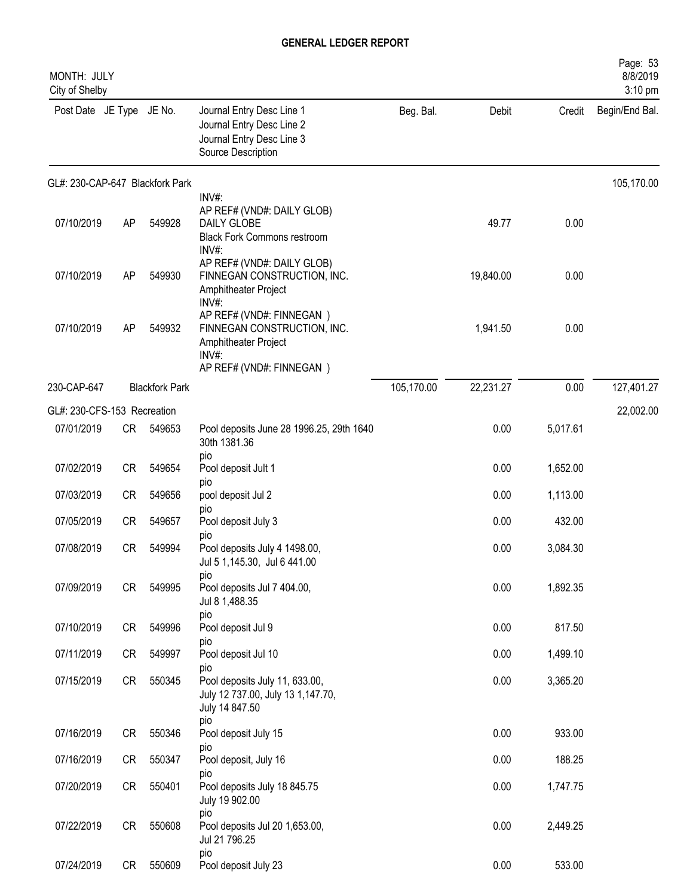| MONTH: JULY<br>City of Shelby   |           |                       |                                                                                                                      |            |           |          | Page: 53<br>8/8/2019<br>3:10 pm |
|---------------------------------|-----------|-----------------------|----------------------------------------------------------------------------------------------------------------------|------------|-----------|----------|---------------------------------|
| Post Date JE Type JE No.        |           |                       | Journal Entry Desc Line 1<br>Journal Entry Desc Line 2<br>Journal Entry Desc Line 3<br>Source Description            | Beg. Bal.  | Debit     | Credit   | Begin/End Bal.                  |
| GL#: 230-CAP-647 Blackfork Park |           |                       |                                                                                                                      |            |           |          | 105,170.00                      |
| 07/10/2019                      | AP        | 549928                | INV#:<br>AP REF# (VND#: DAILY GLOB)<br>DAILY GLOBE<br><b>Black Fork Commons restroom</b><br>INV#:                    |            | 49.77     | 0.00     |                                 |
| 07/10/2019                      | AP        | 549930                | AP REF# (VND#: DAILY GLOB)<br>FINNEGAN CONSTRUCTION, INC.<br>Amphitheater Project<br>INV#:                           |            | 19,840.00 | 0.00     |                                 |
| 07/10/2019                      | AP        | 549932                | AP REF# (VND#: FINNEGAN)<br>FINNEGAN CONSTRUCTION, INC.<br>Amphitheater Project<br>INV#:<br>AP REF# (VND#: FINNEGAN) |            | 1,941.50  | 0.00     |                                 |
| 230-CAP-647                     |           | <b>Blackfork Park</b> |                                                                                                                      | 105,170.00 | 22,231.27 | 0.00     | 127,401.27                      |
| GL#: 230-CFS-153 Recreation     |           |                       |                                                                                                                      |            |           |          | 22,002.00                       |
| 07/01/2019                      | CR        | 549653                | Pool deposits June 28 1996.25, 29th 1640<br>30th 1381.36                                                             |            | 0.00      | 5,017.61 |                                 |
| 07/02/2019                      | <b>CR</b> | 549654                | pio<br>Pool deposit Jult 1                                                                                           |            | 0.00      | 1,652.00 |                                 |
| 07/03/2019                      | <b>CR</b> | 549656                | pio<br>pool deposit Jul 2                                                                                            |            | 0.00      | 1,113.00 |                                 |
| 07/05/2019                      | <b>CR</b> | 549657                | pio<br>Pool deposit July 3                                                                                           |            | 0.00      | 432.00   |                                 |
| 07/08/2019                      | <b>CR</b> | 549994                | pio<br>Pool deposits July 4 1498.00,<br>Jul 5 1,145.30, Jul 6 441.00                                                 |            | 0.00      | 3,084.30 |                                 |
| 07/09/2019                      | CR        | 549995                | pio<br>Pool deposits Jul 7 404.00,<br>Jul 8 1,488.35                                                                 |            | 0.00      | 1,892.35 |                                 |
| 07/10/2019                      | <b>CR</b> | 549996                | pio<br>Pool deposit Jul 9                                                                                            |            | 0.00      | 817.50   |                                 |
| 07/11/2019                      | CR        | 549997                | pio<br>Pool deposit Jul 10                                                                                           |            | 0.00      | 1,499.10 |                                 |
| 07/15/2019                      | CR        | 550345                | pio<br>Pool deposits July 11, 633.00,<br>July 12 737.00, July 13 1,147.70,<br>July 14 847.50                         |            | 0.00      | 3,365.20 |                                 |
| 07/16/2019                      | CR        | 550346                | pio<br>Pool deposit July 15                                                                                          |            | 0.00      | 933.00   |                                 |
| 07/16/2019                      | CR        | 550347                | pio<br>Pool deposit, July 16                                                                                         |            | 0.00      | 188.25   |                                 |
| 07/20/2019                      | CR        | 550401                | pio<br>Pool deposits July 18 845.75<br>July 19 902.00                                                                |            | 0.00      | 1,747.75 |                                 |
| 07/22/2019                      | CR        | 550608                | pio<br>Pool deposits Jul 20 1,653.00,<br>Jul 21 796.25                                                               |            | 0.00      | 2,449.25 |                                 |
| 07/24/2019                      | CR        | 550609                | pio<br>Pool deposit July 23                                                                                          |            | 0.00      | 533.00   |                                 |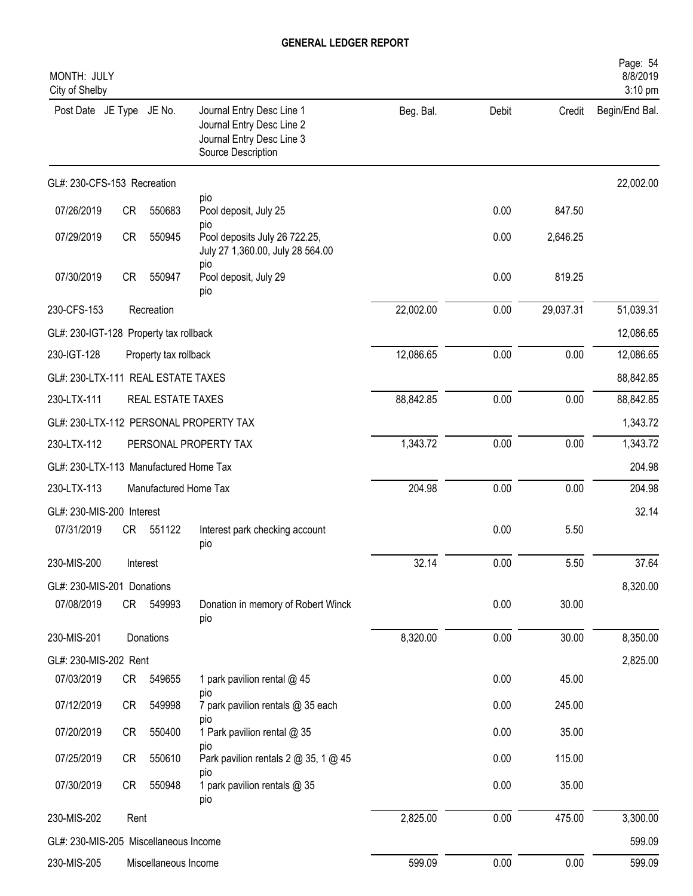| MONTH: JULY<br>City of Shelby          |           |                       |                                                                                                           |           |       |           | Page: 54<br>8/8/2019<br>3:10 pm |
|----------------------------------------|-----------|-----------------------|-----------------------------------------------------------------------------------------------------------|-----------|-------|-----------|---------------------------------|
| Post Date JE Type JE No.               |           |                       | Journal Entry Desc Line 1<br>Journal Entry Desc Line 2<br>Journal Entry Desc Line 3<br>Source Description | Beg. Bal. | Debit | Credit    | Begin/End Bal.                  |
| GL#: 230-CFS-153 Recreation            |           |                       |                                                                                                           |           |       |           | 22,002.00                       |
| 07/26/2019                             | CR        | 550683                | pio<br>Pool deposit, July 25                                                                              |           | 0.00  | 847.50    |                                 |
| 07/29/2019                             | CR        | 550945                | pio<br>Pool deposits July 26 722.25,<br>July 27 1,360.00, July 28 564.00                                  |           | 0.00  | 2,646.25  |                                 |
| 07/30/2019                             | <b>CR</b> | 550947                | pio<br>Pool deposit, July 29<br>pio                                                                       |           | 0.00  | 819.25    |                                 |
| 230-CFS-153                            |           | Recreation            |                                                                                                           | 22,002.00 | 0.00  | 29,037.31 | 51,039.31                       |
| GL#: 230-IGT-128 Property tax rollback |           |                       |                                                                                                           |           |       |           | 12,086.65                       |
| 230-IGT-128                            |           | Property tax rollback |                                                                                                           | 12,086.65 | 0.00  | 0.00      | 12,086.65                       |
| GL#: 230-LTX-111 REAL ESTATE TAXES     |           |                       |                                                                                                           |           |       |           | 88,842.85                       |
| 230-LTX-111                            |           | REAL ESTATE TAXES     |                                                                                                           | 88,842.85 | 0.00  | 0.00      | 88,842.85                       |
|                                        |           |                       | GL#: 230-LTX-112 PERSONAL PROPERTY TAX                                                                    |           |       |           | 1,343.72                        |
| 230-LTX-112                            |           |                       | PERSONAL PROPERTY TAX                                                                                     | 1,343.72  | 0.00  | 0.00      | 1,343.72                        |
| GL#: 230-LTX-113 Manufactured Home Tax |           |                       |                                                                                                           |           |       |           | 204.98                          |
| 230-LTX-113                            |           | Manufactured Home Tax |                                                                                                           | 204.98    | 0.00  | 0.00      | 204.98                          |
| GL#: 230-MIS-200 Interest              |           |                       |                                                                                                           |           |       |           | 32.14                           |
| 07/31/2019                             | CR        | 551122                | Interest park checking account<br>pio                                                                     |           | 0.00  | 5.50      |                                 |
| 230-MIS-200                            | Interest  |                       |                                                                                                           | 32.14     | 0.00  | 5.50      | 37.64                           |
| GL#: 230-MIS-201 Donations             |           |                       |                                                                                                           |           |       |           | 8,320.00                        |
| 07/08/2019                             | CR        | 549993                | Donation in memory of Robert Winck<br>pio                                                                 |           | 0.00  | 30.00     |                                 |
| 230-MIS-201                            |           | Donations             |                                                                                                           | 8,320.00  | 0.00  | 30.00     | 8,350.00                        |
| GL#: 230-MIS-202 Rent                  |           |                       |                                                                                                           |           |       |           | 2,825.00                        |
| 07/03/2019                             | CR        | 549655                | 1 park pavilion rental @ 45<br>pio                                                                        |           | 0.00  | 45.00     |                                 |
| 07/12/2019                             | CR        | 549998                | 7 park pavilion rentals @ 35 each                                                                         |           | 0.00  | 245.00    |                                 |
| 07/20/2019                             | CR        | 550400                | pio<br>1 Park pavilion rental @ 35                                                                        |           | 0.00  | 35.00     |                                 |
| 07/25/2019                             | CR        | 550610                | pio<br>Park pavilion rentals 2 @ 35, 1 @ 45                                                               |           | 0.00  | 115.00    |                                 |
| 07/30/2019                             | CR        | 550948                | pio<br>1 park pavilion rentals @ 35<br>pio                                                                |           | 0.00  | 35.00     |                                 |
| 230-MIS-202                            | Rent      |                       |                                                                                                           | 2,825.00  | 0.00  | 475.00    | 3,300.00                        |
| GL#: 230-MIS-205 Miscellaneous Income  |           |                       |                                                                                                           |           |       |           | 599.09                          |
| 230-MIS-205                            |           | Miscellaneous Income  |                                                                                                           | 599.09    | 0.00  | 0.00      | 599.09                          |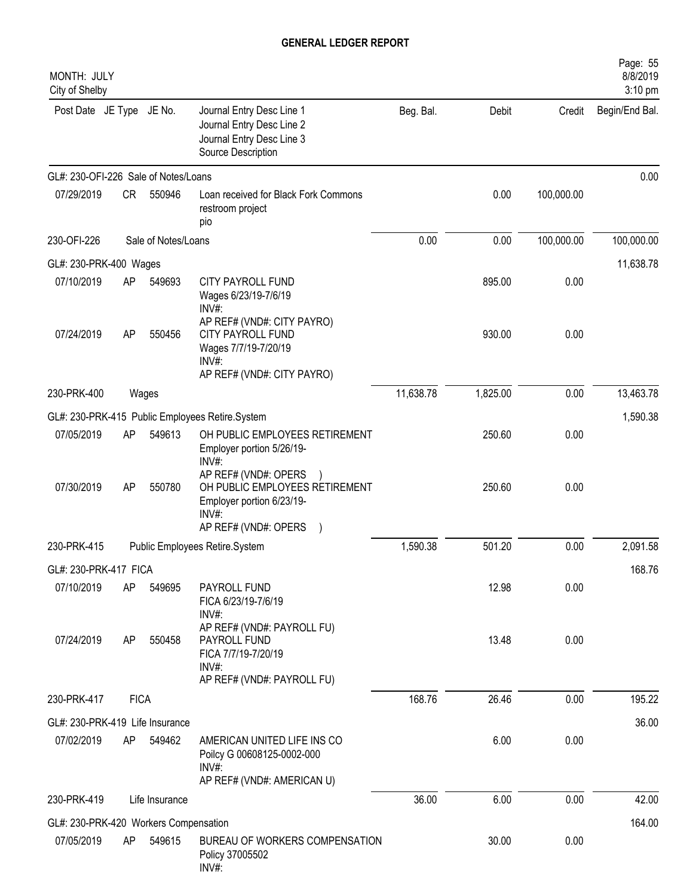| MONTH: JULY<br>City of Shelby         |             |                     |                                                                                                                              |           |          |            | Page: 55<br>8/8/2019<br>3:10 pm |
|---------------------------------------|-------------|---------------------|------------------------------------------------------------------------------------------------------------------------------|-----------|----------|------------|---------------------------------|
| Post Date JE Type JE No.              |             |                     | Journal Entry Desc Line 1<br>Journal Entry Desc Line 2<br>Journal Entry Desc Line 3<br>Source Description                    | Beg. Bal. | Debit    | Credit     | Begin/End Bal.                  |
| GL#: 230-OFI-226 Sale of Notes/Loans  |             |                     |                                                                                                                              |           |          |            | 0.00                            |
| 07/29/2019                            | <b>CR</b>   | 550946              | Loan received for Black Fork Commons<br>restroom project<br>pio                                                              |           | 0.00     | 100,000.00 |                                 |
| 230-OFI-226                           |             | Sale of Notes/Loans |                                                                                                                              | 0.00      | 0.00     | 100,000.00 | 100,000.00                      |
| GL#: 230-PRK-400 Wages                |             |                     |                                                                                                                              |           |          |            | 11,638.78                       |
| 07/10/2019                            | AP          | 549693              | CITY PAYROLL FUND<br>Wages 6/23/19-7/6/19<br>INV#:                                                                           |           | 895.00   | 0.00       |                                 |
| 07/24/2019                            | AP          | 550456              | AP REF# (VND#: CITY PAYRO)<br><b>CITY PAYROLL FUND</b><br>Wages 7/7/19-7/20/19<br>INV#                                       |           | 930.00   | 0.00       |                                 |
| 230-PRK-400                           |             | Wages               | AP REF# (VND#: CITY PAYRO)                                                                                                   | 11,638.78 | 1,825.00 | 0.00       | 13,463.78                       |
|                                       |             |                     |                                                                                                                              |           |          |            | 1,590.38                        |
| 07/05/2019                            | AP          | 549613              | GL#: 230-PRK-415 Public Employees Retire.System<br>OH PUBLIC EMPLOYEES RETIREMENT<br>Employer portion 5/26/19-               |           | 250.60   | 0.00       |                                 |
| 07/30/2019                            | AP          | 550780              | INV#:<br>AP REF# (VND#: OPERS<br>OH PUBLIC EMPLOYEES RETIREMENT<br>Employer portion 6/23/19-<br>INV#<br>AP REF# (VND#: OPERS |           | 250.60   | 0.00       |                                 |
| 230-PRK-415                           |             |                     | Public Employees Retire.System                                                                                               | 1,590.38  | 501.20   | 0.00       | 2,091.58                        |
| GL#: 230-PRK-417 FICA                 |             |                     |                                                                                                                              |           |          |            | 168.76                          |
| 07/10/2019                            | AP          | 549695              | PAYROLL FUND<br>FICA 6/23/19-7/6/19<br>INV#:                                                                                 |           | 12.98    | 0.00       |                                 |
| 07/24/2019                            | AP          | 550458              | AP REF# (VND#: PAYROLL FU)<br>PAYROLL FUND<br>FICA 7/7/19-7/20/19<br>$INV#$ :                                                |           | 13.48    | 0.00       |                                 |
| 230-PRK-417                           | <b>FICA</b> |                     | AP REF# (VND#: PAYROLL FU)                                                                                                   | 168.76    | 26.46    | 0.00       | 195.22                          |
| GL#: 230-PRK-419 Life Insurance       |             |                     |                                                                                                                              |           |          |            | 36.00                           |
| 07/02/2019                            | AP          | 549462              | AMERICAN UNITED LIFE INS CO<br>Poilcy G 00608125-0002-000<br>$INV#$ :<br>AP REF# (VND#: AMERICAN U)                          |           | 6.00     | 0.00       |                                 |
| 230-PRK-419                           |             | Life Insurance      |                                                                                                                              | 36.00     | 6.00     | 0.00       | 42.00                           |
| GL#: 230-PRK-420 Workers Compensation |             |                     |                                                                                                                              |           |          |            | 164.00                          |
| 07/05/2019                            | AP          | 549615              | BUREAU OF WORKERS COMPENSATION<br>Policy 37005502<br>INV#:                                                                   |           | 30.00    | 0.00       |                                 |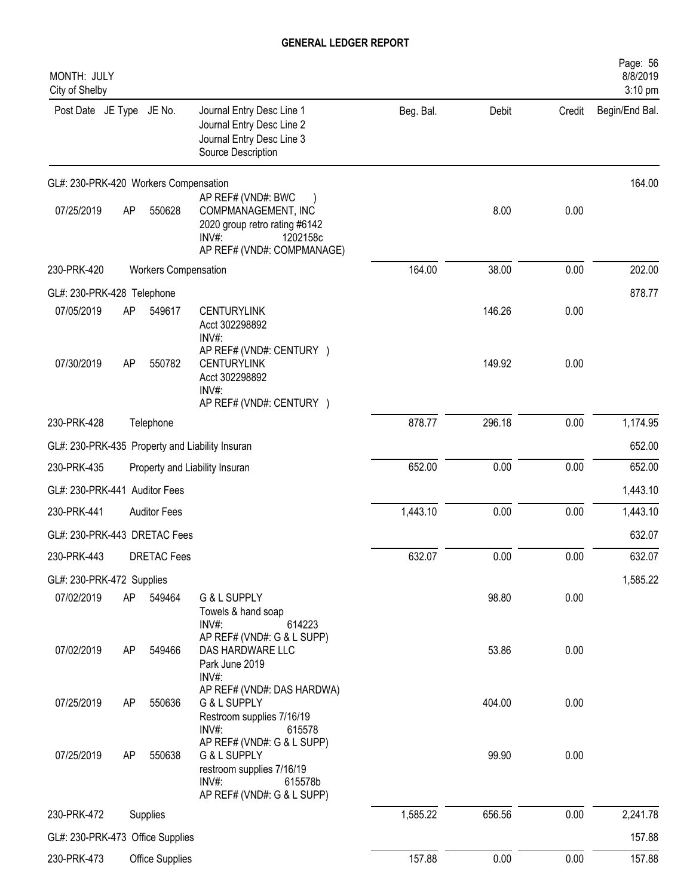| MONTH: JULY<br>City of Shelby                   |    |                             |                                                                                                                                  |           |        |        | Page: 56<br>8/8/2019<br>3:10 pm |
|-------------------------------------------------|----|-----------------------------|----------------------------------------------------------------------------------------------------------------------------------|-----------|--------|--------|---------------------------------|
| Post Date JE Type JE No.                        |    |                             | Journal Entry Desc Line 1<br>Journal Entry Desc Line 2<br>Journal Entry Desc Line 3<br>Source Description                        | Beg. Bal. | Debit  | Credit | Begin/End Bal.                  |
| GL#: 230-PRK-420 Workers Compensation           |    |                             |                                                                                                                                  |           |        |        | 164.00                          |
| 07/25/2019                                      | AP | 550628                      | AP REF# (VND#: BWC<br>COMPMANAGEMENT, INC<br>2020 group retro rating #6142<br>$INV#$ :<br>1202158c<br>AP REF# (VND#: COMPMANAGE) |           | 8.00   | 0.00   |                                 |
| 230-PRK-420                                     |    | <b>Workers Compensation</b> |                                                                                                                                  | 164.00    | 38.00  | 0.00   | 202.00                          |
| GL#: 230-PRK-428 Telephone                      |    |                             |                                                                                                                                  |           |        |        | 878.77                          |
| 07/05/2019                                      | AP | 549617                      | <b>CENTURYLINK</b><br>Acct 302298892<br>INV#:                                                                                    |           | 146.26 | 0.00   |                                 |
| 07/30/2019                                      | AP | 550782                      | AP REF# (VND#: CENTURY )<br><b>CENTURYLINK</b><br>Acct 302298892<br>INV#:<br>AP REF# (VND#: CENTURY )                            |           | 149.92 | 0.00   |                                 |
| 230-PRK-428                                     |    | Telephone                   |                                                                                                                                  | 878.77    | 296.18 | 0.00   | 1,174.95                        |
| GL#: 230-PRK-435 Property and Liability Insuran |    |                             |                                                                                                                                  |           |        |        | 652.00                          |
| 230-PRK-435                                     |    |                             | Property and Liability Insuran                                                                                                   | 652.00    | 0.00   | 0.00   | 652.00                          |
| GL#: 230-PRK-441 Auditor Fees                   |    |                             |                                                                                                                                  |           |        |        | 1,443.10                        |
| 230-PRK-441                                     |    | <b>Auditor Fees</b>         |                                                                                                                                  | 1,443.10  | 0.00   | 0.00   | 1,443.10                        |
| GL#: 230-PRK-443 DRETAC Fees                    |    |                             |                                                                                                                                  |           |        |        | 632.07                          |
| 230-PRK-443                                     |    | DRETAC Fees                 |                                                                                                                                  | 632.07    | 0.00   | 0.00   | 632.07                          |
|                                                 |    |                             |                                                                                                                                  |           |        |        |                                 |
| GL#: 230-PRK-472 Supplies<br>07/02/2019         | AP | 549464                      | G & L SUPPLY                                                                                                                     |           | 98.80  | 0.00   | 1,585.22                        |
| 07/02/2019                                      | AP | 549466                      | Towels & hand soap<br>$INV#$ :<br>614223<br>AP REF# (VND#: G & L SUPP)<br>DAS HARDWARE LLC<br>Park June 2019                     |           | 53.86  | 0.00   |                                 |
| 07/25/2019                                      | AP | 550636                      | INV#:<br>AP REF# (VND#: DAS HARDWA)<br>G & L SUPPLY<br>Restroom supplies 7/16/19<br>$INV#$ :<br>615578                           |           | 404.00 | 0.00   |                                 |
| 07/25/2019                                      | AP | 550638                      | AP REF# (VND#: G & L SUPP)<br>G & L SUPPLY<br>restroom supplies 7/16/19<br>$INV#$ :<br>615578b<br>AP REF# (VND#: G & L SUPP)     |           | 99.90  | 0.00   |                                 |
| 230-PRK-472                                     |    | Supplies                    |                                                                                                                                  | 1,585.22  | 656.56 | 0.00   | 2,241.78                        |
| GL#: 230-PRK-473 Office Supplies                |    |                             |                                                                                                                                  |           |        |        | 157.88                          |
| 230-PRK-473                                     |    | Office Supplies             |                                                                                                                                  | 157.88    | 0.00   | 0.00   | 157.88                          |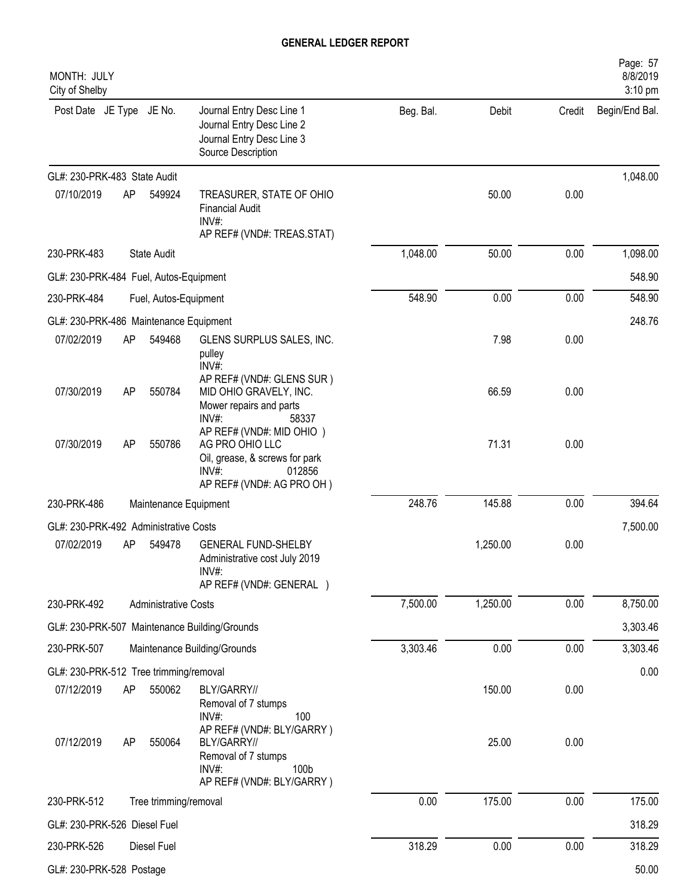| MONTH: JULY<br>City of Shelby          |    |                             |                                                                                                                                   |           |          |        | Page: 57<br>8/8/2019<br>3:10 pm |
|----------------------------------------|----|-----------------------------|-----------------------------------------------------------------------------------------------------------------------------------|-----------|----------|--------|---------------------------------|
| Post Date JE Type JE No.               |    |                             | Journal Entry Desc Line 1<br>Journal Entry Desc Line 2<br>Journal Entry Desc Line 3<br>Source Description                         | Beg. Bal. | Debit    | Credit | Begin/End Bal.                  |
| GL#: 230-PRK-483 State Audit           |    |                             |                                                                                                                                   |           |          |        | 1,048.00                        |
| 07/10/2019                             | AP | 549924                      | TREASURER, STATE OF OHIO<br><b>Financial Audit</b><br>$INV#$ :<br>AP REF# (VND#: TREAS.STAT)                                      |           | 50.00    | 0.00   |                                 |
| 230-PRK-483                            |    | State Audit                 |                                                                                                                                   | 1,048.00  | 50.00    | 0.00   | 1,098.00                        |
| GL#: 230-PRK-484 Fuel, Autos-Equipment |    |                             |                                                                                                                                   |           |          |        | 548.90                          |
| 230-PRK-484                            |    | Fuel, Autos-Equipment       |                                                                                                                                   | 548.90    | 0.00     | 0.00   | 548.90                          |
| GL#: 230-PRK-486 Maintenance Equipment |    |                             |                                                                                                                                   |           |          |        | 248.76                          |
| 07/02/2019                             | AP | 549468                      | GLENS SURPLUS SALES, INC.<br>pulley<br>INV#:                                                                                      |           | 7.98     | 0.00   |                                 |
| 07/30/2019                             | AP | 550784                      | AP REF# (VND#: GLENS SUR)<br>MID OHIO GRAVELY, INC.<br>Mower repairs and parts<br>INV#:<br>58337                                  |           | 66.59    | 0.00   |                                 |
| 07/30/2019                             | AP | 550786                      | AP REF# (VND#: MID OHIO )<br>AG PRO OHIO LLC<br>Oil, grease, & screws for park<br>$INV#$ :<br>012856<br>AP REF# (VND#: AG PRO OH) |           | 71.31    | 0.00   |                                 |
| 230-PRK-486                            |    | Maintenance Equipment       |                                                                                                                                   | 248.76    | 145.88   | 0.00   | 394.64                          |
| GL#: 230-PRK-492 Administrative Costs  |    |                             |                                                                                                                                   |           |          |        | 7,500.00                        |
| 07/02/2019                             | AP | 549478                      | <b>GENERAL FUND-SHELBY</b><br>Administrative cost July 2019<br>INV#:<br>AP REF# (VND#: GENERAL )                                  |           | 1,250.00 | 0.00   |                                 |
| 230-PRK-492                            |    | <b>Administrative Costs</b> |                                                                                                                                   | 7,500.00  | 1,250.00 | 0.00   | 8,750.00                        |
|                                        |    |                             | GL#: 230-PRK-507 Maintenance Building/Grounds                                                                                     |           |          |        | 3,303.46                        |
| 230-PRK-507                            |    |                             | Maintenance Building/Grounds                                                                                                      | 3,303.46  | 0.00     | 0.00   | 3,303.46                        |
| GL#: 230-PRK-512 Tree trimming/removal |    |                             |                                                                                                                                   |           |          |        | 0.00                            |
| 07/12/2019                             | AP | 550062                      | BLY/GARRY//<br>Removal of 7 stumps<br>100<br>INV#:                                                                                |           | 150.00   | 0.00   |                                 |
| 07/12/2019                             | AP | 550064                      | AP REF# (VND#: BLY/GARRY)<br>BLY/GARRY//<br>Removal of 7 stumps<br>100b<br>$INV#$ :<br>AP REF# (VND#: BLY/GARRY)                  |           | 25.00    | 0.00   |                                 |
| 230-PRK-512                            |    | Tree trimming/removal       |                                                                                                                                   | 0.00      | 175.00   | 0.00   | 175.00                          |
| GL#: 230-PRK-526 Diesel Fuel           |    |                             |                                                                                                                                   |           |          |        | 318.29                          |
| 230-PRK-526                            |    | Diesel Fuel                 |                                                                                                                                   | 318.29    | 0.00     | 0.00   | 318.29                          |
| GL#: 230-PRK-528 Postage               |    |                             |                                                                                                                                   |           |          |        | 50.00                           |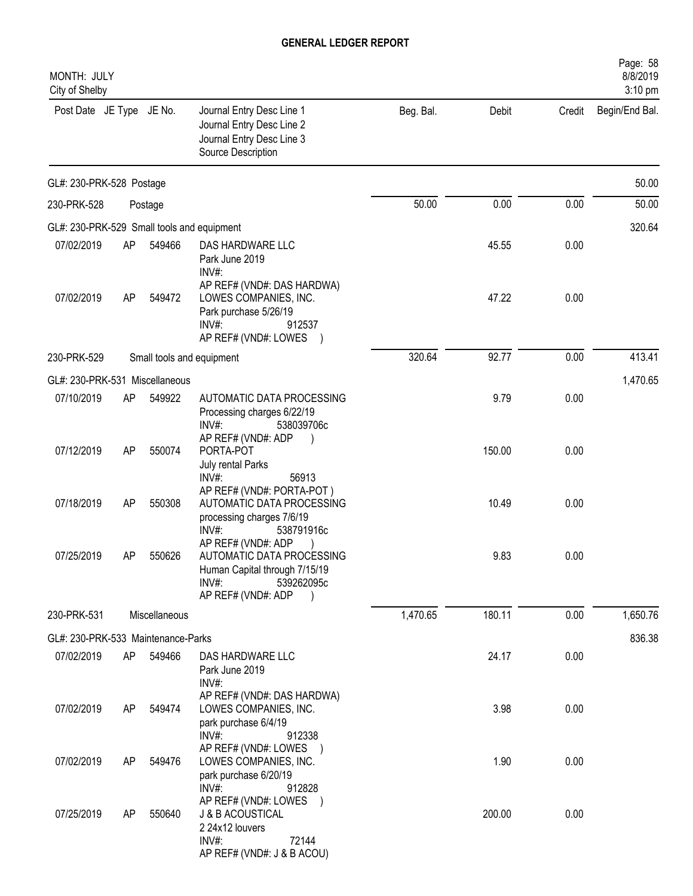| MONTH: JULY<br>City of Shelby              |           |                           |                                                                                                                                                     |           |        |        | Page: 58<br>8/8/2019<br>3:10 pm |
|--------------------------------------------|-----------|---------------------------|-----------------------------------------------------------------------------------------------------------------------------------------------------|-----------|--------|--------|---------------------------------|
| Post Date JE Type JE No.                   |           |                           | Journal Entry Desc Line 1<br>Journal Entry Desc Line 2<br>Journal Entry Desc Line 3<br>Source Description                                           | Beg. Bal. | Debit  | Credit | Begin/End Bal.                  |
| GL#: 230-PRK-528 Postage                   |           |                           |                                                                                                                                                     |           |        |        | 50.00                           |
| 230-PRK-528                                |           | Postage                   |                                                                                                                                                     | 50.00     | 0.00   | 0.00   | 50.00                           |
| GL#: 230-PRK-529 Small tools and equipment |           |                           |                                                                                                                                                     |           |        |        | 320.64                          |
| 07/02/2019                                 | AP        | 549466                    | DAS HARDWARE LLC<br>Park June 2019<br>$INV#$ :                                                                                                      |           | 45.55  | 0.00   |                                 |
| 07/02/2019                                 | AP        | 549472                    | AP REF# (VND#: DAS HARDWA)<br>LOWES COMPANIES, INC.<br>Park purchase 5/26/19<br>$INV#$ :<br>912537<br>AP REF# (VND#: LOWES )                        |           | 47.22  | 0.00   |                                 |
| 230-PRK-529                                |           | Small tools and equipment |                                                                                                                                                     | 320.64    | 92.77  | 0.00   | 413.41                          |
| GL#: 230-PRK-531 Miscellaneous             |           |                           |                                                                                                                                                     |           |        |        | 1,470.65                        |
| 07/10/2019                                 | AP        | 549922                    | AUTOMATIC DATA PROCESSING<br>Processing charges 6/22/19<br>$INV#$ :<br>538039706c                                                                   |           | 9.79   | 0.00   |                                 |
| 07/12/2019                                 | <b>AP</b> | 550074                    | AP REF# (VND#: ADP<br>PORTA-POT<br>July rental Parks<br>INV#:<br>56913                                                                              |           | 150.00 | 0.00   |                                 |
| 07/18/2019                                 | <b>AP</b> | 550308                    | AP REF# (VND#: PORTA-POT)<br>AUTOMATIC DATA PROCESSING<br>processing charges 7/6/19                                                                 |           | 10.49  | 0.00   |                                 |
| 07/25/2019                                 | AΡ        | 550626                    | INV#<br>538791916c<br>AP REF# (VND#: ADP<br>AUTOMATIC DATA PROCESSING<br>Human Capital through 7/15/19<br>INV#:<br>539262095c<br>AP REF# (VND#: ADP |           | 9.83   | 0.00   |                                 |
| 230-PRK-531                                |           | Miscellaneous             |                                                                                                                                                     | 1,470.65  | 180.11 | 0.00   | 1,650.76                        |
| GL#: 230-PRK-533 Maintenance-Parks         |           |                           |                                                                                                                                                     |           |        |        | 836.38                          |
| 07/02/2019                                 | AP        | 549466                    | DAS HARDWARE LLC<br>Park June 2019<br>INV#:                                                                                                         |           | 24.17  | 0.00   |                                 |
| 07/02/2019                                 | AP        | 549474                    | AP REF# (VND#: DAS HARDWA)<br>LOWES COMPANIES, INC.<br>park purchase 6/4/19                                                                         |           | 3.98   | 0.00   |                                 |
| 07/02/2019                                 | AP        | 549476                    | INV#:<br>912338<br>AP REF# (VND#: LOWES )<br>LOWES COMPANIES, INC.<br>park purchase 6/20/19                                                         |           | 1.90   | 0.00   |                                 |
| 07/25/2019                                 | AP        | 550640                    | INV#:<br>912828<br>AP REF# (VND#: LOWES<br><b>J &amp; B ACOUSTICAL</b><br>2 24x12 louvers                                                           |           | 200.00 | 0.00   |                                 |
|                                            |           |                           | INV#:<br>72144<br>AP REF# (VND#: J & B ACOU)                                                                                                        |           |        |        |                                 |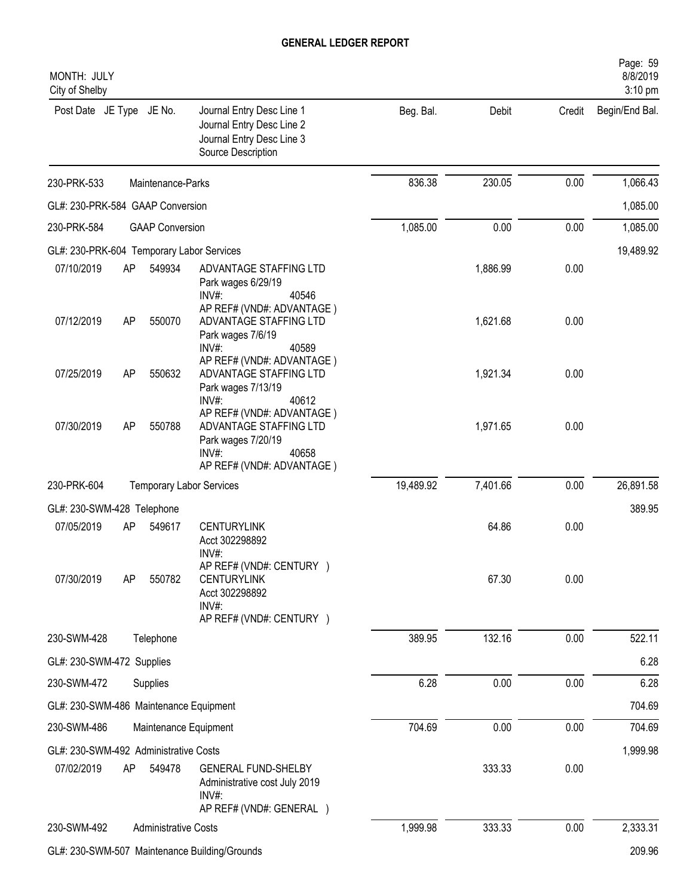| MONTH: JULY<br>City of Shelby             |    |                             |                                                                                                                             |           |          |        | Page: 59<br>8/8/2019<br>3:10 pm |
|-------------------------------------------|----|-----------------------------|-----------------------------------------------------------------------------------------------------------------------------|-----------|----------|--------|---------------------------------|
| Post Date JE Type JE No.                  |    |                             | Journal Entry Desc Line 1<br>Journal Entry Desc Line 2<br>Journal Entry Desc Line 3<br>Source Description                   | Beg. Bal. | Debit    | Credit | Begin/End Bal.                  |
| 230-PRK-533                               |    | Maintenance-Parks           |                                                                                                                             | 836.38    | 230.05   | 0.00   | 1,066.43                        |
| GL#: 230-PRK-584 GAAP Conversion          |    |                             |                                                                                                                             |           |          |        | 1,085.00                        |
| 230-PRK-584                               |    | <b>GAAP Conversion</b>      |                                                                                                                             | 1,085.00  | 0.00     | 0.00   | 1,085.00                        |
| GL#: 230-PRK-604 Temporary Labor Services |    |                             |                                                                                                                             |           |          |        | 19,489.92                       |
| 07/10/2019                                | AP | 549934                      | ADVANTAGE STAFFING LTD<br>Park wages 6/29/19<br>INV#:<br>40546                                                              |           | 1,886.99 | 0.00   |                                 |
| 07/12/2019                                | AP | 550070                      | AP REF# (VND#: ADVANTAGE)<br>ADVANTAGE STAFFING LTD<br>Park wages 7/6/19<br>$INV#$ :<br>40589                               |           | 1,621.68 | 0.00   |                                 |
| 07/25/2019                                | AP | 550632                      | AP REF# (VND#: ADVANTAGE)<br>ADVANTAGE STAFFING LTD<br>Park wages 7/13/19<br>$INV#$ :<br>40612                              |           | 1,921.34 | 0.00   |                                 |
| 07/30/2019                                | AP | 550788                      | AP REF# (VND#: ADVANTAGE)<br>ADVANTAGE STAFFING LTD<br>Park wages 7/20/19<br>$INV#$ :<br>40658<br>AP REF# (VND#: ADVANTAGE) |           | 1,971.65 | 0.00   |                                 |
| 230-PRK-604                               |    |                             | <b>Temporary Labor Services</b>                                                                                             | 19,489.92 | 7,401.66 | 0.00   | 26,891.58                       |
| GL#: 230-SWM-428 Telephone                |    |                             |                                                                                                                             |           |          |        | 389.95                          |
| 07/05/2019                                | AP | 549617                      | <b>CENTURYLINK</b><br>Acct 302298892<br>INV#:                                                                               |           | 64.86    | 0.00   |                                 |
| 07/30/2019                                | AP | 550782                      | AP REF# (VND#: CENTURY )<br><b>CENTURYLINK</b><br>Acct 302298892<br>INV#:<br>AP REF# (VND#: CENTURY )                       |           | 67.30    | 0.00   |                                 |
| 230-SWM-428                               |    | Telephone                   |                                                                                                                             | 389.95    | 132.16   | 0.00   | 522.11                          |
| GL#: 230-SWM-472 Supplies                 |    |                             |                                                                                                                             |           |          |        | 6.28                            |
| 230-SWM-472                               |    | Supplies                    |                                                                                                                             | 6.28      | 0.00     | 0.00   | 6.28                            |
| GL#: 230-SWM-486 Maintenance Equipment    |    |                             |                                                                                                                             |           |          |        | 704.69                          |
| 230-SWM-486                               |    | Maintenance Equipment       |                                                                                                                             | 704.69    | 0.00     | 0.00   | 704.69                          |
| GL#: 230-SWM-492 Administrative Costs     |    |                             |                                                                                                                             |           |          |        | 1,999.98                        |
| 07/02/2019                                | AP | 549478                      | <b>GENERAL FUND-SHELBY</b><br>Administrative cost July 2019<br>$INV#$ :<br>AP REF# (VND#: GENERAL )                         |           | 333.33   | 0.00   |                                 |
| 230-SWM-492                               |    | <b>Administrative Costs</b> |                                                                                                                             | 1,999.98  | 333.33   | 0.00   | 2,333.31                        |
|                                           |    |                             | GL#: 230-SWM-507 Maintenance Building/Grounds                                                                               |           |          |        | 209.96                          |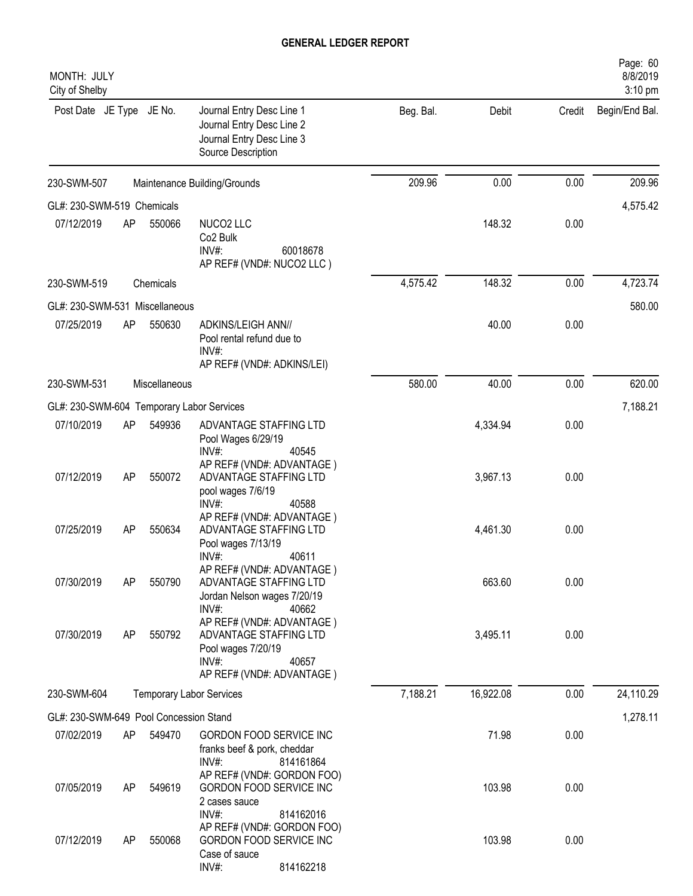| MONTH: JULY<br>City of Shelby          |    |               |                                                                                                                                               |           |           |        | Page: 60<br>8/8/2019<br>3:10 pm |
|----------------------------------------|----|---------------|-----------------------------------------------------------------------------------------------------------------------------------------------|-----------|-----------|--------|---------------------------------|
| Post Date JE Type JE No.               |    |               | Journal Entry Desc Line 1<br>Journal Entry Desc Line 2<br>Journal Entry Desc Line 3<br>Source Description                                     | Beg. Bal. | Debit     | Credit | Begin/End Bal.                  |
| 230-SWM-507                            |    |               | Maintenance Building/Grounds                                                                                                                  | 209.96    | 0.00      | 0.00   | 209.96                          |
| GL#: 230-SWM-519 Chemicals             |    |               |                                                                                                                                               |           |           |        | 4,575.42                        |
| 07/12/2019                             | AP | 550066        | NUCO2 LLC<br>Co <sub>2</sub> Bulk<br>INV#:<br>60018678<br>AP REF# (VND#: NUCO2 LLC)                                                           |           | 148.32    | 0.00   |                                 |
| 230-SWM-519                            |    | Chemicals     |                                                                                                                                               | 4,575.42  | 148.32    | 0.00   | 4,723.74                        |
| GL#: 230-SWM-531 Miscellaneous         |    |               |                                                                                                                                               |           |           |        | 580.00                          |
| 07/25/2019                             | AP | 550630        | ADKINS/LEIGH ANN//<br>Pool rental refund due to<br>INV#:<br>AP REF# (VND#: ADKINS/LEI)                                                        |           | 40.00     | 0.00   |                                 |
| 230-SWM-531                            |    | Miscellaneous |                                                                                                                                               | 580.00    | 40.00     | 0.00   | 620.00                          |
| GL#: 230-SWM-604                       |    |               | <b>Temporary Labor Services</b>                                                                                                               |           |           |        | 7,188.21                        |
| 07/10/2019                             | AP | 549936        | ADVANTAGE STAFFING LTD<br>Pool Wages 6/29/19<br>INV#:<br>40545                                                                                |           | 4,334.94  | 0.00   |                                 |
| 07/12/2019                             | AP | 550072        | AP REF# (VND#: ADVANTAGE)<br>ADVANTAGE STAFFING LTD<br>pool wages 7/6/19<br>$INV#$ :<br>40588                                                 |           | 3,967.13  | 0.00   |                                 |
| 07/25/2019                             | AP | 550634        | AP REF# (VND#: ADVANTAGE)<br>ADVANTAGE STAFFING LTD<br>Pool wages 7/13/19                                                                     |           | 4,461.30  | 0.00   |                                 |
| 07/30/2019                             | AP | 550790        | INV#:<br>40611<br>AP REF# (VND#: ADVANTAGE)<br>ADVANTAGE STAFFING LTD<br>Jordan Nelson wages 7/20/19                                          |           | 663.60    | 0.00   |                                 |
| 07/30/2019                             | AP | 550792        | INV#:<br>40662<br>AP REF# (VND#: ADVANTAGE)<br>ADVANTAGE STAFFING LTD<br>Pool wages 7/20/19<br>$INV#$ :<br>40657<br>AP REF# (VND#: ADVANTAGE) |           | 3,495.11  | 0.00   |                                 |
| 230-SWM-604                            |    |               | <b>Temporary Labor Services</b>                                                                                                               | 7,188.21  | 16,922.08 | 0.00   | 24,110.29                       |
| GL#: 230-SWM-649 Pool Concession Stand |    |               |                                                                                                                                               |           |           |        | 1,278.11                        |
| 07/02/2019                             | AP | 549470        | GORDON FOOD SERVICE INC<br>franks beef & pork, cheddar<br>$INV#$ :<br>814161864                                                               |           | 71.98     | 0.00   |                                 |
| 07/05/2019                             | AP | 549619        | AP REF# (VND#: GORDON FOO)<br>GORDON FOOD SERVICE INC<br>2 cases sauce                                                                        |           | 103.98    | 0.00   |                                 |
| 07/12/2019                             | AP | 550068        | INV#:<br>814162016<br>AP REF# (VND#: GORDON FOO)<br>GORDON FOOD SERVICE INC<br>Case of sauce<br>INV#:<br>814162218                            |           | 103.98    | 0.00   |                                 |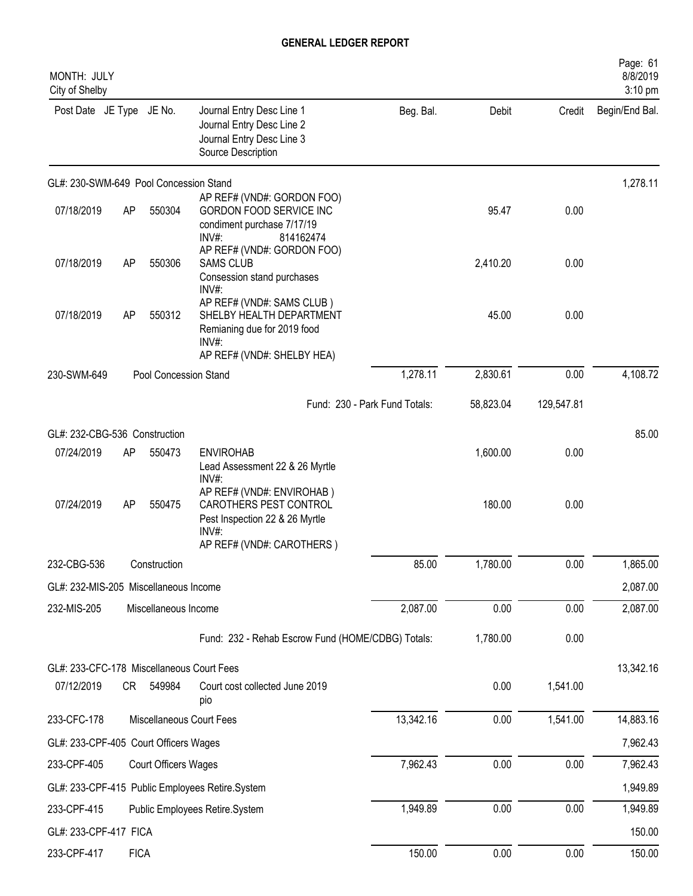| MONTH: JULY<br>City of Shelby             |             |                       |                                                                                                                             |                               |           |            | Page: 61<br>8/8/2019<br>3:10 pm |
|-------------------------------------------|-------------|-----------------------|-----------------------------------------------------------------------------------------------------------------------------|-------------------------------|-----------|------------|---------------------------------|
| Post Date JE Type JE No.                  |             |                       | Journal Entry Desc Line 1<br>Journal Entry Desc Line 2<br>Journal Entry Desc Line 3<br>Source Description                   | Beg. Bal.                     | Debit     | Credit     | Begin/End Bal.                  |
| GL#: 230-SWM-649 Pool Concession Stand    |             |                       |                                                                                                                             |                               |           |            | 1,278.11                        |
| 07/18/2019                                | AP          | 550304                | AP REF# (VND#: GORDON FOO)<br>GORDON FOOD SERVICE INC<br>condiment purchase 7/17/19<br>$INV#$ :<br>814162474                |                               | 95.47     | 0.00       |                                 |
| 07/18/2019                                | AP          | 550306                | AP REF# (VND#: GORDON FOO)<br><b>SAMS CLUB</b><br>Consession stand purchases<br>INV#:                                       |                               | 2,410.20  | 0.00       |                                 |
| 07/18/2019                                | AP          | 550312                | AP REF# (VND#: SAMS CLUB)<br>SHELBY HEALTH DEPARTMENT<br>Remianing due for 2019 food<br>INV#:                               |                               | 45.00     | 0.00       |                                 |
| 230-SWM-649                               |             | Pool Concession Stand | AP REF# (VND#: SHELBY HEA)                                                                                                  | 1,278.11                      | 2,830.61  | 0.00       | 4,108.72                        |
|                                           |             |                       |                                                                                                                             |                               |           |            |                                 |
|                                           |             |                       |                                                                                                                             | Fund: 230 - Park Fund Totals: | 58,823.04 | 129,547.81 |                                 |
| GL#: 232-CBG-536 Construction             |             |                       |                                                                                                                             |                               |           |            | 85.00                           |
| 07/24/2019                                | AP          | 550473                | <b>ENVIROHAB</b><br>Lead Assessment 22 & 26 Myrtle<br>INV#:                                                                 |                               | 1,600.00  | 0.00       |                                 |
| 07/24/2019                                | AP          | 550475                | AP REF# (VND#: ENVIROHAB)<br>CAROTHERS PEST CONTROL<br>Pest Inspection 22 & 26 Myrtle<br>INV#:<br>AP REF# (VND#: CAROTHERS) |                               | 180.00    | 0.00       |                                 |
| 232-CBG-536                               |             | Construction          |                                                                                                                             | 85.00                         | 1,780.00  | 0.00       | 1,865.00                        |
| GL#: 232-MIS-205 Miscellaneous Income     |             |                       |                                                                                                                             |                               |           |            | 2,087.00                        |
| 232-MIS-205                               |             | Miscellaneous Income  |                                                                                                                             | 2,087.00                      | 0.00      | 0.00       | 2,087.00                        |
|                                           |             |                       | Fund: 232 - Rehab Escrow Fund (HOME/CDBG) Totals:                                                                           |                               | 1,780.00  | 0.00       |                                 |
| GL#: 233-CFC-178 Miscellaneous Court Fees |             |                       |                                                                                                                             |                               |           |            | 13,342.16                       |
| 07/12/2019                                | CR          | 549984                | Court cost collected June 2019<br>pio                                                                                       |                               | 0.00      | 1,541.00   |                                 |
| 233-CFC-178                               |             |                       | Miscellaneous Court Fees                                                                                                    | 13,342.16                     | 0.00      | 1,541.00   | 14,883.16                       |
| GL#: 233-CPF-405 Court Officers Wages     |             |                       |                                                                                                                             |                               |           |            | 7,962.43                        |
| 233-CPF-405                               |             | Court Officers Wages  |                                                                                                                             | 7,962.43                      | 0.00      | 0.00       | 7,962.43                        |
|                                           |             |                       | GL#: 233-CPF-415 Public Employees Retire.System                                                                             |                               |           |            | 1,949.89                        |
| 233-CPF-415                               |             |                       | Public Employees Retire.System                                                                                              | 1,949.89                      | 0.00      | 0.00       | 1,949.89                        |
| GL#: 233-CPF-417 FICA                     |             |                       |                                                                                                                             |                               |           |            | 150.00                          |
| 233-CPF-417                               | <b>FICA</b> |                       |                                                                                                                             | 150.00                        | 0.00      | 0.00       | 150.00                          |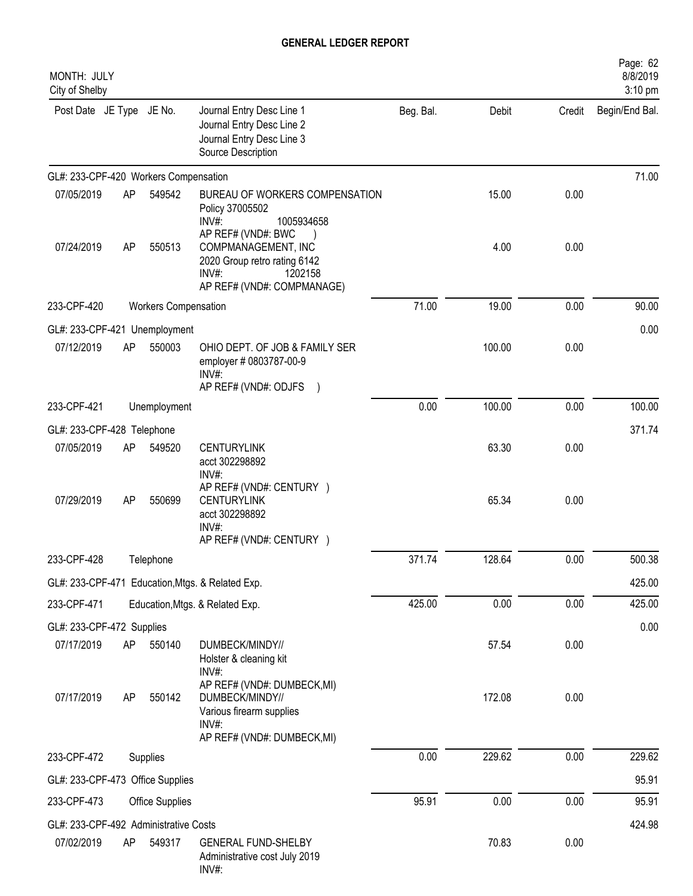| MONTH: JULY<br>City of Shelby         |    |                      |                                                                                                                  |           |        |        | Page: 62<br>8/8/2019<br>3:10 pm |
|---------------------------------------|----|----------------------|------------------------------------------------------------------------------------------------------------------|-----------|--------|--------|---------------------------------|
| Post Date JE Type JE No.              |    |                      | Journal Entry Desc Line 1<br>Journal Entry Desc Line 2<br>Journal Entry Desc Line 3<br>Source Description        | Beg. Bal. | Debit  | Credit | Begin/End Bal.                  |
| GL#: 233-CPF-420 Workers Compensation |    |                      |                                                                                                                  |           |        |        | 71.00                           |
| 07/05/2019                            | AP | 549542               | BUREAU OF WORKERS COMPENSATION<br>Policy 37005502<br>INV#:<br>1005934658<br>AP REF# (VND#: BWC                   |           | 15.00  | 0.00   |                                 |
| 07/24/2019                            | AP | 550513               | COMPMANAGEMENT, INC<br>2020 Group retro rating 6142<br>INV#:<br>1202158<br>AP REF# (VND#: COMPMANAGE)            |           | 4.00   | 0.00   |                                 |
| 233-CPF-420                           |    | Workers Compensation |                                                                                                                  | 71.00     | 19.00  | 0.00   | 90.00                           |
| GL#: 233-CPF-421 Unemployment         |    |                      |                                                                                                                  |           |        |        | 0.00                            |
| 07/12/2019                            | AP | 550003               | OHIO DEPT. OF JOB & FAMILY SER<br>employer # 0803787-00-9<br>INV#:<br>AP REF# (VND#: ODJFS )                     |           | 100.00 | 0.00   |                                 |
| 233-CPF-421                           |    | Unemployment         |                                                                                                                  | 0.00      | 100.00 | 0.00   | 100.00                          |
| GL#: 233-CPF-428 Telephone            |    |                      |                                                                                                                  |           |        |        | 371.74                          |
| 07/05/2019                            | AP | 549520               | <b>CENTURYLINK</b><br>acct 302298892<br>INV#:                                                                    |           | 63.30  | 0.00   |                                 |
| 07/29/2019                            | AP | 550699               | AP REF# (VND#: CENTURY )<br><b>CENTURYLINK</b><br>acct 302298892<br>INV#:<br>AP REF# (VND#: CENTURY )            |           | 65.34  | 0.00   |                                 |
| 233-CPF-428                           |    | Telephone            |                                                                                                                  | 371.74    | 128.64 | 0.00   | 500.38                          |
|                                       |    |                      | GL#: 233-CPF-471 Education, Mtgs. & Related Exp.                                                                 |           |        |        | 425.00                          |
| 233-CPF-471                           |    |                      | Education, Mtgs. & Related Exp.                                                                                  | 425.00    | 0.00   | 0.00   | 425.00                          |
| GL#: 233-CPF-472 Supplies             |    |                      |                                                                                                                  |           |        |        | 0.00                            |
| 07/17/2019                            | AP | 550140               | DUMBECK/MINDY//<br>Holster & cleaning kit<br>INV#:                                                               |           | 57.54  | 0.00   |                                 |
| 07/17/2019                            | AP | 550142               | AP REF# (VND#: DUMBECK,MI)<br>DUMBECK/MINDY//<br>Various firearm supplies<br>INV#:<br>AP REF# (VND#: DUMBECK,MI) |           | 172.08 | 0.00   |                                 |
| 233-CPF-472                           |    | Supplies             |                                                                                                                  | 0.00      | 229.62 | 0.00   | 229.62                          |
| GL#: 233-CPF-473 Office Supplies      |    |                      |                                                                                                                  |           |        |        | 95.91                           |
| 233-CPF-473                           |    | Office Supplies      |                                                                                                                  | 95.91     | 0.00   | 0.00   | 95.91                           |
| GL#: 233-CPF-492 Administrative Costs |    |                      |                                                                                                                  |           |        |        | 424.98                          |
| 07/02/2019                            | AP | 549317               | <b>GENERAL FUND-SHELBY</b><br>Administrative cost July 2019<br>INV#:                                             |           | 70.83  | 0.00   |                                 |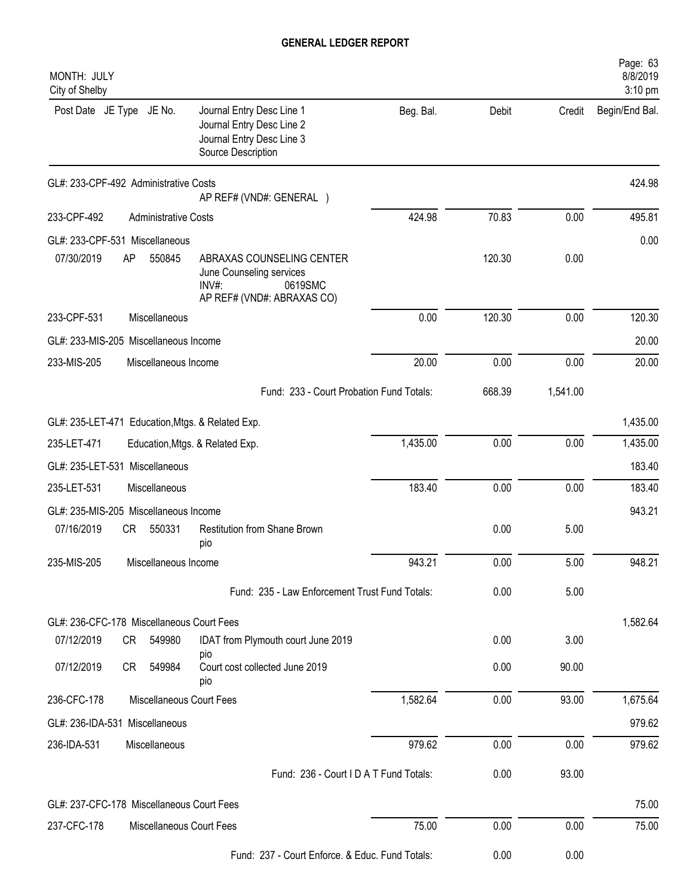| MONTH: JULY<br>City of Shelby             |    |                             |                                                                                                           |           |        |          | Page: 63<br>8/8/2019<br>3:10 pm |
|-------------------------------------------|----|-----------------------------|-----------------------------------------------------------------------------------------------------------|-----------|--------|----------|---------------------------------|
| Post Date JE Type JE No.                  |    |                             | Journal Entry Desc Line 1<br>Journal Entry Desc Line 2<br>Journal Entry Desc Line 3<br>Source Description | Beg. Bal. | Debit  | Credit   | Begin/End Bal.                  |
| GL#: 233-CPF-492 Administrative Costs     |    |                             | AP REF# (VND#: GENERAL )                                                                                  |           |        |          | 424.98                          |
| 233-CPF-492                               |    | <b>Administrative Costs</b> |                                                                                                           | 424.98    | 70.83  | 0.00     | 495.81                          |
| GL#: 233-CPF-531 Miscellaneous            |    |                             |                                                                                                           |           |        |          | 0.00                            |
| 07/30/2019                                | AP | 550845                      | ABRAXAS COUNSELING CENTER<br>June Counseling services<br>INV#:<br>0619SMC<br>AP REF# (VND#: ABRAXAS CO)   |           | 120.30 | 0.00     |                                 |
| 233-CPF-531                               |    | Miscellaneous               |                                                                                                           | 0.00      | 120.30 | 0.00     | 120.30                          |
| GL#: 233-MIS-205 Miscellaneous Income     |    |                             |                                                                                                           |           |        |          | 20.00                           |
| 233-MIS-205                               |    | Miscellaneous Income        |                                                                                                           | 20.00     | 0.00   | 0.00     | 20.00                           |
|                                           |    |                             | Fund: 233 - Court Probation Fund Totals:                                                                  |           | 668.39 | 1,541.00 |                                 |
|                                           |    |                             | GL#: 235-LET-471 Education, Mtgs. & Related Exp.                                                          |           |        |          | 1,435.00                        |
| 235-LET-471                               |    |                             | Education, Mtgs. & Related Exp.                                                                           | 1,435.00  | 0.00   | 0.00     | 1,435.00                        |
| GL#: 235-LET-531 Miscellaneous            |    |                             |                                                                                                           |           |        |          | 183.40                          |
| 235-LET-531                               |    | Miscellaneous               |                                                                                                           | 183.40    | 0.00   | 0.00     | 183.40                          |
| GL#: 235-MIS-205 Miscellaneous Income     |    |                             |                                                                                                           |           |        |          | 943.21                          |
| 07/16/2019                                | CR | 550331                      | Restitution from Shane Brown<br>pio                                                                       |           | 0.00   | 5.00     |                                 |
| 235-MIS-205                               |    | Miscellaneous Income        |                                                                                                           | 943.21    | 0.00   | $5.00$   | 948.21                          |
|                                           |    |                             | Fund: 235 - Law Enforcement Trust Fund Totals:                                                            |           | 0.00   | 5.00     |                                 |
| GL#: 236-CFC-178 Miscellaneous Court Fees |    |                             |                                                                                                           |           |        |          | 1,582.64                        |
| 07/12/2019                                | CR | 549980                      | IDAT from Plymouth court June 2019<br>pio                                                                 |           | 0.00   | 3.00     |                                 |
| 07/12/2019                                | CR | 549984                      | Court cost collected June 2019<br>pio                                                                     |           | 0.00   | 90.00    |                                 |
| 236-CFC-178                               |    | Miscellaneous Court Fees    |                                                                                                           | 1,582.64  | 0.00   | 93.00    | 1,675.64                        |
| GL#: 236-IDA-531 Miscellaneous            |    |                             |                                                                                                           |           |        |          | 979.62                          |
| 236-IDA-531                               |    | Miscellaneous               |                                                                                                           | 979.62    | 0.00   | 0.00     | 979.62                          |
|                                           |    |                             | Fund: 236 - Court I D A T Fund Totals:                                                                    |           | 0.00   | 93.00    |                                 |
| GL#: 237-CFC-178 Miscellaneous Court Fees |    |                             |                                                                                                           |           |        |          | 75.00                           |
| 237-CFC-178                               |    | Miscellaneous Court Fees    |                                                                                                           | 75.00     | 0.00   | 0.00     | 75.00                           |
|                                           |    |                             |                                                                                                           |           |        |          |                                 |
|                                           |    |                             | Fund: 237 - Court Enforce. & Educ. Fund Totals:                                                           |           | 0.00   | 0.00     |                                 |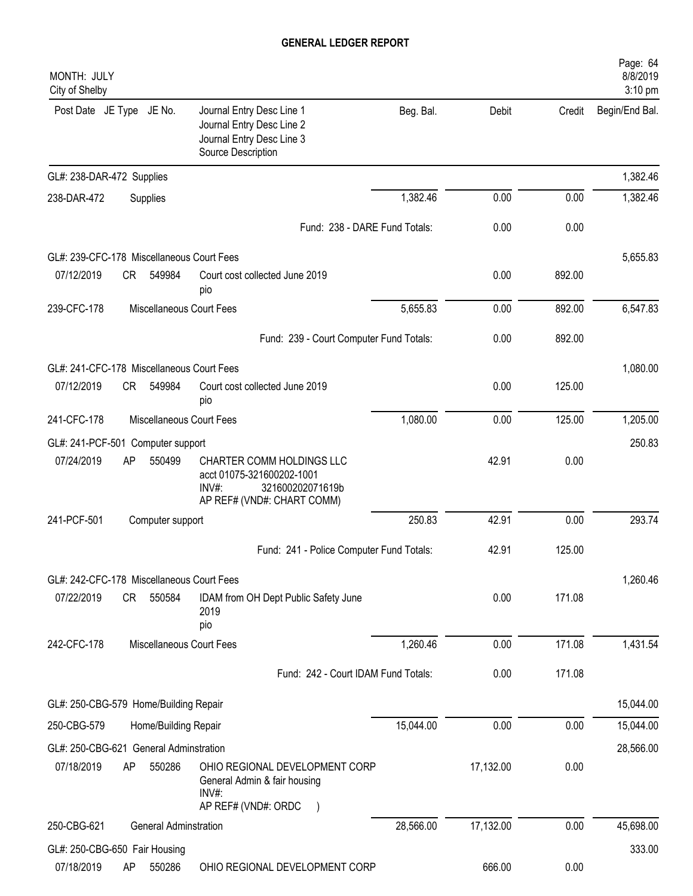| MONTH: JULY<br>City of Shelby             |    |                              |                                                                                                                   |           |           |        | Page: 64<br>8/8/2019<br>3:10 pm |
|-------------------------------------------|----|------------------------------|-------------------------------------------------------------------------------------------------------------------|-----------|-----------|--------|---------------------------------|
| Post Date JE Type JE No.                  |    |                              | Journal Entry Desc Line 1<br>Journal Entry Desc Line 2<br>Journal Entry Desc Line 3<br>Source Description         | Beg. Bal. | Debit     | Credit | Begin/End Bal.                  |
| GL#: 238-DAR-472 Supplies                 |    |                              |                                                                                                                   |           |           |        | 1,382.46                        |
| 238-DAR-472                               |    | Supplies                     |                                                                                                                   | 1,382.46  | 0.00      | 0.00   | 1,382.46                        |
|                                           |    |                              | Fund: 238 - DARE Fund Totals:                                                                                     |           | 0.00      | 0.00   |                                 |
| GL#: 239-CFC-178 Miscellaneous Court Fees |    |                              |                                                                                                                   |           |           |        | 5,655.83                        |
| 07/12/2019                                | CR | 549984                       | Court cost collected June 2019<br>pio                                                                             |           | 0.00      | 892.00 |                                 |
| 239-CFC-178                               |    |                              | Miscellaneous Court Fees                                                                                          | 5,655.83  | 0.00      | 892.00 | 6,547.83                        |
|                                           |    |                              | Fund: 239 - Court Computer Fund Totals:                                                                           |           | 0.00      | 892.00 |                                 |
| GL#: 241-CFC-178 Miscellaneous Court Fees |    |                              |                                                                                                                   |           |           |        | 1,080.00                        |
| 07/12/2019                                | CR | 549984                       | Court cost collected June 2019<br>pio                                                                             |           | 0.00      | 125.00 |                                 |
| 241-CFC-178                               |    |                              | Miscellaneous Court Fees                                                                                          | 1,080.00  | 0.00      | 125.00 | 1,205.00                        |
| GL#: 241-PCF-501 Computer support         |    |                              |                                                                                                                   |           |           |        | 250.83                          |
| 07/24/2019                                | AP | 550499                       | CHARTER COMM HOLDINGS LLC<br>acct 01075-321600202-1001<br>INV#:<br>321600202071619b<br>AP REF# (VND#: CHART COMM) |           | 42.91     | 0.00   |                                 |
| 241-PCF-501                               |    | Computer support             |                                                                                                                   | 250.83    | 42.91     | 0.00   | 293.74                          |
|                                           |    |                              | Fund: 241 - Police Computer Fund Totals:                                                                          |           | 42.91     | 125.00 |                                 |
| GL#: 242-CFC-178 Miscellaneous Court Fees |    |                              |                                                                                                                   |           |           |        | 1,260.46                        |
| 07/22/2019                                | CR | 550584                       | IDAM from OH Dept Public Safety June<br>2019<br>pio                                                               |           | 0.00      | 171.08 |                                 |
| 242-CFC-178                               |    |                              | Miscellaneous Court Fees                                                                                          | 1,260.46  | 0.00      | 171.08 | 1,431.54                        |
|                                           |    |                              | Fund: 242 - Court IDAM Fund Totals:                                                                               |           | 0.00      | 171.08 |                                 |
| GL#: 250-CBG-579 Home/Building Repair     |    |                              |                                                                                                                   |           |           |        | 15,044.00                       |
| 250-CBG-579                               |    | Home/Building Repair         |                                                                                                                   | 15,044.00 | 0.00      | 0.00   | 15,044.00                       |
| GL#: 250-CBG-621 General Adminstration    |    |                              |                                                                                                                   |           |           |        | 28,566.00                       |
| 07/18/2019                                | AP | 550286                       | OHIO REGIONAL DEVELOPMENT CORP<br>General Admin & fair housing<br>INV#:<br>AP REF# (VND#: ORDC                    |           | 17,132.00 | 0.00   |                                 |
| 250-CBG-621                               |    | <b>General Adminstration</b> |                                                                                                                   | 28,566.00 | 17,132.00 | 0.00   | 45,698.00                       |
| GL#: 250-CBG-650 Fair Housing             |    |                              |                                                                                                                   |           |           |        | 333.00                          |
| 07/18/2019                                | AP | 550286                       | OHIO REGIONAL DEVELOPMENT CORP                                                                                    |           | 666.00    | 0.00   |                                 |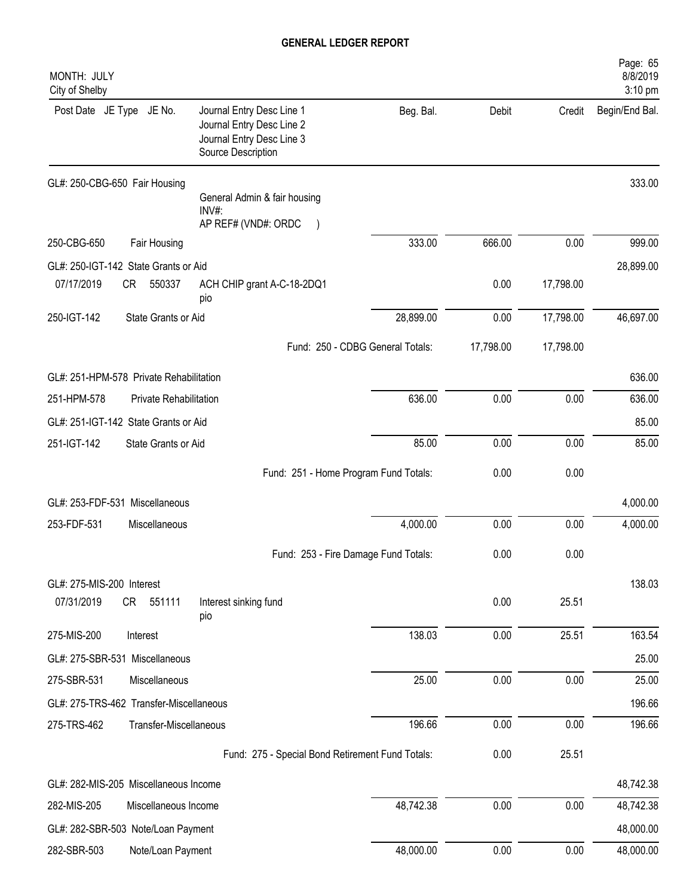| MONTH: JULY<br>City of Shelby                 |                        |                                                                                                           |           |           |           | Page: 65<br>8/8/2019<br>3:10 pm |
|-----------------------------------------------|------------------------|-----------------------------------------------------------------------------------------------------------|-----------|-----------|-----------|---------------------------------|
| Post Date JE Type JE No.                      |                        | Journal Entry Desc Line 1<br>Journal Entry Desc Line 2<br>Journal Entry Desc Line 3<br>Source Description | Beg. Bal. | Debit     | Credit    | Begin/End Bal.                  |
| GL#: 250-CBG-650 Fair Housing                 |                        | General Admin & fair housing                                                                              |           |           |           | 333.00                          |
|                                               |                        | INV#:<br>AP REF# (VND#: ORDC                                                                              |           |           |           |                                 |
| 250-CBG-650                                   | Fair Housing           |                                                                                                           | 333.00    | 666.00    | 0.00      | 999.00                          |
| GL#: 250-IGT-142 State Grants or Aid          |                        |                                                                                                           |           |           |           | 28,899.00                       |
| 07/17/2019<br>CR                              | 550337                 | ACH CHIP grant A-C-18-2DQ1<br>pio                                                                         |           | 0.00      | 17,798.00 |                                 |
| 250-IGT-142                                   | State Grants or Aid    |                                                                                                           | 28,899.00 | 0.00      | 17,798.00 | 46,697.00                       |
|                                               |                        | Fund: 250 - CDBG General Totals:                                                                          |           | 17,798.00 | 17,798.00 |                                 |
| GL#: 251-HPM-578 Private Rehabilitation       |                        |                                                                                                           |           |           |           | 636.00                          |
| 251-HPM-578                                   | Private Rehabilitation |                                                                                                           | 636.00    | 0.00      | 0.00      | 636.00                          |
| GL#: 251-IGT-142 State Grants or Aid          |                        |                                                                                                           |           |           |           | 85.00                           |
| 251-IGT-142                                   | State Grants or Aid    |                                                                                                           | 85.00     | 0.00      | 0.00      | 85.00                           |
|                                               |                        | Fund: 251 - Home Program Fund Totals:                                                                     |           | 0.00      | 0.00      |                                 |
| GL#: 253-FDF-531 Miscellaneous                |                        |                                                                                                           |           |           |           | 4,000.00                        |
| 253-FDF-531                                   | Miscellaneous          |                                                                                                           | 4,000.00  | 0.00      | 0.00      | 4,000.00                        |
|                                               |                        | Fund: 253 - Fire Damage Fund Totals:                                                                      |           | 0.00      | 0.00      |                                 |
|                                               |                        |                                                                                                           |           |           |           |                                 |
| GL#: 275-MIS-200 Interest<br>07/31/2019<br>CR | 551111                 | Interest sinking fund                                                                                     |           | 0.00      | 25.51     | 138.03                          |
|                                               |                        | pio                                                                                                       |           |           |           |                                 |
| 275-MIS-200                                   | Interest               |                                                                                                           | 138.03    | 0.00      | 25.51     | 163.54                          |
| GL#: 275-SBR-531 Miscellaneous                |                        |                                                                                                           |           |           |           | 25.00                           |
| 275-SBR-531                                   | Miscellaneous          |                                                                                                           | 25.00     | 0.00      | 0.00      | 25.00                           |
| GL#: 275-TRS-462 Transfer-Miscellaneous       |                        |                                                                                                           |           |           |           | 196.66                          |
| 275-TRS-462                                   | Transfer-Miscellaneous |                                                                                                           | 196.66    | 0.00      | 0.00      | 196.66                          |
|                                               |                        | Fund: 275 - Special Bond Retirement Fund Totals:                                                          |           | 0.00      | 25.51     |                                 |
| GL#: 282-MIS-205 Miscellaneous Income         |                        |                                                                                                           |           |           |           | 48,742.38                       |
| 282-MIS-205                                   | Miscellaneous Income   |                                                                                                           | 48,742.38 | 0.00      | 0.00      | 48,742.38                       |
| GL#: 282-SBR-503 Note/Loan Payment            |                        |                                                                                                           |           |           |           | 48,000.00                       |
| 282-SBR-503                                   | Note/Loan Payment      |                                                                                                           | 48,000.00 | 0.00      | 0.00      | 48,000.00                       |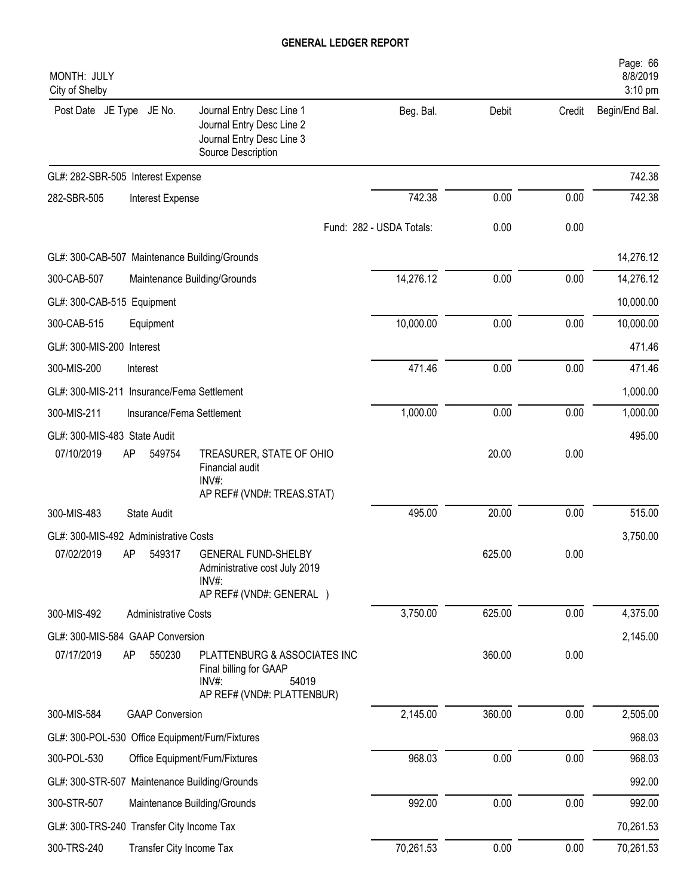| MONTH: JULY<br>City of Shelby                   |                                                                                                           |                          |        |        | Page: 66<br>8/8/2019<br>3:10 pm |
|-------------------------------------------------|-----------------------------------------------------------------------------------------------------------|--------------------------|--------|--------|---------------------------------|
| Post Date JE Type JE No.                        | Journal Entry Desc Line 1<br>Journal Entry Desc Line 2<br>Journal Entry Desc Line 3<br>Source Description | Beg. Bal.                | Debit  | Credit | Begin/End Bal.                  |
| GL#: 282-SBR-505 Interest Expense               |                                                                                                           |                          |        |        | 742.38                          |
| 282-SBR-505<br>Interest Expense                 |                                                                                                           | 742.38                   | 0.00   | 0.00   | 742.38                          |
|                                                 |                                                                                                           | Fund: 282 - USDA Totals: | 0.00   | 0.00   |                                 |
| GL#: 300-CAB-507 Maintenance Building/Grounds   |                                                                                                           |                          |        |        | 14,276.12                       |
| 300-CAB-507                                     | Maintenance Building/Grounds                                                                              | 14,276.12                | 0.00   | 0.00   | 14,276.12                       |
| GL#: 300-CAB-515 Equipment                      |                                                                                                           |                          |        |        | 10,000.00                       |
| 300-CAB-515<br>Equipment                        |                                                                                                           | 10,000.00                | 0.00   | 0.00   | 10,000.00                       |
| GL#: 300-MIS-200 Interest                       |                                                                                                           |                          |        |        | 471.46                          |
| 300-MIS-200<br>Interest                         |                                                                                                           | 471.46                   | 0.00   | 0.00   | 471.46                          |
| GL#: 300-MIS-211 Insurance/Fema Settlement      |                                                                                                           |                          |        |        | 1,000.00                        |
| 300-MIS-211<br>Insurance/Fema Settlement        |                                                                                                           | 1,000.00                 | 0.00   | 0.00   | 1,000.00                        |
| GL#: 300-MIS-483 State Audit                    |                                                                                                           |                          |        |        | 495.00                          |
| 07/10/2019<br>AP<br>549754                      | TREASURER, STATE OF OHIO<br>Financial audit<br>$INV#$ :<br>AP REF# (VND#: TREAS.STAT)                     |                          | 20.00  | 0.00   |                                 |
| 300-MIS-483<br><b>State Audit</b>               |                                                                                                           | 495.00                   | 20.00  | 0.00   | 515.00                          |
| GL#: 300-MIS-492 Administrative Costs           |                                                                                                           |                          |        |        | 3,750.00                        |
| 07/02/2019<br>AP<br>549317                      | <b>GENERAL FUND-SHELBY</b><br>Administrative cost July 2019<br>$INV#$ :<br>AP REF# (VND#: GENERAL )       |                          | 625.00 | 0.00   |                                 |
| 300-MIS-492<br><b>Administrative Costs</b>      |                                                                                                           | 3,750.00                 | 625.00 | 0.00   | 4,375.00                        |
| GL#: 300-MIS-584 GAAP Conversion                |                                                                                                           |                          |        |        | 2,145.00                        |
| 07/17/2019<br>550230<br>AP                      | PLATTENBURG & ASSOCIATES INC<br>Final billing for GAAP<br>INV#:<br>54019<br>AP REF# (VND#: PLATTENBUR)    |                          | 360.00 | 0.00   |                                 |
| 300-MIS-584<br><b>GAAP Conversion</b>           |                                                                                                           | 2,145.00                 | 360.00 | 0.00   | 2,505.00                        |
| GL#: 300-POL-530 Office Equipment/Furn/Fixtures |                                                                                                           |                          |        |        | 968.03                          |
| 300-POL-530                                     | Office Equipment/Furn/Fixtures                                                                            | 968.03                   | 0.00   | 0.00   | 968.03                          |
| GL#: 300-STR-507 Maintenance Building/Grounds   |                                                                                                           |                          |        |        | 992.00                          |
| 300-STR-507                                     | Maintenance Building/Grounds                                                                              | 992.00                   | 0.00   | 0.00   | 992.00                          |
| GL#: 300-TRS-240 Transfer City Income Tax       |                                                                                                           |                          |        |        | 70,261.53                       |
| 300-TRS-240<br>Transfer City Income Tax         |                                                                                                           | 70,261.53                | 0.00   | 0.00   | 70,261.53                       |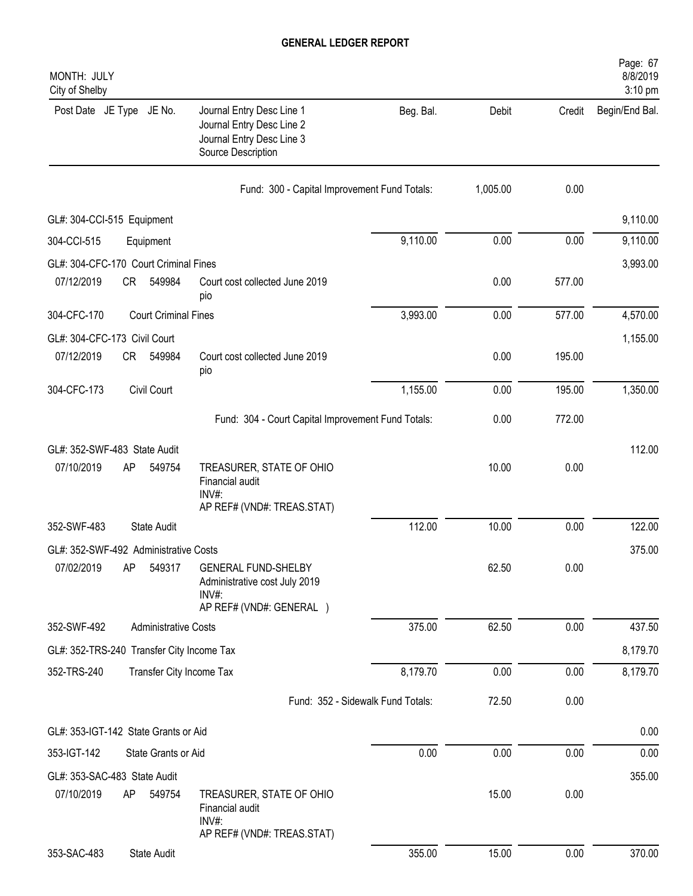| MONTH: JULY<br>City of Shelby             |    |                             |                                                                                                           |           |          |        | Page: 67<br>8/8/2019<br>3:10 pm |
|-------------------------------------------|----|-----------------------------|-----------------------------------------------------------------------------------------------------------|-----------|----------|--------|---------------------------------|
| Post Date JE Type JE No.                  |    |                             | Journal Entry Desc Line 1<br>Journal Entry Desc Line 2<br>Journal Entry Desc Line 3<br>Source Description | Beg. Bal. | Debit    | Credit | Begin/End Bal.                  |
|                                           |    |                             | Fund: 300 - Capital Improvement Fund Totals:                                                              |           | 1,005.00 | 0.00   |                                 |
| GL#: 304-CCI-515 Equipment                |    |                             |                                                                                                           |           |          |        | 9,110.00                        |
| 304-CCI-515                               |    | Equipment                   |                                                                                                           | 9,110.00  | 0.00     | 0.00   | 9,110.00                        |
| GL#: 304-CFC-170 Court Criminal Fines     |    |                             |                                                                                                           |           |          |        | 3,993.00                        |
| 07/12/2019                                | CR | 549984                      | Court cost collected June 2019<br>pio                                                                     |           | 0.00     | 577.00 |                                 |
| 304-CFC-170                               |    | <b>Court Criminal Fines</b> |                                                                                                           | 3,993.00  | 0.00     | 577.00 | 4,570.00                        |
| GL#: 304-CFC-173 Civil Court              |    |                             |                                                                                                           |           |          |        | 1,155.00                        |
| 07/12/2019                                | CR | 549984                      | Court cost collected June 2019<br>pio                                                                     |           | 0.00     | 195.00 |                                 |
| 304-CFC-173                               |    | Civil Court                 |                                                                                                           | 1,155.00  | 0.00     | 195.00 | 1,350.00                        |
|                                           |    |                             | Fund: 304 - Court Capital Improvement Fund Totals:                                                        |           | 0.00     | 772.00 |                                 |
| GL#: 352-SWF-483 State Audit              |    |                             |                                                                                                           |           |          |        | 112.00                          |
| 07/10/2019                                | AP | 549754                      | TREASURER, STATE OF OHIO<br>Financial audit<br>INV#:                                                      |           | 10.00    | 0.00   |                                 |
|                                           |    |                             | AP REF# (VND#: TREAS.STAT)                                                                                |           |          |        |                                 |
| 352-SWF-483                               |    | <b>State Audit</b>          |                                                                                                           | 112.00    | 10.00    | 0.00   | 122.00                          |
| GL#: 352-SWF-492 Administrative Costs     |    |                             |                                                                                                           |           |          |        | 375.00                          |
| 07/02/2019                                | AP | 549317                      | <b>GENERAL FUND-SHELBY</b><br>Administrative cost July 2019<br>INV#:                                      |           | 62.50    | 0.00   |                                 |
| 352-SWF-492                               |    | <b>Administrative Costs</b> | AP REF# (VND#: GENERAL )                                                                                  | 375.00    | 62.50    | 0.00   | 437.50                          |
|                                           |    |                             |                                                                                                           |           |          |        |                                 |
| GL#: 352-TRS-240 Transfer City Income Tax |    |                             |                                                                                                           | 8,179.70  | 0.00     | 0.00   | 8,179.70<br>8,179.70            |
| 352-TRS-240                               |    | Transfer City Income Tax    |                                                                                                           |           |          |        |                                 |
|                                           |    |                             | Fund: 352 - Sidewalk Fund Totals:                                                                         |           | 72.50    | 0.00   |                                 |
| GL#: 353-IGT-142 State Grants or Aid      |    |                             |                                                                                                           |           |          |        | 0.00                            |
| 353-IGT-142                               |    | State Grants or Aid         |                                                                                                           | 0.00      | 0.00     | 0.00   | 0.00                            |
| GL#: 353-SAC-483 State Audit              |    |                             |                                                                                                           |           |          |        | 355.00                          |
| 07/10/2019                                | AP | 549754                      | TREASURER, STATE OF OHIO<br>Financial audit<br>INV#:<br>AP REF# (VND#: TREAS.STAT)                        |           | 15.00    | 0.00   |                                 |
| 353-SAC-483                               |    | State Audit                 |                                                                                                           | 355.00    | 15.00    | 0.00   | 370.00                          |
|                                           |    |                             |                                                                                                           |           |          |        |                                 |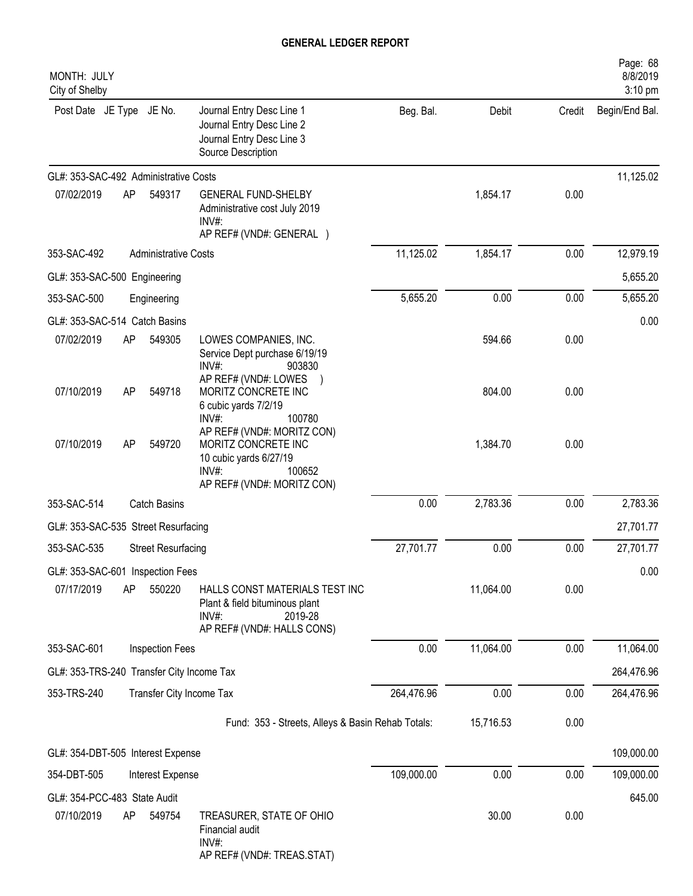| MONTH: JULY<br>City of Shelby               |    |                             |                                                                                                                                               |            |           |        | Page: 68<br>8/8/2019<br>3:10 pm |
|---------------------------------------------|----|-----------------------------|-----------------------------------------------------------------------------------------------------------------------------------------------|------------|-----------|--------|---------------------------------|
| Post Date JE Type JE No.                    |    |                             | Journal Entry Desc Line 1<br>Journal Entry Desc Line 2<br>Journal Entry Desc Line 3<br>Source Description                                     | Beg. Bal.  | Debit     | Credit | Begin/End Bal.                  |
| GL#: 353-SAC-492 Administrative Costs       |    |                             |                                                                                                                                               |            |           |        | 11,125.02                       |
| 07/02/2019                                  | AP | 549317                      | <b>GENERAL FUND-SHELBY</b><br>Administrative cost July 2019<br>$INV#$ :                                                                       |            | 1,854.17  | 0.00   |                                 |
|                                             |    | <b>Administrative Costs</b> | AP REF# (VND#: GENERAL )                                                                                                                      | 11,125.02  |           | 0.00   |                                 |
| 353-SAC-492                                 |    |                             |                                                                                                                                               |            | 1,854.17  |        | 12,979.19                       |
| GL#: 353-SAC-500 Engineering                |    |                             |                                                                                                                                               |            |           |        | 5,655.20                        |
| 353-SAC-500                                 |    | Engineering                 |                                                                                                                                               | 5,655.20   | 0.00      | 0.00   | 5,655.20                        |
| GL#: 353-SAC-514 Catch Basins<br>07/02/2019 | AP | 549305                      | LOWES COMPANIES, INC.                                                                                                                         |            | 594.66    | 0.00   | 0.00                            |
| 07/10/2019                                  | AP | 549718                      | Service Dept purchase 6/19/19<br>$INV#$ :<br>903830<br>AP REF# (VND#: LOWES<br>MORITZ CONCRETE INC<br>6 cubic yards 7/2/19<br>INV#:<br>100780 |            | 804.00    | 0.00   |                                 |
| 07/10/2019                                  | AP | 549720                      | AP REF# (VND#: MORITZ CON)<br>MORITZ CONCRETE INC<br>10 cubic yards 6/27/19<br>$INV#$ :<br>100652<br>AP REF# (VND#: MORITZ CON)               |            | 1,384.70  | 0.00   |                                 |
| 353-SAC-514                                 |    | <b>Catch Basins</b>         |                                                                                                                                               | 0.00       | 2,783.36  | 0.00   | 2,783.36                        |
| GL#: 353-SAC-535 Street Resurfacing         |    |                             |                                                                                                                                               |            |           |        | 27,701.77                       |
| 353-SAC-535                                 |    | <b>Street Resurfacing</b>   |                                                                                                                                               | 27,701.77  | 0.00      | 0.00   | 27,701.77                       |
| GL#: 353-SAC-601 Inspection Fees            |    |                             |                                                                                                                                               |            |           |        | 0.00                            |
| 07/17/2019                                  | AP | 550220                      | HALLS CONST MATERIALS TEST INC<br>Plant & field bituminous plant<br>$INV#$ :<br>2019-28<br>AP REF# (VND#: HALLS CONS)                         |            | 11,064.00 | 0.00   |                                 |
| 353-SAC-601                                 |    | Inspection Fees             |                                                                                                                                               | 0.00       | 11,064.00 | 0.00   | 11,064.00                       |
| GL#: 353-TRS-240 Transfer City Income Tax   |    |                             |                                                                                                                                               |            |           |        | 264,476.96                      |
| 353-TRS-240                                 |    | Transfer City Income Tax    |                                                                                                                                               | 264,476.96 | 0.00      | 0.00   | 264,476.96                      |
|                                             |    |                             | Fund: 353 - Streets, Alleys & Basin Rehab Totals:                                                                                             |            | 15,716.53 | 0.00   |                                 |
| GL#: 354-DBT-505 Interest Expense           |    |                             |                                                                                                                                               |            |           |        | 109,000.00                      |
| 354-DBT-505                                 |    | Interest Expense            |                                                                                                                                               | 109,000.00 | 0.00      | 0.00   | 109,000.00                      |
| GL#: 354-PCC-483 State Audit                |    |                             |                                                                                                                                               |            |           |        | 645.00                          |
| 07/10/2019                                  | AP | 549754                      | TREASURER, STATE OF OHIO<br>Financial audit<br>INV#:<br>AP REF# (VND#: TREAS.STAT)                                                            |            | 30.00     | 0.00   |                                 |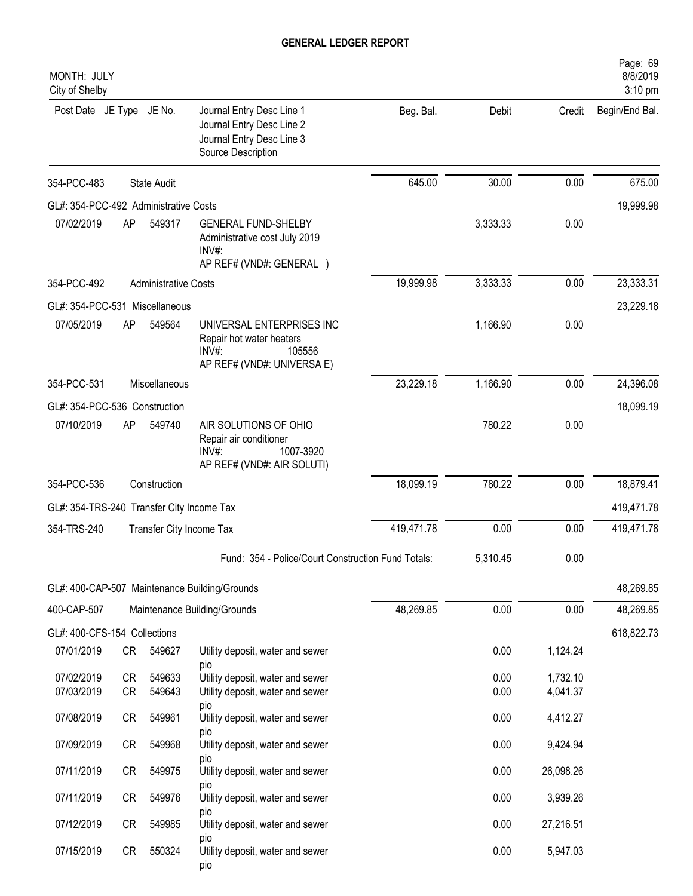| MONTH: JULY<br>City of Shelby             |                 |                             |                                                                                                           |            |              |                      | Page: 69<br>8/8/2019<br>3:10 pm |
|-------------------------------------------|-----------------|-----------------------------|-----------------------------------------------------------------------------------------------------------|------------|--------------|----------------------|---------------------------------|
| Post Date JE Type JE No.                  |                 |                             | Journal Entry Desc Line 1<br>Journal Entry Desc Line 2<br>Journal Entry Desc Line 3<br>Source Description | Beg. Bal.  | Debit        | Credit               | Begin/End Bal.                  |
| 354-PCC-483                               |                 | <b>State Audit</b>          |                                                                                                           | 645.00     | 30.00        | 0.00                 | 675.00                          |
| GL#: 354-PCC-492 Administrative Costs     |                 |                             |                                                                                                           |            |              |                      | 19,999.98                       |
| 07/02/2019                                | AP              | 549317                      | <b>GENERAL FUND-SHELBY</b><br>Administrative cost July 2019<br>INV#<br>AP REF# (VND#: GENERAL )           |            | 3,333.33     | 0.00                 |                                 |
| 354-PCC-492                               |                 | <b>Administrative Costs</b> |                                                                                                           | 19,999.98  | 3,333.33     | 0.00                 | 23,333.31                       |
| GL#: 354-PCC-531 Miscellaneous            |                 |                             |                                                                                                           |            |              |                      | 23,229.18                       |
| 07/05/2019                                | AP              | 549564                      | UNIVERSAL ENTERPRISES INC<br>Repair hot water heaters<br>INV#<br>105556<br>AP REF# (VND#: UNIVERSA E)     |            | 1,166.90     | 0.00                 |                                 |
| 354-PCC-531                               |                 | Miscellaneous               |                                                                                                           | 23,229.18  | 1,166.90     | 0.00                 | 24,396.08                       |
| GL#: 354-PCC-536 Construction             |                 |                             |                                                                                                           |            |              |                      | 18,099.19                       |
| 07/10/2019                                | AP              | 549740                      | AIR SOLUTIONS OF OHIO<br>Repair air conditioner<br>1007-3920<br>$INV#$ :<br>AP REF# (VND#: AIR SOLUTI)    |            | 780.22       | 0.00                 |                                 |
| 354-PCC-536                               |                 | Construction                |                                                                                                           | 18,099.19  | 780.22       | 0.00                 | 18,879.41                       |
| GL#: 354-TRS-240 Transfer City Income Tax |                 |                             |                                                                                                           |            |              |                      | 419,471.78                      |
| 354-TRS-240                               |                 | Transfer City Income Tax    |                                                                                                           | 419,471.78 | 0.00         | 0.00                 | 419,471.78                      |
|                                           |                 |                             | Fund: 354 - Police/Court Construction Fund Totals:                                                        |            | 5,310.45     | 0.00                 |                                 |
|                                           |                 |                             | GL#: 400-CAP-507 Maintenance Building/Grounds                                                             |            |              |                      | 48,269.85                       |
| 400-CAP-507                               |                 |                             | Maintenance Building/Grounds                                                                              | 48,269.85  | 0.00         | 0.00                 | 48,269.85                       |
| GL#: 400-CFS-154 Collections              |                 |                             |                                                                                                           |            |              |                      | 618,822.73                      |
| 07/01/2019                                | CR              | 549627                      | Utility deposit, water and sewer<br>pio                                                                   |            | 0.00         | 1,124.24             |                                 |
| 07/02/2019<br>07/03/2019                  | <b>CR</b><br>CR | 549633<br>549643            | Utility deposit, water and sewer<br>Utility deposit, water and sewer                                      |            | 0.00<br>0.00 | 1,732.10<br>4,041.37 |                                 |
| 07/08/2019                                | CR              | 549961                      | pio<br>Utility deposit, water and sewer<br>pio                                                            |            | 0.00         | 4,412.27             |                                 |
| 07/09/2019                                | CR              | 549968                      | Utility deposit, water and sewer                                                                          |            | 0.00         | 9,424.94             |                                 |
| 07/11/2019                                | CR              | 549975                      | pio<br>Utility deposit, water and sewer                                                                   |            | 0.00         | 26,098.26            |                                 |
| 07/11/2019                                | CR              | 549976                      | pio<br>Utility deposit, water and sewer                                                                   |            | 0.00         | 3,939.26             |                                 |
| 07/12/2019                                | CR              | 549985                      | pio<br>Utility deposit, water and sewer<br>pio                                                            |            | 0.00         | 27,216.51            |                                 |
| 07/15/2019                                | CR              | 550324                      | Utility deposit, water and sewer<br>pio                                                                   |            | 0.00         | 5,947.03             |                                 |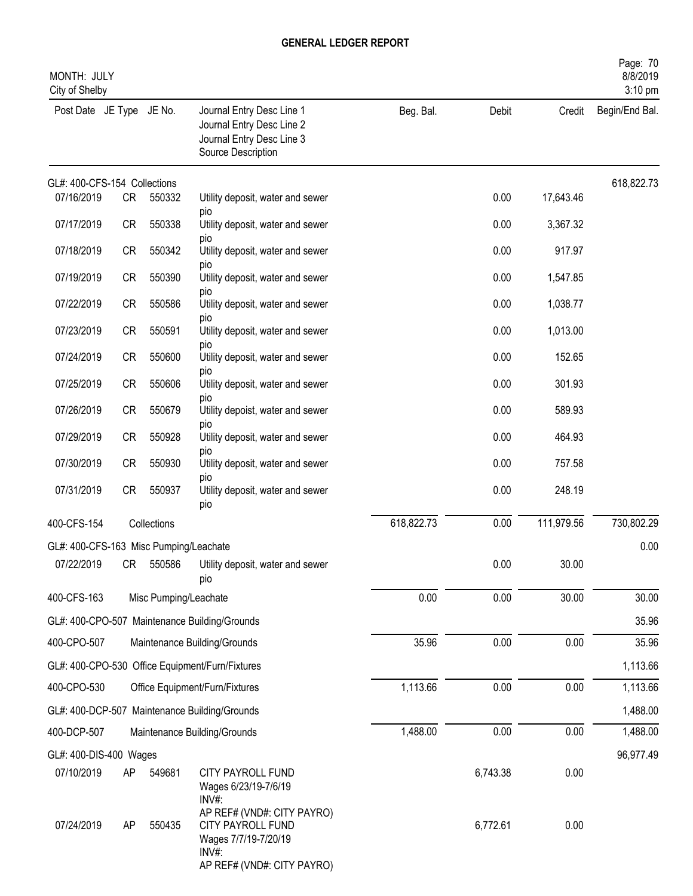| MONTH: JULY<br>City of Shelby          |           |                       |                                                                                                                |            |          |            | Page: 70<br>8/8/2019<br>3:10 pm |
|----------------------------------------|-----------|-----------------------|----------------------------------------------------------------------------------------------------------------|------------|----------|------------|---------------------------------|
| Post Date JE Type JE No.               |           |                       | Journal Entry Desc Line 1<br>Journal Entry Desc Line 2<br>Journal Entry Desc Line 3<br>Source Description      | Beg. Bal.  | Debit    | Credit     | Begin/End Bal.                  |
| GL#: 400-CFS-154 Collections           |           |                       |                                                                                                                |            |          |            | 618,822.73                      |
| 07/16/2019                             | CR        | 550332                | Utility deposit, water and sewer<br>pio                                                                        |            | 0.00     | 17,643.46  |                                 |
| 07/17/2019                             | <b>CR</b> | 550338                | Utility deposit, water and sewer                                                                               |            | 0.00     | 3,367.32   |                                 |
| 07/18/2019                             | <b>CR</b> | 550342                | pio<br>Utility deposit, water and sewer                                                                        |            | 0.00     | 917.97     |                                 |
| 07/19/2019                             | <b>CR</b> | 550390                | DIO<br>Utility deposit, water and sewer                                                                        |            | 0.00     | 1,547.85   |                                 |
| 07/22/2019                             | <b>CR</b> | 550586                | pio<br>Utility deposit, water and sewer                                                                        |            | 0.00     | 1,038.77   |                                 |
| 07/23/2019                             | <b>CR</b> | 550591                | pio<br>Utility deposit, water and sewer                                                                        |            | 0.00     | 1,013.00   |                                 |
| 07/24/2019                             | <b>CR</b> | 550600                | pio<br>Utility deposit, water and sewer                                                                        |            | 0.00     | 152.65     |                                 |
| 07/25/2019                             | CR        | 550606                | pio<br>Utility deposit, water and sewer                                                                        |            | 0.00     | 301.93     |                                 |
| 07/26/2019                             |           | 550679                | pio                                                                                                            |            | 0.00     |            |                                 |
|                                        | CR        |                       | Utility depoist, water and sewer<br>pio                                                                        |            |          | 589.93     |                                 |
| 07/29/2019                             | CR        | 550928                | Utility deposit, water and sewer<br>pio                                                                        |            | 0.00     | 464.93     |                                 |
| 07/30/2019                             | CR        | 550930                | Utility deposit, water and sewer<br>pio                                                                        |            | 0.00     | 757.58     |                                 |
| 07/31/2019                             | CR        | 550937                | Utility deposit, water and sewer<br>pio                                                                        |            | 0.00     | 248.19     |                                 |
| 400-CFS-154                            |           | Collections           |                                                                                                                | 618,822.73 | 0.00     | 111,979.56 | 730,802.29                      |
| GL#: 400-CFS-163 Misc Pumping/Leachate |           |                       |                                                                                                                |            |          |            | 0.00                            |
| 07/22/2019                             | CR        | 550586                | Utility deposit, water and sewer<br>pio                                                                        |            | 0.00     | 30.00      |                                 |
| 400-CFS-163                            |           | Misc Pumping/Leachate |                                                                                                                | 0.00       | 0.00     | 30.00      | 30.00                           |
|                                        |           |                       | GL#: 400-CPO-507 Maintenance Building/Grounds                                                                  |            |          |            | 35.96                           |
| 400-CPO-507                            |           |                       | Maintenance Building/Grounds                                                                                   | 35.96      | 0.00     | 0.00       | 35.96                           |
|                                        |           |                       | GL#: 400-CPO-530 Office Equipment/Furn/Fixtures                                                                |            |          |            | 1,113.66                        |
| 400-CPO-530                            |           |                       | Office Equipment/Furn/Fixtures                                                                                 | 1,113.66   | 0.00     | 0.00       | 1,113.66                        |
|                                        |           |                       | GL#: 400-DCP-507 Maintenance Building/Grounds                                                                  |            |          |            | 1,488.00                        |
| 400-DCP-507                            |           |                       | Maintenance Building/Grounds                                                                                   | 1,488.00   | 0.00     | 0.00       | 1,488.00                        |
| GL#: 400-DIS-400 Wages                 |           |                       |                                                                                                                |            |          |            | 96,977.49                       |
| 07/10/2019                             | AP        | 549681                | CITY PAYROLL FUND<br>Wages 6/23/19-7/6/19<br>$INV#$ :                                                          |            | 6,743.38 | 0.00       |                                 |
| 07/24/2019                             | AP        | 550435                | AP REF# (VND#: CITY PAYRO)<br>CITY PAYROLL FUND<br>Wages 7/7/19-7/20/19<br>INV#:<br>AP REF# (VND#: CITY PAYRO) |            | 6,772.61 | 0.00       |                                 |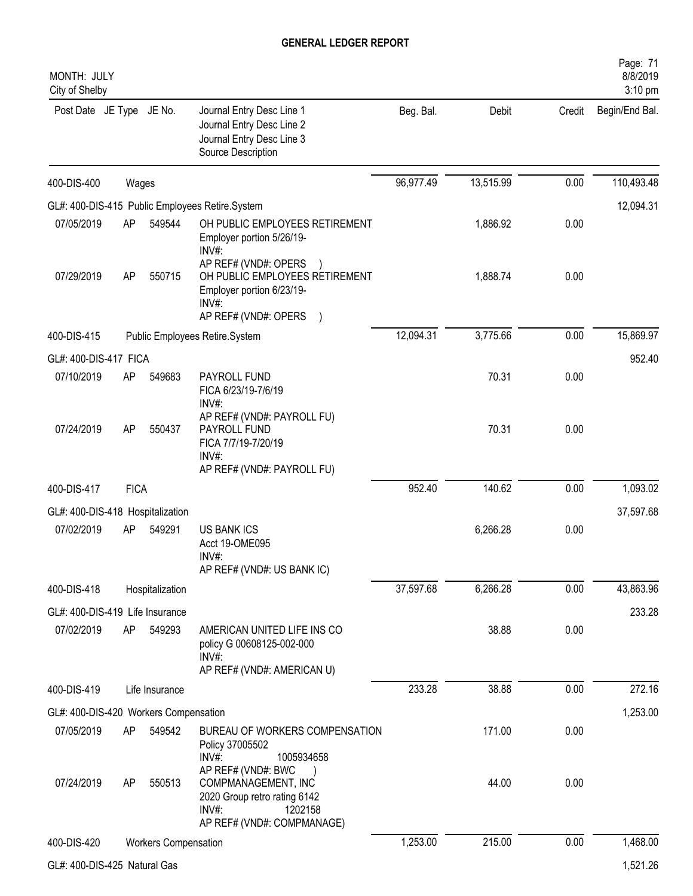| MONTH: JULY<br>City of Shelby         |             |                      |                                                                                                                                |           |           |        | Page: 71<br>8/8/2019<br>3:10 pm |
|---------------------------------------|-------------|----------------------|--------------------------------------------------------------------------------------------------------------------------------|-----------|-----------|--------|---------------------------------|
| Post Date JE Type JE No.              |             |                      | Journal Entry Desc Line 1<br>Journal Entry Desc Line 2<br>Journal Entry Desc Line 3<br>Source Description                      | Beg. Bal. | Debit     | Credit | Begin/End Bal.                  |
| 400-DIS-400                           | Wages       |                      |                                                                                                                                | 96,977.49 | 13,515.99 | 0.00   | 110,493.48                      |
|                                       |             |                      | GL#: 400-DIS-415 Public Employees Retire.System                                                                                |           |           |        | 12,094.31                       |
| 07/05/2019                            | AP          | 549544               | OH PUBLIC EMPLOYEES RETIREMENT<br>Employer portion 5/26/19-<br>$INV#$ :                                                        |           | 1,886.92  | 0.00   |                                 |
| 07/29/2019                            | AP          | 550715               | AP REF# (VND#: OPERS<br>OH PUBLIC EMPLOYEES RETIREMENT<br>Employer portion 6/23/19-<br>INV#:<br>AP REF# (VND#: OPERS           |           | 1,888.74  | 0.00   |                                 |
| 400-DIS-415                           |             |                      | Public Employees Retire.System                                                                                                 | 12,094.31 | 3,775.66  | 0.00   | 15,869.97                       |
| GL#: 400-DIS-417 FICA                 |             |                      |                                                                                                                                |           |           |        | 952.40                          |
| 07/10/2019                            | AP          | 549683               | PAYROLL FUND<br>FICA 6/23/19-7/6/19<br>$INV#$ :                                                                                |           | 70.31     | 0.00   |                                 |
| 07/24/2019                            | AP          | 550437               | AP REF# (VND#: PAYROLL FU)<br>PAYROLL FUND<br>FICA 7/7/19-7/20/19<br>$INV#$ :<br>AP REF# (VND#: PAYROLL FU)                    |           | 70.31     | 0.00   |                                 |
| 400-DIS-417                           | <b>FICA</b> |                      |                                                                                                                                | 952.40    | 140.62    | 0.00   | 1,093.02                        |
| GL#: 400-DIS-418 Hospitalization      |             |                      |                                                                                                                                |           |           |        | 37,597.68                       |
| 07/02/2019                            | AP          | 549291               | <b>US BANK ICS</b><br>Acct 19-OME095<br>INV#:<br>AP REF# (VND#: US BANK IC)                                                    |           | 6,266.28  | 0.00   |                                 |
| 400-DIS-418                           |             | Hospitalization      |                                                                                                                                | 37,597.68 | 6,266.28  | 0.00   | 43,863.96                       |
| GL#: 400-DIS-419 Life Insurance       |             |                      |                                                                                                                                |           |           |        | 233.28                          |
| 07/02/2019                            | AP          | 549293               | AMERICAN UNITED LIFE INS CO<br>policy G 00608125-002-000<br>$INV#$ :<br>AP REF# (VND#: AMERICAN U)                             |           | 38.88     | 0.00   |                                 |
| 400-DIS-419                           |             | Life Insurance       |                                                                                                                                | 233.28    | 38.88     | 0.00   | 272.16                          |
| GL#: 400-DIS-420 Workers Compensation |             |                      |                                                                                                                                |           |           |        | 1,253.00                        |
| 07/05/2019                            | AP          | 549542               | BUREAU OF WORKERS COMPENSATION<br>Policy 37005502<br>$INV#$ :<br>1005934658                                                    |           | 171.00    | 0.00   |                                 |
| 07/24/2019                            | AP          | 550513               | AP REF# (VND#: BWC<br>COMPMANAGEMENT, INC<br>2020 Group retro rating 6142<br>$INV#$ :<br>1202158<br>AP REF# (VND#: COMPMANAGE) |           | 44.00     | 0.00   |                                 |
| 400-DIS-420                           |             | Workers Compensation |                                                                                                                                | 1,253.00  | 215.00    | 0.00   | 1,468.00                        |
| GL#: 400-DIS-425 Natural Gas          |             |                      |                                                                                                                                |           |           |        | 1,521.26                        |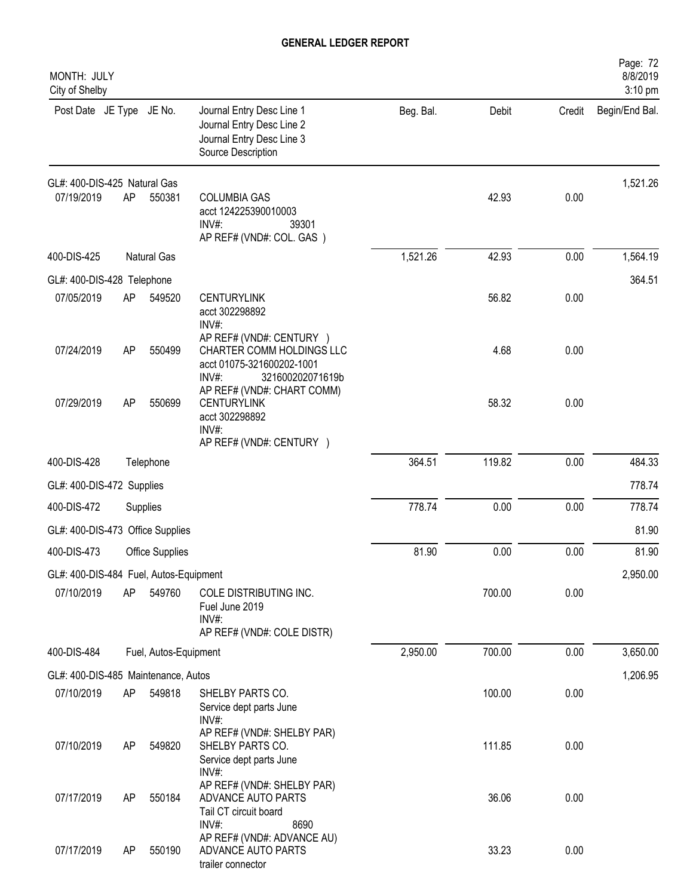| MONTH: JULY<br>City of Shelby                        |    |                       |                                                                                                                 |           |        |        | Page: 72<br>8/8/2019<br>3:10 pm |
|------------------------------------------------------|----|-----------------------|-----------------------------------------------------------------------------------------------------------------|-----------|--------|--------|---------------------------------|
| Post Date JE Type JE No.                             |    |                       | Journal Entry Desc Line 1<br>Journal Entry Desc Line 2<br>Journal Entry Desc Line 3<br>Source Description       | Beg. Bal. | Debit  | Credit | Begin/End Bal.                  |
| GL#: 400-DIS-425 Natural Gas                         |    |                       |                                                                                                                 |           |        |        | 1,521.26                        |
| 07/19/2019                                           | AP | 550381                | <b>COLUMBIA GAS</b><br>acct 124225390010003<br>$INV#$ :<br>39301<br>AP REF# (VND#: COL. GAS)                    |           | 42.93  | 0.00   |                                 |
| 400-DIS-425                                          |    | Natural Gas           |                                                                                                                 | 1,521.26  | 42.93  | 0.00   | 1,564.19                        |
| GL#: 400-DIS-428 Telephone                           |    |                       |                                                                                                                 |           |        |        | 364.51                          |
| 07/05/2019                                           | AP | 549520                | <b>CENTURYLINK</b><br>acct 302298892<br>INV#:                                                                   |           | 56.82  | 0.00   |                                 |
| 07/24/2019                                           | AP | 550499                | AP REF# (VND#: CENTURY )<br>CHARTER COMM HOLDINGS LLC<br>acct 01075-321600202-1001<br>INV#:<br>321600202071619b |           | 4.68   | 0.00   |                                 |
| 07/29/2019                                           | AP | 550699                | AP REF# (VND#: CHART COMM)<br><b>CENTURYLINK</b><br>acct 302298892<br>INV#:                                     |           | 58.32  | 0.00   |                                 |
|                                                      |    |                       | AP REF# (VND#: CENTURY )                                                                                        |           |        |        |                                 |
| 400-DIS-428                                          |    | Telephone             |                                                                                                                 | 364.51    | 119.82 | 0.00   | 484.33                          |
| GL#: 400-DIS-472 Supplies                            |    |                       |                                                                                                                 |           |        |        | 778.74                          |
| 400-DIS-472                                          |    | Supplies              |                                                                                                                 | 778.74    | 0.00   | 0.00   | 778.74                          |
| GL#: 400-DIS-473 Office Supplies                     |    |                       |                                                                                                                 |           |        |        | 81.90                           |
| 400-DIS-473                                          |    | Office Supplies       |                                                                                                                 | 81.90     | 0.00   | 0.00   | 81.90                           |
| GL#: 400-DIS-484 Fuel, Autos-Equipment<br>07/10/2019 | AP | 549760                | COLE DISTRIBUTING INC.<br>Fuel June 2019<br>$INV#$ :                                                            |           | 700.00 | 0.00   | 2,950.00                        |
|                                                      |    |                       | AP REF# (VND#: COLE DISTR)                                                                                      |           |        |        |                                 |
| 400-DIS-484                                          |    | Fuel, Autos-Equipment |                                                                                                                 | 2,950.00  | 700.00 | 0.00   | 3,650.00                        |
| GL#: 400-DIS-485 Maintenance, Autos                  |    |                       |                                                                                                                 |           |        |        | 1,206.95                        |
| 07/10/2019                                           | AP | 549818                | SHELBY PARTS CO.<br>Service dept parts June<br>INV#:                                                            |           | 100.00 | 0.00   |                                 |
| 07/10/2019                                           | AP | 549820                | AP REF# (VND#: SHELBY PAR)<br>SHELBY PARTS CO.<br>Service dept parts June<br>INV#:                              |           | 111.85 | 0.00   |                                 |
| 07/17/2019                                           | AP | 550184                | AP REF# (VND#: SHELBY PAR)<br>ADVANCE AUTO PARTS<br>Tail CT circuit board<br>INV#:<br>8690                      |           | 36.06  | 0.00   |                                 |
| 07/17/2019                                           | AP | 550190                | AP REF# (VND#: ADVANCE AU)<br>ADVANCE AUTO PARTS<br>trailer connector                                           |           | 33.23  | 0.00   |                                 |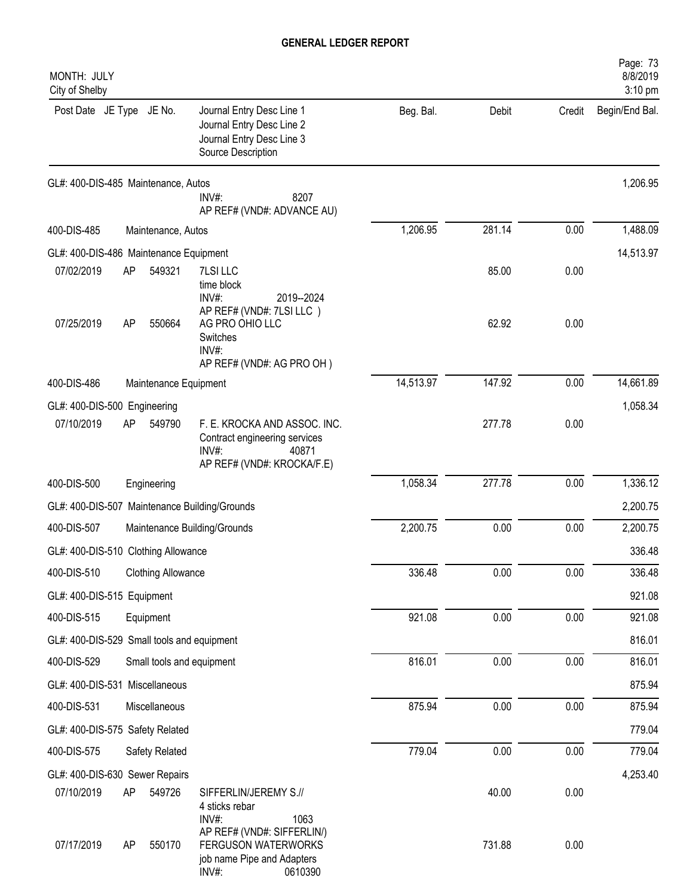| MONTH: JULY<br>City of Shelby                 |    |                           |                                                                                                                             |           |        |          | Page: 73<br>8/8/2019<br>3:10 pm |
|-----------------------------------------------|----|---------------------------|-----------------------------------------------------------------------------------------------------------------------------|-----------|--------|----------|---------------------------------|
| Post Date JE Type JE No.                      |    |                           | Journal Entry Desc Line 1<br>Journal Entry Desc Line 2<br>Journal Entry Desc Line 3<br>Source Description                   | Beg. Bal. | Debit  | Credit   | Begin/End Bal.                  |
| GL#: 400-DIS-485 Maintenance, Autos           |    |                           | INV#:<br>8207<br>AP REF# (VND#: ADVANCE AU)                                                                                 |           |        |          | 1,206.95                        |
| 400-DIS-485                                   |    | Maintenance, Autos        |                                                                                                                             | 1,206.95  | 281.14 | 0.00     | 1,488.09                        |
| GL#: 400-DIS-486 Maintenance Equipment        |    |                           |                                                                                                                             |           |        |          | 14,513.97                       |
| 07/02/2019                                    | AP | 549321                    | 7LSI LLC<br>time block<br>INV#:<br>2019--2024                                                                               |           | 85.00  | 0.00     |                                 |
| 07/25/2019                                    | AP | 550664                    | AP REF# (VND#: 7LSI LLC)<br>AG PRO OHIO LLC<br>Switches<br>INV#:<br>AP REF# (VND#: AG PRO OH)                               |           | 62.92  | 0.00     |                                 |
| 400-DIS-486                                   |    | Maintenance Equipment     |                                                                                                                             | 14,513.97 | 147.92 | 0.00     | 14,661.89                       |
| GL#: 400-DIS-500 Engineering                  |    |                           |                                                                                                                             |           |        |          | 1,058.34                        |
| 07/10/2019                                    | AP | 549790                    | F. E. KROCKA AND ASSOC. INC.<br>Contract engineering services<br>$INV#$ :<br>40871<br>AP REF# (VND#: KROCKA/F.E)            |           | 277.78 | 0.00     |                                 |
| 400-DIS-500                                   |    | Engineering               |                                                                                                                             | 1,058.34  | 277.78 | 0.00     | 1,336.12                        |
| GL#: 400-DIS-507 Maintenance Building/Grounds |    |                           |                                                                                                                             |           |        |          | 2,200.75                        |
| 400-DIS-507                                   |    |                           | Maintenance Building/Grounds                                                                                                | 2,200.75  | 0.00   | 0.00     | 2,200.75                        |
| GL#: 400-DIS-510 Clothing Allowance           |    |                           |                                                                                                                             |           |        |          | 336.48                          |
| 400-DIS-510                                   |    | <b>Clothing Allowance</b> |                                                                                                                             | 336.48    | 0.00   | 0.00     | 336.48                          |
| GL#: 400-DIS-515 Equipment                    |    |                           |                                                                                                                             |           |        |          | 921.08                          |
| 400-DIS-515                                   |    | Equipment                 |                                                                                                                             | 921.08    | 0.00   | 0.00     | 921.08                          |
| GL#: 400-DIS-529 Small tools and equipment    |    |                           |                                                                                                                             |           |        |          | 816.01                          |
| 400-DIS-529                                   |    | Small tools and equipment |                                                                                                                             | 816.01    | 0.00   | 0.00     | 816.01                          |
| GL#: 400-DIS-531 Miscellaneous                |    |                           |                                                                                                                             |           |        |          | 875.94                          |
| 400-DIS-531                                   |    | Miscellaneous             |                                                                                                                             | 875.94    | 0.00   | 0.00     | 875.94                          |
| GL#: 400-DIS-575 Safety Related               |    |                           |                                                                                                                             |           |        |          | 779.04                          |
| 400-DIS-575                                   |    | Safety Related            |                                                                                                                             | 779.04    | 0.00   | $0.00\,$ | 779.04                          |
| GL#: 400-DIS-630 Sewer Repairs                |    |                           |                                                                                                                             |           |        |          | 4,253.40                        |
| 07/10/2019                                    | AP | 549726                    | SIFFERLIN/JEREMY S.//<br>4 sticks rebar                                                                                     |           | 40.00  | 0.00     |                                 |
| 07/17/2019                                    | AP | 550170                    | INV#:<br>1063<br>AP REF# (VND#: SIFFERLIN/)<br><b>FERGUSON WATERWORKS</b><br>job name Pipe and Adapters<br>INV#:<br>0610390 |           | 731.88 | 0.00     |                                 |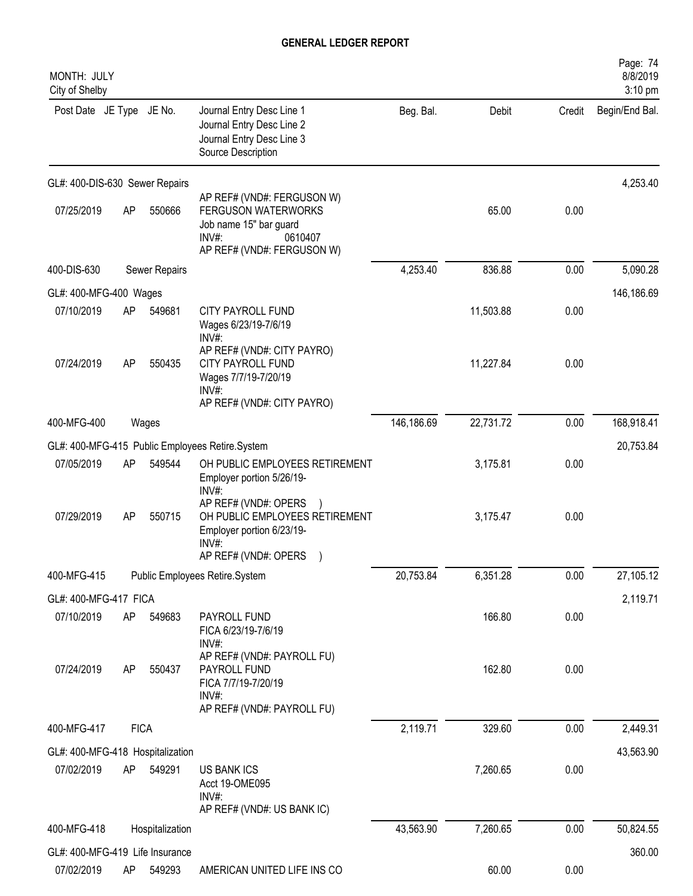| MONTH: JULY<br>City of Shelby    |    |                 |                                                                                                                                         |            |           |        | Page: 74<br>8/8/2019<br>3:10 pm |
|----------------------------------|----|-----------------|-----------------------------------------------------------------------------------------------------------------------------------------|------------|-----------|--------|---------------------------------|
| Post Date JE Type JE No.         |    |                 | Journal Entry Desc Line 1<br>Journal Entry Desc Line 2<br>Journal Entry Desc Line 3<br>Source Description                               | Beg. Bal.  | Debit     | Credit | Begin/End Bal.                  |
| GL#: 400-DIS-630 Sewer Repairs   |    |                 |                                                                                                                                         |            |           |        | 4,253.40                        |
| 07/25/2019                       | AP | 550666          | AP REF# (VND#: FERGUSON W)<br><b>FERGUSON WATERWORKS</b><br>Job name 15" bar guard<br>$INV#$ :<br>0610407<br>AP REF# (VND#: FERGUSON W) |            | 65.00     | 0.00   |                                 |
| 400-DIS-630                      |    | Sewer Repairs   |                                                                                                                                         | 4,253.40   | 836.88    | 0.00   | 5,090.28                        |
| GL#: 400-MFG-400 Wages           |    |                 |                                                                                                                                         |            |           |        | 146,186.69                      |
| 07/10/2019                       | AP | 549681          | CITY PAYROLL FUND<br>Wages 6/23/19-7/6/19<br>INV#:                                                                                      |            | 11,503.88 | 0.00   |                                 |
| 07/24/2019                       | AP | 550435          | AP REF# (VND#: CITY PAYRO)<br><b>CITY PAYROLL FUND</b><br>Wages 7/7/19-7/20/19<br>$INV#$ :<br>AP REF# (VND#: CITY PAYRO)                |            | 11,227.84 | 0.00   |                                 |
| 400-MFG-400                      |    | Wages           |                                                                                                                                         | 146,186.69 | 22,731.72 | 0.00   | 168,918.41                      |
|                                  |    |                 | GL#: 400-MFG-415 Public Employees Retire.System                                                                                         |            |           |        | 20,753.84                       |
| 07/05/2019                       | AP | 549544          | OH PUBLIC EMPLOYEES RETIREMENT<br>Employer portion 5/26/19-<br>$INV#$ :                                                                 |            | 3,175.81  | 0.00   |                                 |
| 07/29/2019                       | AP | 550715          | AP REF# (VND#: OPERS<br>OH PUBLIC EMPLOYEES RETIREMENT<br>Employer portion 6/23/19-<br>INV#:<br>AP REF# (VND#: OPERS                    |            | 3,175.47  | 0.00   |                                 |
| 400-MFG-415                      |    |                 | Public Employees Retire.System                                                                                                          | 20,753.84  | 6,351.28  | 0.00   | 27,105.12                       |
| GL#: 400-MFG-417 FICA            |    |                 |                                                                                                                                         |            |           |        | 2,119.71                        |
| 07/10/2019                       | AP | 549683          | PAYROLL FUND<br>FICA 6/23/19-7/6/19<br>INV#:                                                                                            |            | 166.80    | 0.00   |                                 |
| 07/24/2019                       | AP | 550437          | AP REF# (VND#: PAYROLL FU)<br>PAYROLL FUND<br>FICA 7/7/19-7/20/19<br>INV#:<br>AP REF# (VND#: PAYROLL FU)                                |            | 162.80    | 0.00   |                                 |
| 400-MFG-417                      |    | <b>FICA</b>     |                                                                                                                                         | 2,119.71   | 329.60    | 0.00   | 2,449.31                        |
| GL#: 400-MFG-418 Hospitalization |    |                 |                                                                                                                                         |            |           |        | 43,563.90                       |
| 07/02/2019                       | AP | 549291          | <b>US BANK ICS</b><br>Acct 19-OME095<br>$INV#$ :<br>AP REF# (VND#: US BANK IC)                                                          |            | 7,260.65  | 0.00   |                                 |
| 400-MFG-418                      |    | Hospitalization |                                                                                                                                         | 43,563.90  | 7,260.65  | 0.00   | 50,824.55                       |
| GL#: 400-MFG-419 Life Insurance  |    |                 |                                                                                                                                         |            |           |        | 360.00                          |
| 07/02/2019                       | AP | 549293          | AMERICAN UNITED LIFE INS CO                                                                                                             |            | 60.00     | 0.00   |                                 |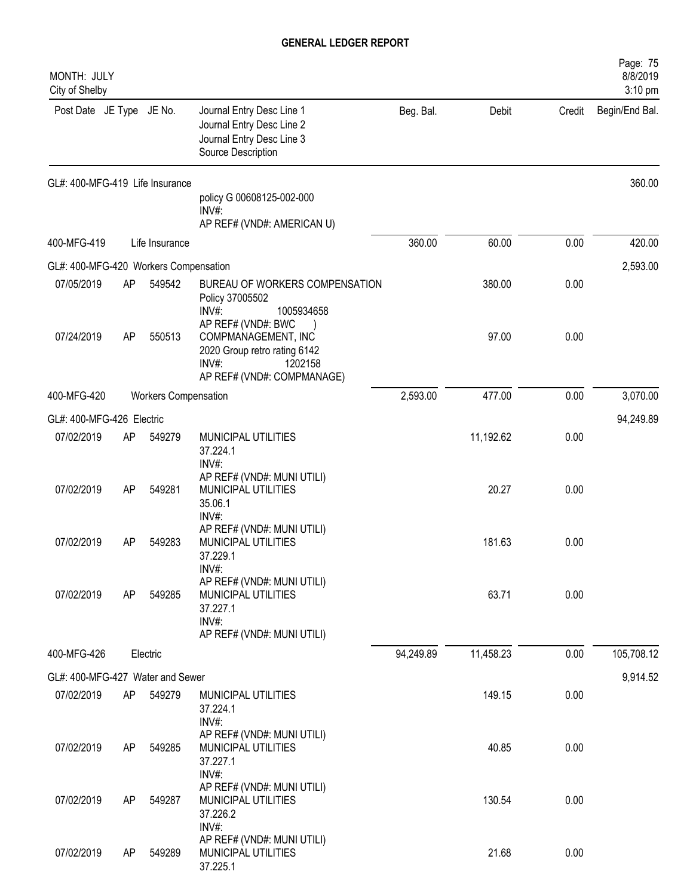| MONTH: JULY<br>City of Shelby                  |    |                             |                                                                                                                             |           |           |        | Page: 75<br>8/8/2019<br>3:10 pm |
|------------------------------------------------|----|-----------------------------|-----------------------------------------------------------------------------------------------------------------------------|-----------|-----------|--------|---------------------------------|
| Post Date JE Type JE No.                       |    |                             | Journal Entry Desc Line 1<br>Journal Entry Desc Line 2<br>Journal Entry Desc Line 3<br>Source Description                   | Beg. Bal. | Debit     | Credit | Begin/End Bal.                  |
| GL#: 400-MFG-419 Life Insurance                |    |                             | policy G 00608125-002-000<br>INV#:                                                                                          |           |           |        | 360.00                          |
|                                                |    |                             | AP REF# (VND#: AMERICAN U)                                                                                                  |           |           |        |                                 |
| 400-MFG-419                                    |    | Life Insurance              |                                                                                                                             | 360.00    | 60.00     | 0.00   | 420.00                          |
| GL#: 400-MFG-420 Workers Compensation          |    |                             |                                                                                                                             |           |           |        | 2,593.00                        |
| 07/05/2019                                     | AP | 549542                      | BUREAU OF WORKERS COMPENSATION<br>Policy 37005502<br>INV#:<br>1005934658                                                    |           | 380.00    | 0.00   |                                 |
| 07/24/2019                                     | AP | 550513                      | AP REF# (VND#: BWC<br>COMPMANAGEMENT, INC<br>2020 Group retro rating 6142<br>INV#:<br>1202158<br>AP REF# (VND#: COMPMANAGE) |           | 97.00     | 0.00   |                                 |
| 400-MFG-420                                    |    | <b>Workers Compensation</b> |                                                                                                                             | 2,593.00  | 477.00    | 0.00   | 3,070.00                        |
| GL#: 400-MFG-426 Electric                      |    |                             |                                                                                                                             |           |           |        | 94,249.89                       |
| 07/02/2019                                     | AP | 549279                      | MUNICIPAL UTILITIES<br>37.224.1<br>INV#:                                                                                    |           | 11,192.62 | 0.00   |                                 |
| 07/02/2019                                     | AP | 549281                      | AP REF# (VND#: MUNI UTILI)<br>MUNICIPAL UTILITIES<br>35.06.1<br>INV#:                                                       |           | 20.27     | 0.00   |                                 |
| 07/02/2019                                     | AP | 549283                      | AP REF# (VND#: MUNI UTILI)<br>MUNICIPAL UTILITIES<br>37.229.1<br>INV#:                                                      |           | 181.63    | 0.00   |                                 |
| 07/02/2019                                     | AP | 549285                      | AP REF# (VND#: MUNI UTILI)<br>MUNICIPAL UTILITIES<br>37.227.1<br>INV#:                                                      |           | 63.71     | 0.00   |                                 |
| 400-MFG-426                                    |    | Electric                    | AP REF# (VND#: MUNI UTILI)                                                                                                  | 94,249.89 | 11,458.23 | 0.00   | 105,708.12                      |
|                                                |    |                             |                                                                                                                             |           |           |        |                                 |
| GL#: 400-MFG-427 Water and Sewer<br>07/02/2019 | AP | 549279                      | MUNICIPAL UTILITIES                                                                                                         |           | 149.15    | 0.00   | 9,914.52                        |
|                                                |    |                             | 37.224.1<br>INV#:                                                                                                           |           |           |        |                                 |
| 07/02/2019                                     | AP | 549285                      | AP REF# (VND#: MUNI UTILI)<br>MUNICIPAL UTILITIES<br>37.227.1<br>INV#:                                                      |           | 40.85     | 0.00   |                                 |
| 07/02/2019                                     | AP | 549287                      | AP REF# (VND#: MUNI UTILI)<br>MUNICIPAL UTILITIES<br>37.226.2                                                               |           | 130.54    | 0.00   |                                 |
| 07/02/2019                                     | AP | 549289                      | INV#:<br>AP REF# (VND#: MUNI UTILI)<br>MUNICIPAL UTILITIES<br>37.225.1                                                      |           | 21.68     | 0.00   |                                 |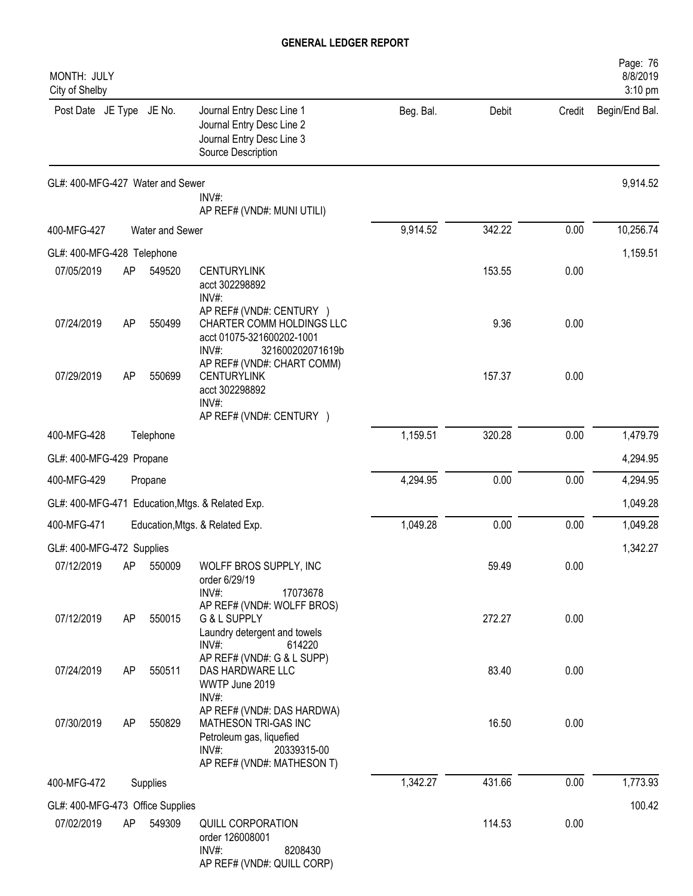| MONTH: JULY<br>City of Shelby    |    |                 |                                                                                                                                      |           |        |        | Page: 76<br>8/8/2019<br>3:10 pm |
|----------------------------------|----|-----------------|--------------------------------------------------------------------------------------------------------------------------------------|-----------|--------|--------|---------------------------------|
| Post Date JE Type JE No.         |    |                 | Journal Entry Desc Line 1<br>Journal Entry Desc Line 2<br>Journal Entry Desc Line 3<br>Source Description                            | Beg. Bal. | Debit  | Credit | Begin/End Bal.                  |
| GL#: 400-MFG-427 Water and Sewer |    |                 | INV#:<br>AP REF# (VND#: MUNI UTILI)                                                                                                  |           |        |        | 9,914.52                        |
| 400-MFG-427                      |    | Water and Sewer |                                                                                                                                      | 9,914.52  | 342.22 | 0.00   | 10,256.74                       |
| GL#: 400-MFG-428 Telephone       |    |                 |                                                                                                                                      |           |        |        | 1,159.51                        |
| 07/05/2019                       | AP | 549520          | <b>CENTURYLINK</b><br>acct 302298892<br>$INV#$ :                                                                                     |           | 153.55 | 0.00   |                                 |
| 07/24/2019                       | AP | 550499          | AP REF# (VND#: CENTURY )<br>CHARTER COMM HOLDINGS LLC<br>acct 01075-321600202-1001<br>INV#:<br>321600202071619b                      |           | 9.36   | 0.00   |                                 |
| 07/29/2019                       | AP | 550699          | AP REF# (VND#: CHART COMM)<br><b>CENTURYLINK</b><br>acct 302298892<br>INV#:<br>AP REF# (VND#: CENTURY )                              |           | 157.37 | 0.00   |                                 |
| 400-MFG-428                      |    | Telephone       |                                                                                                                                      | 1,159.51  | 320.28 | 0.00   | 1,479.79                        |
| GL#: 400-MFG-429 Propane         |    |                 |                                                                                                                                      |           |        |        | 4,294.95                        |
| 400-MFG-429                      |    | Propane         |                                                                                                                                      | 4,294.95  | 0.00   | 0.00   | 4,294.95                        |
| GL#: 400-MFG-471                 |    |                 | Education, Mtgs. & Related Exp.                                                                                                      |           |        |        | 1,049.28                        |
| 400-MFG-471                      |    |                 | Education, Mtgs. & Related Exp.                                                                                                      | 1,049.28  | 0.00   | 0.00   | 1,049.28                        |
| GL#: 400-MFG-472 Supplies        |    |                 |                                                                                                                                      |           |        |        | 1,342.27                        |
| 07/12/2019                       | AP | 550009          | WOLFF BROS SUPPLY, INC<br>order 6/29/19<br>INV#:<br>17073678<br>AP REF# (VND#: WOLFF BROS)                                           |           | 59.49  | 0.00   |                                 |
| 07/12/2019                       | AP | 550015          | G & L SUPPLY<br>Laundry detergent and towels<br>$INV#$ :<br>614220                                                                   |           | 272.27 | 0.00   |                                 |
| 07/24/2019                       | AP | 550511          | AP REF# (VND#: G & L SUPP)<br>DAS HARDWARE LLC<br>WWTP June 2019<br>INV#:                                                            |           | 83.40  | 0.00   |                                 |
| 07/30/2019                       | AP | 550829          | AP REF# (VND#: DAS HARDWA)<br>MATHESON TRI-GAS INC<br>Petroleum gas, liquefied<br>INV#:<br>20339315-00<br>AP REF# (VND#: MATHESON T) |           | 16.50  | 0.00   |                                 |
| 400-MFG-472                      |    | Supplies        |                                                                                                                                      | 1,342.27  | 431.66 | 0.00   | 1,773.93                        |
| GL#: 400-MFG-473 Office Supplies |    |                 |                                                                                                                                      |           |        |        | 100.42                          |
| 07/02/2019                       | AP | 549309          | QUILL CORPORATION<br>order 126008001<br>INV#:<br>8208430<br>AP REF# (VND#: QUILL CORP)                                               |           | 114.53 | 0.00   |                                 |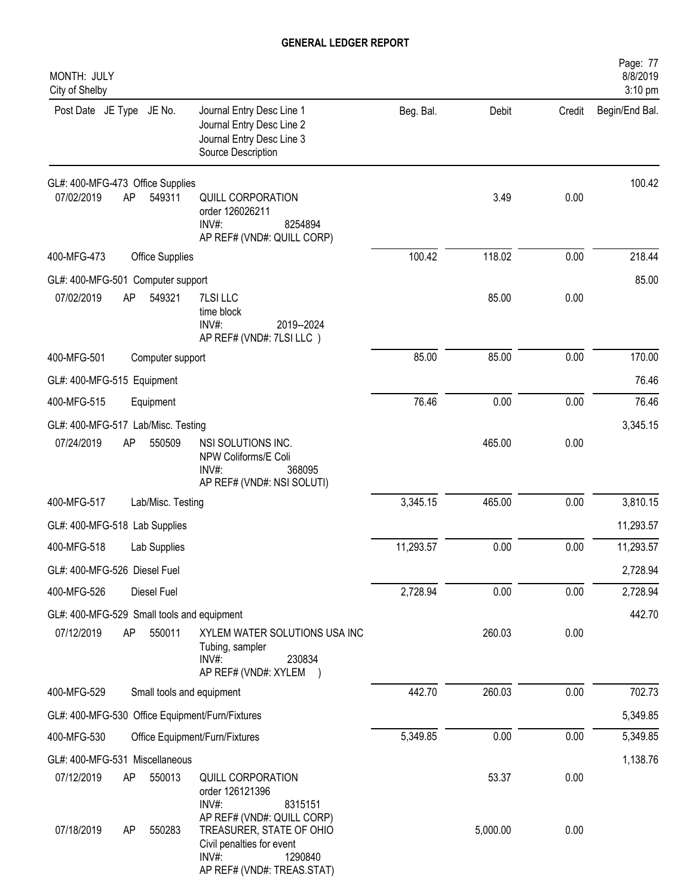| MONTH: JULY<br>City of Shelby                                                                                                                                       |           |          |        | Page: 77<br>8/8/2019<br>3:10 pm |
|---------------------------------------------------------------------------------------------------------------------------------------------------------------------|-----------|----------|--------|---------------------------------|
| Post Date JE Type JE No.<br>Journal Entry Desc Line 1<br>Journal Entry Desc Line 2<br>Journal Entry Desc Line 3<br>Source Description                               | Beg. Bal. | Debit    | Credit | Begin/End Bal.                  |
| GL#: 400-MFG-473 Office Supplies                                                                                                                                    |           |          |        | 100.42                          |
| 07/02/2019<br>AP<br>549311<br>QUILL CORPORATION<br>order 126026211<br>INV#:<br>8254894<br>AP REF# (VND#: QUILL CORP)                                                |           | 3.49     | 0.00   |                                 |
| 400-MFG-473<br><b>Office Supplies</b>                                                                                                                               | 100.42    | 118.02   | 0.00   | 218.44                          |
| GL#: 400-MFG-501 Computer support                                                                                                                                   |           |          |        | 85.00                           |
| 07/02/2019<br>AP<br>549321<br>7LSI LLC<br>time block<br>INV#:<br>2019--2024<br>AP REF# (VND#: 7LSI LLC)                                                             |           | 85.00    | 0.00   |                                 |
| 400-MFG-501<br>Computer support                                                                                                                                     | 85.00     | 85.00    | 0.00   | 170.00                          |
| GL#: 400-MFG-515 Equipment                                                                                                                                          |           |          |        | 76.46                           |
| 400-MFG-515<br>Equipment                                                                                                                                            | 76.46     | 0.00     | 0.00   | 76.46                           |
| GL#: 400-MFG-517 Lab/Misc. Testing                                                                                                                                  |           |          |        | 3,345.15                        |
| 07/24/2019<br>AP<br>550509<br>NSI SOLUTIONS INC.<br>NPW Coliforms/E Coli<br>$INV#$ :<br>368095<br>AP REF# (VND#: NSI SOLUTI)                                        |           | 465.00   | 0.00   |                                 |
| 400-MFG-517<br>Lab/Misc. Testing                                                                                                                                    | 3,345.15  | 465.00   | 0.00   | 3,810.15                        |
| GL#: 400-MFG-518 Lab Supplies                                                                                                                                       |           |          |        | 11,293.57                       |
| 400-MFG-518<br>Lab Supplies                                                                                                                                         | 11,293.57 | 0.00     | 0.00   | 11,293.57                       |
| GL#: 400-MFG-526 Diesel Fuel                                                                                                                                        |           |          |        | 2,728.94                        |
| 400-MFG-526<br>Diesel Fuel                                                                                                                                          | 2,728.94  | 0.00     | 0.00   | 2,728.94                        |
| GL#: 400-MFG-529 Small tools and equipment                                                                                                                          |           |          |        | 442.70                          |
| AP<br>07/12/2019<br>550011<br>XYLEM WATER SOLUTIONS USA INC<br>Tubing, sampler<br>INV#:<br>230834<br>AP REF# (VND#: XYLEM )                                         |           | 260.03   | 0.00   |                                 |
| 400-MFG-529<br>Small tools and equipment                                                                                                                            | 442.70    | 260.03   | 0.00   | 702.73                          |
| GL#: 400-MFG-530 Office Equipment/Furn/Fixtures                                                                                                                     |           |          |        | 5,349.85                        |
| 400-MFG-530<br>Office Equipment/Furn/Fixtures                                                                                                                       | 5,349.85  | 0.00     | 0.00   | 5,349.85                        |
| GL#: 400-MFG-531 Miscellaneous                                                                                                                                      |           |          |        | 1,138.76                        |
| 07/12/2019<br>550013<br>QUILL CORPORATION<br>AP<br>order 126121396<br>$INV#$ :<br>8315151                                                                           |           | 53.37    | 0.00   |                                 |
| AP REF# (VND#: QUILL CORP)<br>07/18/2019<br>550283<br>AP<br>TREASURER, STATE OF OHIO<br>Civil penalties for event<br>INV#:<br>1290840<br>AP REF# (VND#: TREAS.STAT) |           | 5,000.00 | 0.00   |                                 |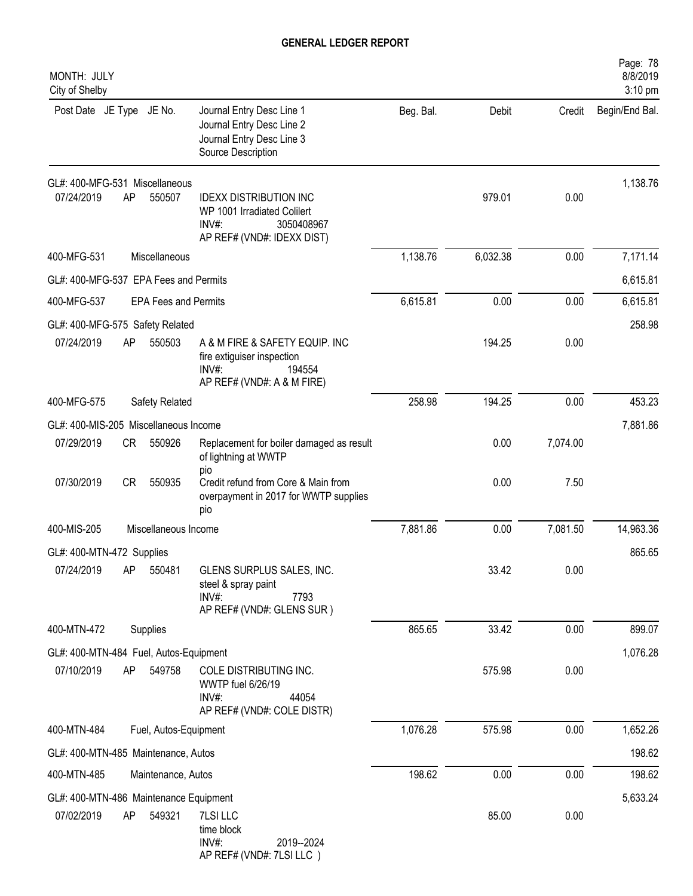| MONTH: JULY<br>City of Shelby                      |                             |                                                                                                                      |           |          |          | Page: 78<br>8/8/2019<br>3:10 pm |
|----------------------------------------------------|-----------------------------|----------------------------------------------------------------------------------------------------------------------|-----------|----------|----------|---------------------------------|
| Post Date JE Type JE No.                           |                             | Journal Entry Desc Line 1<br>Journal Entry Desc Line 2<br>Journal Entry Desc Line 3<br>Source Description            | Beg. Bal. | Debit    | Credit   | Begin/End Bal.                  |
| GL#: 400-MFG-531 Miscellaneous<br>07/24/2019<br>AP | 550507                      | <b>IDEXX DISTRIBUTION INC</b><br>WP 1001 Irradiated Colilert<br>$INV#$ :<br>3050408967<br>AP REF# (VND#: IDEXX DIST) |           | 979.01   | 0.00     | 1,138.76                        |
| 400-MFG-531                                        | Miscellaneous               |                                                                                                                      | 1,138.76  | 6,032.38 | 0.00     | 7,171.14                        |
| GL#: 400-MFG-537 EPA Fees and Permits              |                             |                                                                                                                      |           |          |          | 6,615.81                        |
| 400-MFG-537                                        | <b>EPA Fees and Permits</b> |                                                                                                                      | 6,615.81  | 0.00     | 0.00     | 6,615.81                        |
| GL#: 400-MFG-575 Safety Related                    |                             |                                                                                                                      |           |          |          | 258.98                          |
| 07/24/2019<br>AP                                   | 550503                      | A & M FIRE & SAFETY EQUIP. INC<br>fire extiguiser inspection<br>$INV#$ :<br>194554<br>AP REF# (VND#: A & M FIRE)     |           | 194.25   | 0.00     |                                 |
| 400-MFG-575                                        | Safety Related              |                                                                                                                      | 258.98    | 194.25   | 0.00     | 453.23                          |
| GL#: 400-MIS-205 Miscellaneous Income              |                             |                                                                                                                      |           |          |          | 7,881.86                        |
| 07/29/2019<br>CR                                   | 550926                      | Replacement for boiler damaged as result<br>of lightning at WWTP<br>pio                                              |           | 0.00     | 7,074.00 |                                 |
| 07/30/2019<br>CR                                   | 550935                      | Credit refund from Core & Main from<br>overpayment in 2017 for WWTP supplies<br>pio                                  |           | 0.00     | 7.50     |                                 |
| 400-MIS-205                                        | Miscellaneous Income        |                                                                                                                      | 7,881.86  | 0.00     | 7,081.50 | 14,963.36                       |
| GL#: 400-MTN-472 Supplies                          |                             |                                                                                                                      |           |          |          | 865.65                          |
| 07/24/2019<br>AP                                   | 550481                      | GLENS SURPLUS SALES, INC.<br>steel & spray paint<br>$INV#$ :<br>7793<br>AP REF# (VND#: GLENS SUR)                    |           | 33.42    | 0.00     |                                 |
| 400-MTN-472                                        | Supplies                    |                                                                                                                      | 865.65    | 33.42    | 0.00     | 899.07                          |
| GL#: 400-MTN-484 Fuel, Autos-Equipment             |                             |                                                                                                                      |           |          |          | 1,076.28                        |
| 07/10/2019<br>AP                                   | 549758                      | COLE DISTRIBUTING INC.<br>WWTP fuel 6/26/19<br>44054<br>INV#:<br>AP REF# (VND#: COLE DISTR)                          |           | 575.98   | 0.00     |                                 |
| 400-MTN-484                                        | Fuel, Autos-Equipment       |                                                                                                                      | 1,076.28  | 575.98   | 0.00     | 1,652.26                        |
| GL#: 400-MTN-485 Maintenance, Autos                |                             |                                                                                                                      |           |          |          | 198.62                          |
| 400-MTN-485                                        | Maintenance, Autos          |                                                                                                                      | 198.62    | 0.00     | 0.00     | 198.62                          |
| GL#: 400-MTN-486 Maintenance Equipment             |                             |                                                                                                                      |           |          |          | 5,633.24                        |
| 07/02/2019<br>AP                                   | 549321                      | 7LSI LLC<br>time block<br>INV#:<br>2019--2024<br>AP REF# (VND#: 7LSI LLC)                                            |           | 85.00    | 0.00     |                                 |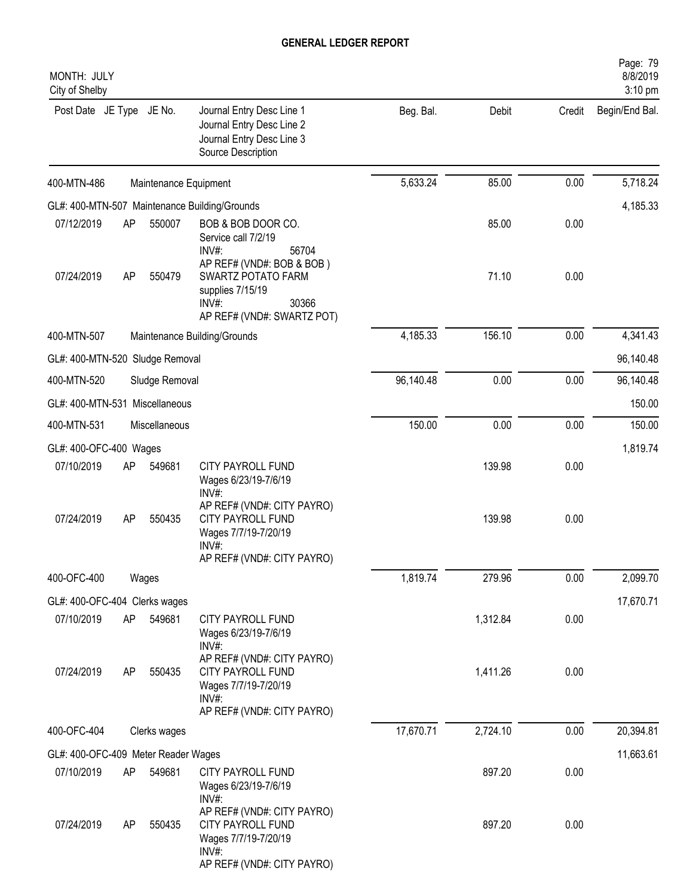| MONTH: JULY<br>City of Shelby       |    |                       |                                                                                                                               |           |          |        | Page: 79<br>8/8/2019<br>$3:10$ pm |
|-------------------------------------|----|-----------------------|-------------------------------------------------------------------------------------------------------------------------------|-----------|----------|--------|-----------------------------------|
| Post Date JE Type JE No.            |    |                       | Journal Entry Desc Line 1<br>Journal Entry Desc Line 2<br>Journal Entry Desc Line 3<br>Source Description                     | Beg. Bal. | Debit    | Credit | Begin/End Bal.                    |
| 400-MTN-486                         |    | Maintenance Equipment |                                                                                                                               | 5,633.24  | 85.00    | 0.00   | 5,718.24                          |
|                                     |    |                       | GL#: 400-MTN-507 Maintenance Building/Grounds                                                                                 |           |          |        | 4,185.33                          |
| 07/12/2019                          | AP | 550007                | BOB & BOB DOOR CO.<br>Service call 7/2/19<br>INV#:<br>56704                                                                   |           | 85.00    | 0.00   |                                   |
| 07/24/2019                          | AP | 550479                | AP REF# (VND#: BOB & BOB)<br><b>SWARTZ POTATO FARM</b><br>supplies 7/15/19<br>30366<br>$INV#$ :<br>AP REF# (VND#: SWARTZ POT) |           | 71.10    | 0.00   |                                   |
| 400-MTN-507                         |    |                       | Maintenance Building/Grounds                                                                                                  | 4,185.33  | 156.10   | 0.00   | 4,341.43                          |
| GL#: 400-MTN-520 Sludge Removal     |    |                       |                                                                                                                               |           |          |        | 96,140.48                         |
| 400-MTN-520                         |    | Sludge Removal        |                                                                                                                               | 96,140.48 | 0.00     | 0.00   | 96,140.48                         |
| GL#: 400-MTN-531 Miscellaneous      |    |                       |                                                                                                                               |           |          |        | 150.00                            |
| 400-MTN-531                         |    | Miscellaneous         |                                                                                                                               | 150.00    | 0.00     | 0.00   | 150.00                            |
| GL#: 400-OFC-400 Wages              |    |                       |                                                                                                                               |           |          |        | 1,819.74                          |
| 07/10/2019                          | AP | 549681                | CITY PAYROLL FUND<br>Wages 6/23/19-7/6/19<br>$INV#$ :                                                                         |           | 139.98   | 0.00   |                                   |
| 07/24/2019                          | AP | 550435                | AP REF# (VND#: CITY PAYRO)<br>CITY PAYROLL FUND<br>Wages 7/7/19-7/20/19<br>$INV#$ :<br>AP REF# (VND#: CITY PAYRO)             |           | 139.98   | 0.00   |                                   |
| 400-OFC-400                         |    | Wages                 |                                                                                                                               | 1,819.74  | 279.96   | 0.00   | 2,099.70                          |
| GL#: 400-OFC-404 Clerks wages       |    |                       |                                                                                                                               |           |          |        | 17,670.71                         |
| 07/10/2019                          | AP | 549681                | CITY PAYROLL FUND<br>Wages 6/23/19-7/6/19<br>INV#:                                                                            |           | 1,312.84 | 0.00   |                                   |
| 07/24/2019                          | AP | 550435                | AP REF# (VND#: CITY PAYRO)<br>CITY PAYROLL FUND<br>Wages 7/7/19-7/20/19<br>INV#:<br>AP REF# (VND#: CITY PAYRO)                |           | 1,411.26 | 0.00   |                                   |
| 400-OFC-404                         |    | Clerks wages          |                                                                                                                               | 17,670.71 | 2,724.10 | 0.00   | 20,394.81                         |
| GL#: 400-OFC-409 Meter Reader Wages |    |                       |                                                                                                                               |           |          |        | 11,663.61                         |
| 07/10/2019                          | AP | 549681                | CITY PAYROLL FUND<br>Wages 6/23/19-7/6/19<br>INV#:                                                                            |           | 897.20   | 0.00   |                                   |
| 07/24/2019                          | AP | 550435                | AP REF# (VND#: CITY PAYRO)<br>CITY PAYROLL FUND<br>Wages 7/7/19-7/20/19<br>$INV#$ :<br>AP REF# (VND#: CITY PAYRO)             |           | 897.20   | 0.00   |                                   |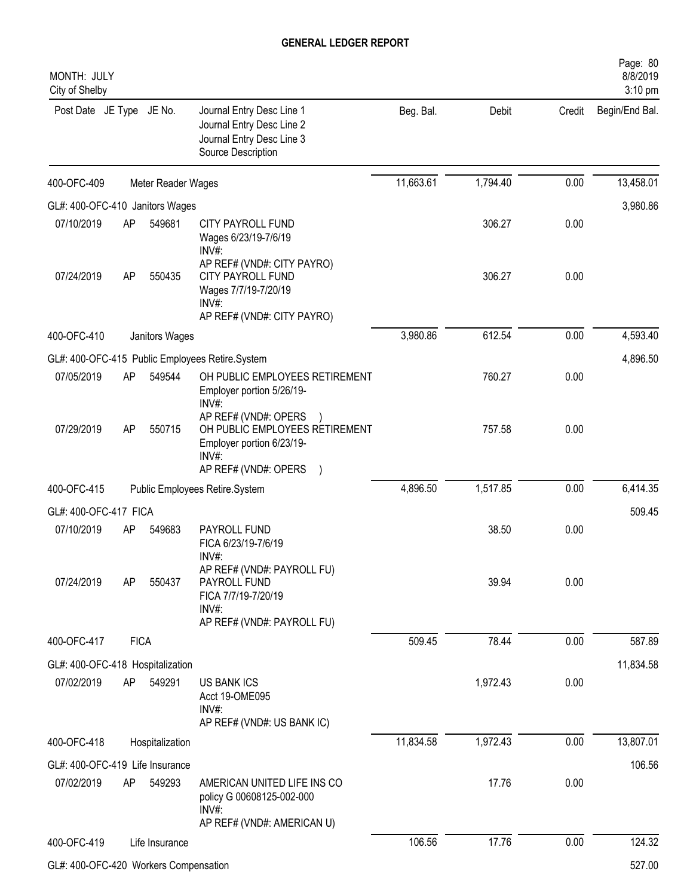| MONTH: JULY<br>City of Shelby         |             |                    |                                                                                                                         |           |          |        | Page: 80<br>8/8/2019<br>3:10 pm |
|---------------------------------------|-------------|--------------------|-------------------------------------------------------------------------------------------------------------------------|-----------|----------|--------|---------------------------------|
| Post Date JE Type JE No.              |             |                    | Journal Entry Desc Line 1<br>Journal Entry Desc Line 2<br>Journal Entry Desc Line 3<br>Source Description               | Beg. Bal. | Debit    | Credit | Begin/End Bal.                  |
| 400-OFC-409                           |             | Meter Reader Wages |                                                                                                                         | 11,663.61 | 1,794.40 | 0.00   | 13,458.01                       |
| GL#: 400-OFC-410 Janitors Wages       |             |                    |                                                                                                                         |           |          |        | 3,980.86                        |
| 07/10/2019                            | AP          | 549681             | CITY PAYROLL FUND<br>Wages 6/23/19-7/6/19<br>$INV#$ :                                                                   |           | 306.27   | 0.00   |                                 |
| 07/24/2019                            | AP          | 550435             | AP REF# (VND#: CITY PAYRO)<br>CITY PAYROLL FUND<br>Wages 7/7/19-7/20/19<br>INV#:<br>AP REF# (VND#: CITY PAYRO)          |           | 306.27   | 0.00   |                                 |
| 400-OFC-410                           |             | Janitors Wages     |                                                                                                                         | 3,980.86  | 612.54   | 0.00   | 4,593.40                        |
|                                       |             |                    | GL#: 400-OFC-415 Public Employees Retire.System                                                                         |           |          |        | 4,896.50                        |
| 07/05/2019                            | AP          | 549544             | OH PUBLIC EMPLOYEES RETIREMENT<br>Employer portion 5/26/19-<br>$INV#$ :                                                 |           | 760.27   | 0.00   |                                 |
| 07/29/2019                            | AP          | 550715             | AP REF# (VND#: OPERS<br>OH PUBLIC EMPLOYEES RETIREMENT<br>Employer portion 6/23/19-<br>$INV#$ :<br>AP REF# (VND#: OPERS |           | 757.58   | 0.00   |                                 |
| 400-OFC-415                           |             |                    | Public Employees Retire.System                                                                                          | 4,896.50  | 1,517.85 | 0.00   | 6,414.35                        |
| GL#: 400-OFC-417 FICA                 |             |                    |                                                                                                                         |           |          |        | 509.45                          |
| 07/10/2019                            | AP          | 549683             | PAYROLL FUND<br>FICA 6/23/19-7/6/19<br>INV#:                                                                            |           | 38.50    | 0.00   |                                 |
| 07/24/2019                            | AP          | 550437             | AP REF# (VND#: PAYROLL FU)<br>PAYROLL FUND<br>FICA 7/7/19-7/20/19<br>INV#:<br>AP REF# (VND#: PAYROLL FU)                |           | 39.94    | 0.00   |                                 |
| 400-OFC-417                           | <b>FICA</b> |                    |                                                                                                                         | 509.45    | 78.44    | 0.00   | 587.89                          |
| GL#: 400-OFC-418 Hospitalization      |             |                    |                                                                                                                         |           |          |        | 11,834.58                       |
| 07/02/2019                            | AP          | 549291             | <b>US BANK ICS</b><br>Acct 19-OME095<br>INV#:<br>AP REF# (VND#: US BANK IC)                                             |           | 1,972.43 | 0.00   |                                 |
| 400-OFC-418                           |             | Hospitalization    |                                                                                                                         | 11,834.58 | 1,972.43 | 0.00   | 13,807.01                       |
| GL#: 400-OFC-419 Life Insurance       |             |                    |                                                                                                                         |           |          |        | 106.56                          |
| 07/02/2019                            | AP          | 549293             | AMERICAN UNITED LIFE INS CO<br>policy G 00608125-002-000<br>$INV#$ :<br>AP REF# (VND#: AMERICAN U)                      |           | 17.76    | 0.00   |                                 |
| 400-OFC-419                           |             | Life Insurance     |                                                                                                                         | 106.56    | 17.76    | 0.00   | 124.32                          |
| GL#: 400-OFC-420 Workers Compensation |             |                    |                                                                                                                         |           |          |        | 527.00                          |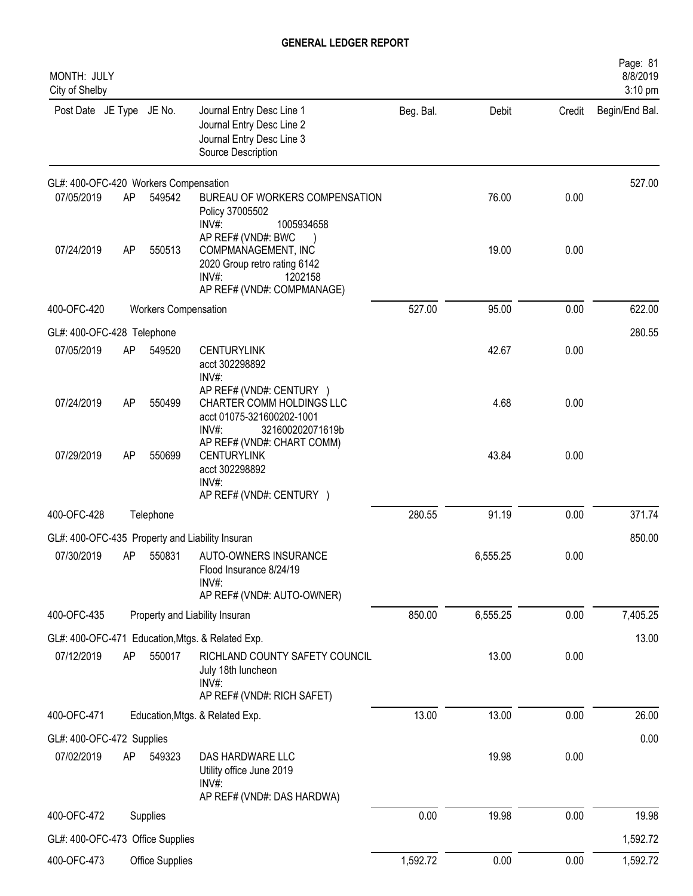| MONTH: JULY<br>City of Shelby           |    |                             |                                                                                                                             |           |          |        | Page: 81<br>8/8/2019<br>3:10 pm |
|-----------------------------------------|----|-----------------------------|-----------------------------------------------------------------------------------------------------------------------------|-----------|----------|--------|---------------------------------|
| Post Date JE Type JE No.                |    |                             | Journal Entry Desc Line 1<br>Journal Entry Desc Line 2<br>Journal Entry Desc Line 3<br>Source Description                   | Beg. Bal. | Debit    | Credit | Begin/End Bal.                  |
| GL#: 400-OFC-420 Workers Compensation   |    |                             |                                                                                                                             |           |          |        | 527.00                          |
| 07/05/2019                              | AP | 549542                      | BUREAU OF WORKERS COMPENSATION<br>Policy 37005502<br>INV#:<br>1005934658                                                    |           | 76.00    | 0.00   |                                 |
| 07/24/2019                              | AP | 550513                      | AP REF# (VND#: BWC<br>COMPMANAGEMENT, INC<br>2020 Group retro rating 6142<br>INV#:<br>1202158<br>AP REF# (VND#: COMPMANAGE) |           | 19.00    | 0.00   |                                 |
| 400-OFC-420                             |    | <b>Workers Compensation</b> |                                                                                                                             | 527.00    | 95.00    | 0.00   | 622.00                          |
| GL#: 400-OFC-428 Telephone              |    |                             |                                                                                                                             |           |          |        | 280.55                          |
| 07/05/2019                              | AP | 549520                      | <b>CENTURYLINK</b><br>acct 302298892<br>INV#:                                                                               |           | 42.67    | 0.00   |                                 |
| 07/24/2019                              | AP | 550499                      | AP REF# (VND#: CENTURY )<br>CHARTER COMM HOLDINGS LLC<br>acct 01075-321600202-1001<br>INV#<br>321600202071619b              |           | 4.68     | 0.00   |                                 |
| 07/29/2019                              | AP | 550699                      | AP REF# (VND#: CHART COMM)<br><b>CENTURYLINK</b><br>acct 302298892<br>INV#:<br>AP REF# (VND#: CENTURY )                     |           | 43.84    | 0.00   |                                 |
| 400-OFC-428                             |    | Telephone                   |                                                                                                                             | 280.55    | 91.19    | 0.00   | 371.74                          |
|                                         |    |                             | GL#: 400-OFC-435 Property and Liability Insuran                                                                             |           |          |        | 850.00                          |
| 07/30/2019                              | AP | 550831                      | AUTO-OWNERS INSURANCE<br>Flood Insurance 8/24/19<br>INV#:<br>AP REF# (VND#: AUTO-OWNER)                                     |           | 6,555.25 | 0.00   |                                 |
| 400-OFC-435                             |    |                             | Property and Liability Insuran                                                                                              | 850.00    | 6,555.25 | 0.00   | 7,405.25                        |
|                                         |    |                             | GL#: 400-OFC-471 Education, Mtgs. & Related Exp.                                                                            |           |          |        | 13.00                           |
| 07/12/2019                              | AP | 550017                      | RICHLAND COUNTY SAFETY COUNCIL<br>July 18th luncheon<br>INV#:                                                               |           | 13.00    | 0.00   |                                 |
|                                         |    |                             | AP REF# (VND#: RICH SAFET)                                                                                                  |           |          |        |                                 |
| 400-OFC-471                             |    |                             | Education, Mtgs. & Related Exp.                                                                                             | 13.00     | 13.00    | 0.00   | 26.00                           |
| GL#: 400-OFC-472 Supplies<br>07/02/2019 | AP | 549323                      | DAS HARDWARE LLC<br>Utility office June 2019                                                                                |           | 19.98    | 0.00   | 0.00                            |
|                                         |    |                             | $INV#$ :<br>AP REF# (VND#: DAS HARDWA)                                                                                      |           |          |        |                                 |
| 400-OFC-472                             |    | Supplies                    |                                                                                                                             | 0.00      | 19.98    | 0.00   | 19.98                           |
| GL#: 400-OFC-473 Office Supplies        |    |                             |                                                                                                                             |           |          |        | 1,592.72                        |
| 400-OFC-473                             |    | Office Supplies             |                                                                                                                             | 1,592.72  | 0.00     | 0.00   | 1,592.72                        |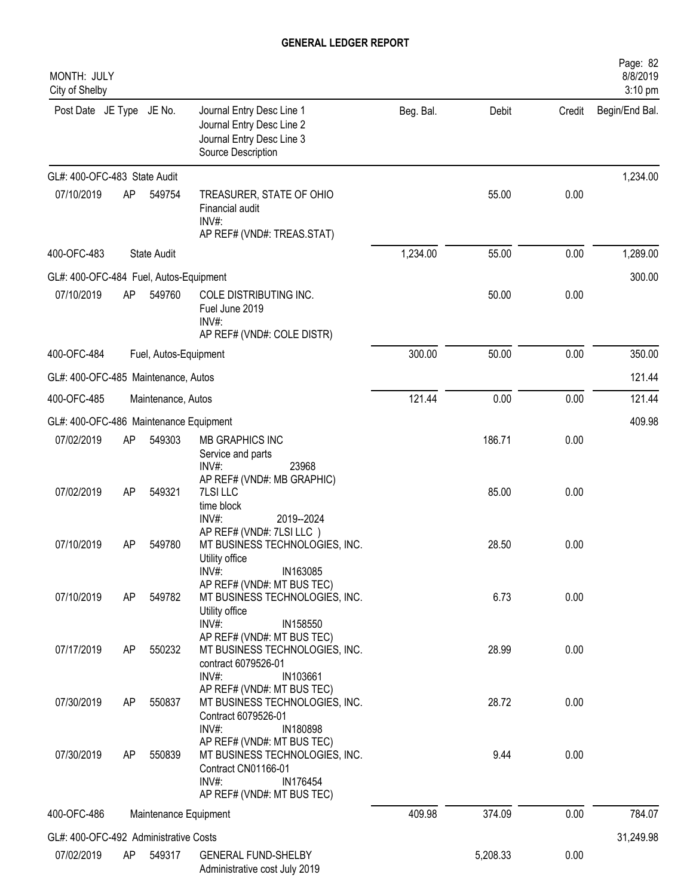| MONTH: JULY<br>City of Shelby          |                       |                       |                                                                                                                                                                   |           |          |        | Page: 82<br>8/8/2019<br>3:10 pm |
|----------------------------------------|-----------------------|-----------------------|-------------------------------------------------------------------------------------------------------------------------------------------------------------------|-----------|----------|--------|---------------------------------|
| Post Date JE Type JE No.               |                       |                       | Journal Entry Desc Line 1<br>Journal Entry Desc Line 2<br>Journal Entry Desc Line 3<br>Source Description                                                         | Beg. Bal. | Debit    | Credit | Begin/End Bal.                  |
| GL#: 400-OFC-483 State Audit           |                       |                       |                                                                                                                                                                   |           |          |        | 1,234.00                        |
| 07/10/2019                             | AP                    | 549754                | TREASURER, STATE OF OHIO<br>Financial audit<br>$INV#$ :<br>AP REF# (VND#: TREAS.STAT)                                                                             |           | 55.00    | 0.00   |                                 |
| 400-OFC-483                            |                       | <b>State Audit</b>    |                                                                                                                                                                   | 1,234.00  | 55.00    | 0.00   | 1,289.00                        |
| GL#: 400-OFC-484 Fuel, Autos-Equipment |                       |                       |                                                                                                                                                                   |           |          |        | 300.00                          |
| 07/10/2019                             | AP                    | 549760                | COLE DISTRIBUTING INC.<br>Fuel June 2019<br>$INV#$ :<br>AP REF# (VND#: COLE DISTR)                                                                                |           | 50.00    | 0.00   |                                 |
| 400-OFC-484                            | Fuel, Autos-Equipment |                       |                                                                                                                                                                   |           | 50.00    | 0.00   | 350.00                          |
| GL#: 400-OFC-485 Maintenance, Autos    |                       |                       |                                                                                                                                                                   |           |          |        | 121.44                          |
| 400-OFC-485                            |                       | Maintenance, Autos    |                                                                                                                                                                   | 121.44    | 0.00     | 0.00   | 121.44                          |
| GL#: 400-OFC-486 Maintenance Equipment |                       |                       |                                                                                                                                                                   |           |          |        | 409.98                          |
| 07/02/2019                             | AP                    | 549303                | MB GRAPHICS INC<br>Service and parts<br>INV#:<br>23968                                                                                                            |           | 186.71   | 0.00   |                                 |
| 07/02/2019                             | AP                    | 549321                | AP REF# (VND#: MB GRAPHIC)<br>7LSI LLC<br>time block<br>INV#:<br>2019--2024                                                                                       |           | 85.00    | 0.00   |                                 |
| 07/10/2019                             | <b>AP</b>             | 549780                | AP REF# (VND#: 7LSI LLC)<br>MT BUSINESS TECHNOLOGIES, INC.<br>Utility office                                                                                      |           | 28.50    | 0.00   |                                 |
| 07/10/2019                             | AP                    | 549782                | INV#:<br>IN163085<br>AP REF# (VND#: MT BUS TEC)<br>MT BUSINESS TECHNOLOGIES, INC.<br>Utility office                                                               |           | 6.73     | 0.00   |                                 |
| 07/17/2019                             | AP                    | 550232                | INV#:<br>IN158550<br>AP REF# (VND#: MT BUS TEC)<br>MT BUSINESS TECHNOLOGIES, INC.<br>contract 6079526-01                                                          |           | 28.99    | 0.00   |                                 |
| 07/30/2019                             | AP                    | 550837                | $INV#$ :<br>IN103661<br>AP REF# (VND#: MT BUS TEC)<br>MT BUSINESS TECHNOLOGIES, INC.<br>Contract 6079526-01                                                       |           | 28.72    | 0.00   |                                 |
| 07/30/2019                             | AP                    | 550839                | $INV#$ :<br>IN180898<br>AP REF# (VND#: MT BUS TEC)<br>MT BUSINESS TECHNOLOGIES, INC.<br>Contract CN01166-01<br>$INV#$ :<br>IN176454<br>AP REF# (VND#: MT BUS TEC) |           | 9.44     | 0.00   |                                 |
| 400-OFC-486                            |                       | Maintenance Equipment |                                                                                                                                                                   | 409.98    | 374.09   | 0.00   | 784.07                          |
| GL#: 400-OFC-492 Administrative Costs  |                       |                       |                                                                                                                                                                   |           |          |        | 31,249.98                       |
| 07/02/2019                             | AP                    | 549317                | <b>GENERAL FUND-SHELBY</b><br>Administrative cost July 2019                                                                                                       |           | 5,208.33 | 0.00   |                                 |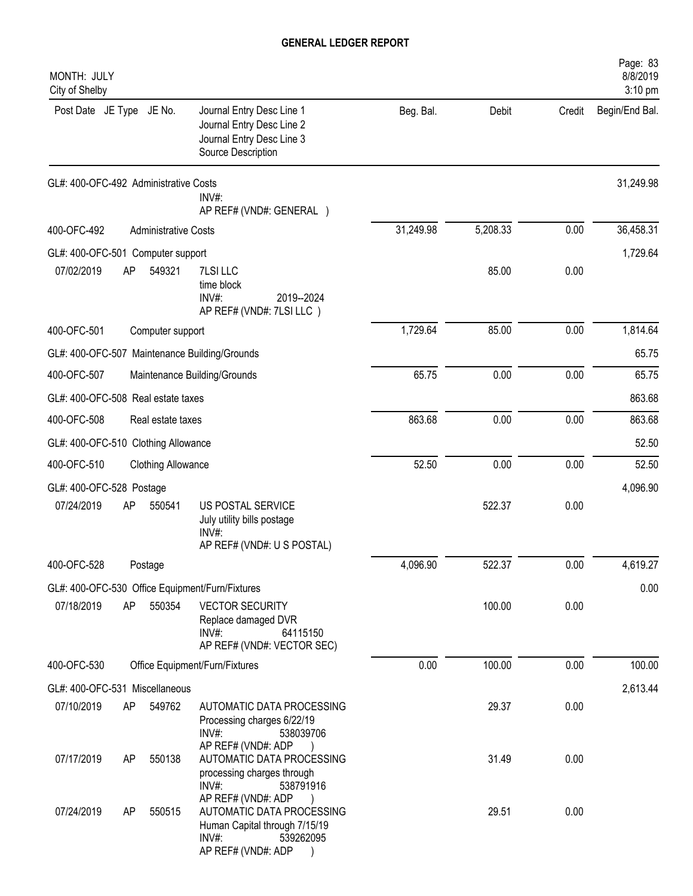| MONTH: JULY<br>City of Shelby         |     |                             |                                                                                                                              |           |          |        | Page: 83<br>8/8/2019<br>3:10 pm |
|---------------------------------------|-----|-----------------------------|------------------------------------------------------------------------------------------------------------------------------|-----------|----------|--------|---------------------------------|
| Post Date JE Type JE No.              |     |                             | Journal Entry Desc Line 1<br>Journal Entry Desc Line 2<br>Journal Entry Desc Line 3<br>Source Description                    | Beg. Bal. | Debit    | Credit | Begin/End Bal.                  |
| GL#: 400-OFC-492 Administrative Costs |     |                             | $INV#$ :<br>AP REF# (VND#: GENERAL )                                                                                         |           |          |        | 31,249.98                       |
| 400-OFC-492                           |     | <b>Administrative Costs</b> |                                                                                                                              | 31,249.98 | 5,208.33 | 0.00   | 36,458.31                       |
| GL#: 400-OFC-501 Computer support     |     |                             |                                                                                                                              |           |          |        | 1,729.64                        |
| 07/02/2019                            | AP  | 549321                      | 7LSI LLC<br>time block<br>INV#:<br>2019--2024<br>AP REF# (VND#: 7LSI LLC)                                                    |           | 85.00    | 0.00   |                                 |
| 400-OFC-501                           |     | Computer support            |                                                                                                                              | 1,729.64  | 85.00    | 0.00   | 1,814.64                        |
|                                       |     |                             | GL#: 400-OFC-507 Maintenance Building/Grounds                                                                                |           |          |        | 65.75                           |
| 400-OFC-507                           |     |                             | Maintenance Building/Grounds                                                                                                 | 65.75     | 0.00     | 0.00   | 65.75                           |
| GL#: 400-OFC-508 Real estate taxes    |     |                             |                                                                                                                              |           |          |        | 863.68                          |
| 400-OFC-508                           |     | Real estate taxes           |                                                                                                                              | 863.68    | 0.00     | 0.00   | 863.68                          |
| GL#: 400-OFC-510 Clothing Allowance   |     |                             |                                                                                                                              |           |          |        | 52.50                           |
| 400-OFC-510                           |     | <b>Clothing Allowance</b>   |                                                                                                                              | 52.50     | 0.00     | 0.00   | 52.50                           |
| GL#: 400-OFC-528 Postage              |     |                             |                                                                                                                              |           |          |        | 4,096.90                        |
| 07/24/2019                            | AP  | 550541                      | US POSTAL SERVICE<br>July utility bills postage<br>INV#:<br>AP REF# (VND#: U S POSTAL)                                       |           | 522.37   | 0.00   |                                 |
| 400-OFC-528                           |     | Postage                     |                                                                                                                              | 4,096.90  | 522.37   | 0.00   | 4,619.27                        |
|                                       |     |                             | GL#: 400-OFC-530 Office Equipment/Furn/Fixtures                                                                              |           |          |        | 0.00                            |
| 07/18/2019                            | AP  | 550354                      | <b>VECTOR SECURITY</b><br>Replace damaged DVR<br>$INV#$ :<br>64115150<br>AP REF# (VND#: VECTOR SEC)                          |           | 100.00   | 0.00   |                                 |
| 400-OFC-530                           |     |                             | Office Equipment/Furn/Fixtures                                                                                               | 0.00      | 100.00   | 0.00   | 100.00                          |
| GL#: 400-OFC-531 Miscellaneous        |     |                             |                                                                                                                              |           |          |        | 2,613.44                        |
| 07/10/2019                            | AP. | 549762                      | AUTOMATIC DATA PROCESSING<br>Processing charges 6/22/19<br>$INV#$ :<br>538039706<br>AP REF# (VND#: ADP                       |           | 29.37    | 0.00   |                                 |
| 07/17/2019                            | AP  | 550138                      | AUTOMATIC DATA PROCESSING<br>processing charges through<br>INV#:<br>538791916                                                |           | 31.49    | 0.00   |                                 |
| 07/24/2019                            | AP  | 550515                      | AP REF# (VND#: ADP<br>AUTOMATIC DATA PROCESSING<br>Human Capital through 7/15/19<br>INV#:<br>539262095<br>AP REF# (VND#: ADP |           | 29.51    | 0.00   |                                 |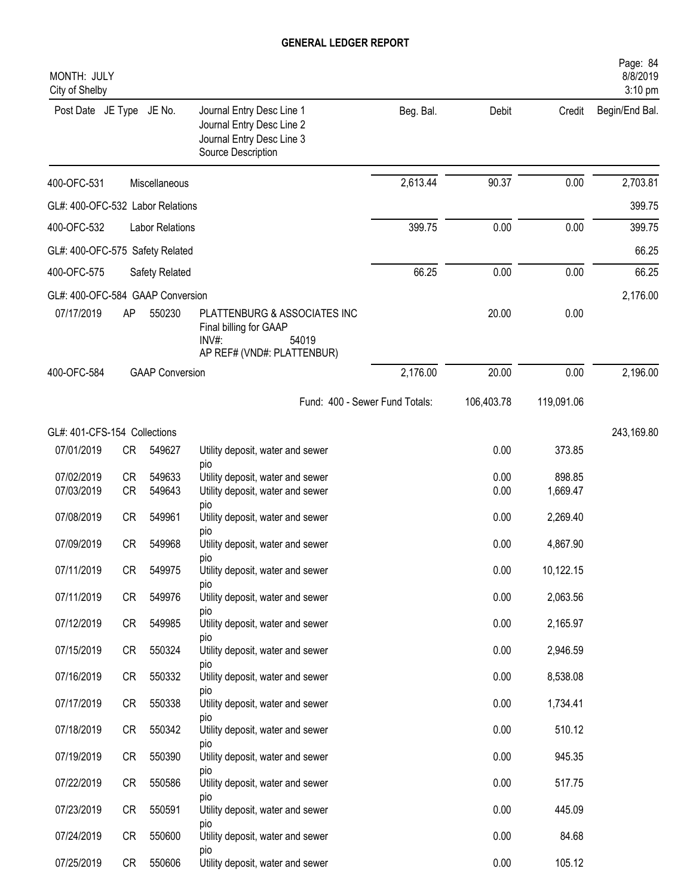| MONTH: JULY<br>City of Shelby    |           |                        |                                                                                                           |           |            |            | Page: 84<br>8/8/2019<br>3:10 pm |
|----------------------------------|-----------|------------------------|-----------------------------------------------------------------------------------------------------------|-----------|------------|------------|---------------------------------|
| Post Date JE Type JE No.         |           |                        | Journal Entry Desc Line 1<br>Journal Entry Desc Line 2<br>Journal Entry Desc Line 3<br>Source Description | Beg. Bal. | Debit      | Credit     | Begin/End Bal.                  |
| 400-OFC-531                      |           | Miscellaneous          |                                                                                                           | 2,613.44  | 90.37      | 0.00       | 2,703.81                        |
| GL#: 400-OFC-532 Labor Relations |           |                        |                                                                                                           |           |            |            | 399.75                          |
| 400-OFC-532                      |           | <b>Labor Relations</b> |                                                                                                           | 399.75    | 0.00       | 0.00       | 399.75                          |
| GL#: 400-OFC-575 Safety Related  |           |                        |                                                                                                           |           |            |            | 66.25                           |
| 400-OFC-575                      |           | Safety Related         |                                                                                                           | 66.25     | 0.00       | 0.00       | 66.25                           |
| GL#: 400-OFC-584 GAAP Conversion |           |                        |                                                                                                           |           |            |            | 2,176.00                        |
| 07/17/2019                       | AP        | 550230                 | PLATTENBURG & ASSOCIATES INC<br>Final billing for GAAP<br>54019<br>INV#<br>AP REF# (VND#: PLATTENBUR)     |           | 20.00      | 0.00       |                                 |
| 400-OFC-584                      |           | <b>GAAP Conversion</b> |                                                                                                           | 2,176.00  | 20.00      | 0.00       | 2,196.00                        |
|                                  |           |                        | Fund: 400 - Sewer Fund Totals:                                                                            |           | 106,403.78 | 119,091.06 |                                 |
| GL#: 401-CFS-154 Collections     |           |                        |                                                                                                           |           |            |            | 243,169.80                      |
| 07/01/2019                       | CR        | 549627                 | Utility deposit, water and sewer<br>pio                                                                   |           | 0.00       | 373.85     |                                 |
| 07/02/2019                       | <b>CR</b> | 549633                 | Utility deposit, water and sewer                                                                          |           | 0.00       | 898.85     |                                 |
| 07/03/2019                       | <b>CR</b> | 549643                 | Utility deposit, water and sewer<br>pio                                                                   |           | 0.00       | 1,669.47   |                                 |
| 07/08/2019                       | <b>CR</b> | 549961                 | Utility deposit, water and sewer                                                                          |           | 0.00       | 2,269.40   |                                 |
| 07/09/2019                       | <b>CR</b> | 549968                 | pio<br>Utility deposit, water and sewer                                                                   |           | 0.00       | 4,867.90   |                                 |
| 07/11/2019                       | CR        | 549975                 | pio<br>Utility deposit, water and sewer                                                                   |           | 0.00       | 10,122.15  |                                 |
| 07/11/2019                       | CR        | 549976                 | DIO<br>Utility deposit, water and sewer                                                                   |           | 0.00       | 2,063.56   |                                 |
| 07/12/2019                       |           | 549985                 | DIO                                                                                                       |           | 0.00       | 2,165.97   |                                 |
|                                  | CR        |                        | Utility deposit, water and sewer<br>pio                                                                   |           |            |            |                                 |
| 07/15/2019                       | CR        | 550324                 | Utility deposit, water and sewer<br>pio                                                                   |           | 0.00       | 2,946.59   |                                 |
| 07/16/2019                       | CR        | 550332                 | Utility deposit, water and sewer<br>pio                                                                   |           | 0.00       | 8,538.08   |                                 |
| 07/17/2019                       | <b>CR</b> | 550338                 | Utility deposit, water and sewer                                                                          |           | 0.00       | 1,734.41   |                                 |
| 07/18/2019                       | <b>CR</b> | 550342                 | pio<br>Utility deposit, water and sewer                                                                   |           | 0.00       | 510.12     |                                 |
| 07/19/2019                       | CR        | 550390                 | pio<br>Utility deposit, water and sewer                                                                   |           | 0.00       | 945.35     |                                 |
| 07/22/2019                       | <b>CR</b> | 550586                 | pio<br>Utility deposit, water and sewer                                                                   |           | 0.00       | 517.75     |                                 |
| 07/23/2019                       | CR        | 550591                 | pio<br>Utility deposit, water and sewer                                                                   |           | 0.00       | 445.09     |                                 |
|                                  |           |                        | pio                                                                                                       |           |            |            |                                 |
| 07/24/2019                       | CR        | 550600                 | Utility deposit, water and sewer<br>pio                                                                   |           | 0.00       | 84.68      |                                 |
| 07/25/2019                       | CR        | 550606                 | Utility deposit, water and sewer                                                                          |           | 0.00       | 105.12     |                                 |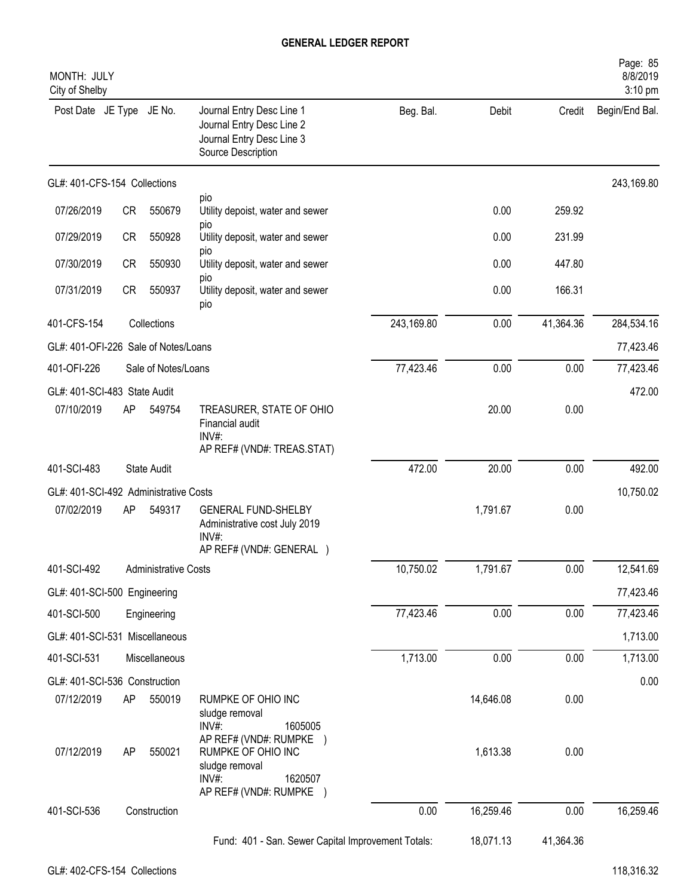| MONTH: JULY<br>City of Shelby         |           |                             |                                                                                                                 |            |           |           | Page: 85<br>8/8/2019<br>3:10 pm |
|---------------------------------------|-----------|-----------------------------|-----------------------------------------------------------------------------------------------------------------|------------|-----------|-----------|---------------------------------|
| Post Date JE Type JE No.              |           |                             | Journal Entry Desc Line 1<br>Journal Entry Desc Line 2<br>Journal Entry Desc Line 3<br>Source Description       | Beg. Bal.  | Debit     | Credit    | Begin/End Bal.                  |
| GL#: 401-CFS-154 Collections          |           |                             |                                                                                                                 |            |           |           | 243,169.80                      |
| 07/26/2019                            | <b>CR</b> | 550679                      | pio<br>Utility depoist, water and sewer                                                                         |            | 0.00      | 259.92    |                                 |
| 07/29/2019                            | <b>CR</b> | 550928                      | pio<br>Utility deposit, water and sewer                                                                         |            | 0.00      | 231.99    |                                 |
| 07/30/2019                            | <b>CR</b> | 550930                      | pio<br>Utility deposit, water and sewer                                                                         |            | 0.00      | 447.80    |                                 |
| 07/31/2019                            | <b>CR</b> | 550937                      | pio<br>Utility deposit, water and sewer<br>pio                                                                  |            | 0.00      | 166.31    |                                 |
| 401-CFS-154                           |           | Collections                 |                                                                                                                 | 243,169.80 | 0.00      | 41,364.36 | 284,534.16                      |
| GL#: 401-OFI-226 Sale of Notes/Loans  |           |                             |                                                                                                                 |            |           |           | 77,423.46                       |
| 401-OFI-226                           |           | Sale of Notes/Loans         |                                                                                                                 | 77,423.46  | 0.00      | 0.00      | 77,423.46                       |
| GL#: 401-SCI-483 State Audit          |           |                             |                                                                                                                 |            |           |           | 472.00                          |
| 07/10/2019                            | AP        | 549754                      | TREASURER, STATE OF OHIO<br>Financial audit<br>$INV#$ :<br>AP REF# (VND#: TREAS.STAT)                           |            | 20.00     | 0.00      |                                 |
| 401-SCI-483                           |           | <b>State Audit</b>          |                                                                                                                 | 472.00     | 20.00     | 0.00      | 492.00                          |
| GL#: 401-SCI-492 Administrative Costs |           |                             |                                                                                                                 |            |           |           | 10,750.02                       |
| 07/02/2019                            | AP        | 549317                      | <b>GENERAL FUND-SHELBY</b><br>Administrative cost July 2019<br>INV#:<br>AP REF# (VND#: GENERAL )                |            | 1,791.67  | 0.00      |                                 |
| 401-SCI-492                           |           | <b>Administrative Costs</b> |                                                                                                                 | 10,750.02  | 1,791.67  | 0.00      | 12,541.69                       |
| GL#: 401-SCI-500 Engineering          |           |                             |                                                                                                                 |            |           |           | 77,423.46                       |
| 401-SCI-500                           |           | Engineering                 |                                                                                                                 | 77,423.46  | 0.00      | 0.00      | 77,423.46                       |
| GL#: 401-SCI-531 Miscellaneous        |           |                             |                                                                                                                 |            |           |           | 1,713.00                        |
| 401-SCI-531                           |           | Miscellaneous               |                                                                                                                 | 1,713.00   | 0.00      | 0.00      | 1,713.00                        |
| GL#: 401-SCI-536 Construction         |           |                             |                                                                                                                 |            |           |           | 0.00                            |
| 07/12/2019                            | AP        | 550019                      | RUMPKE OF OHIO INC<br>sludge removal<br>$INV#$ :<br>1605005                                                     |            | 14,646.08 | 0.00      |                                 |
| 07/12/2019                            | AP        | 550021                      | AP REF# (VND#: RUMPKE)<br>RUMPKE OF OHIO INC<br>sludge removal<br>$INV#$ :<br>1620507<br>AP REF# (VND#: RUMPKE) |            | 1,613.38  | 0.00      |                                 |
| 401-SCI-536                           |           | Construction                |                                                                                                                 | 0.00       | 16,259.46 | 0.00      | 16,259.46                       |
|                                       |           |                             | Fund: 401 - San. Sewer Capital Improvement Totals:                                                              |            | 18,071.13 | 41,364.36 |                                 |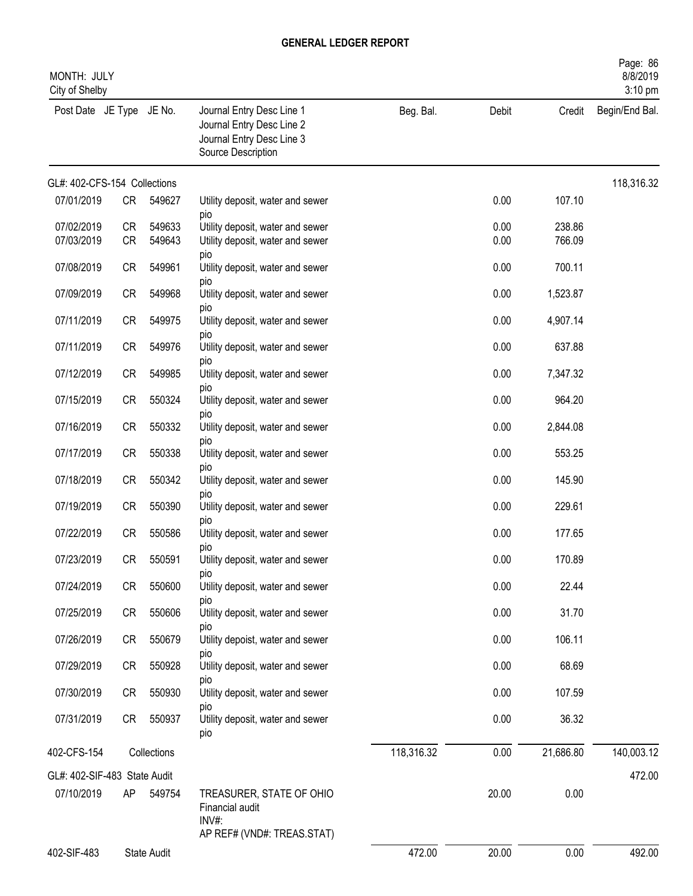| MONTH: JULY<br>City of Shelby |                        |                  |                                                                                                           |            |              |                  | Page: 86<br>8/8/2019<br>3:10 pm |
|-------------------------------|------------------------|------------------|-----------------------------------------------------------------------------------------------------------|------------|--------------|------------------|---------------------------------|
| Post Date JE Type JE No.      |                        |                  | Journal Entry Desc Line 1<br>Journal Entry Desc Line 2<br>Journal Entry Desc Line 3<br>Source Description | Beg. Bal.  | Debit        | Credit           | Begin/End Bal.                  |
| GL#: 402-CFS-154 Collections  |                        |                  |                                                                                                           |            |              |                  | 118,316.32                      |
| 07/01/2019                    | CR                     | 549627           | Utility deposit, water and sewer<br>pio                                                                   |            | 0.00         | 107.10           |                                 |
| 07/02/2019<br>07/03/2019      | <b>CR</b><br><b>CR</b> | 549633<br>549643 | Utility deposit, water and sewer<br>Utility deposit, water and sewer                                      |            | 0.00<br>0.00 | 238.86<br>766.09 |                                 |
| 07/08/2019                    | <b>CR</b>              | 549961           | pio<br>Utility deposit, water and sewer                                                                   |            | 0.00         | 700.11           |                                 |
| 07/09/2019                    | <b>CR</b>              | 549968           | pio<br>Utility deposit, water and sewer                                                                   |            | 0.00         | 1,523.87         |                                 |
| 07/11/2019                    | <b>CR</b>              | 549975           | DIO<br>Utility deposit, water and sewer                                                                   |            | 0.00         | 4,907.14         |                                 |
| 07/11/2019                    | <b>CR</b>              | 549976           | pio<br>Utility deposit, water and sewer                                                                   |            | 0.00         | 637.88           |                                 |
| 07/12/2019                    | <b>CR</b>              | 549985           | pio<br>Utility deposit, water and sewer                                                                   |            | 0.00         | 7,347.32         |                                 |
| 07/15/2019                    | <b>CR</b>              | 550324           | DIO<br>Utility deposit, water and sewer                                                                   |            | 0.00         | 964.20           |                                 |
| 07/16/2019                    | <b>CR</b>              | 550332           | pio<br>Utility deposit, water and sewer                                                                   |            | 0.00         | 2,844.08         |                                 |
| 07/17/2019                    | <b>CR</b>              | 550338           | pio<br>Utility deposit, water and sewer                                                                   |            | 0.00         | 553.25           |                                 |
| 07/18/2019                    | <b>CR</b>              | 550342           | pio<br>Utility deposit, water and sewer                                                                   |            | 0.00         | 145.90           |                                 |
| 07/19/2019                    | <b>CR</b>              | 550390           | pio<br>Utility deposit, water and sewer                                                                   |            | 0.00         | 229.61           |                                 |
| 07/22/2019                    | <b>CR</b>              | 550586           | pio<br>Utility deposit, water and sewer                                                                   |            | 0.00         | 177.65           |                                 |
| 07/23/2019                    | CR                     | 550591           | pio<br>Utility deposit, water and sewer                                                                   |            | 0.00         | 170.89           |                                 |
| 07/24/2019                    | <b>CR</b>              | 550600           | pio<br>Utility deposit, water and sewer                                                                   |            | 0.00         | 22.44            |                                 |
| 07/25/2019                    | CR                     | 550606           | pio<br>Utility deposit, water and sewer                                                                   |            | 0.00         | 31.70            |                                 |
| 07/26/2019                    | CR                     | 550679           | DIO<br>Utility depoist, water and sewer                                                                   |            | 0.00         | 106.11           |                                 |
|                               |                        |                  | pio                                                                                                       |            |              |                  |                                 |
| 07/29/2019                    | CR                     | 550928           | Utility deposit, water and sewer<br>pio                                                                   |            | 0.00         | 68.69            |                                 |
| 07/30/2019                    | CR                     | 550930           | Utility deposit, water and sewer<br>pio                                                                   |            | 0.00         | 107.59           |                                 |
| 07/31/2019                    | CR                     | 550937           | Utility deposit, water and sewer<br>pio                                                                   |            | 0.00         | 36.32            |                                 |
| 402-CFS-154                   |                        | Collections      |                                                                                                           | 118,316.32 | 0.00         | 21,686.80        | 140,003.12                      |
| GL#: 402-SIF-483 State Audit  |                        |                  |                                                                                                           |            |              |                  | 472.00                          |
| 07/10/2019                    | AP                     | 549754           | TREASURER, STATE OF OHIO<br>Financial audit<br>INV#:<br>AP REF# (VND#: TREAS.STAT)                        |            | 20.00        | 0.00             |                                 |
| 402-SIF-483                   |                        | State Audit      |                                                                                                           | 472.00     | 20.00        | 0.00             | 492.00                          |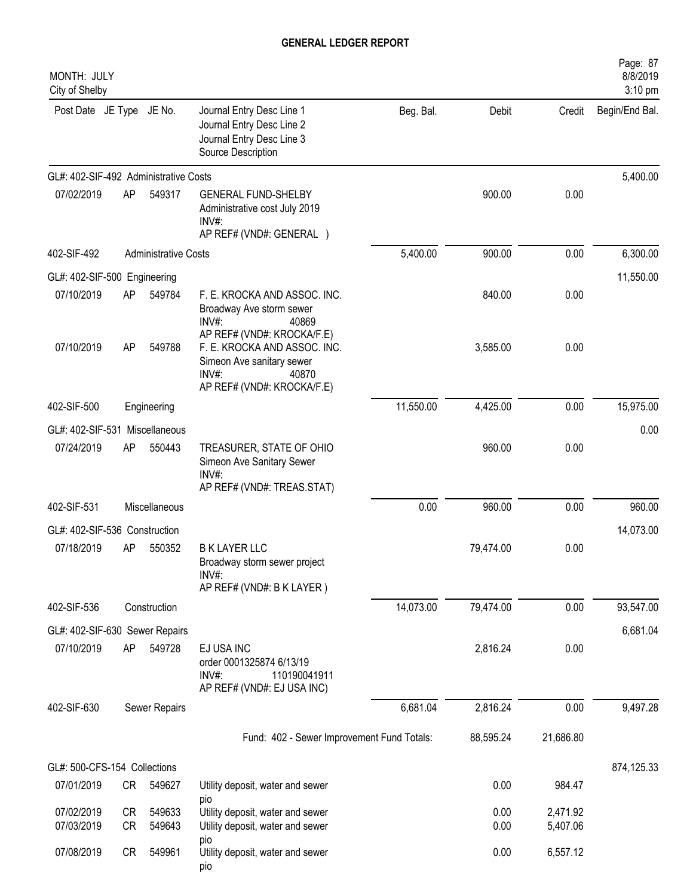| MONTH: JULY<br>City of Shelby         |                        |                             |                                                                                                                                         |           |              |                      | Page: 87<br>8/8/2019<br>3:10 pm |
|---------------------------------------|------------------------|-----------------------------|-----------------------------------------------------------------------------------------------------------------------------------------|-----------|--------------|----------------------|---------------------------------|
| Post Date JE Type JE No.              |                        |                             | Journal Entry Desc Line 1<br>Journal Entry Desc Line 2<br>Journal Entry Desc Line 3<br>Source Description                               | Beg. Bal. | Debit        | Credit               | Begin/End Bal.                  |
| GL#: 402-SIF-492 Administrative Costs |                        |                             |                                                                                                                                         |           |              |                      | 5,400.00                        |
| 07/02/2019                            | AP                     | 549317                      | <b>GENERAL FUND-SHELBY</b><br>Administrative cost July 2019<br>INV#:<br>AP REF# (VND#: GENERAL )                                        |           | 900.00       | 0.00                 |                                 |
| 402-SIF-492                           |                        | <b>Administrative Costs</b> |                                                                                                                                         | 5,400.00  | 900.00       | 0.00                 | 6,300.00                        |
| GL#: 402-SIF-500 Engineering          |                        |                             |                                                                                                                                         |           |              |                      | 11,550.00                       |
| 07/10/2019                            | AP                     | 549784                      | F. E. KROCKA AND ASSOC. INC.<br>Broadway Ave storm sewer<br>INV#:<br>40869                                                              |           | 840.00       | 0.00                 |                                 |
| 07/10/2019                            | AP                     | 549788                      | AP REF# (VND#: KROCKA/F.E)<br>F. E. KROCKA AND ASSOC. INC.<br>Simeon Ave sanitary sewer<br>INV#:<br>40870<br>AP REF# (VND#: KROCKA/F.E) |           | 3,585.00     | 0.00                 |                                 |
| 402-SIF-500                           |                        | Engineering                 |                                                                                                                                         | 11,550.00 | 4,425.00     | 0.00                 | 15,975.00                       |
| GL#: 402-SIF-531 Miscellaneous        |                        |                             |                                                                                                                                         |           |              |                      | 0.00                            |
| 07/24/2019                            | AP                     | 550443                      | TREASURER, STATE OF OHIO<br>Simeon Ave Sanitary Sewer<br>INV#:<br>AP REF# (VND#: TREAS.STAT)                                            |           | 960.00       | 0.00                 |                                 |
| 402-SIF-531                           |                        | Miscellaneous               |                                                                                                                                         | 0.00      | 960.00       | 0.00                 | 960.00                          |
| GL#: 402-SIF-536 Construction         |                        |                             |                                                                                                                                         |           |              |                      | 14,073.00                       |
| 07/18/2019                            | AP                     | 550352                      | <b>B K LAYER LLC</b><br>Broadway storm sewer project<br>$INV#$ :<br>AP REF# (VND#: B K LAYER)                                           |           | 79,474.00    | 0.00                 |                                 |
| 402-SIF-536                           |                        | Construction                |                                                                                                                                         | 14,073.00 | 79,474.00    | 0.00                 | 93,547.00                       |
| GL#: 402-SIF-630 Sewer Repairs        |                        |                             |                                                                                                                                         |           |              |                      | 6,681.04                        |
| 07/10/2019                            | AP                     | 549728                      | EJ USA INC<br>order 0001325874 6/13/19<br>110190041911<br>$INV#$ :<br>AP REF# (VND#: EJ USA INC)                                        |           | 2,816.24     | 0.00                 |                                 |
| 402-SIF-630                           |                        | Sewer Repairs               |                                                                                                                                         | 6,681.04  | 2,816.24     | 0.00                 | 9,497.28                        |
|                                       |                        |                             | Fund: 402 - Sewer Improvement Fund Totals:                                                                                              |           | 88,595.24    | 21,686.80            |                                 |
| GL#: 500-CFS-154 Collections          |                        |                             |                                                                                                                                         |           |              |                      | 874,125.33                      |
| 07/01/2019                            | CR                     | 549627                      | Utility deposit, water and sewer                                                                                                        |           | 0.00         | 984.47               |                                 |
| 07/02/2019<br>07/03/2019              | <b>CR</b><br><b>CR</b> | 549633<br>549643            | pio<br>Utility deposit, water and sewer<br>Utility deposit, water and sewer                                                             |           | 0.00<br>0.00 | 2,471.92<br>5,407.06 |                                 |
| 07/08/2019                            | CR                     | 549961                      | pio<br>Utility deposit, water and sewer<br>pio                                                                                          |           | 0.00         | 6,557.12             |                                 |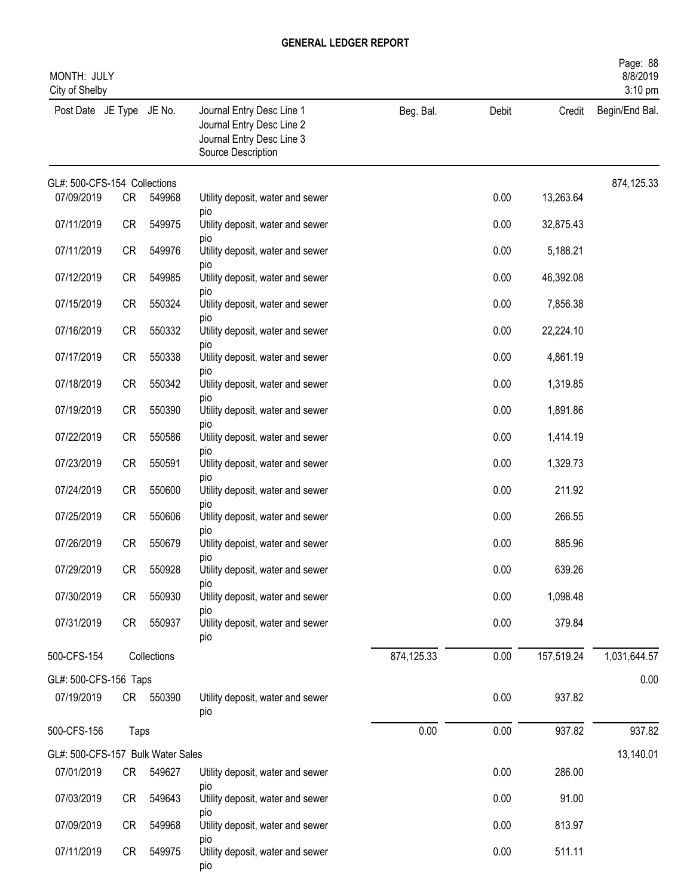| MONTH: JULY<br>City of Shelby     |           |             |                                                                                                           |            |       |            | Page: 88<br>8/8/2019<br>$3:10$ pm |
|-----------------------------------|-----------|-------------|-----------------------------------------------------------------------------------------------------------|------------|-------|------------|-----------------------------------|
| Post Date JE Type JE No.          |           |             | Journal Entry Desc Line 1<br>Journal Entry Desc Line 2<br>Journal Entry Desc Line 3<br>Source Description | Beg. Bal.  | Debit | Credit     | Begin/End Bal.                    |
| GL#: 500-CFS-154 Collections      |           |             |                                                                                                           |            |       |            | 874,125.33                        |
| 07/09/2019                        | CR        | 549968      | Utility deposit, water and sewer<br>pio                                                                   |            | 0.00  | 13,263.64  |                                   |
| 07/11/2019                        | <b>CR</b> | 549975      | Utility deposit, water and sewer                                                                          |            | 0.00  | 32,875.43  |                                   |
| 07/11/2019                        | <b>CR</b> | 549976      | pio<br>Utility deposit, water and sewer                                                                   |            | 0.00  | 5,188.21   |                                   |
| 07/12/2019                        | <b>CR</b> | 549985      | pio<br>Utility deposit, water and sewer                                                                   |            | 0.00  | 46,392.08  |                                   |
| 07/15/2019                        | <b>CR</b> | 550324      | pio<br>Utility deposit, water and sewer                                                                   |            | 0.00  | 7,856.38   |                                   |
| 07/16/2019                        | <b>CR</b> | 550332      | pio<br>Utility deposit, water and sewer                                                                   |            | 0.00  | 22,224.10  |                                   |
| 07/17/2019                        | CR        | 550338      | pio<br>Utility deposit, water and sewer                                                                   |            | 0.00  | 4,861.19   |                                   |
| 07/18/2019                        | <b>CR</b> | 550342      | pio<br>Utility deposit, water and sewer                                                                   |            | 0.00  | 1,319.85   |                                   |
| 07/19/2019                        | <b>CR</b> | 550390      | pio<br>Utility deposit, water and sewer                                                                   |            | 0.00  | 1,891.86   |                                   |
| 07/22/2019                        | <b>CR</b> | 550586      | pio<br>Utility deposit, water and sewer                                                                   |            | 0.00  | 1,414.19   |                                   |
| 07/23/2019                        | <b>CR</b> | 550591      | pio<br>Utility deposit, water and sewer                                                                   |            | 0.00  | 1,329.73   |                                   |
| 07/24/2019                        | <b>CR</b> | 550600      | pio<br>Utility deposit, water and sewer                                                                   |            | 0.00  | 211.92     |                                   |
| 07/25/2019                        | <b>CR</b> | 550606      | pio<br>Utility deposit, water and sewer                                                                   |            | 0.00  | 266.55     |                                   |
| 07/26/2019                        | <b>CR</b> | 550679      | pio<br>Utility depoist, water and sewer                                                                   |            | 0.00  | 885.96     |                                   |
| 07/29/2019                        | CR        | 550928      | pio<br>Utility deposit, water and sewer                                                                   |            | 0.00  | 639.26     |                                   |
| 07/30/2019                        | <b>CR</b> | 550930      | pio<br>Utility deposit, water and sewer                                                                   |            | 0.00  | 1,098.48   |                                   |
| 07/31/2019                        | <b>CR</b> | 550937      | pio<br>Utility deposit, water and sewer                                                                   |            | 0.00  | 379.84     |                                   |
|                                   |           |             | pio                                                                                                       |            |       |            |                                   |
| 500-CFS-154                       |           | Collections |                                                                                                           | 874,125.33 | 0.00  | 157,519.24 | 1,031,644.57                      |
| GL#: 500-CFS-156 Taps             |           |             |                                                                                                           |            |       |            | 0.00                              |
| 07/19/2019                        |           | CR 550390   | Utility deposit, water and sewer<br>pio                                                                   |            | 0.00  | 937.82     |                                   |
| 500-CFS-156                       | Taps      |             |                                                                                                           | 0.00       | 0.00  | 937.82     | 937.82                            |
| GL#: 500-CFS-157 Bulk Water Sales |           |             |                                                                                                           |            |       |            | 13,140.01                         |
| 07/01/2019                        | CR        | 549627      | Utility deposit, water and sewer                                                                          |            | 0.00  | 286.00     |                                   |
| 07/03/2019                        | CR        | 549643      | pio<br>Utility deposit, water and sewer                                                                   |            | 0.00  | 91.00      |                                   |
| 07/09/2019                        | CR        | 549968      | pio<br>Utility deposit, water and sewer                                                                   |            | 0.00  | 813.97     |                                   |
| 07/11/2019                        | <b>CR</b> | 549975      | pio<br>Utility deposit, water and sewer<br>pio                                                            |            | 0.00  | 511.11     |                                   |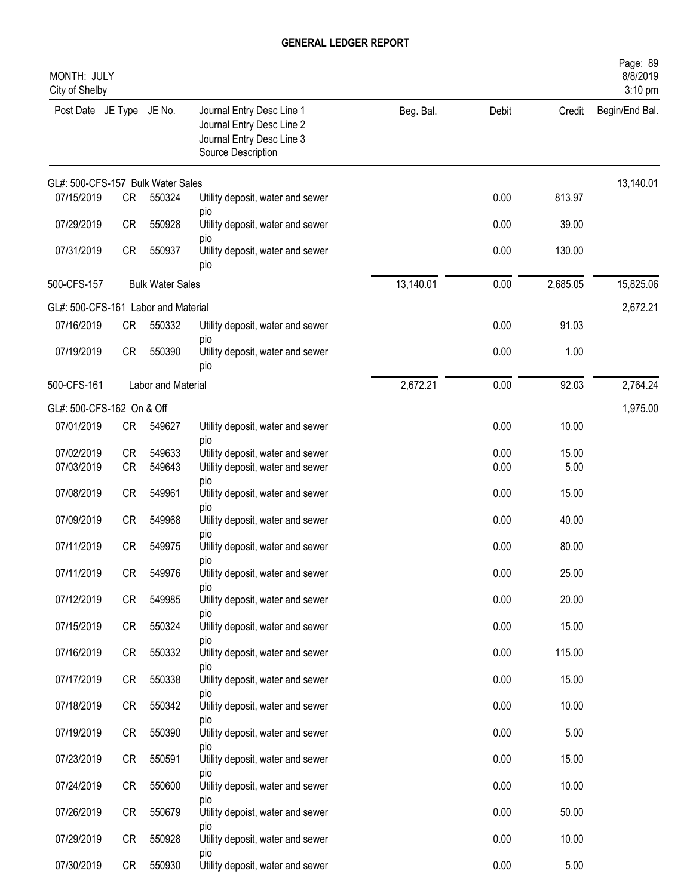| MONTH: JULY<br>City of Shelby       |           |                         |                                                                                                           |           |       |          | Page: 89<br>8/8/2019<br>3:10 pm |
|-------------------------------------|-----------|-------------------------|-----------------------------------------------------------------------------------------------------------|-----------|-------|----------|---------------------------------|
| Post Date JE Type JE No.            |           |                         | Journal Entry Desc Line 1<br>Journal Entry Desc Line 2<br>Journal Entry Desc Line 3<br>Source Description | Beg. Bal. | Debit | Credit   | Begin/End Bal.                  |
| GL#: 500-CFS-157 Bulk Water Sales   |           |                         |                                                                                                           |           |       |          | 13,140.01                       |
| 07/15/2019                          | <b>CR</b> | 550324                  | Utility deposit, water and sewer                                                                          |           | 0.00  | 813.97   |                                 |
| 07/29/2019                          | <b>CR</b> | 550928                  | pio<br>Utility deposit, water and sewer                                                                   |           | 0.00  | 39.00    |                                 |
| 07/31/2019                          | <b>CR</b> | 550937                  | pio<br>Utility deposit, water and sewer<br>pio                                                            |           | 0.00  | 130.00   |                                 |
| 500-CFS-157                         |           | <b>Bulk Water Sales</b> |                                                                                                           | 13,140.01 | 0.00  | 2,685.05 | 15,825.06                       |
| GL#: 500-CFS-161 Labor and Material |           |                         |                                                                                                           |           |       |          | 2,672.21                        |
| 07/16/2019                          | <b>CR</b> | 550332                  | Utility deposit, water and sewer<br>pio                                                                   |           | 0.00  | 91.03    |                                 |
| 07/19/2019                          | <b>CR</b> | 550390                  | Utility deposit, water and sewer<br>pio                                                                   |           | 0.00  | 1.00     |                                 |
| 500-CFS-161                         |           | Labor and Material      |                                                                                                           | 2,672.21  | 0.00  | 92.03    | 2,764.24                        |
| GL#: 500-CFS-162 On & Off           |           |                         |                                                                                                           |           |       |          | 1,975.00                        |
| 07/01/2019                          | CR        | 549627                  | Utility deposit, water and sewer<br>pio                                                                   |           | 0.00  | 10.00    |                                 |
| 07/02/2019                          | <b>CR</b> | 549633                  | Utility deposit, water and sewer                                                                          |           | 0.00  | 15.00    |                                 |
| 07/03/2019                          | <b>CR</b> | 549643                  | Utility deposit, water and sewer<br>pio                                                                   |           | 0.00  | 5.00     |                                 |
| 07/08/2019                          | <b>CR</b> | 549961                  | Utility deposit, water and sewer<br>pio                                                                   |           | 0.00  | 15.00    |                                 |
| 07/09/2019                          | <b>CR</b> | 549968                  | Utility deposit, water and sewer                                                                          |           | 0.00  | 40.00    |                                 |
| 07/11/2019                          | <b>CR</b> | 549975                  | pio<br>Utility deposit, water and sewer<br>pio                                                            |           | 0.00  | 80.00    |                                 |
| 07/11/2019                          | <b>CR</b> | 549976                  | Utility deposit, water and sewer                                                                          |           | 0.00  | 25.00    |                                 |
| 07/12/2019                          | CR        | 549985                  | pio<br>Utility deposit, water and sewer<br>pio                                                            |           | 0.00  | 20.00    |                                 |
| 07/15/2019                          | CR        | 550324                  | Utility deposit, water and sewer                                                                          |           | 0.00  | 15.00    |                                 |
| 07/16/2019                          | CR        | 550332                  | DIO<br>Utility deposit, water and sewer                                                                   |           | 0.00  | 115.00   |                                 |
| 07/17/2019                          | CR        | 550338                  | DIO<br>Utility deposit, water and sewer<br>pio                                                            |           | 0.00  | 15.00    |                                 |
| 07/18/2019                          | CR        | 550342                  | Utility deposit, water and sewer                                                                          |           | 0.00  | 10.00    |                                 |
| 07/19/2019                          | CR        | 550390                  | pio<br>Utility deposit, water and sewer                                                                   |           | 0.00  | 5.00     |                                 |
| 07/23/2019                          | CR        | 550591                  | pio<br>Utility deposit, water and sewer                                                                   |           | 0.00  | 15.00    |                                 |
| 07/24/2019                          | <b>CR</b> | 550600                  | pio<br>Utility deposit, water and sewer                                                                   |           | 0.00  | 10.00    |                                 |
| 07/26/2019                          | <b>CR</b> | 550679                  | DIO<br>Utility depoist, water and sewer                                                                   |           | 0.00  | 50.00    |                                 |
| 07/29/2019                          | <b>CR</b> | 550928                  | pio<br>Utility deposit, water and sewer                                                                   |           | 0.00  | 10.00    |                                 |
| 07/30/2019                          | CR        | 550930                  | pio<br>Utility deposit, water and sewer                                                                   |           | 0.00  | 5.00     |                                 |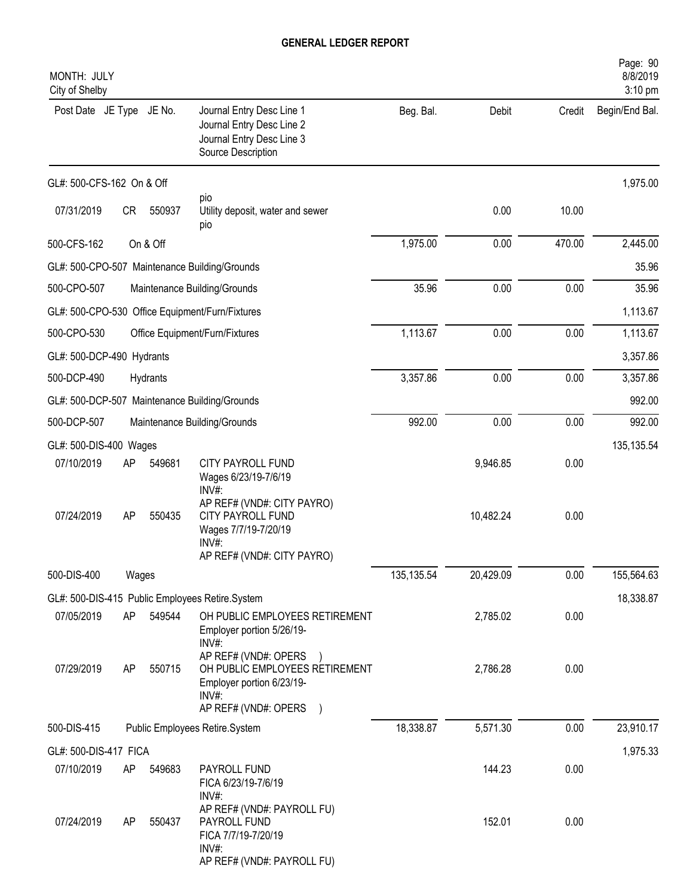| MONTH: JULY<br>City of Shelby |       |          |                                                                                                                        |            |           |        | Page: 90<br>8/8/2019<br>3:10 pm |
|-------------------------------|-------|----------|------------------------------------------------------------------------------------------------------------------------|------------|-----------|--------|---------------------------------|
| Post Date JE Type JE No.      |       |          | Journal Entry Desc Line 1<br>Journal Entry Desc Line 2<br>Journal Entry Desc Line 3<br>Source Description              | Beg. Bal.  | Debit     | Credit | Begin/End Bal.                  |
| GL#: 500-CFS-162 On & Off     |       |          |                                                                                                                        |            |           |        | 1,975.00                        |
| 07/31/2019                    | CR    | 550937   | pio<br>Utility deposit, water and sewer<br>pio                                                                         |            | 0.00      | 10.00  |                                 |
| 500-CFS-162                   |       | On & Off |                                                                                                                        | 1,975.00   | 0.00      | 470.00 | 2,445.00                        |
|                               |       |          | GL#: 500-CPO-507 Maintenance Building/Grounds                                                                          |            |           |        | 35.96                           |
| 500-CPO-507                   |       |          | Maintenance Building/Grounds                                                                                           | 35.96      | 0.00      | 0.00   | 35.96                           |
|                               |       |          | GL#: 500-CPO-530 Office Equipment/Furn/Fixtures                                                                        |            |           |        | 1,113.67                        |
| 500-CPO-530                   |       |          | Office Equipment/Furn/Fixtures                                                                                         | 1,113.67   | 0.00      | 0.00   | 1,113.67                        |
| GL#: 500-DCP-490 Hydrants     |       |          |                                                                                                                        |            |           |        | 3,357.86                        |
| 500-DCP-490                   |       | Hydrants |                                                                                                                        | 3,357.86   | 0.00      | 0.00   | 3,357.86                        |
|                               |       |          | GL#: 500-DCP-507 Maintenance Building/Grounds                                                                          |            |           |        | 992.00                          |
| 500-DCP-507                   |       |          | Maintenance Building/Grounds                                                                                           | 992.00     | 0.00      | 0.00   | 992.00                          |
| GL#: 500-DIS-400 Wages        |       |          |                                                                                                                        |            |           |        | 135, 135.54                     |
| 07/10/2019                    | AP    | 549681   | CITY PAYROLL FUND<br>Wages 6/23/19-7/6/19<br>$INV#$ :                                                                  |            | 9,946.85  | 0.00   |                                 |
| 07/24/2019                    | AP    | 550435   | AP REF# (VND#: CITY PAYRO)<br>CITY PAYROLL FUND<br>Wages 7/7/19-7/20/19<br>INV#:<br>AP REF# (VND#: CITY PAYRO)         |            | 10,482.24 | 0.00   |                                 |
| 500-DIS-400                   | Wages |          |                                                                                                                        | 135,135.54 | 20,429.09 | 0.00   | 155,564.63                      |
|                               |       |          | GL#: 500-DIS-415 Public Employees Retire.System                                                                        |            |           |        | 18,338.87                       |
| 07/05/2019                    | AP    | 549544   | OH PUBLIC EMPLOYEES RETIREMENT<br>Employer portion 5/26/19-<br>$INV#$ :                                                |            | 2,785.02  | 0.00   |                                 |
| 07/29/2019                    | AP    | 550715   | AP REF# (VND#: OPERS<br>OH PUBLIC EMPLOYEES RETIREMENT<br>Employer portion 6/23/19-<br>INV#:<br>AP REF# (VND#: OPERS ) |            | 2,786.28  | 0.00   |                                 |
| 500-DIS-415                   |       |          | Public Employees Retire.System                                                                                         | 18,338.87  | 5,571.30  | 0.00   | 23,910.17                       |
| GL#: 500-DIS-417 FICA         |       |          |                                                                                                                        |            |           |        | 1,975.33                        |
| 07/10/2019                    | AP    | 549683   | PAYROLL FUND<br>FICA 6/23/19-7/6/19<br>$INV#$ :                                                                        |            | 144.23    | 0.00   |                                 |
| 07/24/2019                    | AP    | 550437   | AP REF# (VND#: PAYROLL FU)<br>PAYROLL FUND<br>FICA 7/7/19-7/20/19<br>$INV#$ :<br>AP REF# (VND#: PAYROLL FU)            |            | 152.01    | 0.00   |                                 |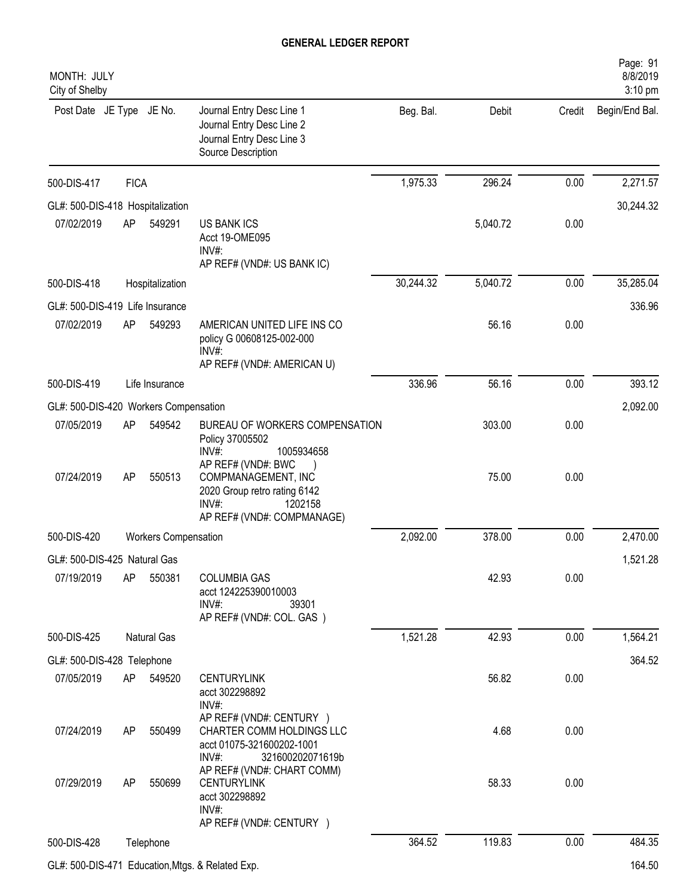| MONTH: JULY<br>City of Shelby         |             |                             |                                                                                                                             |           |          |        | Page: 91<br>8/8/2019<br>$3:10$ pm |
|---------------------------------------|-------------|-----------------------------|-----------------------------------------------------------------------------------------------------------------------------|-----------|----------|--------|-----------------------------------|
| Post Date JE Type JE No.              |             |                             | Journal Entry Desc Line 1<br>Journal Entry Desc Line 2<br>Journal Entry Desc Line 3<br>Source Description                   | Beg. Bal. | Debit    | Credit | Begin/End Bal.                    |
| 500-DIS-417                           | <b>FICA</b> |                             |                                                                                                                             | 1,975.33  | 296.24   | 0.00   | 2,271.57                          |
| GL#: 500-DIS-418 Hospitalization      |             |                             |                                                                                                                             |           |          |        | 30,244.32                         |
| 07/02/2019                            | AP          | 549291                      | <b>US BANK ICS</b><br>Acct 19-OME095<br>INV#:<br>AP REF# (VND#: US BANK IC)                                                 |           | 5,040.72 | 0.00   |                                   |
| 500-DIS-418                           |             | Hospitalization             |                                                                                                                             | 30,244.32 | 5,040.72 | 0.00   | 35,285.04                         |
| GL#: 500-DIS-419 Life Insurance       |             |                             |                                                                                                                             |           |          |        | 336.96                            |
| 07/02/2019                            | AP          | 549293                      | AMERICAN UNITED LIFE INS CO<br>policy G 00608125-002-000<br>INV#:<br>AP REF# (VND#: AMERICAN U)                             |           | 56.16    | 0.00   |                                   |
| 500-DIS-419                           |             | Life Insurance              |                                                                                                                             | 336.96    | 56.16    | 0.00   | 393.12                            |
| GL#: 500-DIS-420 Workers Compensation |             |                             |                                                                                                                             |           |          |        | 2,092.00                          |
| 07/05/2019                            | AP          | 549542                      | BUREAU OF WORKERS COMPENSATION<br>Policy 37005502<br>INV#:<br>1005934658                                                    |           | 303.00   | 0.00   |                                   |
| 07/24/2019                            | AP          | 550513                      | AP REF# (VND#: BWC<br>COMPMANAGEMENT, INC<br>2020 Group retro rating 6142<br>INV#:<br>1202158<br>AP REF# (VND#: COMPMANAGE) |           | 75.00    | 0.00   |                                   |
| 500-DIS-420                           |             | <b>Workers Compensation</b> |                                                                                                                             | 2,092.00  | 378.00   | 0.00   | 2,470.00                          |
| GL#: 500-DIS-425 Natural Gas          |             |                             |                                                                                                                             |           |          |        | 1,521.28                          |
| 07/19/2019                            | AP          | 550381                      | <b>COLUMBIA GAS</b><br>acct 124225390010003<br>$INV#$ :<br>39301<br>AP REF# (VND#: COL. GAS)                                |           | 42.93    | 0.00   |                                   |
| 500-DIS-425                           |             | Natural Gas                 |                                                                                                                             | 1,521.28  | 42.93    | 0.00   | 1,564.21                          |
| GL#: 500-DIS-428 Telephone            |             |                             |                                                                                                                             |           |          |        | 364.52                            |
| 07/05/2019                            | AP          | 549520                      | <b>CENTURYLINK</b><br>acct 302298892<br>$INV#$ :                                                                            |           | 56.82    | 0.00   |                                   |
| 07/24/2019                            | AP          | 550499                      | AP REF# (VND#: CENTURY )<br>CHARTER COMM HOLDINGS LLC<br>acct 01075-321600202-1001<br>INV#:<br>321600202071619b             |           | 4.68     | 0.00   |                                   |
| 07/29/2019                            | AP          | 550699                      | AP REF# (VND#: CHART COMM)<br><b>CENTURYLINK</b><br>acct 302298892<br>$INV#$ :<br>AP REF# (VND#: CENTURY )                  |           | 58.33    | 0.00   |                                   |
| 500-DIS-428                           |             | Telephone                   |                                                                                                                             | 364.52    | 119.83   | 0.00   | 484.35                            |
|                                       |             |                             | GL#: 500-DIS-471 Education, Mtgs. & Related Exp.                                                                            |           |          |        | 164.50                            |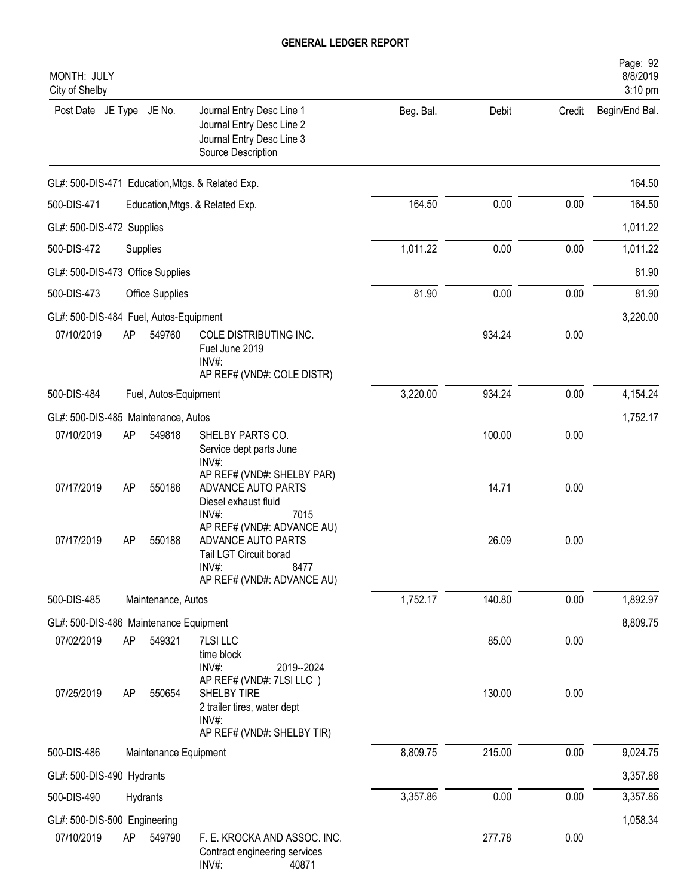| MONTH: JULY<br>City of Shelby          |    |                       |                                                                                                                           |           |        |        | Page: 92<br>8/8/2019<br>3:10 pm |
|----------------------------------------|----|-----------------------|---------------------------------------------------------------------------------------------------------------------------|-----------|--------|--------|---------------------------------|
| Post Date JE Type JE No.               |    |                       | Journal Entry Desc Line 1<br>Journal Entry Desc Line 2<br>Journal Entry Desc Line 3<br>Source Description                 | Beg. Bal. | Debit  | Credit | Begin/End Bal.                  |
|                                        |    |                       | GL#: 500-DIS-471 Education, Mtgs. & Related Exp.                                                                          |           |        |        | 164.50                          |
| 500-DIS-471                            |    |                       | Education, Mtgs. & Related Exp.                                                                                           | 164.50    | 0.00   | 0.00   | 164.50                          |
| GL#: 500-DIS-472 Supplies              |    |                       |                                                                                                                           |           |        |        | 1,011.22                        |
| 500-DIS-472                            |    | Supplies              |                                                                                                                           | 1,011.22  | 0.00   | 0.00   | 1,011.22                        |
| GL#: 500-DIS-473 Office Supplies       |    |                       |                                                                                                                           |           |        |        | 81.90                           |
| 500-DIS-473                            |    | Office Supplies       |                                                                                                                           | 81.90     | 0.00   | 0.00   | 81.90                           |
| GL#: 500-DIS-484 Fuel, Autos-Equipment |    |                       |                                                                                                                           |           |        |        | 3,220.00                        |
| 07/10/2019                             | AP | 549760                | COLE DISTRIBUTING INC.<br>Fuel June 2019<br>INV#:<br>AP REF# (VND#: COLE DISTR)                                           |           | 934.24 | 0.00   |                                 |
| 500-DIS-484                            |    | Fuel, Autos-Equipment |                                                                                                                           | 3,220.00  | 934.24 | 0.00   | 4,154.24                        |
| GL#: 500-DIS-485 Maintenance, Autos    |    |                       |                                                                                                                           |           |        |        | 1,752.17                        |
| 07/10/2019                             | AP | 549818                | SHELBY PARTS CO.<br>Service dept parts June<br>INV#:                                                                      |           | 100.00 | 0.00   |                                 |
| 07/17/2019                             | AP | 550186                | AP REF# (VND#: SHELBY PAR)<br>ADVANCE AUTO PARTS<br>Diesel exhaust fluid<br>INV#:<br>7015                                 |           | 14.71  | 0.00   |                                 |
| 07/17/2019                             | AP | 550188                | AP REF# (VND#: ADVANCE AU)<br>ADVANCE AUTO PARTS<br>Tail LGT Circuit borad<br>INV#:<br>8477<br>AP REF# (VND#: ADVANCE AU) |           | 26.09  | 0.00   |                                 |
| 500-DIS-485                            |    | Maintenance, Autos    |                                                                                                                           | 1,752.17  | 140.80 | 0.00   | 1,892.97                        |
| GL#: 500-DIS-486 Maintenance Equipment |    |                       |                                                                                                                           |           |        |        | 8,809.75                        |
| 07/02/2019                             | AP | 549321                | 7LSI LLC<br>time block<br>INV#:<br>2019--2024<br>AP REF# (VND#: 7LSI LLC)                                                 |           | 85.00  | 0.00   |                                 |
| 07/25/2019                             | AP | 550654                | SHELBY TIRE<br>2 trailer tires, water dept<br>INV#:<br>AP REF# (VND#: SHELBY TIR)                                         |           | 130.00 | 0.00   |                                 |
| 500-DIS-486                            |    | Maintenance Equipment |                                                                                                                           | 8,809.75  | 215.00 | 0.00   | 9,024.75                        |
| GL#: 500-DIS-490 Hydrants              |    |                       |                                                                                                                           |           |        |        | 3,357.86                        |
| 500-DIS-490                            |    | Hydrants              |                                                                                                                           | 3,357.86  | 0.00   | 0.00   | 3,357.86                        |
| GL#: 500-DIS-500 Engineering           |    |                       |                                                                                                                           |           |        |        | 1,058.34                        |
| 07/10/2019                             | AP | 549790                | F. E. KROCKA AND ASSOC. INC.<br>Contract engineering services<br>INV#:<br>40871                                           |           | 277.78 | 0.00   |                                 |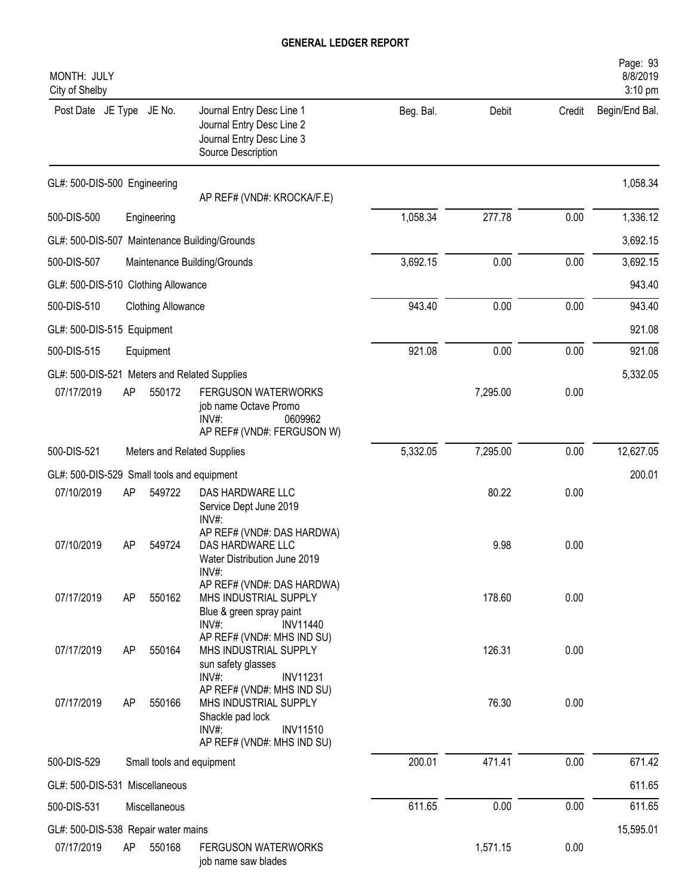| MONTH: JULY<br>City of Shelby                |    |                           |                                                                                                                                                                     |           |          |        | Page: 93<br>8/8/2019<br>3:10 pm |
|----------------------------------------------|----|---------------------------|---------------------------------------------------------------------------------------------------------------------------------------------------------------------|-----------|----------|--------|---------------------------------|
| Post Date JE Type JE No.                     |    |                           | Journal Entry Desc Line 1<br>Journal Entry Desc Line 2<br>Journal Entry Desc Line 3<br>Source Description                                                           | Beg. Bal. | Debit    | Credit | Begin/End Bal.                  |
| GL#: 500-DIS-500 Engineering                 |    |                           | AP REF# (VND#: KROCKA/F.E)                                                                                                                                          |           |          |        | 1,058.34                        |
| 500-DIS-500                                  |    | Engineering               |                                                                                                                                                                     | 1,058.34  | 277.78   | 0.00   | 1,336.12                        |
|                                              |    |                           | GL#: 500-DIS-507 Maintenance Building/Grounds                                                                                                                       |           |          |        | 3,692.15                        |
| 500-DIS-507                                  |    |                           | Maintenance Building/Grounds                                                                                                                                        | 3,692.15  | 0.00     | 0.00   | 3,692.15                        |
| GL#: 500-DIS-510 Clothing Allowance          |    |                           |                                                                                                                                                                     |           |          |        | 943.40                          |
| 500-DIS-510                                  |    | <b>Clothing Allowance</b> |                                                                                                                                                                     | 943.40    | 0.00     | 0.00   | 943.40                          |
| GL#: 500-DIS-515 Equipment                   |    |                           |                                                                                                                                                                     |           |          |        | 921.08                          |
| 500-DIS-515                                  |    | Equipment                 |                                                                                                                                                                     | 921.08    | 0.00     | 0.00   | 921.08                          |
| GL#: 500-DIS-521 Meters and Related Supplies |    |                           |                                                                                                                                                                     |           |          |        | 5,332.05                        |
| 07/17/2019                                   | AP | 550172                    | <b>FERGUSON WATERWORKS</b><br>job name Octave Promo<br>0609962<br>$INV#$ :<br>AP REF# (VND#: FERGUSON W)                                                            |           | 7,295.00 | 0.00   |                                 |
| 500-DIS-521                                  |    |                           | Meters and Related Supplies                                                                                                                                         | 5,332.05  | 7,295.00 | 0.00   | 12,627.05                       |
| GL#: 500-DIS-529 Small tools and equipment   |    |                           |                                                                                                                                                                     |           |          |        | 200.01                          |
| 07/10/2019                                   | AP | 549722                    | DAS HARDWARE LLC<br>Service Dept June 2019<br>$INV#$ :                                                                                                              |           | 80.22    | 0.00   |                                 |
| 07/10/2019                                   | AP | 549724                    | AP REF# (VND#: DAS HARDWA)<br>DAS HARDWARE LLC<br>Water Distribution June 2019<br>INV#:                                                                             |           | 9.98     | 0.00   |                                 |
| 07/17/2019                                   | AP | 550162                    | AP REF# (VND#: DAS HARDWA)<br>MHS INDUSTRIAL SUPPLY<br>Blue & green spray paint                                                                                     |           | 178.60   | 0.00   |                                 |
| 07/17/2019                                   | AP | 550164                    | INV#:<br><b>INV11440</b><br>AP REF# (VND#: MHS IND SU)<br>MHS INDUSTRIAL SUPPLY<br>sun safety glasses                                                               |           | 126.31   | 0.00   |                                 |
| 07/17/2019                                   | AP | 550166                    | $INV#$ :<br><b>INV11231</b><br>AP REF# (VND#: MHS IND SU)<br>MHS INDUSTRIAL SUPPLY<br>Shackle pad lock<br>$INV#$ :<br><b>INV11510</b><br>AP REF# (VND#: MHS IND SU) |           | 76.30    | 0.00   |                                 |
| 500-DIS-529                                  |    |                           | Small tools and equipment                                                                                                                                           | 200.01    | 471.41   | 0.00   | 671.42                          |
| GL#: 500-DIS-531 Miscellaneous               |    |                           |                                                                                                                                                                     |           |          |        | 611.65                          |
| 500-DIS-531                                  |    | Miscellaneous             |                                                                                                                                                                     | 611.65    | 0.00     | 0.00   | 611.65                          |
| GL#: 500-DIS-538 Repair water mains          |    |                           |                                                                                                                                                                     |           |          |        | 15,595.01                       |
| 07/17/2019                                   | AP | 550168                    | <b>FERGUSON WATERWORKS</b><br>job name saw blades                                                                                                                   |           | 1,571.15 | 0.00   |                                 |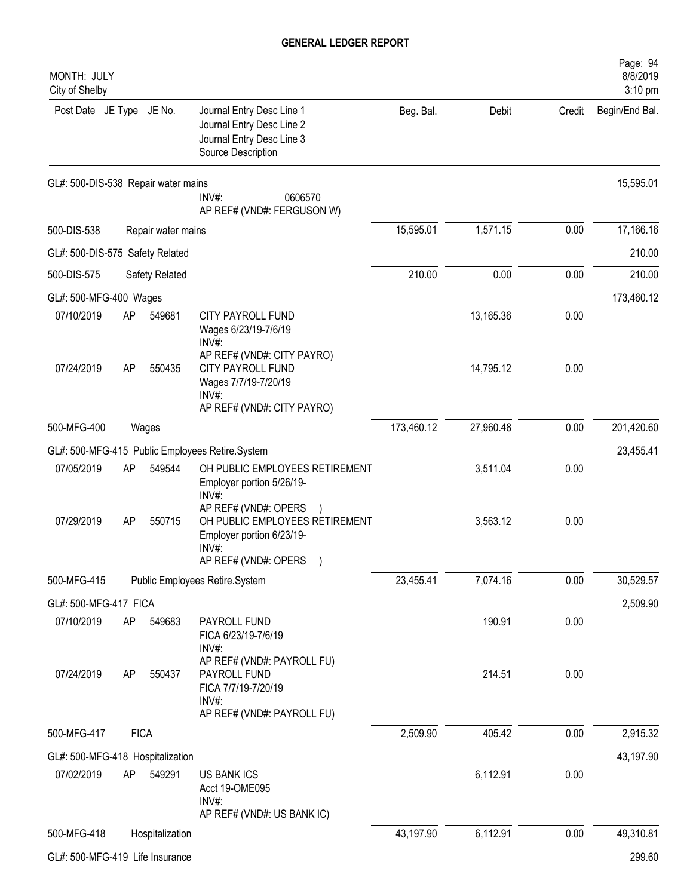| MONTH: JULY<br>City of Shelby                                                         |             |                    |                                                                                                                          |            |           |        | Page: 94<br>8/8/2019<br>3:10 pm |  |
|---------------------------------------------------------------------------------------|-------------|--------------------|--------------------------------------------------------------------------------------------------------------------------|------------|-----------|--------|---------------------------------|--|
| Post Date JE Type JE No.                                                              |             |                    | Journal Entry Desc Line 1<br>Journal Entry Desc Line 2<br>Journal Entry Desc Line 3<br>Source Description                | Beg. Bal.  | Debit     | Credit | Begin/End Bal.                  |  |
| GL#: 500-DIS-538 Repair water mains<br>INV#:<br>0606570<br>AP REF# (VND#: FERGUSON W) |             |                    |                                                                                                                          |            |           |        | 15,595.01                       |  |
| 500-DIS-538                                                                           |             | Repair water mains |                                                                                                                          | 15,595.01  | 1,571.15  | 0.00   | 17,166.16                       |  |
| GL#: 500-DIS-575 Safety Related                                                       |             |                    |                                                                                                                          |            |           |        | 210.00                          |  |
| 500-DIS-575                                                                           |             | Safety Related     |                                                                                                                          | 210.00     | 0.00      | 0.00   | 210.00                          |  |
| GL#: 500-MFG-400 Wages                                                                |             |                    |                                                                                                                          |            |           |        | 173,460.12                      |  |
| 07/10/2019                                                                            | AP          | 549681             | CITY PAYROLL FUND<br>Wages 6/23/19-7/6/19<br>$INV#$ :                                                                    |            | 13,165.36 | 0.00   |                                 |  |
| 07/24/2019                                                                            | AP          | 550435             | AP REF# (VND#: CITY PAYRO)<br><b>CITY PAYROLL FUND</b><br>Wages 7/7/19-7/20/19<br>$INV#$ :<br>AP REF# (VND#: CITY PAYRO) |            | 14,795.12 | 0.00   |                                 |  |
| 500-MFG-400                                                                           |             | Wages              |                                                                                                                          | 173,460.12 | 27,960.48 | 0.00   | 201,420.60                      |  |
|                                                                                       |             |                    | GL#: 500-MFG-415 Public Employees Retire.System                                                                          |            |           |        | 23,455.41                       |  |
| 07/05/2019                                                                            | AP          | 549544             | OH PUBLIC EMPLOYEES RETIREMENT<br>Employer portion 5/26/19-<br>INV#:                                                     |            | 3,511.04  | 0.00   |                                 |  |
| 07/29/2019                                                                            | AP          | 550715             | AP REF# (VND#: OPERS<br>OH PUBLIC EMPLOYEES RETIREMENT<br>Employer portion 6/23/19-<br>INV#:<br>AP REF# (VND#: OPERS )   |            | 3,563.12  | 0.00   |                                 |  |
| 500-MFG-415                                                                           |             |                    | Public Employees Retire.System                                                                                           | 23,455.41  | 7,074.16  | 0.00   | 30,529.57                       |  |
| GL#: 500-MFG-417 FICA                                                                 |             |                    |                                                                                                                          |            |           |        | 2,509.90                        |  |
| 07/10/2019                                                                            | AP          | 549683             | PAYROLL FUND<br>FICA 6/23/19-7/6/19<br>$INV#$ :                                                                          |            | 190.91    | 0.00   |                                 |  |
| 07/24/2019                                                                            | AP          | 550437             | AP REF# (VND#: PAYROLL FU)<br>PAYROLL FUND<br>FICA 7/7/19-7/20/19<br>INV#:<br>AP REF# (VND#: PAYROLL FU)                 |            | 214.51    | 0.00   |                                 |  |
| 500-MFG-417                                                                           | <b>FICA</b> |                    |                                                                                                                          | 2,509.90   | 405.42    | 0.00   | 2,915.32                        |  |
| GL#: 500-MFG-418 Hospitalization                                                      |             |                    |                                                                                                                          |            |           |        | 43,197.90                       |  |
| 07/02/2019                                                                            | AP          | 549291             | <b>US BANK ICS</b><br>Acct 19-OME095<br>INV#:<br>AP REF# (VND#: US BANK IC)                                              |            | 6,112.91  | 0.00   |                                 |  |
| 500-MFG-418                                                                           |             | Hospitalization    |                                                                                                                          | 43,197.90  | 6,112.91  | 0.00   | 49,310.81                       |  |
| GL#: 500-MFG-419 Life Insurance                                                       |             |                    |                                                                                                                          |            |           |        | 299.60                          |  |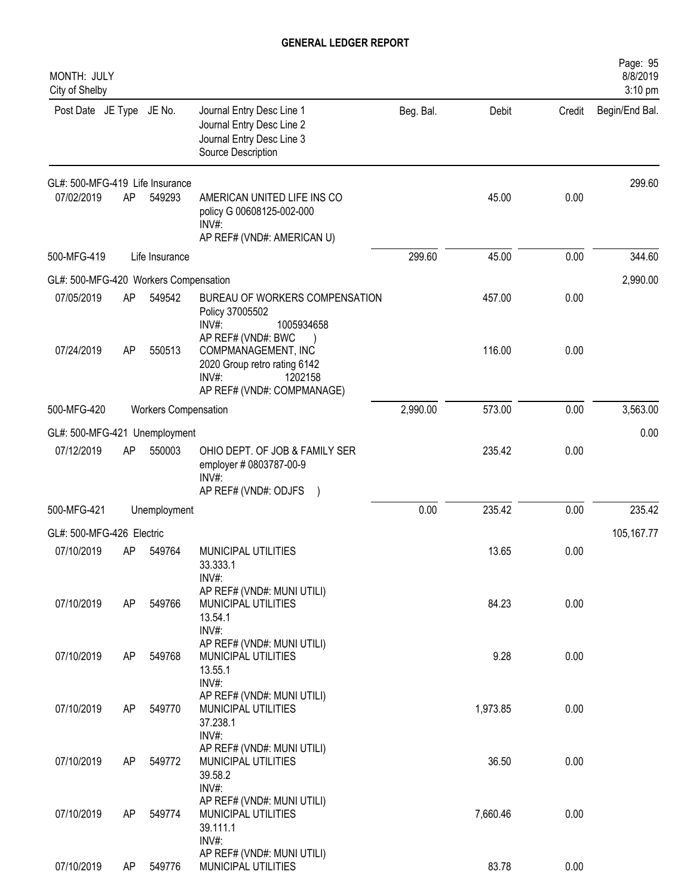| MONTH: JULY<br>City of Shelby         |           |                             |                                                                                                           |           |          |        | Page: 95<br>8/8/2019<br>3:10 pm |
|---------------------------------------|-----------|-----------------------------|-----------------------------------------------------------------------------------------------------------|-----------|----------|--------|---------------------------------|
| Post Date JE Type JE No.              |           |                             | Journal Entry Desc Line 1<br>Journal Entry Desc Line 2<br>Journal Entry Desc Line 3<br>Source Description | Beg. Bal. | Debit    | Credit | Begin/End Bal.                  |
| GL#: 500-MFG-419 Life Insurance       |           |                             |                                                                                                           |           |          |        | 299.60                          |
| 07/02/2019                            | <b>AP</b> | 549293                      | AMERICAN UNITED LIFE INS CO<br>policy G 00608125-002-000<br>INV#                                          |           | 45.00    | 0.00   |                                 |
| 500-MFG-419                           |           | Life Insurance              | AP REF# (VND#: AMERICAN U)                                                                                | 299.60    | 45.00    | 0.00   | 344.60                          |
| GL#: 500-MFG-420 Workers Compensation |           |                             |                                                                                                           |           |          |        | 2,990.00                        |
| 07/05/2019                            | AP        | 549542                      | BUREAU OF WORKERS COMPENSATION<br>Policy 37005502<br>INV#:<br>1005934658<br>AP REF# (VND#: BWC            |           | 457.00   | 0.00   |                                 |
| 07/24/2019                            | <b>AP</b> | 550513                      | COMPMANAGEMENT, INC<br>2020 Group retro rating 6142<br>INV#:<br>1202158<br>AP REF# (VND#: COMPMANAGE)     |           | 116.00   | 0.00   |                                 |
| 500-MFG-420                           |           | <b>Workers Compensation</b> |                                                                                                           | 2,990.00  | 573.00   | 0.00   | 3,563.00                        |
| GL#: 500-MFG-421                      |           | Unemployment                |                                                                                                           |           |          |        | 0.00                            |
| 07/12/2019                            | AP        | 550003                      | OHIO DEPT. OF JOB & FAMILY SER<br>employer # 0803787-00-9<br>$INV#$ :                                     |           | 235.42   | 0.00   |                                 |
| 500-MFG-421                           |           | Unemployment                | AP REF# (VND#: ODJFS                                                                                      | 0.00      | 235.42   | 0.00   | 235.42                          |
| GL#: 500-MFG-426 Electric             |           |                             |                                                                                                           |           |          |        |                                 |
| 07/10/2019                            | AP        | 549764                      | MUNICIPAL UTILITIES<br>33.333.1                                                                           |           | 13.65    | 0.00   | 105, 167. 77                    |
| 07/10/2019                            | AP        | 549766                      | INV#:<br>AP REF# (VND#: MUNI UTILI)<br>MUNICIPAL UTILITIES<br>13.54.1<br>INV#:                            |           | 84.23    | 0.00   |                                 |
| 07/10/2019                            | AP        | 549768                      | AP REF# (VND#: MUNI UTILI)<br>MUNICIPAL UTILITIES<br>13.55.1<br>INV#:                                     |           | 9.28     | 0.00   |                                 |
| 07/10/2019                            | AP        | 549770                      | AP REF# (VND#: MUNI UTILI)<br>MUNICIPAL UTILITIES<br>37.238.1<br>INV#:                                    |           | 1,973.85 | 0.00   |                                 |
| 07/10/2019                            | <b>AP</b> | 549772                      | AP REF# (VND#: MUNI UTILI)<br>MUNICIPAL UTILITIES<br>39.58.2<br>INV#:                                     |           | 36.50    | 0.00   |                                 |
| 07/10/2019                            | AP        | 549774                      | AP REF# (VND#: MUNI UTILI)<br>MUNICIPAL UTILITIES<br>39.111.1<br>INV#:                                    |           | 7,660.46 | 0.00   |                                 |
| 07/10/2019                            | AP        | 549776                      | AP REF# (VND#: MUNI UTILI)<br>MUNICIPAL UTILITIES                                                         |           | 83.78    | 0.00   |                                 |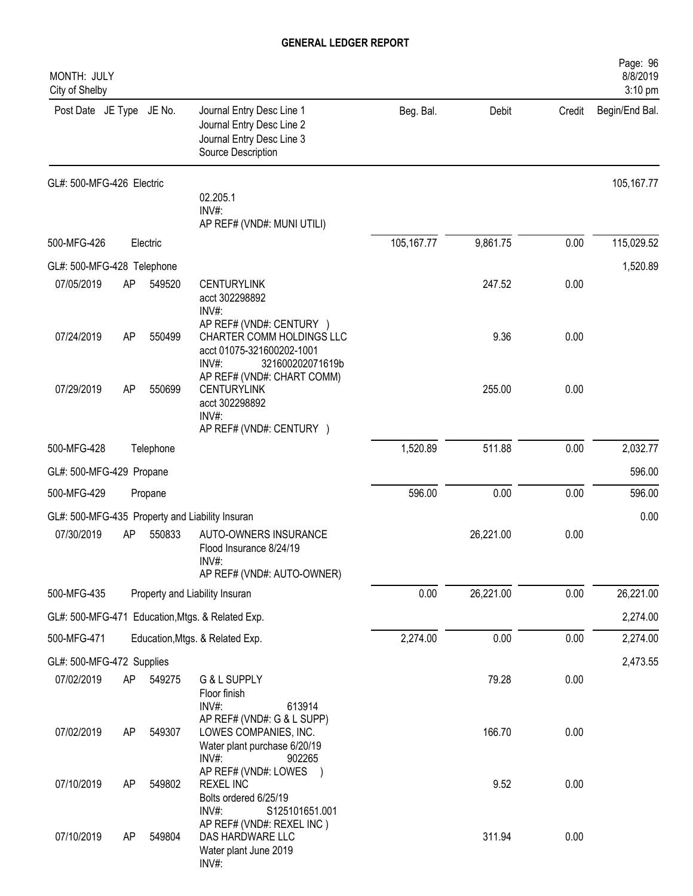| MONTH: JULY<br>City of Shelby                   |    |           |                                                                                                                    |              |           |        | Page: 96<br>8/8/2019<br>3:10 pm |
|-------------------------------------------------|----|-----------|--------------------------------------------------------------------------------------------------------------------|--------------|-----------|--------|---------------------------------|
| Post Date JE Type JE No.                        |    |           | Journal Entry Desc Line 1<br>Journal Entry Desc Line 2<br>Journal Entry Desc Line 3<br>Source Description          | Beg. Bal.    | Debit     | Credit | Begin/End Bal.                  |
| GL#: 500-MFG-426 Electric                       |    |           | 02.205.1<br>INV#:                                                                                                  |              |           |        | 105,167.77                      |
|                                                 |    |           | AP REF# (VND#: MUNI UTILI)                                                                                         |              |           |        |                                 |
| 500-MFG-426                                     |    | Electric  |                                                                                                                    | 105, 167. 77 | 9,861.75  | 0.00   | 115,029.52                      |
| GL#: 500-MFG-428 Telephone                      |    |           |                                                                                                                    |              |           |        | 1,520.89                        |
| 07/05/2019                                      | AP | 549520    | <b>CENTURYLINK</b><br>acct 302298892<br>$INV#$ :                                                                   |              | 247.52    | 0.00   |                                 |
| 07/24/2019                                      | AP | 550499    | AP REF# (VND#: CENTURY )<br>CHARTER COMM HOLDINGS LLC<br>acct 01075-321600202-1001<br>$INV#$ :<br>321600202071619b |              | 9.36      | 0.00   |                                 |
| 07/29/2019                                      | AP | 550699    | AP REF# (VND#: CHART COMM)<br><b>CENTURYLINK</b><br>acct 302298892<br>$INV#$ :<br>AP REF# (VND#: CENTURY )         |              | 255.00    | 0.00   |                                 |
| 500-MFG-428                                     |    | Telephone |                                                                                                                    | 1,520.89     | 511.88    | 0.00   | 2,032.77                        |
| GL#: 500-MFG-429 Propane                        |    |           |                                                                                                                    |              |           |        | 596.00                          |
| 500-MFG-429                                     |    | Propane   |                                                                                                                    | 596.00       | 0.00      | 0.00   | 596.00                          |
| GL#: 500-MFG-435 Property and Liability Insuran |    |           |                                                                                                                    |              |           |        | 0.00                            |
| 07/30/2019                                      | AP | 550833    | AUTO-OWNERS INSURANCE<br>Flood Insurance 8/24/19<br>INV#:                                                          |              | 26,221.00 | 0.00   |                                 |
|                                                 |    |           | AP REF# (VND#: AUTO-OWNER)                                                                                         |              |           |        |                                 |
| 500-MFG-435                                     |    |           | Property and Liability Insuran                                                                                     | 0.00         | 26,221.00 | 0.00   | 26,221.00                       |
|                                                 |    |           | GL#: 500-MFG-471 Education, Mtgs. & Related Exp.                                                                   |              |           |        | 2,274.00                        |
| 500-MFG-471                                     |    |           | Education, Mtgs. & Related Exp.                                                                                    | 2,274.00     | 0.00      | 0.00   | 2,274.00                        |
| GL#: 500-MFG-472 Supplies                       |    |           |                                                                                                                    |              |           |        | 2,473.55                        |
| 07/02/2019                                      | AP | 549275    | G & L SUPPLY<br>Floor finish<br>INV#:<br>613914                                                                    |              | 79.28     | 0.00   |                                 |
| 07/02/2019                                      | AP | 549307    | AP REF# (VND#: G & L SUPP)<br>LOWES COMPANIES, INC.<br>Water plant purchase 6/20/19<br>INV#:<br>902265             |              | 166.70    | 0.00   |                                 |
| 07/10/2019                                      | AP | 549802    | AP REF# (VND#: LOWES<br><b>REXEL INC</b><br>Bolts ordered 6/25/19                                                  |              | 9.52      | 0.00   |                                 |
| 07/10/2019                                      | AP | 549804    | $INV#$ :<br>S125101651.001<br>AP REF# (VND#: REXEL INC)<br>DAS HARDWARE LLC<br>Water plant June 2019<br>INV#:      |              | 311.94    | 0.00   |                                 |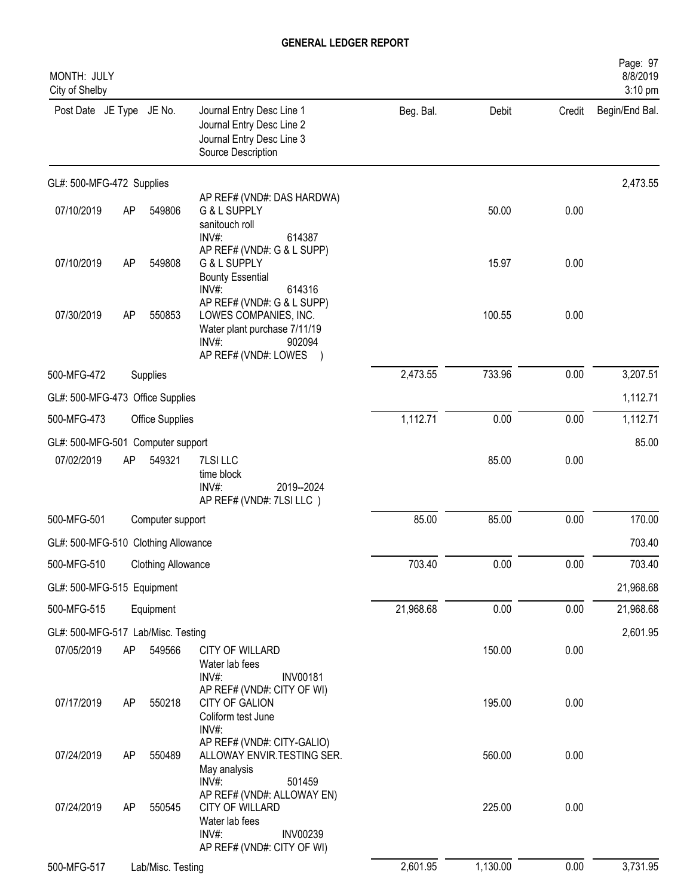| MONTH: JULY<br>City of Shelby       |    |                           |                                                                                                                                                 |           |          |        | Page: 97<br>8/8/2019<br>3:10 pm |
|-------------------------------------|----|---------------------------|-------------------------------------------------------------------------------------------------------------------------------------------------|-----------|----------|--------|---------------------------------|
| Post Date JE Type JE No.            |    |                           | Journal Entry Desc Line 1<br>Journal Entry Desc Line 2<br>Journal Entry Desc Line 3<br>Source Description                                       | Beg. Bal. | Debit    | Credit | Begin/End Bal.                  |
| GL#: 500-MFG-472 Supplies           |    |                           |                                                                                                                                                 |           |          |        | 2,473.55                        |
| 07/10/2019                          | AP | 549806                    | AP REF# (VND#: DAS HARDWA)<br>G & L SUPPLY<br>sanitouch roll<br>$INV#$ :<br>614387                                                              |           | 50.00    | 0.00   |                                 |
| 07/10/2019                          | AP | 549808                    | AP REF# (VND#: G & L SUPP)<br>G & L SUPPLY<br><b>Bounty Essential</b><br>INV#:<br>614316                                                        |           | 15.97    | 0.00   |                                 |
| 07/30/2019                          | AP | 550853                    | AP REF# (VND#: G & L SUPP)<br>LOWES COMPANIES, INC.<br>Water plant purchase 7/11/19<br>INV#:<br>902094<br>AP REF# (VND#: LOWES                  |           | 100.55   | 0.00   |                                 |
| 500-MFG-472                         |    | Supplies                  |                                                                                                                                                 | 2,473.55  | 733.96   | 0.00   | 3,207.51                        |
| GL#: 500-MFG-473 Office Supplies    |    |                           |                                                                                                                                                 |           |          |        | 1,112.71                        |
| 500-MFG-473                         |    | <b>Office Supplies</b>    |                                                                                                                                                 | 1,112.71  | 0.00     | 0.00   | 1,112.71                        |
| GL#: 500-MFG-501 Computer support   |    |                           |                                                                                                                                                 |           |          |        | 85.00                           |
| 07/02/2019                          | AP | 549321                    | 7LSI LLC<br>time block<br>INV#:<br>2019--2024<br>AP REF# (VND#: 7LSI LLC)                                                                       |           | 85.00    | 0.00   |                                 |
| 500-MFG-501                         |    | Computer support          |                                                                                                                                                 | 85.00     | 85.00    | 0.00   | 170.00                          |
| GL#: 500-MFG-510 Clothing Allowance |    |                           |                                                                                                                                                 |           |          |        | 703.40                          |
| 500-MFG-510                         |    | <b>Clothing Allowance</b> |                                                                                                                                                 | 703.40    | 0.00     | 0.00   | 703.40                          |
| GL#: 500-MFG-515 Equipment          |    |                           |                                                                                                                                                 |           |          |        | 21,968.68                       |
| 500-MFG-515                         |    | Equipment                 |                                                                                                                                                 | 21,968.68 | 0.00     | 0.00   | 21,968.68                       |
| GL#: 500-MFG-517 Lab/Misc. Testing  |    |                           |                                                                                                                                                 |           |          |        | 2,601.95                        |
| 07/05/2019                          | AP | 549566                    | CITY OF WILLARD<br>Water lab fees<br>INV#:<br><b>INV00181</b>                                                                                   |           | 150.00   | 0.00   |                                 |
| 07/17/2019                          | AP | 550218                    | AP REF# (VND#: CITY OF WI)<br><b>CITY OF GALION</b><br>Coliform test June<br>INV#:                                                              |           | 195.00   | 0.00   |                                 |
| 07/24/2019                          | AP | 550489                    | AP REF# (VND#: CITY-GALIO)<br>ALLOWAY ENVIR.TESTING SER.<br>May analysis                                                                        |           | 560.00   | 0.00   |                                 |
| 07/24/2019                          | AP | 550545                    | $INV#$ :<br>501459<br>AP REF# (VND#: ALLOWAY EN)<br>CITY OF WILLARD<br>Water lab fees<br>INV#:<br><b>INV00239</b><br>AP REF# (VND#: CITY OF WI) |           | 225.00   | 0.00   |                                 |
| 500-MFG-517                         |    | Lab/Misc. Testing         |                                                                                                                                                 | 2,601.95  | 1,130.00 | 0.00   | 3,731.95                        |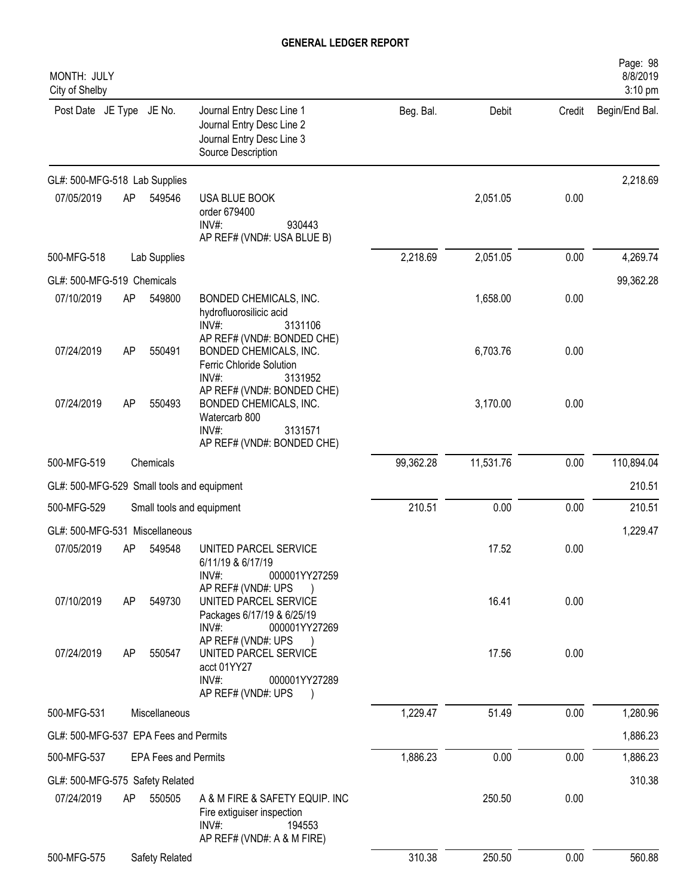| MONTH: JULY<br>City of Shelby              |    |                             |                                                                                                                         |           |           |        | Page: 98<br>8/8/2019<br>$3:10$ pm |
|--------------------------------------------|----|-----------------------------|-------------------------------------------------------------------------------------------------------------------------|-----------|-----------|--------|-----------------------------------|
| Post Date JE Type JE No.                   |    |                             | Journal Entry Desc Line 1<br>Journal Entry Desc Line 2<br>Journal Entry Desc Line 3<br>Source Description               | Beg. Bal. | Debit     | Credit | Begin/End Bal.                    |
| GL#: 500-MFG-518 Lab Supplies              |    |                             |                                                                                                                         |           |           |        | 2,218.69                          |
| 07/05/2019                                 | AP | 549546                      | USA BLUE BOOK<br>order 679400<br>$INV#$ :<br>930443<br>AP REF# (VND#: USA BLUE B)                                       |           | 2,051.05  | 0.00   |                                   |
| 500-MFG-518                                |    | Lab Supplies                |                                                                                                                         | 2,218.69  | 2,051.05  | 0.00   | 4,269.74                          |
| GL#: 500-MFG-519 Chemicals                 |    |                             |                                                                                                                         |           |           |        | 99,362.28                         |
| 07/10/2019                                 | AP | 549800                      | BONDED CHEMICALS, INC.<br>hydrofluorosilicic acid<br>INV#:<br>3131106<br>AP REF# (VND#: BONDED CHE)                     |           | 1,658.00  | 0.00   |                                   |
| 07/24/2019                                 | AP | 550491                      | BONDED CHEMICALS, INC.<br>Ferric Chloride Solution<br>INV#:<br>3131952                                                  |           | 6,703.76  | 0.00   |                                   |
| 07/24/2019                                 | AP | 550493                      | AP REF# (VND#: BONDED CHE)<br>BONDED CHEMICALS, INC.<br>Watercarb 800<br>INV#:<br>3131571<br>AP REF# (VND#: BONDED CHE) |           | 3,170.00  | 0.00   |                                   |
| 500-MFG-519                                |    | Chemicals                   |                                                                                                                         | 99,362.28 | 11,531.76 | 0.00   | 110,894.04                        |
| GL#: 500-MFG-529 Small tools and equipment |    |                             |                                                                                                                         |           |           |        | 210.51                            |
| 500-MFG-529                                |    |                             | Small tools and equipment                                                                                               | 210.51    | 0.00      | 0.00   | 210.51                            |
| GL#: 500-MFG-531 Miscellaneous             |    |                             |                                                                                                                         |           |           |        | 1,229.47                          |
| 07/05/2019                                 | AP | 549548                      | UNITED PARCEL SERVICE<br>6/11/19 & 6/17/19<br>INV#:<br>000001YY27259                                                    |           | 17.52     | 0.00   |                                   |
| 07/10/2019                                 | AP | 549730                      | AP REF# (VND#: UPS<br>UNITED PARCEL SERVICE<br>Packages 6/17/19 & 6/25/19<br>INV#:<br>000001YY27269                     |           | 16.41     | 0.00   |                                   |
| 07/24/2019                                 | AP | 550547                      | AP REF# (VND#: UPS<br>UNITED PARCEL SERVICE<br>acct 01YY27<br>$INV#$ :<br>000001YY27289<br>AP REF# (VND#: UPS           |           | 17.56     | 0.00   |                                   |
| 500-MFG-531                                |    | Miscellaneous               |                                                                                                                         | 1,229.47  | 51.49     | 0.00   | 1,280.96                          |
| GL#: 500-MFG-537 EPA Fees and Permits      |    |                             |                                                                                                                         |           |           |        | 1,886.23                          |
| 500-MFG-537                                |    | <b>EPA Fees and Permits</b> |                                                                                                                         | 1,886.23  | 0.00      | 0.00   | 1,886.23                          |
| GL#: 500-MFG-575 Safety Related            |    |                             |                                                                                                                         |           |           |        | 310.38                            |
| 07/24/2019                                 | AP | 550505                      | A & M FIRE & SAFETY EQUIP. INC<br>Fire extiguiser inspection<br>$INV#$ :<br>194553<br>AP REF# (VND#: A & M FIRE)        |           | 250.50    | 0.00   |                                   |
| 500-MFG-575                                |    | Safety Related              |                                                                                                                         | 310.38    | 250.50    | 0.00   | 560.88                            |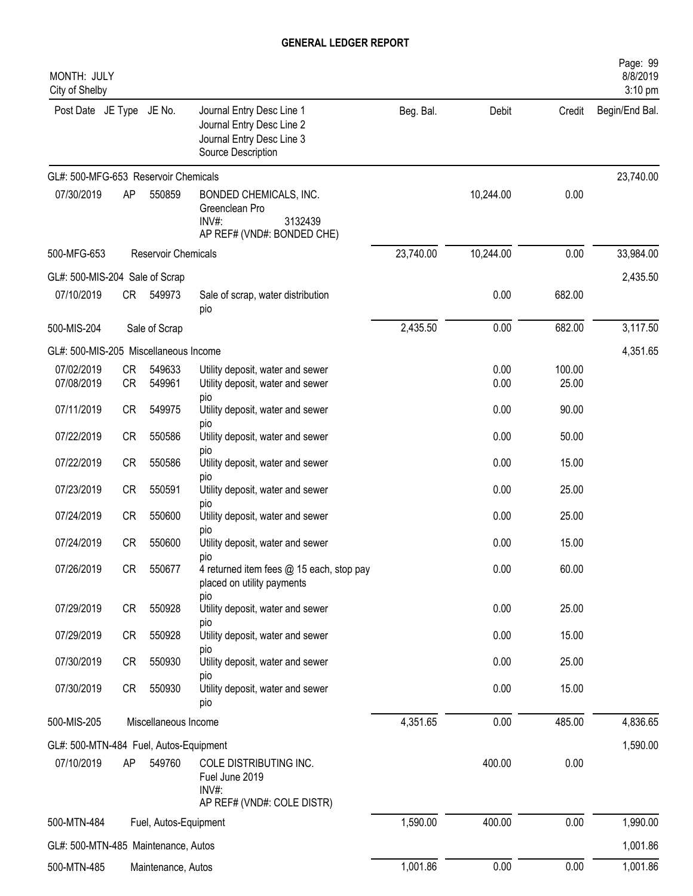| MONTH: JULY<br>City of Shelby          |                        |                       |                                                                                                           |           |              |                 | Page: 99<br>8/8/2019<br>3:10 pm |
|----------------------------------------|------------------------|-----------------------|-----------------------------------------------------------------------------------------------------------|-----------|--------------|-----------------|---------------------------------|
| Post Date JE Type JE No.               |                        |                       | Journal Entry Desc Line 1<br>Journal Entry Desc Line 2<br>Journal Entry Desc Line 3<br>Source Description | Beg. Bal. | Debit        | Credit          | Begin/End Bal.                  |
| GL#: 500-MFG-653 Reservoir Chemicals   |                        |                       |                                                                                                           |           |              |                 | 23,740.00                       |
| 07/30/2019                             | AP                     | 550859                | BONDED CHEMICALS, INC.<br>Greenclean Pro<br>3132439<br>$INV#$ :<br>AP REF# (VND#: BONDED CHE)             |           | 10,244.00    | 0.00            |                                 |
| 500-MFG-653                            |                        | Reservoir Chemicals   |                                                                                                           | 23,740.00 | 10,244.00    | 0.00            | 33,984.00                       |
| GL#: 500-MIS-204 Sale of Scrap         |                        |                       |                                                                                                           |           |              |                 | 2,435.50                        |
| 07/10/2019                             | CR                     | 549973                | Sale of scrap, water distribution<br>pio                                                                  |           | 0.00         | 682.00          |                                 |
| 500-MIS-204                            |                        | Sale of Scrap         |                                                                                                           | 2,435.50  | 0.00         | 682.00          | 3,117.50                        |
| GL#: 500-MIS-205 Miscellaneous Income  |                        |                       |                                                                                                           |           |              |                 | 4,351.65                        |
| 07/02/2019<br>07/08/2019               | <b>CR</b><br><b>CR</b> | 549633<br>549961      | Utility deposit, water and sewer<br>Utility deposit, water and sewer<br>pio                               |           | 0.00<br>0.00 | 100.00<br>25.00 |                                 |
| 07/11/2019                             | <b>CR</b>              | 549975                | Utility deposit, water and sewer<br>pio                                                                   |           | 0.00         | 90.00           |                                 |
| 07/22/2019                             | CR                     | 550586                | Utility deposit, water and sewer                                                                          |           | 0.00         | 50.00           |                                 |
| 07/22/2019                             | CR                     | 550586                | pio<br>Utility deposit, water and sewer<br>pio                                                            |           | 0.00         | 15.00           |                                 |
| 07/23/2019                             | <b>CR</b>              | 550591                | Utility deposit, water and sewer<br>pio                                                                   |           | 0.00         | 25.00           |                                 |
| 07/24/2019                             | <b>CR</b>              | 550600                | Utility deposit, water and sewer<br>pio                                                                   |           | 0.00         | 25.00           |                                 |
| 07/24/2019                             | <b>CR</b>              | 550600                | Utility deposit, water and sewer<br>pio                                                                   |           | 0.00         | 15.00           |                                 |
| 07/26/2019                             | CR                     | 550677                | 4 returned item fees @ 15 each, stop pay<br>placed on utility payments<br>pio                             |           | 0.00         | 60.00           |                                 |
| 07/29/2019                             | CR                     | 550928                | Utility deposit, water and sewer<br>pio                                                                   |           | 0.00         | 25.00           |                                 |
| 07/29/2019                             | CR                     | 550928                | Utility deposit, water and sewer                                                                          |           | 0.00         | 15.00           |                                 |
| 07/30/2019                             | CR                     | 550930                | pio<br>Utility deposit, water and sewer<br>pio                                                            |           | 0.00         | 25.00           |                                 |
| 07/30/2019                             | CR                     | 550930                | Utility deposit, water and sewer<br>pio                                                                   |           | 0.00         | 15.00           |                                 |
| 500-MIS-205                            |                        | Miscellaneous Income  |                                                                                                           | 4,351.65  | 0.00         | 485.00          | 4,836.65                        |
| GL#: 500-MTN-484 Fuel, Autos-Equipment |                        |                       |                                                                                                           |           |              |                 | 1,590.00                        |
| 07/10/2019                             | AP                     | 549760                | COLE DISTRIBUTING INC.<br>Fuel June 2019<br>$INV#$ :<br>AP REF# (VND#: COLE DISTR)                        |           | 400.00       | 0.00            |                                 |
| 500-MTN-484                            |                        | Fuel, Autos-Equipment |                                                                                                           | 1,590.00  | 400.00       | 0.00            | 1,990.00                        |
| GL#: 500-MTN-485 Maintenance, Autos    |                        |                       |                                                                                                           |           |              |                 | 1,001.86                        |
| 500-MTN-485                            |                        | Maintenance, Autos    |                                                                                                           | 1,001.86  | 0.00         | 0.00            | 1,001.86                        |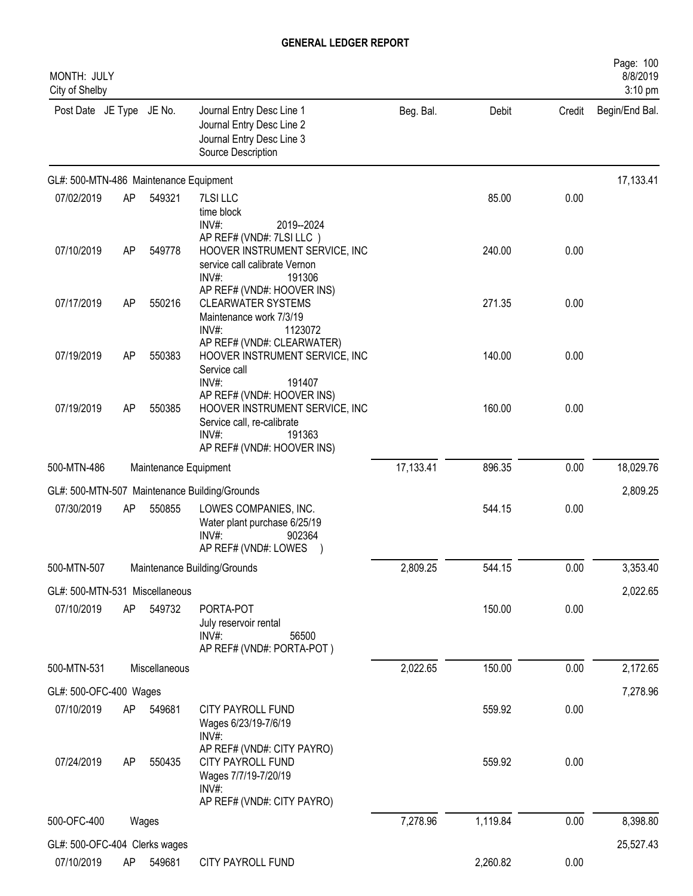| MONTH: JULY<br>City of Shelby          |    |                       |                                                                                                                                                                  |           |          |        | Page: 100<br>8/8/2019<br>3:10 pm |
|----------------------------------------|----|-----------------------|------------------------------------------------------------------------------------------------------------------------------------------------------------------|-----------|----------|--------|----------------------------------|
| Post Date JE Type JE No.               |    |                       | Journal Entry Desc Line 1<br>Journal Entry Desc Line 2<br>Journal Entry Desc Line 3<br>Source Description                                                        | Beg. Bal. | Debit    | Credit | Begin/End Bal.                   |
| GL#: 500-MTN-486 Maintenance Equipment |    |                       |                                                                                                                                                                  |           |          |        | 17,133.41                        |
| 07/02/2019                             | AP | 549321                | 7LSI LLC<br>time block<br>$INV#$ :<br>2019--2024                                                                                                                 |           | 85.00    | 0.00   |                                  |
| 07/10/2019                             | AP | 549778                | AP REF# (VND#: 7LSI LLC)<br>HOOVER INSTRUMENT SERVICE, INC<br>service call calibrate Vernon<br>$INV#$ :<br>191306                                                |           | 240.00   | 0.00   |                                  |
| 07/17/2019                             | AP | 550216                | AP REF# (VND#: HOOVER INS)<br><b>CLEARWATER SYSTEMS</b><br>Maintenance work 7/3/19<br>INV#:<br>1123072                                                           |           | 271.35   | 0.00   |                                  |
| 07/19/2019                             | AP | 550383                | AP REF# (VND#: CLEARWATER)<br>HOOVER INSTRUMENT SERVICE, INC<br>Service call                                                                                     |           | 140.00   | 0.00   |                                  |
| 07/19/2019                             | AP | 550385                | $INV#$ :<br>191407<br>AP REF# (VND#: HOOVER INS)<br>HOOVER INSTRUMENT SERVICE, INC<br>Service call, re-calibrate<br>INV#<br>191363<br>AP REF# (VND#: HOOVER INS) |           | 160.00   | 0.00   |                                  |
| 500-MTN-486                            |    | Maintenance Equipment |                                                                                                                                                                  | 17,133.41 | 896.35   | 0.00   | 18,029.76                        |
|                                        |    |                       | GL#: 500-MTN-507 Maintenance Building/Grounds                                                                                                                    |           |          |        | 2,809.25                         |
| 07/30/2019                             | AP | 550855                | LOWES COMPANIES, INC.<br>Water plant purchase 6/25/19<br>INV#:<br>902364<br>AP REF# (VND#: LOWES                                                                 |           | 544.15   | 0.00   |                                  |
| 500-MTN-507                            |    |                       | Maintenance Building/Grounds                                                                                                                                     | 2,809.25  | 544.15   | 0.00   | 3,353.40                         |
| GL#: 500-MTN-531 Miscellaneous         |    |                       |                                                                                                                                                                  |           |          |        | 2,022.65                         |
| 07/10/2019                             | AP | 549732                | PORTA-POT<br>July reservoir rental<br>$INV#$ :<br>56500<br>AP REF# (VND#: PORTA-POT)                                                                             |           | 150.00   | 0.00   |                                  |
| 500-MTN-531                            |    | Miscellaneous         |                                                                                                                                                                  | 2,022.65  | 150.00   | 0.00   | 2,172.65                         |
| GL#: 500-OFC-400 Wages                 |    |                       |                                                                                                                                                                  |           |          |        | 7,278.96                         |
| 07/10/2019                             | AP | 549681                | CITY PAYROLL FUND<br>Wages 6/23/19-7/6/19<br>INV#:                                                                                                               |           | 559.92   | 0.00   |                                  |
| 07/24/2019                             | AP | 550435                | AP REF# (VND#: CITY PAYRO)<br>CITY PAYROLL FUND<br>Wages 7/7/19-7/20/19<br>$INV#$ :<br>AP REF# (VND#: CITY PAYRO)                                                |           | 559.92   | 0.00   |                                  |
| 500-OFC-400                            |    | Wages                 |                                                                                                                                                                  | 7,278.96  | 1,119.84 | 0.00   | 8,398.80                         |
| GL#: 500-OFC-404 Clerks wages          |    |                       |                                                                                                                                                                  |           |          |        | 25,527.43                        |
| 07/10/2019                             | AP | 549681                | CITY PAYROLL FUND                                                                                                                                                |           | 2,260.82 | 0.00   |                                  |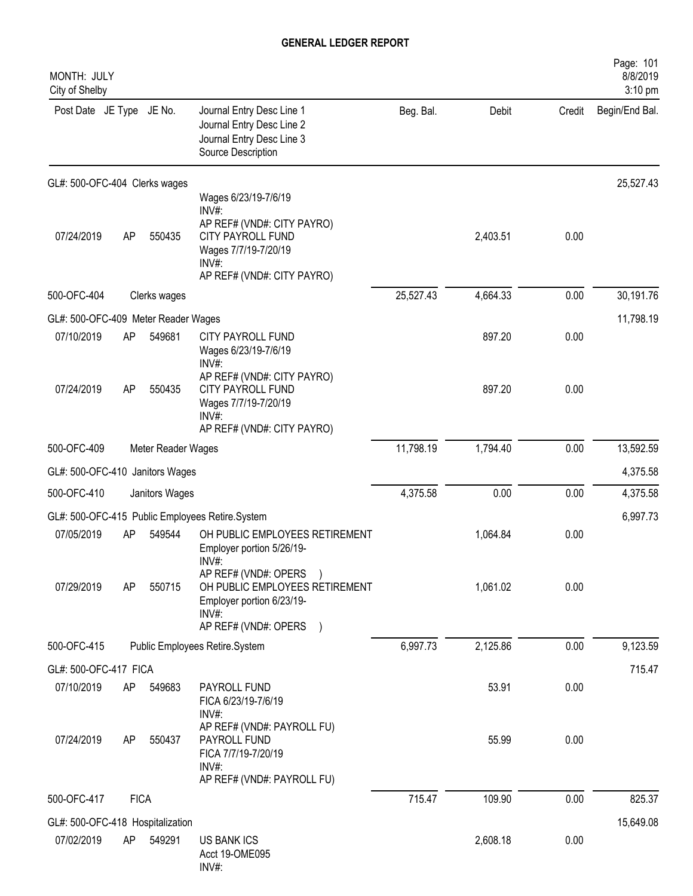| MONTH: JULY<br>City of Shelby       |             |                    |                                                                                                                                                          |           |          |        | Page: 101<br>8/8/2019<br>3:10 pm |
|-------------------------------------|-------------|--------------------|----------------------------------------------------------------------------------------------------------------------------------------------------------|-----------|----------|--------|----------------------------------|
| Post Date JE Type JE No.            |             |                    | Journal Entry Desc Line 1<br>Journal Entry Desc Line 2<br>Journal Entry Desc Line 3<br>Source Description                                                | Beg. Bal. | Debit    | Credit | Begin/End Bal.                   |
| GL#: 500-OFC-404 Clerks wages       |             |                    |                                                                                                                                                          |           |          |        | 25,527.43                        |
| 07/24/2019                          | AP          | 550435             | Wages 6/23/19-7/6/19<br>INV#<br>AP REF# (VND#: CITY PAYRO)<br><b>CITY PAYROLL FUND</b><br>Wages 7/7/19-7/20/19<br>$INV#$ :<br>AP REF# (VND#: CITY PAYRO) |           | 2,403.51 | 0.00   |                                  |
| 500-OFC-404                         |             | Clerks wages       |                                                                                                                                                          | 25,527.43 | 4,664.33 | 0.00   | 30,191.76                        |
| GL#: 500-OFC-409 Meter Reader Wages |             |                    |                                                                                                                                                          |           |          |        | 11,798.19                        |
| 07/10/2019                          | AP          | 549681             | CITY PAYROLL FUND<br>Wages 6/23/19-7/6/19<br>INV#:                                                                                                       |           | 897.20   | 0.00   |                                  |
| 07/24/2019                          | AP          | 550435             | AP REF# (VND#: CITY PAYRO)<br>CITY PAYROLL FUND<br>Wages 7/7/19-7/20/19<br>$INV#$ :<br>AP REF# (VND#: CITY PAYRO)                                        |           | 897.20   | 0.00   |                                  |
| 500-OFC-409                         |             | Meter Reader Wages |                                                                                                                                                          | 11,798.19 | 1,794.40 | 0.00   | 13,592.59                        |
| GL#: 500-OFC-410 Janitors Wages     |             |                    |                                                                                                                                                          |           |          |        | 4,375.58                         |
| 500-OFC-410                         |             | Janitors Wages     |                                                                                                                                                          | 4,375.58  | 0.00     | 0.00   | 4,375.58                         |
|                                     |             |                    | GL#: 500-OFC-415 Public Employees Retire.System                                                                                                          |           |          |        | 6,997.73                         |
| 07/05/2019                          | AP          | 549544             | OH PUBLIC EMPLOYEES RETIREMENT<br>Employer portion 5/26/19-<br>INV#:                                                                                     |           | 1,064.84 | 0.00   |                                  |
| 07/29/2019                          | AP          | 550715             | AP REF# (VND#: OPERS<br>OH PUBLIC EMPLOYEES RETIREMENT<br>Employer portion 6/23/19-<br>INV#:<br>AP REF# (VND#: OPERS )                                   |           | 1,061.02 | 0.00   |                                  |
| 500-OFC-415                         |             |                    | Public Employees Retire.System                                                                                                                           | 6,997.73  | 2,125.86 | 0.00   | 9,123.59                         |
| GL#: 500-OFC-417 FICA               |             |                    |                                                                                                                                                          |           |          |        | 715.47                           |
| 07/10/2019                          | AP          | 549683             | PAYROLL FUND<br>FICA 6/23/19-7/6/19<br>INV#:                                                                                                             |           | 53.91    | 0.00   |                                  |
| 07/24/2019                          | AP          | 550437             | AP REF# (VND#: PAYROLL FU)<br>PAYROLL FUND<br>FICA 7/7/19-7/20/19<br>$INV#$ :<br>AP REF# (VND#: PAYROLL FU)                                              |           | 55.99    | 0.00   |                                  |
| 500-OFC-417                         | <b>FICA</b> |                    |                                                                                                                                                          | 715.47    | 109.90   | 0.00   | 825.37                           |
| GL#: 500-OFC-418 Hospitalization    |             |                    |                                                                                                                                                          |           |          |        | 15,649.08                        |
| 07/02/2019                          | AP          | 549291             | <b>US BANK ICS</b><br>Acct 19-OME095<br>INV#:                                                                                                            |           | 2,608.18 | 0.00   |                                  |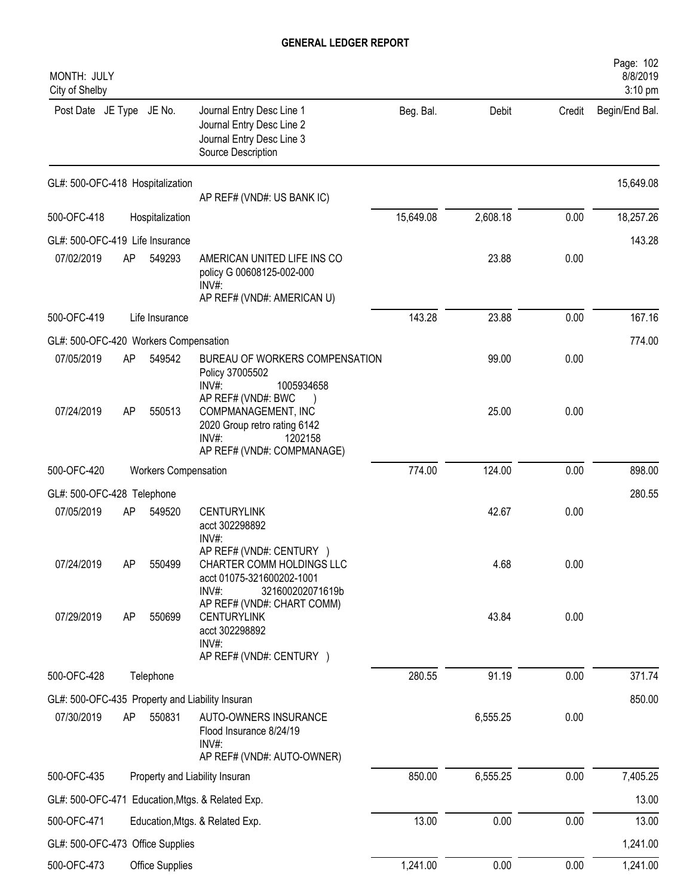| MONTH: JULY<br>City of Shelby         |    |                             |                                                                                                                 |           |          |        | Page: 102<br>8/8/2019<br>3:10 pm |
|---------------------------------------|----|-----------------------------|-----------------------------------------------------------------------------------------------------------------|-----------|----------|--------|----------------------------------|
| Post Date JE Type JE No.              |    |                             | Journal Entry Desc Line 1<br>Journal Entry Desc Line 2<br>Journal Entry Desc Line 3<br>Source Description       | Beg. Bal. | Debit    | Credit | Begin/End Bal.                   |
| GL#: 500-OFC-418 Hospitalization      |    |                             | AP REF# (VND#: US BANK IC)                                                                                      |           |          |        | 15,649.08                        |
| 500-OFC-418                           |    | Hospitalization             |                                                                                                                 | 15,649.08 | 2,608.18 | 0.00   | 18,257.26                        |
| GL#: 500-OFC-419 Life Insurance       |    |                             |                                                                                                                 |           |          |        | 143.28                           |
| 07/02/2019                            | AP | 549293                      | AMERICAN UNITED LIFE INS CO<br>policy G 00608125-002-000<br>$INV#$ :<br>AP REF# (VND#: AMERICAN U)              |           | 23.88    | 0.00   |                                  |
| 500-OFC-419                           |    | Life Insurance              |                                                                                                                 | 143.28    | 23.88    | 0.00   | 167.16                           |
| GL#: 500-OFC-420 Workers Compensation |    |                             |                                                                                                                 |           |          |        | 774.00                           |
| 07/05/2019                            | AP | 549542                      | BUREAU OF WORKERS COMPENSATION<br>Policy 37005502<br>$INV#$ :<br>1005934658<br>AP REF# (VND#: BWC               |           | 99.00    | 0.00   |                                  |
| 07/24/2019                            | AP | 550513                      | COMPMANAGEMENT, INC<br>2020 Group retro rating 6142<br>$INV#$ :<br>1202158<br>AP REF# (VND#: COMPMANAGE)        |           | 25.00    | 0.00   |                                  |
| 500-OFC-420                           |    | <b>Workers Compensation</b> |                                                                                                                 | 774.00    | 124.00   | 0.00   | 898.00                           |
| GL#: 500-OFC-428 Telephone            |    |                             |                                                                                                                 |           |          |        | 280.55                           |
| 07/05/2019                            | AP | 549520                      | <b>CENTURYLINK</b><br>acct 302298892<br>INV#:                                                                   |           | 42.67    | 0.00   |                                  |
| 07/24/2019                            | AP | 550499                      | AP REF# (VND#: CENTURY )<br>CHARTER COMM HOLDINGS LLC<br>acct 01075-321600202-1001<br>INV#:<br>321600202071619b |           | 4.68     | 0.00   |                                  |
| 07/29/2019                            | AP | 550699                      | AP REF# (VND#: CHART COMM)<br><b>CENTURYLINK</b><br>acct 302298892<br>INV#:<br>AP REF# (VND#: CENTURY )         |           | 43.84    | 0.00   |                                  |
| 500-OFC-428                           |    | Telephone                   |                                                                                                                 | 280.55    | 91.19    | 0.00   | 371.74                           |
|                                       |    |                             | GL#: 500-OFC-435 Property and Liability Insuran                                                                 |           |          |        | 850.00                           |
| 07/30/2019                            | AP | 550831                      | AUTO-OWNERS INSURANCE<br>Flood Insurance 8/24/19<br>INV#:<br>AP REF# (VND#: AUTO-OWNER)                         |           | 6,555.25 | 0.00   |                                  |
| 500-OFC-435                           |    |                             | Property and Liability Insuran                                                                                  | 850.00    | 6,555.25 | 0.00   | 7,405.25                         |
|                                       |    |                             | GL#: 500-OFC-471 Education, Mtgs. & Related Exp.                                                                |           |          |        | 13.00                            |
| 500-OFC-471                           |    |                             | Education, Mtgs. & Related Exp.                                                                                 | 13.00     | 0.00     | 0.00   | 13.00                            |
| GL#: 500-OFC-473 Office Supplies      |    |                             |                                                                                                                 |           |          |        | 1,241.00                         |
| 500-OFC-473                           |    | Office Supplies             |                                                                                                                 | 1,241.00  | 0.00     | 0.00   | 1,241.00                         |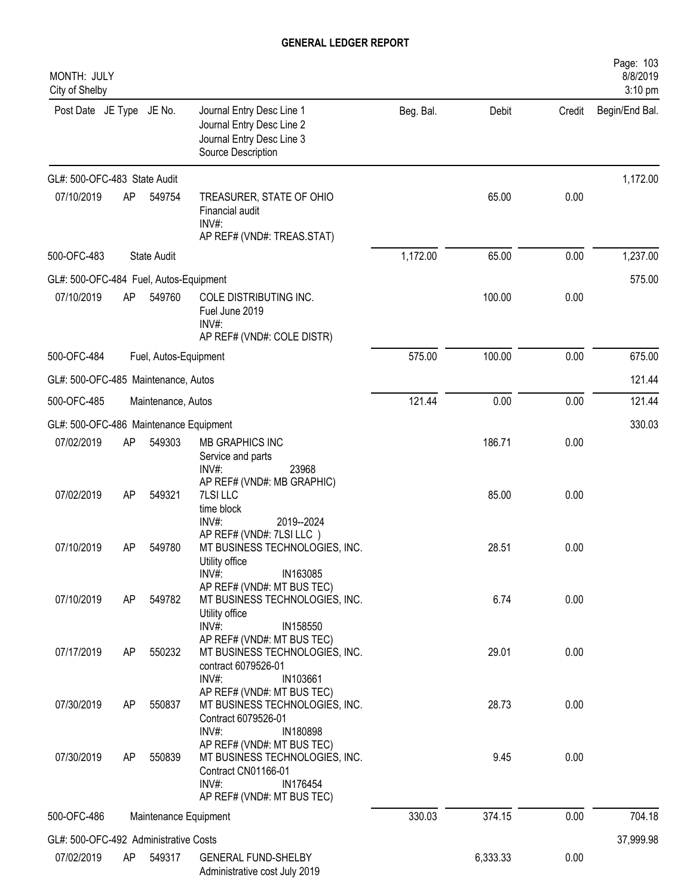| MONTH: JULY<br>City of Shelby          |    |                       |                                                                                                                                                             |           |          |        | Page: 103<br>8/8/2019<br>3:10 pm |
|----------------------------------------|----|-----------------------|-------------------------------------------------------------------------------------------------------------------------------------------------------------|-----------|----------|--------|----------------------------------|
| Post Date JE Type JE No.               |    |                       | Journal Entry Desc Line 1<br>Journal Entry Desc Line 2<br>Journal Entry Desc Line 3<br>Source Description                                                   | Beg. Bal. | Debit    | Credit | Begin/End Bal.                   |
| GL#: 500-OFC-483 State Audit           |    |                       |                                                                                                                                                             |           |          |        | 1,172.00                         |
| 07/10/2019                             | AP | 549754                | TREASURER, STATE OF OHIO<br>Financial audit<br>$INV#$ :<br>AP REF# (VND#: TREAS.STAT)                                                                       |           | 65.00    | 0.00   |                                  |
| 500-OFC-483                            |    | <b>State Audit</b>    |                                                                                                                                                             | 1,172.00  | 65.00    | 0.00   | 1,237.00                         |
| GL#: 500-OFC-484 Fuel, Autos-Equipment |    |                       |                                                                                                                                                             |           |          |        | 575.00                           |
| 07/10/2019                             | AP | 549760                | COLE DISTRIBUTING INC.<br>Fuel June 2019<br>INV#:<br>AP REF# (VND#: COLE DISTR)                                                                             |           | 100.00   | 0.00   |                                  |
| 500-OFC-484                            |    | Fuel, Autos-Equipment |                                                                                                                                                             | 575.00    | 100.00   | 0.00   | 675.00                           |
| GL#: 500-OFC-485 Maintenance, Autos    |    |                       |                                                                                                                                                             |           |          |        | 121.44                           |
| 500-OFC-485                            |    | Maintenance, Autos    |                                                                                                                                                             | 121.44    | 0.00     | 0.00   | 121.44                           |
| GL#: 500-OFC-486 Maintenance Equipment |    |                       |                                                                                                                                                             |           |          |        | 330.03                           |
| 07/02/2019                             | AP | 549303                | <b>MB GRAPHICS INC</b><br>Service and parts<br>INV#:<br>23968                                                                                               |           | 186.71   | 0.00   |                                  |
| 07/02/2019                             | AP | 549321                | AP REF# (VND#: MB GRAPHIC)<br>7LSI LLC<br>time block<br>INV#:<br>2019--2024                                                                                 |           | 85.00    | 0.00   |                                  |
| 07/10/2019                             | AP | 549780                | AP REF# (VND#: 7LSI LLC)<br>MT BUSINESS TECHNOLOGIES, INC.<br>Utility office                                                                                |           | 28.51    | 0.00   |                                  |
| 07/10/2019                             | AP | 549782                | $INV#$ :<br>IN163085<br>AP REF# (VND#: MT BUS TEC)<br>MT BUSINESS TECHNOLOGIES, INC.<br>Utility office                                                      |           | 6.74     | 0.00   |                                  |
| 07/17/2019                             | AP | 550232                | $INV#$ :<br>IN158550<br>AP REF# (VND#: MT BUS TEC)<br>MT BUSINESS TECHNOLOGIES, INC.<br>contract 6079526-01                                                 |           | 29.01    | 0.00   |                                  |
| 07/30/2019                             | AP | 550837                | INV#:<br>IN103661<br>AP REF# (VND#: MT BUS TEC)<br>MT BUSINESS TECHNOLOGIES, INC.<br>Contract 6079526-01                                                    |           | 28.73    | 0.00   |                                  |
| 07/30/2019                             | AP | 550839                | INV#:<br>IN180898<br>AP REF# (VND#: MT BUS TEC)<br>MT BUSINESS TECHNOLOGIES, INC.<br>Contract CN01166-01<br>INV#:<br>IN176454<br>AP REF# (VND#: MT BUS TEC) |           | 9.45     | 0.00   |                                  |
| 500-OFC-486                            |    | Maintenance Equipment |                                                                                                                                                             | 330.03    | 374.15   | 0.00   | 704.18                           |
| GL#: 500-OFC-492 Administrative Costs  |    |                       |                                                                                                                                                             |           |          |        | 37,999.98                        |
| 07/02/2019                             | AP | 549317                | <b>GENERAL FUND-SHELBY</b><br>Administrative cost July 2019                                                                                                 |           | 6,333.33 | 0.00   |                                  |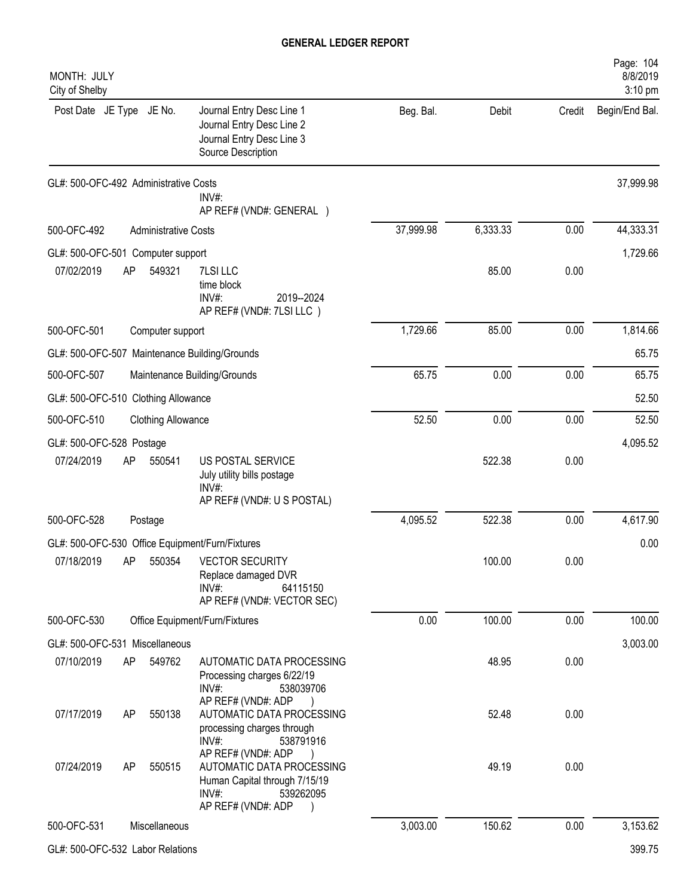| MONTH: JULY<br>City of Shelby                   |                             |                                                                                                                                 |           |          |        | Page: 104<br>8/8/2019<br>3:10 pm |
|-------------------------------------------------|-----------------------------|---------------------------------------------------------------------------------------------------------------------------------|-----------|----------|--------|----------------------------------|
| Post Date JE Type JE No.                        |                             | Journal Entry Desc Line 1<br>Journal Entry Desc Line 2<br>Journal Entry Desc Line 3<br>Source Description                       | Beg. Bal. | Debit    | Credit | Begin/End Bal.                   |
| GL#: 500-OFC-492 Administrative Costs           |                             | INV#:<br>AP REF# (VND#: GENERAL )                                                                                               |           |          |        | 37,999.98                        |
| 500-OFC-492                                     | <b>Administrative Costs</b> |                                                                                                                                 | 37,999.98 | 6,333.33 | 0.00   | 44,333.31                        |
| GL#: 500-OFC-501 Computer support               |                             |                                                                                                                                 |           |          |        | 1,729.66                         |
| 07/02/2019<br>AP                                | 549321                      | 7LSI LLC<br>time block<br>INV#:<br>2019--2024<br>AP REF# (VND#: 7LSI LLC)                                                       |           | 85.00    | 0.00   |                                  |
| 500-OFC-501                                     | Computer support            |                                                                                                                                 | 1,729.66  | 85.00    | 0.00   | 1,814.66                         |
| GL#: 500-OFC-507 Maintenance Building/Grounds   |                             |                                                                                                                                 |           |          |        | 65.75                            |
| 500-OFC-507                                     |                             | Maintenance Building/Grounds                                                                                                    | 65.75     | 0.00     | 0.00   | 65.75                            |
| GL#: 500-OFC-510 Clothing Allowance             |                             |                                                                                                                                 |           |          |        | 52.50                            |
| 500-OFC-510                                     | <b>Clothing Allowance</b>   |                                                                                                                                 | 52.50     | 0.00     | 0.00   | 52.50                            |
| GL#: 500-OFC-528 Postage                        |                             |                                                                                                                                 |           |          |        | 4,095.52                         |
| 07/24/2019<br>AP                                | 550541                      | US POSTAL SERVICE<br>July utility bills postage<br>INV#:<br>AP REF# (VND#: U S POSTAL)                                          |           | 522.38   | 0.00   |                                  |
| 500-OFC-528                                     | Postage                     |                                                                                                                                 | 4,095.52  | 522.38   | 0.00   | 4,617.90                         |
| GL#: 500-OFC-530 Office Equipment/Furn/Fixtures |                             |                                                                                                                                 |           |          |        | 0.00                             |
|                                                 |                             | 07/18/2019 AP 550354 VECTOR SECURITY<br>Replace damaged DVR<br>INV#:<br>64115150<br>AP REF# (VND#: VECTOR SEC)                  |           | 100.00   | 0.00   |                                  |
| 500-OFC-530                                     |                             | Office Equipment/Furn/Fixtures                                                                                                  | 0.00      | 100.00   | 0.00   | 100.00                           |
| GL#: 500-OFC-531 Miscellaneous                  |                             |                                                                                                                                 |           |          |        | 3,003.00                         |
| 07/10/2019<br>AP                                | 549762                      | AUTOMATIC DATA PROCESSING<br>Processing charges 6/22/19<br>$INV#$ :<br>538039706<br>AP REF# (VND#: ADP                          |           | 48.95    | 0.00   |                                  |
| 07/17/2019<br>AP                                | 550138                      | AUTOMATIC DATA PROCESSING<br>processing charges through<br>$INV#$ :<br>538791916                                                |           | 52.48    | 0.00   |                                  |
| 07/24/2019<br>AP                                | 550515                      | AP REF# (VND#: ADP<br>AUTOMATIC DATA PROCESSING<br>Human Capital through 7/15/19<br>$INV#$ :<br>539262095<br>AP REF# (VND#: ADP |           | 49.19    | 0.00   |                                  |
| 500-OFC-531                                     | Miscellaneous               |                                                                                                                                 | 3,003.00  | 150.62   | 0.00   | 3,153.62                         |
|                                                 |                             |                                                                                                                                 |           |          |        |                                  |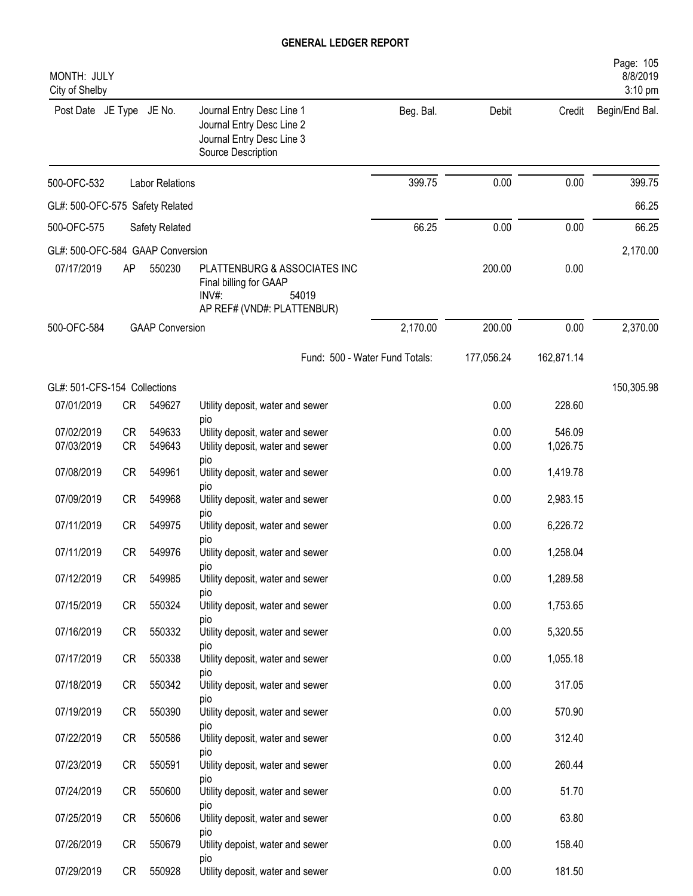| MONTH: JULY<br>City of Shelby    |           |                        |                                                                                                           |           |            |            | Page: 105<br>8/8/2019<br>3:10 pm |
|----------------------------------|-----------|------------------------|-----------------------------------------------------------------------------------------------------------|-----------|------------|------------|----------------------------------|
| Post Date JE Type JE No.         |           |                        | Journal Entry Desc Line 1<br>Journal Entry Desc Line 2<br>Journal Entry Desc Line 3<br>Source Description | Beg. Bal. | Debit      | Credit     | Begin/End Bal.                   |
| 500-OFC-532                      |           | <b>Labor Relations</b> |                                                                                                           | 399.75    | 0.00       | 0.00       | 399.75                           |
| GL#: 500-OFC-575 Safety Related  |           |                        |                                                                                                           |           |            |            | 66.25                            |
| 500-OFC-575                      |           | Safety Related         |                                                                                                           | 66.25     | 0.00       | 0.00       | 66.25                            |
| GL#: 500-OFC-584 GAAP Conversion |           |                        |                                                                                                           |           |            |            | 2,170.00                         |
| 07/17/2019                       | AP        | 550230                 | PLATTENBURG & ASSOCIATES INC<br>Final billing for GAAP<br>INV#:<br>54019<br>AP REF# (VND#: PLATTENBUR)    |           | 200.00     | 0.00       |                                  |
| 500-OFC-584                      |           | <b>GAAP Conversion</b> |                                                                                                           | 2,170.00  | 200.00     | 0.00       | 2,370.00                         |
|                                  |           |                        | Fund: 500 - Water Fund Totals:                                                                            |           | 177,056.24 | 162,871.14 |                                  |
| GL#: 501-CFS-154 Collections     |           |                        |                                                                                                           |           |            |            | 150,305.98                       |
| 07/01/2019                       | CR        | 549627                 | Utility deposit, water and sewer                                                                          |           | 0.00       | 228.60     |                                  |
| 07/02/2019                       | <b>CR</b> | 549633                 | pio<br>Utility deposit, water and sewer                                                                   |           | 0.00       | 546.09     |                                  |
| 07/03/2019                       | <b>CR</b> | 549643                 | Utility deposit, water and sewer                                                                          |           | 0.00       | 1,026.75   |                                  |
| 07/08/2019                       | <b>CR</b> | 549961                 | pio<br>Utility deposit, water and sewer<br>pio                                                            |           | 0.00       | 1,419.78   |                                  |
| 07/09/2019                       | <b>CR</b> | 549968                 | Utility deposit, water and sewer                                                                          |           | 0.00       | 2,983.15   |                                  |
| 07/11/2019                       | <b>CR</b> | 549975                 | pio<br>Utility deposit, water and sewer<br>pio                                                            |           | 0.00       | 6,226.72   |                                  |
| 07/11/2019                       | <b>CR</b> | 549976                 | Utility deposit, water and sewer                                                                          |           | 0.00       | 1,258.04   |                                  |
| 07/12/2019                       | CR        | 549985                 | pio<br>Utility deposit, water and sewer<br>pio                                                            |           | 0.00       | 1,289.58   |                                  |
| 07/15/2019                       | CR        | 550324                 | Utility deposit, water and sewer                                                                          |           | 0.00       | 1,753.65   |                                  |
| 07/16/2019                       | CR        | 550332                 | pio<br>Utility deposit, water and sewer                                                                   |           | 0.00       | 5,320.55   |                                  |
| 07/17/2019                       | CR        | 550338                 | pio<br>Utility deposit, water and sewer                                                                   |           | 0.00       | 1,055.18   |                                  |
| 07/18/2019                       | CR        | 550342                 | pio<br>Utility deposit, water and sewer<br>pio                                                            |           | 0.00       | 317.05     |                                  |
| 07/19/2019                       | CR        | 550390                 | Utility deposit, water and sewer                                                                          |           | 0.00       | 570.90     |                                  |
| 07/22/2019                       | CR        | 550586                 | pio<br>Utility deposit, water and sewer                                                                   |           | 0.00       | 312.40     |                                  |
| 07/23/2019                       | CR        | 550591                 | pio<br>Utility deposit, water and sewer                                                                   |           | 0.00       | 260.44     |                                  |
| 07/24/2019                       | CR        | 550600                 | pio<br>Utility deposit, water and sewer                                                                   |           | 0.00       | 51.70      |                                  |
| 07/25/2019                       | CR        | 550606                 | pio<br>Utility deposit, water and sewer                                                                   |           | 0.00       | 63.80      |                                  |
| 07/26/2019                       | CR        | 550679                 | pio<br>Utility depoist, water and sewer                                                                   |           | 0.00       | 158.40     |                                  |
| 07/29/2019                       | CR        | 550928                 | pio<br>Utility deposit, water and sewer                                                                   |           | 0.00       | 181.50     |                                  |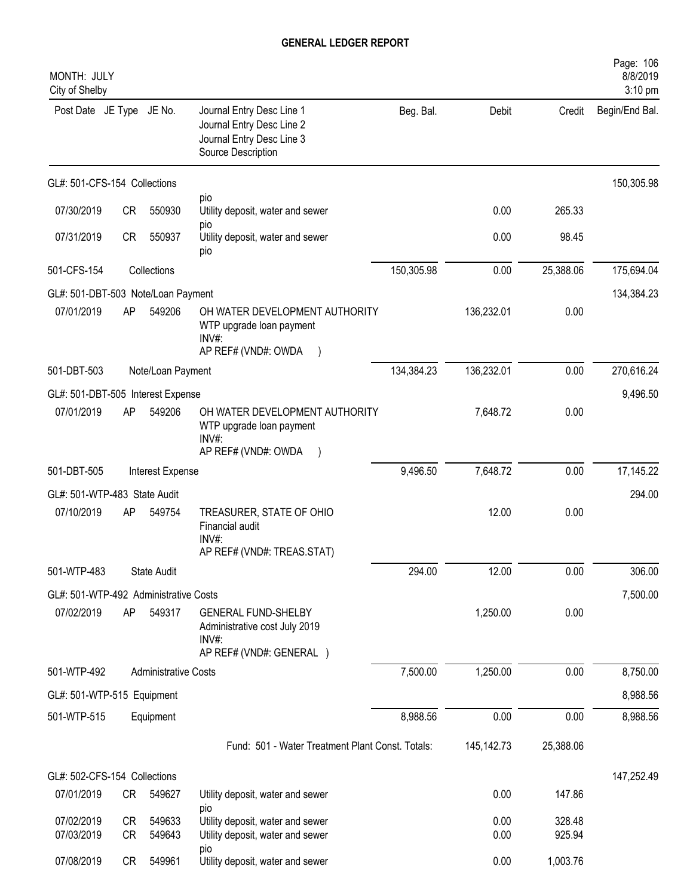| MONTH: JULY<br>City of Shelby         |          |                             |                                                                                                           |            |              |                  | Page: 106<br>8/8/2019<br>3:10 pm |
|---------------------------------------|----------|-----------------------------|-----------------------------------------------------------------------------------------------------------|------------|--------------|------------------|----------------------------------|
| Post Date JE Type JE No.              |          |                             | Journal Entry Desc Line 1<br>Journal Entry Desc Line 2<br>Journal Entry Desc Line 3<br>Source Description | Beg. Bal.  | Debit        | Credit           | Begin/End Bal.                   |
| GL#: 501-CFS-154 Collections          |          |                             |                                                                                                           |            |              |                  | 150,305.98                       |
| 07/30/2019                            | CR       | 550930                      | pio<br>Utility deposit, water and sewer                                                                   |            | 0.00         | 265.33           |                                  |
| 07/31/2019                            | CR       | 550937                      | pio<br>Utility deposit, water and sewer<br>pio                                                            |            | 0.00         | 98.45            |                                  |
| 501-CFS-154                           |          | Collections                 |                                                                                                           | 150,305.98 | 0.00         | 25,388.06        | 175,694.04                       |
| GL#: 501-DBT-503 Note/Loan Payment    |          |                             |                                                                                                           |            |              |                  | 134,384.23                       |
| 07/01/2019                            | AP       | 549206                      | OH WATER DEVELOPMENT AUTHORITY<br>WTP upgrade loan payment<br>INV#:<br>AP REF# (VND#: OWDA                |            | 136,232.01   | 0.00             |                                  |
| 501-DBT-503                           |          | Note/Loan Payment           |                                                                                                           | 134,384.23 | 136,232.01   | 0.00             | 270,616.24                       |
| GL#: 501-DBT-505 Interest Expense     |          |                             |                                                                                                           |            |              |                  | 9,496.50                         |
| 07/01/2019                            | AP       | 549206                      | OH WATER DEVELOPMENT AUTHORITY<br>WTP upgrade loan payment<br>$INV#$ :<br>AP REF# (VND#: OWDA             |            | 7,648.72     | 0.00             |                                  |
| 501-DBT-505                           |          | Interest Expense            |                                                                                                           | 9,496.50   | 7,648.72     | 0.00             | 17,145.22                        |
| GL#: 501-WTP-483 State Audit          |          |                             |                                                                                                           |            |              |                  | 294.00                           |
| 07/10/2019                            | AP       | 549754                      | TREASURER, STATE OF OHIO<br>Financial audit<br>$INV#$ :<br>AP REF# (VND#: TREAS.STAT)                     |            | 12.00        | 0.00             |                                  |
| 501-WTP-483                           |          | State Audit                 |                                                                                                           | 294.00     | 12.00        | 0.00             | 306.00                           |
| GL#: 501-WTP-492 Administrative Costs |          |                             |                                                                                                           |            |              |                  | 7,500.00                         |
| 07/02/2019                            | AP       | 549317                      | <b>GENERAL FUND-SHELBY</b><br>Administrative cost July 2019<br>INV#:                                      |            | 1,250.00     | 0.00             |                                  |
|                                       |          |                             | AP REF# (VND#: GENERAL )                                                                                  |            |              |                  |                                  |
| 501-WTP-492                           |          | <b>Administrative Costs</b> |                                                                                                           | 7,500.00   | 1,250.00     | 0.00             | 8,750.00                         |
| GL#: 501-WTP-515 Equipment            |          |                             |                                                                                                           |            |              |                  | 8,988.56                         |
| 501-WTP-515                           |          | Equipment                   |                                                                                                           | 8,988.56   | 0.00         | 0.00             | 8,988.56                         |
|                                       |          |                             | Fund: 501 - Water Treatment Plant Const. Totals:                                                          |            | 145,142.73   | 25,388.06        |                                  |
| GL#: 502-CFS-154 Collections          |          |                             |                                                                                                           |            |              |                  | 147,252.49                       |
| 07/01/2019                            | CR       | 549627                      | Utility deposit, water and sewer                                                                          |            | 0.00         | 147.86           |                                  |
| 07/02/2019<br>07/03/2019              | CR<br>CR | 549633<br>549643            | pio<br>Utility deposit, water and sewer<br>Utility deposit, water and sewer                               |            | 0.00<br>0.00 | 328.48<br>925.94 |                                  |
| 07/08/2019                            | CR       | 549961                      | pio<br>Utility deposit, water and sewer                                                                   |            | 0.00         | 1,003.76         |                                  |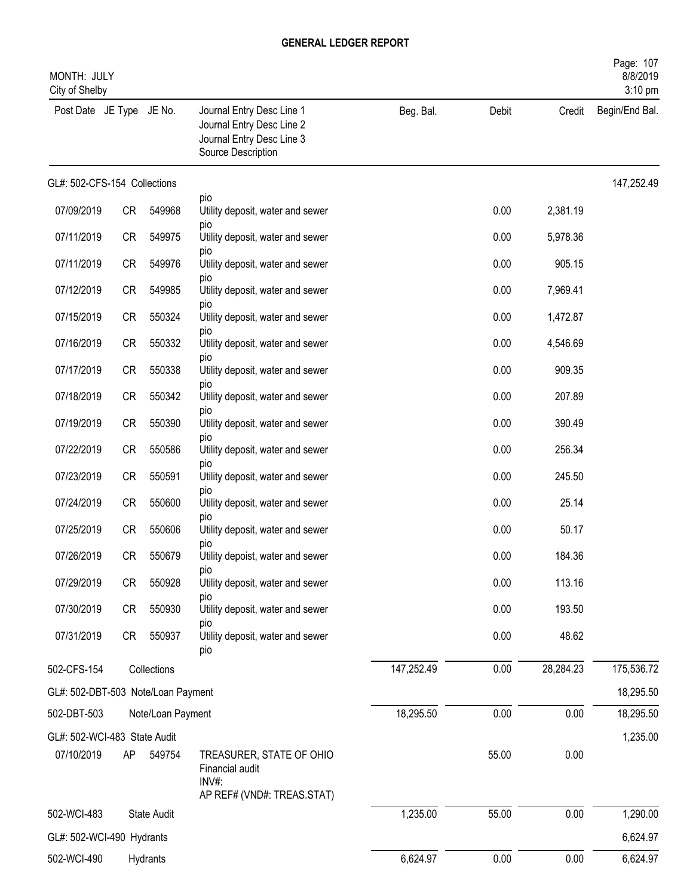| MONTH: JULY<br>City of Shelby      |           |                   |                                                                                                           |            |       |           | Page: 107<br>8/8/2019<br>3:10 pm |
|------------------------------------|-----------|-------------------|-----------------------------------------------------------------------------------------------------------|------------|-------|-----------|----------------------------------|
| Post Date JE Type JE No.           |           |                   | Journal Entry Desc Line 1<br>Journal Entry Desc Line 2<br>Journal Entry Desc Line 3<br>Source Description | Beg. Bal.  | Debit | Credit    | Begin/End Bal.                   |
| GL#: 502-CFS-154 Collections       |           |                   |                                                                                                           |            |       |           | 147,252.49                       |
| 07/09/2019                         | CR        | 549968            | pio<br>Utility deposit, water and sewer                                                                   |            | 0.00  | 2,381.19  |                                  |
| 07/11/2019                         | CR        | 549975            | pio<br>Utility deposit, water and sewer                                                                   |            | 0.00  | 5,978.36  |                                  |
| 07/11/2019                         | <b>CR</b> | 549976            | pio<br>Utility deposit, water and sewer                                                                   |            | 0.00  | 905.15    |                                  |
| 07/12/2019                         | <b>CR</b> | 549985            | pio<br>Utility deposit, water and sewer                                                                   |            | 0.00  | 7,969.41  |                                  |
| 07/15/2019                         | <b>CR</b> | 550324            | pio<br>Utility deposit, water and sewer                                                                   |            | 0.00  | 1,472.87  |                                  |
| 07/16/2019                         | <b>CR</b> | 550332            | pio<br>Utility deposit, water and sewer                                                                   |            | 0.00  | 4,546.69  |                                  |
| 07/17/2019                         | CR        | 550338            | pio<br>Utility deposit, water and sewer                                                                   |            | 0.00  | 909.35    |                                  |
| 07/18/2019                         | CR        | 550342            | pio<br>Utility deposit, water and sewer                                                                   |            | 0.00  | 207.89    |                                  |
| 07/19/2019                         | CR        | 550390            | pio<br>Utility deposit, water and sewer                                                                   |            | 0.00  | 390.49    |                                  |
| 07/22/2019                         | CR        | 550586            | pio<br>Utility deposit, water and sewer                                                                   |            | 0.00  | 256.34    |                                  |
| 07/23/2019                         | <b>CR</b> | 550591            | pio<br>Utility deposit, water and sewer                                                                   |            | 0.00  | 245.50    |                                  |
| 07/24/2019                         | <b>CR</b> | 550600            | pio<br>Utility deposit, water and sewer                                                                   |            | 0.00  | 25.14     |                                  |
| 07/25/2019                         | <b>CR</b> | 550606            | pio<br>Utility deposit, water and sewer                                                                   |            | 0.00  | 50.17     |                                  |
| 07/26/2019                         | <b>CR</b> | 550679            | pio<br>Utility depoist, water and sewer                                                                   |            | 0.00  | 184.36    |                                  |
| 07/29/2019                         | CR        | 550928            | pio<br>Utility deposit, water and sewer                                                                   |            | 0.00  | 113.16    |                                  |
| 07/30/2019                         | CR        | 550930            | pio<br>Utility deposit, water and sewer                                                                   |            | 0.00  | 193.50    |                                  |
| 07/31/2019                         | CR        | 550937            | pio<br>Utility deposit, water and sewer                                                                   |            | 0.00  | 48.62     |                                  |
|                                    |           |                   | pio                                                                                                       |            |       |           |                                  |
| 502-CFS-154                        |           | Collections       |                                                                                                           | 147,252.49 | 0.00  | 28,284.23 | 175,536.72                       |
| GL#: 502-DBT-503 Note/Loan Payment |           |                   |                                                                                                           |            |       |           | 18,295.50                        |
| 502-DBT-503                        |           | Note/Loan Payment |                                                                                                           | 18,295.50  | 0.00  | 0.00      | 18,295.50                        |
| GL#: 502-WCI-483 State Audit       |           |                   |                                                                                                           |            |       |           | 1,235.00                         |
| 07/10/2019                         | AP        | 549754            | TREASURER, STATE OF OHIO<br>Financial audit<br>$INV#$ :                                                   |            | 55.00 | 0.00      |                                  |
|                                    |           |                   | AP REF# (VND#: TREAS.STAT)                                                                                |            |       |           |                                  |
| 502-WCI-483                        |           | State Audit       |                                                                                                           | 1,235.00   | 55.00 | 0.00      | 1,290.00                         |
| GL#: 502-WCI-490 Hydrants          |           |                   |                                                                                                           |            |       |           | 6,624.97                         |
| 502-WCI-490                        |           | Hydrants          |                                                                                                           | 6,624.97   | 0.00  | 0.00      | 6,624.97                         |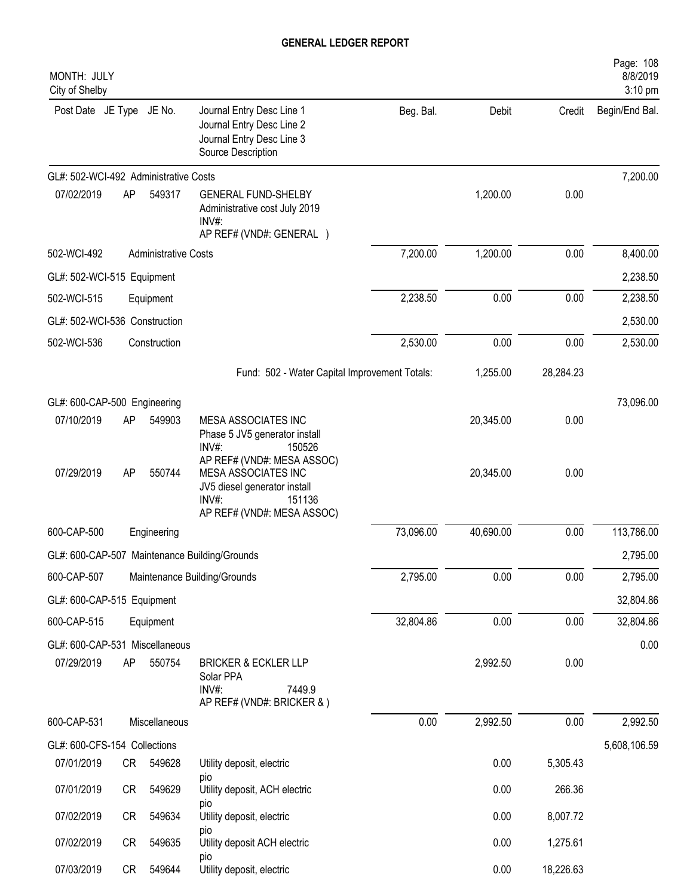| MONTH: JULY<br>City of Shelby         |    |                             |                                                                                                                                           |           |           |           | Page: 108<br>8/8/2019<br>3:10 pm |
|---------------------------------------|----|-----------------------------|-------------------------------------------------------------------------------------------------------------------------------------------|-----------|-----------|-----------|----------------------------------|
| Post Date JE Type JE No.              |    |                             | Journal Entry Desc Line 1<br>Journal Entry Desc Line 2<br>Journal Entry Desc Line 3<br>Source Description                                 | Beg. Bal. | Debit     | Credit    | Begin/End Bal.                   |
| GL#: 502-WCI-492 Administrative Costs |    |                             |                                                                                                                                           |           |           |           | 7,200.00                         |
| 07/02/2019                            | AP | 549317                      | <b>GENERAL FUND-SHELBY</b><br>Administrative cost July 2019<br>INV#:<br>AP REF# (VND#: GENERAL )                                          |           | 1,200.00  | 0.00      |                                  |
| 502-WCI-492                           |    | <b>Administrative Costs</b> |                                                                                                                                           | 7,200.00  | 1,200.00  | 0.00      | 8,400.00                         |
| GL#: 502-WCI-515 Equipment            |    |                             |                                                                                                                                           |           |           |           | 2,238.50                         |
| 502-WCI-515                           |    | Equipment                   |                                                                                                                                           | 2,238.50  | 0.00      | 0.00      | 2,238.50                         |
| GL#: 502-WCI-536 Construction         |    |                             |                                                                                                                                           |           |           |           | 2,530.00                         |
| 502-WCI-536                           |    | Construction                |                                                                                                                                           | 2,530.00  | 0.00      | 0.00      | 2,530.00                         |
|                                       |    |                             | Fund: 502 - Water Capital Improvement Totals:                                                                                             |           | 1,255.00  | 28,284.23 |                                  |
| GL#: 600-CAP-500 Engineering          |    |                             |                                                                                                                                           |           |           |           | 73,096.00                        |
| 07/10/2019                            | AP | 549903                      | MESA ASSOCIATES INC<br>Phase 5 JV5 generator install<br>INV#:<br>150526                                                                   |           | 20,345.00 | 0.00      |                                  |
| 07/29/2019                            | AP | 550744                      | AP REF# (VND#: MESA ASSOC)<br><b>MESA ASSOCIATES INC</b><br>JV5 diesel generator install<br>INV#:<br>151136<br>AP REF# (VND#: MESA ASSOC) |           | 20,345.00 | 0.00      |                                  |
| 600-CAP-500                           |    | Engineering                 |                                                                                                                                           | 73,096.00 | 40,690.00 | 0.00      | 113,786.00                       |
|                                       |    |                             | GL#: 600-CAP-507 Maintenance Building/Grounds                                                                                             |           |           |           | 2,795.00                         |
| 600-CAP-507                           |    |                             | Maintenance Building/Grounds                                                                                                              | 2,795.00  | 0.00      | 0.00      | 2,795.00                         |
| GL#: 600-CAP-515 Equipment            |    |                             |                                                                                                                                           |           |           |           | 32,804.86                        |
| 600-CAP-515                           |    | Equipment                   |                                                                                                                                           | 32,804.86 | 0.00      | 0.00      | 32,804.86                        |
| GL#: 600-CAP-531 Miscellaneous        |    |                             |                                                                                                                                           |           |           |           | 0.00                             |
| 07/29/2019                            | AP | 550754                      | <b>BRICKER &amp; ECKLER LLP</b><br>Solar PPA<br>INV#:<br>7449.9<br>AP REF# (VND#: BRICKER & )                                             |           | 2,992.50  | 0.00      |                                  |
| 600-CAP-531                           |    | Miscellaneous               |                                                                                                                                           | 0.00      | 2,992.50  | 0.00      | 2,992.50                         |
| GL#: 600-CFS-154 Collections          |    |                             |                                                                                                                                           |           |           |           | 5,608,106.59                     |
| 07/01/2019                            | CR | 549628                      | Utility deposit, electric                                                                                                                 |           | 0.00      | 5,305.43  |                                  |
| 07/01/2019                            | CR | 549629                      | pio<br>Utility deposit, ACH electric                                                                                                      |           | 0.00      | 266.36    |                                  |
| 07/02/2019                            | CR | 549634                      | pio<br>Utility deposit, electric<br>pio                                                                                                   |           | 0.00      | 8,007.72  |                                  |
| 07/02/2019                            | CR | 549635                      | Utility deposit ACH electric                                                                                                              |           | 0.00      | 1,275.61  |                                  |
| 07/03/2019                            | CR | 549644                      | pio<br>Utility deposit, electric                                                                                                          |           | 0.00      | 18,226.63 |                                  |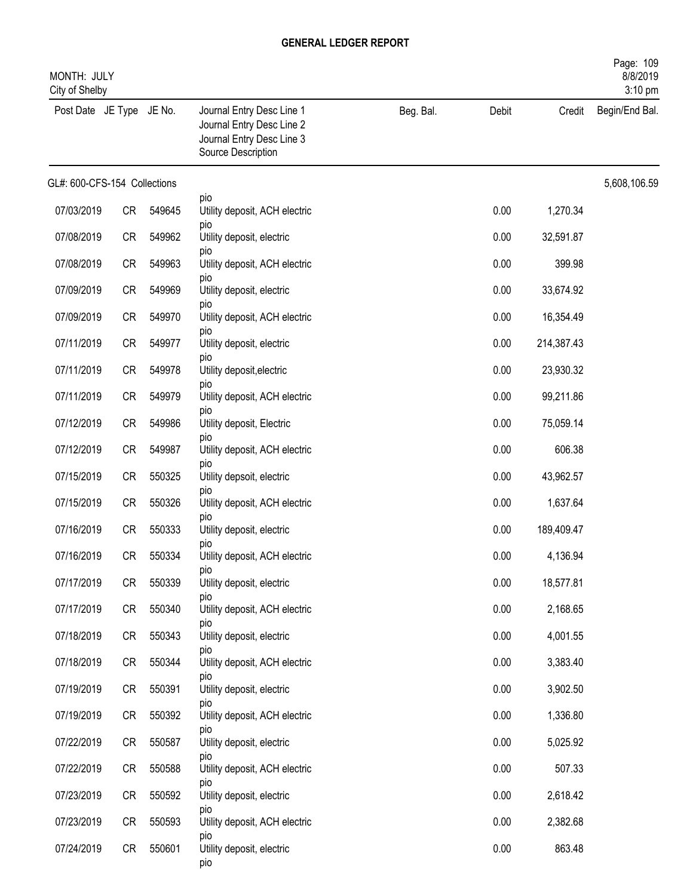| MONTH: JULY<br>City of Shelby |           |        |                                                                                                           |           |       |            | Page: 109<br>8/8/2019<br>3:10 pm |
|-------------------------------|-----------|--------|-----------------------------------------------------------------------------------------------------------|-----------|-------|------------|----------------------------------|
| Post Date JE Type JE No.      |           |        | Journal Entry Desc Line 1<br>Journal Entry Desc Line 2<br>Journal Entry Desc Line 3<br>Source Description | Beg. Bal. | Debit | Credit     | Begin/End Bal.                   |
| GL#: 600-CFS-154 Collections  |           |        |                                                                                                           |           |       |            | 5,608,106.59                     |
| 07/03/2019                    | CR        | 549645 | pio<br>Utility deposit, ACH electric                                                                      |           | 0.00  | 1,270.34   |                                  |
| 07/08/2019                    | <b>CR</b> | 549962 | pio<br>Utility deposit, electric                                                                          |           | 0.00  | 32,591.87  |                                  |
| 07/08/2019                    | CR        | 549963 | pio<br>Utility deposit, ACH electric                                                                      |           | 0.00  | 399.98     |                                  |
| 07/09/2019                    | CR        | 549969 | pio<br>Utility deposit, electric                                                                          |           | 0.00  | 33,674.92  |                                  |
| 07/09/2019                    | CR        | 549970 | pio<br>Utility deposit, ACH electric                                                                      |           | 0.00  | 16,354.49  |                                  |
| 07/11/2019                    | <b>CR</b> | 549977 | pio<br>Utility deposit, electric                                                                          |           | 0.00  | 214,387.43 |                                  |
| 07/11/2019                    | <b>CR</b> | 549978 | pio<br>Utility deposit, electric                                                                          |           | 0.00  | 23,930.32  |                                  |
| 07/11/2019                    | <b>CR</b> | 549979 | pio<br>Utility deposit, ACH electric                                                                      |           | 0.00  | 99,211.86  |                                  |
| 07/12/2019                    | CR        | 549986 | pio<br>Utility deposit, Electric                                                                          |           | 0.00  | 75,059.14  |                                  |
| 07/12/2019                    | CR        | 549987 | pio<br>Utility deposit, ACH electric                                                                      |           | 0.00  | 606.38     |                                  |
| 07/15/2019                    | CR        | 550325 | pio<br>Utility depsoit, electric                                                                          |           | 0.00  | 43,962.57  |                                  |
| 07/15/2019                    | <b>CR</b> | 550326 | pio<br>Utility deposit, ACH electric                                                                      |           | 0.00  | 1,637.64   |                                  |
| 07/16/2019                    | <b>CR</b> | 550333 | pio<br>Utility deposit, electric                                                                          |           | 0.00  | 189,409.47 |                                  |
| 07/16/2019                    | <b>CR</b> | 550334 | pio<br>Utility deposit, ACH electric                                                                      |           | 0.00  | 4,136.94   |                                  |
| 07/17/2019                    | CR        | 550339 | pio<br>Utility deposit, electric                                                                          |           | 0.00  | 18,577.81  |                                  |
| 07/17/2019                    | CR        | 550340 | pio<br>Utility deposit, ACH electric                                                                      |           | 0.00  | 2,168.65   |                                  |
| 07/18/2019                    | CR        | 550343 | pio<br>Utility deposit, electric                                                                          |           | 0.00  | 4,001.55   |                                  |
| 07/18/2019                    | CR        | 550344 | pio<br>Utility deposit, ACH electric                                                                      |           | 0.00  | 3,383.40   |                                  |
| 07/19/2019                    | CR        | 550391 | pio<br>Utility deposit, electric                                                                          |           | 0.00  | 3,902.50   |                                  |
| 07/19/2019                    | CR        | 550392 | pio<br>Utility deposit, ACH electric                                                                      |           | 0.00  | 1,336.80   |                                  |
| 07/22/2019                    | CR        | 550587 | pio<br>Utility deposit, electric                                                                          |           | 0.00  | 5,025.92   |                                  |
| 07/22/2019                    | CR        | 550588 | pio<br>Utility deposit, ACH electric                                                                      |           | 0.00  | 507.33     |                                  |
| 07/23/2019                    | CR        | 550592 | pio<br>Utility deposit, electric                                                                          |           | 0.00  | 2,618.42   |                                  |
| 07/23/2019                    | CR        | 550593 | pio<br>Utility deposit, ACH electric                                                                      |           | 0.00  | 2,382.68   |                                  |
| 07/24/2019                    | CR        | 550601 | pio<br>Utility deposit, electric                                                                          |           | 0.00  | 863.48     |                                  |
|                               |           |        | pio                                                                                                       |           |       |            |                                  |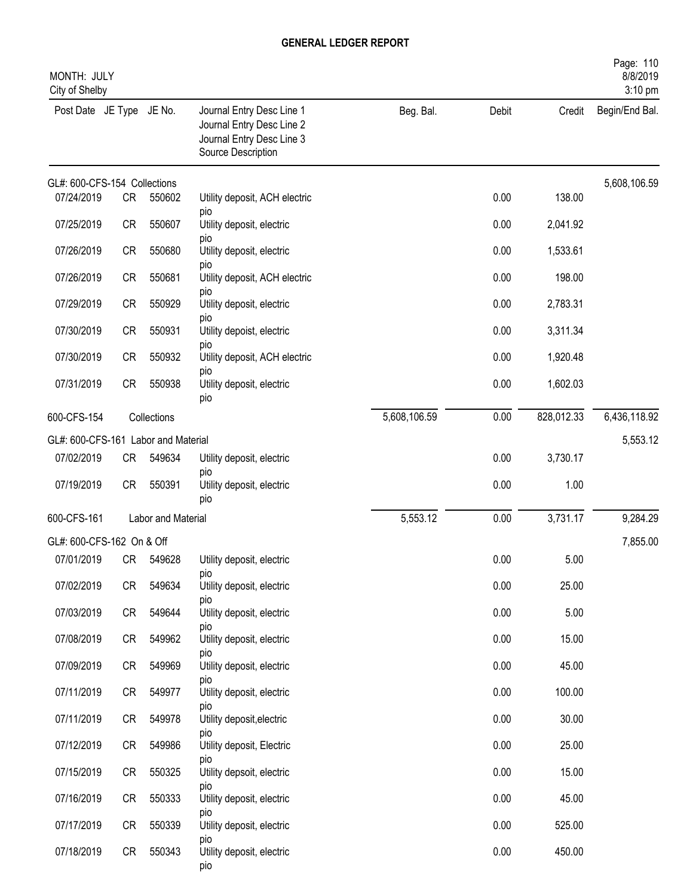| MONTH: JULY<br>City of Shelby       |           |                    |                                                                                                           |              |       |            | Page: 110<br>8/8/2019<br>3:10 pm |
|-------------------------------------|-----------|--------------------|-----------------------------------------------------------------------------------------------------------|--------------|-------|------------|----------------------------------|
| Post Date JE Type JE No.            |           |                    | Journal Entry Desc Line 1<br>Journal Entry Desc Line 2<br>Journal Entry Desc Line 3<br>Source Description | Beg. Bal.    | Debit | Credit     | Begin/End Bal.                   |
| GL#: 600-CFS-154 Collections        |           |                    |                                                                                                           |              |       |            | 5,608,106.59                     |
| 07/24/2019                          | CR        | 550602             | Utility deposit, ACH electric<br>pio                                                                      |              | 0.00  | 138.00     |                                  |
| 07/25/2019                          | <b>CR</b> | 550607             | Utility deposit, electric                                                                                 |              | 0.00  | 2,041.92   |                                  |
| 07/26/2019                          | <b>CR</b> | 550680             | pio<br>Utility deposit, electric                                                                          |              | 0.00  | 1,533.61   |                                  |
| 07/26/2019                          | <b>CR</b> | 550681             | pio<br>Utility deposit, ACH electric                                                                      |              | 0.00  | 198.00     |                                  |
| 07/29/2019                          | <b>CR</b> | 550929             | pio<br>Utility deposit, electric                                                                          |              | 0.00  | 2,783.31   |                                  |
| 07/30/2019                          | <b>CR</b> | 550931             | pio<br>Utility depoist, electric                                                                          |              | 0.00  | 3,311.34   |                                  |
| 07/30/2019                          | <b>CR</b> | 550932             | pio<br>Utility deposit, ACH electric                                                                      |              | 0.00  | 1,920.48   |                                  |
| 07/31/2019                          | <b>CR</b> | 550938             | pio<br>Utility deposit, electric<br>pio                                                                   |              | 0.00  | 1,602.03   |                                  |
| 600-CFS-154                         |           | Collections        |                                                                                                           | 5,608,106.59 | 0.00  | 828,012.33 | 6,436,118.92                     |
| GL#: 600-CFS-161 Labor and Material |           |                    |                                                                                                           |              |       |            | 5,553.12                         |
| 07/02/2019                          | CR        | 549634             | Utility deposit, electric                                                                                 |              | 0.00  | 3,730.17   |                                  |
| 07/19/2019                          | <b>CR</b> | 550391             | pio<br>Utility deposit, electric<br>pio                                                                   |              | 0.00  | 1.00       |                                  |
| 600-CFS-161                         |           | Labor and Material |                                                                                                           | 5,553.12     | 0.00  | 3,731.17   | 9,284.29                         |
| GL#: 600-CFS-162 On & Off           |           |                    |                                                                                                           |              |       |            | 7,855.00                         |
| 07/01/2019                          |           | CR 549628          | Utility deposit, electric                                                                                 |              | 0.00  | 5.00       |                                  |
| 07/02/2019                          | <b>CR</b> | 549634             | pio<br>Utility deposit, electric<br>pio                                                                   |              | 0.00  | 25.00      |                                  |
| 07/03/2019                          | CR        | 549644             | Utility deposit, electric                                                                                 |              | 0.00  | 5.00       |                                  |
| 07/08/2019                          | CR        | 549962             | pio<br>Utility deposit, electric                                                                          |              | 0.00  | 15.00      |                                  |
| 07/09/2019                          | CR        | 549969             | pio<br>Utility deposit, electric                                                                          |              | 0.00  | 45.00      |                                  |
| 07/11/2019                          | CR        | 549977             | pio<br>Utility deposit, electric                                                                          |              | 0.00  | 100.00     |                                  |
| 07/11/2019                          | CR        | 549978             | pio<br>Utility deposit, electric                                                                          |              | 0.00  | 30.00      |                                  |
| 07/12/2019                          | CR        | 549986             | pio<br>Utility deposit, Electric                                                                          |              | 0.00  | 25.00      |                                  |
| 07/15/2019                          | CR        | 550325             | pio<br>Utility depsoit, electric                                                                          |              | 0.00  | 15.00      |                                  |
| 07/16/2019                          | CR        | 550333             | pio<br>Utility deposit, electric                                                                          |              | 0.00  | 45.00      |                                  |
| 07/17/2019                          | CR        | 550339             | pio<br>Utility deposit, electric                                                                          |              | 0.00  | 525.00     |                                  |
| 07/18/2019                          | CR        | 550343             | pio<br>Utility deposit, electric<br>pio                                                                   |              | 0.00  | 450.00     |                                  |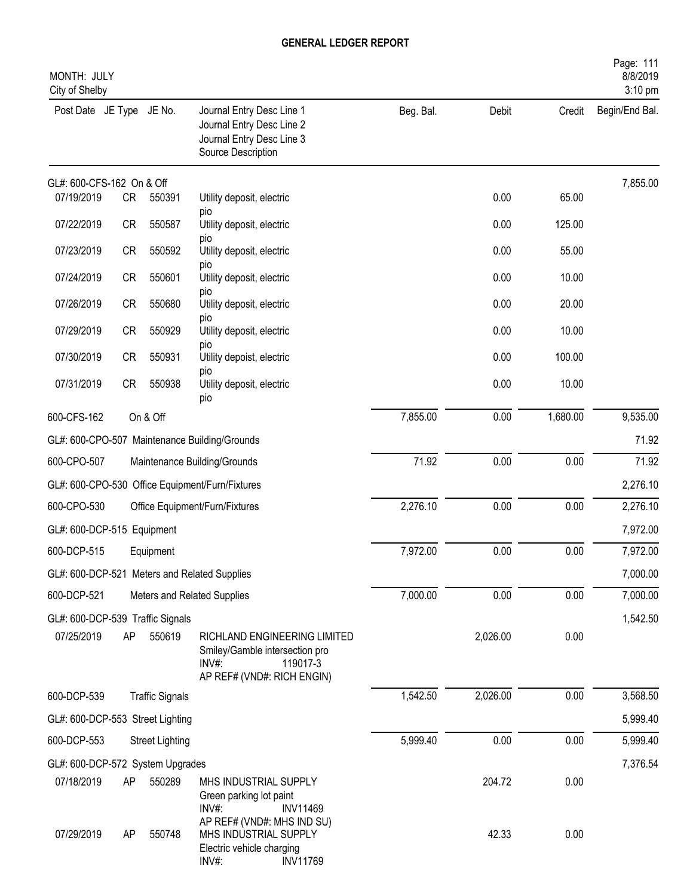| MONTH: JULY<br>City of Shelby    |           |                        |                                                                                                                   |           |          |          | Page: 111<br>8/8/2019<br>3:10 pm |
|----------------------------------|-----------|------------------------|-------------------------------------------------------------------------------------------------------------------|-----------|----------|----------|----------------------------------|
| Post Date JE Type JE No.         |           |                        | Journal Entry Desc Line 1<br>Journal Entry Desc Line 2<br>Journal Entry Desc Line 3<br>Source Description         | Beg. Bal. | Debit    | Credit   | Begin/End Bal.                   |
| GL#: 600-CFS-162 On & Off        |           |                        |                                                                                                                   |           |          |          | 7,855.00                         |
| 07/19/2019                       | CR        | 550391                 | Utility deposit, electric<br>pio                                                                                  |           | 0.00     | 65.00    |                                  |
| 07/22/2019                       | <b>CR</b> | 550587                 | Utility deposit, electric                                                                                         |           | 0.00     | 125.00   |                                  |
| 07/23/2019                       | <b>CR</b> | 550592                 | pio<br>Utility deposit, electric                                                                                  |           | 0.00     | 55.00    |                                  |
| 07/24/2019                       | <b>CR</b> | 550601                 | pio<br>Utility deposit, electric                                                                                  |           | 0.00     | 10.00    |                                  |
| 07/26/2019                       | <b>CR</b> | 550680                 | pio<br>Utility deposit, electric<br>pio                                                                           |           | 0.00     | 20.00    |                                  |
| 07/29/2019                       | <b>CR</b> | 550929                 | Utility deposit, electric                                                                                         |           | 0.00     | 10.00    |                                  |
| 07/30/2019                       | <b>CR</b> | 550931                 | pio<br>Utility depoist, electric                                                                                  |           | 0.00     | 100.00   |                                  |
| 07/31/2019                       | CR        | 550938                 | pio<br>Utility deposit, electric<br>pio                                                                           |           | 0.00     | 10.00    |                                  |
| 600-CFS-162                      |           | On & Off               |                                                                                                                   | 7,855.00  | 0.00     | 1,680.00 | 9,535.00                         |
|                                  |           |                        | GL#: 600-CPO-507 Maintenance Building/Grounds                                                                     |           |          |          | 71.92                            |
| 600-CPO-507                      |           |                        | Maintenance Building/Grounds                                                                                      | 71.92     | 0.00     | 0.00     | 71.92                            |
|                                  |           |                        | GL#: 600-CPO-530 Office Equipment/Furn/Fixtures                                                                   |           |          |          | 2,276.10                         |
| 600-CPO-530                      |           |                        | Office Equipment/Furn/Fixtures                                                                                    | 2,276.10  | 0.00     | 0.00     | 2,276.10                         |
| GL#: 600-DCP-515 Equipment       |           |                        |                                                                                                                   |           |          |          | 7,972.00                         |
| 600-DCP-515                      |           | Equipment              |                                                                                                                   | 7,972.00  | 0.00     | 0.00     | 7,972.00                         |
|                                  |           |                        | GL#: 600-DCP-521 Meters and Related Supplies                                                                      |           |          |          | 7,000.00                         |
| 600-DCP-521                      |           |                        | Meters and Related Supplies                                                                                       | 7,000.00  | 0.00     | 0.00     | 7,000.00                         |
| GL#: 600-DCP-539 Traffic Signals |           |                        |                                                                                                                   |           |          |          | 1,542.50                         |
| 07/25/2019                       | AP        | 550619                 | RICHLAND ENGINEERING LIMITED<br>Smiley/Gamble intersection pro<br>INV#:<br>119017-3<br>AP REF# (VND#: RICH ENGIN) |           | 2,026.00 | 0.00     |                                  |
| 600-DCP-539                      |           | <b>Traffic Signals</b> |                                                                                                                   | 1,542.50  | 2,026.00 | 0.00     | 3,568.50                         |
| GL#: 600-DCP-553 Street Lighting |           |                        |                                                                                                                   |           |          |          | 5,999.40                         |
| 600-DCP-553                      |           | <b>Street Lighting</b> |                                                                                                                   | 5,999.40  | 0.00     | 0.00     | 5,999.40                         |
| GL#: 600-DCP-572 System Upgrades |           |                        |                                                                                                                   |           |          |          | 7,376.54                         |
| 07/18/2019                       | AP        | 550289                 | MHS INDUSTRIAL SUPPLY<br>Green parking lot paint<br>INV#:<br><b>INV11469</b>                                      |           | 204.72   | 0.00     |                                  |
| 07/29/2019                       | AP        | 550748                 | AP REF# (VND#: MHS IND SU)<br>MHS INDUSTRIAL SUPPLY<br>Electric vehicle charging<br><b>INV11769</b><br>INV#:      |           | 42.33    | 0.00     |                                  |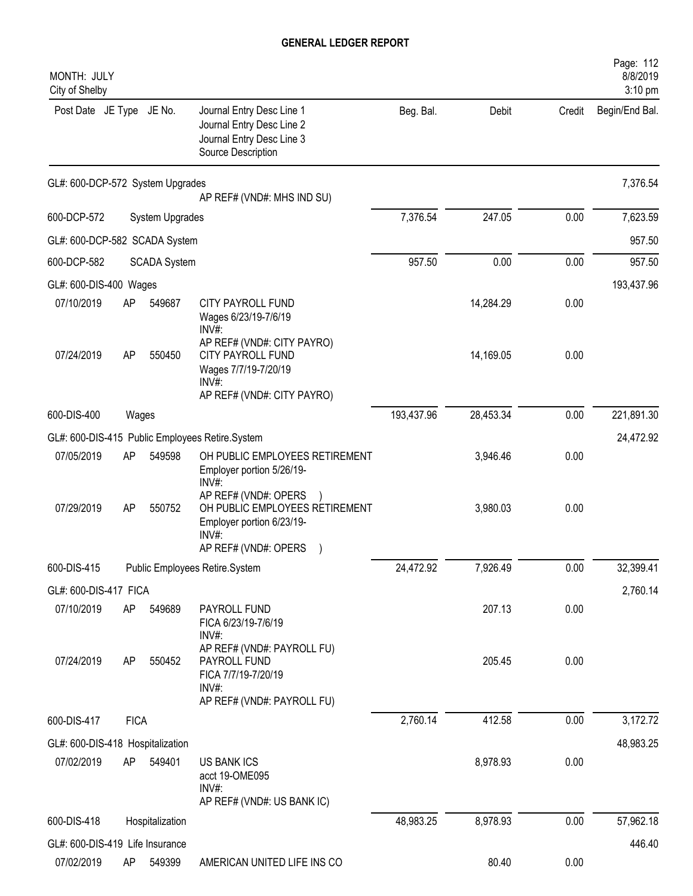| MONTH: JULY<br>City of Shelby                  |             |                     |                                                                                                                          |            |           |        | Page: 112<br>8/8/2019<br>3:10 pm |
|------------------------------------------------|-------------|---------------------|--------------------------------------------------------------------------------------------------------------------------|------------|-----------|--------|----------------------------------|
| Post Date JE Type JE No.                       |             |                     | Journal Entry Desc Line 1<br>Journal Entry Desc Line 2<br>Journal Entry Desc Line 3<br>Source Description                | Beg. Bal.  | Debit     | Credit | Begin/End Bal.                   |
| GL#: 600-DCP-572 System Upgrades               |             |                     | AP REF# (VND#: MHS IND SU)                                                                                               |            |           |        | 7,376.54                         |
| 600-DCP-572                                    |             | System Upgrades     |                                                                                                                          | 7,376.54   | 247.05    | 0.00   | 7,623.59                         |
| GL#: 600-DCP-582 SCADA System                  |             |                     |                                                                                                                          |            |           |        | 957.50                           |
| 600-DCP-582                                    |             | <b>SCADA System</b> |                                                                                                                          | 957.50     | 0.00      | 0.00   | 957.50                           |
| GL#: 600-DIS-400 Wages                         |             |                     |                                                                                                                          |            |           |        | 193,437.96                       |
| 07/10/2019                                     | AP          | 549687              | <b>CITY PAYROLL FUND</b><br>Wages 6/23/19-7/6/19<br>$INV#$ :                                                             |            | 14,284.29 | 0.00   |                                  |
| 07/24/2019                                     | AP          | 550450              | AP REF# (VND#: CITY PAYRO)<br><b>CITY PAYROLL FUND</b><br>Wages 7/7/19-7/20/19<br>$INV#$ :<br>AP REF# (VND#: CITY PAYRO) |            | 14,169.05 | 0.00   |                                  |
| 600-DIS-400                                    | Wages       |                     |                                                                                                                          | 193,437.96 | 28,453.34 | 0.00   | 221,891.30                       |
|                                                |             |                     | GL#: 600-DIS-415 Public Employees Retire.System                                                                          |            |           |        | 24,472.92                        |
| 07/05/2019                                     | AP          | 549598              | OH PUBLIC EMPLOYEES RETIREMENT<br>Employer portion 5/26/19-<br>INV#                                                      |            | 3,946.46  | 0.00   |                                  |
| 07/29/2019                                     | AP          | 550752              | AP REF# (VND#: OPERS<br>OH PUBLIC EMPLOYEES RETIREMENT<br>Employer portion 6/23/19-<br>INV#:<br>AP REF# (VND#: OPERS     |            | 3,980.03  | 0.00   |                                  |
| 600-DIS-415                                    |             |                     | Public Employees Retire.System                                                                                           | 24,472.92  | 7,926.49  | 0.00   | 32,399.41                        |
| GL#: 600-DIS-417 FICA                          |             |                     |                                                                                                                          |            |           |        | 2,760.14                         |
| 07/10/2019                                     | AP          | 549689              | PAYROLL FUND<br>FICA 6/23/19-7/6/19<br>INV#:                                                                             |            | 207.13    | 0.00   |                                  |
| 07/24/2019                                     | AP          | 550452              | AP REF# (VND#: PAYROLL FU)<br>PAYROLL FUND<br>FICA 7/7/19-7/20/19<br>$INV#$ :                                            |            | 205.45    | 0.00   |                                  |
|                                                |             |                     | AP REF# (VND#: PAYROLL FU)                                                                                               |            |           |        |                                  |
| 600-DIS-417                                    | <b>FICA</b> |                     |                                                                                                                          | 2,760.14   | 412.58    | 0.00   | 3,172.72                         |
| GL#: 600-DIS-418 Hospitalization<br>07/02/2019 | AP          | 549401              | <b>US BANK ICS</b><br>acct 19-OME095<br>INV#:                                                                            |            | 8,978.93  | 0.00   | 48,983.25                        |
|                                                |             |                     | AP REF# (VND#: US BANK IC)                                                                                               |            |           |        |                                  |
| 600-DIS-418                                    |             | Hospitalization     |                                                                                                                          | 48,983.25  | 8,978.93  | 0.00   | 57,962.18                        |
| GL#: 600-DIS-419 Life Insurance                |             |                     |                                                                                                                          |            |           |        | 446.40                           |
| 07/02/2019                                     | AP          | 549399              | AMERICAN UNITED LIFE INS CO                                                                                              |            | 80.40     | 0.00   |                                  |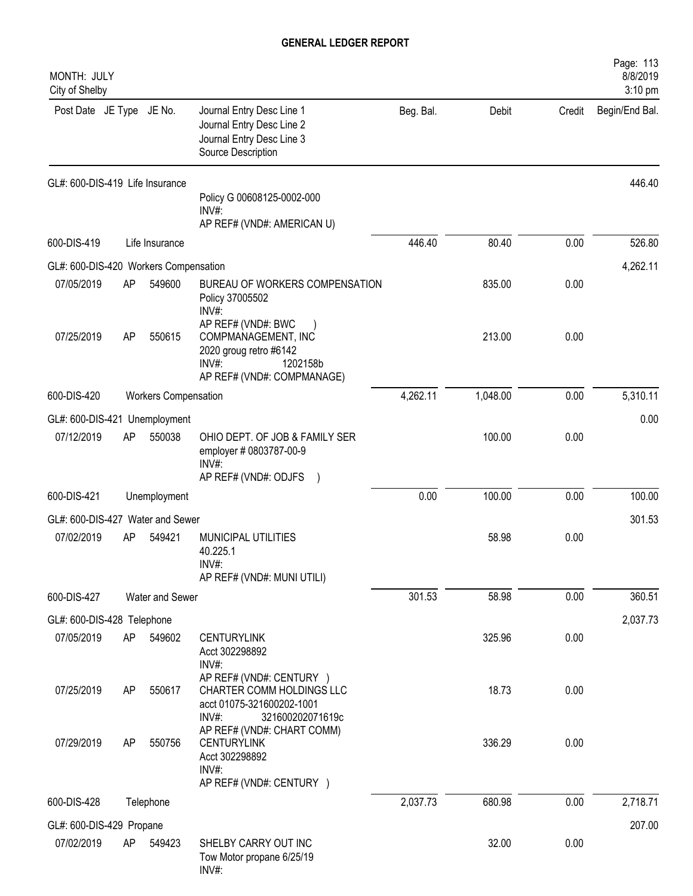| MONTH: JULY<br>City of Shelby         |    |                             |                                                                                                                        |           |          |        | Page: 113<br>8/8/2019<br>3:10 pm |
|---------------------------------------|----|-----------------------------|------------------------------------------------------------------------------------------------------------------------|-----------|----------|--------|----------------------------------|
| Post Date JE Type JE No.              |    |                             | Journal Entry Desc Line 1<br>Journal Entry Desc Line 2<br>Journal Entry Desc Line 3<br>Source Description              | Beg. Bal. | Debit    | Credit | Begin/End Bal.                   |
| GL#: 600-DIS-419 Life Insurance       |    |                             | Policy G 00608125-0002-000                                                                                             |           |          |        | 446.40                           |
|                                       |    |                             | $INV#$ :<br>AP REF# (VND#: AMERICAN U)                                                                                 |           |          |        |                                  |
| 600-DIS-419                           |    | Life Insurance              |                                                                                                                        | 446.40    | 80.40    | 0.00   | 526.80                           |
| GL#: 600-DIS-420 Workers Compensation |    |                             |                                                                                                                        |           |          |        | 4,262.11                         |
| 07/05/2019                            | AP | 549600                      | BUREAU OF WORKERS COMPENSATION<br>Policy 37005502<br>INV#:                                                             |           | 835.00   | 0.00   |                                  |
| 07/25/2019                            | AP | 550615                      | AP REF# (VND#: BWC<br>COMPMANAGEMENT, INC<br>2020 groug retro #6142<br>INV#:<br>1202158b<br>AP REF# (VND#: COMPMANAGE) |           | 213.00   | 0.00   |                                  |
| 600-DIS-420                           |    | <b>Workers Compensation</b> |                                                                                                                        | 4,262.11  | 1,048.00 | 0.00   | 5,310.11                         |
| GL#: 600-DIS-421                      |    | Unemployment                |                                                                                                                        |           |          |        | 0.00                             |
| 07/12/2019                            | AP | 550038                      | OHIO DEPT. OF JOB & FAMILY SER<br>employer # 0803787-00-9<br>$INV#$ :                                                  |           | 100.00   | 0.00   |                                  |
|                                       |    |                             | AP REF# (VND#: ODJFS                                                                                                   |           |          |        |                                  |
| 600-DIS-421                           |    | Unemployment                |                                                                                                                        | 0.00      | 100.00   | 0.00   | 100.00                           |
| GL#: 600-DIS-427                      |    | Water and Sewer             |                                                                                                                        |           |          |        | 301.53                           |
| 07/02/2019                            | AP | 549421                      | MUNICIPAL UTILITIES<br>40.225.1<br>INV#<br>AP REF# (VND#: MUNI UTILI)                                                  |           | 58.98    | 0.00   |                                  |
| 600-DIS-427                           |    | Water and Sewer             |                                                                                                                        | 301.53    | 58.98    | 0.00   | 360.51                           |
| GL#: 600-DIS-428 Telephone            |    |                             |                                                                                                                        |           |          |        | 2,037.73                         |
| 07/05/2019                            | AP | 549602                      | <b>CENTURYLINK</b><br>Acct 302298892<br>INV#:                                                                          |           | 325.96   | 0.00   |                                  |
| 07/25/2019                            | AP | 550617                      | AP REF# (VND#: CENTURY )<br>CHARTER COMM HOLDINGS LLC<br>acct 01075-321600202-1001<br>INV#:<br>321600202071619c        |           | 18.73    | 0.00   |                                  |
| 07/29/2019                            | AP | 550756                      | AP REF# (VND#: CHART COMM)<br><b>CENTURYLINK</b><br>Acct 302298892<br>INV#:<br>AP REF# (VND#: CENTURY )                |           | 336.29   | 0.00   |                                  |
| 600-DIS-428                           |    | Telephone                   |                                                                                                                        | 2,037.73  | 680.98   | 0.00   | 2,718.71                         |
| GL#: 600-DIS-429 Propane              |    |                             |                                                                                                                        |           |          |        | 207.00                           |
| 07/02/2019                            | AP | 549423                      | SHELBY CARRY OUT INC<br>Tow Motor propane 6/25/19<br>INV#:                                                             |           | 32.00    | 0.00   |                                  |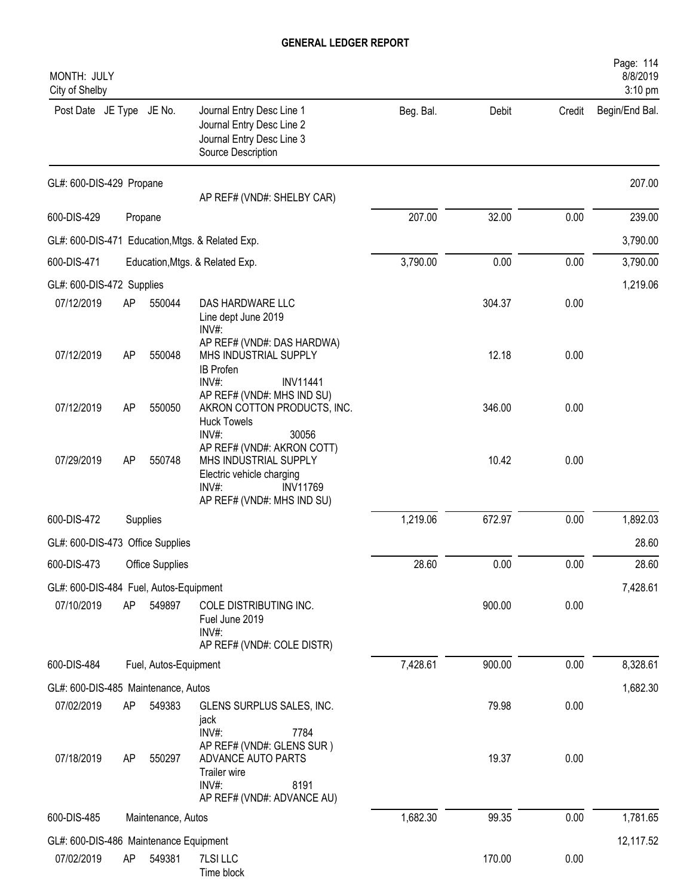| MONTH: JULY<br>City of Shelby          |    |                       |                                                                                                                                               |           |        |        | Page: 114<br>8/8/2019<br>3:10 pm |
|----------------------------------------|----|-----------------------|-----------------------------------------------------------------------------------------------------------------------------------------------|-----------|--------|--------|----------------------------------|
| Post Date JE Type JE No.               |    |                       | Journal Entry Desc Line 1<br>Journal Entry Desc Line 2<br>Journal Entry Desc Line 3<br>Source Description                                     | Beg. Bal. | Debit  | Credit | Begin/End Bal.                   |
| GL#: 600-DIS-429 Propane               |    |                       | AP REF# (VND#: SHELBY CAR)                                                                                                                    |           |        |        | 207.00                           |
| 600-DIS-429                            |    | Propane               |                                                                                                                                               | 207.00    | 32.00  | 0.00   | 239.00                           |
|                                        |    |                       | GL#: 600-DIS-471 Education, Mtgs. & Related Exp.                                                                                              |           |        |        | 3,790.00                         |
| 600-DIS-471                            |    |                       | Education, Mtgs. & Related Exp.                                                                                                               | 3,790.00  | 0.00   | 0.00   | 3,790.00                         |
| GL#: 600-DIS-472 Supplies              |    |                       |                                                                                                                                               |           |        |        | 1,219.06                         |
| 07/12/2019                             | AP | 550044                | DAS HARDWARE LLC<br>Line dept June 2019<br>INV#:                                                                                              |           | 304.37 | 0.00   |                                  |
| 07/12/2019                             | AP | 550048                | AP REF# (VND#: DAS HARDWA)<br>MHS INDUSTRIAL SUPPLY<br><b>IB Profen</b><br>INV#:<br><b>INV11441</b>                                           |           | 12.18  | 0.00   |                                  |
| 07/12/2019                             | AP | 550050                | AP REF# (VND#: MHS IND SU)<br>AKRON COTTON PRODUCTS, INC.<br><b>Huck Towels</b><br>30056<br>$INV#$ :                                          |           | 346.00 | 0.00   |                                  |
| 07/29/2019                             | AP | 550748                | AP REF# (VND#: AKRON COTT)<br>MHS INDUSTRIAL SUPPLY<br>Electric vehicle charging<br>$INV#$ :<br><b>INV11769</b><br>AP REF# (VND#: MHS IND SU) |           | 10.42  | 0.00   |                                  |
| 600-DIS-472                            |    | Supplies              |                                                                                                                                               | 1,219.06  | 672.97 | 0.00   | 1,892.03                         |
| GL#: 600-DIS-473 Office Supplies       |    |                       |                                                                                                                                               |           |        |        | 28.60                            |
| 600-DIS-473                            |    | Office Supplies       |                                                                                                                                               | 28.60     | 0.00   | 0.00   | 28.60                            |
| GL#: 600-DIS-484 Fuel, Autos-Equipment |    |                       |                                                                                                                                               |           |        |        | 7,428.61                         |
| 07/10/2019                             | AP | 549897                | COLE DISTRIBUTING INC.<br>Fuel June 2019<br>INV#:<br>AP REF# (VND#: COLE DISTR)                                                               |           | 900.00 | 0.00   |                                  |
| 600-DIS-484                            |    | Fuel, Autos-Equipment |                                                                                                                                               | 7,428.61  | 900.00 | 0.00   | 8,328.61                         |
| GL#: 600-DIS-485 Maintenance, Autos    |    |                       |                                                                                                                                               |           |        |        | 1,682.30                         |
| 07/02/2019                             | AP | 549383                | GLENS SURPLUS SALES, INC.<br>jack<br>INV#:<br>7784                                                                                            |           | 79.98  | 0.00   |                                  |
| 07/18/2019                             | AP | 550297                | AP REF# (VND#: GLENS SUR)<br>ADVANCE AUTO PARTS<br>Trailer wire<br>INV#:<br>8191<br>AP REF# (VND#: ADVANCE AU)                                |           | 19.37  | 0.00   |                                  |
| 600-DIS-485                            |    | Maintenance, Autos    |                                                                                                                                               | 1,682.30  | 99.35  | 0.00   | 1,781.65                         |
| GL#: 600-DIS-486 Maintenance Equipment |    |                       |                                                                                                                                               |           |        |        | 12,117.52                        |
| 07/02/2019                             | AP | 549381                | 7LSI LLC<br>Time block                                                                                                                        |           | 170.00 | 0.00   |                                  |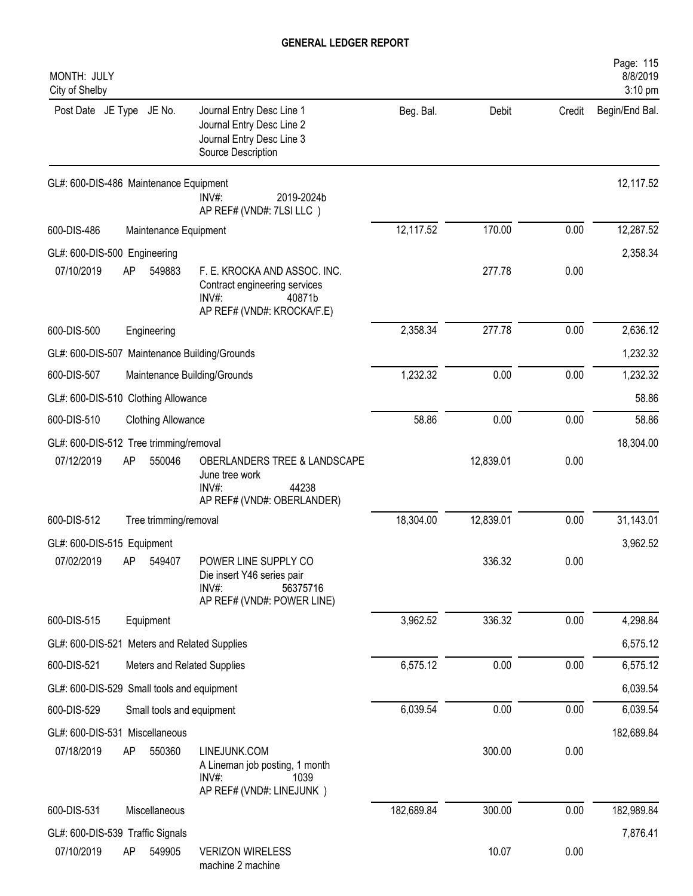| MONTH: JULY<br>City of Shelby                 |                              |                                                                                                           |            |           |        | Page: 115<br>8/8/2019<br>3:10 pm |
|-----------------------------------------------|------------------------------|-----------------------------------------------------------------------------------------------------------|------------|-----------|--------|----------------------------------|
| Post Date JE Type JE No.                      |                              | Journal Entry Desc Line 1<br>Journal Entry Desc Line 2<br>Journal Entry Desc Line 3<br>Source Description | Beg. Bal.  | Debit     | Credit | Begin/End Bal.                   |
| GL#: 600-DIS-486 Maintenance Equipment        | $INV#$ :                     | 2019-2024b<br>AP REF# (VND#: 7LSI LLC)                                                                    |            |           |        | 12,117.52                        |
| 600-DIS-486                                   | Maintenance Equipment        |                                                                                                           | 12,117.52  | 170.00    | 0.00   | 12,287.52                        |
| GL#: 600-DIS-500 Engineering                  |                              |                                                                                                           |            |           |        | 2,358.34                         |
| 07/10/2019<br>AP                              | 549883<br>$INV#$ :           | F. E. KROCKA AND ASSOC. INC.<br>Contract engineering services<br>40871b<br>AP REF# (VND#: KROCKA/F.E)     |            | 277.78    | 0.00   |                                  |
| 600-DIS-500<br>Engineering                    |                              |                                                                                                           | 2,358.34   | 277.78    | 0.00   | 2,636.12                         |
| GL#: 600-DIS-507 Maintenance Building/Grounds |                              |                                                                                                           |            |           |        | 1,232.32                         |
| 600-DIS-507                                   | Maintenance Building/Grounds |                                                                                                           | 1,232.32   | 0.00      | 0.00   | 1,232.32                         |
| GL#: 600-DIS-510 Clothing Allowance           |                              |                                                                                                           |            |           |        | 58.86                            |
| 600-DIS-510                                   | <b>Clothing Allowance</b>    |                                                                                                           | 58.86      | 0.00      | 0.00   | 58.86                            |
| GL#: 600-DIS-512 Tree trimming/removal        |                              |                                                                                                           |            |           |        | 18,304.00                        |
| 07/12/2019<br>AP                              | 550046<br>$INV#$ :           | OBERLANDERS TREE & LANDSCAPE<br>June tree work<br>44238<br>AP REF# (VND#: OBERLANDER)                     |            | 12,839.01 | 0.00   |                                  |
| 600-DIS-512                                   | Tree trimming/removal        |                                                                                                           | 18,304.00  | 12,839.01 | 0.00   | 31,143.01                        |
| GL#: 600-DIS-515 Equipment                    |                              |                                                                                                           |            |           |        | 3,962.52                         |
| 07/02/2019<br>AP 549407                       | INV#:                        | POWER LINE SUPPLY CO<br>Die insert Y46 series pair<br>56375716<br>AP REF# (VND#: POWER LINE)              |            | 336.32    | 0.00   |                                  |
| 600-DIS-515<br>Equipment                      |                              |                                                                                                           | 3,962.52   | 336.32    | 0.00   | 4,298.84                         |
| GL#: 600-DIS-521 Meters and Related Supplies  |                              |                                                                                                           |            |           |        | 6,575.12                         |
| 600-DIS-521                                   | Meters and Related Supplies  |                                                                                                           | 6,575.12   | 0.00      | 0.00   | 6,575.12                         |
| GL#: 600-DIS-529 Small tools and equipment    |                              |                                                                                                           |            |           |        | 6,039.54                         |
| 600-DIS-529                                   | Small tools and equipment    |                                                                                                           | 6,039.54   | 0.00      | 0.00   | 6,039.54                         |
| GL#: 600-DIS-531 Miscellaneous                |                              |                                                                                                           |            |           |        | 182,689.84                       |
| 07/18/2019<br>AP                              | 550360<br>$INV#$ :           | LINEJUNK.COM<br>A Lineman job posting, 1 month<br>1039<br>AP REF# (VND#: LINEJUNK)                        |            | 300.00    | 0.00   |                                  |
| 600-DIS-531                                   | Miscellaneous                |                                                                                                           | 182,689.84 | 300.00    | 0.00   | 182,989.84                       |
| GL#: 600-DIS-539 Traffic Signals              |                              |                                                                                                           |            |           |        | 7,876.41                         |
| 07/10/2019<br>AP                              | 549905                       | <b>VERIZON WIRELESS</b><br>machine 2 machine                                                              |            | 10.07     | 0.00   |                                  |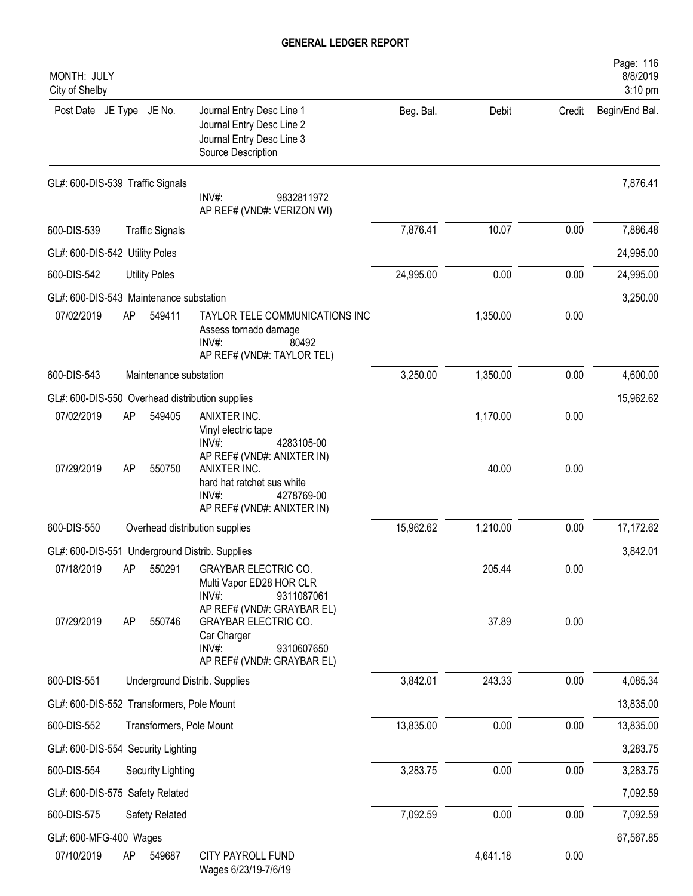| MONTH: JULY<br>City of Shelby             |           |                          |                                                                                                                 |           |          |        | Page: 116<br>8/8/2019<br>3:10 pm |
|-------------------------------------------|-----------|--------------------------|-----------------------------------------------------------------------------------------------------------------|-----------|----------|--------|----------------------------------|
| Post Date JE Type JE No.                  |           |                          | Journal Entry Desc Line 1<br>Journal Entry Desc Line 2<br>Journal Entry Desc Line 3<br>Source Description       | Beg. Bal. | Debit    | Credit | Begin/End Bal.                   |
| GL#: 600-DIS-539 Traffic Signals          |           |                          | INV#:<br>9832811972<br>AP REF# (VND#: VERIZON WI)                                                               |           |          |        | 7,876.41                         |
| 600-DIS-539                               |           | <b>Traffic Signals</b>   |                                                                                                                 | 7,876.41  | 10.07    | 0.00   | 7,886.48                         |
| GL#: 600-DIS-542 Utility Poles            |           |                          |                                                                                                                 |           |          |        | 24,995.00                        |
| 600-DIS-542                               |           | <b>Utility Poles</b>     |                                                                                                                 | 24,995.00 | 0.00     | 0.00   | 24,995.00                        |
| GL#: 600-DIS-543 Maintenance substation   |           |                          |                                                                                                                 |           |          |        | 3,250.00                         |
| 07/02/2019                                | AP        | 549411                   | TAYLOR TELE COMMUNICATIONS INC<br>Assess tornado damage<br>$INV#$ :<br>80492<br>AP REF# (VND#: TAYLOR TEL)      |           | 1,350.00 | 0.00   |                                  |
| 600-DIS-543                               |           | Maintenance substation   |                                                                                                                 | 3,250.00  | 1,350.00 | 0.00   | 4,600.00                         |
|                                           |           |                          | GL#: 600-DIS-550 Overhead distribution supplies                                                                 |           |          |        | 15,962.62                        |
| 07/02/2019                                | AP        | 549405                   | ANIXTER INC.<br>Vinyl electric tape<br>INV#:<br>4283105-00<br>AP REF# (VND#: ANIXTER IN)                        |           | 1,170.00 | 0.00   |                                  |
| 07/29/2019                                | <b>AP</b> | 550750                   | ANIXTER INC.<br>hard hat ratchet sus white<br>$INV#$ :<br>4278769-00<br>AP REF# (VND#: ANIXTER IN)              |           | 40.00    | 0.00   |                                  |
| 600-DIS-550                               |           |                          | Overhead distribution supplies                                                                                  | 15,962.62 | 1,210.00 | 0.00   | 17,172.62                        |
|                                           |           |                          | GL#: 600-DIS-551 Underground Distrib. Supplies                                                                  |           |          |        | 3,842.01                         |
| 07/18/2019                                | AP        | 550291                   | <b>GRAYBAR ELECTRIC CO.</b><br>Multi Vapor ED28 HOR CLR<br>$INV#$ :<br>9311087061<br>AP REF# (VND#: GRAYBAR EL) |           | 205.44   | 0.00   |                                  |
| 07/29/2019                                | AP        | 550746                   | <b>GRAYBAR ELECTRIC CO.</b><br>Car Charger<br>INV#:<br>9310607650<br>AP REF# (VND#: GRAYBAR EL)                 |           | 37.89    | 0.00   |                                  |
| 600-DIS-551                               |           |                          | Underground Distrib. Supplies                                                                                   | 3,842.01  | 243.33   | 0.00   | 4,085.34                         |
| GL#: 600-DIS-552 Transformers, Pole Mount |           |                          |                                                                                                                 |           |          |        | 13,835.00                        |
| 600-DIS-552                               |           | Transformers, Pole Mount |                                                                                                                 | 13,835.00 | 0.00     | 0.00   | 13,835.00                        |
| GL#: 600-DIS-554 Security Lighting        |           |                          |                                                                                                                 |           |          |        | 3,283.75                         |
| 600-DIS-554                               |           | Security Lighting        |                                                                                                                 | 3,283.75  | 0.00     | 0.00   | 3,283.75                         |
| GL#: 600-DIS-575 Safety Related           |           |                          |                                                                                                                 |           |          |        | 7,092.59                         |
| 600-DIS-575                               |           | Safety Related           |                                                                                                                 | 7,092.59  | 0.00     | 0.00   | 7,092.59                         |
| GL#: 600-MFG-400 Wages<br>07/10/2019      | AP        | 549687                   | CITY PAYROLL FUND<br>Wages 6/23/19-7/6/19                                                                       |           | 4,641.18 | 0.00   | 67,567.85                        |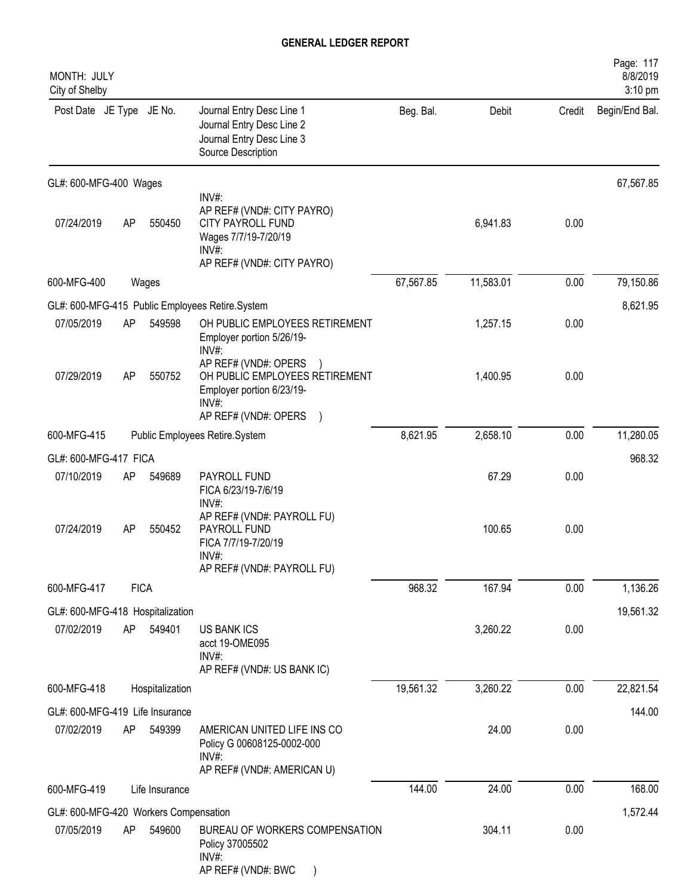| MONTH: JULY<br>City of Shelby                       |             |                 |                                                                                                                                |           |           |        | Page: 117<br>8/8/2019<br>3:10 pm |
|-----------------------------------------------------|-------------|-----------------|--------------------------------------------------------------------------------------------------------------------------------|-----------|-----------|--------|----------------------------------|
| Post Date JE Type JE No.                            |             |                 | Journal Entry Desc Line 1<br>Journal Entry Desc Line 2<br>Journal Entry Desc Line 3<br>Source Description                      | Beg. Bal. | Debit     | Credit | Begin/End Bal.                   |
| GL#: 600-MFG-400 Wages                              |             |                 |                                                                                                                                |           |           |        | 67,567.85                        |
| 07/24/2019                                          | AP          | 550450          | INV#:<br>AP REF# (VND#: CITY PAYRO)<br><b>CITY PAYROLL FUND</b><br>Wages 7/7/19-7/20/19<br>INV#:<br>AP REF# (VND#: CITY PAYRO) |           | 6,941.83  | 0.00   |                                  |
| 600-MFG-400                                         |             | Wages           |                                                                                                                                | 67,567.85 | 11,583.01 | 0.00   | 79,150.86                        |
|                                                     |             |                 | GL#: 600-MFG-415 Public Employees Retire.System                                                                                |           |           |        | 8,621.95                         |
| 07/05/2019                                          | AP          | 549598          | OH PUBLIC EMPLOYEES RETIREMENT<br>Employer portion 5/26/19-<br>INV#:                                                           |           | 1,257.15  | 0.00   |                                  |
| 07/29/2019                                          | AP          | 550752          | AP REF# (VND#: OPERS<br>OH PUBLIC EMPLOYEES RETIREMENT<br>Employer portion 6/23/19-<br>INV#<br>AP REF# (VND#: OPERS            |           | 1,400.95  | 0.00   |                                  |
| 600-MFG-415                                         |             |                 | Public Employees Retire.System                                                                                                 | 8,621.95  | 2,658.10  | 0.00   | 11,280.05                        |
| GL#: 600-MFG-417 FICA                               |             |                 |                                                                                                                                |           |           |        | 968.32                           |
| 07/10/2019                                          | AP          | 549689          | PAYROLL FUND<br>FICA 6/23/19-7/6/19<br>$INV#$ :                                                                                |           | 67.29     | 0.00   |                                  |
| 07/24/2019                                          | AP          | 550452          | AP REF# (VND#: PAYROLL FU)<br>PAYROLL FUND<br>FICA 7/7/19-7/20/19<br>INV#:<br>AP REF# (VND#: PAYROLL FU)                       |           | 100.65    | 0.00   |                                  |
| 600-MFG-417                                         | <b>FICA</b> |                 |                                                                                                                                | 968.32    | 167.94    | 0.00   | 1,136.26                         |
| GL#: 600-MFG-418 Hospitalization                    |             |                 |                                                                                                                                |           |           |        | 19,561.32                        |
| 07/02/2019                                          | AP          | 549401          | <b>US BANK ICS</b><br>acct 19-OME095<br>INV#:<br>AP REF# (VND#: US BANK IC)                                                    |           | 3,260.22  | 0.00   |                                  |
| 600-MFG-418                                         |             | Hospitalization |                                                                                                                                | 19,561.32 | 3,260.22  | 0.00   | 22,821.54                        |
| GL#: 600-MFG-419 Life Insurance                     |             |                 |                                                                                                                                |           |           |        | 144.00                           |
| 07/02/2019                                          | AP          | 549399          | AMERICAN UNITED LIFE INS CO<br>Policy G 00608125-0002-000<br>$INV#$ :<br>AP REF# (VND#: AMERICAN U)                            |           | 24.00     | 0.00   |                                  |
| 600-MFG-419                                         |             | Life Insurance  |                                                                                                                                | 144.00    | 24.00     | 0.00   | 168.00                           |
|                                                     |             |                 |                                                                                                                                |           |           |        |                                  |
| GL#: 600-MFG-420 Workers Compensation<br>07/05/2019 | AP          | 549600          | BUREAU OF WORKERS COMPENSATION<br>Policy 37005502<br>$INV#$ :<br>AP REF# (VND#: BWC                                            |           | 304.11    | 0.00   | 1,572.44                         |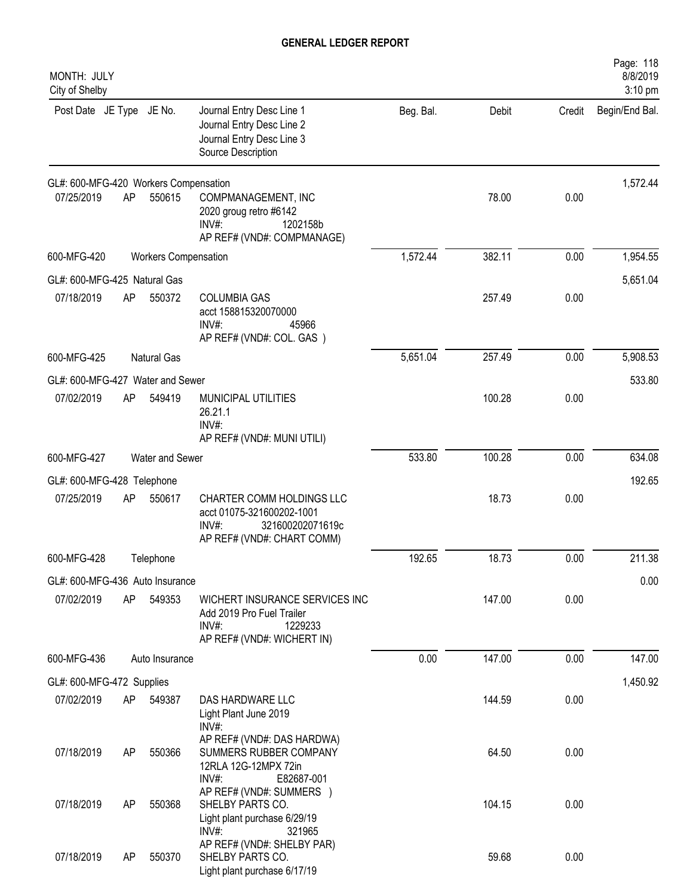| MONTH: JULY<br>City of Shelby         |    |                             |                                                                                                                      |           |        |        | Page: 118<br>8/8/2019<br>3:10 pm |
|---------------------------------------|----|-----------------------------|----------------------------------------------------------------------------------------------------------------------|-----------|--------|--------|----------------------------------|
| Post Date JE Type JE No.              |    |                             | Journal Entry Desc Line 1<br>Journal Entry Desc Line 2<br>Journal Entry Desc Line 3<br>Source Description            | Beg. Bal. | Debit  | Credit | Begin/End Bal.                   |
| GL#: 600-MFG-420 Workers Compensation |    |                             |                                                                                                                      |           |        |        | 1,572.44                         |
| 07/25/2019                            | AP | 550615                      | COMPMANAGEMENT, INC<br>2020 groug retro #6142<br>$INV#$ :<br>1202158b<br>AP REF# (VND#: COMPMANAGE)                  |           | 78.00  | 0.00   |                                  |
| 600-MFG-420                           |    | <b>Workers Compensation</b> |                                                                                                                      | 1,572.44  | 382.11 | 0.00   | 1,954.55                         |
| GL#: 600-MFG-425 Natural Gas          |    |                             |                                                                                                                      |           |        |        | 5,651.04                         |
| 07/18/2019                            | AP | 550372                      | <b>COLUMBIA GAS</b><br>acct 158815320070000<br>$INV#$ :<br>45966<br>AP REF# (VND#: COL. GAS)                         |           | 257.49 | 0.00   |                                  |
| 600-MFG-425                           |    | <b>Natural Gas</b>          |                                                                                                                      | 5,651.04  | 257.49 | 0.00   | 5,908.53                         |
| GL#: 600-MFG-427 Water and Sewer      |    |                             |                                                                                                                      |           |        |        | 533.80                           |
| 07/02/2019                            | AP | 549419                      | MUNICIPAL UTILITIES<br>26.21.1<br>INV#:<br>AP REF# (VND#: MUNI UTILI)                                                |           | 100.28 | 0.00   |                                  |
| 600-MFG-427                           |    | Water and Sewer             |                                                                                                                      | 533.80    | 100.28 | 0.00   | 634.08                           |
| GL#: 600-MFG-428 Telephone            |    |                             |                                                                                                                      |           |        |        | 192.65                           |
| 07/25/2019                            | AP | 550617                      | CHARTER COMM HOLDINGS LLC<br>acct 01075-321600202-1001<br>$INV#$ :<br>321600202071619c<br>AP REF# (VND#: CHART COMM) |           | 18.73  | 0.00   |                                  |
| 600-MFG-428                           |    | Telephone                   |                                                                                                                      | 192.65    | 18.73  | 0.00   | 211.38                           |
| GL#: 600-MFG-436 Auto Insurance       |    |                             |                                                                                                                      |           |        |        | 0.00                             |
| 07/02/2019                            | AP | 549353                      | WICHERT INSURANCE SERVICES INC<br>Add 2019 Pro Fuel Trailer<br>$INV#$ :<br>1229233<br>AP REF# (VND#: WICHERT IN)     |           | 147.00 | 0.00   |                                  |
| 600-MFG-436                           |    | Auto Insurance              |                                                                                                                      | 0.00      | 147.00 | 0.00   | 147.00                           |
| GL#: 600-MFG-472 Supplies             |    |                             |                                                                                                                      |           |        |        | 1,450.92                         |
| 07/02/2019                            | AP | 549387                      | DAS HARDWARE LLC<br>Light Plant June 2019<br>INV#:                                                                   |           | 144.59 | 0.00   |                                  |
| 07/18/2019                            | AP | 550366                      | AP REF# (VND#: DAS HARDWA)<br>SUMMERS RUBBER COMPANY<br>12RLA 12G-12MPX 72in<br>INV#:<br>E82687-001                  |           | 64.50  | 0.00   |                                  |
| 07/18/2019                            | AP | 550368                      | AP REF# (VND#: SUMMERS )<br>SHELBY PARTS CO.<br>Light plant purchase 6/29/19<br>$INV#$ :<br>321965                   |           | 104.15 | 0.00   |                                  |
| 07/18/2019                            | AP | 550370                      | AP REF# (VND#: SHELBY PAR)<br>SHELBY PARTS CO.<br>Light plant purchase 6/17/19                                       |           | 59.68  | 0.00   |                                  |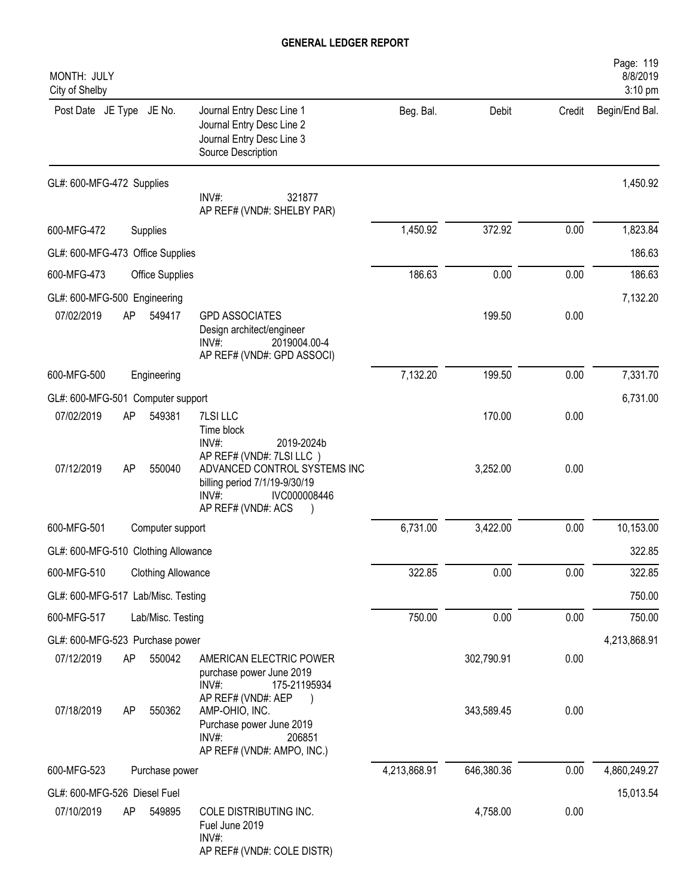| MONTH: JULY<br>City of Shelby              |    |                           |                                                                                                                                             |              |            |        | Page: 119<br>8/8/2019<br>3:10 pm |
|--------------------------------------------|----|---------------------------|---------------------------------------------------------------------------------------------------------------------------------------------|--------------|------------|--------|----------------------------------|
| Post Date JE Type JE No.                   |    |                           | Journal Entry Desc Line 1<br>Journal Entry Desc Line 2<br>Journal Entry Desc Line 3<br>Source Description                                   | Beg. Bal.    | Debit      | Credit | Begin/End Bal.                   |
| GL#: 600-MFG-472 Supplies                  |    |                           | INV#:<br>321877<br>AP REF# (VND#: SHELBY PAR)                                                                                               |              |            |        | 1,450.92                         |
| 600-MFG-472                                |    | Supplies                  |                                                                                                                                             | 1,450.92     | 372.92     | 0.00   | 1,823.84                         |
| GL#: 600-MFG-473 Office Supplies           |    |                           |                                                                                                                                             |              |            |        | 186.63                           |
| 600-MFG-473                                |    | <b>Office Supplies</b>    |                                                                                                                                             | 186.63       | 0.00       | 0.00   | 186.63                           |
| GL#: 600-MFG-500 Engineering<br>07/02/2019 | AP | 549417                    | <b>GPD ASSOCIATES</b><br>Design architect/engineer<br>INV#:<br>2019004.00-4<br>AP REF# (VND#: GPD ASSOCI)                                   |              | 199.50     | 0.00   | 7,132.20                         |
| 600-MFG-500                                |    | Engineering               |                                                                                                                                             | 7,132.20     | 199.50     | 0.00   | 7,331.70                         |
| GL#: 600-MFG-501 Computer support          |    |                           |                                                                                                                                             |              |            |        | 6,731.00                         |
| 07/02/2019                                 | AP | 549381                    | 7LSI LLC<br>Time block<br>INV#:<br>2019-2024b                                                                                               |              | 170.00     | 0.00   |                                  |
| 07/12/2019                                 | AP | 550040                    | AP REF# (VND#: 7LSI LLC)<br>ADVANCED CONTROL SYSTEMS INC<br>billing period 7/1/19-9/30/19<br>IVC000008446<br>$INV#$ :<br>AP REF# (VND#: ACS |              | 3,252.00   | 0.00   |                                  |
| 600-MFG-501                                |    | Computer support          |                                                                                                                                             | 6,731.00     | 3,422.00   | 0.00   | 10,153.00                        |
| GL#: 600-MFG-510 Clothing Allowance        |    |                           |                                                                                                                                             |              |            |        | 322.85                           |
| 600-MFG-510                                |    | <b>Clothing Allowance</b> |                                                                                                                                             | 322.85       | 0.00       | 0.00   | 322.85                           |
| GL#: 600-MFG-517 Lab/Misc. Testing         |    |                           |                                                                                                                                             |              |            |        | 750.00                           |
| 600-MFG-517                                |    | Lab/Misc. Testing         |                                                                                                                                             | 750.00       | 0.00       | 0.00   | 750.00                           |
| GL#: 600-MFG-523 Purchase power            |    |                           |                                                                                                                                             |              |            |        | 4,213,868.91                     |
| 07/12/2019                                 | AP | 550042                    | AMERICAN ELECTRIC POWER<br>purchase power June 2019<br>INV#:<br>175-21195934                                                                |              | 302,790.91 | 0.00   |                                  |
| 07/18/2019                                 | AP | 550362                    | AP REF# (VND#: AEP<br>AMP-OHIO, INC.<br>Purchase power June 2019<br>$INV#$ :<br>206851<br>AP REF# (VND#: AMPO, INC.)                        |              | 343,589.45 | 0.00   |                                  |
| 600-MFG-523                                |    | Purchase power            |                                                                                                                                             | 4,213,868.91 | 646,380.36 | 0.00   | 4,860,249.27                     |
| GL#: 600-MFG-526 Diesel Fuel               |    |                           |                                                                                                                                             |              |            |        | 15,013.54                        |
| 07/10/2019                                 | AP | 549895                    | COLE DISTRIBUTING INC.<br>Fuel June 2019<br>$INV#$ :<br>AP REF# (VND#: COLE DISTR)                                                          |              | 4,758.00   | 0.00   |                                  |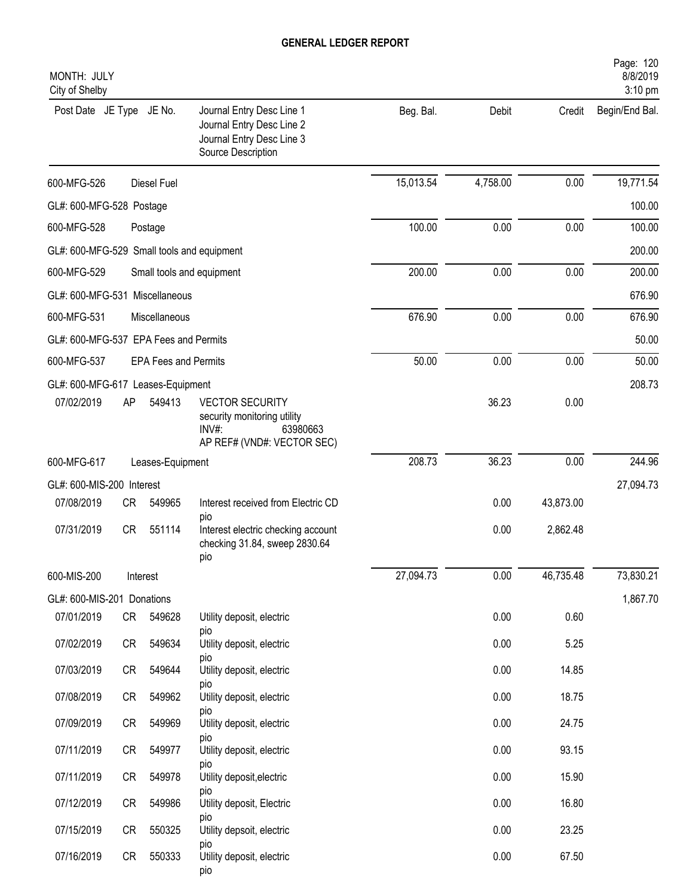| MONTH: JULY<br>City of Shelby              |           |                             |                                                                                                             |           |          |           | Page: 120<br>8/8/2019<br>3:10 pm |
|--------------------------------------------|-----------|-----------------------------|-------------------------------------------------------------------------------------------------------------|-----------|----------|-----------|----------------------------------|
| Post Date JE Type JE No.                   |           |                             | Journal Entry Desc Line 1<br>Journal Entry Desc Line 2<br>Journal Entry Desc Line 3<br>Source Description   | Beg. Bal. | Debit    | Credit    | Begin/End Bal.                   |
| 600-MFG-526                                |           | <b>Diesel Fuel</b>          |                                                                                                             | 15,013.54 | 4,758.00 | 0.00      | 19,771.54                        |
| GL#: 600-MFG-528 Postage                   |           |                             |                                                                                                             |           |          |           | 100.00                           |
| 600-MFG-528                                |           | Postage                     |                                                                                                             | 100.00    | 0.00     | 0.00      | 100.00                           |
| GL#: 600-MFG-529 Small tools and equipment |           |                             |                                                                                                             |           |          |           | 200.00                           |
| 600-MFG-529                                |           |                             | Small tools and equipment                                                                                   | 200.00    | 0.00     | 0.00      | 200.00                           |
| GL#: 600-MFG-531 Miscellaneous             |           |                             |                                                                                                             |           |          |           | 676.90                           |
| 600-MFG-531                                |           | Miscellaneous               |                                                                                                             | 676.90    | 0.00     | 0.00      | 676.90                           |
| GL#: 600-MFG-537 EPA Fees and Permits      |           |                             |                                                                                                             |           |          |           | 50.00                            |
| 600-MFG-537                                |           | <b>EPA Fees and Permits</b> |                                                                                                             | 50.00     | 0.00     | 0.00      | 50.00                            |
| GL#: 600-MFG-617 Leases-Equipment          |           |                             |                                                                                                             |           |          |           | 208.73                           |
| 07/02/2019                                 | AP        | 549413                      | <b>VECTOR SECURITY</b><br>security monitoring utility<br>$INV#$ :<br>63980663<br>AP REF# (VND#: VECTOR SEC) |           | 36.23    | 0.00      |                                  |
| 600-MFG-617                                |           | Leases-Equipment            |                                                                                                             | 208.73    | 36.23    | 0.00      | 244.96                           |
| GL#: 600-MIS-200 Interest                  |           |                             |                                                                                                             |           |          |           | 27,094.73                        |
| 07/08/2019                                 | <b>CR</b> | 549965                      | Interest received from Electric CD                                                                          |           | 0.00     | 43,873.00 |                                  |
| 07/31/2019                                 | <b>CR</b> | 551114                      | pio<br>Interest electric checking account<br>checking 31.84, sweep 2830.64<br>pio                           |           | 0.00     | 2,862.48  |                                  |
| 600-MIS-200                                |           | Interest                    |                                                                                                             | 27,094.73 | 0.00     | 46,735.48 | 73,830.21                        |
| GL#: 600-MIS-201 Donations                 |           |                             |                                                                                                             |           |          |           | 1,867.70                         |
| 07/01/2019                                 | CR        | 549628                      | Utility deposit, electric                                                                                   |           | 0.00     | 0.60      |                                  |
| 07/02/2019                                 | CR        | 549634                      | pio<br>Utility deposit, electric                                                                            |           | 0.00     | 5.25      |                                  |
| 07/03/2019                                 | CR        | 549644                      | pio<br>Utility deposit, electric                                                                            |           | 0.00     | 14.85     |                                  |
| 07/08/2019                                 | CR        | 549962                      | pio<br>Utility deposit, electric                                                                            |           | 0.00     | 18.75     |                                  |
| 07/09/2019                                 | CR        | 549969                      | pio<br>Utility deposit, electric                                                                            |           | 0.00     | 24.75     |                                  |
| 07/11/2019                                 | CR        | 549977                      | pio<br>Utility deposit, electric                                                                            |           | 0.00     | 93.15     |                                  |
| 07/11/2019                                 | CR        | 549978                      | pio<br>Utility deposit, electric                                                                            |           | 0.00     | 15.90     |                                  |
| 07/12/2019                                 | CR        | 549986                      | pio<br>Utility deposit, Electric                                                                            |           | 0.00     | 16.80     |                                  |
| 07/15/2019                                 | CR        | 550325                      | pio<br>Utility depsoit, electric                                                                            |           | 0.00     | 23.25     |                                  |
| 07/16/2019                                 | CR        | 550333                      | pio<br>Utility deposit, electric<br>pio                                                                     |           | 0.00     | 67.50     |                                  |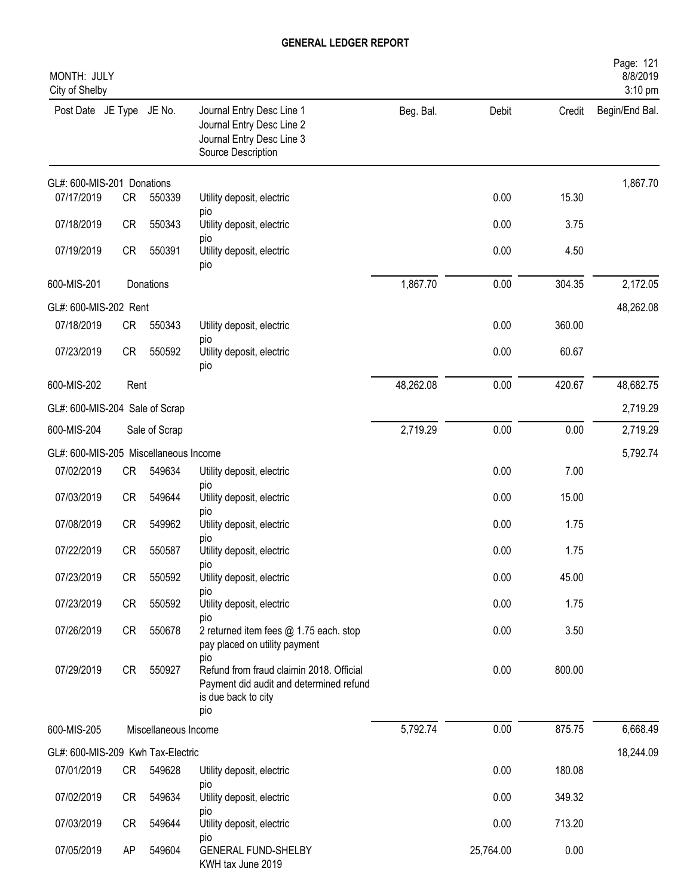| MONTH: JULY<br>City of Shelby         |           |                      |                                                                                                                          |           |           |        | Page: 121<br>8/8/2019<br>3:10 pm |
|---------------------------------------|-----------|----------------------|--------------------------------------------------------------------------------------------------------------------------|-----------|-----------|--------|----------------------------------|
| Post Date JE Type JE No.              |           |                      | Journal Entry Desc Line 1<br>Journal Entry Desc Line 2<br>Journal Entry Desc Line 3<br>Source Description                | Beg. Bal. | Debit     | Credit | Begin/End Bal.                   |
| GL#: 600-MIS-201 Donations            |           |                      |                                                                                                                          |           |           |        | 1,867.70                         |
| 07/17/2019                            | <b>CR</b> | 550339               | Utility deposit, electric<br>pio                                                                                         |           | 0.00      | 15.30  |                                  |
| 07/18/2019                            | <b>CR</b> | 550343               | Utility deposit, electric<br>pio                                                                                         |           | 0.00      | 3.75   |                                  |
| 07/19/2019                            | <b>CR</b> | 550391               | Utility deposit, electric<br>pio                                                                                         |           | 0.00      | 4.50   |                                  |
| 600-MIS-201                           |           | Donations            |                                                                                                                          | 1,867.70  | 0.00      | 304.35 | 2,172.05                         |
| GL#: 600-MIS-202 Rent                 |           |                      |                                                                                                                          |           |           |        | 48,262.08                        |
| 07/18/2019                            | <b>CR</b> | 550343               | Utility deposit, electric<br>pio                                                                                         |           | 0.00      | 360.00 |                                  |
| 07/23/2019                            | <b>CR</b> | 550592               | Utility deposit, electric<br>pio                                                                                         |           | 0.00      | 60.67  |                                  |
| 600-MIS-202                           | Rent      |                      |                                                                                                                          | 48,262.08 | 0.00      | 420.67 | 48,682.75                        |
| GL#: 600-MIS-204 Sale of Scrap        |           |                      |                                                                                                                          |           |           |        | 2,719.29                         |
| 600-MIS-204                           |           | Sale of Scrap        |                                                                                                                          | 2,719.29  | 0.00      | 0.00   | 2,719.29                         |
| GL#: 600-MIS-205 Miscellaneous Income |           |                      |                                                                                                                          |           |           |        | 5,792.74                         |
| 07/02/2019                            | <b>CR</b> | 549634               | Utility deposit, electric                                                                                                |           | 0.00      | 7.00   |                                  |
| 07/03/2019                            | <b>CR</b> | 549644               | pio<br>Utility deposit, electric<br>pio                                                                                  |           | 0.00      | 15.00  |                                  |
| 07/08/2019                            | <b>CR</b> | 549962               | Utility deposit, electric                                                                                                |           | 0.00      | 1.75   |                                  |
| 07/22/2019                            | <b>CR</b> | 550587               | pio<br>Utility deposit, electric                                                                                         |           | 0.00      | 1.75   |                                  |
| 07/23/2019                            | <b>CR</b> | 550592               | pio<br>Utility deposit, electric<br>pio                                                                                  |           | 0.00      | 45.00  |                                  |
| 07/23/2019                            | <b>CR</b> | 550592               | Utility deposit, electric                                                                                                |           | 0.00      | 1.75   |                                  |
| 07/26/2019                            | CR        | 550678               | pio<br>2 returned item fees @ 1.75 each. stop<br>pay placed on utility payment                                           |           | 0.00      | 3.50   |                                  |
| 07/29/2019                            | CR        | 550927               | pio<br>Refund from fraud claimin 2018. Official<br>Payment did audit and determined refund<br>is due back to city<br>pio |           | 0.00      | 800.00 |                                  |
| 600-MIS-205                           |           | Miscellaneous Income |                                                                                                                          | 5,792.74  | 0.00      | 875.75 | 6,668.49                         |
| GL#: 600-MIS-209 Kwh Tax-Electric     |           |                      |                                                                                                                          |           |           |        | 18,244.09                        |
| 07/01/2019                            | CR        | 549628               | Utility deposit, electric                                                                                                |           | 0.00      | 180.08 |                                  |
| 07/02/2019                            | CR        | 549634               | pio<br>Utility deposit, electric<br>pio                                                                                  |           | 0.00      | 349.32 |                                  |
| 07/03/2019                            | CR        | 549644               | Utility deposit, electric                                                                                                |           | 0.00      | 713.20 |                                  |
| 07/05/2019                            | AP        | 549604               | pio<br><b>GENERAL FUND-SHELBY</b><br>KWH tax June 2019                                                                   |           | 25,764.00 | 0.00   |                                  |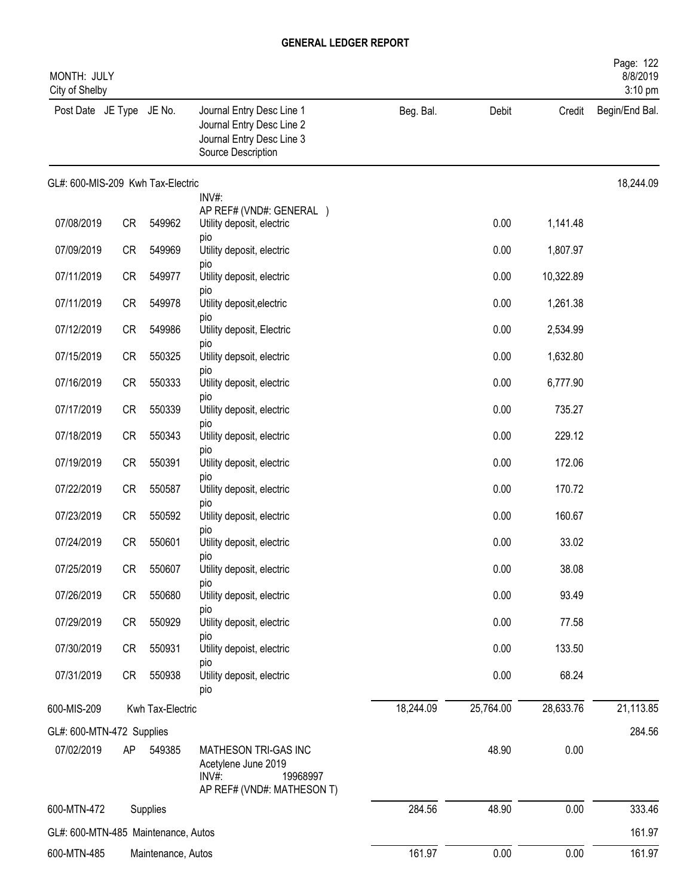| Page: 122<br>8/8/2019<br>MONTH: JULY<br>3:10 pm<br>City of Shelby |           |                    |                                                                                                           |           |           |           |                |  |  |
|-------------------------------------------------------------------|-----------|--------------------|-----------------------------------------------------------------------------------------------------------|-----------|-----------|-----------|----------------|--|--|
| Post Date JE Type JE No.                                          |           |                    | Journal Entry Desc Line 1<br>Journal Entry Desc Line 2<br>Journal Entry Desc Line 3<br>Source Description | Beg. Bal. | Debit     | Credit    | Begin/End Bal. |  |  |
| GL#: 600-MIS-209 Kwh Tax-Electric                                 |           |                    |                                                                                                           |           |           |           | 18,244.09      |  |  |
|                                                                   |           |                    | INV#:<br>AP REF# (VND#: GENERAL )                                                                         |           |           |           |                |  |  |
| 07/08/2019                                                        | CR        | 549962             | Utility deposit, electric                                                                                 |           | 0.00      | 1,141.48  |                |  |  |
| 07/09/2019                                                        | <b>CR</b> | 549969             | pio<br>Utility deposit, electric                                                                          |           | 0.00      | 1,807.97  |                |  |  |
| 07/11/2019                                                        | <b>CR</b> | 549977             | pio<br>Utility deposit, electric                                                                          |           | 0.00      | 10,322.89 |                |  |  |
| 07/11/2019                                                        | <b>CR</b> | 549978             | pio<br>Utility deposit, electric                                                                          |           | 0.00      | 1,261.38  |                |  |  |
| 07/12/2019                                                        | <b>CR</b> | 549986             | pio<br>Utility deposit, Electric                                                                          |           | 0.00      | 2,534.99  |                |  |  |
| 07/15/2019                                                        | <b>CR</b> | 550325             | pio<br>Utility depsoit, electric                                                                          |           | 0.00      | 1,632.80  |                |  |  |
| 07/16/2019                                                        | <b>CR</b> | 550333             | pio<br>Utility deposit, electric                                                                          |           | 0.00      | 6,777.90  |                |  |  |
| 07/17/2019                                                        | <b>CR</b> | 550339             | pio<br>Utility deposit, electric                                                                          |           | 0.00      | 735.27    |                |  |  |
| 07/18/2019                                                        | <b>CR</b> | 550343             | pio<br>Utility deposit, electric                                                                          |           | 0.00      | 229.12    |                |  |  |
| 07/19/2019                                                        | <b>CR</b> | 550391             | pio                                                                                                       |           | 0.00      | 172.06    |                |  |  |
|                                                                   |           |                    | Utility deposit, electric<br>pio                                                                          |           |           |           |                |  |  |
| 07/22/2019                                                        | <b>CR</b> | 550587             | Utility deposit, electric<br>pio                                                                          |           | 0.00      | 170.72    |                |  |  |
| 07/23/2019                                                        | <b>CR</b> | 550592             | Utility deposit, electric<br>pio                                                                          |           | 0.00      | 160.67    |                |  |  |
| 07/24/2019                                                        | <b>CR</b> | 550601             | Utility deposit, electric<br>pio                                                                          |           | 0.00      | 33.02     |                |  |  |
| 07/25/2019                                                        | <b>CR</b> | 550607             | Utility deposit, electric                                                                                 |           | 0.00      | 38.08     |                |  |  |
| 07/26/2019                                                        | <b>CR</b> | 550680             | pio<br>Utility deposit, electric                                                                          |           | 0.00      | 93.49     |                |  |  |
| 07/29/2019                                                        | CR        | 550929             | pio<br>Utility deposit, electric                                                                          |           | 0.00      | 77.58     |                |  |  |
| 07/30/2019                                                        | CR        | 550931             | pio<br>Utility depoist, electric                                                                          |           | 0.00      | 133.50    |                |  |  |
| 07/31/2019                                                        | CR        | 550938             | pio<br>Utility deposit, electric<br>pio                                                                   |           | 0.00      | 68.24     |                |  |  |
| 600-MIS-209                                                       |           | Kwh Tax-Electric   |                                                                                                           | 18,244.09 | 25,764.00 | 28,633.76 | 21,113.85      |  |  |
| GL#: 600-MTN-472 Supplies                                         |           |                    |                                                                                                           |           |           |           | 284.56         |  |  |
| 07/02/2019                                                        | AP        | 549385             | MATHESON TRI-GAS INC<br>Acetylene June 2019<br>INV#:<br>19968997<br>AP REF# (VND#: MATHESON T)            |           | 48.90     | 0.00      |                |  |  |
| 600-MTN-472                                                       |           | Supplies           |                                                                                                           | 284.56    | 48.90     | 0.00      | 333.46         |  |  |
| GL#: 600-MTN-485 Maintenance, Autos                               |           |                    |                                                                                                           |           |           |           | 161.97         |  |  |
| 600-MTN-485                                                       |           | Maintenance, Autos |                                                                                                           | 161.97    | 0.00      | 0.00      | 161.97         |  |  |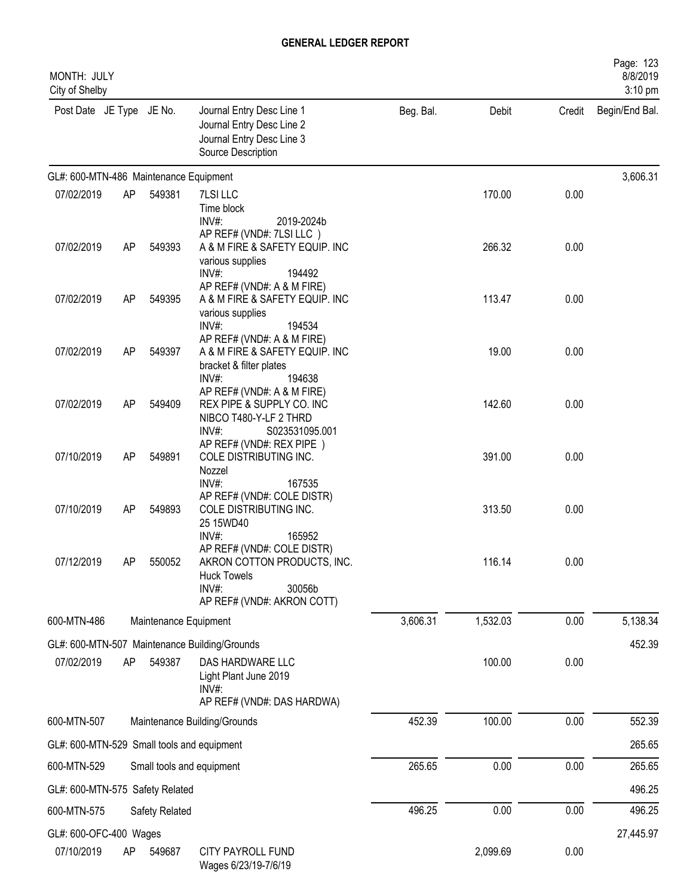| MONTH: JULY<br>City of Shelby              |    |                           |                                                                                                                                  |           |          |        | Page: 123<br>8/8/2019<br>3:10 pm |
|--------------------------------------------|----|---------------------------|----------------------------------------------------------------------------------------------------------------------------------|-----------|----------|--------|----------------------------------|
| Post Date JE Type JE No.                   |    |                           | Journal Entry Desc Line 1<br>Journal Entry Desc Line 2<br>Journal Entry Desc Line 3<br>Source Description                        | Beg. Bal. | Debit    | Credit | Begin/End Bal.                   |
| GL#: 600-MTN-486 Maintenance Equipment     |    |                           |                                                                                                                                  |           |          |        | 3,606.31                         |
| 07/02/2019                                 | AP | 549381                    | 7LSI LLC<br>Time block<br>INV#:<br>2019-2024b                                                                                    |           | 170.00   | 0.00   |                                  |
| 07/02/2019                                 | AP | 549393                    | AP REF# (VND#: 7LSI LLC)<br>A & M FIRE & SAFETY EQUIP. INC<br>various supplies<br>$INV#$ :<br>194492                             |           | 266.32   | 0.00   |                                  |
| 07/02/2019                                 | AP | 549395                    | AP REF# (VND#: A & M FIRE)<br>A & M FIRE & SAFETY EQUIP. INC<br>various supplies<br>194534<br>INV#:                              |           | 113.47   | 0.00   |                                  |
| 07/02/2019                                 | AP | 549397                    | AP REF# (VND#: A & M FIRE)<br>A & M FIRE & SAFETY EQUIP. INC<br>bracket & filter plates<br>INV#:<br>194638                       |           | 19.00    | 0.00   |                                  |
| 07/02/2019                                 | AP | 549409                    | AP REF# (VND#: A & M FIRE)<br>REX PIPE & SUPPLY CO. INC<br>NIBCO T480-Y-LF 2 THRD<br>INV#:<br>S023531095.001                     |           | 142.60   | 0.00   |                                  |
| 07/10/2019                                 | AP | 549891                    | AP REF# (VND#: REX PIPE)<br>COLE DISTRIBUTING INC.<br>Nozzel<br>INV#:<br>167535                                                  |           | 391.00   | 0.00   |                                  |
| 07/10/2019                                 | AP | 549893                    | AP REF# (VND#: COLE DISTR)<br>COLE DISTRIBUTING INC.<br>25 15WD40<br>$INV#$ :<br>165952                                          |           | 313.50   | 0.00   |                                  |
| 07/12/2019                                 | AP | 550052                    | AP REF# (VND#: COLE DISTR)<br>AKRON COTTON PRODUCTS, INC.<br><b>Huck Towels</b><br>INV#:<br>30056b<br>AP REF# (VND#: AKRON COTT) |           | 116.14   | 0.00   |                                  |
| 600-MTN-486                                |    | Maintenance Equipment     |                                                                                                                                  | 3,606.31  | 1,532.03 | 0.00   | 5,138.34                         |
|                                            |    |                           | GL#: 600-MTN-507 Maintenance Building/Grounds                                                                                    |           |          |        | 452.39                           |
| 07/02/2019                                 | AP | 549387                    | DAS HARDWARE LLC<br>Light Plant June 2019<br>INV#:<br>AP REF# (VND#: DAS HARDWA)                                                 |           | 100.00   | 0.00   |                                  |
| 600-MTN-507                                |    |                           | Maintenance Building/Grounds                                                                                                     | 452.39    | 100.00   | 0.00   | 552.39                           |
| GL#: 600-MTN-529 Small tools and equipment |    |                           |                                                                                                                                  |           |          |        | 265.65                           |
| 600-MTN-529                                |    | Small tools and equipment |                                                                                                                                  | 265.65    | 0.00     | 0.00   | 265.65                           |
| GL#: 600-MTN-575 Safety Related            |    |                           |                                                                                                                                  |           |          |        | 496.25                           |
| 600-MTN-575                                |    | Safety Related            |                                                                                                                                  | 496.25    | 0.00     | 0.00   | 496.25                           |
| GL#: 600-OFC-400 Wages<br>07/10/2019       | AP | 549687                    | CITY PAYROLL FUND<br>Wages 6/23/19-7/6/19                                                                                        |           | 2,099.69 | 0.00   | 27,445.97                        |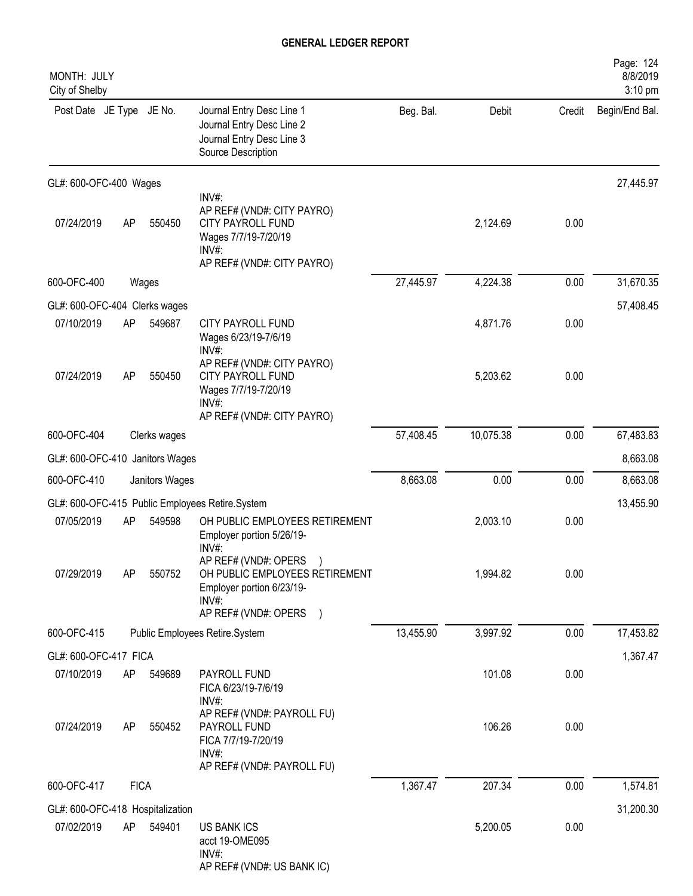| MONTH: JULY<br>City of Shelby    |             |                |                                                                                                                                |           |           |        | Page: 124<br>8/8/2019<br>3:10 pm |
|----------------------------------|-------------|----------------|--------------------------------------------------------------------------------------------------------------------------------|-----------|-----------|--------|----------------------------------|
| Post Date JE Type JE No.         |             |                | Journal Entry Desc Line 1<br>Journal Entry Desc Line 2<br>Journal Entry Desc Line 3<br>Source Description                      | Beg. Bal. | Debit     | Credit | Begin/End Bal.                   |
| GL#: 600-OFC-400 Wages           |             |                |                                                                                                                                |           |           |        | 27,445.97                        |
| 07/24/2019                       | AP          | 550450         | INV#:<br>AP REF# (VND#: CITY PAYRO)<br><b>CITY PAYROLL FUND</b><br>Wages 7/7/19-7/20/19<br>INV#:<br>AP REF# (VND#: CITY PAYRO) |           | 2,124.69  | 0.00   |                                  |
| 600-OFC-400                      |             | Wages          |                                                                                                                                | 27,445.97 | 4,224.38  | 0.00   | 31,670.35                        |
| GL#: 600-OFC-404 Clerks wages    |             |                |                                                                                                                                |           |           |        | 57,408.45                        |
| 07/10/2019                       | AP          | 549687         | CITY PAYROLL FUND<br>Wages 6/23/19-7/6/19<br>INV#:                                                                             |           | 4,871.76  | 0.00   |                                  |
| 07/24/2019                       | <b>AP</b>   | 550450         | AP REF# (VND#: CITY PAYRO)<br>CITY PAYROLL FUND<br>Wages 7/7/19-7/20/19<br>$INV#$ :<br>AP REF# (VND#: CITY PAYRO)              |           | 5,203.62  | 0.00   |                                  |
| 600-OFC-404                      |             | Clerks wages   |                                                                                                                                | 57,408.45 | 10,075.38 | 0.00   | 67,483.83                        |
| GL#: 600-OFC-410 Janitors Wages  |             |                |                                                                                                                                |           |           |        | 8,663.08                         |
| 600-OFC-410                      |             | Janitors Wages |                                                                                                                                | 8,663.08  | 0.00      | 0.00   | 8,663.08                         |
|                                  |             |                | GL#: 600-OFC-415 Public Employees Retire.System                                                                                |           |           |        | 13,455.90                        |
| 07/05/2019                       | AP          | 549598         | OH PUBLIC EMPLOYEES RETIREMENT<br>Employer portion 5/26/19-<br>INV#:                                                           |           | 2,003.10  | 0.00   |                                  |
| 07/29/2019                       | AP          | 550752         | AP REF# (VND#: OPERS )<br>OH PUBLIC EMPLOYEES RETIREMENT<br>Employer portion 6/23/19-<br>$INV#$ :<br>AP REF# (VND#: OPERS )    |           | 1,994.82  | 0.00   |                                  |
| 600-OFC-415                      |             |                | Public Employees Retire.System                                                                                                 | 13,455.90 | 3,997.92  | 0.00   | 17,453.82                        |
| GL#: 600-OFC-417 FICA            |             |                |                                                                                                                                |           |           |        | 1,367.47                         |
| 07/10/2019                       | AP          | 549689         | PAYROLL FUND<br>FICA 6/23/19-7/6/19<br>$INV#$ :                                                                                |           | 101.08    | 0.00   |                                  |
| 07/24/2019                       | AP          | 550452         | AP REF# (VND#: PAYROLL FU)<br>PAYROLL FUND<br>FICA 7/7/19-7/20/19<br>$INV#$ :<br>AP REF# (VND#: PAYROLL FU)                    |           | 106.26    | 0.00   |                                  |
| 600-OFC-417                      | <b>FICA</b> |                |                                                                                                                                | 1,367.47  | 207.34    | 0.00   | 1,574.81                         |
| GL#: 600-OFC-418 Hospitalization |             |                |                                                                                                                                |           |           |        | 31,200.30                        |
| 07/02/2019                       | AP          | 549401         | <b>US BANK ICS</b><br>acct 19-OME095<br>$INV#$ :<br>AP REF# (VND#: US BANK IC)                                                 |           | 5,200.05  | 0.00   |                                  |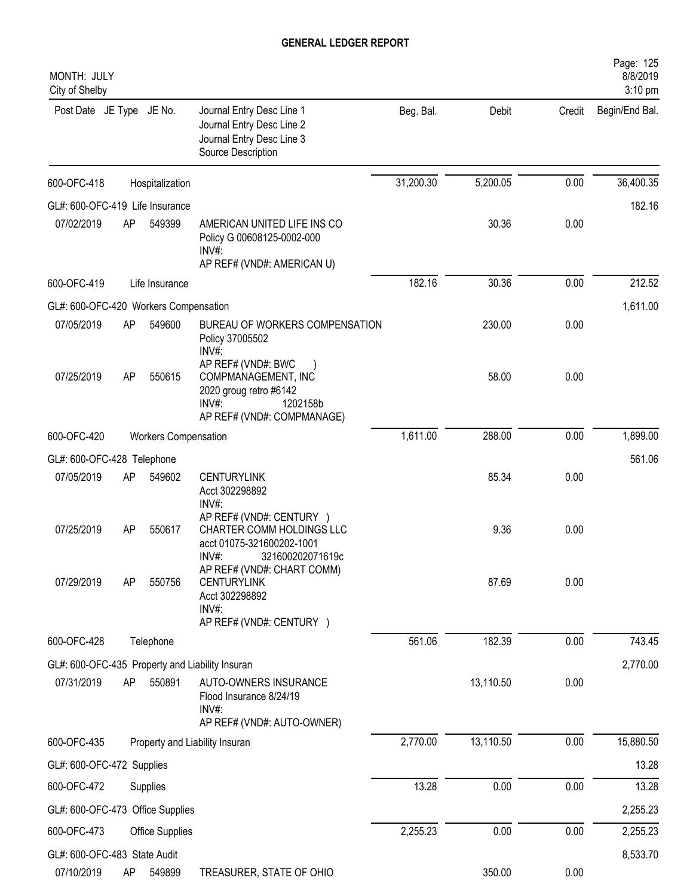| MONTH: JULY<br>City of Shelby         |    |                             |                                                                                                                           |           |           |        | Page: 125<br>8/8/2019<br>3:10 pm |
|---------------------------------------|----|-----------------------------|---------------------------------------------------------------------------------------------------------------------------|-----------|-----------|--------|----------------------------------|
| Post Date JE Type JE No.              |    |                             | Journal Entry Desc Line 1<br>Journal Entry Desc Line 2<br>Journal Entry Desc Line 3<br>Source Description                 | Beg. Bal. | Debit     | Credit | Begin/End Bal.                   |
| 600-OFC-418                           |    | Hospitalization             |                                                                                                                           | 31,200.30 | 5,200.05  | 0.00   | 36,400.35                        |
| GL#: 600-OFC-419 Life Insurance       |    |                             |                                                                                                                           |           |           |        | 182.16                           |
| 07/02/2019                            | AP | 549399                      | AMERICAN UNITED LIFE INS CO<br>Policy G 00608125-0002-000<br>INV#:<br>AP REF# (VND#: AMERICAN U)                          |           | 30.36     | 0.00   |                                  |
| 600-OFC-419                           |    | Life Insurance              |                                                                                                                           | 182.16    | 30.36     | 0.00   | 212.52                           |
| GL#: 600-OFC-420 Workers Compensation |    |                             |                                                                                                                           |           |           |        | 1,611.00                         |
| 07/05/2019                            | AP | 549600                      | BUREAU OF WORKERS COMPENSATION<br>Policy 37005502<br>INV#:                                                                |           | 230.00    | 0.00   |                                  |
| 07/25/2019                            | AP | 550615                      | AP REF# (VND#: BWC<br>COMPMANAGEMENT, INC<br>2020 groug retro #6142<br>$INV#$ :<br>1202158b<br>AP REF# (VND#: COMPMANAGE) |           | 58.00     | 0.00   |                                  |
| 600-OFC-420                           |    | <b>Workers Compensation</b> |                                                                                                                           | 1,611.00  | 288.00    | 0.00   | 1,899.00                         |
| GL#: 600-OFC-428 Telephone            |    |                             |                                                                                                                           |           |           |        | 561.06                           |
| 07/05/2019                            | AP | 549602                      | <b>CENTURYLINK</b><br>Acct 302298892<br>$INV#$ :                                                                          |           | 85.34     | 0.00   |                                  |
| 07/25/2019                            | AP | 550617                      | AP REF# (VND#: CENTURY )<br>CHARTER COMM HOLDINGS LLC<br>acct 01075-321600202-1001<br>INV#:<br>321600202071619c           |           | 9.36      | 0.00   |                                  |
| 07/29/2019                            | AP | 550756                      | AP REF# (VND#: CHART COMM)<br><b>CENTURYLINK</b><br>Acct 302298892<br>INV#:<br>AP REF# (VND#: CENTURY )                   |           | 87.69     | 0.00   |                                  |
| 600-OFC-428                           |    | Telephone                   |                                                                                                                           | 561.06    | 182.39    | 0.00   | 743.45                           |
|                                       |    |                             | GL#: 600-OFC-435 Property and Liability Insuran                                                                           |           |           |        | 2,770.00                         |
| 07/31/2019                            | AP | 550891                      | AUTO-OWNERS INSURANCE<br>Flood Insurance 8/24/19<br>INV#:<br>AP REF# (VND#: AUTO-OWNER)                                   |           | 13,110.50 | 0.00   |                                  |
| 600-OFC-435                           |    |                             | Property and Liability Insuran                                                                                            | 2,770.00  | 13,110.50 | 0.00   | 15,880.50                        |
| GL#: 600-OFC-472 Supplies             |    |                             |                                                                                                                           |           |           |        | 13.28                            |
| 600-OFC-472                           |    | Supplies                    |                                                                                                                           | 13.28     | 0.00      | 0.00   | 13.28                            |
| GL#: 600-OFC-473 Office Supplies      |    |                             |                                                                                                                           |           |           |        | 2,255.23                         |
| 600-OFC-473                           |    | <b>Office Supplies</b>      |                                                                                                                           | 2,255.23  | 0.00      | 0.00   | 2,255.23                         |
| GL#: 600-OFC-483 State Audit          |    |                             |                                                                                                                           |           |           |        | 8,533.70                         |
| 07/10/2019                            | AP | 549899                      | TREASURER, STATE OF OHIO                                                                                                  |           | 350.00    | 0.00   |                                  |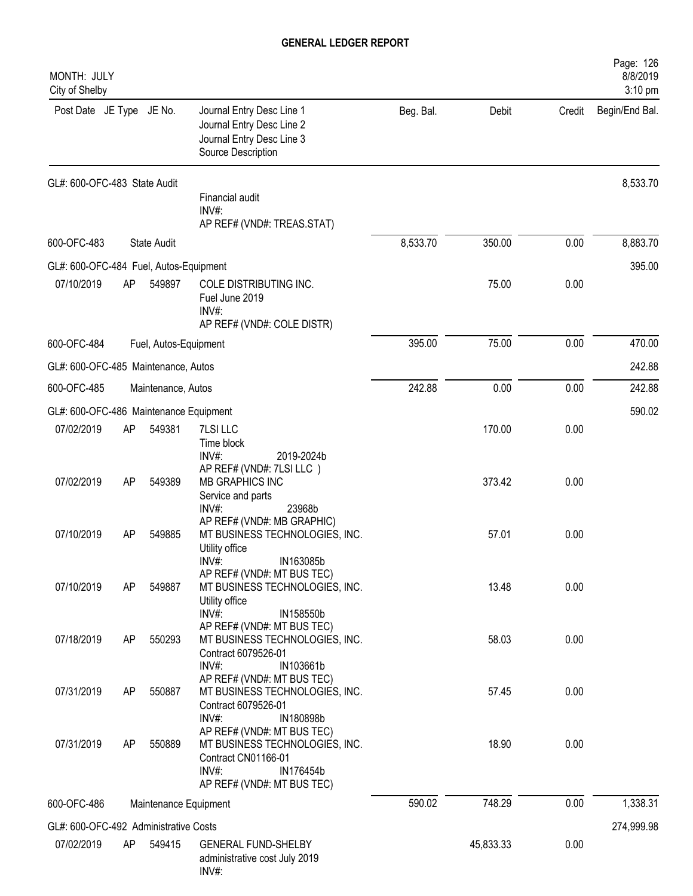| MONTH: JULY<br>City of Shelby          |    |                       |                                                                                                                                            |           |           |        | Page: 126<br>8/8/2019<br>3:10 pm |
|----------------------------------------|----|-----------------------|--------------------------------------------------------------------------------------------------------------------------------------------|-----------|-----------|--------|----------------------------------|
| Post Date JE Type JE No.               |    |                       | Journal Entry Desc Line 1<br>Journal Entry Desc Line 2<br>Journal Entry Desc Line 3<br>Source Description                                  | Beg. Bal. | Debit     | Credit | Begin/End Bal.                   |
| GL#: 600-OFC-483 State Audit           |    |                       |                                                                                                                                            |           |           |        | 8,533.70                         |
|                                        |    |                       | Financial audit<br>INV#:<br>AP REF# (VND#: TREAS.STAT)                                                                                     |           |           |        |                                  |
| 600-OFC-483                            |    | <b>State Audit</b>    |                                                                                                                                            | 8,533.70  | 350.00    | 0.00   | 8,883.70                         |
| GL#: 600-OFC-484 Fuel, Autos-Equipment |    |                       |                                                                                                                                            |           |           |        | 395.00                           |
| 07/10/2019                             | AP | 549897                | COLE DISTRIBUTING INC.<br>Fuel June 2019<br>INV#:                                                                                          |           | 75.00     | 0.00   |                                  |
|                                        |    |                       | AP REF# (VND#: COLE DISTR)                                                                                                                 |           |           |        |                                  |
| 600-OFC-484                            |    | Fuel, Autos-Equipment |                                                                                                                                            | 395.00    | 75.00     | 0.00   | 470.00                           |
| GL#: 600-OFC-485 Maintenance, Autos    |    |                       |                                                                                                                                            |           |           |        | 242.88                           |
| 600-OFC-485                            |    | Maintenance, Autos    |                                                                                                                                            | 242.88    | 0.00      | 0.00   | 242.88                           |
| GL#: 600-OFC-486 Maintenance Equipment |    |                       |                                                                                                                                            |           |           |        | 590.02                           |
| 07/02/2019                             | AP | 549381                | 7LSI LLC<br>Time block<br>$INV#$ :<br>2019-2024b                                                                                           |           | 170.00    | 0.00   |                                  |
| 07/02/2019                             | AP | 549389                | AP REF# (VND#: 7LSI LLC)<br><b>MB GRAPHICS INC</b><br>Service and parts                                                                    |           | 373.42    | 0.00   |                                  |
| 07/10/2019                             | AP | 549885                | 23968b<br>$INV#$ :<br>AP REF# (VND#: MB GRAPHIC)<br>MT BUSINESS TECHNOLOGIES, INC.<br>Utility office                                       |           | 57.01     | 0.00   |                                  |
| 07/10/2019                             | AP | 549887                | IN163085b<br>INV#:<br>AP REF# (VND#: MT BUS TEC)<br>MT BUSINESS TECHNOLOGIES, INC.<br>Utility office<br>$INV#$ :<br>IN158550b              |           | 13.48     | 0.00   |                                  |
| 07/18/2019                             | AP | 550293                | AP REF# (VND#: MT BUS TEC)<br>MT BUSINESS TECHNOLOGIES, INC.<br>Contract 6079526-01<br>$INV#$ :<br>IN103661b                               |           | 58.03     | 0.00   |                                  |
| 07/31/2019                             | AP | 550887                | AP REF# (VND#: MT BUS TEC)<br>MT BUSINESS TECHNOLOGIES, INC.<br>Contract 6079526-01<br>INV#:<br>IN180898b                                  |           | 57.45     | 0.00   |                                  |
| 07/31/2019                             | AP | 550889                | AP REF# (VND#: MT BUS TEC)<br>MT BUSINESS TECHNOLOGIES, INC.<br>Contract CN01166-01<br>$INV#$ :<br>IN176454b<br>AP REF# (VND#: MT BUS TEC) |           | 18.90     | 0.00   |                                  |
| 600-OFC-486                            |    | Maintenance Equipment |                                                                                                                                            | 590.02    | 748.29    | 0.00   | 1,338.31                         |
| GL#: 600-OFC-492 Administrative Costs  |    |                       |                                                                                                                                            |           |           |        | 274,999.98                       |
| 07/02/2019                             | AP | 549415                | <b>GENERAL FUND-SHELBY</b><br>administrative cost July 2019<br>INV#:                                                                       |           | 45,833.33 | 0.00   |                                  |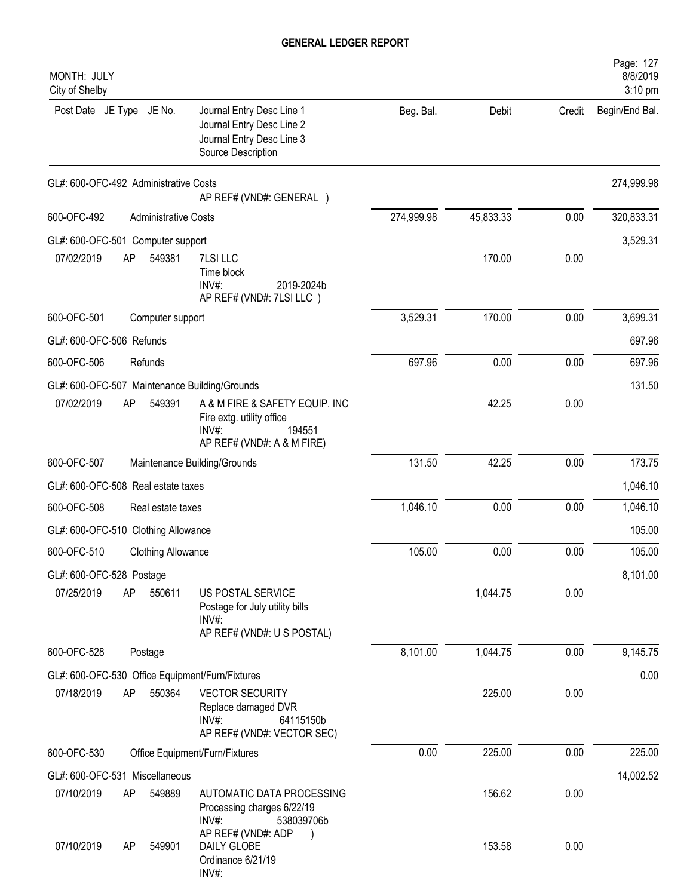| MONTH: JULY<br>City of Shelby                   |                             |                                                                                                             |            |           |        | Page: 127<br>8/8/2019<br>3:10 pm |
|-------------------------------------------------|-----------------------------|-------------------------------------------------------------------------------------------------------------|------------|-----------|--------|----------------------------------|
| Post Date JE Type JE No.                        |                             | Journal Entry Desc Line 1<br>Journal Entry Desc Line 2<br>Journal Entry Desc Line 3<br>Source Description   | Beg. Bal.  | Debit     | Credit | Begin/End Bal.                   |
| GL#: 600-OFC-492 Administrative Costs           |                             | AP REF# (VND#: GENERAL )                                                                                    |            |           |        | 274,999.98                       |
| 600-OFC-492                                     | <b>Administrative Costs</b> |                                                                                                             | 274,999.98 | 45,833.33 | 0.00   | 320,833.31                       |
| GL#: 600-OFC-501 Computer support               |                             |                                                                                                             |            |           |        | 3,529.31                         |
| 07/02/2019<br>AP                                | 549381                      | 7LSI LLC<br>Time block<br>INV#:<br>2019-2024b<br>AP REF# (VND#: 7LSI LLC)                                   |            | 170.00    | 0.00   |                                  |
| 600-OFC-501                                     | Computer support            |                                                                                                             | 3,529.31   | 170.00    | 0.00   | 3,699.31                         |
| GL#: 600-OFC-506 Refunds                        |                             |                                                                                                             |            |           |        | 697.96                           |
| 600-OFC-506                                     | Refunds                     |                                                                                                             | 697.96     | 0.00      | 0.00   | 697.96                           |
| GL#: 600-OFC-507 Maintenance Building/Grounds   |                             |                                                                                                             |            |           |        | 131.50                           |
| 07/02/2019<br>AP                                | 549391                      | A & M FIRE & SAFETY EQUIP. INC<br>Fire extg. utility office<br>INV#<br>194551<br>AP REF# (VND#: A & M FIRE) |            | 42.25     | 0.00   |                                  |
| 600-OFC-507                                     |                             | Maintenance Building/Grounds                                                                                | 131.50     | 42.25     | 0.00   | 173.75                           |
| GL#: 600-OFC-508 Real estate taxes              |                             |                                                                                                             |            |           |        | 1,046.10                         |
| 600-OFC-508                                     | Real estate taxes           |                                                                                                             | 1,046.10   | 0.00      | 0.00   | 1,046.10                         |
| GL#: 600-OFC-510 Clothing Allowance             |                             |                                                                                                             |            |           |        | 105.00                           |
| 600-OFC-510                                     | <b>Clothing Allowance</b>   |                                                                                                             | 105.00     | 0.00      | 0.00   | 105.00                           |
| GL#: 600-OFC-528 Postage                        |                             |                                                                                                             |            |           |        | 8,101.00                         |
| 07/25/2019<br>AP                                | 550611                      | US POSTAL SERVICE<br>Postage for July utility bills<br>$INV#$ :<br>AP REF# (VND#: U S POSTAL)               |            | 1,044.75  | 0.00   |                                  |
| 600-OFC-528                                     | Postage                     |                                                                                                             | 8,101.00   | 1,044.75  | 0.00   | 9,145.75                         |
| GL#: 600-OFC-530 Office Equipment/Furn/Fixtures |                             |                                                                                                             |            |           |        | 0.00                             |
| 07/18/2019<br>AP                                | 550364                      | <b>VECTOR SECURITY</b><br>Replace damaged DVR<br>$INV#$ :<br>64115150b<br>AP REF# (VND#: VECTOR SEC)        |            | 225.00    | 0.00   |                                  |
| 600-OFC-530                                     |                             | Office Equipment/Furn/Fixtures                                                                              | 0.00       | 225.00    | 0.00   | 225.00                           |
| GL#: 600-OFC-531 Miscellaneous                  |                             |                                                                                                             |            |           |        | 14,002.52                        |
| 07/10/2019<br>AP                                | 549889                      | AUTOMATIC DATA PROCESSING<br>Processing charges 6/22/19<br>$INV#$ :<br>538039706b                           |            | 156.62    | 0.00   |                                  |
| 07/10/2019<br>AP                                | 549901                      | AP REF# (VND#: ADP<br>DAILY GLOBE<br>Ordinance 6/21/19<br>INV#:                                             |            | 153.58    | 0.00   |                                  |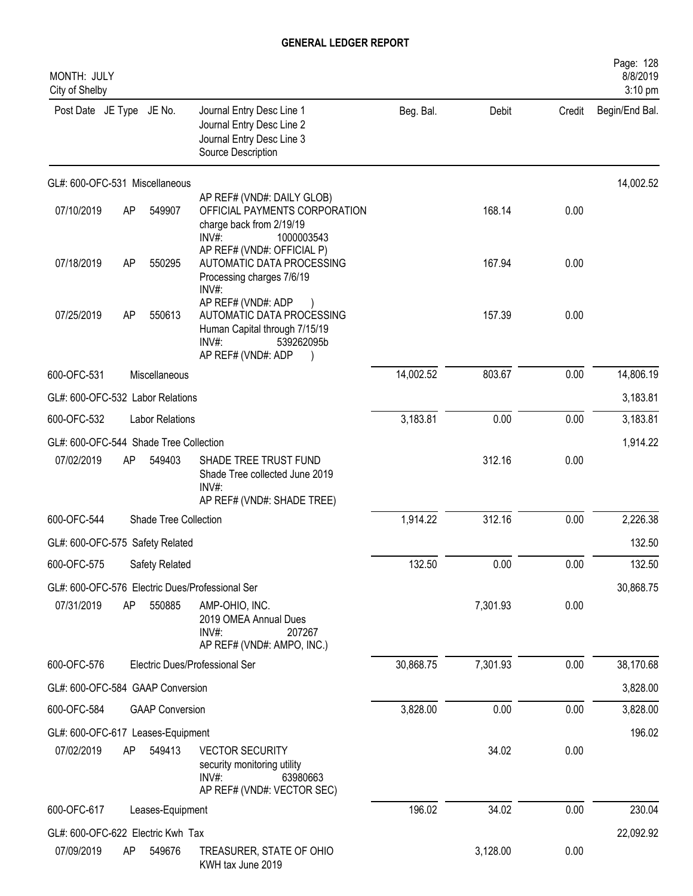| MONTH: JULY<br>City of Shelby          |    |                        |                                                                                                                                  |           |          |        | Page: 128<br>8/8/2019<br>3:10 pm |
|----------------------------------------|----|------------------------|----------------------------------------------------------------------------------------------------------------------------------|-----------|----------|--------|----------------------------------|
| Post Date JE Type JE No.               |    |                        | Journal Entry Desc Line 1<br>Journal Entry Desc Line 2<br>Journal Entry Desc Line 3<br>Source Description                        | Beg. Bal. | Debit    | Credit | Begin/End Bal.                   |
| GL#: 600-OFC-531 Miscellaneous         |    |                        |                                                                                                                                  |           |          |        | 14,002.52                        |
| 07/10/2019                             | AP | 549907                 | AP REF# (VND#: DAILY GLOB)<br>OFFICIAL PAYMENTS CORPORATION<br>charge back from 2/19/19<br>INV#:<br>1000003543                   |           | 168.14   | 0.00   |                                  |
| 07/18/2019                             | AP | 550295                 | AP REF# (VND#: OFFICIAL P)<br>AUTOMATIC DATA PROCESSING<br>Processing charges 7/6/19<br>INV#:                                    |           | 167.94   | 0.00   |                                  |
| 07/25/2019                             | AP | 550613                 | AP REF# (VND#: ADP<br>AUTOMATIC DATA PROCESSING<br>Human Capital through 7/15/19<br>$INV#$ :<br>539262095b<br>AP REF# (VND#: ADP |           | 157.39   | 0.00   |                                  |
| 600-OFC-531                            |    | Miscellaneous          |                                                                                                                                  | 14,002.52 | 803.67   | 0.00   | 14,806.19                        |
| GL#: 600-OFC-532 Labor Relations       |    |                        |                                                                                                                                  |           |          |        | 3,183.81                         |
| 600-OFC-532                            |    | <b>Labor Relations</b> |                                                                                                                                  | 3,183.81  | 0.00     | 0.00   | 3,183.81                         |
| GL#: 600-OFC-544 Shade Tree Collection |    |                        |                                                                                                                                  |           |          |        | 1,914.22                         |
| 07/02/2019                             | AP | 549403                 | SHADE TREE TRUST FUND<br>Shade Tree collected June 2019<br>$INV#$ :<br>AP REF# (VND#: SHADE TREE)                                |           | 312.16   | 0.00   |                                  |
| 600-OFC-544                            |    | Shade Tree Collection  |                                                                                                                                  | 1,914.22  | 312.16   | 0.00   | 2,226.38                         |
| GL#: 600-OFC-575 Safety Related        |    |                        |                                                                                                                                  |           |          |        | 132.50                           |
| 600-OFC-575                            |    | Safety Related         |                                                                                                                                  | 132.50    | 0.00     | 0.00   | 132.50                           |
|                                        |    |                        | GL#: 600-OFC-576 Electric Dues/Professional Ser                                                                                  |           |          |        | 30,868.75                        |
| 07/31/2019                             | AP | 550885                 | AMP-OHIO, INC.<br>2019 OMEA Annual Dues<br>$INV#$ :<br>207267<br>AP REF# (VND#: AMPO, INC.)                                      |           | 7,301.93 | 0.00   |                                  |
| 600-OFC-576                            |    |                        | Electric Dues/Professional Ser                                                                                                   | 30,868.75 | 7,301.93 | 0.00   | 38,170.68                        |
| GL#: 600-OFC-584 GAAP Conversion       |    |                        |                                                                                                                                  |           |          |        | 3,828.00                         |
| 600-OFC-584                            |    | <b>GAAP Conversion</b> |                                                                                                                                  | 3,828.00  | 0.00     | 0.00   | 3,828.00                         |
| GL#: 600-OFC-617 Leases-Equipment      |    |                        |                                                                                                                                  |           |          |        | 196.02                           |
| 07/02/2019                             | AP | 549413                 | <b>VECTOR SECURITY</b><br>security monitoring utility<br>INV#:<br>63980663<br>AP REF# (VND#: VECTOR SEC)                         |           | 34.02    | 0.00   |                                  |
| 600-OFC-617                            |    | Leases-Equipment       |                                                                                                                                  | 196.02    | 34.02    | 0.00   | 230.04                           |
| GL#: 600-OFC-622 Electric Kwh Tax      |    |                        |                                                                                                                                  |           |          |        | 22,092.92                        |
| 07/09/2019                             | AP | 549676                 | TREASURER, STATE OF OHIO<br>KWH tax June 2019                                                                                    |           | 3,128.00 | 0.00   |                                  |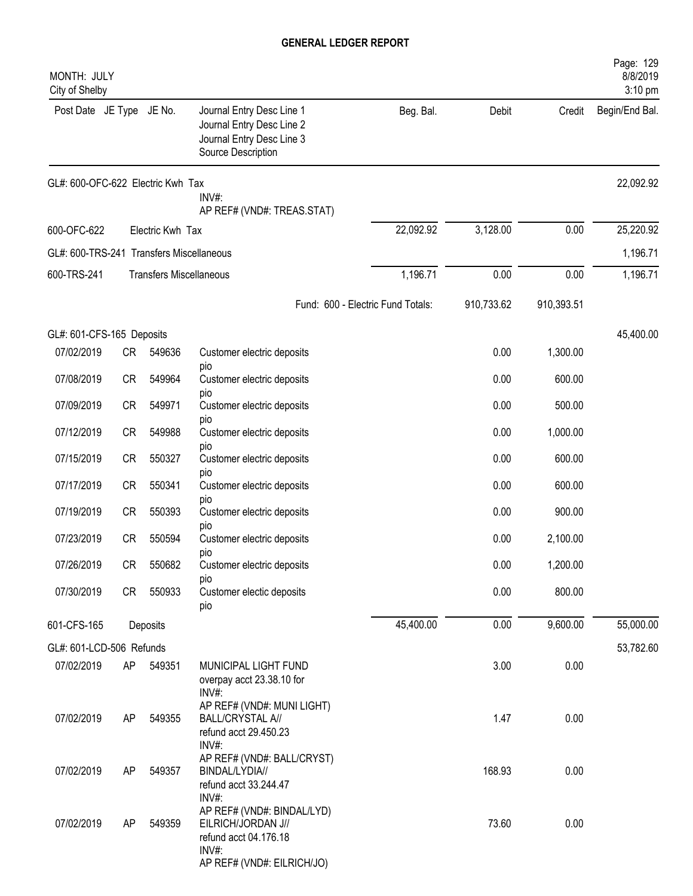| MONTH: JULY<br>City of Shelby            |           |                                |                                                                                                                           |                                   |            |            | Page: 129<br>8/8/2019<br>3:10 pm |
|------------------------------------------|-----------|--------------------------------|---------------------------------------------------------------------------------------------------------------------------|-----------------------------------|------------|------------|----------------------------------|
| Post Date JE Type JE No.                 |           |                                | Journal Entry Desc Line 1<br>Journal Entry Desc Line 2<br>Journal Entry Desc Line 3<br>Source Description                 | Beg. Bal.                         | Debit      | Credit     | Begin/End Bal.                   |
| GL#: 600-OFC-622 Electric Kwh Tax        |           |                                | INV#:<br>AP REF# (VND#: TREAS.STAT)                                                                                       |                                   |            |            | 22,092.92                        |
| 600-OFC-622                              |           | Electric Kwh Tax               |                                                                                                                           | 22,092.92                         | 3,128.00   | 0.00       | 25,220.92                        |
| GL#: 600-TRS-241 Transfers Miscellaneous |           |                                |                                                                                                                           |                                   |            |            | 1,196.71                         |
| 600-TRS-241                              |           | <b>Transfers Miscellaneous</b> |                                                                                                                           | 1,196.71                          | 0.00       | 0.00       | 1,196.71                         |
|                                          |           |                                |                                                                                                                           | Fund: 600 - Electric Fund Totals: | 910,733.62 | 910,393.51 |                                  |
| GL#: 601-CFS-165 Deposits                |           |                                |                                                                                                                           |                                   |            |            | 45,400.00                        |
| 07/02/2019                               | <b>CR</b> | 549636                         | Customer electric deposits                                                                                                |                                   | 0.00       | 1,300.00   |                                  |
| 07/08/2019                               | CR        | 549964                         | pio<br>Customer electric deposits                                                                                         |                                   | 0.00       | 600.00     |                                  |
| 07/09/2019                               | <b>CR</b> | 549971                         | pio<br>Customer electric deposits                                                                                         |                                   | 0.00       | 500.00     |                                  |
| 07/12/2019                               | <b>CR</b> | 549988                         | pio<br>Customer electric deposits                                                                                         |                                   | 0.00       | 1,000.00   |                                  |
| 07/15/2019                               | <b>CR</b> | 550327                         | pio<br>Customer electric deposits                                                                                         |                                   | 0.00       | 600.00     |                                  |
| 07/17/2019                               | <b>CR</b> | 550341                         | pio<br>Customer electric deposits                                                                                         |                                   | 0.00       | 600.00     |                                  |
| 07/19/2019                               | <b>CR</b> | 550393                         | pio<br>Customer electric deposits                                                                                         |                                   | 0.00       | 900.00     |                                  |
| 07/23/2019                               | <b>CR</b> | 550594                         | pio<br>Customer electric deposits                                                                                         |                                   | 0.00       | 2,100.00   |                                  |
| 07/26/2019                               | CR        | 550682                         | pio<br>Customer electric deposits                                                                                         |                                   | 0.00       | 1,200.00   |                                  |
| 07/30/2019                               | CR        | 550933                         | pio<br>Customer electic deposits<br>pio                                                                                   |                                   | 0.00       | 800.00     |                                  |
| 601-CFS-165                              |           | Deposits                       |                                                                                                                           | 45,400.00                         | 0.00       | 9,600.00   | 55,000.00                        |
| GL#: 601-LCD-506 Refunds                 |           |                                |                                                                                                                           |                                   |            |            | 53,782.60                        |
| 07/02/2019                               | AP        | 549351                         | MUNICIPAL LIGHT FUND<br>overpay acct 23.38.10 for<br>$INV#$ :                                                             |                                   | 3.00       | 0.00       |                                  |
| 07/02/2019                               | AP        | 549355                         | AP REF# (VND#: MUNI LIGHT)<br><b>BALL/CRYSTAL A//</b><br>refund acct 29.450.23<br>INV#:                                   |                                   | 1.47       | 0.00       |                                  |
| 07/02/2019                               | AP        | 549357                         | AP REF# (VND#: BALL/CRYST)<br>BINDAL/LYDIA//<br>refund acct 33.244.47                                                     |                                   | 168.93     | 0.00       |                                  |
| 07/02/2019                               | AP        | 549359                         | INV#:<br>AP REF# (VND#: BINDAL/LYD)<br>EILRICH/JORDAN J//<br>refund acct 04.176.18<br>INV#:<br>AP REF# (VND#: EILRICH/JO) |                                   | 73.60      | 0.00       |                                  |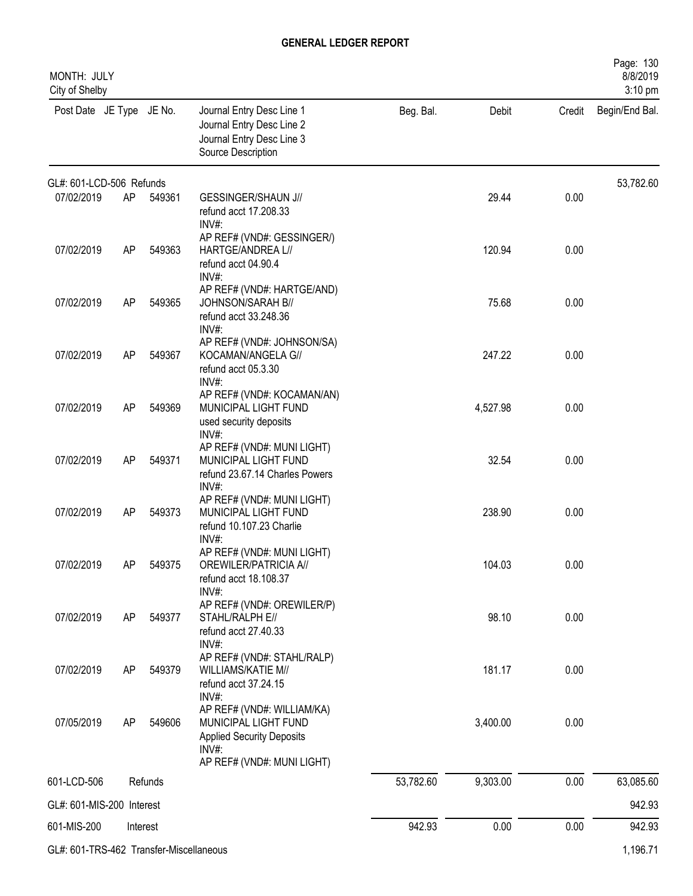| Page: 130<br>MONTH: JULY<br>8/8/2019<br>City of Shelby<br>3:10 pm |    |          |                                                                                                                                  |           |          |        |                |  |  |  |
|-------------------------------------------------------------------|----|----------|----------------------------------------------------------------------------------------------------------------------------------|-----------|----------|--------|----------------|--|--|--|
| Post Date JE Type JE No.                                          |    |          | Journal Entry Desc Line 1<br>Journal Entry Desc Line 2<br>Journal Entry Desc Line 3<br>Source Description                        | Beg. Bal. | Debit    | Credit | Begin/End Bal. |  |  |  |
| GL#: 601-LCD-506 Refunds                                          |    |          |                                                                                                                                  |           |          |        | 53,782.60      |  |  |  |
| 07/02/2019                                                        | AP | 549361   | <b>GESSINGER/SHAUN J//</b><br>refund acct 17.208.33<br>INV#:                                                                     |           | 29.44    | 0.00   |                |  |  |  |
| 07/02/2019                                                        | AP | 549363   | AP REF# (VND#: GESSINGER/)<br>HARTGE/ANDREA L//<br>refund acct 04.90.4<br>INV#:                                                  |           | 120.94   | 0.00   |                |  |  |  |
| 07/02/2019                                                        | AP | 549365   | AP REF# (VND#: HARTGE/AND)<br>JOHNSON/SARAH B//<br>refund acct 33.248.36<br>$INV#$ :                                             |           | 75.68    | 0.00   |                |  |  |  |
| 07/02/2019                                                        | AP | 549367   | AP REF# (VND#: JOHNSON/SA)<br>KOCAMAN/ANGELA G//<br>refund acct 05.3.30<br>$INV#$ :                                              |           | 247.22   | 0.00   |                |  |  |  |
| 07/02/2019                                                        | AP | 549369   | AP REF# (VND#: KOCAMAN/AN)<br>MUNICIPAL LIGHT FUND<br>used security deposits<br>INV#:                                            |           | 4,527.98 | 0.00   |                |  |  |  |
| 07/02/2019                                                        | AP | 549371   | AP REF# (VND#: MUNI LIGHT)<br>MUNICIPAL LIGHT FUND<br>refund 23.67.14 Charles Powers<br>INV#:                                    |           | 32.54    | 0.00   |                |  |  |  |
| 07/02/2019                                                        | AP | 549373   | AP REF# (VND#: MUNI LIGHT)<br>MUNICIPAL LIGHT FUND<br>refund 10.107.23 Charlie<br>$INV#$ :                                       |           | 238.90   | 0.00   |                |  |  |  |
| 07/02/2019                                                        | AP | 549375   | AP REF# (VND#: MUNI LIGHT)<br>OREWILER/PATRICIA A//<br>refund acct 18.108.37<br>INV#:                                            |           | 104.03   | 0.00   |                |  |  |  |
| 07/02/2019                                                        | AP | 549377   | AP REF# (VND#: OREWILER/P)<br>STAHL/RALPH E//<br>refund acct 27.40.33<br>$INV#$ :                                                |           | 98.10    | 0.00   |                |  |  |  |
| 07/02/2019                                                        | AP | 549379   | AP REF# (VND#: STAHL/RALP)<br>WILLIAMS/KATIE M//<br>refund acct 37.24.15<br>INV#:                                                |           | 181.17   | 0.00   |                |  |  |  |
| 07/05/2019                                                        | AP | 549606   | AP REF# (VND#: WILLIAM/KA)<br>MUNICIPAL LIGHT FUND<br><b>Applied Security Deposits</b><br>$INV#$ :<br>AP REF# (VND#: MUNI LIGHT) |           | 3,400.00 | 0.00   |                |  |  |  |
| 601-LCD-506                                                       |    | Refunds  |                                                                                                                                  | 53,782.60 | 9,303.00 | 0.00   | 63,085.60      |  |  |  |
| GL#: 601-MIS-200 Interest                                         |    |          |                                                                                                                                  |           |          |        | 942.93         |  |  |  |
| 601-MIS-200                                                       |    | Interest |                                                                                                                                  | 942.93    | 0.00     | 0.00   | 942.93         |  |  |  |
| GL#: 601-TRS-462 Transfer-Miscellaneous                           |    |          |                                                                                                                                  |           |          |        | 1,196.71       |  |  |  |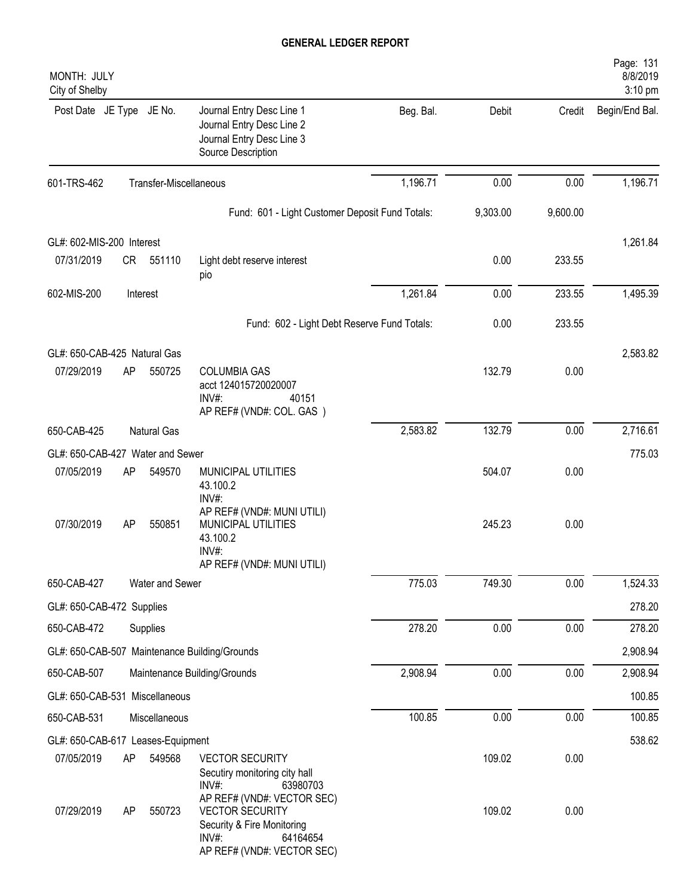| MONTH: JULY<br>City of Shelby     |    |                        |                                                                                                            |           |          |          | Page: 131<br>8/8/2019<br>3:10 pm |
|-----------------------------------|----|------------------------|------------------------------------------------------------------------------------------------------------|-----------|----------|----------|----------------------------------|
| Post Date JE Type JE No.          |    |                        | Journal Entry Desc Line 1<br>Journal Entry Desc Line 2<br>Journal Entry Desc Line 3<br>Source Description  | Beg. Bal. | Debit    | Credit   | Begin/End Bal.                   |
| 601-TRS-462                       |    | Transfer-Miscellaneous |                                                                                                            | 1,196.71  | 0.00     | 0.00     | 1,196.71                         |
|                                   |    |                        | Fund: 601 - Light Customer Deposit Fund Totals:                                                            |           | 9,303.00 | 9,600.00 |                                  |
| GL#: 602-MIS-200 Interest         |    |                        |                                                                                                            |           |          |          | 1,261.84                         |
| 07/31/2019                        | CR | 551110                 | Light debt reserve interest<br>pio                                                                         |           | 0.00     | 233.55   |                                  |
| 602-MIS-200                       |    | Interest               |                                                                                                            | 1,261.84  | 0.00     | 233.55   | 1,495.39                         |
|                                   |    |                        | Fund: 602 - Light Debt Reserve Fund Totals:                                                                |           | 0.00     | 233.55   |                                  |
| GL#: 650-CAB-425 Natural Gas      |    |                        |                                                                                                            |           |          |          | 2,583.82                         |
| 07/29/2019                        | AP | 550725                 | <b>COLUMBIA GAS</b><br>acct 124015720020007<br>INV#:<br>40151<br>AP REF# (VND#: COL. GAS)                  |           | 132.79   | 0.00     |                                  |
| 650-CAB-425                       |    | <b>Natural Gas</b>     |                                                                                                            | 2,583.82  | 132.79   | 0.00     | 2,716.61                         |
| GL#: 650-CAB-427 Water and Sewer  |    |                        |                                                                                                            |           |          |          | 775.03                           |
| 07/05/2019                        | AP | 549570                 | MUNICIPAL UTILITIES<br>43.100.2<br>INV#:                                                                   |           | 504.07   | 0.00     |                                  |
| 07/30/2019                        | AP | 550851                 | AP REF# (VND#: MUNI UTILI)<br>MUNICIPAL UTILITIES<br>43.100.2<br>INV#:<br>AP REF# (VND#: MUNI UTILI)       |           | 245.23   | 0.00     |                                  |
| 650-CAB-427                       |    | Water and Sewer        |                                                                                                            | 775.03    | 749.30   | 0.00     | 1,524.33                         |
| GL#: 650-CAB-472 Supplies         |    |                        |                                                                                                            |           |          |          | 278.20                           |
| 650-CAB-472                       |    | Supplies               |                                                                                                            | 278.20    | 0.00     | 0.00     | 278.20                           |
|                                   |    |                        | GL#: 650-CAB-507 Maintenance Building/Grounds                                                              |           |          |          | 2,908.94                         |
| 650-CAB-507                       |    |                        | Maintenance Building/Grounds                                                                               | 2,908.94  | 0.00     | 0.00     | 2,908.94                         |
| GL#: 650-CAB-531 Miscellaneous    |    |                        |                                                                                                            |           |          |          | 100.85                           |
| 650-CAB-531                       |    | Miscellaneous          |                                                                                                            | 100.85    | 0.00     | 0.00     | 100.85                           |
| GL#: 650-CAB-617 Leases-Equipment |    |                        |                                                                                                            |           |          |          | 538.62                           |
| 07/05/2019                        | AP | 549568                 | <b>VECTOR SECURITY</b><br>Secutiry monitoring city hall<br>INV#:<br>63980703<br>AP REF# (VND#: VECTOR SEC) |           | 109.02   | 0.00     |                                  |
| 07/29/2019                        | AP | 550723                 | <b>VECTOR SECURITY</b><br>Security & Fire Monitoring<br>$INV#$ :<br>64164654<br>AP REF# (VND#: VECTOR SEC) |           | 109.02   | 0.00     |                                  |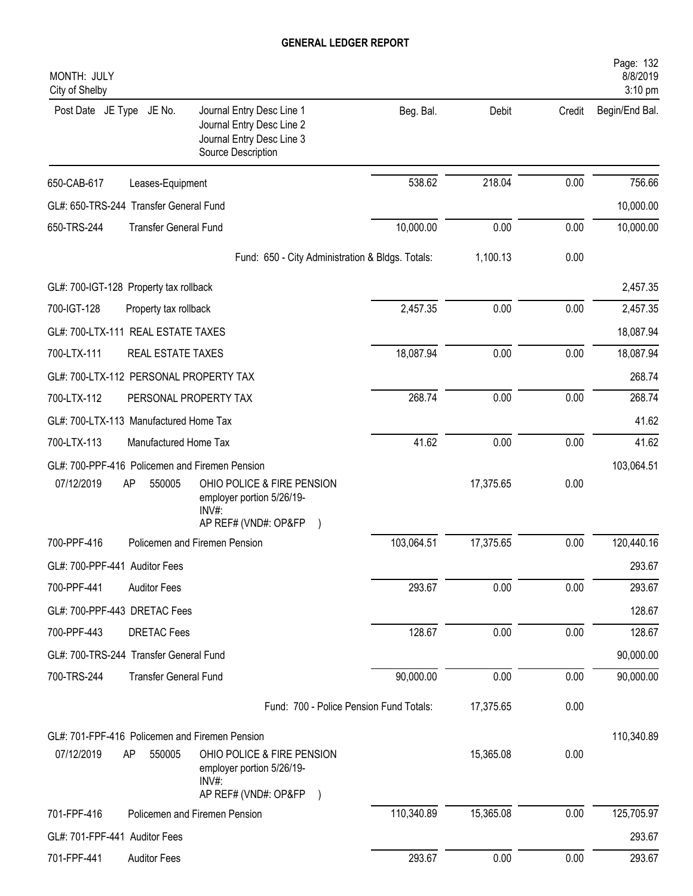| MONTH: JULY<br>City of Shelby                  |                                                                                                           |            |           |        | Page: 132<br>8/8/2019<br>3:10 pm |
|------------------------------------------------|-----------------------------------------------------------------------------------------------------------|------------|-----------|--------|----------------------------------|
| Post Date JE Type JE No.                       | Journal Entry Desc Line 1<br>Journal Entry Desc Line 2<br>Journal Entry Desc Line 3<br>Source Description | Beg. Bal.  | Debit     | Credit | Begin/End Bal.                   |
| 650-CAB-617<br>Leases-Equipment                |                                                                                                           | 538.62     | 218.04    | 0.00   | 756.66                           |
| GL#: 650-TRS-244 Transfer General Fund         |                                                                                                           |            |           |        | 10,000.00                        |
| 650-TRS-244                                    | <b>Transfer General Fund</b>                                                                              | 10,000.00  | 0.00      | 0.00   | 10,000.00                        |
|                                                | Fund: 650 - City Administration & Bldgs. Totals:                                                          |            | 1,100.13  | 0.00   |                                  |
| GL#: 700-IGT-128 Property tax rollback         |                                                                                                           |            |           |        | 2,457.35                         |
| 700-IGT-128<br>Property tax rollback           |                                                                                                           | 2,457.35   | 0.00      | 0.00   | 2,457.35                         |
| GL#: 700-LTX-111 REAL ESTATE TAXES             |                                                                                                           |            |           |        | 18,087.94                        |
| 700-LTX-111                                    | REAL ESTATE TAXES                                                                                         | 18,087.94  | 0.00      | 0.00   | 18,087.94                        |
| GL#: 700-LTX-112 PERSONAL PROPERTY TAX         |                                                                                                           |            |           |        | 268.74                           |
| 700-LTX-112                                    | PERSONAL PROPERTY TAX                                                                                     | 268.74     | 0.00      | 0.00   | 268.74                           |
| GL#: 700-LTX-113 Manufactured Home Tax         |                                                                                                           |            |           |        | 41.62                            |
| 700-LTX-113                                    | Manufactured Home Tax                                                                                     | 41.62      | 0.00      | 0.00   | 41.62                            |
| GL#: 700-PPF-416 Policemen and Firemen Pension |                                                                                                           |            |           |        | 103,064.51                       |
| 07/12/2019<br>AP<br>550005                     | OHIO POLICE & FIRE PENSION<br>employer portion 5/26/19-<br>$INV#$ :<br>AP REF# (VND#: OP&FP               |            | 17,375.65 | 0.00   |                                  |
| 700-PPF-416                                    | Policemen and Firemen Pension                                                                             | 103,064.51 | 17,375.65 | 0.00   | 120,440.16                       |
| GL#: 700-PPF-441 Auditor Fees                  |                                                                                                           |            |           |        | 293.67                           |
| 700-PPF-441<br><b>Auditor Fees</b>             |                                                                                                           | 293.67     | 0.00      | 0.00   | 293.67                           |
| GL#: 700-PPF-443 DRETAC Fees                   |                                                                                                           |            |           |        | 128.67                           |
| 700-PPF-443<br><b>DRETAC Fees</b>              |                                                                                                           | 128.67     | 0.00      | 0.00   | 128.67                           |
| GL#: 700-TRS-244 Transfer General Fund         |                                                                                                           |            |           |        | 90,000.00                        |
| 700-TRS-244                                    | <b>Transfer General Fund</b>                                                                              | 90,000.00  | 0.00      | 0.00   | 90,000.00                        |
|                                                | Fund: 700 - Police Pension Fund Totals:                                                                   |            | 17,375.65 | 0.00   |                                  |
| GL#: 701-FPF-416 Policemen and Firemen Pension |                                                                                                           |            |           |        | 110,340.89                       |
| 07/12/2019<br>AP<br>550005                     | OHIO POLICE & FIRE PENSION<br>employer portion 5/26/19-<br>INV#:                                          |            | 15,365.08 | 0.00   |                                  |
|                                                | AP REF# (VND#: OP&FP )                                                                                    |            |           |        |                                  |
| 701-FPF-416                                    | Policemen and Firemen Pension                                                                             | 110,340.89 | 15,365.08 | 0.00   | 125,705.97                       |
| GL#: 701-FPF-441 Auditor Fees                  |                                                                                                           |            |           |        | 293.67                           |
| 701-FPF-441<br><b>Auditor Fees</b>             |                                                                                                           | 293.67     | 0.00      | 0.00   | 293.67                           |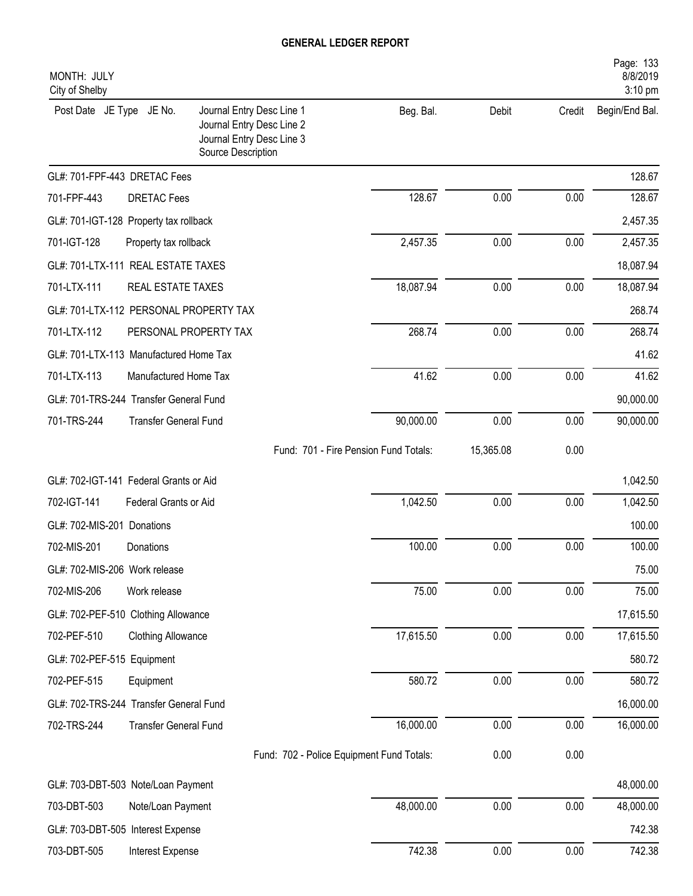| MONTH: JULY<br>City of Shelby          |                              |                                                                                                           |                                       |           |        | Page: 133<br>8/8/2019<br>3:10 pm |
|----------------------------------------|------------------------------|-----------------------------------------------------------------------------------------------------------|---------------------------------------|-----------|--------|----------------------------------|
| Post Date JE Type                      | JE No.                       | Journal Entry Desc Line 1<br>Journal Entry Desc Line 2<br>Journal Entry Desc Line 3<br>Source Description | Beg. Bal.                             | Debit     | Credit | Begin/End Bal.                   |
| GL#: 701-FPF-443 DRETAC Fees           |                              |                                                                                                           |                                       |           |        | 128.67                           |
| 701-FPF-443                            | <b>DRETAC</b> Fees           |                                                                                                           | 128.67                                | 0.00      | 0.00   | 128.67                           |
| GL#: 701-IGT-128 Property tax rollback |                              |                                                                                                           |                                       |           |        | 2,457.35                         |
| 701-IGT-128                            | Property tax rollback        |                                                                                                           | 2,457.35                              | 0.00      | 0.00   | 2,457.35                         |
| GL#: 701-LTX-111 REAL ESTATE TAXES     |                              |                                                                                                           |                                       |           |        | 18,087.94                        |
| 701-LTX-111                            | REAL ESTATE TAXES            |                                                                                                           | 18,087.94                             | 0.00      | 0.00   | 18,087.94                        |
| GL#: 701-LTX-112 PERSONAL PROPERTY TAX |                              |                                                                                                           |                                       |           |        | 268.74                           |
| 701-LTX-112                            | PERSONAL PROPERTY TAX        |                                                                                                           | 268.74                                | 0.00      | 0.00   | 268.74                           |
| GL#: 701-LTX-113 Manufactured Home Tax |                              |                                                                                                           |                                       |           |        | 41.62                            |
| 701-LTX-113                            | Manufactured Home Tax        |                                                                                                           | 41.62                                 | 0.00      | 0.00   | 41.62                            |
| GL#: 701-TRS-244 Transfer General Fund |                              |                                                                                                           |                                       |           |        | 90,000.00                        |
| 701-TRS-244                            | <b>Transfer General Fund</b> |                                                                                                           | 90,000.00                             | 0.00      | 0.00   | 90,000.00                        |
|                                        |                              |                                                                                                           | Fund: 701 - Fire Pension Fund Totals: | 15,365.08 | 0.00   |                                  |
| GL#: 702-IGT-141 Federal Grants or Aid |                              |                                                                                                           |                                       |           |        | 1,042.50                         |
| 702-IGT-141                            | Federal Grants or Aid        |                                                                                                           | 1,042.50                              | 0.00      | 0.00   | 1,042.50                         |
| GL#: 702-MIS-201 Donations             |                              |                                                                                                           |                                       |           |        | 100.00                           |
| 702-MIS-201                            | Donations                    |                                                                                                           | 100.00                                | 0.00      | 0.00   | 100.00                           |
| GL#: 702-MIS-206 Work release          |                              |                                                                                                           |                                       |           |        | 75.00                            |
| 702-MIS-206                            | Work release                 |                                                                                                           | 75.00                                 | 0.00      | 0.00   | 75.00                            |
| GL#: 702-PEF-510 Clothing Allowance    |                              |                                                                                                           |                                       |           |        | 17,615.50                        |
| 702-PEF-510                            | <b>Clothing Allowance</b>    |                                                                                                           | 17,615.50                             | 0.00      | 0.00   | 17,615.50                        |
| GL#: 702-PEF-515 Equipment             |                              |                                                                                                           |                                       |           |        | 580.72                           |
| 702-PEF-515                            | Equipment                    |                                                                                                           | 580.72                                | 0.00      | 0.00   | 580.72                           |
| GL#: 702-TRS-244 Transfer General Fund |                              |                                                                                                           |                                       |           |        | 16,000.00                        |
| 702-TRS-244                            | <b>Transfer General Fund</b> |                                                                                                           | 16,000.00                             | 0.00      | 0.00   | 16,000.00                        |
|                                        |                              | Fund: 702 - Police Equipment Fund Totals:                                                                 |                                       | 0.00      | 0.00   |                                  |
| GL#: 703-DBT-503 Note/Loan Payment     |                              |                                                                                                           |                                       |           |        | 48,000.00                        |
| 703-DBT-503                            | Note/Loan Payment            |                                                                                                           | 48,000.00                             | 0.00      | 0.00   | 48,000.00                        |
| GL#: 703-DBT-505 Interest Expense      |                              |                                                                                                           |                                       |           |        | 742.38                           |
| 703-DBT-505                            | Interest Expense             |                                                                                                           | 742.38                                | 0.00      | 0.00   | 742.38                           |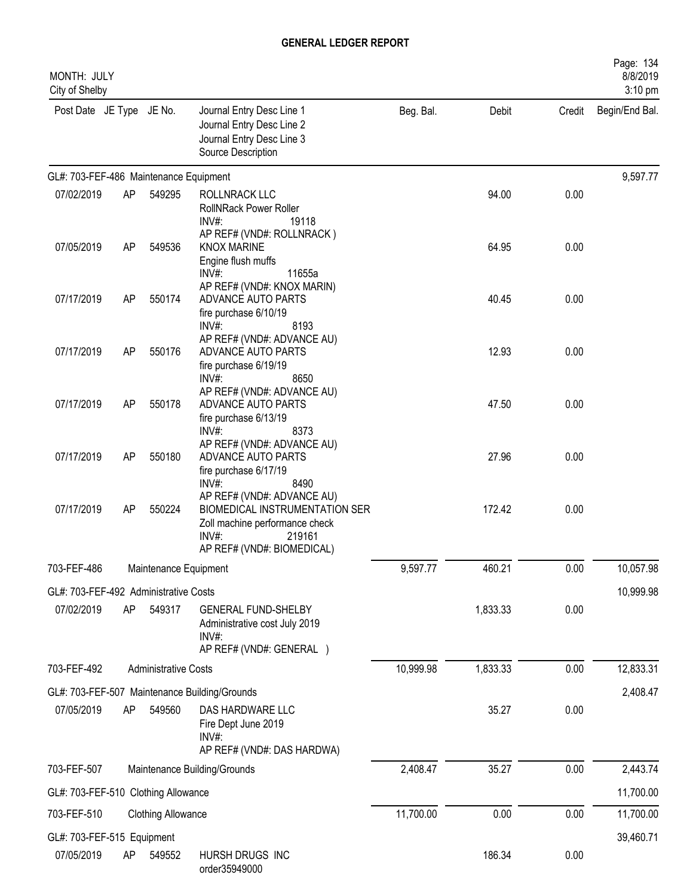| MONTH: JULY<br>City of Shelby            |    |                             |                                                                                                                                                           |           |           |        | Page: 134<br>8/8/2019<br>3:10 pm |
|------------------------------------------|----|-----------------------------|-----------------------------------------------------------------------------------------------------------------------------------------------------------|-----------|-----------|--------|----------------------------------|
| Post Date JE Type JE No.                 |    |                             | Journal Entry Desc Line 1<br>Journal Entry Desc Line 2<br>Journal Entry Desc Line 3<br>Source Description                                                 | Beg. Bal. | Debit     | Credit | Begin/End Bal.                   |
| GL#: 703-FEF-486 Maintenance Equipment   |    |                             |                                                                                                                                                           |           |           |        | 9,597.77                         |
| 07/02/2019                               | AP | 549295                      | ROLLNRACK LLC<br><b>RollNRack Power Roller</b><br>INV#:<br>19118                                                                                          |           | 94.00     | 0.00   |                                  |
| 07/05/2019                               | AP | 549536                      | AP REF# (VND#: ROLLNRACK)<br><b>KNOX MARINE</b><br>Engine flush muffs<br>11655a<br>$INV#$ :                                                               |           | 64.95     | 0.00   |                                  |
| 07/17/2019                               | AP | 550174                      | AP REF# (VND#: KNOX MARIN)<br>ADVANCE AUTO PARTS<br>fire purchase 6/10/19<br>$INV#$ :<br>8193                                                             |           | 40.45     | 0.00   |                                  |
| 07/17/2019                               | AP | 550176                      | AP REF# (VND#: ADVANCE AU)<br>ADVANCE AUTO PARTS<br>fire purchase 6/19/19<br>INV#:<br>8650                                                                |           | 12.93     | 0.00   |                                  |
| 07/17/2019                               | AP | 550178                      | AP REF# (VND#: ADVANCE AU)<br>ADVANCE AUTO PARTS<br>fire purchase 6/13/19<br>INV#:<br>8373                                                                |           | 47.50     | 0.00   |                                  |
| 07/17/2019                               | AP | 550180                      | AP REF# (VND#: ADVANCE AU)<br>ADVANCE AUTO PARTS<br>fire purchase 6/17/19<br>$INV#$ :<br>8490                                                             |           | 27.96     | 0.00   |                                  |
| 07/17/2019                               | AP | 550224                      | AP REF# (VND#: ADVANCE AU)<br><b>BIOMEDICAL INSTRUMENTATION SER</b><br>Zoll machine performance check<br>$INV#$ :<br>219161<br>AP REF# (VND#: BIOMEDICAL) |           | 172.42    | 0.00   |                                  |
| 703-FEF-486<br>Maintenance Equipment     |    | 9,597.77                    | 460.21                                                                                                                                                    | 0.00      | 10,057.98 |        |                                  |
| GL#: 703-FEF-492 Administrative Costs    |    |                             |                                                                                                                                                           |           | 10,999.98 |        |                                  |
| 07/02/2019                               | AP | 549317                      | <b>GENERAL FUND-SHELBY</b><br>Administrative cost July 2019<br>$INV#$ :<br>AP REF# (VND#: GENERAL )                                                       |           | 1,833.33  | 0.00   |                                  |
| 703-FEF-492                              |    | <b>Administrative Costs</b> |                                                                                                                                                           | 10,999.98 | 1,833.33  | 0.00   | 12,833.31                        |
|                                          |    |                             | GL#: 703-FEF-507 Maintenance Building/Grounds                                                                                                             |           |           |        | 2,408.47                         |
| 07/05/2019                               | AP | 549560                      | DAS HARDWARE LLC<br>Fire Dept June 2019<br>INV#:<br>AP REF# (VND#: DAS HARDWA)                                                                            |           | 35.27     | 0.00   |                                  |
| 703-FEF-507                              |    |                             | Maintenance Building/Grounds                                                                                                                              | 2,408.47  | 35.27     | 0.00   | 2,443.74                         |
| GL#: 703-FEF-510 Clothing Allowance      |    |                             |                                                                                                                                                           |           |           |        | 11,700.00                        |
| 703-FEF-510                              |    | <b>Clothing Allowance</b>   |                                                                                                                                                           | 11,700.00 | 0.00      | 0.00   | 11,700.00                        |
|                                          |    |                             |                                                                                                                                                           |           |           |        |                                  |
| GL#: 703-FEF-515 Equipment<br>07/05/2019 | AP | 549552                      | HURSH DRUGS INC<br>order35949000                                                                                                                          |           | 186.34    | 0.00   | 39,460.71                        |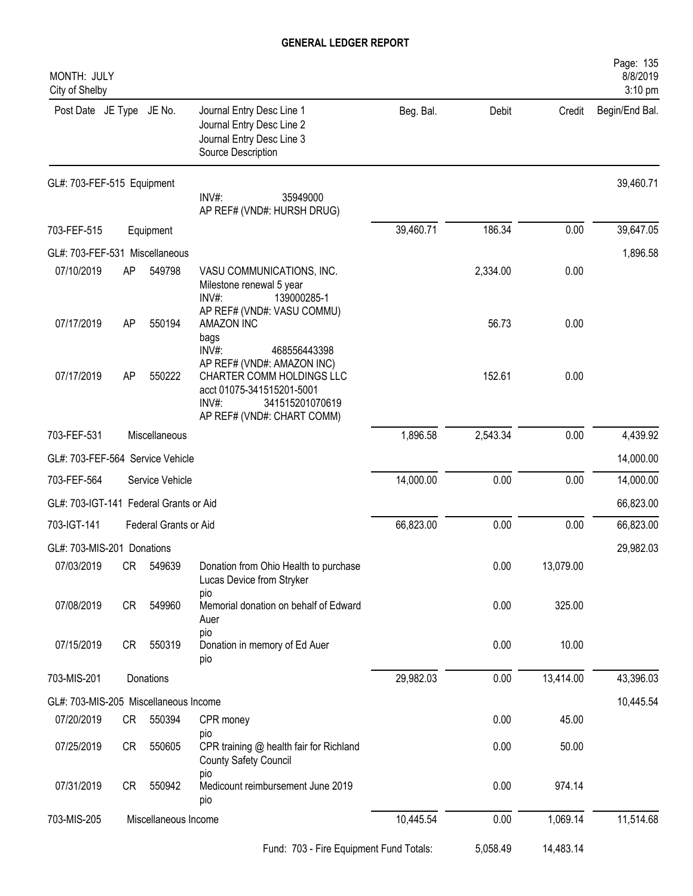| MONTH: JULY<br>City of Shelby          |                                                                                                                                                          |           |          |           | Page: 135<br>8/8/2019<br>3:10 pm |
|----------------------------------------|----------------------------------------------------------------------------------------------------------------------------------------------------------|-----------|----------|-----------|----------------------------------|
| Post Date JE Type JE No.               | Journal Entry Desc Line 1<br>Journal Entry Desc Line 2<br>Journal Entry Desc Line 3<br>Source Description                                                | Beg. Bal. | Debit    | Credit    | Begin/End Bal.                   |
| GL#: 703-FEF-515 Equipment             | INV#:<br>35949000<br>AP REF# (VND#: HURSH DRUG)                                                                                                          |           |          |           | 39,460.71                        |
| 703-FEF-515<br>Equipment               |                                                                                                                                                          | 39,460.71 | 186.34   | 0.00      | 39,647.05                        |
| GL#: 703-FEF-531 Miscellaneous         |                                                                                                                                                          |           |          |           | 1,896.58                         |
| 07/10/2019<br>AP                       | 549798<br>VASU COMMUNICATIONS, INC.<br>Milestone renewal 5 year<br>INV#:<br>139000285-1<br>AP REF# (VND#: VASU COMMU)                                    |           | 2,334.00 | 0.00      |                                  |
| 07/17/2019<br>AP                       | 550194<br><b>AMAZON INC</b><br>bags<br>INV#:<br>468556443398                                                                                             |           | 56.73    | 0.00      |                                  |
| 07/17/2019<br><b>AP</b>                | AP REF# (VND#: AMAZON INC)<br>550222<br>CHARTER COMM HOLDINGS LLC<br>acct 01075-341515201-5001<br>INV#:<br>341515201070619<br>AP REF# (VND#: CHART COMM) |           | 152.61   | 0.00      |                                  |
| 703-FEF-531<br>Miscellaneous           |                                                                                                                                                          | 1,896.58  | 2,543.34 | 0.00      | 4,439.92                         |
| GL#: 703-FEF-564 Service Vehicle       |                                                                                                                                                          |           |          |           | 14,000.00                        |
| 703-FEF-564<br>Service Vehicle         |                                                                                                                                                          | 14,000.00 | 0.00     | 0.00      | 14,000.00                        |
| GL#: 703-IGT-141 Federal Grants or Aid |                                                                                                                                                          |           |          |           | 66,823.00                        |
| 703-IGT-141                            | Federal Grants or Aid                                                                                                                                    | 66,823.00 | 0.00     | 0.00      | 66,823.00                        |
| GL#: 703-MIS-201 Donations             |                                                                                                                                                          |           |          |           | 29,982.03                        |
| 07/03/2019<br>CR                       | 549639<br>Donation from Ohio Health to purchase<br>Lucas Device from Stryker                                                                             |           | 0.00     | 13,079.00 |                                  |
| 07/08/2019<br>CR                       | pio<br>Memorial donation on behalf of Edward<br>549960<br>Auer                                                                                           |           | 0.00     | 325.00    |                                  |
| 07/15/2019<br>CR                       | pio<br>550319<br>Donation in memory of Ed Auer<br>pio                                                                                                    |           | 0.00     | 10.00     |                                  |
| 703-MIS-201                            | Donations                                                                                                                                                |           | 0.00     | 13,414.00 | 43,396.03                        |
| GL#: 703-MIS-205 Miscellaneous Income  |                                                                                                                                                          |           |          |           | 10,445.54                        |
| 07/20/2019<br>CR                       | 550394<br>CPR money                                                                                                                                      |           | 0.00     | 45.00     |                                  |
| 07/25/2019<br>CR                       | pio<br>550605<br>CPR training @ health fair for Richland<br>County Safety Council                                                                        |           | 0.00     | 50.00     |                                  |
| 07/31/2019<br>CR                       | pio<br>550942<br>Medicount reimbursement June 2019<br>pio                                                                                                |           | 0.00     | 974.14    |                                  |
| 703-MIS-205                            | Miscellaneous Income                                                                                                                                     | 10,445.54 | 0.00     | 1,069.14  | 11,514.68                        |
|                                        | Fund: 703 - Fire Equipment Fund Totals:                                                                                                                  |           | 5,058.49 | 14,483.14 |                                  |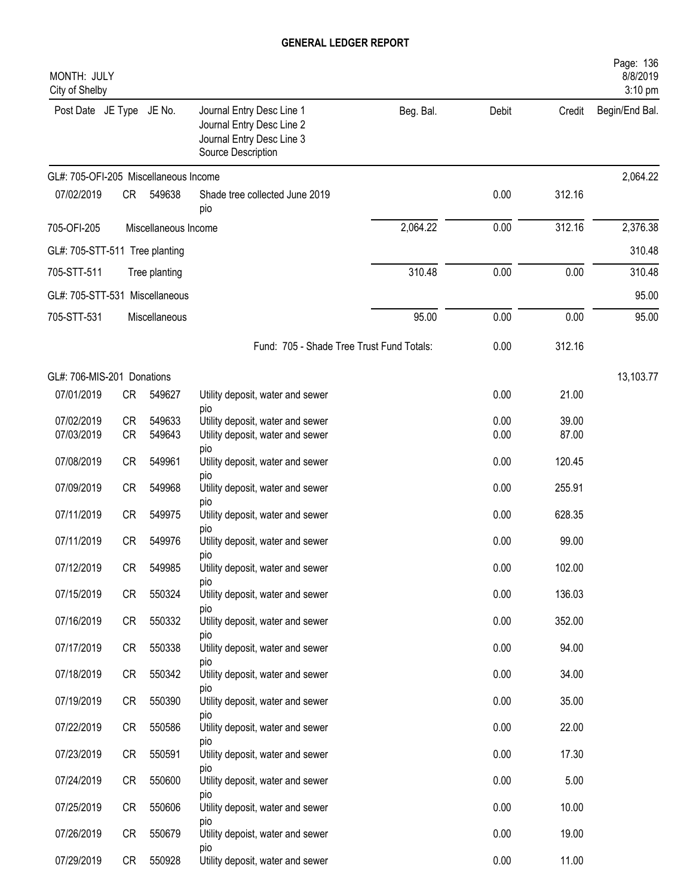| MONTH: JULY<br>City of Shelby         |           |                      |                                                                                                           |           |              |                | Page: 136<br>8/8/2019<br>3:10 pm |
|---------------------------------------|-----------|----------------------|-----------------------------------------------------------------------------------------------------------|-----------|--------------|----------------|----------------------------------|
| Post Date JE Type JE No.              |           |                      | Journal Entry Desc Line 1<br>Journal Entry Desc Line 2<br>Journal Entry Desc Line 3<br>Source Description | Beg. Bal. | Debit        | Credit         | Begin/End Bal.                   |
| GL#: 705-OFI-205 Miscellaneous Income |           |                      |                                                                                                           |           |              |                | 2,064.22                         |
| 07/02/2019                            | CR        | 549638               | Shade tree collected June 2019<br>pio                                                                     |           | 0.00         | 312.16         |                                  |
| 705-OFI-205                           |           | Miscellaneous Income |                                                                                                           | 2,064.22  | 0.00         | 312.16         | 2,376.38                         |
| GL#: 705-STT-511 Tree planting        |           |                      |                                                                                                           |           |              |                | 310.48                           |
| 705-STT-511                           |           | Tree planting        |                                                                                                           | 310.48    | 0.00         | 0.00           | 310.48                           |
| GL#: 705-STT-531 Miscellaneous        |           |                      |                                                                                                           |           |              |                | 95.00                            |
| 705-STT-531                           |           | Miscellaneous        |                                                                                                           | 95.00     | 0.00         | 0.00           | 95.00                            |
|                                       |           |                      | Fund: 705 - Shade Tree Trust Fund Totals:                                                                 |           | 0.00         | 312.16         |                                  |
| GL#: 706-MIS-201 Donations            |           |                      |                                                                                                           |           |              |                | 13,103.77                        |
| 07/01/2019                            | CR        | 549627               | Utility deposit, water and sewer                                                                          |           | 0.00         | 21.00          |                                  |
| 07/02/2019<br>07/03/2019              | CR<br>CR  | 549633<br>549643     | <b>DIO</b><br>Utility deposit, water and sewer<br>Utility deposit, water and sewer                        |           | 0.00<br>0.00 | 39.00<br>87.00 |                                  |
|                                       |           |                      | pio                                                                                                       |           |              |                |                                  |
| 07/08/2019                            | <b>CR</b> | 549961               | Utility deposit, water and sewer<br>pio                                                                   |           | 0.00         | 120.45         |                                  |
| 07/09/2019                            | <b>CR</b> | 549968               | Utility deposit, water and sewer<br>pio                                                                   |           | 0.00         | 255.91         |                                  |
| 07/11/2019                            | <b>CR</b> | 549975               | Utility deposit, water and sewer                                                                          |           | 0.00         | 628.35         |                                  |
| 07/11/2019                            | <b>CR</b> | 549976               | pio<br>Utility deposit, water and sewer<br>pio                                                            |           | 0.00         | 99.00          |                                  |
| 07/12/2019                            | CR        | 549985               | Utility deposit, water and sewer                                                                          |           | 0.00         | 102.00         |                                  |
| 07/15/2019                            | CR        | 550324               | pio<br>Utility deposit, water and sewer                                                                   |           | 0.00         | 136.03         |                                  |
| 07/16/2019                            | CR        | 550332               | pio<br>Utility deposit, water and sewer                                                                   |           | 0.00         | 352.00         |                                  |
| 07/17/2019                            | CR        | 550338               | pio<br>Utility deposit, water and sewer                                                                   |           | 0.00         | 94.00          |                                  |
| 07/18/2019                            | CR        | 550342               | pio<br>Utility deposit, water and sewer                                                                   |           | 0.00         | 34.00          |                                  |
| 07/19/2019                            | CR        | 550390               | pio<br>Utility deposit, water and sewer                                                                   |           | 0.00         | 35.00          |                                  |
| 07/22/2019                            | CR        | 550586               | pio<br>Utility deposit, water and sewer                                                                   |           | 0.00         | 22.00          |                                  |
| 07/23/2019                            | CR        | 550591               | pio<br>Utility deposit, water and sewer                                                                   |           | 0.00         | 17.30          |                                  |
| 07/24/2019                            | CR        | 550600               | pio<br>Utility deposit, water and sewer                                                                   |           | 0.00         | 5.00           |                                  |
| 07/25/2019                            | CR        | 550606               | pio<br>Utility deposit, water and sewer                                                                   |           | 0.00         | 10.00          |                                  |
| 07/26/2019                            | CR        | 550679               | pio<br>Utility depoist, water and sewer                                                                   |           | 0.00         | 19.00          |                                  |
| 07/29/2019                            | CR        | 550928               | pio<br>Utility deposit, water and sewer                                                                   |           | 0.00         | 11.00          |                                  |